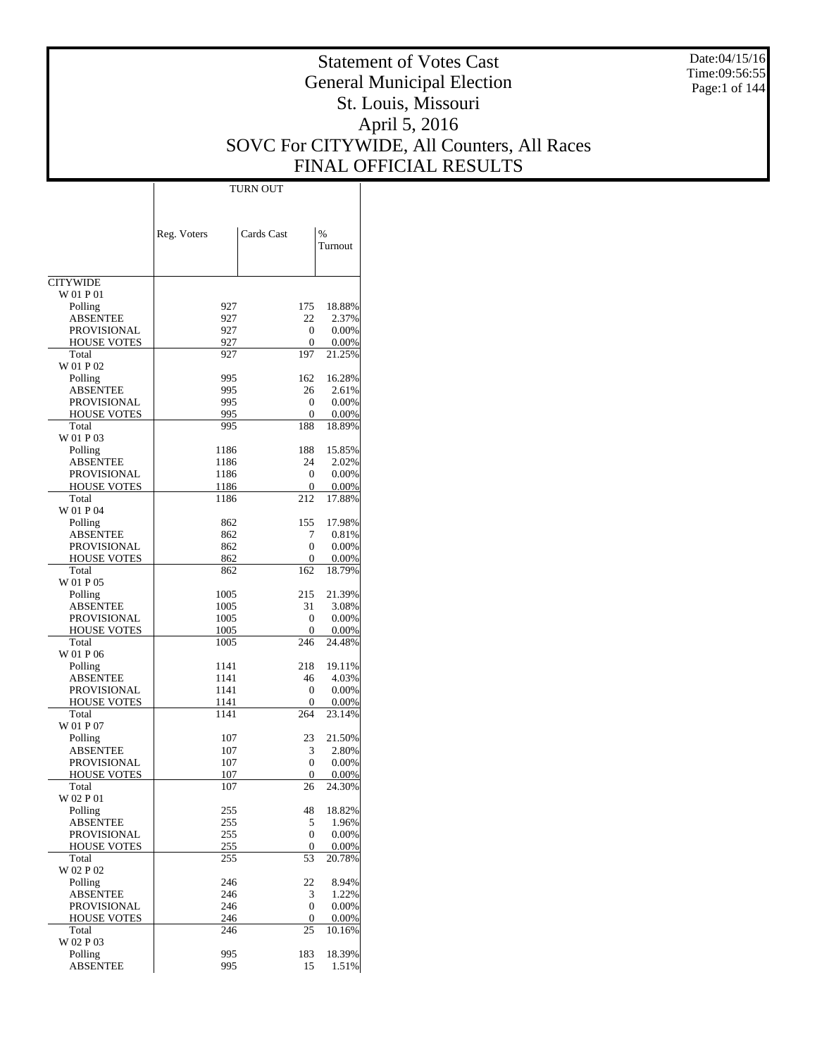Date:04/15/16 Time:09:56:55 Page:1 of 144

# Statement of Votes Cast General Municipal Election St. Louis, Missouri April 5, 2016 SOVC For CITYWIDE, All Counters, All Races FINAL OFFICIAL RESULTS

Τ

|                                          | Reg. Voters | Cards Cast                   | $\%$           |
|------------------------------------------|-------------|------------------------------|----------------|
|                                          |             |                              | Turnout        |
|                                          |             |                              |                |
| <b>CITYWIDE</b>                          |             |                              |                |
| W 01 P 01                                |             |                              |                |
| Polling                                  | 927         | 175                          | 18.88%         |
| <b>ABSENTEE</b>                          | 927         | 22                           | 2.37%          |
| PROVISIONAL<br><b>HOUSE VOTES</b>        | 927<br>927  | $\mathbf{0}$<br>$\mathbf{0}$ | 0.00%<br>0.00% |
| Total                                    | 927         | 197                          | 21.25%         |
| W 01 P 02                                |             |                              |                |
| Polling                                  | 995         | 162                          | 16.28%         |
| <b>ABSENTEE</b>                          | 995         | 26                           | 2.61%          |
| PROVISIONAL                              | 995         | $\mathbf{0}$                 | 0.00%          |
| <b>HOUSE VOTES</b>                       | 995         | $\mathbf{0}$                 | 0.00%          |
| Total<br>W 01 P 03                       | 995         | 188                          | 18.89%         |
| Polling                                  | 1186        | 188                          | 15.85%         |
| <b>ABSENTEE</b>                          | 1186        | 24                           | 2.02%          |
| PROVISIONAL                              | 1186        | $\mathbf{0}$                 | 0.00%          |
| <b>HOUSE VOTES</b>                       | 1186        | $\mathbf{0}$                 | 0.00%          |
| Total                                    | 1186        | 212                          | 17.88%         |
| W 01 P 04                                |             |                              |                |
| Polling                                  | 862         | 155                          | 17.98%         |
| <b>ABSENTEE</b><br>PROVISIONAL           | 862<br>862  | 7<br>$\mathbf{0}$            | 0.81%<br>0.00% |
| <b>HOUSE VOTES</b>                       | 862         | $\mathbf{0}$                 | 0.00%          |
| Total                                    | 862         | 162                          | 18.79%         |
| W 01 P 05                                |             |                              |                |
| Polling                                  | 1005        | 215                          | 21.39%         |
| <b>ABSENTEE</b>                          | 1005        | 31                           | 3.08%          |
| PROVISIONAL                              | 1005        | $\mathbf{0}$                 | 0.00%          |
| <b>HOUSE VOTES</b>                       | 1005        | $\mathbf{0}$                 | 0.00%          |
| Total<br>W 01 P 06                       | 1005        | 246                          | 24.48%         |
| Polling                                  | 1141        | 218                          | 19.11%         |
| <b>ABSENTEE</b>                          | 1141        | 46                           | 4.03%          |
| PROVISIONAL                              | 1141        | $\mathbf{0}$                 | 0.00%          |
| <b>HOUSE VOTES</b>                       | 1141        | 0                            | 0.00%          |
| Total                                    | 1141        | 264                          | 23.14%         |
| W 01 P 07                                |             |                              |                |
| Polling                                  | 107         | 23                           | 21.50%         |
| <b>ABSENTEE</b>                          | 107         | 3                            | 2.80%          |
| <b>PROVISIONAL</b><br><b>HOUSE VOTES</b> | 107<br>107  | 0<br>0                       | 0.00%<br>0.00% |
| Total                                    | 107         | 26                           | 24.30%         |
| W 02 P 01                                |             |                              |                |
| Polling                                  | 255         | 48                           | 18.82%         |
| <b>ABSENTEE</b>                          | 255         | 5                            | 1.96%          |
| <b>PROVISIONAL</b>                       | 255         | $\mathbf{0}$                 | 0.00%          |
| <b>HOUSE VOTES</b>                       | 255         | 0                            | 0.00%          |
| Total                                    | 255         | 53                           | 20.78%         |
| W 02 P 02<br>Polling                     | 246         | 22                           | 8.94%          |
| <b>ABSENTEE</b>                          | 246         | 3                            | 1.22%          |
| PROVISIONAL                              | 246         | $\mathbf{0}$                 | 0.00%          |
| <b>HOUSE VOTES</b>                       | 246         | 0                            | 0.00%          |
| Total                                    | 246         | 25                           | 10.16%         |
| W 02 P 03                                |             |                              |                |
| Polling                                  | 995         | 183                          | 18.39%         |
| <b>ABSENTEE</b>                          | 995         | 15                           | 1.51%          |

TURN OUT

 $\overline{1}$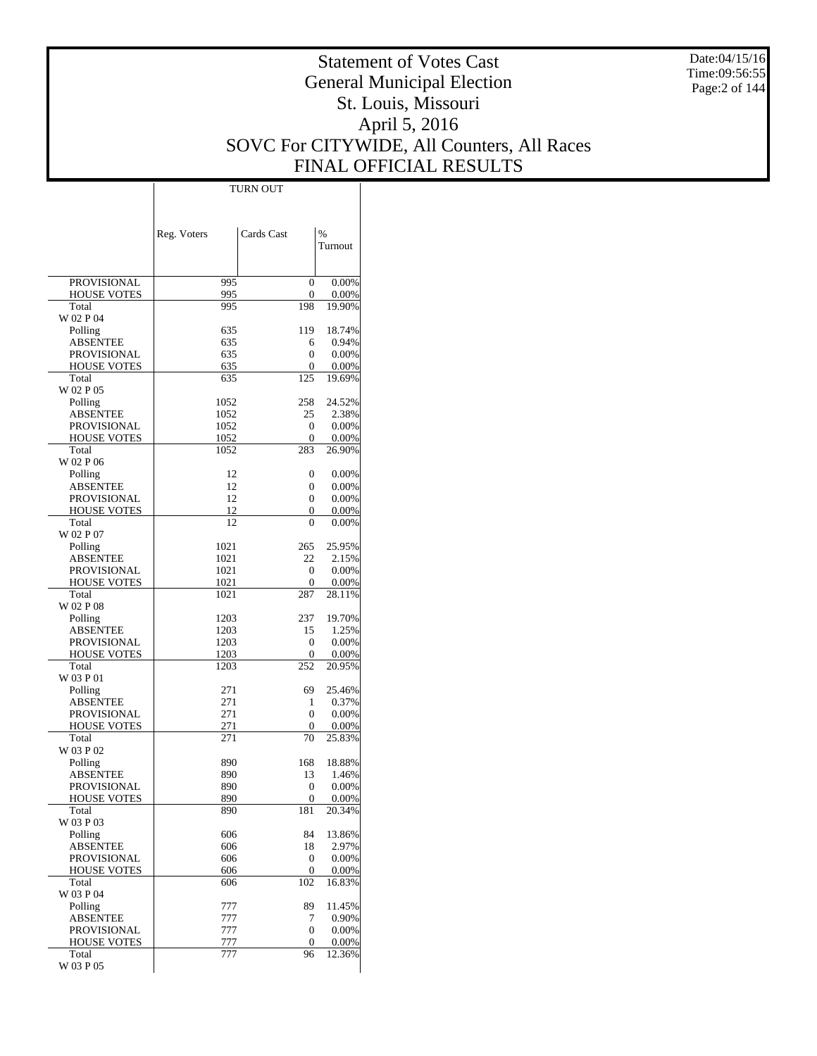Date:04/15/16 Time:09:56:55 Page:2 of 144

# Statement of Votes Cast General Municipal Election St. Louis, Missouri April 5, 2016 SOVC For CITYWIDE, All Counters, All Races FINAL OFFICIAL RESULTS

|                                   | Reg. Voters  | Cards Cast | %               |
|-----------------------------------|--------------|------------|-----------------|
|                                   |              |            | Turnout         |
|                                   |              |            |                 |
| PROVISIONAL                       | 995          | 0          | 0.00%           |
| <b>HOUSE VOTES</b>                | 995          | 0          | 0.00%           |
| Total                             | 995          | 198        | 19.90%          |
| W 02 P 04                         |              |            |                 |
| Polling                           | 635          | 119        | 18.74%          |
| <b>ABSENTEE</b>                   | 635          | 6<br>0     | 0.94%<br>0.00%  |
| PROVISIONAL<br><b>HOUSE VOTES</b> | 635<br>635   | 0          | 0.00%           |
| Total                             | 635          | 125        | 19.69%          |
| W 02 P 05                         |              |            |                 |
| Polling                           | 1052         | 258        | 24.52%          |
| <b>ABSENTEE</b>                   | 1052         | 25         | 2.38%           |
| PROVISIONAL                       | 1052         | 0          | 0.00%           |
| <b>HOUSE VOTES</b>                | 1052         | 0          | 0.00%           |
| Total<br>W 02 P 06                | 1052         | 283        | 26.90%          |
| Polling                           | 12           | 0          | 0.00%           |
| <b>ABSENTEE</b>                   | 12           | 0          | 0.00%           |
| PROVISIONAL                       | 12           | 0          | 0.00%           |
| <b>HOUSE VOTES</b>                | 12           | 0          | 0.00%           |
| Total                             | 12           | $\theta$   | 0.00%           |
| W 02 P 07                         |              |            |                 |
| Polling<br><b>ABSENTEE</b>        | 1021<br>1021 | 265<br>22  | 25.95%          |
| PROVISIONAL                       | 1021         | 0          | 2.15%<br>0.00%  |
| <b>HOUSE VOTES</b>                | 1021         | 0          | 0.00%           |
| Total                             | 1021         | 287        | 28.11%          |
| W 02 P 08                         |              |            |                 |
| Polling                           | 1203         | 237        | 19.70%          |
| <b>ABSENTEE</b>                   | 1203         | 15         | 1.25%           |
| PROVISIONAL                       | 1203<br>1203 | 0<br>0     | 0.00%           |
| <b>HOUSE VOTES</b><br>Total       | 1203         | 252        | 0.00%<br>20.95% |
| W 03 P 01                         |              |            |                 |
| Polling                           | 271          | 69         | 25.46%          |
| <b>ABSENTEE</b>                   | 271          | 1          | 0.37%           |
| PROVISIONAL                       | 271          | 0          | 0.00%           |
| <b>HOUSE VOTES</b>                | 271          | 0          | 0.00%           |
| Total<br>W 03 P 02                | 271          | 70         | 25.83%          |
| Polling                           | 890          | 168        | 18.88%          |
| <b>ABSENTEE</b>                   | 890          | 13         | 1.46%           |
| <b>PROVISIONAL</b>                | 890          | 0          | 0.00%           |
| HOUSE VOTES                       | 890          | 0          | $0.00\%$        |
| Total                             | 890          | 181        | 20.34%          |
| W 03 P 03                         |              |            |                 |
| Polling<br><b>ABSENTEE</b>        | 606<br>606   | 84<br>18   | 13.86%<br>2.97% |
| PROVISIONAL                       | 606          | 0          | 0.00%           |
| <b>HOUSE VOTES</b>                | 606          | 0          | 0.00%           |
| Total                             | 606          | 102        | 16.83%          |
| W 03 P 04                         |              |            |                 |
| Polling                           | 777          | 89         | 11.45%          |
| <b>ABSENTEE</b>                   | 777          | 7          | 0.90%           |
| <b>PROVISIONAL</b>                | 777          | 0          | 0.00%           |
| <b>HOUSE VOTES</b><br>Total       | 777<br>777   | 0<br>96    | 0.00%<br>12.36% |
| W 03 P 05                         |              |            |                 |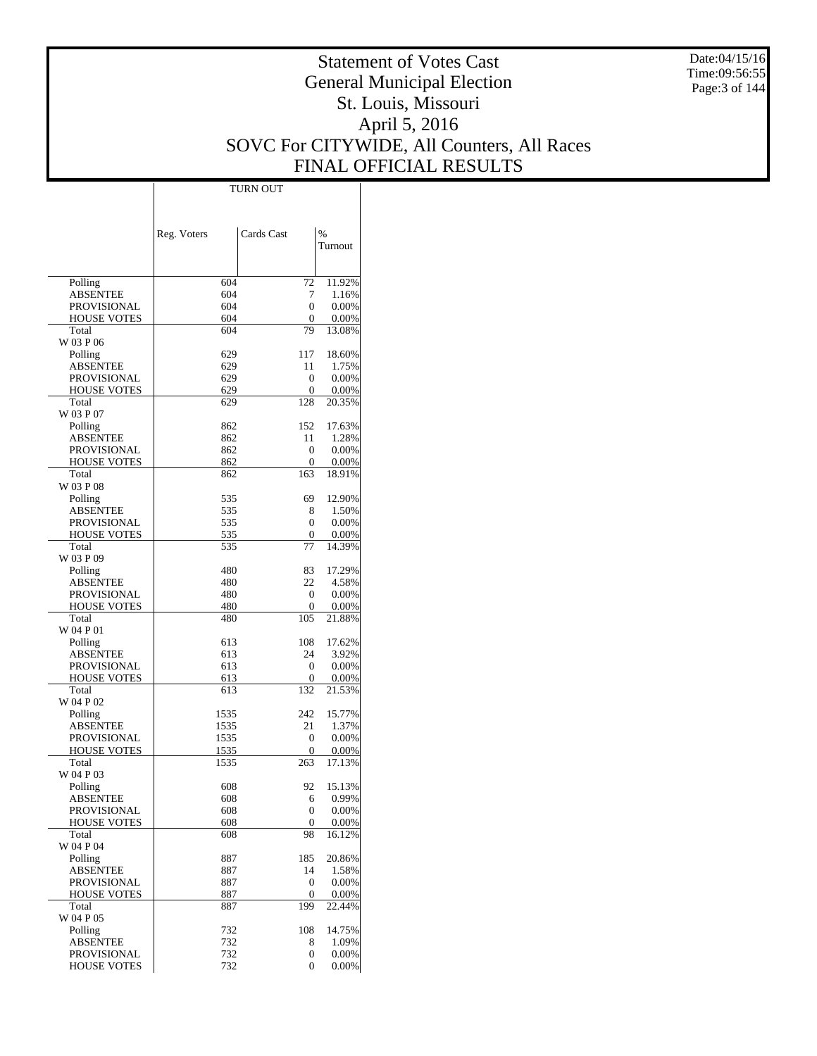Date:04/15/16 Time:09:56:55 Page:3 of 144

# Statement of Votes Cast General Municipal Election St. Louis, Missouri April 5, 2016 SOVC For CITYWIDE, All Counters, All Races FINAL OFFICIAL RESULTS

 $\top$ 

|                             |             | Cards Cast      | %               |
|-----------------------------|-------------|-----------------|-----------------|
|                             | Reg. Voters |                 | Turnout         |
|                             |             |                 |                 |
| Polling                     | 604         | 72              | 11.92%          |
| <b>ABSENTEE</b>             | 604         | 7               | 1.16%           |
| <b>PROVISIONAL</b>          | 604         | $\theta$        | 0.00%           |
| <b>HOUSE VOTES</b><br>Total | 604<br>604  | 0<br>79         | 0.00%<br>13.08% |
| W 03 P 06                   |             |                 |                 |
| Polling                     | 629         | 117             | 18.60%          |
| <b>ABSENTEE</b>             | 629         | 11              | 1.75%           |
| <b>PROVISIONAL</b>          | 629         | 0               | 0.00%           |
| <b>HOUSE VOTES</b>          | 629         | 0               | 0.00%           |
| Total<br>W 03 P 07          | 629         | 128             | 20.35%          |
| Polling                     | 862         | 152             | 17.63%          |
| <b>ABSENTEE</b>             | 862         | 11              | 1.28%           |
| <b>PROVISIONAL</b>          | 862         | 0               | 0.00%           |
| <b>HOUSE VOTES</b>          | 862         | 0               | 0.00%           |
| Total                       | 862         | 163             | 18.91%          |
| W 03 P 08                   |             |                 |                 |
| Polling<br><b>ABSENTEE</b>  | 535         | 69              | 12.90%          |
| <b>PROVISIONAL</b>          | 535<br>535  | 8<br>$\Omega$   | 1.50%<br>0.00%  |
| <b>HOUSE VOTES</b>          | 535         | 0               | 0.00%           |
| Total                       | 535         | 77              | 14.39%          |
| W 03 P 09                   |             |                 |                 |
| Polling                     | 480         | 83              | 17.29%          |
| <b>ABSENTEE</b>             | 480         | 22              | 4.58%           |
| <b>PROVISIONAL</b>          | 480         | $\Omega$        | 0.00%           |
| <b>HOUSE VOTES</b><br>Total | 480<br>480  | 0<br>105        | 0.00%<br>21.88% |
| W 04 P 01                   |             |                 |                 |
| Polling                     | 613         | 108             | 17.62%          |
| <b>ABSENTEE</b>             | 613         | 24              | 3.92%           |
| <b>PROVISIONAL</b>          | 613         | $\Omega$        | 0.00%           |
| <b>HOUSE VOTES</b>          | 613         | 0               | 0.00%           |
| Total                       | 613         | 132             | 21.53%          |
| W 04 P 02<br>Polling        | 1535        | 242             | 15.77%          |
| <b>ABSENTEE</b>             | 1535        | 21              | 1.37%           |
| PROVISIONAL                 | 1535        | 0               | 0.00%           |
| <b>HOUSE VOTES</b>          | 1535        | 0               | 0.00%           |
| Total                       | 1535        | 263             | 17.13%          |
| W 04 P 03                   |             |                 |                 |
| Polling                     | 608         | 92              | 15.13%          |
| ABSENTEE<br>PROVISIONAL     | 608<br>608  | 6<br>0          | 0.99%<br>0.00%  |
| <b>HOUSE VOTES</b>          | 608         | 0               | 0.00%           |
| Total                       | 608         | 98              | 16.12%          |
| W 04 P 04                   |             |                 |                 |
| Polling                     | 887         | 185             | 20.86%          |
| <b>ABSENTEE</b>             | 887         | 14              | 1.58%           |
| PROVISIONAL                 | 887         | 0               | 0.00%           |
| <b>HOUSE VOTES</b><br>Total | 887<br>887  | $\Omega$<br>199 | 0.00%           |
| W 04 P 05                   |             |                 | 22.44%          |
| Polling                     | 732         | 108             | 14.75%          |
| <b>ABSENTEE</b>             | 732         | 8               | 1.09%           |
| PROVISIONAL                 | 732         | 0               | 0.00%           |
| <b>HOUSE VOTES</b>          | 732         | $\Omega$        | 0.00%           |

TURN OUT

 $\overline{1}$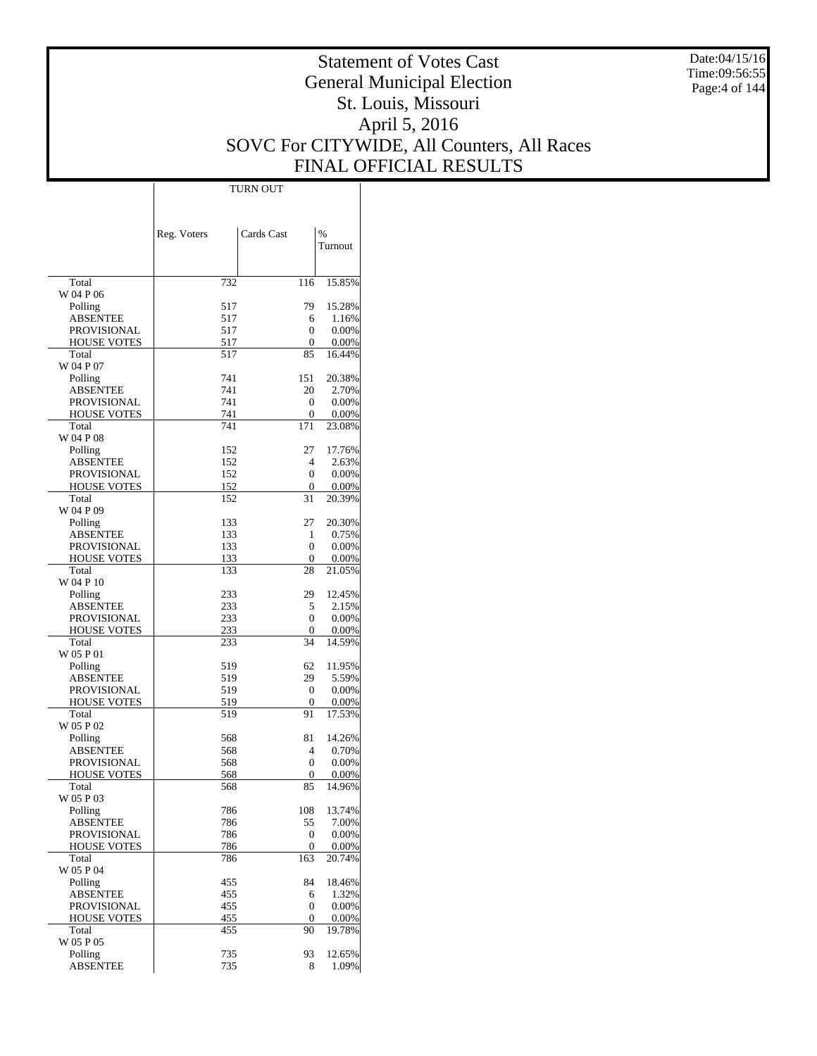Date:04/15/16 Time:09:56:55 Page:4 of 144

# Statement of Votes Cast General Municipal Election St. Louis, Missouri April 5, 2016 SOVC For CITYWIDE, All Counters, All Races FINAL OFFICIAL RESULTS

|                                          | Reg. Voters | Cards Cast        | %               |
|------------------------------------------|-------------|-------------------|-----------------|
|                                          |             |                   | Turnout         |
| Total                                    | 732         | 116               | 15.85%          |
| W 04 P 06                                |             |                   |                 |
| Polling                                  | 517         | 79                | 15.28%          |
| <b>ABSENTEE</b>                          | 517         | 6                 | 1.16%           |
| <b>PROVISIONAL</b><br><b>HOUSE VOTES</b> | 517<br>517  | $\theta$<br>0     | 0.00%<br>0.00%  |
| Total                                    | 517         | 85                | 16.44%          |
| W 04 P 07                                |             |                   |                 |
| Polling                                  | 741         | 151               | 20.38%          |
| ABSENTEE                                 | 741         | 20                | 2.70%           |
| PROVISIONAL                              | 741         | $\theta$          | 0.00%           |
| <b>HOUSE VOTES</b><br>Total              | 741<br>741  | 0<br>171          | 0.00%<br>23.08% |
| W 04 P 08                                |             |                   |                 |
| Polling                                  | 152         | 27                | 17.76%          |
| <b>ABSENTEE</b>                          | 152         | 4                 | 2.63%           |
| <b>PROVISIONAL</b>                       | 152         | $\Omega$          | 0.00%           |
| <b>HOUSE VOTES</b>                       | 152         | 0                 | 0.00%           |
| Total                                    | 152         | 31                | 20.39%          |
| W 04 P 09                                | 133         | 27                | 20.30%          |
| Polling<br>ABSENTEE                      | 133         | 1                 | 0.75%           |
| PROVISIONAL                              | 133         | $\theta$          | 0.00%           |
| <b>HOUSE VOTES</b>                       | 133         | 0                 | 0.00%           |
| Total                                    | 133         | 28                | 21.05%          |
| W 04 P 10                                |             |                   |                 |
| Polling                                  | 233         | 29                | 12.45%          |
| <b>ABSENTEE</b><br>PROVISIONAL           | 233<br>233  | 5<br>$\Omega$     | 2.15%<br>0.00%  |
| <b>HOUSE VOTES</b>                       | 233         | 0                 | 0.00%           |
| Total                                    | 233         | 34                | 14.59%          |
| W 05 P 01                                |             |                   |                 |
| Polling                                  | 519         | 62                | 11.95%          |
| ABSENTEE                                 | 519         | 29                | 5.59%           |
| <b>PROVISIONAL</b><br><b>HOUSE VOTES</b> | 519         | $\mathbf{0}$<br>0 | 0.00%           |
| Total                                    | 519<br>519  | 91                | 0.00%<br>17.53% |
| W 05 P 02                                |             |                   |                 |
| Polling                                  | 568         | 81                | 14.26%          |
| ABSENTEE                                 | 568         | 4                 | 0.70%           |
| PROVISIONAL                              | 568         | 0                 | 0.00%           |
| <b>HOUSE VOTES</b><br>Total              | 568<br>568  | 0<br>85           | 0.00%           |
| W 05 P 03                                |             |                   | 14.96%          |
| Polling                                  | 786         | 108               | 13.74%          |
| <b>ABSENTEE</b>                          | 786         | 55                | 7.00%           |
| PROVISIONAL                              | 786         | $\mathbf{0}$      | 0.00%           |
| <b>HOUSE VOTES</b>                       | 786         | 0                 | 0.00%           |
| Total<br>W 05 P 04                       | 786         | 163               | 20.74%          |
| Polling                                  | 455         | 84                | 18.46%          |
| <b>ABSENTEE</b>                          | 455         | 6                 | 1.32%           |
| PROVISIONAL                              | 455         | 0                 | 0.00%           |
| <b>HOUSE VOTES</b>                       | 455         | 0                 | 0.00%           |
| Total                                    | 455         | 90                | 19.78%          |
| W 05 P 05                                |             |                   |                 |
| Polling<br><b>ABSENTEE</b>               | 735<br>735  | 93<br>8           | 12.65%<br>1.09% |
|                                          |             |                   |                 |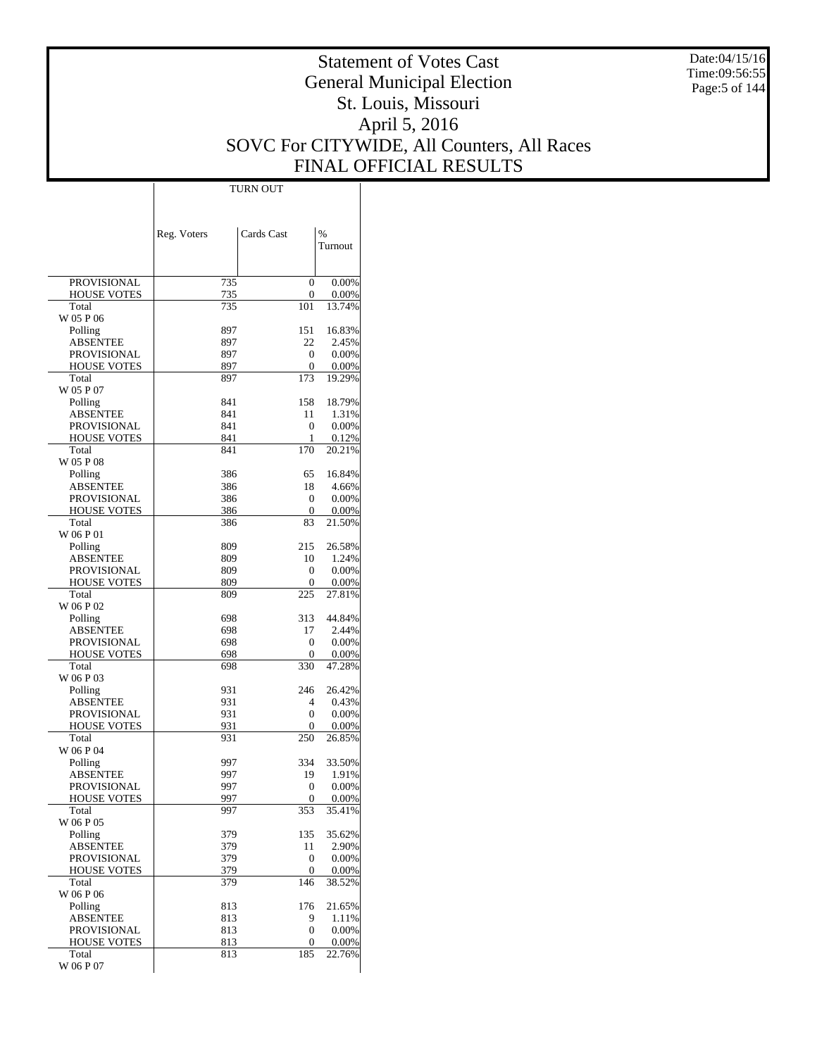Date:04/15/16 Time:09:56:55 Page:5 of 144

# Statement of Votes Cast General Municipal Election St. Louis, Missouri April 5, 2016 SOVC For CITYWIDE, All Counters, All Races FINAL OFFICIAL RESULTS

 $\overline{\phantom{a}}$ 

|                                          | Reg. Voters | Cards Cast        | %              |
|------------------------------------------|-------------|-------------------|----------------|
|                                          |             |                   | Turnout        |
|                                          |             |                   |                |
| <b>PROVISIONAL</b>                       | 735         | $\overline{0}$    | 0.00%          |
| <b>HOUSE VOTES</b>                       | 735         | 0                 | 0.00%          |
| Total                                    | 735         | 101               | 13.74%         |
| W 05 P 06                                | 897         | 151               | 16.83%         |
| Polling<br>ABSENTEE                      | 897         | 22                | 2.45%          |
| <b>PROVISIONAL</b>                       | 897         | 0                 | 0.00%          |
| <b>HOUSE VOTES</b>                       | 897         | 0                 | 0.00%          |
| Total                                    | 897         | 173               | 19.29%         |
| W 05 P 07                                |             |                   |                |
| Polling                                  | 841         | 158               | 18.79%         |
| ABSENTEE                                 | 841<br>841  | 11                | 1.31%          |
| <b>PROVISIONAL</b><br><b>HOUSE VOTES</b> | 841         | $\mathbf{0}$<br>1 | 0.00%<br>0.12% |
| Total                                    | 841         | 170               | 20.21%         |
| W 05 P 08                                |             |                   |                |
| Polling                                  | 386         | 65                | 16.84%         |
| <b>ABSENTEE</b>                          | 386         | 18                | 4.66%          |
| PROVISIONAL                              | 386         | 0                 | 0.00%          |
| <b>HOUSE VOTES</b>                       | 386         | 0                 | 0.00%          |
| Total<br>W 06 P 01                       | 386         | 83                | 21.50%         |
| Polling                                  | 809         | 215               | 26.58%         |
| ABSENTEE                                 | 809         | 10                | 1.24%          |
| <b>PROVISIONAL</b>                       | 809         | 0                 | 0.00%          |
| <b>HOUSE VOTES</b>                       | 809         | 0                 | 0.00%          |
| Total                                    | 809         | 225               | 27.81%         |
| W 06 P 02                                |             |                   |                |
| Polling                                  | 698         | 313               | 44.84%         |
| ABSENTEE                                 | 698         | 17                | 2.44%          |
| PROVISIONAL<br><b>HOUSE VOTES</b>        | 698<br>698  | 0<br>0            | 0.00%<br>0.00% |
| Total                                    | 698         | 330               | 47.28%         |
| W 06 P 03                                |             |                   |                |
| Polling                                  | 931         | 246               | 26.42%         |
| ABSENTEE                                 | 931         | 4                 | 0.43%          |
| PROVISIONAL                              | 931         | 0                 | 0.00%          |
| <b>HOUSE VOTES</b>                       | 931         | 0                 | 0.00%          |
| Total<br>W 06 P 04                       | 931         | 250               | 26.85%         |
| Polling                                  | 997         | 334               | 33.50%         |
| ABSENTEE                                 | 997         | 19                | 1.91%          |
| PROVISIONAL                              | 997         | 0                 | 0.00%          |
| <b>HOUSE VOTES</b>                       | 997         | $\Omega$          | 0.00%          |
| Total                                    | 997         | 353               | 35.41%         |
| W 06 P 05                                |             |                   |                |
| Polling                                  | 379         | 135               | 35.62%         |
| ABSENTEE<br>PROVISIONAL                  | 379<br>379  | 11<br>0           | 2.90%<br>0.00% |
| <b>HOUSE VOTES</b>                       | 379         | 0                 | 0.00%          |
| Total                                    | 379         | 146               | 38.52%         |
| W 06 P 06                                |             |                   |                |
| Polling                                  | 813         | 176               | 21.65%         |
| <b>ABSENTEE</b>                          | 813         | 9                 | 1.11%          |
| PROVISIONAL                              | 813         | 0                 | 0.00%          |
| <b>HOUSE VOTES</b>                       | 813         | 0                 | 0.00%          |
| Total<br>W 06 P 07                       | 813         | 185               | 22.76%         |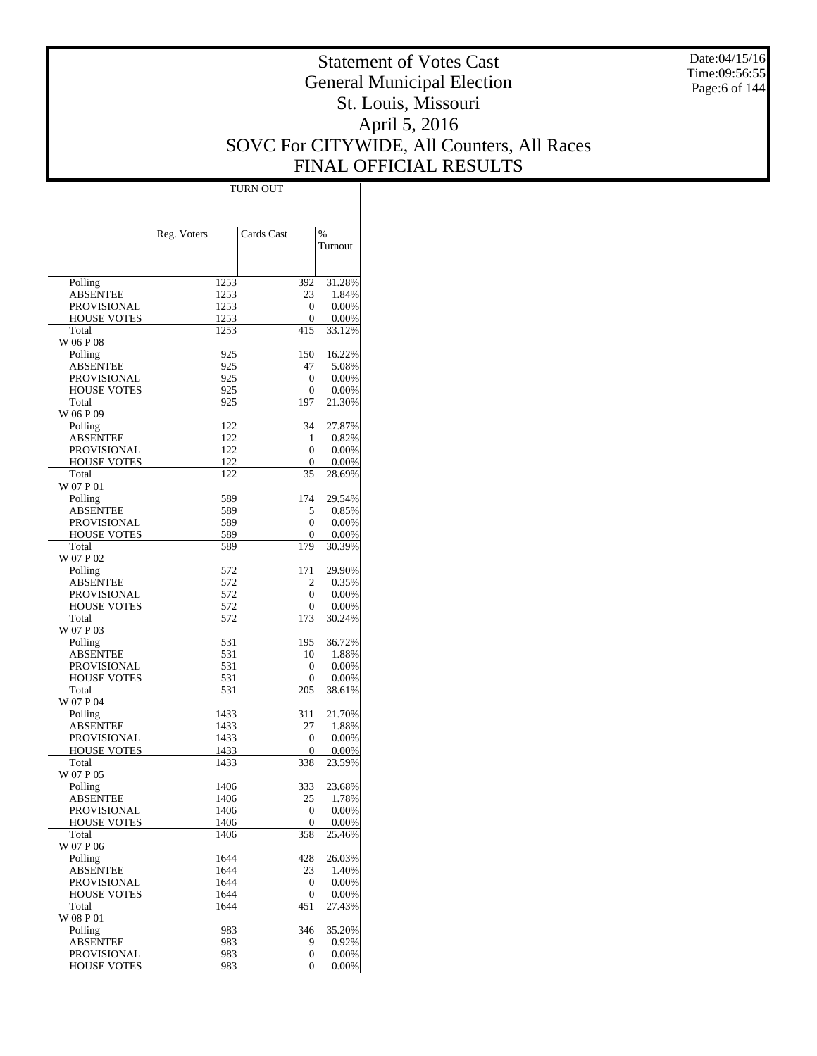Date:04/15/16 Time:09:56:55 Page:6 of 144

# Statement of Votes Cast General Municipal Election St. Louis, Missouri April 5, 2016 SOVC For CITYWIDE, All Counters, All Races FINAL OFFICIAL RESULTS

 $\mathbf{I}$ 

|                                   | Reg. Voters  | Cards Cast | $\frac{0}{0}$      |
|-----------------------------------|--------------|------------|--------------------|
|                                   |              |            | Turnout            |
|                                   |              |            |                    |
| Polling                           | 1253         | 392        | 31.28%             |
| <b>ABSENTEE</b>                   | 1253         | 23         | 1.84%              |
| PROVISIONAL                       | 1253         | 0          | 0.00%              |
| <b>HOUSE VOTES</b><br>Total       | 1253<br>1253 | 0<br>415   | $0.00\%$<br>33.12% |
| W 06 P 08                         |              |            |                    |
| Polling                           | 925          | 150        | 16.22%             |
| ABSENTEE                          | 925          | 47         | 5.08%              |
| PROVISIONAL                       | 925          | 0          | $0.00\%$           |
| <b>HOUSE VOTES</b>                | 925          | 0<br>197   | $0.00\%$<br>21.30% |
| Total<br>W 06 P 09                | 925          |            |                    |
| Polling                           | 122          | 34         | 27.87%             |
| ABSENTEE                          | 122          | 1          | 0.82%              |
| PROVISIONAL                       | 122          | 0          | 0.00%              |
| <b>HOUSE VOTES</b>                | 122          | 0          | $0.00\%$           |
| Total<br>W 07 P 01                | 122          | 35         | 28.69%             |
| Polling                           | 589          | 174        | 29.54%             |
| ABSENTEE                          | 589          | 5          | 0.85%              |
| PROVISIONAL                       | 589          | 0          | $0.00\%$           |
| <b>HOUSE VOTES</b>                | 589          | 0          | 0.00%              |
| Total                             | 589          | 179        | 30.39%             |
| W 07 P 02                         |              |            | 29.90%             |
| Polling<br>ABSENTEE               | 572<br>572   | 171<br>2   | 0.35%              |
| PROVISIONAL                       | 572          | 0          | 0.00%              |
| <b>HOUSE VOTES</b>                | 572          | 0          | $0.00\%$           |
| Total                             | 572          | 173        | 30.24%             |
| W 07 P 03                         |              |            |                    |
| Polling<br>ABSENTEE               | 531<br>531   | 195<br>10  | 36.72%<br>1.88%    |
| PROVISIONAL                       | 531          | 0          | $0.00\%$           |
| <b>HOUSE VOTES</b>                | 531          | 0          | $0.00\%$           |
| Total                             | 531          | 205        | 38.61%             |
| W 07 P 04                         |              |            |                    |
| Polling                           | 1433         | 311        | 21.70%             |
| ABSENTEE                          | 1433         | 27         | 1.88%              |
| PROVISIONAL<br><b>HOUSE VOTES</b> | 1433<br>1433 | 0<br>0     | 0.00%<br>0.00%     |
| Total                             | 1433         | 338        | 23.59%             |
| W 07 P 05                         |              |            |                    |
| Polling                           | 1406         | 333        | 23.68%             |
| ABSENTEE                          | 1406         | 25         | 1.78%              |
| PROVISIONAL                       | 1406         | 0<br>0     | 0.00%              |
| <b>HOUSE VOTES</b><br>Total       | 1406<br>1406 | 358        | 0.00%<br>25.46%    |
| W 07 P 06                         |              |            |                    |
| Polling                           | 1644         | 428        | 26.03%             |
| <b>ABSENTEE</b>                   | 1644         | 23         | 1.40%              |
| <b>PROVISIONAL</b>                | 1644         | 0          | 0.00%              |
| <b>HOUSE VOTES</b><br>Total       | 1644<br>1644 | 0<br>451   | 0.00%<br>27.43%    |
| W 08 P 01                         |              |            |                    |
| Polling                           | 983          | 346        | 35.20%             |
| <b>ABSENTEE</b>                   | 983          | 9          | 0.92%              |
| PROVISIONAL                       | 983          | 0          | 0.00%              |
| <b>HOUSE VOTES</b>                | 983          | 0          | 0.00%              |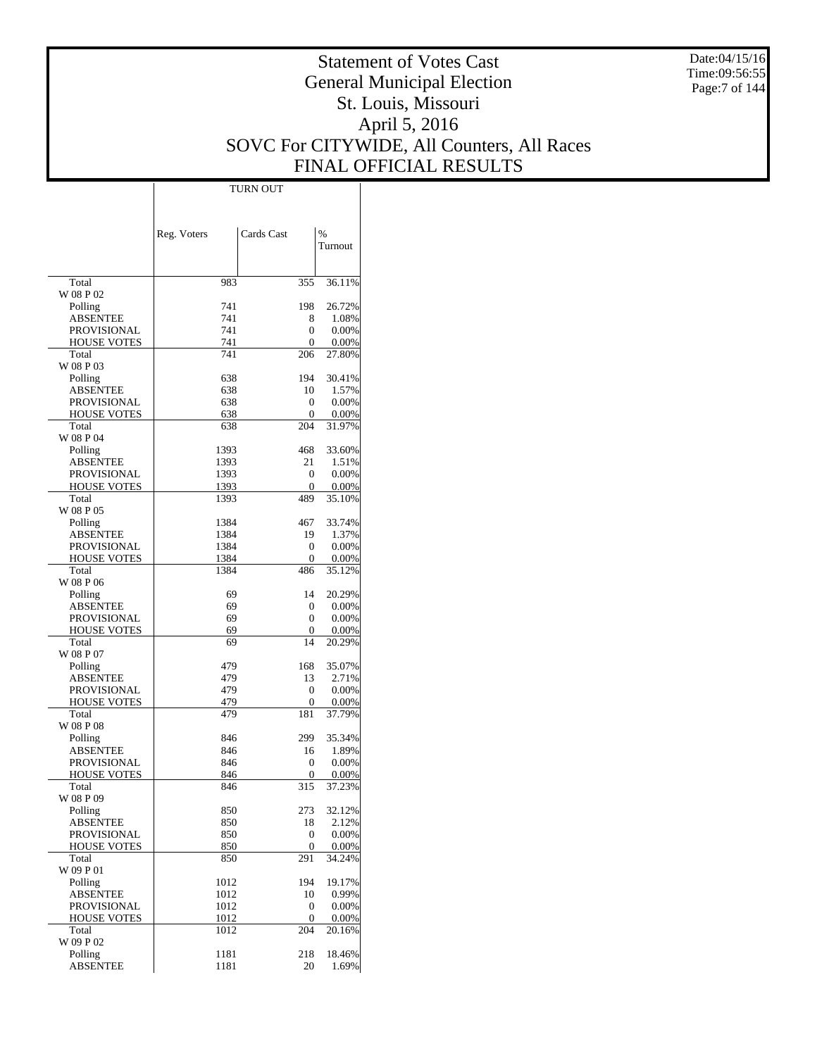Date:04/15/16 Time:09:56:55 Page:7 of 144

# Statement of Votes Cast General Municipal Election St. Louis, Missouri April 5, 2016 SOVC For CITYWIDE, All Counters, All Races FINAL OFFICIAL RESULTS

|                                       | Reg. Voters  | Cards Cast    | %               |
|---------------------------------------|--------------|---------------|-----------------|
|                                       |              |               | Turnout         |
|                                       |              |               |                 |
| Total                                 | 983          | 355           | 36.11%          |
| W 08 P 02                             |              |               |                 |
| Polling                               | 741          | 198           | 26.72%          |
| <b>ABSENTEE</b><br><b>PROVISIONAL</b> | 741<br>741   | 8<br>$\theta$ | 1.08%<br>0.00%  |
| <b>HOUSE VOTES</b>                    | 741          | 0             | 0.00%           |
| Total                                 | 741          | 206           | 27.80%          |
| W 08 P 03                             |              |               |                 |
| Polling                               | 638          | 194           | 30.41%          |
| ABSENTEE                              | 638          | 10            | 1.57%           |
| PROVISIONAL                           | 638          | 0             | 0.00%           |
| <b>HOUSE VOTES</b><br>Total           | 638<br>638   | 0<br>204      | 0.00%<br>31.97% |
| W 08 P 04                             |              |               |                 |
| Polling                               | 1393         | 468           | 33.60%          |
| <b>ABSENTEE</b>                       | 1393         | 21            | 1.51%           |
| <b>PROVISIONAL</b>                    | 1393         | 0             | 0.00%           |
| <b>HOUSE VOTES</b>                    | 1393         | $\theta$      | 0.00%           |
| Total                                 | 1393         | 489           | 35.10%          |
| W 08 P 05                             |              | 467           |                 |
| Polling<br>ABSENTEE                   | 1384<br>1384 | 19            | 33.74%<br>1.37% |
| <b>PROVISIONAL</b>                    | 1384         | 0             | 0.00%           |
| <b>HOUSE VOTES</b>                    | 1384         | 0             | 0.00%           |
| Total                                 | 1384         | 486           | 35.12%          |
| W 08 P 06                             |              |               |                 |
| Polling                               | 69           | 14            | 20.29%          |
| ABSENTEE                              | 69           | 0             | 0.00%           |
| PROVISIONAL                           | 69           | $\Omega$      | 0.00%           |
| <b>HOUSE VOTES</b><br>Total           | 69<br>69     | 0<br>14       | 0.00%           |
| W 08 P 07                             |              |               | 20.29%          |
| Polling                               | 479          | 168           | 35.07%          |
| ABSENTEE                              | 479          | 13            | 2.71%           |
| PROVISIONAL                           | 479          | 0             | 0.00%           |
| <b>HOUSE VOTES</b>                    | 479          | 0             | 0.00%           |
| Total                                 | 479          | 181           | 37.79%          |
| W 08 P 08                             |              |               |                 |
| Polling<br>ABSENTEE                   | 846<br>846   | 299<br>16     | 35.34%<br>1.89% |
| PROVISIONAL                           | 846          | 0             | 0.00%           |
| <b>HOUSE VOTES</b>                    | 846          | 0             | 0.00%           |
| Total                                 | 846          | 315           | 37.23%          |
| W 08 P 09                             |              |               |                 |
| Polling                               | 850          | 273           | 32.12%          |
| <b>ABSENTEE</b>                       | 850          | 18            | 2.12%           |
| PROVISIONAL                           | 850          | 0<br>0        | 0.00%           |
| <b>HOUSE VOTES</b><br>Total           | 850<br>850   | 291           | 0.00%<br>34.24% |
| W 09 P 01                             |              |               |                 |
| Polling                               | 1012         | 194           | 19.17%          |
| <b>ABSENTEE</b>                       | 1012         | 10            | 0.99%           |
| PROVISIONAL                           | 1012         | 0             | 0.00%           |
| <b>HOUSE VOTES</b>                    | 1012         | 0             | 0.00%           |
| Total<br>W 09 P 02                    | 1012         | 204           | 20.16%          |
| Polling                               | 1181         | 218           | 18.46%          |
| <b>ABSENTEE</b>                       | 1181         | 20            | 1.69%           |
|                                       |              |               |                 |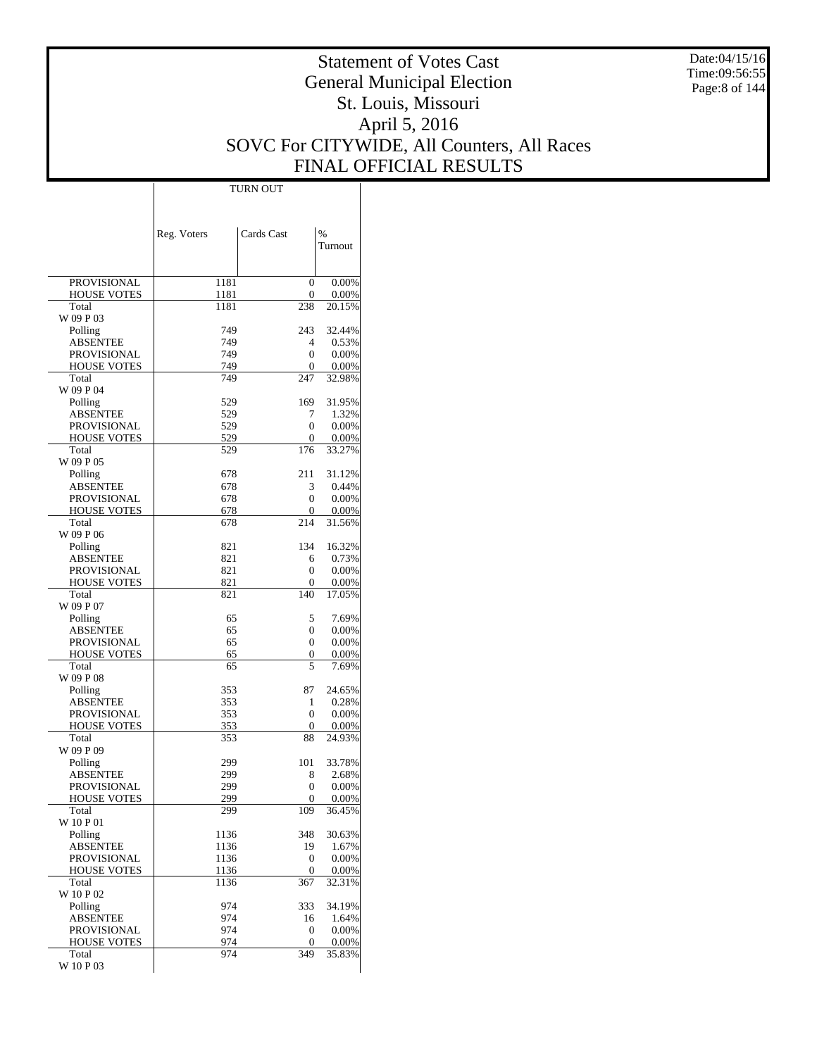Date:04/15/16 Time:09:56:55 Page:8 of 144

# Statement of Votes Cast General Municipal Election St. Louis, Missouri April 5, 2016 SOVC For CITYWIDE, All Counters, All Races FINAL OFFICIAL RESULTS

|                                          | Reg. Voters  | Cards Cast | $\frac{0}{0}$   |
|------------------------------------------|--------------|------------|-----------------|
|                                          |              |            | Turnout         |
|                                          |              |            |                 |
| <b>PROVISIONAL</b>                       | 1181         | 0          | 0.00%           |
| <b>HOUSE VOTES</b>                       | 1181         | 0          | 0.00%           |
| Total                                    | 1181         | 238        | 20.15%          |
| W 09 P 03                                |              |            |                 |
| Polling                                  | 749          | 243        | 32.44%          |
| <b>ABSENTEE</b>                          | 749          | 4          | 0.53%           |
| <b>PROVISIONAL</b><br><b>HOUSE VOTES</b> | 749<br>749   | 0<br>0     | 0.00%<br>0.00%  |
| Total                                    | 749          | 247        | 32.98%          |
| W 09 P 04                                |              |            |                 |
| Polling                                  | 529          | 169        | 31.95%          |
| <b>ABSENTEE</b>                          | 529          | 7          | 1.32%           |
| PROVISIONAL                              | 529          | 0          | 0.00%           |
| <b>HOUSE VOTES</b>                       | 529          | 0          | 0.00%           |
| Total                                    | 529          | 176        | 33.27%          |
| W 09 P 05                                |              |            |                 |
| Polling<br><b>ABSENTEE</b>               | 678<br>678   | 211<br>3   | 31.12%<br>0.44% |
| <b>PROVISIONAL</b>                       | 678          | 0          | 0.00%           |
| <b>HOUSE VOTES</b>                       | 678          | 0          | 0.00%           |
| Total                                    | 678          | 214        | 31.56%          |
| W 09 P 06                                |              |            |                 |
| Polling                                  | 821          | 134        | 16.32%          |
| <b>ABSENTEE</b>                          | 821          | 6          | 0.73%           |
| PROVISIONAL                              | 821          | 0          | 0.00%           |
| <b>HOUSE VOTES</b>                       | 821          | 0          | 0.00%           |
| Total                                    | 821          | 140        | 17.05%          |
| W 09 P 07<br>Polling                     | 65           | 5          | 7.69%           |
| <b>ABSENTEE</b>                          | 65           | 0          | 0.00%           |
| PROVISIONAL                              | 65           | 0          | 0.00%           |
| <b>HOUSE VOTES</b>                       | 65           | 0          | 0.00%           |
| Total                                    | 65           | 5          | 7.69%           |
| W 09 P 08                                |              |            |                 |
| Polling                                  | 353          | 87         | 24.65%          |
| <b>ABSENTEE</b>                          | 353          | 1          | 0.28%           |
| PROVISIONAL                              | 353          | 0          | 0.00%           |
| <b>HOUSE VOTES</b><br>Total              | 353<br>353   | 0          | 0.00%<br>24.93% |
| W 09 P 09                                |              | 88         |                 |
| Polling                                  | 299          | 101        | 33.78%          |
| ABSENTEE                                 | 299          | 8          | 2.68%           |
| PROVISIONAL                              | 299          | 0          | 0.00%           |
| HOUSE VOTES                              | 299          | 0          | 0.00%           |
| Total                                    | 299          | 109        | 36.45%          |
| W 10 P 01                                |              |            |                 |
| Polling                                  | 1136         | 348        | 30.63%          |
| <b>ABSENTEE</b>                          | 1136         | 19         | 1.67%           |
| PROVISIONAL<br><b>HOUSE VOTES</b>        | 1136<br>1136 | 0<br>0     | 0.00%<br>0.00%  |
| Total                                    | 1136         | 367        | 32.31%          |
| W 10 P 02                                |              |            |                 |
| Polling                                  | 974          | 333        | 34.19%          |
| <b>ABSENTEE</b>                          | 974          | 16         | 1.64%           |
| PROVISIONAL                              | 974          | 0          | 0.00%           |
| <b>HOUSE VOTES</b>                       | 974          | 0          | 0.00%           |
| Total                                    | 974          | 349        | 35.83%          |
| W 10 P 03                                |              |            |                 |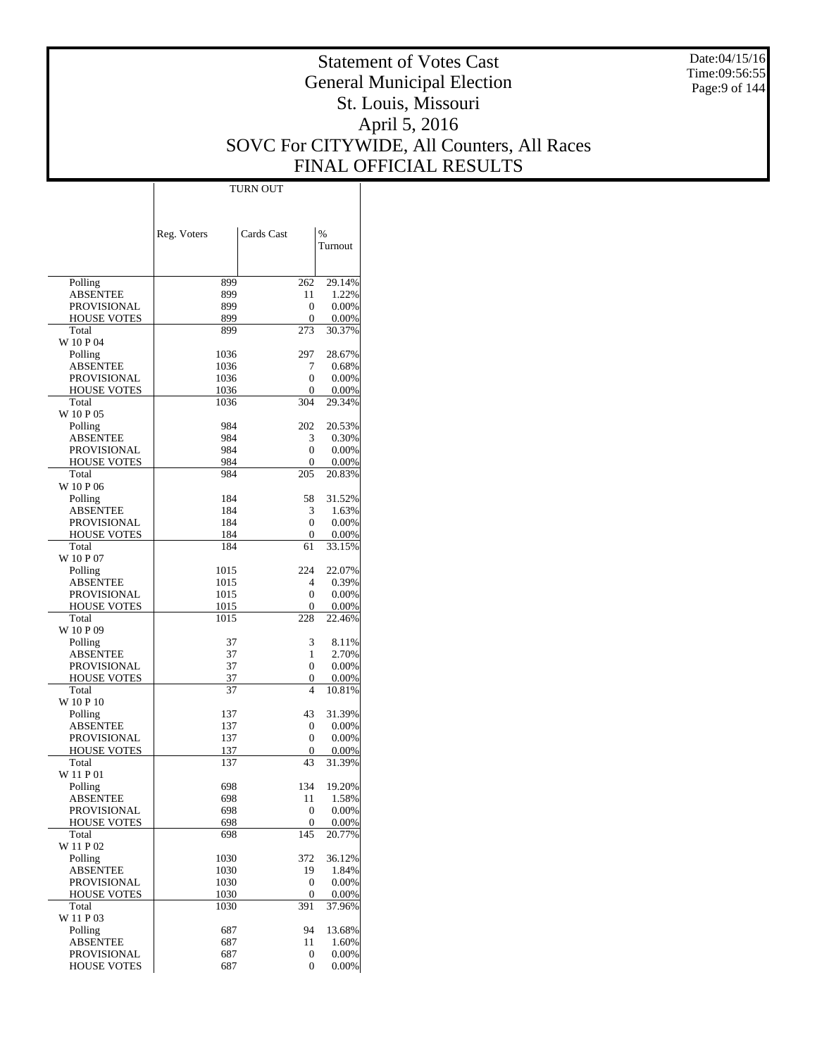Date:04/15/16 Time:09:56:55 Page:9 of 144

# Statement of Votes Cast General Municipal Election St. Louis, Missouri April 5, 2016 SOVC For CITYWIDE, All Counters, All Races FINAL OFFICIAL RESULTS

 $\top$ 

|                                          | Reg. Voters  | Cards Cast | %               |
|------------------------------------------|--------------|------------|-----------------|
|                                          |              |            | Turnout         |
|                                          |              |            |                 |
| Polling                                  | 899          | 262        | 29.14%          |
| <b>ABSENTEE</b>                          | 899          | 11         | 1.22%           |
| <b>PROVISIONAL</b><br><b>HOUSE VOTES</b> | 899<br>899   | 0<br>0     | 0.00%<br>0.00%  |
| Total                                    | 899          | 273        | 30.37%          |
| W 10 P 04                                |              |            |                 |
| Polling                                  | 1036         | 297        | 28.67%          |
| <b>ABSENTEE</b><br>PROVISIONAL           | 1036<br>1036 | 7<br>0     | 0.68%<br>0.00%  |
| <b>HOUSE VOTES</b>                       | 1036         | 0          | 0.00%           |
| Total                                    | 1036         | 304        | 29.34%          |
| W 10 P 05                                |              |            |                 |
| Polling                                  | 984          | 202        | 20.53%          |
| ABSENTEE<br>PROVISIONAL                  | 984<br>984   | 3<br>0     | 0.30%           |
| <b>HOUSE VOTES</b>                       | 984          | 0          | 0.00%<br>0.00%  |
| Total                                    | 984          | 205        | 20.83%          |
| W 10 P 06                                |              |            |                 |
| Polling                                  | 184          | 58         | 31.52%          |
| <b>ABSENTEE</b>                          | 184          | 3          | 1.63%<br>0.00%  |
| PROVISIONAL<br><b>HOUSE VOTES</b>        | 184<br>184   | 0<br>0     | 0.00%           |
| Total                                    | 184          | 61         | 33.15%          |
| W 10 P 07                                |              |            |                 |
| Polling                                  | 1015         | 224        | 22.07%          |
| ABSENTEE                                 | 1015         | 4          | 0.39%           |
| <b>PROVISIONAL</b><br><b>HOUSE VOTES</b> | 1015<br>1015 | 0<br>0     | 0.00%<br>0.00%  |
| Total                                    | 1015         | 228        | 22.46%          |
| W 10 P 09                                |              |            |                 |
| Polling                                  | 37           | 3          | 8.11%           |
| <b>ABSENTEE</b>                          | 37           | 1          | 2.70%           |
| PROVISIONAL<br><b>HOUSE VOTES</b>        | 37<br>37     | 0<br>0     | 0.00%<br>0.00%  |
| Total                                    | 37           | 4          | 10.81%          |
| W 10 P 10                                |              |            |                 |
| Polling                                  | 137          | 43         | 31.39%          |
| ABSENTEE                                 | 137          | 0          | 0.00%           |
| PROVISIONAL<br><b>HOUSE VOTES</b>        | 137<br>137   | 0<br>0     | 0.00%<br>0.00%  |
| Total                                    | 137          | 43         | 31.39%          |
| W 11 P 01                                |              |            |                 |
| Polling                                  | 698          | 134        | 19.20%          |
| ABSENTEE                                 | 698          | 11         | 1.58%           |
| PROVISIONAL                              | 698          | 0<br>0     | 0.00%           |
| <b>HOUSE VOTES</b><br>Total              | 698<br>698   | 145        | 0.00%<br>20.77% |
| W 11 P 02                                |              |            |                 |
| Polling                                  | 1030         | 372        | 36.12%          |
| <b>ABSENTEE</b>                          | 1030         | 19         | 1.84%           |
| PROVISIONAL                              | 1030         | 0          | 0.00%           |
| <b>HOUSE VOTES</b><br>Total              | 1030<br>1030 | 0<br>391   | 0.00%<br>37.96% |
| W 11 P 03                                |              |            |                 |
| Polling                                  | 687          | 94         | 13.68%          |
| <b>ABSENTEE</b>                          | 687          | 11         | 1.60%           |
| <b>PROVISIONAL</b>                       | 687          | 0          | 0.00%           |
| <b>HOUSE VOTES</b>                       | 687          | 0          | 0.00%           |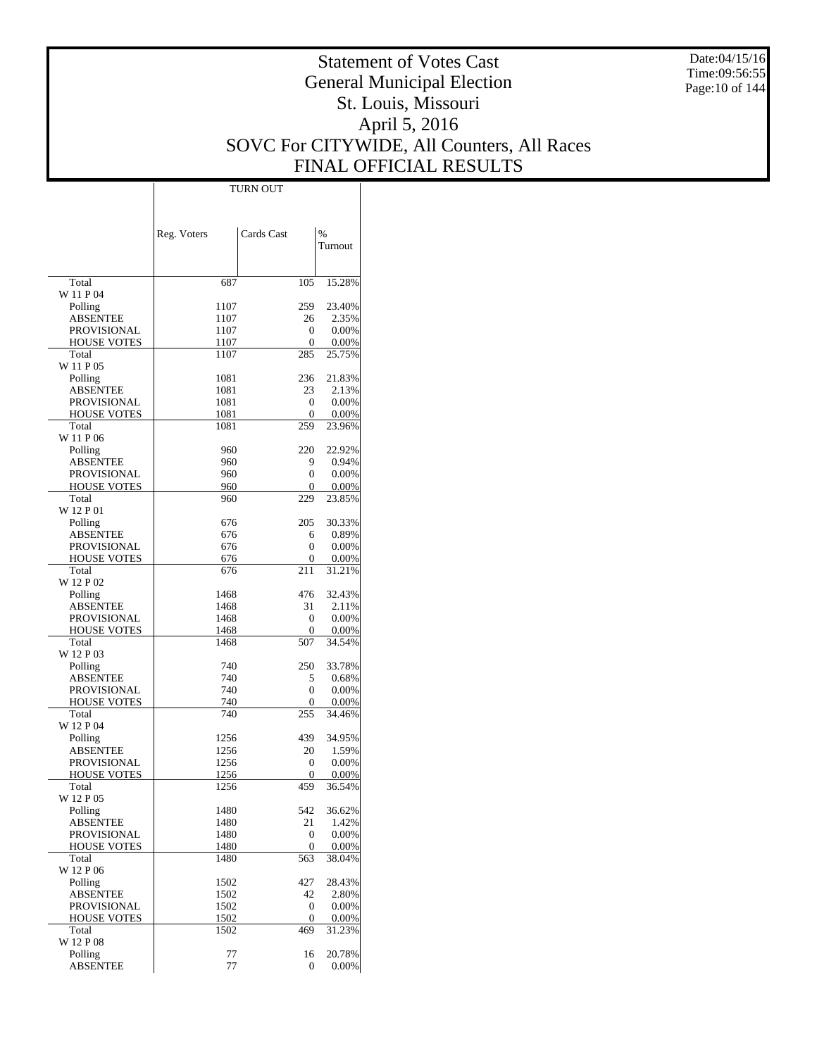Date:04/15/16 Time:09:56:55 Page:10 of 144

# Statement of Votes Cast General Municipal Election St. Louis, Missouri April 5, 2016 SOVC For CITYWIDE, All Counters, All Races FINAL OFFICIAL RESULTS

 $\mathbf{I}$ 

|                                   | Reg. Voters  | Cards Cast | $\frac{0}{0}$      |
|-----------------------------------|--------------|------------|--------------------|
|                                   |              |            | Turnout            |
|                                   |              |            |                    |
| Total                             | 687          | 105        | 15.28%             |
| W 11 P 04<br>Polling              | 1107         | 259        | 23.40%             |
| <b>ABSENTEE</b>                   | 1107         | 26         | 2.35%              |
| PROVISIONAL                       | 1107         | 0          | $0.00\%$           |
| <b>HOUSE VOTES</b>                | 1107         | 0          | $0.00\%$           |
| Total                             | 1107         | 285        | 25.75%             |
| W 11 P 05<br>Polling              | 1081         | 236        | 21.83%             |
| ABSENTEE                          | 1081         | 23         | 2.13%              |
| PROVISIONAL                       | 1081         | 0          | 0.00%              |
| <b>HOUSE VOTES</b>                | 1081         | 0          | $0.00\%$           |
| Total                             | 1081         | 259        | 23.96%             |
| W 11 P 06                         |              |            |                    |
| Polling<br><b>ABSENTEE</b>        | 960          | 220<br>9   | 22.92%<br>0.94%    |
| PROVISIONAL                       | 960<br>960   | 0          | $0.00\%$           |
| <b>HOUSE VOTES</b>                | 960          | 0          | $0.00\%$           |
| Total                             | 960          | 229        | 23.85%             |
| W 12 P 01                         |              |            |                    |
| Polling                           | 676          | 205        | 30.33%             |
| ABSENTEE                          | 676          | 6          | 0.89%              |
| PROVISIONAL<br><b>HOUSE VOTES</b> | 676<br>676   | 0<br>0     | 0.00%<br>$0.00\%$  |
| Total                             | 676          | 211        | 31.21%             |
| W 12 P 02                         |              |            |                    |
| Polling                           | 1468         | 476        | 32.43%             |
| ABSENTEE                          | 1468         | 31         | 2.11%              |
| PROVISIONAL                       | 1468         | 0          | $0.00\%$           |
| <b>HOUSE VOTES</b><br>Total       | 1468<br>1468 | 0<br>507   | $0.00\%$<br>34.54% |
| W 12 P 03                         |              |            |                    |
| Polling                           | 740          | 250        | 33.78%             |
| ABSENTEE                          | 740          | 5          | 0.68%              |
| PROVISIONAL                       | 740          | 0          | $0.00\%$           |
| <b>HOUSE VOTES</b>                | 740          | 0          | $0.00\%$           |
| Total<br>W 12 P 04                | 740          | 255        | 34.46%             |
| Polling                           | 1256         | 439        | 34.95%             |
| ABSENTEE                          | 1256         | 20         | 1.59%              |
| <b>PROVISIONAL</b>                | 1256         | 0          | 0.00%              |
| <b>HOUSE VOTES</b>                | 1256         | 0          | 0.00%              |
| Total                             | 1256         | 459        | 36.54%             |
| W 12 P 05<br>Polling              |              | 542        | 36.62%             |
| <b>ABSENTEE</b>                   | 1480<br>1480 | 21         | 1.42%              |
| PROVISIONAL                       | 1480         | 0          | 0.00%              |
| <b>HOUSE VOTES</b>                | 1480         | 0          | 0.00%              |
| Total                             | 1480         | 563        | 38.04%             |
| W 12 P 06                         |              |            |                    |
| Polling                           | 1502         | 427<br>42  | 28.43%             |
| <b>ABSENTEE</b><br>PROVISIONAL    | 1502<br>1502 | 0          | 2.80%<br>0.00%     |
| <b>HOUSE VOTES</b>                | 1502         | 0          | 0.00%              |
| Total                             | 1502         | 469        | 31.23%             |
| W 12 P 08                         |              |            |                    |
| Polling                           | 77           | 16         | 20.78%             |
| <b>ABSENTEE</b>                   | 77           | 0          | 0.00%              |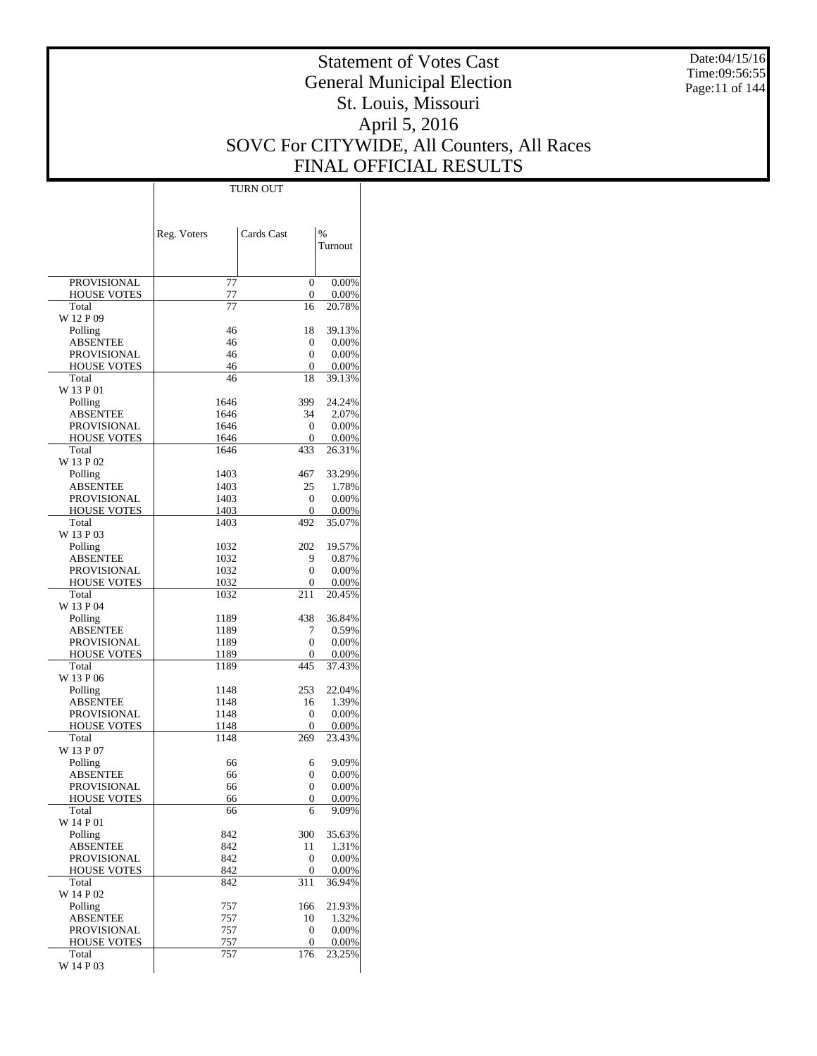Date:04/15/16 Time:09:56:55 Page:11 of 144

# Statement of Votes Cast General Municipal Election St. Louis, Missouri April 5, 2016 SOVC For CITYWIDE, All Counters, All Races FINAL OFFICIAL RESULTS

 $\mathbf{I}$ 

|                                   | Reg. Voters  | Cards Cast                           | %                 |
|-----------------------------------|--------------|--------------------------------------|-------------------|
|                                   |              |                                      | Turnout           |
|                                   |              |                                      |                   |
| <b>PROVISIONAL</b>                | 77           | $\overline{0}$                       | 0.00%             |
| <b>HOUSE VOTES</b>                | 77           | 0                                    | 0.00%             |
| Total<br>W 12 P 09                | 77           | 16                                   | 20.78%            |
| Polling                           | 46           | 18                                   | 39.13%            |
| ABSENTEE                          | 46           | 0                                    | $0.00\%$          |
| PROVISIONAL                       | 46<br>46     | 0                                    | 0.00%             |
| <b>HOUSE VOTES</b><br>Total       | 46           | 0<br>18                              | 0.00%<br>39.13%   |
| W 13 P 01                         |              |                                      |                   |
| Polling                           | 1646         | 399                                  | 24.24%            |
| ABSENTEE                          | 1646         | 34                                   | 2.07%             |
| PROVISIONAL                       | 1646<br>1646 | $\mathbf{0}$<br>0                    | 0.00%<br>0.00%    |
| <b>HOUSE VOTES</b><br>Total       | 1646         | 433                                  | 26.31%            |
| W 13 P 02                         |              |                                      |                   |
| Polling                           | 1403         | 467                                  | 33.29%            |
| ABSENTEE                          | 1403         | 25                                   | 1.78%             |
| <b>PROVISIONAL</b>                | 1403<br>1403 | $\mathbf{0}$<br>0                    | 0.00%<br>0.00%    |
| <b>HOUSE VOTES</b><br>Total       | 1403         | 492                                  | 35.07%            |
| W 13 P 03                         |              |                                      |                   |
| Polling                           | 1032         | 202                                  | 19.57%            |
| ABSENTEE                          | 1032         | 9                                    | 0.87%             |
| PROVISIONAL                       | 1032<br>1032 | 0<br>0                               | $0.00\%$          |
| <b>HOUSE VOTES</b><br>Total       | 1032         | 211                                  | 0.00%<br>20.45%   |
| W 13 P 04                         |              |                                      |                   |
| Polling                           | 1189         | 438                                  | 36.84%            |
| ABSENTEE                          | 1189         | 7                                    | 0.59%             |
| PROVISIONAL                       | 1189         | 0<br>0                               | 0.00%<br>0.00%    |
| <b>HOUSE VOTES</b><br>Total       | 1189<br>1189 | 445                                  | 37.43%            |
| W 13 P 06                         |              |                                      |                   |
| Polling                           | 1148         | 253                                  | 22.04%            |
| ABSENTEE                          | 1148         | 16                                   | 1.39%             |
| PROVISIONAL<br><b>HOUSE VOTES</b> | 1148<br>1148 | $\mathbf{0}$<br>0                    | 0.00%<br>$0.00\%$ |
| Total                             | 1148         | 269                                  | 23.43%            |
| W 13 P 07                         |              |                                      |                   |
| Polling                           | 66           | 6                                    | 9.09%             |
| ABSENTEE                          | 66           | 0                                    | 0.00%             |
| PROVISIONAL<br><b>HOUSE VOTES</b> | 66<br>66     | 0<br>0                               | $0.00\%$<br>0.00% |
| Total                             | 66           | 6                                    | 9.09%             |
| W 14 P 01                         |              |                                      |                   |
| Polling                           | 842          | 300                                  | 35.63%            |
| ABSENTEE                          | 842          | 11                                   | 1.31%             |
| PROVISIONAL<br><b>HOUSE VOTES</b> | 842<br>842   | $\boldsymbol{0}$<br>$\boldsymbol{0}$ | 0.00%<br>0.00%    |
| Total                             | 842          | 311                                  | 36.94%            |
| W 14 P 02                         |              |                                      |                   |
| Polling                           | 757          | 166                                  | 21.93%            |
| ABSENTEE                          | 757          | 10<br>$\boldsymbol{0}$               | 1.32%<br>0.00%    |
| PROVISIONAL<br><b>HOUSE VOTES</b> | 757<br>757   | $\boldsymbol{0}$                     | 0.00%             |
| Total                             | 757          | 176                                  | 23.25%            |
| W 14 P 03                         |              |                                      |                   |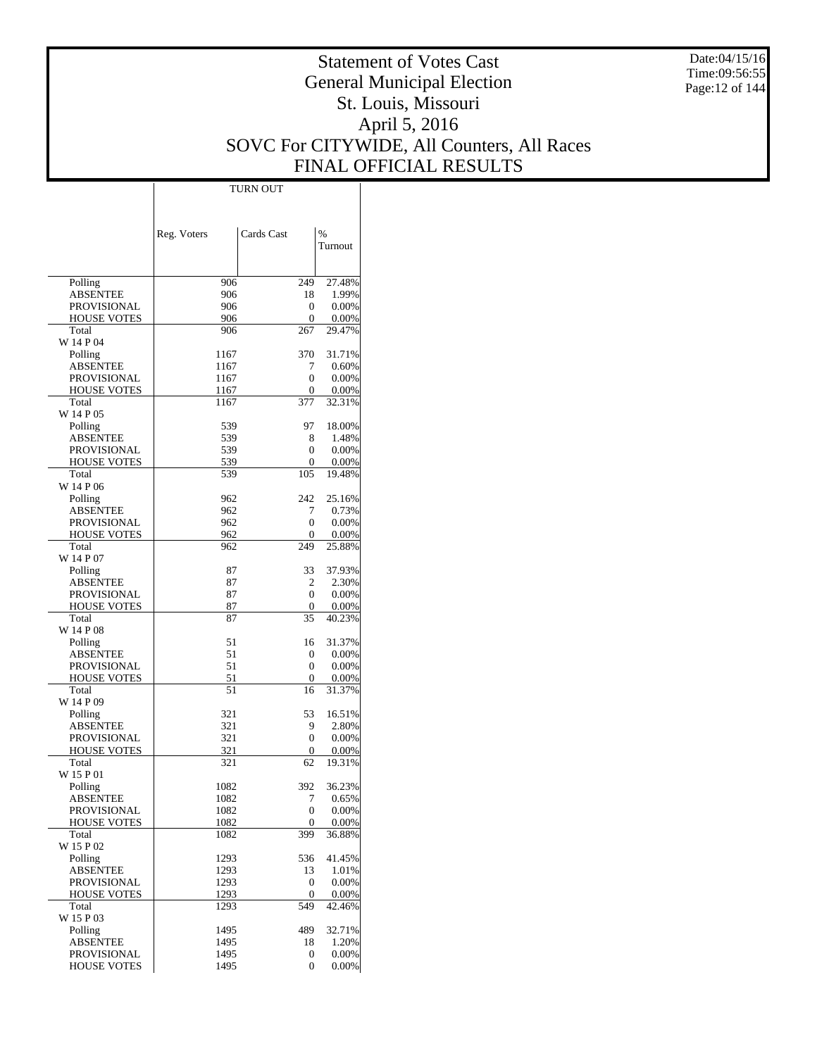Date:04/15/16 Time:09:56:55 Page:12 of 144

# Statement of Votes Cast General Municipal Election St. Louis, Missouri April 5, 2016 SOVC For CITYWIDE, All Counters, All Races FINAL OFFICIAL RESULTS

 $\top$ 

|                             | Reg. Voters  | Cards Cast | %               |
|-----------------------------|--------------|------------|-----------------|
|                             |              |            | Turnout         |
|                             |              |            |                 |
| Polling                     | 906          | 249        | 27.48%          |
| ABSENTEE                    | 906          | 18         | 1.99%           |
| PROVISIONAL                 | 906          | 0          | 0.00%           |
| <b>HOUSE VOTES</b><br>Total | 906<br>906   | 0<br>267   | 0.00%<br>29.47% |
| W 14 P 04                   |              |            |                 |
| Polling                     | 1167         | 370        | 31.71%          |
| ABSENTEE                    | 1167         | 7          | 0.60%           |
| PROVISIONAL                 | 1167         | 0<br>0     | 0.00%<br>0.00%  |
| <b>HOUSE VOTES</b><br>Total | 1167<br>1167 | 377        | 32.31%          |
| W 14 P 05                   |              |            |                 |
| Polling                     | 539          | 97         | 18.00%          |
| ABSENTEE                    | 539          | 8          | 1.48%           |
| PROVISIONAL                 | 539          | 0          | 0.00%           |
| <b>HOUSE VOTES</b><br>Total | 539<br>539   | 0<br>105   | 0.00%<br>19.48% |
| W 14 P 06                   |              |            |                 |
| Polling                     | 962          | 242        | 25.16%          |
| <b>ABSENTEE</b>             | 962          | 7          | 0.73%           |
| PROVISIONAL                 | 962          | 0          | 0.00%           |
| <b>HOUSE VOTES</b>          | 962          | 0<br>249   | 0.00%<br>25.88% |
| Total<br>W 14 P 07          | 962          |            |                 |
| Polling                     | 87           | 33         | 37.93%          |
| ABSENTEE                    | 87           | 2          | 2.30%           |
| PROVISIONAL                 | 87           | 0          | 0.00%           |
| <b>HOUSE VOTES</b>          | 87           | 0          | 0.00%           |
| Total<br>W 14 P 08          | 87           | 35         | 40.23%          |
| Polling                     | 51           | 16         | 31.37%          |
| ABSENTEE                    | 51           | 0          | 0.00%           |
| PROVISIONAL                 | 51           | 0          | 0.00%           |
| <b>HOUSE VOTES</b>          | 51           | 0          | 0.00%           |
| Total<br>W 14 P 09          | 51           | 16         | 31.37%          |
| Polling                     | 321          | 53         | 16.51%          |
| ABSENTEE                    | 321          | 9          | 2.80%           |
| PROVISIONAL                 | 321          | 0          | 0.00%           |
| <b>HOUSE VOTES</b>          | 321          | 0          | 0.00%           |
| Total                       | 321          | 62         | 19.31%          |
| W 15 P 01<br>Polling        | 1082         | 392        | 36.23%          |
| ABSENTEE                    | 1082         | $\prime$   | 0.65%           |
| PROVISIONAL                 | 1082         | 0          | 0.00%           |
| <b>HOUSE VOTES</b>          | 1082         | 0          | 0.00%           |
| Total                       | 1082         | 399        | 36.88%          |
| W 15 P 02<br>Polling        | 1293         | 536        | 41.45%          |
| <b>ABSENTEE</b>             | 1293         | 13         | 1.01%           |
| PROVISIONAL                 | 1293         | 0          | 0.00%           |
| <b>HOUSE VOTES</b>          | 1293         | 0          | 0.00%           |
| Total                       | 1293         | 549        | 42.46%          |
| W 15 P 03<br>Polling        | 1495         | 489        | 32.71%          |
| <b>ABSENTEE</b>             | 1495         | 18         | 1.20%           |
| PROVISIONAL                 | 1495         | 0          | 0.00%           |
| <b>HOUSE VOTES</b>          | 1495         | 0          | 0.00%           |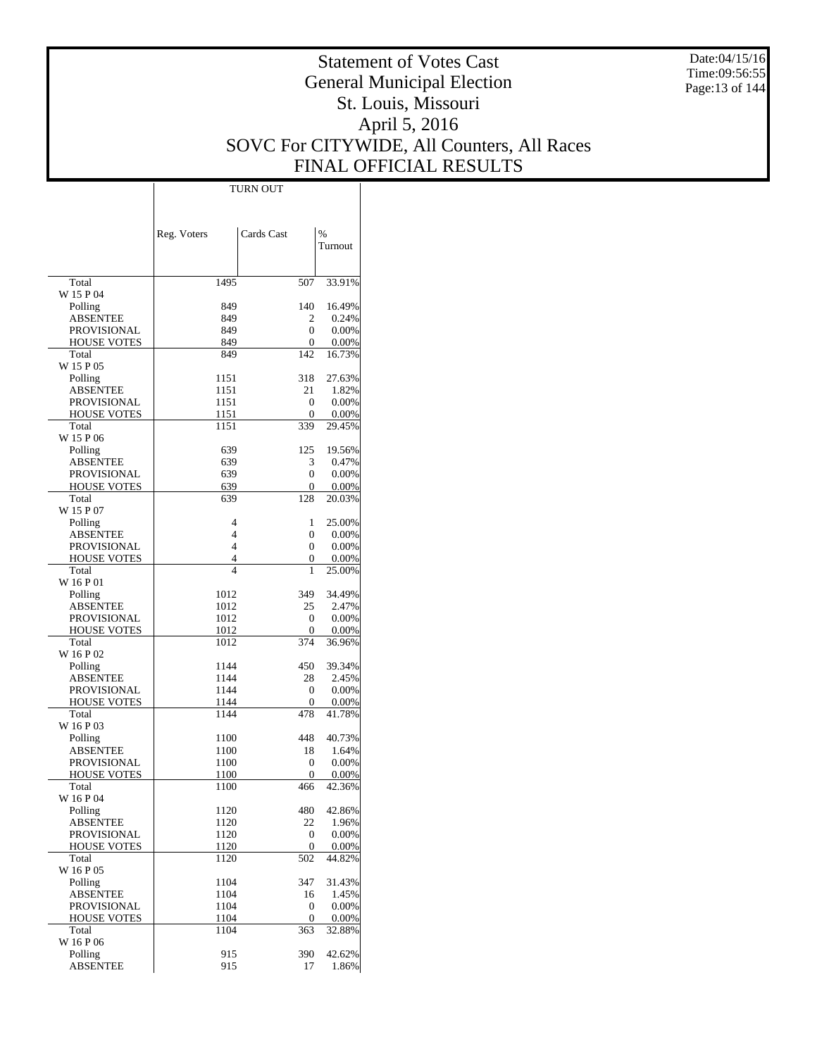Date:04/15/16 Time:09:56:55 Page:13 of 144

# Statement of Votes Cast General Municipal Election St. Louis, Missouri April 5, 2016 SOVC For CITYWIDE, All Counters, All Races FINAL OFFICIAL RESULTS

 $\overline{\phantom{a}}$ 

|                                          | Reg. Voters         | Cards Cast | $\%$            |
|------------------------------------------|---------------------|------------|-----------------|
|                                          |                     |            | Turnout         |
|                                          |                     |            |                 |
| Total                                    | 1495                | 507        | 33.91%          |
| W 15 P 04                                | 849                 | 140        | 16.49%          |
| Polling<br>ABSENTEE                      | 849                 | 2          | 0.24%           |
| <b>PROVISIONAL</b>                       | 849                 | 0          | 0.00%           |
| <b>HOUSE VOTES</b>                       | 849                 | 0          | 0.00%           |
| Total                                    | 849                 | 142        | 16.73%          |
| W 15 P 05                                |                     |            |                 |
| Polling                                  | 1151                | 318<br>21  | 27.63%<br>1.82% |
| ABSENTEE<br><b>PROVISIONAL</b>           | 1151<br>1151        | 0          | 0.00%           |
| <b>HOUSE VOTES</b>                       | 1151                | 0          | 0.00%           |
| Total                                    | 1151                | 339        | 29.45%          |
| W 15 P 06                                |                     |            |                 |
| Polling                                  | 639                 | 125        | 19.56%          |
| <b>ABSENTEE</b>                          | 639                 | 3          | 0.47%           |
| <b>PROVISIONAL</b><br><b>HOUSE VOTES</b> | 639<br>639          | 0<br>0     | 0.00%<br>0.00%  |
| Total                                    | 639                 | 128        | 20.03%          |
| W 15 P 07                                |                     |            |                 |
| Polling                                  | 4                   | 1          | 25.00%          |
| <b>ABSENTEE</b>                          | 4                   | 0          | 0.00%           |
| <b>PROVISIONAL</b>                       | 4                   | 0          | 0.00%           |
| <b>HOUSE VOTES</b>                       | 4<br>$\overline{4}$ | 0<br>1     | 0.00%           |
| Total<br>W 16 P 01                       |                     |            | 25.00%          |
| Polling                                  | 1012                | 349        | 34.49%          |
| ABSENTEE                                 | 1012                | 25         | 2.47%           |
| <b>PROVISIONAL</b>                       | 1012                | 0          | 0.00%           |
| <b>HOUSE VOTES</b>                       | 1012                | 0          | 0.00%           |
| Total<br>W 16 P 02                       | 1012                | 374        | 36.96%          |
| Polling                                  | 1144                | 450        | 39.34%          |
| ABSENTEE                                 | 1144                | 28         | 2.45%           |
| PROVISIONAL                              | 1144                | 0          | 0.00%           |
| <b>HOUSE VOTES</b>                       | 1144                | 0          | 0.00%           |
| Total                                    | 1144                | 478        | 41.78%          |
| W 16 P 03<br>Polling                     | 1100                | 448        | 40.73%          |
| ABSENTEE                                 | 1100                | 18         | 1.64%           |
| <b>PROVISIONAL</b>                       | 1100                | 0          | 0.00%           |
| <b>HOUSE VOTES</b>                       | 1100                | 0          | 0.00%           |
| Total                                    | 1100                | 466        | 42.36%          |
| W 16 P 04                                |                     |            |                 |
| Polling<br><b>ABSENTEE</b>               | 1120<br>1120        | 480<br>22  | 42.86%<br>1.96% |
| PROVISIONAL                              | 1120                | 0          | 0.00%           |
| <b>HOUSE VOTES</b>                       | 1120                | 0          | 0.00%           |
| Total                                    | 1120                | 502        | 44.82%          |
| W 16 P 05                                |                     |            |                 |
| Polling                                  | 1104                | 347        | 31.43%          |
| ABSENTEE<br>PROVISIONAL                  | 1104<br>1104        | 16<br>0    | 1.45%<br>0.00%  |
| <b>HOUSE VOTES</b>                       | 1104                | 0          | 0.00%           |
| Total                                    | 1104                | 363        | 32.88%          |
| W 16 P 06                                |                     |            |                 |
| Polling                                  | 915                 | 390        | 42.62%          |
| <b>ABSENTEE</b>                          | 915                 | 17         | 1.86%           |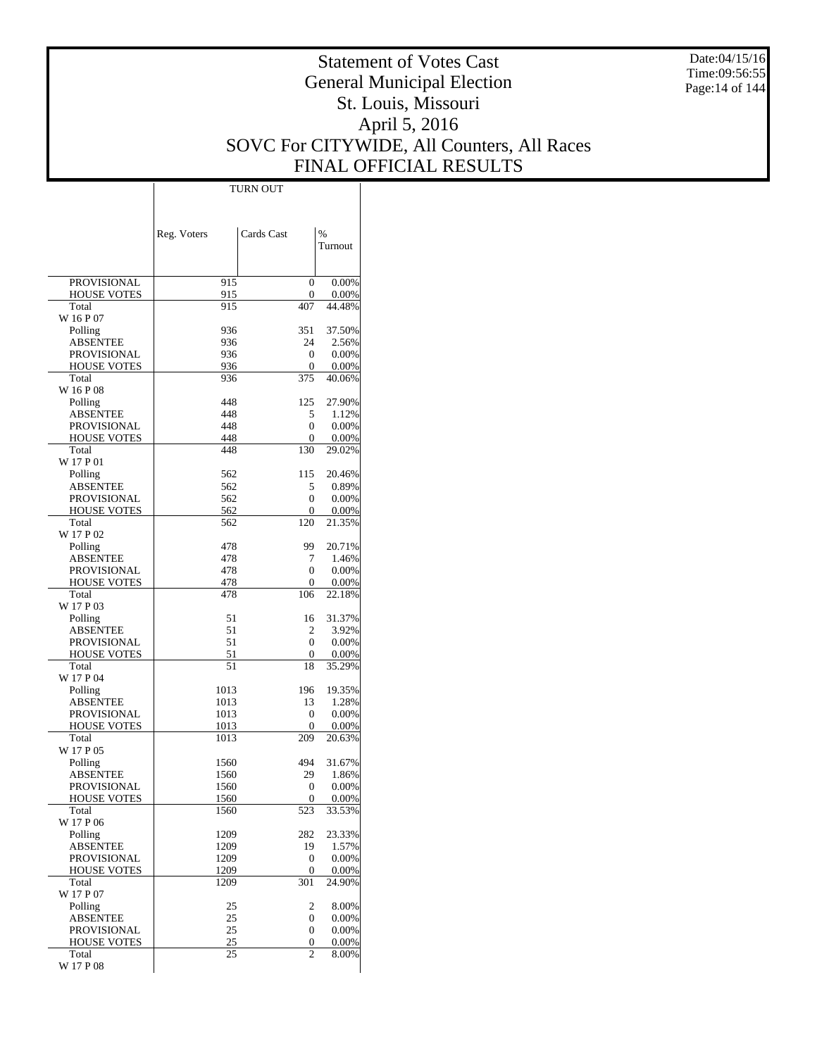Date:04/15/16 Time:09:56:55 Page:14 of 144

# Statement of Votes Cast General Municipal Election St. Louis, Missouri April 5, 2016 SOVC For CITYWIDE, All Counters, All Races FINAL OFFICIAL RESULTS

 $\mathbf{I}$ 

|                                   | Reg. Voters  | Cards Cast     | %                  |
|-----------------------------------|--------------|----------------|--------------------|
|                                   |              |                | Turnout            |
|                                   |              |                |                    |
| PROVISIONAL                       | 915          | $\overline{0}$ | 0.00%              |
| <b>HOUSE VOTES</b>                | 915          | 0              | 0.00%              |
| Total                             | 915          | 407            | 44.48%             |
| W 16 P 07<br>Polling              | 936          | 351            | 37.50%             |
| ABSENTEE                          | 936          | 24             | 2.56%              |
| PROVISIONAL                       | 936          | 0              | 0.00%              |
| <b>HOUSE VOTES</b>                | 936          | 0              | $0.00\%$           |
| Total                             | 936          | 375            | 40.06%             |
| W 16 P 08<br>Polling              | 448          | 125            | 27.90%             |
| <b>ABSENTEE</b>                   | 448          | 5              | 1.12%              |
| <b>PROVISIONAL</b>                | 448          | 0              | 0.00%              |
| <b>HOUSE VOTES</b>                | 448          | 0              | $0.00\%$           |
| Total                             | 448          | 130            | 29.02%             |
| W 17 P 01                         |              |                |                    |
| Polling<br><b>ABSENTEE</b>        | 562<br>562   | 115<br>5       | 20.46%<br>0.89%    |
| PROVISIONAL                       | 562          | 0              | 0.00%              |
| <b>HOUSE VOTES</b>                | 562          | 0              | $0.00\%$           |
| Total                             | 562          | 120            | 21.35%             |
| W 17 P 02                         |              |                |                    |
| Polling                           | 478          | 99             | 20.71%             |
| ABSENTEE                          | 478          | 7              | 1.46%              |
| PROVISIONAL<br><b>HOUSE VOTES</b> | 478<br>478   | 0<br>0         | 0.00%<br>$0.00\%$  |
| Total                             | 478          | 106            | 22.18%             |
| W 17 P 03                         |              |                |                    |
| Polling                           | 51           | 16             | 31.37%             |
| ABSENTEE                          | 51           | 2              | 3.92%              |
| PROVISIONAL<br><b>HOUSE VOTES</b> | 51<br>51     | 0<br>0         | 0.00%<br>$0.00\%$  |
| Total                             | 51           | 18             | 35.29%             |
| W 17 P 04                         |              |                |                    |
| Polling                           | 1013         | 196            | 19.35%             |
| ABSENTEE                          | 1013         | 13             | 1.28%              |
| PROVISIONAL                       | 1013         | 0              | 0.00%              |
| <b>HOUSE VOTES</b><br>Total       | 1013<br>1013 | 0<br>209       | $0.00\%$<br>20.63% |
| W 17 P 05                         |              |                |                    |
| Polling                           | 1560         | 494            | 31.67%             |
| ABSENTEE                          | 1560         | 29             | 1.86%              |
| PROVISIONAL                       | 1560         | 0              | $0.00\%$           |
| <b>HOUSE VOTES</b>                | 1560         | 0              | 0.00%              |
| Total<br>W 17 P 06                | 1560         | 523            | 33.53%             |
| Polling                           | 1209         | 282            | 23.33%             |
| <b>ABSENTEE</b>                   | 1209         | 19             | 1.57%              |
| PROVISIONAL                       | 1209         | 0              | 0.00%              |
| <b>HOUSE VOTES</b>                | 1209         | 0              | 0.00%              |
| Total<br>W 17 P 07                | 1209         | 301            | 24.90%             |
| Polling                           | 25           | 2              | 8.00%              |
| <b>ABSENTEE</b>                   | 25           | 0              | 0.00%              |
| PROVISIONAL                       | 25           | 0              | 0.00%              |
| <b>HOUSE VOTES</b>                | 25           | 0              | 0.00%              |
| Total<br>W 17 P 08                | 25           | $\overline{c}$ | 8.00%              |
|                                   |              |                |                    |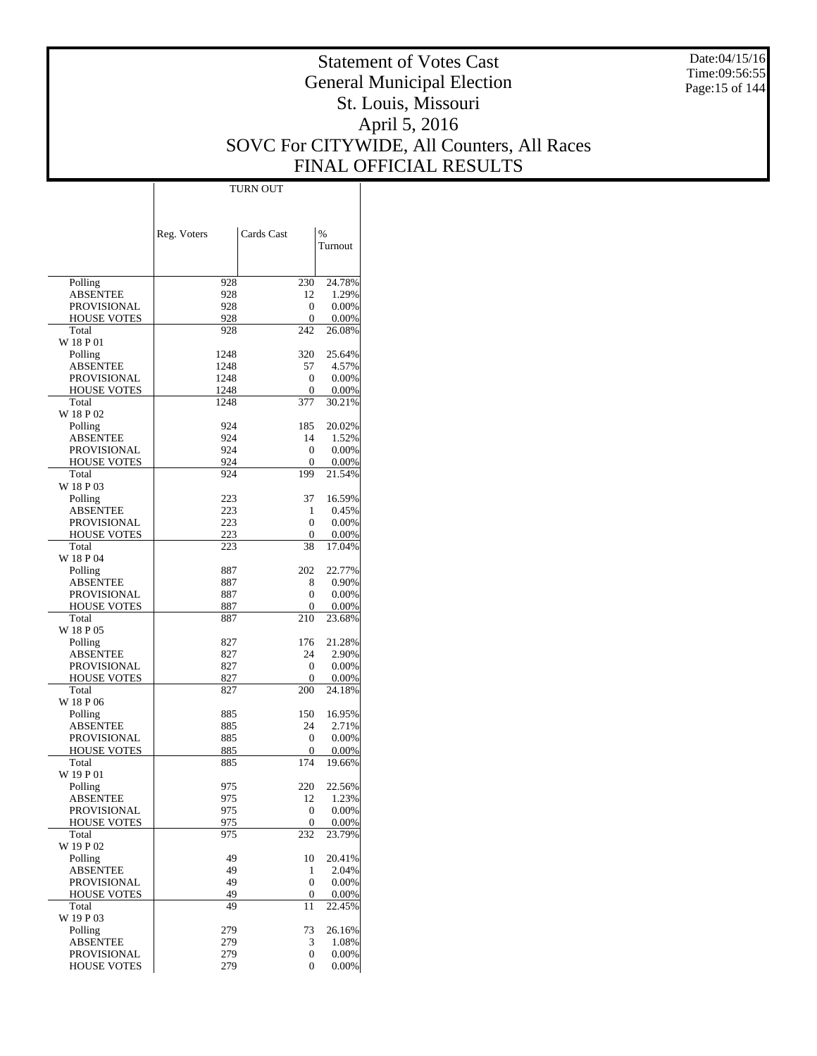Date:04/15/16 Time:09:56:55 Page:15 of 144

# Statement of Votes Cast General Municipal Election St. Louis, Missouri April 5, 2016 SOVC For CITYWIDE, All Counters, All Races FINAL OFFICIAL RESULTS

Τ

|                                          | Reg. Voters  | Cards Cast | $\frac{0}{0}$  |
|------------------------------------------|--------------|------------|----------------|
|                                          |              |            | Turnout        |
|                                          |              |            |                |
| Polling                                  | 928          | 230        | 24.78%         |
| ABSENTEE                                 | 928          | 12         | 1.29%          |
| <b>PROVISIONAL</b><br><b>HOUSE VOTES</b> | 928<br>928   | 0<br>0     | 0.00%<br>0.00% |
| Total                                    | 928          | 242        | 26.08%         |
| W 18 P 01                                |              |            |                |
| Polling                                  | 1248         | 320        | 25.64%         |
| ABSENTEE<br><b>PROVISIONAL</b>           | 1248<br>1248 | 57<br>0    | 4.57%<br>0.00% |
| <b>HOUSE VOTES</b>                       | 1248         | 0          | 0.00%          |
| Total                                    | 1248         | 377        | 30.21%         |
| W 18 P 02                                |              |            |                |
| Polling                                  | 924<br>924   | 185        | 20.02%         |
| ABSENTEE<br><b>PROVISIONAL</b>           | 924          | 14<br>0    | 1.52%<br>0.00% |
| <b>HOUSE VOTES</b>                       | 924          | 0          | 0.00%          |
| Total                                    | 924          | 199        | 21.54%         |
| W 18 P 03                                |              |            |                |
| Polling                                  | 223          | 37         | 16.59%         |
| <b>ABSENTEE</b><br><b>PROVISIONAL</b>    | 223<br>223   | 1<br>0     | 0.45%<br>0.00% |
| <b>HOUSE VOTES</b>                       | 223          | 0          | 0.00%          |
| Total                                    | 223          | 38         | 17.04%         |
| W 18 P 04                                |              |            |                |
| Polling                                  | 887          | 202        | 22.77%         |
| <b>ABSENTEE</b><br><b>PROVISIONAL</b>    | 887<br>887   | 8<br>0     | 0.90%<br>0.00% |
| <b>HOUSE VOTES</b>                       | 887          | 0          | 0.00%          |
| Total                                    | 887          | 210        | 23.68%         |
| W 18 P 05                                |              |            |                |
| Polling                                  | 827          | 176        | 21.28%         |
| ABSENTEE<br><b>PROVISIONAL</b>           | 827<br>827   | 24<br>0    | 2.90%<br>0.00% |
| <b>HOUSE VOTES</b>                       | 827          | 0          | 0.00%          |
| Total                                    | 827          | 200        | 24.18%         |
| W 18 P 06                                |              |            |                |
| Polling                                  | 885          | 150        | 16.95%         |
| ABSENTEE<br>PROVISIONAL                  | 885<br>885   | 24<br>0    | 2.71%<br>0.00% |
| <b>HOUSE VOTES</b>                       | 885          | 0          | 0.00%          |
| Total                                    | 885          | 174        | 19.66%         |
| W 19 P 01                                |              |            |                |
| Polling                                  | 975          | 220        | 22.56%         |
| ABSENTEE                                 | 975          | 12         | 1.23%          |
| PROVISIONAL<br><b>HOUSE VOTES</b>        | 975<br>975   | 0<br>0     | 0.00%<br>0.00% |
| Total                                    | 975          | 232        | 23.79%         |
| W 19 P 02                                |              |            |                |
| Polling                                  | 49           | 10         | 20.41%         |
| <b>ABSENTEE</b>                          | 49           | 1          | 2.04%          |
| PROVISIONAL<br>HOUSE VOTES               | 49<br>49     | 0<br>0     | 0.00%<br>0.00% |
| Total                                    | 49           | 11         | 22.45%         |
| W 19 P 03                                |              |            |                |
| Polling                                  | 279          | 73         | 26.16%         |
| <b>ABSENTEE</b><br>PROVISIONAL           | 279<br>279   | 3<br>0     | 1.08%<br>0.00% |
| <b>HOUSE VOTES</b>                       | 279          | 0          | 0.00%          |
|                                          |              |            |                |

TURN OUT

 $\mathbb{I}$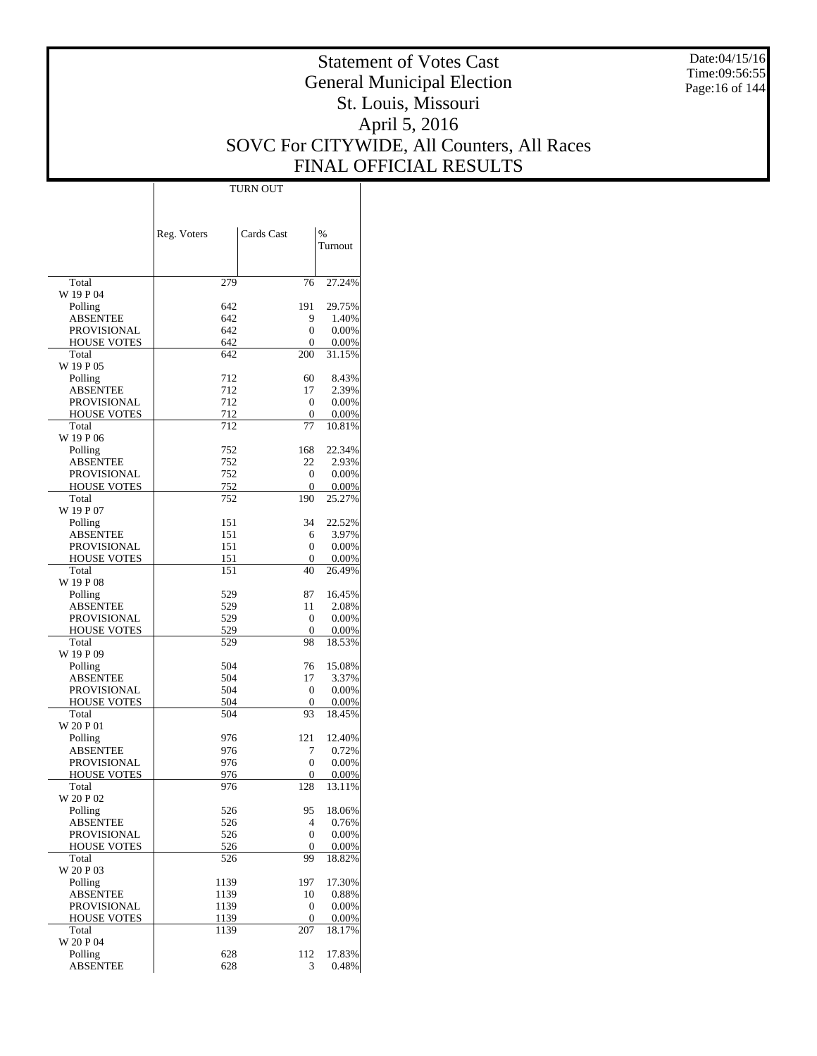Date:04/15/16 Time:09:56:55 Page:16 of 144

# Statement of Votes Cast General Municipal Election St. Louis, Missouri April 5, 2016 SOVC For CITYWIDE, All Counters, All Races FINAL OFFICIAL RESULTS

 $\top$ 

|                                | Reg. Voters | Cards Cast         | %               |
|--------------------------------|-------------|--------------------|-----------------|
|                                |             |                    | Turnout         |
|                                |             |                    |                 |
| Total                          | 279         | 76                 | 27.24%          |
| W 19 P 04                      |             | 191                | 29.75%          |
| Polling<br>ABSENTEE            | 642<br>642  | 9                  | 1.40%           |
| <b>PROVISIONAL</b>             | 642         | 0                  | 0.00%           |
| <b>HOUSE VOTES</b>             | 642         | 0                  | $0.00\%$        |
| Total                          | 642         | 200                | 31.15%          |
| W 19 P 05                      |             |                    |                 |
| Polling<br><b>ABSENTEE</b>     | 712<br>712  | 60<br>17           | 8.43%<br>2.39%  |
| <b>PROVISIONAL</b>             | 712         | $\mathbf{0}$       | 0.00%           |
| <b>HOUSE VOTES</b>             | 712         | 0                  | $0.00\%$        |
| Total                          | 712         | 77                 | 10.81%          |
| W 19 P 06                      |             |                    |                 |
| Polling                        | 752         | 168                | 22.34%          |
| ABSENTEE<br>PROVISIONAL        | 752<br>752  | 22<br>$\mathbf{0}$ | 2.93%<br>0.00%  |
| <b>HOUSE VOTES</b>             | 752         | 0                  | $0.00\%$        |
| Total                          | 752         | 190                | 25.27%          |
| W 19 P 07                      |             |                    |                 |
| Polling                        | 151         | 34                 | 22.52%          |
| <b>ABSENTEE</b><br>PROVISIONAL | 151         | 6                  | 3.97%           |
| <b>HOUSE VOTES</b>             | 151<br>151  | 0<br>0             | 0.00%<br>0.00%  |
| Total                          | 151         | 40                 | 26.49%          |
| W 19 P 08                      |             |                    |                 |
| Polling                        | 529         | 87                 | 16.45%          |
| ABSENTEE                       | 529         | 11                 | 2.08%           |
| <b>PROVISIONAL</b>             | 529         | 0                  | 0.00%           |
| <b>HOUSE VOTES</b><br>Total    | 529<br>529  | 0<br>98            | 0.00%<br>18.53% |
| W 19 P 09                      |             |                    |                 |
| Polling                        | 504         | 76                 | 15.08%          |
| <b>ABSENTEE</b>                | 504         | 17                 | 3.37%           |
| <b>PROVISIONAL</b>             | 504         | $\mathbf{0}$       | 0.00%           |
| <b>HOUSE VOTES</b>             | 504         | $\mathbf{0}$       | $0.00\%$        |
| Total<br>W 20 P 01             | 504         | 93                 | 18.45%          |
| Polling                        | 976         | 121                | 12.40%          |
| ABSENTEE                       | 976         | 7                  | 0.72%           |
| <b>PROVISIONAL</b>             | 976         | $\mathbf{0}$       | 0.00%           |
| <b>HOUSE VOTES</b>             | 976         | 0                  | 0.00%           |
| Total                          | 976         | 128                | 13.11%          |
| W 20 P 02<br>Polling           | 526         | 95                 | 18.06%          |
| <b>ABSENTEE</b>                | 526         | $\overline{4}$     | 0.76%           |
| <b>PROVISIONAL</b>             | 526         | $\mathbf{0}$       | 0.00%           |
| <b>HOUSE VOTES</b>             | 526         | 0                  | 0.00%           |
| Total                          | 526         | 99                 | 18.82%          |
| W 20 P 03<br>Polling           | 1139        | 197                | 17.30%          |
| <b>ABSENTEE</b>                | 1139        | 10                 | 0.88%           |
| PROVISIONAL                    | 1139        | $\boldsymbol{0}$   | 0.00%           |
| <b>HOUSE VOTES</b>             | 1139        | 0                  | 0.00%           |
| Total                          | 1139        | 207                | 18.17%          |
| W 20 P 04<br>Polling           | 628         | 112                | 17.83%          |
| <b>ABSENTEE</b>                | 628         | 3                  | 0.48%           |
|                                |             |                    |                 |

TURN OUT

 $\overline{1}$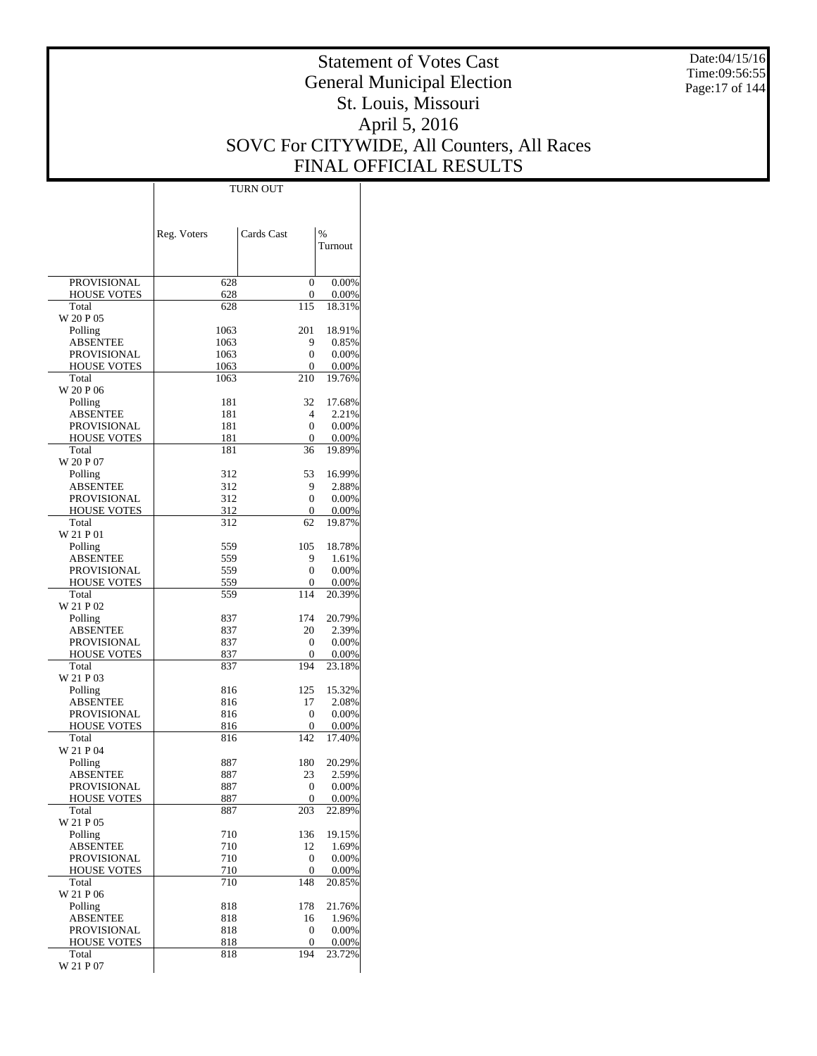Date:04/15/16 Time:09:56:55 Page:17 of 144

# Statement of Votes Cast General Municipal Election St. Louis, Missouri April 5, 2016 SOVC For CITYWIDE, All Counters, All Races FINAL OFFICIAL RESULTS

 $\top$ 

|                                   | Reg. Voters | Cards Cast             | %               |
|-----------------------------------|-------------|------------------------|-----------------|
|                                   |             |                        | Turnout         |
|                                   |             |                        |                 |
| <b>PROVISIONAL</b>                | 628         | 0                      | 0.00%           |
| <b>HOUSE VOTES</b>                | 628         | 0                      | 0.00%           |
| Total                             | 628         | 115                    | 18.31%          |
| W 20 P 05<br>Polling              | 1063        | 201                    | 18.91%          |
| ABSENTEE                          | 1063        | 9                      | 0.85%           |
| PROVISIONAL                       | 1063        | 0                      | 0.00%           |
| <b>HOUSE VOTES</b>                | 1063        | 0                      | 0.00%           |
| Total                             | 1063        | 210                    | 19.76%          |
| W 20 P 06                         |             |                        |                 |
| Polling<br>ABSENTEE               | 181<br>181  | 32<br>4                | 17.68%<br>2.21% |
| <b>PROVISIONAL</b>                | 181         | 0                      | 0.00%           |
| <b>HOUSE VOTES</b>                | 181         | 0                      | 0.00%           |
| Total                             | 181         | 36                     | 19.89%          |
| W 20 P 07                         |             |                        |                 |
| Polling                           | 312         | 53                     | 16.99%          |
| ABSENTEE                          | 312         | 9                      | 2.88%           |
| PROVISIONAL<br><b>HOUSE VOTES</b> | 312<br>312  | 0<br>$\mathbf{0}$      | 0.00%<br>0.00%  |
| Total                             | 312         | 62                     | 19.87%          |
| W 21 P 01                         |             |                        |                 |
| Polling                           | 559         | 105                    | 18.78%          |
| ABSENTEE                          | 559         | 9                      | 1.61%           |
| <b>PROVISIONAL</b>                | 559         | 0                      | 0.00%           |
| <b>HOUSE VOTES</b><br>Total       | 559         | 0<br>114               | 0.00%<br>20.39% |
| W 21 P 02                         | 559         |                        |                 |
| Polling                           | 837         | 174                    | 20.79%          |
| ABSENTEE                          | 837         | 20                     | 2.39%           |
| PROVISIONAL                       | 837         | 0                      | 0.00%           |
| <b>HOUSE VOTES</b>                | 837         | 0                      | 0.00%           |
| Total<br>W 21 P 03                | 837         | 194                    | 23.18%          |
| Polling                           | 816         | 125                    | 15.32%          |
| ABSENTEE                          | 816         | 17                     | 2.08%           |
| <b>PROVISIONAL</b>                | 816         | 0                      | 0.00%           |
| <b>HOUSE VOTES</b>                | 816         | 0                      | 0.00%           |
| Total                             | 816         | 142                    | 17.40%          |
| W 21 P 04                         |             |                        |                 |
| Polling<br>ABSENTEE               | 887<br>887  | 180<br>23              | 20.29%<br>2.59% |
| PROVISIONAL                       | 887         | 0                      | 0.00%           |
| HOUSE VOTES                       | 887         | 0                      | 0.00%           |
| Total                             | 887         | 203                    | 22.89%          |
| W 21 P 05                         |             |                        |                 |
| Polling                           | 710         | 136                    | 19.15%          |
| ABSENTEE<br><b>PROVISIONAL</b>    | 710<br>710  | 12<br>$\boldsymbol{0}$ | 1.69%<br>0.00%  |
| HOUSE VOTES                       | 710         | 0                      | 0.00%           |
| Total                             | 710         | 148                    | 20.85%          |
| W 21 P 06                         |             |                        |                 |
| Polling                           | 818         | 178                    | 21.76%          |
| ABSENTEE                          | 818         | 16                     | 1.96%           |
| <b>PROVISIONAL</b>                | 818         | 0                      | 0.00%           |
| <b>HOUSE VOTES</b><br>Total       | 818<br>818  | 0<br>194               | 0.00%<br>23.72% |
| W 21 P 07                         |             |                        |                 |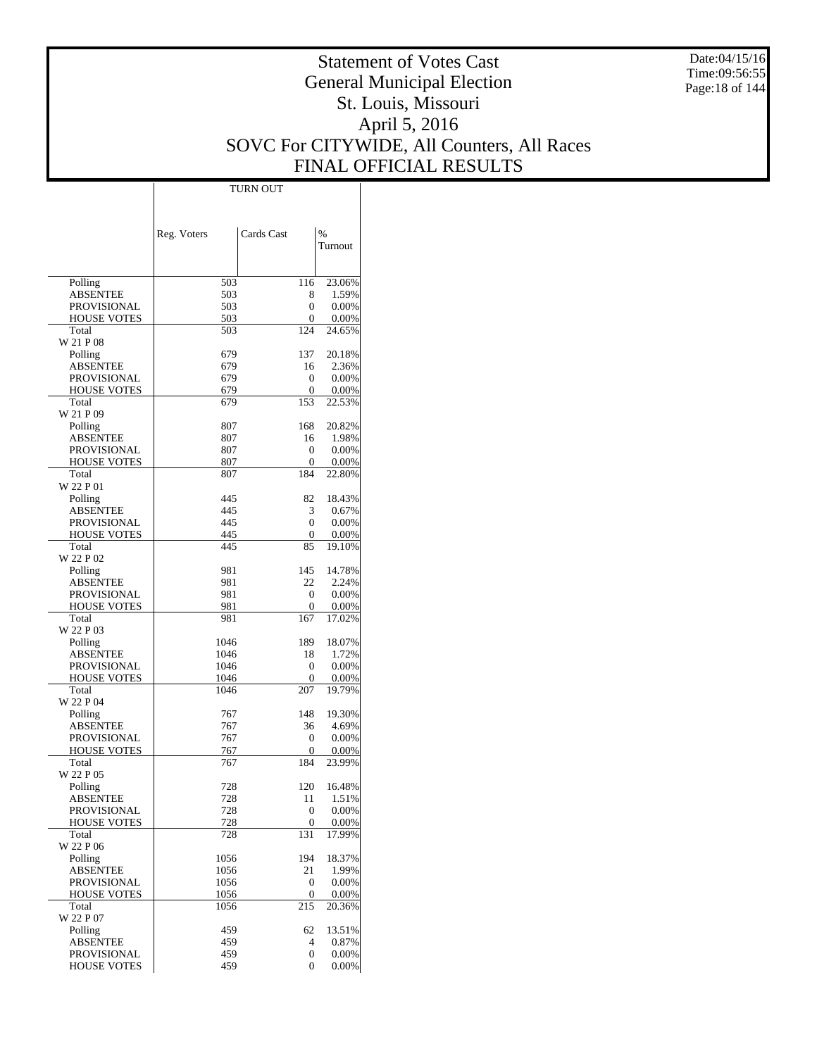Date:04/15/16 Time:09:56:55 Page:18 of 144

# Statement of Votes Cast General Municipal Election St. Louis, Missouri April 5, 2016 SOVC For CITYWIDE, All Counters, All Races FINAL OFFICIAL RESULTS

Τ

|                             | TURN OUT    |            |                 |
|-----------------------------|-------------|------------|-----------------|
|                             |             |            |                 |
|                             |             |            |                 |
|                             |             |            |                 |
|                             | Reg. Voters | Cards Cast | $\%$<br>Turnout |
|                             |             |            |                 |
|                             |             |            |                 |
| Polling                     | 503         | 116        | 23.06%          |
| <b>ABSENTEE</b>             | 503         | 8          | 1.59%           |
| PROVISIONAL                 | 503         | 0          | 0.00%           |
| <b>HOUSE VOTES</b>          | 503         | 0          | 0.00%           |
| Total<br>W 21 P 08          | 503         | 124        | 24.65%          |
| Polling                     | 679         | 137        | 20.18%          |
| <b>ABSENTEE</b>             | 679         | 16         | 2.36%           |
| <b>PROVISIONAL</b>          | 679         | 0          | 0.00%           |
| <b>HOUSE VOTES</b>          | 679         | 0          | 0.00%           |
| Total                       | 679         | 153        | 22.53%          |
| W 21 P 09                   |             |            |                 |
| Polling                     | 807         | 168        | 20.82%          |
| <b>ABSENTEE</b>             | 807         | 16         | 1.98%           |
| <b>PROVISIONAL</b>          | 807         | 0          | 0.00%           |
| <b>HOUSE VOTES</b>          | 807         | 0          | 0.00%           |
| Total                       | 807         | 184        | 22.80%          |
| W 22 P 01                   |             |            |                 |
| Polling                     | 445         | 82         | 18.43%          |
| <b>ABSENTEE</b>             | 445         | 3          | 0.67%           |
| <b>PROVISIONAL</b>          | 445         | 0          | 0.00%           |
| <b>HOUSE VOTES</b><br>Total | 445<br>445  | 0<br>85    | 0.00%<br>19.10% |
| W 22 P 02                   |             |            |                 |
| Polling                     | 981         | 145        | 14.78%          |
| <b>ABSENTEE</b>             | 981         | 22         | 2.24%           |
| PROVISIONAL                 | 981         | 0          | 0.00%           |
| <b>HOUSE VOTES</b>          | 981         | 0          | 0.00%           |
| Total                       | 981         | 167        | 17.02%          |
| W 22 P 03                   |             |            |                 |
| Polling                     | 1046        | 189        | 18.07%          |
| <b>ABSENTEE</b>             | 1046        | 18         | 1.72%           |
| PROVISIONAL                 | 1046        | 0          | 0.00%           |
| <b>HOUSE VOTES</b>          | 1046        | 0          | 0.00%           |
| Total<br>W 22 P 04          | 1046        | 207        | 19.79%          |
| Polling                     | 767         | 148        | 19.30%          |
| <b>ABSENTEE</b>             | 767         | 36         | 4.69%           |
| PROVISIONAL                 | 767         | 0          | 0.00%           |
| <b>HOUSE VOTES</b>          | 767         | 0          | 0.00%           |
| Total                       | 767         | 184        | 23.99%          |
| W 22 P 05                   |             |            |                 |
| Polling                     | 728         | 120        | 16.48%          |
| <b>ABSENTEE</b>             | 728         | 11         | 1.51%           |
| PROVISIONAL                 | 728         | 0          | 0.00%           |
| <b>HOUSE VOTES</b>          | 728         | 0          | 0.00%           |
| Total<br>W 22 P 06          | 728         | 131        | 17.99%          |
| Polling                     | 1056        | 194        | 18.37%          |
| <b>ABSENTEE</b>             | 1056        | 21         | 1.99%           |
| <b>PROVISIONAL</b>          | 1056        | 0          | 0.00%           |
| <b>HOUSE VOTES</b>          | 1056        | 0          | 0.00%           |
| Total                       | 1056        | 215        | 20.36%          |
| W 22 P 07                   |             |            |                 |
| Polling                     | 459         | 62         | 13.51%          |
| <b>ABSENTEE</b>             | 459         | 4          | 0.87%           |
| PROVISIONAL                 | 459         | 0          | 0.00%           |
| <b>HOUSE VOTES</b>          | 459         | 0          | 0.00%           |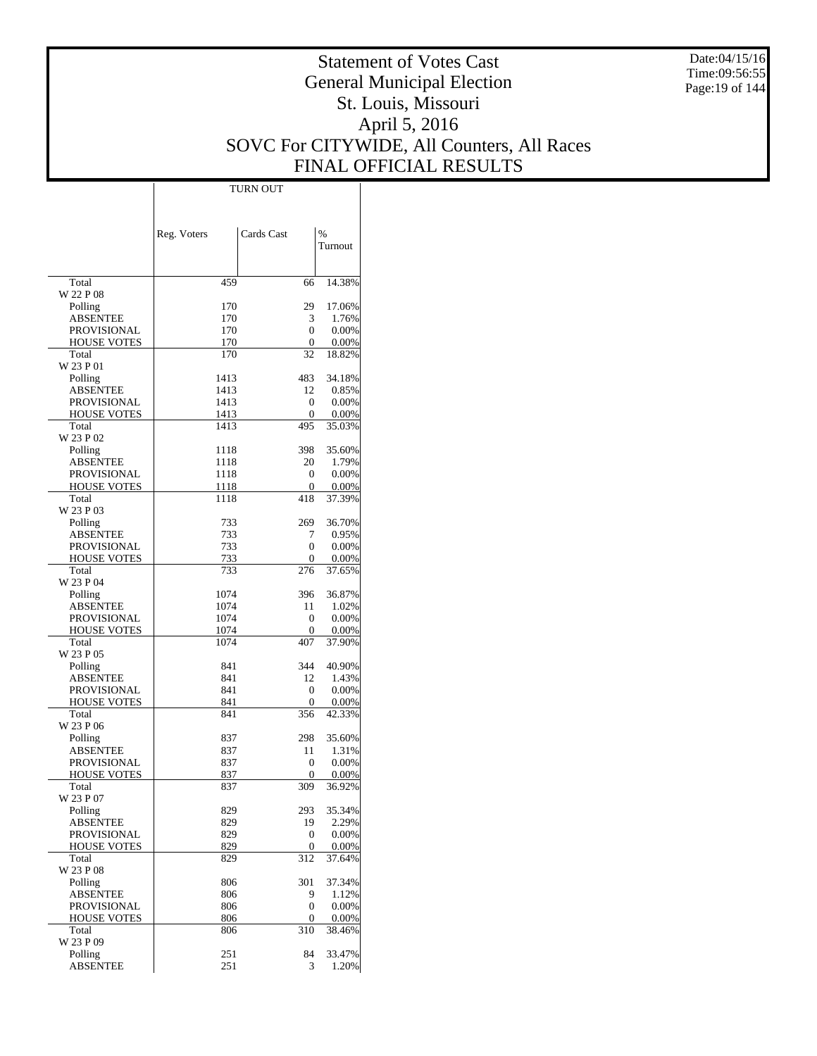Date:04/15/16 Time:09:56:55 Page:19 of 144

# Statement of Votes Cast General Municipal Election St. Louis, Missouri April 5, 2016 SOVC For CITYWIDE, All Counters, All Races FINAL OFFICIAL RESULTS

 $\top$ 

|                                          | Reg. Voters  | Cards Cast   | $\frac{0}{0}$     |
|------------------------------------------|--------------|--------------|-------------------|
|                                          |              |              | Turnout           |
|                                          |              |              |                   |
| Total<br>W 22 P 08                       | 459          | 66           | 14.38%            |
| Polling                                  | 170          | 29           | 17.06%            |
| <b>ABSENTEE</b>                          | 170          | 3            | 1.76%             |
| <b>PROVISIONAL</b>                       | 170          | $\Omega$     | 0.00%             |
| <b>HOUSE VOTES</b>                       | 170          | 0            | $0.00\%$          |
| Total<br>W 23 P 01                       | 170          | 32           | 18.82%            |
| Polling                                  | 1413         | 483          | 34.18%            |
| <b>ABSENTEE</b>                          | 1413         | 12           | 0.85%             |
| <b>PROVISIONAL</b>                       | 1413         | 0            | 0.00%             |
| <b>HOUSE VOTES</b>                       | 1413         | 0            | $0.00\%$          |
| Total                                    | 1413         | 495          | 35.03%            |
| W 23 P 02<br>Polling                     | 1118         | 398          | 35.60%            |
| <b>ABSENTEE</b>                          | 1118         | 20           | 1.79%             |
| PROVISIONAL                              | 1118         | 0            | 0.00%             |
| <b>HOUSE VOTES</b>                       | 1118         | 0            | $0.00\%$          |
| Total                                    | 1118         | 418          | 37.39%            |
| W 23 P 03                                |              |              | 36.70%            |
| Polling<br><b>ABSENTEE</b>               | 733<br>733   | 269<br>7     | 0.95%             |
| PROVISIONAL                              | 733          | $\theta$     | $0.00\%$          |
| <b>HOUSE VOTES</b>                       | 733          | 0            | $0.00\%$          |
| Total                                    | 733          | 276          | 37.65%            |
| W 23 P 04                                |              |              |                   |
| Polling                                  | 1074         | 396          | 36.87%            |
| <b>ABSENTEE</b><br><b>PROVISIONAL</b>    | 1074<br>1074 | 11<br>0      | 1.02%<br>0.00%    |
| <b>HOUSE VOTES</b>                       | 1074         | 0            | $0.00\%$          |
| Total                                    | 1074         | 407          | 37.90%            |
| W 23 P 05                                |              |              |                   |
| Polling                                  | 841          | 344          | 40.90%            |
| <b>ABSENTEE</b>                          | 841          | 12           | 1.43%             |
| <b>PROVISIONAL</b><br><b>HOUSE VOTES</b> | 841<br>841   | 0<br>0       | 0.00%<br>$0.00\%$ |
| Total                                    | 841          | 356          | 42.33%            |
| W 23 P 06                                |              |              |                   |
| Polling                                  | 837          | 298          | 35.60%            |
| <b>ABSENTEE</b>                          | 837          | 11           | 1.31%             |
| PROVISIONAL                              | 837          | 0            | 0.00%             |
| <b>HOUSE VOTES</b><br>Total              | 837<br>837   | 0<br>309     | 0.00%<br>36.92%   |
| W 23 P 07                                |              |              |                   |
| Polling                                  | 829          | 293          | 35.34%            |
| <b>ABSENTEE</b>                          | 829          | 19           | 2.29%             |
| <b>PROVISIONAL</b>                       | 829          | $\mathbf{0}$ | 0.00%             |
| <b>HOUSE VOTES</b>                       | 829          | 0            | 0.00%             |
| Total<br>W 23 P 08                       | 829          | 312          | 37.64%            |
| Polling                                  | 806          | 301          | 37.34%            |
| <b>ABSENTEE</b>                          | 806          | 9            | 1.12%             |
| <b>PROVISIONAL</b>                       | 806          | $\mathbf{0}$ | 0.00%             |
| <b>HOUSE VOTES</b>                       | 806          | 0            | 0.00%             |
| Total<br>W 23 P 09                       | 806          | 310          | 38.46%            |
| Polling                                  | 251          | 84           | 33.47%            |
| <b>ABSENTEE</b>                          | 251          | 3            | 1.20%             |
|                                          |              |              |                   |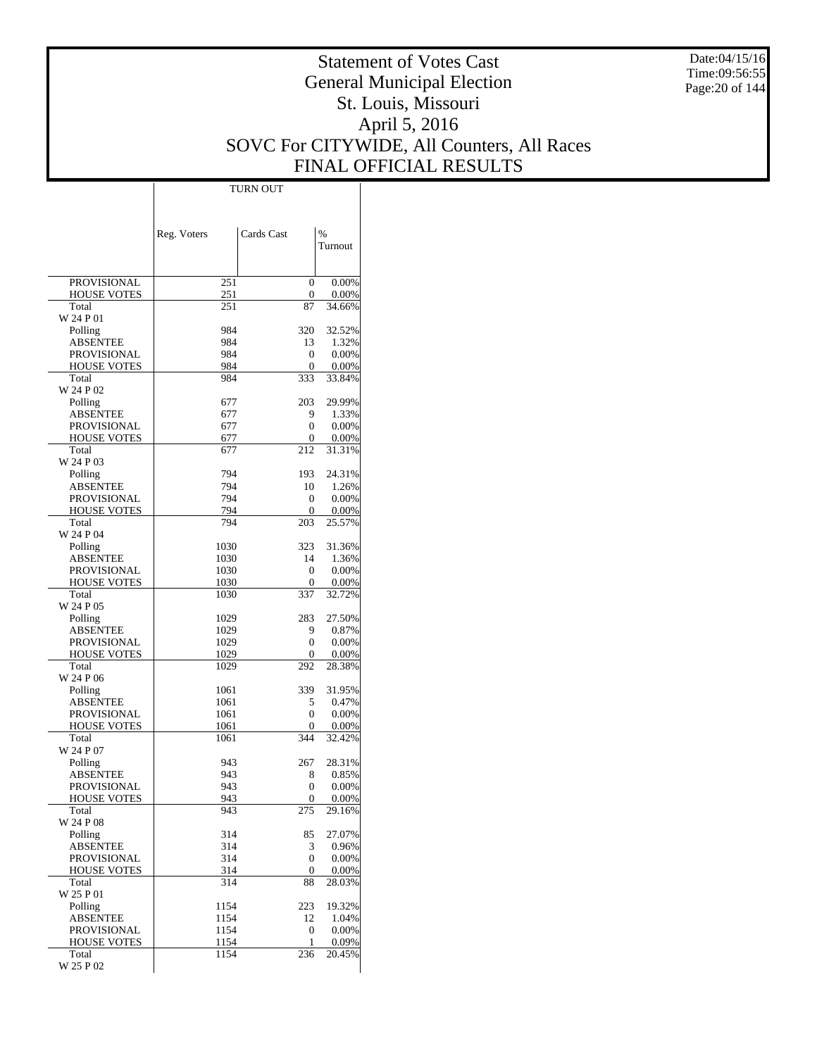Date:04/15/16 Time:09:56:55 Page:20 of 144

# Statement of Votes Cast General Municipal Election St. Louis, Missouri April 5, 2016 SOVC For CITYWIDE, All Counters, All Races FINAL OFFICIAL RESULTS

 $\mathbf{I}$ 

|                                | Reg. Voters  | Cards Cast | $\%$            |
|--------------------------------|--------------|------------|-----------------|
|                                |              |            | Turnout         |
|                                |              |            |                 |
| <b>PROVISIONAL</b>             | 251          | 0          | 0.00%           |
| <b>HOUSE VOTES</b>             | 251          | 0          | 0.00%           |
| Total                          | 251          | 87         | 34.66%          |
| W 24 P 01<br>Polling           | 984          | 320        | 32.52%          |
| ABSENTEE                       | 984          | 13         | 1.32%           |
| PROVISIONAL                    | 984          | 0          | 0.00%           |
| <b>HOUSE VOTES</b>             | 984          | 0          | 0.00%           |
| Total                          | 984          | 333        | 33.84%          |
| W 24 P 02                      |              |            |                 |
| Polling<br>ABSENTEE            | 677          | 203<br>9   | 29.99%<br>1.33% |
| <b>PROVISIONAL</b>             | 677<br>677   | 0          | 0.00%           |
| <b>HOUSE VOTES</b>             | 677          | 0          | 0.00%           |
| Total                          | 677          | 212        | 31.31%          |
| W 24 P 03                      |              |            |                 |
| Polling                        | 794          | 193        | 24.31%          |
| ABSENTEE                       | 794          | 10         | 1.26%           |
| PROVISIONAL                    | 794<br>794   | 0          | 0.00%           |
| <b>HOUSE VOTES</b><br>Total    | 794          | 0<br>203   | 0.00%<br>25.57% |
| W 24 P 04                      |              |            |                 |
| Polling                        | 1030         | 323        | 31.36%          |
| ABSENTEE                       | 1030         | 14         | 1.36%           |
| <b>PROVISIONAL</b>             | 1030         | 0          | 0.00%           |
| <b>HOUSE VOTES</b>             | 1030         | 0          | 0.00%           |
| Total                          | 1030         | 337        | 32.72%          |
| W 24 P 05<br>Polling           | 1029         | 283        | 27.50%          |
| ABSENTEE                       | 1029         | 9          | 0.87%           |
| PROVISIONAL                    | 1029         | 0          | 0.00%           |
| <b>HOUSE VOTES</b>             | 1029         | 0          | 0.00%           |
| Total                          | 1029         | 292        | 28.38%          |
| W 24 P 06                      |              |            |                 |
| Polling                        | 1061         | 339        | 31.95%          |
| ABSENTEE<br><b>PROVISIONAL</b> | 1061<br>1061 | 5<br>0     | 0.47%<br>0.00%  |
| <b>HOUSE VOTES</b>             | 1061         | 0          | 0.00%           |
| Total                          | 1061         | 344        | 32.42%          |
| W 24 P 07                      |              |            |                 |
| Polling                        | 943          | 267        | 28.31%          |
| ABSENTEE                       | 943          | 8          | 0.85%           |
| PROVISIONAL                    | 943          | 0          | 0.00%           |
| <b>HOUSE VOTES</b><br>Total    | 943<br>943   | 0<br>275   | 0.00%<br>29.16% |
| W 24 P 08                      |              |            |                 |
| Polling                        | 314          | 85         | 27.07%          |
| ABSENTEE                       | 314          | 3          | 0.96%           |
| PROVISIONAL                    | 314          | 0          | 0.00%           |
| <b>HOUSE VOTES</b>             | 314          | 0          | 0.00%           |
| Total                          | 314          | 88         | 28.03%          |
| W 25 P 01<br>Polling           | 1154         | 223        | 19.32%          |
| ABSENTEE                       | 1154         | 12         | 1.04%           |
| PROVISIONAL                    | 1154         | 0          | 0.00%           |
| <b>HOUSE VOTES</b>             | 1154         | 1          | 0.09%           |
| Total                          | 1154         | 236        | 20.45%          |
| W 25 P 02                      |              |            |                 |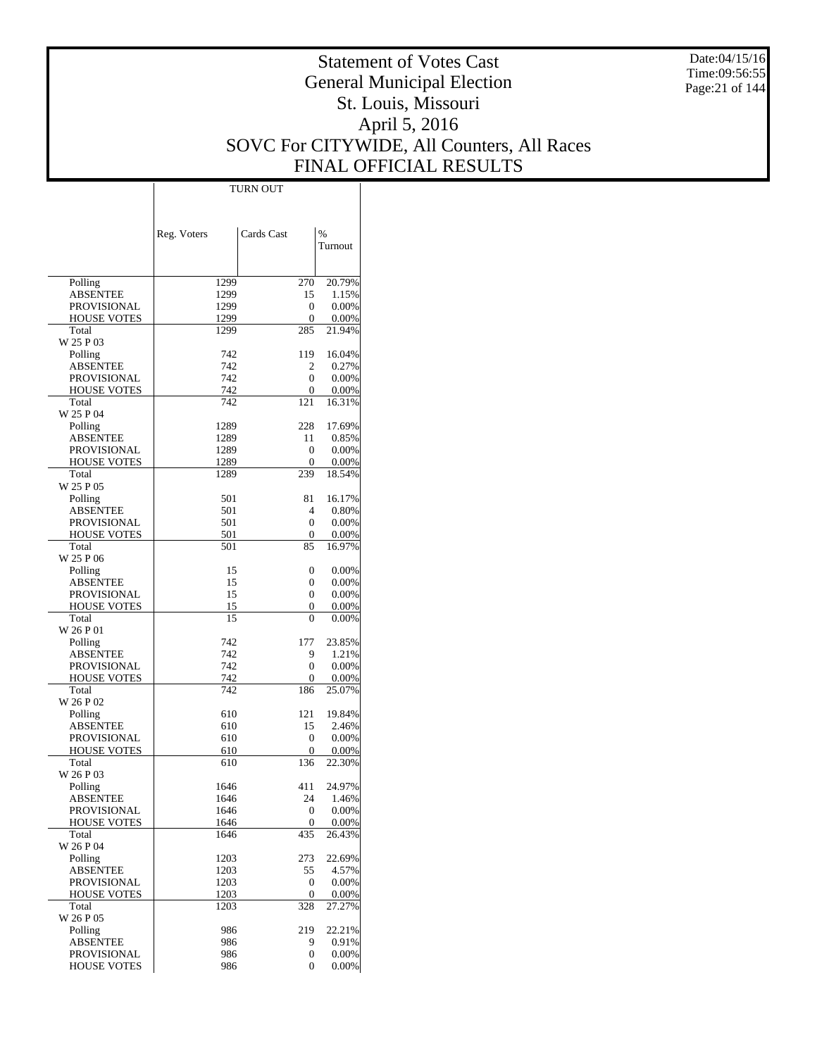Date:04/15/16 Time:09:56:55 Page:21 of 144

# Statement of Votes Cast General Municipal Election St. Louis, Missouri April 5, 2016 SOVC For CITYWIDE, All Counters, All Races FINAL OFFICIAL RESULTS

 $\top$ 

|                             | Reg. Voters  | Cards Cast   | $\frac{0}{0}$   |
|-----------------------------|--------------|--------------|-----------------|
|                             |              |              | Turnout         |
|                             |              |              |                 |
| Polling                     | 1299         | 270          | 20.79%          |
| ABSENTEE                    | 1299         | 15           | 1.15%           |
| PROVISIONAL                 | 1299         | 0            | 0.00%           |
| <b>HOUSE VOTES</b><br>Total | 1299<br>1299 | 0<br>285     | 0.00%<br>21.94% |
| W 25 P 03                   |              |              |                 |
| Polling                     | 742          | 119          | 16.04%          |
| <b>ABSENTEE</b>             | 742          | 2            | 0.27%           |
| PROVISIONAL                 | 742          | 0            | 0.00%           |
| <b>HOUSE VOTES</b><br>Total | 742<br>742   | 0<br>121     | 0.00%<br>16.31% |
| W 25 P 04                   |              |              |                 |
| Polling                     | 1289         | 228          | 17.69%          |
| ABSENTEE                    | 1289         | 11           | 0.85%           |
| PROVISIONAL                 | 1289         | 0            | 0.00%           |
| <b>HOUSE VOTES</b><br>Total | 1289<br>1289 | 0<br>239     | 0.00%<br>18.54% |
| W 25 P 05                   |              |              |                 |
| Polling                     | 501          | 81           | 16.17%          |
| ABSENTEE                    | 501          | 4            | 0.80%           |
| PROVISIONAL                 | 501          | 0            | 0.00%           |
| <b>HOUSE VOTES</b>          | 501          | 0            | 0.00%           |
| Total<br>W 25 P 06          | 501          | 85           | 16.97%          |
| Polling                     | 15           | 0            | 0.00%           |
| ABSENTEE                    | 15           | 0            | 0.00%           |
| PROVISIONAL                 | 15           | 0            | 0.00%           |
| <b>HOUSE VOTES</b>          | 15           | 0            | 0.00%           |
| Total                       | 15           | 0            | 0.00%           |
| W 26 P 01<br>Polling        | 742          | 177          | 23.85%          |
| ABSENTEE                    | 742          | 9            | 1.21%           |
| PROVISIONAL                 | 742          | 0            | 0.00%           |
| <b>HOUSE VOTES</b>          | 742          | 0            | 0.00%           |
| Total                       | 742          | 186          | 25.07%          |
| W 26 P 02                   | 610          | 121          | 19.84%          |
| Polling<br>ABSENTEE         | 610          | 15           | 2.46%           |
| <b>PROVISIONAL</b>          | 610          | 0            | 0.00%           |
| <b>HOUSE VOTES</b>          | 610          | 0            | 0.00%           |
| Total                       | 610          | 136          | 22.30%          |
| W 26 P 03                   | 1646         | 411          |                 |
| Polling<br>ABSENTEE         | 1646         | 24           | 24.97%<br>1.46% |
| PROVISIONAL                 | 1646         | 0            | 0.00%           |
| <b>HOUSE VOTES</b>          | 1646         | 0            | 0.00%           |
| Total                       | 1646         | 435          | 26.43%          |
| W 26 P 04                   |              |              |                 |
| Polling<br><b>ABSENTEE</b>  | 1203<br>1203 | 273<br>55    | 22.69%<br>4.57% |
| PROVISIONAL                 | 1203         | $\mathbf{0}$ | 0.00%           |
| <b>HOUSE VOTES</b>          | 1203         | 0            | 0.00%           |
| Total                       | 1203         | 328          | 27.27%          |
| W 26 P 05                   |              |              |                 |
| Polling                     | 986          | 219          | 22.21%          |
| ABSENTEE<br>PROVISIONAL     | 986<br>986   | 9<br>0       | 0.91%<br>0.00%  |
| HOUSE VOTES                 | 986          | 0            | 0.00%           |
|                             |              |              |                 |

TURN OUT

 $\overline{1}$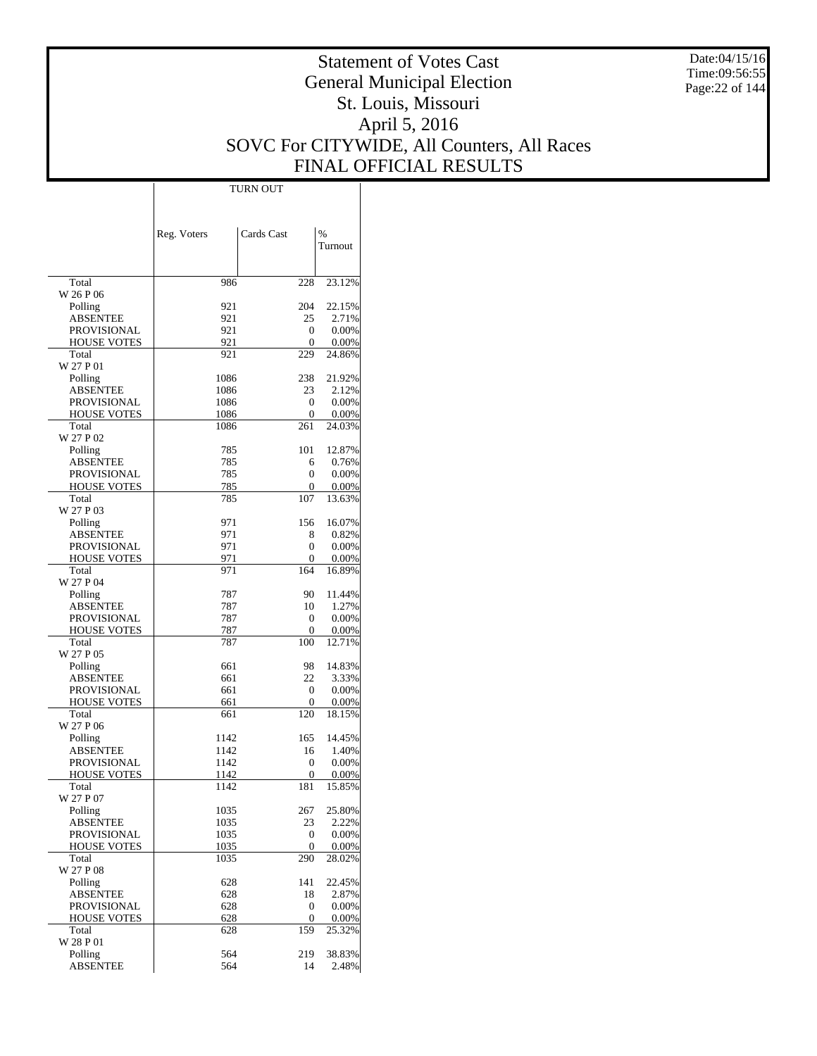Date:04/15/16 Time:09:56:55 Page:22 of 144

# Statement of Votes Cast General Municipal Election St. Louis, Missouri April 5, 2016 SOVC For CITYWIDE, All Counters, All Races FINAL OFFICIAL RESULTS

Τ

|                                       | Reg. Voters  | Cards Cast | $\frac{0}{0}$      |
|---------------------------------------|--------------|------------|--------------------|
|                                       |              |            | Turnout            |
|                                       |              |            |                    |
| Total                                 | 986          | 228        | 23.12%             |
| W 26 P 06<br>Polling                  | 921          | 204        | 22.15%             |
| ABSENTEE                              | 921          | 25         | 2.71%              |
| PROVISIONAL                           | 921          | 0          | 0.00%              |
| <b>HOUSE VOTES</b>                    | 921          | 0          | 0.00%              |
| Total                                 | 921          | 229        | 24.86%             |
| W 27 P 01                             |              |            |                    |
| Polling<br>ABSENTEE                   | 1086<br>1086 | 238<br>23  | 21.92%<br>2.12%    |
| PROVISIONAL                           | 1086         | 0          | 0.00%              |
| <b>HOUSE VOTES</b>                    | 1086         | 0          | 0.00%              |
| Total                                 | 1086         | 261        | 24.03%             |
| W 27 P 02                             |              |            |                    |
| Polling                               | 785          | 101        | 12.87%             |
| ABSENTEE                              | 785<br>785   | 6          | 0.76%              |
| PROVISIONAL<br><b>HOUSE VOTES</b>     | 785          | 0<br>0     | 0.00%<br>0.00%     |
| Total                                 | 785          | 107        | 13.63%             |
| W 27 P 03                             |              |            |                    |
| Polling                               | 971          | 156        | 16.07%             |
| ABSENTEE                              | 971          | 8          | 0.82%              |
| PROVISIONAL                           | 971          | 0          | 0.00%              |
| <b>HOUSE VOTES</b><br>Total           | 971<br>971   | 0<br>164   | 0.00%<br>16.89%    |
| W 27 P 04                             |              |            |                    |
| Polling                               | 787          | 90         | 11.44%             |
| ABSENTEE                              | 787          | 10         | 1.27%              |
| PROVISIONAL                           | 787          | 0          | 0.00%              |
| <b>HOUSE VOTES</b><br>Total           | 787<br>787   | 0<br>100   | $0.00\%$<br>12.71% |
| W 27 P 05                             |              |            |                    |
| Polling                               | 661          | 98         | 14.83%             |
| ABSENTEE                              | 661          | 22         | 3.33%              |
| PROVISIONAL                           | 661          | 0          | 0.00%              |
| <b>HOUSE VOTES</b>                    | 661          | 0          | 0.00%              |
| Total                                 | 661          | 120        | 18.15%             |
| W 27 P 06<br>Polling                  | 1142         | 165        | 14.45%             |
| ABSENTEE                              | 1142         | 16         | 1.40%              |
| <b>PROVISIONAL</b>                    | 1142         | 0          | 0.00%              |
| <b>HOUSE VOTES</b>                    | 1142         | 0          | 0.00%              |
| Total                                 | 1142         | 181        | 15.85%             |
| W 27 P 07                             |              |            | 25.80%             |
| Polling<br><b>ABSENTEE</b>            | 1035<br>1035 | 267<br>23  | 2.22%              |
| <b>PROVISIONAL</b>                    | 1035         | 0          | 0.00%              |
| HOUSE VOTES                           | 1035         | 0          | 0.00%              |
| Total                                 | 1035         | 290        | 28.02%             |
| W 27 P 08                             |              |            |                    |
| Polling                               | 628          | 141        | 22.45%             |
| <b>ABSENTEE</b><br><b>PROVISIONAL</b> | 628<br>628   | 18<br>0    | 2.87%<br>0.00%     |
| HOUSE VOTES                           | 628          | 0          | 0.00%              |
| Total                                 | 628          | 159        | 25.32%             |
| W 28 P 01                             |              |            |                    |
| Polling                               | 564          | 219        | 38.83%             |
| <b>ABSENTEE</b>                       | 564          | 14         | 2.48%              |

TURN OUT

 $\mathbb{I}$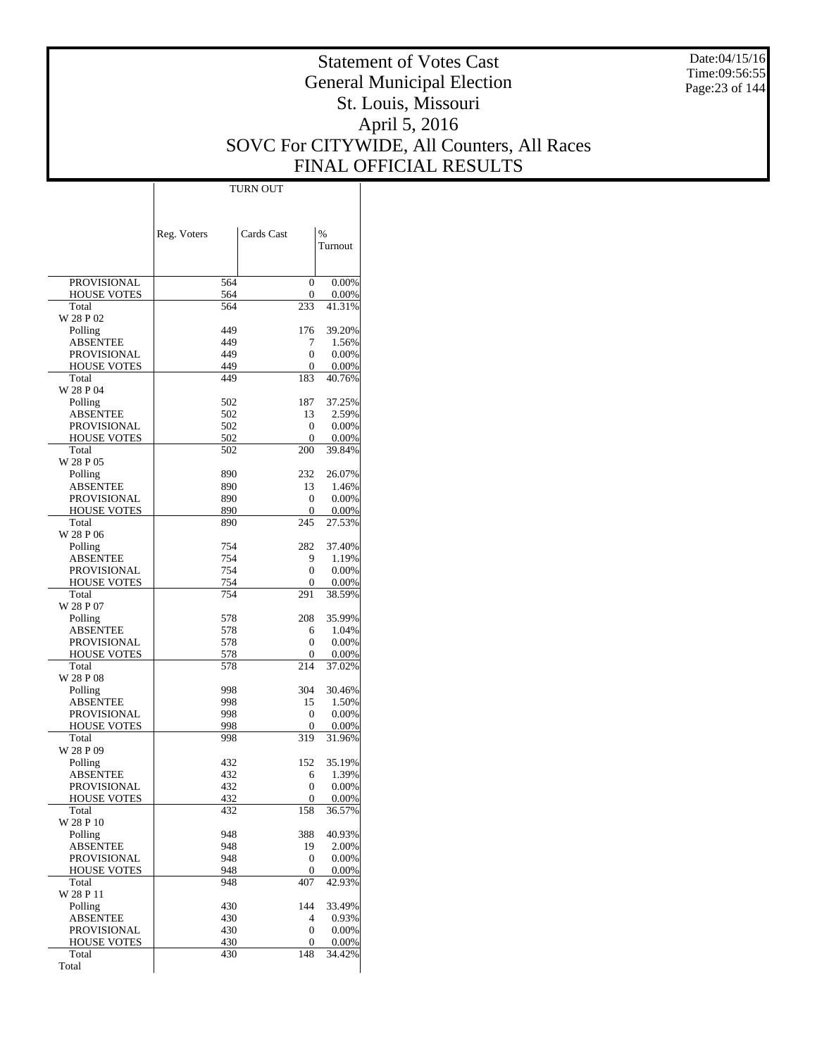Date:04/15/16 Time:09:56:55 Page:23 of 144

# Statement of Votes Cast General Municipal Election St. Louis, Missouri April 5, 2016 SOVC For CITYWIDE, All Counters, All Races FINAL OFFICIAL RESULTS

 $\overline{\phantom{a}}$ 

|                                   | Reg. Voters | Cards Cast | $\%$            |
|-----------------------------------|-------------|------------|-----------------|
|                                   |             |            | Turnout         |
|                                   |             |            |                 |
| <b>PROVISIONAL</b>                | 564         | 0          | 0.00%           |
| <b>HOUSE VOTES</b>                | 564         | 0          | 0.00%           |
| Total<br>W 28 P 02                | 564         | 233        | 41.31%          |
| Polling                           | 449         | 176        | 39.20%          |
| ABSENTEE                          | 449         | 7          | 1.56%           |
| <b>PROVISIONAL</b>                | 449         | 0          | 0.00%           |
| <b>HOUSE VOTES</b><br>Total       | 449         | 0          | 0.00%           |
| W 28 P 04                         | 449         | 183        | 40.76%          |
| Polling                           | 502         | 187        | 37.25%          |
| <b>ABSENTEE</b>                   | 502         | 13         | 2.59%           |
| <b>PROVISIONAL</b>                | 502         | 0          | 0.00%           |
| <b>HOUSE VOTES</b>                | 502         | 0          | 0.00%           |
| Total<br>W 28 P 05                | 502         | 200        | 39.84%          |
| Polling                           | 890         | 232        | 26.07%          |
| ABSENTEE                          | 890         | 13         | 1.46%           |
| <b>PROVISIONAL</b>                | 890         | 0          | 0.00%           |
| <b>HOUSE VOTES</b>                | 890         | 0          | 0.00%           |
| Total                             | 890         | 245        | 27.53%          |
| W 28 P 06                         | 754         | 282        | 37.40%          |
| Polling<br>ABSENTEE               | 754         | 9          | 1.19%           |
| <b>PROVISIONAL</b>                | 754         | 0          | 0.00%           |
| <b>HOUSE VOTES</b>                | 754         | 0          | 0.00%           |
| Total                             | 754         | 291        | 38.59%          |
| W 28 P 07                         |             |            |                 |
| Polling<br>ABSENTEE               | 578<br>578  | 208<br>6   | 35.99%<br>1.04% |
| <b>PROVISIONAL</b>                | 578         | 0          | 0.00%           |
| <b>HOUSE VOTES</b>                | 578         | 0          | 0.00%           |
| Total                             | 578         | 214        | 37.02%          |
| W 28 P 08                         |             |            |                 |
| Polling                           | 998         | 304        | 30.46%          |
| ABSENTEE<br>PROVISIONAL           | 998<br>998  | 15<br>0    | 1.50%<br>0.00%  |
| <b>HOUSE VOTES</b>                | 998         | 0          | 0.00%           |
| Total                             | 998         | 319        | 31.96%          |
| W 28 P 09                         |             |            |                 |
| Polling                           | 432         | 152        | 35.19%          |
| ABSENTEE                          | 432         | 6          | 1.39%           |
| PROVISIONAL<br><b>HOUSE VOTES</b> | 432<br>432  | 0<br>0     | 0.00%<br>0.00%  |
| Total                             | 432         | 158        | 36.57%          |
| W 28 P 10                         |             |            |                 |
| Polling                           | 948         | 388        | 40.93%          |
| ABSENTEE                          | 948         | 19         | 2.00%           |
| PROVISIONAL<br><b>HOUSE VOTES</b> | 948<br>948  | 0<br>0     | 0.00%<br>0.00%  |
| Total                             | 948         | 407        | 42.93%          |
| W 28 P 11                         |             |            |                 |
| Polling                           | 430         | 144        | 33.49%          |
| <b>ABSENTEE</b>                   | 430         | 4          | 0.93%           |
| PROVISIONAL                       | 430         | 0          | 0.00%           |
| <b>HOUSE VOTES</b><br>Total       | 430<br>430  | 0<br>148   | 0.00%<br>34.42% |
| Total                             |             |            |                 |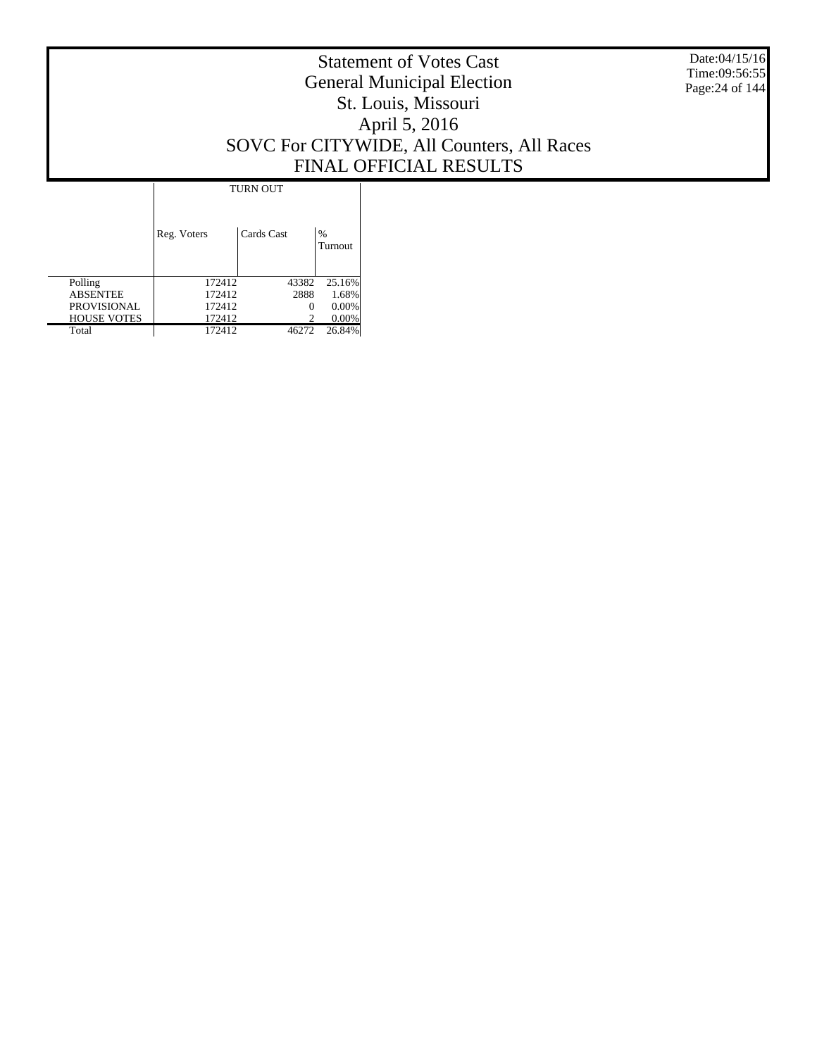Date:04/15/16 Time:09:56:55 Page:24 of 144

# Statement of Votes Cast General Municipal Election St. Louis, Missouri April 5, 2016 SOVC For CITYWIDE, All Counters, All Races FINAL OFFICIAL RESULTS

|                    | <b>TURN OUT</b> |            |                 |
|--------------------|-----------------|------------|-----------------|
|                    | Reg. Voters     | Cards Cast | $\%$<br>Turnout |
| Polling            | 172412          | 43382      | 25.16%          |
| <b>ABSENTEE</b>    | 172412          | 2888       | 1.68%           |
| <b>PROVISIONAL</b> | 172412          |            | $0.00\%$        |
| <b>HOUSE VOTES</b> | 172412          |            | $0.00\%$        |
| Total              | 172412          | 46272      | 26.84%          |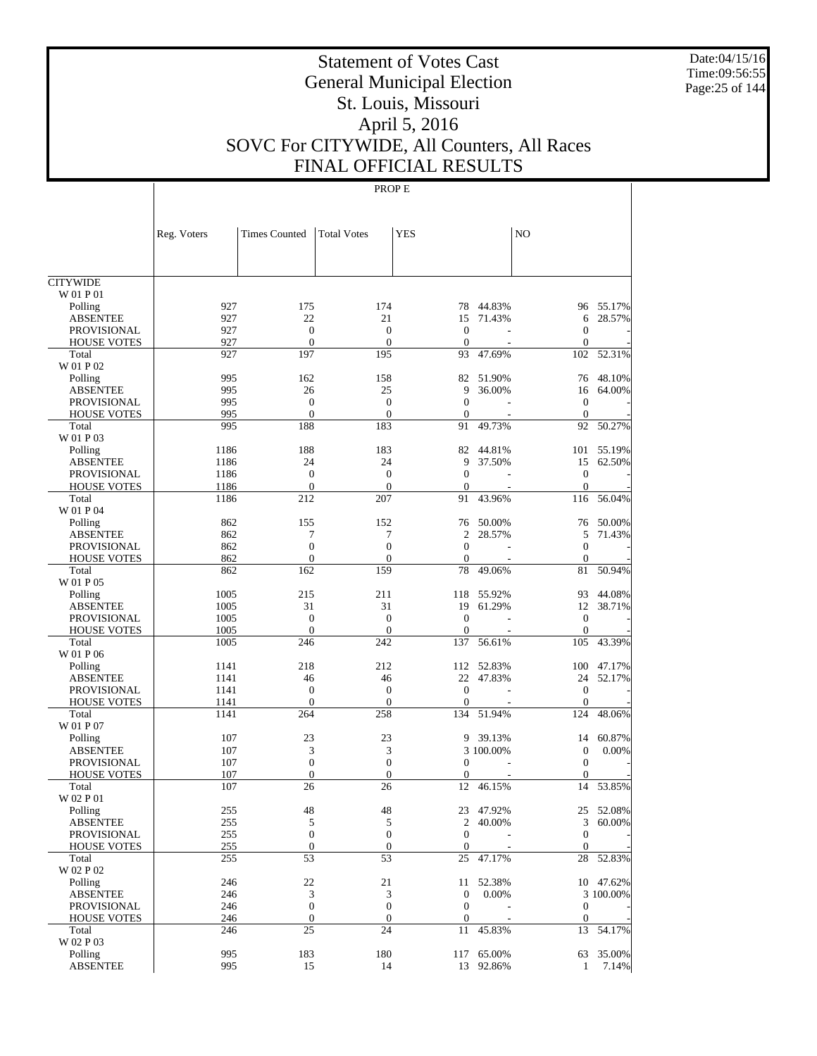Date:04/15/16 Time:09:56:55 Page:25 of 144

# Statement of Votes Cast General Municipal Election St. Louis, Missouri April 5, 2016 SOVC For CITYWIDE, All Counters, All Races FINAL OFFICIAL RESULTS

|                                       | Reg. Voters | <b>Times Counted</b>  | <b>Total Votes</b>    | <b>YES</b>                     |            | N <sub>O</sub>               |           |
|---------------------------------------|-------------|-----------------------|-----------------------|--------------------------------|------------|------------------------------|-----------|
|                                       |             |                       |                       |                                |            |                              |           |
| <b>CITYWIDE</b>                       |             |                       |                       |                                |            |                              |           |
| W 01 P 01                             |             |                       |                       |                                |            |                              |           |
| Polling                               | 927         | 175                   | 174                   | 78                             | 44.83%     |                              | 96 55.17% |
| <b>ABSENTEE</b>                       | 927         | 22                    | 21                    | 15                             | 71.43%     | 6                            | 28.57%    |
| <b>PROVISIONAL</b>                    | 927         | $\boldsymbol{0}$      | $\overline{0}$        | $\theta$                       |            | $\mathbf{0}$                 |           |
| <b>HOUSE VOTES</b>                    | 927         | $\mathbf{0}$          | $\overline{0}$        | $\theta$                       |            | $\mathbf{0}$                 |           |
| Total                                 | 927         | 197                   | 195                   | 93                             | 47.69%     | 102                          | 52.31%    |
| W 01 P 02                             |             |                       |                       |                                |            |                              |           |
| Polling                               | 995         | 162                   | 158                   | 82                             | 51.90%     | 76                           | 48.10%    |
| <b>ABSENTEE</b>                       | 995         | 26                    | 25                    | 9                              | 36.00%     | 16                           | 64.00%    |
| <b>PROVISIONAL</b>                    | 995         | $\boldsymbol{0}$      | $\mathbf{0}$          | $\mathbf{0}$                   |            | $\mathbf{0}$                 |           |
| <b>HOUSE VOTES</b>                    | 995         | $\mathbf{0}$          | $\overline{0}$        | $\theta$                       |            | $\mathbf{0}$                 |           |
| Total                                 | 995         | 188                   | 183                   | 91                             | 49.73%     | 92                           | 50.27%    |
| W 01 P 03                             |             |                       |                       |                                |            |                              |           |
| Polling                               | 1186        | 188                   | 183                   | 82                             | 44.81%     | 101                          | 55.19%    |
| <b>ABSENTEE</b>                       | 1186        | 24                    | 24                    | 9                              | 37.50%     | 15                           | 62.50%    |
| <b>PROVISIONAL</b>                    | 1186        | $\mathbf{0}$          | $\boldsymbol{0}$      | $\mathbf{0}$                   |            | $\mathbf{0}$                 |           |
| <b>HOUSE VOTES</b>                    | 1186        | $\mathbf{0}$          | $\overline{0}$        | $\theta$                       |            | $\mathbf{0}$                 |           |
| Total                                 | 1186        | 212                   | 207                   | 91                             | 43.96%     | 116                          | 56.04%    |
| W 01 P 04                             |             |                       |                       |                                |            |                              |           |
| Polling                               | 862         | 155                   | 152                   | 76                             | 50.00%     | 76                           | 50.00%    |
| <b>ABSENTEE</b><br><b>PROVISIONAL</b> | 862         | 7<br>$\overline{0}$   | 7<br>$\overline{0}$   | $\overline{c}$<br>$\mathbf{0}$ | 28.57%     | 5                            | 71.43%    |
|                                       | 862<br>862  | $\mathbf{0}$          | $\boldsymbol{0}$      | $\theta$                       |            | $\mathbf{0}$<br>$\mathbf{0}$ |           |
| <b>HOUSE VOTES</b><br>Total           | 862         | 162                   | 159                   | 78                             | 49.06%     | 81                           | 50.94%    |
| W 01 P 05                             |             |                       |                       |                                |            |                              |           |
| Polling                               | 1005        | 215                   | 211                   | 118                            | 55.92%     | 93                           | 44.08%    |
| <b>ABSENTEE</b>                       | 1005        | 31                    | 31                    | 19                             | 61.29%     | 12                           | 38.71%    |
| <b>PROVISIONAL</b>                    | 1005        | $\boldsymbol{0}$      | $\boldsymbol{0}$      | $\mathbf{0}$                   |            | $\mathbf{0}$                 |           |
| <b>HOUSE VOTES</b>                    | 1005        | $\mathbf{0}$          | $\overline{0}$        | $\mathbf{0}$                   |            | $\mathbf{0}$                 |           |
| Total                                 | 1005        | 246                   | 242                   | 137                            | 56.61%     | 105                          | 43.39%    |
| W 01 P 06                             |             |                       |                       |                                |            |                              |           |
| Polling                               | 1141        | 218                   | 212                   | 112                            | 52.83%     | 100                          | 47.17%    |
| <b>ABSENTEE</b>                       | 1141        | 46                    | 46                    | 22                             | 47.83%     | 24                           | 52.17%    |
| <b>PROVISIONAL</b>                    | 1141        | $\boldsymbol{0}$      | $\boldsymbol{0}$      | $\mathbf{0}$                   |            | $\mathbf{0}$                 |           |
| <b>HOUSE VOTES</b>                    | 1141        | $\mathbf{0}$          | $\mathbf{0}$          | $\mathbf{0}$                   |            | $\mathbf{0}$                 |           |
| Total                                 | 1141        | 264                   | 258                   | 134                            | 51.94%     | 124                          | 48.06%    |
| W 01 P 07                             |             |                       |                       |                                |            |                              |           |
| Polling                               | 107         | 23                    | 23                    | 9                              | 39.13%     | 14                           | 60.87%    |
| <b>ABSENTEE</b>                       | 107         | 3                     | 3                     |                                | 3 100.00%  | $\boldsymbol{0}$             | 0.00%     |
| <b>PROVISIONAL</b>                    | 107         | $\boldsymbol{0}$      | $\overline{0}$        | $\mathbf{0}$                   |            | $\mathbf{0}$                 |           |
| <b>HOUSE VOTES</b>                    | 107         | $\mathbf{0}$          | $\mathbf{0}$          | $\mathbf{0}$                   |            | $\mathbf{0}$                 |           |
| Total                                 | 107         | 26                    | 26                    | 12                             | 46.15%     | 14                           | 53.85%    |
| W 02 P 01                             |             |                       |                       |                                |            |                              |           |
| Polling                               | 255         | 48                    | 48                    |                                | 23 47.92%  | 25                           | 52.08%    |
| <b>ABSENTEE</b>                       | 255         | 5                     | 5                     |                                | 2 40.00%   | 3                            | 60.00%    |
| PROVISIONAL                           | 255         | $\boldsymbol{0}$      | $\boldsymbol{0}$      | $\mathbf{0}$                   |            | $\mathbf{0}$                 |           |
| <b>HOUSE VOTES</b>                    | 255         | $\mathbf{0}$          | $\mathbf{0}$          | $\boldsymbol{0}$               |            | $\mathbf{0}$                 |           |
| Total                                 | 255         | 53                    | 53                    | 25                             | 47.17%     | 28                           | 52.83%    |
| W 02 P 02                             |             |                       |                       |                                |            |                              |           |
| Polling                               | 246         | 22                    | 21                    | 11                             | 52.38%     |                              | 10 47.62% |
| <b>ABSENTEE</b>                       | 246<br>246  | 3<br>$\boldsymbol{0}$ | 3<br>$\boldsymbol{0}$ | $\mathbf{0}$<br>$\mathbf{0}$   | 0.00%      | $\mathbf{0}$                 | 3 100.00% |
| PROVISIONAL<br><b>HOUSE VOTES</b>     | 246         | $\mathbf{0}$          | $\boldsymbol{0}$      | $\boldsymbol{0}$               |            | $\mathbf{0}$                 |           |
| Total                                 | 246         | 25                    | 24                    | 11                             | 45.83%     | 13                           | 54.17%    |
| W 02 P 03                             |             |                       |                       |                                |            |                              |           |
| Polling                               | 995         | 183                   | 180                   |                                | 117 65.00% |                              | 63 35.00% |
| <b>ABSENTEE</b>                       | 995         | 15                    | 14                    |                                | 13 92.86%  | $\mathbf{1}$                 | 7.14%     |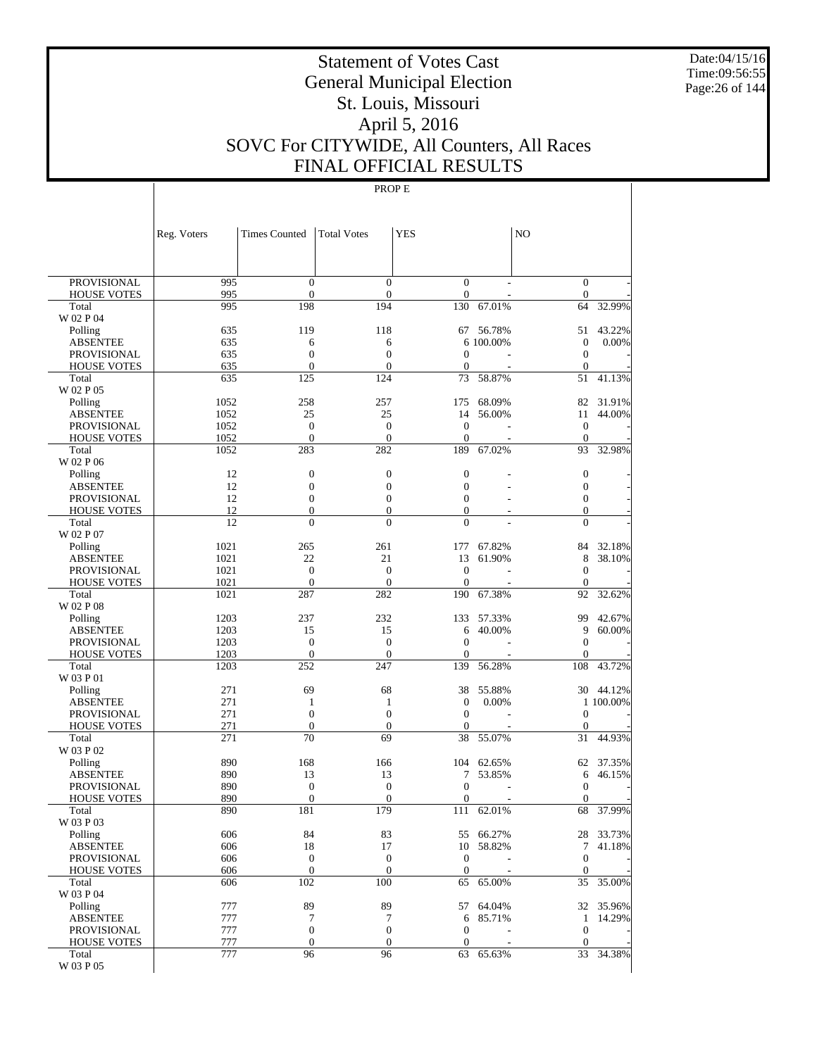Date:04/15/16 Time:09:56:55 Page:26 of 144

# Statement of Votes Cast General Municipal Election St. Louis, Missouri April 5, 2016 SOVC For CITYWIDE, All Counters, All Races FINAL OFFICIAL RESULTS

|                                          | Reg. Voters  | <b>Times Counted</b>                 | <b>Total Votes</b>               | YES                              |                  | N <sub>O</sub>                       |                  |
|------------------------------------------|--------------|--------------------------------------|----------------------------------|----------------------------------|------------------|--------------------------------------|------------------|
|                                          |              |                                      |                                  |                                  |                  |                                      |                  |
| <b>PROVISIONAL</b><br><b>HOUSE VOTES</b> | 995<br>995   | $\mathbf{0}$<br>$\boldsymbol{0}$     | $\overline{0}$<br>$\mathbf{0}$   | $\mathbf{0}$<br>$\boldsymbol{0}$ |                  | $\mathbf{0}$<br>$\mathbf{0}$         |                  |
| Total                                    | 995          | 198                                  | 194                              | 130                              | 67.01%           | 64                                   | 32.99%           |
| W 02 P 04                                |              |                                      |                                  |                                  |                  |                                      |                  |
| Polling                                  | 635          | 119                                  | 118                              | 67                               | 56.78%           | 51                                   | 43.22%           |
| ABSENTEE                                 | 635          | 6                                    | 6                                |                                  | 6 100.00%        | $\boldsymbol{0}$                     | 0.00%            |
| <b>PROVISIONAL</b>                       | 635          | $\mathbf{0}$                         | $\overline{0}$                   | $\overline{0}$                   |                  | $\boldsymbol{0}$                     |                  |
| <b>HOUSE VOTES</b><br>Total              | 635<br>635   | $\boldsymbol{0}$<br>125              | $\boldsymbol{0}$<br>124          | $\mathbf{0}$<br>73               | 58.87%           | $\boldsymbol{0}$<br>51               | 41.13%           |
| W 02 P 05                                |              |                                      |                                  |                                  |                  |                                      |                  |
| Polling                                  | 1052         | 258                                  | 257                              | 175                              | 68.09%           | 82                                   | 31.91%           |
| <b>ABSENTEE</b>                          | 1052         | 25                                   | 25                               | 14                               | 56.00%           | 11                                   | 44.00%           |
| <b>PROVISIONAL</b>                       | 1052         | $\boldsymbol{0}$                     | $\boldsymbol{0}$                 | $\mathbf{0}$                     |                  | $\boldsymbol{0}$                     |                  |
| <b>HOUSE VOTES</b><br>Total              | 1052<br>1052 | $\mathbf{0}$<br>283                  | $\mathbf{0}$<br>282              | $\mathbf{0}$<br>189              | 67.02%           | $\boldsymbol{0}$<br>93               | 32.98%           |
| W 02 P 06                                |              |                                      |                                  |                                  |                  |                                      |                  |
| Polling                                  | 12           | $\boldsymbol{0}$                     | $\boldsymbol{0}$                 | $\mathbf{0}$                     |                  | $\mathbf{0}$                         |                  |
| ABSENTEE                                 | 12           | $\boldsymbol{0}$                     | $\boldsymbol{0}$                 | $\mathbf{0}$                     |                  | $\boldsymbol{0}$                     |                  |
| <b>PROVISIONAL</b>                       | 12           | $\boldsymbol{0}$                     | $\overline{0}$                   | $\overline{0}$                   |                  | $\boldsymbol{0}$                     |                  |
| <b>HOUSE VOTES</b>                       | 12           | $\boldsymbol{0}$                     | $\boldsymbol{0}$                 | $\boldsymbol{0}$                 |                  | $\mathbf{0}$                         |                  |
| Total<br>W 02 P 07                       | 12           | $\overline{0}$                       | $\theta$                         | $\theta$                         |                  | $\overline{0}$                       |                  |
| Polling                                  | 1021         | 265                                  | 261                              | 177                              | 67.82%           | 84                                   | 32.18%           |
| <b>ABSENTEE</b>                          | 1021         | 22                                   | 21                               | 13                               | 61.90%           | 8                                    | 38.10%           |
| <b>PROVISIONAL</b>                       | 1021         | $\boldsymbol{0}$                     | $\boldsymbol{0}$                 | $\mathbf{0}$                     |                  | $\mathbf{0}$                         |                  |
| <b>HOUSE VOTES</b>                       | 1021         | $\boldsymbol{0}$                     | $\mathbf{0}$                     | $\mathbf{0}$                     |                  | $\mathbf{0}$                         |                  |
| Total                                    | 1021         | 287                                  | 282                              | 190                              | 67.38%           | 92                                   | 32.62%           |
| W 02 P 08                                |              |                                      |                                  |                                  |                  |                                      |                  |
| Polling<br>ABSENTEE                      | 1203<br>1203 | 237<br>15                            | 232<br>15                        | 133<br>6                         | 57.33%<br>40.00% | 99<br>9                              | 42.67%<br>60.00% |
| <b>PROVISIONAL</b>                       | 1203         | $\mathbf{0}$                         | $\boldsymbol{0}$                 | $\overline{0}$                   |                  | $\mathbf{0}$                         |                  |
| <b>HOUSE VOTES</b>                       | 1203         | $\boldsymbol{0}$                     | $\mathbf{0}$                     | $\mathbf{0}$                     |                  | $\boldsymbol{0}$                     |                  |
| Total                                    | 1203         | 252                                  | 247                              | 139                              | 56.28%           | 108                                  | 43.72%           |
| W 03 P 01                                |              |                                      |                                  |                                  |                  |                                      |                  |
| Polling                                  | 271          | 69                                   | 68                               | 38                               | 55.88%           | 30                                   | 44.12%           |
| <b>ABSENTEE</b><br><b>PROVISIONAL</b>    | 271<br>271   | $\mathbf{1}$<br>$\boldsymbol{0}$     | 1<br>$\boldsymbol{0}$            | $\boldsymbol{0}$<br>$\mathbf{0}$ | 0.00%            | $\mathbf{0}$                         | 1 100.00%        |
| <b>HOUSE VOTES</b>                       | 271          | $\boldsymbol{0}$                     | $\boldsymbol{0}$                 | 0                                |                  | $\boldsymbol{0}$                     |                  |
| Total                                    | 271          | 70                                   | 69                               | 38                               | 55.07%           | 31                                   | 44.93%           |
| W 03 P 02                                |              |                                      |                                  |                                  |                  |                                      |                  |
| Polling                                  | 890          | 168                                  | 166                              | 104                              | 62.65%           | 62                                   | 37.35%           |
| ABSENTEE                                 | 890          | 13                                   | 13                               | 7                                | 53.85%           | 6                                    | 46.15%           |
| <b>PROVISIONAL</b><br><b>HOUSE VOTES</b> | 890<br>890   | $\boldsymbol{0}$<br>$\boldsymbol{0}$ | $\boldsymbol{0}$<br>$\mathbf{0}$ | $\mathbf{0}$<br>$\mathbf{0}$     |                  | $\boldsymbol{0}$<br>$\boldsymbol{0}$ |                  |
| Total                                    | 890          | 181                                  | 179                              | 111                              | 62.01%           | $\overline{68}$                      | 37.99%           |
| W 03 P 03                                |              |                                      |                                  |                                  |                  |                                      |                  |
| Polling                                  | 606          | 84                                   | 83                               | 55                               | 66.27%           |                                      | 28 33.73%        |
| <b>ABSENTEE</b>                          | 606          | 18                                   | 17                               |                                  | 10 58.82%        | 7                                    | 41.18%           |
| <b>PROVISIONAL</b>                       | 606          | $\boldsymbol{0}$                     | $\boldsymbol{0}$                 | $\mathbf{0}$                     |                  | $\mathbf{0}$                         |                  |
| <b>HOUSE VOTES</b><br>Total              | 606<br>606   | $\mathbf{0}$<br>102                  | $\mathbf{0}$<br>100              | $\mathbf{0}$<br>65               | 65.00%           | $\mathbf{0}$<br>35                   | 35.00%           |
| W 03 P 04                                |              |                                      |                                  |                                  |                  |                                      |                  |
| Polling                                  | 777          | 89                                   | 89                               | 57                               | 64.04%           |                                      | 32 35.96%        |
| <b>ABSENTEE</b>                          | 777          | 7                                    | 7                                | 6                                | 85.71%           | $\mathbf{1}$                         | 14.29%           |
| PROVISIONAL                              | 777          | $\boldsymbol{0}$                     | $\boldsymbol{0}$                 | $\boldsymbol{0}$                 |                  | $\mathbf{0}$                         |                  |
| <b>HOUSE VOTES</b>                       | 777          | $\boldsymbol{0}$                     | $\boldsymbol{0}$                 | $\boldsymbol{0}$                 |                  | $\mathbf{0}$                         |                  |
| Total<br>W 03 P 05                       | 777          | 96                                   | 96                               | 63                               | 65.63%           | 33                                   | 34.38%           |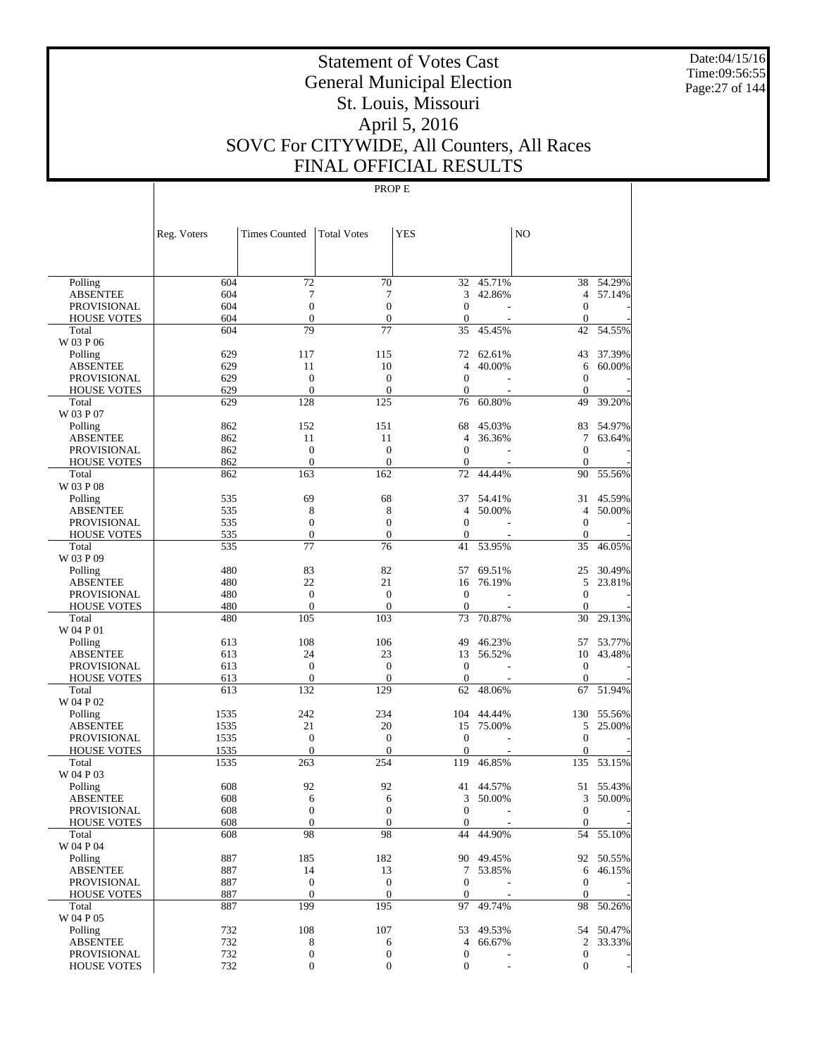Date:04/15/16 Time:09:56:55 Page:27 of 144

# Statement of Votes Cast General Municipal Election St. Louis, Missouri April 5, 2016 SOVC For CITYWIDE, All Counters, All Races FINAL OFFICIAL RESULTS

|                            | Reg. Voters  | Times Counted       | <b>Total Votes</b>      | YES                    |           | NO                      |           |
|----------------------------|--------------|---------------------|-------------------------|------------------------|-----------|-------------------------|-----------|
|                            |              |                     |                         |                        |           |                         |           |
|                            |              |                     |                         |                        |           |                         |           |
| Polling                    | 604          | 72                  | 70                      | 32                     | 45.71%    | 38                      | 54.29%    |
| <b>ABSENTEE</b>            | 604          | 7                   | 7                       | 3                      | 42.86%    | $\overline{4}$          | 57.14%    |
| PROVISIONAL                | 604          | $\boldsymbol{0}$    | $\boldsymbol{0}$        | $\Omega$               |           | $\mathbf{0}$            |           |
| <b>HOUSE VOTES</b>         | 604          | $\boldsymbol{0}$    | $\mathbf{0}$            | $\boldsymbol{0}$       |           | $\boldsymbol{0}$        |           |
| Total                      | 604          | 79                  | 77                      | 35                     | 45.45%    | 42                      | 54.55%    |
| W 03 P 06                  |              |                     |                         |                        |           |                         |           |
| Polling                    | 629          | 117                 | 115                     | 72                     | 62.61%    | 43                      | 37.39%    |
| <b>ABSENTEE</b>            | 629          | 11                  | 10                      | 4                      | 40.00%    | 6                       | 60.00%    |
| <b>PROVISIONAL</b>         | 629          | $\boldsymbol{0}$    | $\mathbf{0}$            | $\mathbf{0}$           |           | $\boldsymbol{0}$        |           |
| <b>HOUSE VOTES</b>         | 629          | $\mathbf{0}$        | $\boldsymbol{0}$        | $\mathbf{0}$           |           | $\mathbf{0}$            |           |
| Total                      | 629          | 128                 | 125                     | 76                     | 60.80%    | 49                      | 39.20%    |
| W 03 P 07                  |              |                     |                         |                        |           |                         |           |
| Polling                    | 862          | 152                 | 151                     | 68                     | 45.03%    | 83                      | 54.97%    |
| <b>ABSENTEE</b>            | 862          | 11                  | 11                      | $\overline{4}$         | 36.36%    | 7                       | 63.64%    |
| <b>PROVISIONAL</b>         | 862          | $\boldsymbol{0}$    | $\overline{0}$          | $\theta$               |           | $\mathbf{0}$            |           |
| <b>HOUSE VOTES</b>         | 862          | $\mathbf{0}$        | $\boldsymbol{0}$<br>162 | $\boldsymbol{0}$<br>72 | 44.44%    | $\mathbf{0}$            |           |
| Total<br>W 03 P 08         | 862          | 163                 |                         |                        |           | 90                      | 55.56%    |
|                            |              | 69                  | 68                      | 37                     | 54.41%    | 31                      | 45.59%    |
| Polling<br><b>ABSENTEE</b> | 535<br>535   | 8                   | 8                       | 4                      | 50.00%    | 4                       | 50.00%    |
| PROVISIONAL                | 535          | $\boldsymbol{0}$    | $\boldsymbol{0}$        | $\overline{0}$         |           | $\mathbf{0}$            |           |
| <b>HOUSE VOTES</b>         | 535          | $\boldsymbol{0}$    | $\mathbf{0}$            | $\mathbf{0}$           |           | $\mathbf{0}$            |           |
| Total                      | 535          | 77                  | 76                      | 41                     | 53.95%    | 35                      | 46.05%    |
| W 03 P 09                  |              |                     |                         |                        |           |                         |           |
| Polling                    | 480          | 83                  | 82                      | 57                     | 69.51%    | 25                      | 30.49%    |
| <b>ABSENTEE</b>            | 480          | 22                  | 21                      | 16                     | 76.19%    | 5                       | 23.81%    |
| <b>PROVISIONAL</b>         | 480          | $\boldsymbol{0}$    | $\overline{0}$          | $\mathbf{0}$           |           | $\mathbf{0}$            |           |
| <b>HOUSE VOTES</b>         | 480          | $\mathbf{0}$        | $\mathbf{0}$            | $\boldsymbol{0}$       |           | $\boldsymbol{0}$        |           |
| Total                      | 480          | 105                 | 103                     | 73                     | 70.87%    | 30                      | 29.13%    |
| W 04 P 01                  |              |                     |                         |                        |           |                         |           |
| Polling                    | 613          | 108                 | 106                     | 49                     | 46.23%    | 57                      | 53.77%    |
| <b>ABSENTEE</b>            | 613          | 24                  | 23                      | 13                     | 56.52%    | 10                      | 43.48%    |
| PROVISIONAL                | 613          | $\boldsymbol{0}$    | $\mathbf{0}$            | $\mathbf{0}$           |           | $\mathbf{0}$            |           |
| <b>HOUSE VOTES</b>         | 613          | $\mathbf{0}$        | $\theta$                | $\mathbf{0}$           |           | $\theta$                |           |
| Total                      | 613          | 132                 | 129                     | 62                     | 48.06%    | 67                      | 51.94%    |
| W 04 P 02                  |              |                     |                         |                        |           |                         |           |
| Polling                    | 1535         | 242                 | 234                     | 104                    | 44.44%    | 130                     | 55.56%    |
| <b>ABSENTEE</b>            | 1535         | 21                  | 20                      | 15                     | 75.00%    | 5                       | 25.00%    |
| PROVISIONAL                | 1535         | $\boldsymbol{0}$    | $\boldsymbol{0}$        | $\mathbf{0}$           |           | $\mathbf{0}$            |           |
| <b>HOUSE VOTES</b>         | 1535<br>1535 | $\mathbf{0}$<br>263 | $\boldsymbol{0}$<br>254 | $\mathbf{0}$<br>119    | 46.85%    | $\boldsymbol{0}$<br>135 | 53.15%    |
| Total<br>W 04 P 03         |              |                     |                         |                        |           |                         |           |
| Polling                    | 608          | 92                  | 92                      | 41                     | 44.57%    | 51                      | 55.43%    |
| <b>ABSENTEE</b>            | 608          | 6                   | 6                       | 3                      | 50.00%    | 3                       | 50.00%    |
| PROVISIONAL                | 608          | $\boldsymbol{0}$    | $\boldsymbol{0}$        | $\mathbf{0}$           |           | $\overline{0}$          |           |
| <b>HOUSE VOTES</b>         | 608          | $\boldsymbol{0}$    | $\boldsymbol{0}$        | $\boldsymbol{0}$       |           | $\mathbf{0}$            |           |
| Total                      | 608          | 98                  | 98                      | 44                     | 44.90%    |                         | 54 55.10% |
| W 04 P 04                  |              |                     |                         |                        |           |                         |           |
| Polling                    | 887          | 185                 | 182                     |                        | 90 49.45% |                         | 92 50.55% |
| <b>ABSENTEE</b>            | 887          | 14                  | 13                      | $7\phantom{.0}$        | 53.85%    |                         | 6 46.15%  |
| PROVISIONAL                | 887          | $\boldsymbol{0}$    | $\boldsymbol{0}$        | $\mathbf{0}$           |           | $\boldsymbol{0}$        |           |
| <b>HOUSE VOTES</b>         | 887          | $\mathbf{0}$        | $\mathbf{0}$            | $\mathbf{0}$           |           | $\overline{0}$          |           |
| Total                      | 887          | 199                 | 195                     | 97                     | 49.74%    |                         | 98 50.26% |
| W 04 P 05                  |              |                     |                         |                        |           |                         |           |
| Polling                    | 732          | 108                 | 107                     | 53                     | 49.53%    |                         | 54 50.47% |
| <b>ABSENTEE</b>            | 732          | 8                   | 6                       | $\overline{4}$         | 66.67%    |                         | 2 33.33%  |
| PROVISIONAL                | 732          | 0                   | $\boldsymbol{0}$        | $\boldsymbol{0}$       |           | $\boldsymbol{0}$        |           |
| <b>HOUSE VOTES</b>         | 732          | $\boldsymbol{0}$    | $\mathbf{0}$            | $\boldsymbol{0}$       |           | $\mathbf{0}$            |           |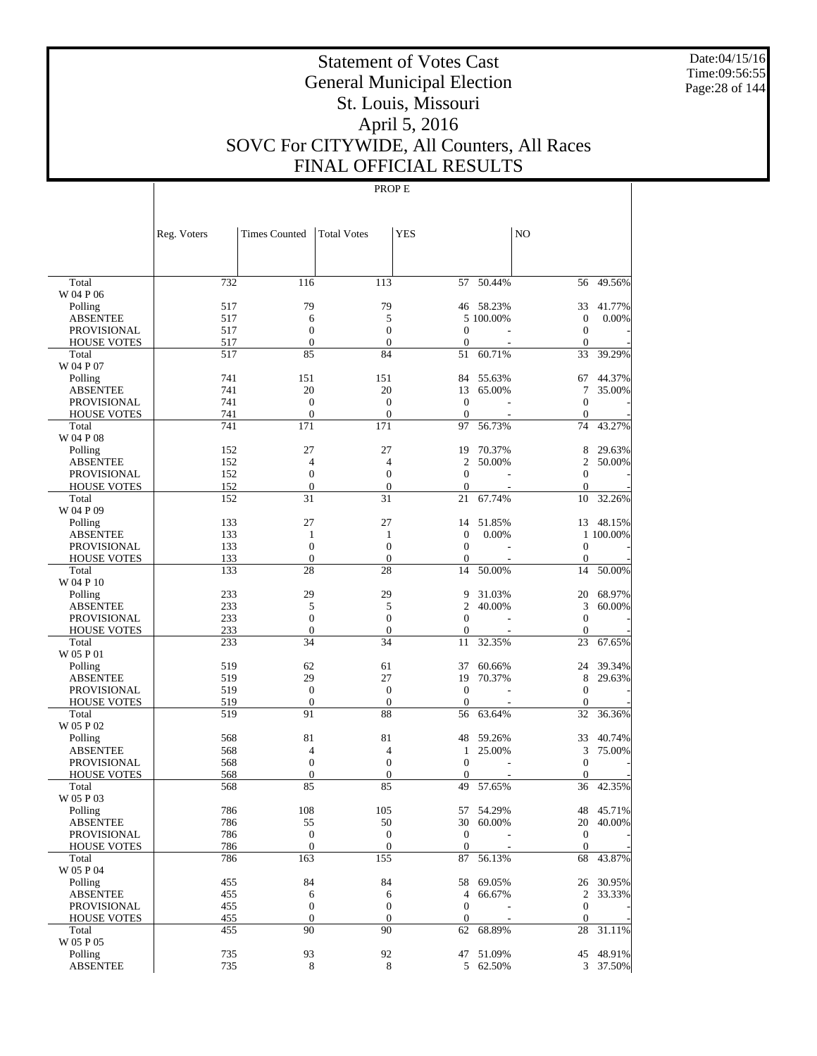Date:04/15/16 Time:09:56:55 Page:28 of 144

# Statement of Votes Cast General Municipal Election St. Louis, Missouri April 5, 2016 SOVC For CITYWIDE, All Counters, All Races FINAL OFFICIAL RESULTS

|                                       | Reg. Voters | <b>Times Counted</b>             | <b>Total Votes</b>                   | <b>YES</b>                     |           | N <sub>O</sub>                 |           |
|---------------------------------------|-------------|----------------------------------|--------------------------------------|--------------------------------|-----------|--------------------------------|-----------|
|                                       |             |                                  |                                      |                                |           |                                |           |
| Total                                 | 732         | 116                              | 113                                  | 57                             | 50.44%    | 56                             | 49.56%    |
| W 04 P 06                             |             |                                  |                                      |                                |           |                                |           |
| Polling                               | 517         | 79                               | 79                                   |                                | 46 58.23% | 33                             | 41.77%    |
| <b>ABSENTEE</b>                       | 517         | 6                                | 5                                    |                                | 5 100.00% | $\boldsymbol{0}$               | 0.00%     |
| <b>PROVISIONAL</b>                    | 517         | $\boldsymbol{0}$                 | $\boldsymbol{0}$                     | $\mathbf{0}$                   |           | $\boldsymbol{0}$               |           |
| <b>HOUSE VOTES</b>                    | 517         | $\mathbf{0}$                     | $\overline{0}$                       | $\theta$                       |           | $\Omega$                       |           |
| Total<br>W 04 P 07                    | 517         | 85                               | 84                                   | 51                             | 60.71%    | 33                             | 39.29%    |
| Polling                               | 741         | 151                              | 151                                  | 84                             | 55.63%    | 67                             | 44.37%    |
| <b>ABSENTEE</b>                       | 741         | 20                               | 20                                   | 13                             | 65.00%    | 7                              | 35.00%    |
| <b>PROVISIONAL</b>                    | 741         | $\boldsymbol{0}$                 | $\mathbf{0}$                         | $\mathbf{0}$                   |           | $\mathbf{0}$                   |           |
| <b>HOUSE VOTES</b>                    | 741         | $\mathbf{0}$                     | $\boldsymbol{0}$                     | $\mathbf{0}$                   |           | $\mathbf{0}$                   |           |
| Total                                 | 741         | 171                              | 171                                  | 97                             | 56.73%    | 74                             | 43.27%    |
| W 04 P 08                             |             |                                  |                                      |                                |           |                                |           |
| Polling                               | 152         | 27                               | 27                                   | 19                             | 70.37%    | 8                              | 29.63%    |
| <b>ABSENTEE</b>                       | 152         | $\overline{4}$                   | $\overline{4}$                       | 2                              | 50.00%    | $\overline{2}$                 | 50.00%    |
| <b>PROVISIONAL</b>                    | 152         | $\boldsymbol{0}$                 | $\boldsymbol{0}$                     | $\mathbf{0}$                   |           | $\boldsymbol{0}$               |           |
| <b>HOUSE VOTES</b>                    | 152         | $\mathbf{0}$                     | $\overline{0}$                       | $\theta$                       |           | $\Omega$                       |           |
| Total                                 | 152         | 31                               | 31                                   | 21                             | 67.74%    | 10                             | 32.26%    |
| W 04 P 09                             |             |                                  |                                      |                                |           |                                |           |
| Polling                               | 133         | 27                               | 27                                   | 14                             | 51.85%    |                                | 13 48.15% |
| <b>ABSENTEE</b><br><b>PROVISIONAL</b> | 133<br>133  | 1<br>$\boldsymbol{0}$            | $\mathbf{1}$<br>$\mathbf{0}$         | $\mathbf{0}$<br>$\mathbf{0}$   | 0.00%     | $\boldsymbol{0}$               | 1 100.00% |
| <b>HOUSE VOTES</b>                    | 133         | $\mathbf{0}$                     | $\boldsymbol{0}$                     | $\mathbf{0}$                   |           | $\mathbf{0}$                   |           |
| Total                                 | 133         | 28                               | 28                                   | 14                             | 50.00%    | 14                             | 50.00%    |
| W 04 P 10                             |             |                                  |                                      |                                |           |                                |           |
| Polling                               | 233         | 29                               | 29                                   | 9                              | 31.03%    | 20                             | 68.97%    |
| <b>ABSENTEE</b>                       | 233         | 5                                | 5                                    | $\mathfrak{2}$                 | 40.00%    | 3                              | 60.00%    |
| <b>PROVISIONAL</b>                    | 233         | $\boldsymbol{0}$                 | $\mathbf{0}$                         | $\theta$                       |           | $\mathbf{0}$                   |           |
| <b>HOUSE VOTES</b>                    | 233         | $\mathbf{0}$                     | $\boldsymbol{0}$                     | $\mathbf{0}$                   |           | $\Omega$                       |           |
| Total                                 | 233         | 34                               | 34                                   | 11                             | 32.35%    | 23                             | 67.65%    |
| W 05 P 01                             |             |                                  |                                      |                                |           |                                |           |
| Polling                               | 519         | 62                               | 61                                   | 37                             | 60.66%    | 24                             | 39.34%    |
| ABSENTEE                              | 519         | 29                               | 27                                   | 19                             | 70.37%    | 8                              | 29.63%    |
| <b>PROVISIONAL</b>                    | 519         | $\mathbf{0}$                     | $\mathbf{0}$                         | $\mathbf{0}$                   |           | $\theta$                       |           |
| <b>HOUSE VOTES</b>                    | 519         | $\boldsymbol{0}$                 | $\boldsymbol{0}$                     | $\mathbf{0}$                   |           | $\mathbf{0}$                   |           |
| Total<br>W 05 P 02                    | 519         | 91                               | 88                                   | 56                             | 63.64%    | 32                             | 36.36%    |
| Polling                               | 568         | 81                               | 81                                   | 48                             | 59.26%    | 33                             | 40.74%    |
| <b>ABSENTEE</b>                       | 568         | $\overline{4}$                   | $\overline{4}$                       | 1                              | 25.00%    | 3                              | 75.00%    |
| <b>PROVISIONAL</b>                    | 568         | $\boldsymbol{0}$                 | $\boldsymbol{0}$                     | $\mathbf{0}$                   |           | $\mathbf{0}$                   |           |
| <b>HOUSE VOTES</b>                    | 568         | $\mathbf{0}$                     | $\theta$                             | $\mathbf{0}$                   |           | $\Omega$                       |           |
| Total                                 | 568         | 85                               | 85                                   | 49                             | 57.65%    | 36                             | 42.35%    |
| W 05 P 03                             |             |                                  |                                      |                                |           |                                |           |
| Polling                               | 786         | 108                              | 105                                  | 57                             | 54.29%    |                                | 48 45.71% |
| <b>ABSENTEE</b>                       | 786         | 55                               | 50                                   |                                | 30 60.00% |                                | 20 40.00% |
| PROVISIONAL                           | 786         | $\boldsymbol{0}$                 | $\boldsymbol{0}$                     | $\mathbf{0}$                   |           | $\mathbf{0}$                   |           |
| <b>HOUSE VOTES</b>                    | 786         | $\mathbf{0}$                     | $\boldsymbol{0}$                     | $\mathbf{0}$                   |           | $\theta$                       |           |
| Total                                 | 786         | 163                              | 155                                  | 87                             | 56.13%    | 68                             | 43.87%    |
| W 05 P 04                             |             |                                  |                                      |                                |           |                                |           |
| Polling                               | 455         | 84                               | 84                                   | 58                             | 69.05%    |                                | 26 30.95% |
| <b>ABSENTEE</b>                       | 455         | 6                                | 6                                    | $\overline{4}$<br>$\mathbf{0}$ | 66.67%    | $\sqrt{2}$<br>$\boldsymbol{0}$ | 33.33%    |
| PROVISIONAL<br><b>HOUSE VOTES</b>     | 455<br>455  | $\boldsymbol{0}$<br>$\mathbf{0}$ | $\boldsymbol{0}$<br>$\boldsymbol{0}$ | $\boldsymbol{0}$               |           | $\mathbf{0}$                   |           |
| Total                                 | 455         | 90                               | 90                                   | 62                             | 68.89%    | 28                             | 31.11%    |
| W 05 P 05                             |             |                                  |                                      |                                |           |                                |           |
| Polling                               | 735         | 93                               | 92                                   | 47                             | 51.09%    |                                | 45 48.91% |
| <b>ABSENTEE</b>                       | 735         | 8                                | 8                                    |                                | 5 62.50%  |                                | 3 37.50%  |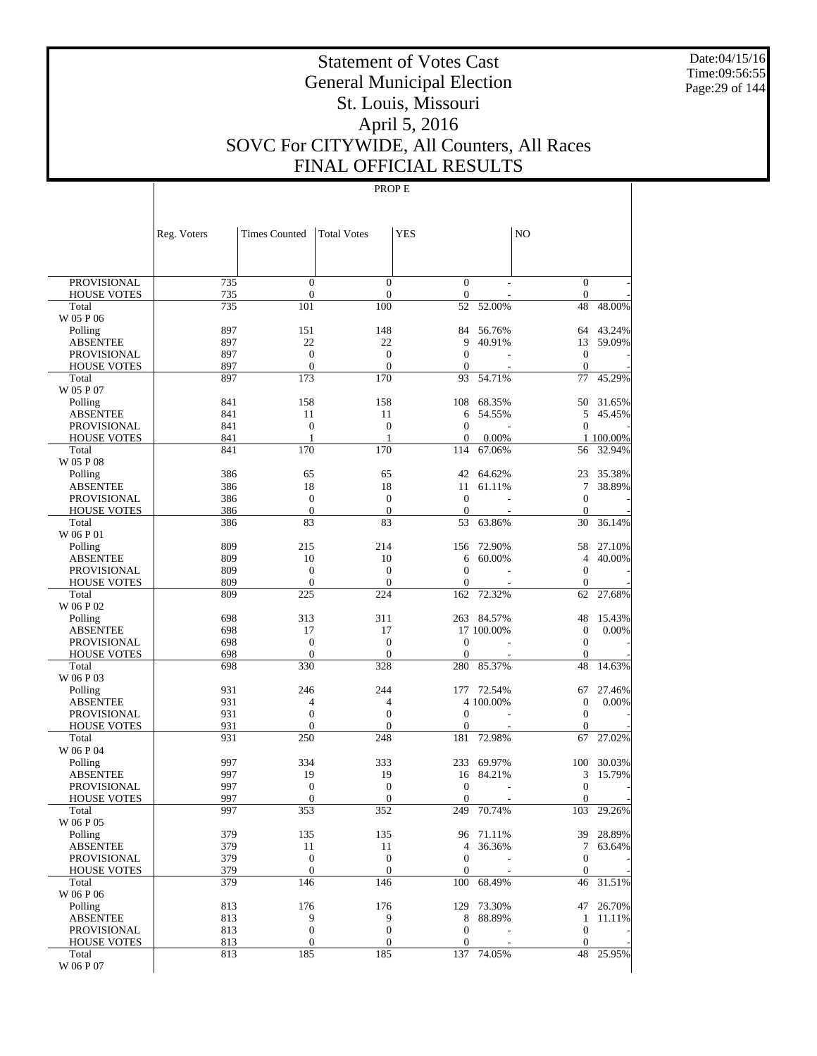Date:04/15/16 Time:09:56:55 Page:29 of 144

# Statement of Votes Cast General Municipal Election St. Louis, Missouri April 5, 2016 SOVC For CITYWIDE, All Counters, All Races FINAL OFFICIAL RESULTS

|                             | Reg. Voters | <b>Times Counted</b>    | <b>Total Votes</b>      | <b>YES</b>              |                 | N <sub>O</sub>     |                     |
|-----------------------------|-------------|-------------------------|-------------------------|-------------------------|-----------------|--------------------|---------------------|
|                             |             |                         |                         |                         |                 |                    |                     |
| <b>PROVISIONAL</b>          | 735         | $\boldsymbol{0}$        | $\boldsymbol{0}$        | $\overline{0}$          |                 | $\mathbf{0}$       |                     |
| <b>HOUSE VOTES</b><br>Total | 735<br>735  | $\boldsymbol{0}$<br>101 | $\boldsymbol{0}$<br>100 | $\boldsymbol{0}$<br>52  | 52.00%          | $\mathbf{0}$<br>48 | 48.00%              |
| W 05 P 06                   |             |                         |                         |                         |                 |                    |                     |
| Polling                     | 897         | 151                     | 148                     | 84                      | 56.76%          | 64                 | 43.24%              |
| <b>ABSENTEE</b>             | 897         | 22                      | 22                      | 9                       | 40.91%          | 13                 | 59.09%              |
| <b>PROVISIONAL</b>          | 897         | $\mathbf{0}$            | $\mathbf{0}$            | $\mathbf{0}$            |                 | $\boldsymbol{0}$   |                     |
| <b>HOUSE VOTES</b>          | 897         | $\mathbf{0}$            | $\overline{0}$          | $\boldsymbol{0}$        |                 | $\mathbf{0}$       |                     |
| Total                       | 897         | 173                     | 170                     | 93                      | 54.71%          | 77                 | 45.29%              |
| W 05 P 07                   |             |                         |                         |                         |                 |                    |                     |
| Polling                     | 841         | 158                     | 158                     | 108                     | 68.35%          | 50                 | 31.65%              |
| <b>ABSENTEE</b>             | 841         | 11                      | 11                      | 6                       | 54.55%          | 5                  | 45.45%              |
| <b>PROVISIONAL</b>          | 841         | $\mathbf{0}$            | $\boldsymbol{0}$        | $\boldsymbol{0}$        |                 | $\boldsymbol{0}$   |                     |
| <b>HOUSE VOTES</b><br>Total | 841<br>841  | 1<br>170                | $\mathbf{1}$<br>170     | $\boldsymbol{0}$<br>114 | 0.00%<br>67.06% | 56                 | 1 100.00%<br>32.94% |
| W 05 P 08                   |             |                         |                         |                         |                 |                    |                     |
| Polling                     | 386         | 65                      | 65                      | 42                      | 64.62%          | 23                 | 35.38%              |
| <b>ABSENTEE</b>             | 386         | 18                      | 18                      | 11                      | 61.11%          | 7                  | 38.89%              |
| <b>PROVISIONAL</b>          | 386         | $\mathbf{0}$            | $\mathbf{0}$            | $\boldsymbol{0}$        |                 | $\boldsymbol{0}$   |                     |
| <b>HOUSE VOTES</b>          | 386         | $\boldsymbol{0}$        | $\mathbf{0}$            | $\boldsymbol{0}$        |                 | $\mathbf{0}$       |                     |
| Total                       | 386         | 83                      | 83                      | 53                      | 63.86%          | 30                 | 36.14%              |
| W 06 P 01                   |             |                         |                         |                         |                 |                    |                     |
| Polling                     | 809         | 215                     | 214                     | 156                     | 72.90%          | 58                 | 27.10%              |
| <b>ABSENTEE</b>             | 809         | 10                      | 10                      | 6                       | 60.00%          | $\overline{4}$     | 40.00%              |
| <b>PROVISIONAL</b>          | 809         | $\boldsymbol{0}$        | $\boldsymbol{0}$        | $\boldsymbol{0}$        |                 | $\boldsymbol{0}$   |                     |
| <b>HOUSE VOTES</b>          | 809         | $\mathbf{0}$            | $\overline{0}$          | $\mathbf{0}$            |                 | $\mathbf{0}$       |                     |
| Total                       | 809         | 225                     | 224                     | 162                     | 72.32%          | 62                 | 27.68%              |
| W 06 P 02<br>Polling        | 698         | 313                     | 311                     |                         | 263 84.57%      | 48                 | 15.43%              |
| <b>ABSENTEE</b>             | 698         | 17                      | 17                      |                         | 17 100.00%      | $\boldsymbol{0}$   | 0.00%               |
| <b>PROVISIONAL</b>          | 698         | $\mathbf{0}$            | $\boldsymbol{0}$        | $\boldsymbol{0}$        |                 | $\boldsymbol{0}$   |                     |
| <b>HOUSE VOTES</b>          | 698         | $\mathbf{0}$            | $\mathbf{0}$            | $\boldsymbol{0}$        |                 | $\boldsymbol{0}$   |                     |
| Total                       | 698         | 330                     | 328                     | 280                     | 85.37%          | 48                 | 14.63%              |
| W 06 P 03                   |             |                         |                         |                         |                 |                    |                     |
| Polling                     | 931         | 246                     | 244                     |                         | 177 72.54%      | 67                 | 27.46%              |
| <b>ABSENTEE</b>             | 931         | 4                       | 4                       |                         | 4 100.00%       | $\boldsymbol{0}$   | 0.00%               |
| <b>PROVISIONAL</b>          | 931         | $\boldsymbol{0}$        | $\boldsymbol{0}$        | $\mathbf{0}$            |                 | $\boldsymbol{0}$   |                     |
| <b>HOUSE VOTES</b>          | 931         | $\mathbf{0}$            | $\overline{0}$          | $\overline{0}$          |                 | $\mathbf{0}$       |                     |
| Total                       | 931         | 250                     | 248                     | 181                     | 72.98%          | 67                 | 27.02%              |
| W 06 P 04<br>Polling        | 997         | 334                     | 333                     | 233                     | 69.97%          | 100                | 30.03%              |
| <b>ABSENTEE</b>             | 997         | 19                      | 19                      | 16                      | 84.21%          | 3                  | 15.79%              |
| <b>PROVISIONAL</b>          | 997         | $\boldsymbol{0}$        | $\boldsymbol{0}$        | $\boldsymbol{0}$        |                 | $\boldsymbol{0}$   |                     |
| <b>HOUSE VOTES</b>          | 997         | $\boldsymbol{0}$        | $\mathbf{0}$            | $\boldsymbol{0}$        |                 | $\boldsymbol{0}$   |                     |
| Total                       | 997         | 353                     | 352                     | 249                     | 70.74%          | 103                | 29.26%              |
| W 06 P 05                   |             |                         |                         |                         |                 |                    |                     |
| Polling                     | 379         | 135                     | 135                     |                         | 96 71.11%       |                    | 39 28.89%           |
| <b>ABSENTEE</b>             | 379         | 11                      | 11                      | 4                       | 36.36%          | $\tau$             | 63.64%              |
| <b>PROVISIONAL</b>          | 379         | $\boldsymbol{0}$        | $\boldsymbol{0}$        | $\boldsymbol{0}$        |                 | $\boldsymbol{0}$   |                     |
| <b>HOUSE VOTES</b>          | 379         | $\boldsymbol{0}$        | $\boldsymbol{0}$        | $\boldsymbol{0}$        |                 | $\mathbf{0}$       |                     |
| Total                       | 379         | 146                     | 146                     | 100                     | 68.49%          | 46                 | 31.51%              |
| W 06 P 06<br>Polling        | 813         | 176                     | 176                     |                         | 129 73.30%      |                    | 47 26.70%           |
| <b>ABSENTEE</b>             | 813         | 9                       | 9                       | 8                       | 88.89%          | $\mathbf{1}$       | 11.11%              |
| PROVISIONAL                 | 813         | $\boldsymbol{0}$        | $\boldsymbol{0}$        | $\boldsymbol{0}$        |                 | $\boldsymbol{0}$   |                     |
| <b>HOUSE VOTES</b>          | 813         | $\boldsymbol{0}$        | $\boldsymbol{0}$        | $\boldsymbol{0}$        |                 | $\mathbf{0}$       |                     |
| Total                       | 813         | 185                     | 185                     |                         | 137 74.05%      | 48                 | 25.95%              |
| W 06 P 07                   |             |                         |                         |                         |                 |                    |                     |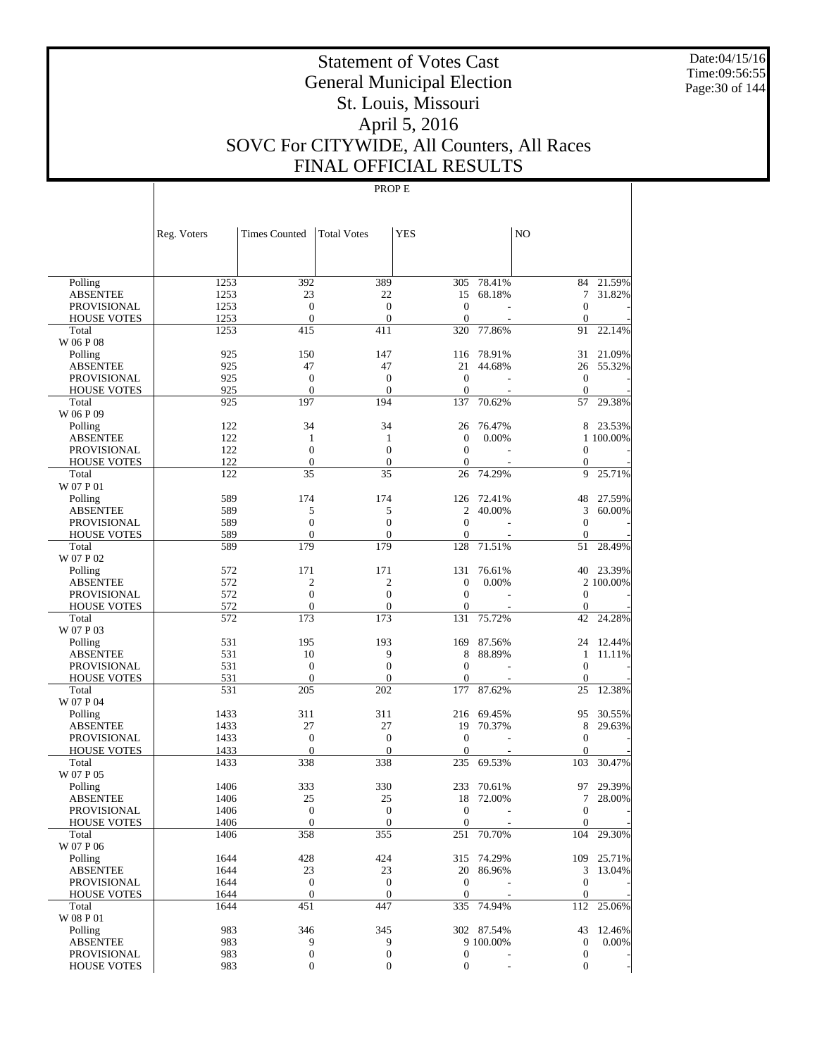Date:04/15/16 Time:09:56:55 Page:30 of 144

# Statement of Votes Cast General Municipal Election St. Louis, Missouri April 5, 2016 SOVC For CITYWIDE, All Counters, All Races FINAL OFFICIAL RESULTS

|                             | Reg. Voters  | <b>Times Counted</b>   | <b>Total Votes</b>     | <b>YES</b>              |            | NO                  |            |
|-----------------------------|--------------|------------------------|------------------------|-------------------------|------------|---------------------|------------|
|                             |              |                        |                        |                         |            |                     |            |
| Polling                     | 1253         | 392                    | 389                    | 305                     | 78.41%     |                     | 84 21.59%  |
| <b>ABSENTEE</b>             | 1253         | 23                     | 22                     | 15                      | 68.18%     | 7                   | 31.82%     |
| <b>PROVISIONAL</b>          | 1253         | $\mathbf{0}$           | $\overline{0}$         | $\theta$                |            | $\mathbf{0}$        |            |
| <b>HOUSE VOTES</b>          | 1253         | $\boldsymbol{0}$       | $\mathbf{0}$           | $\mathbf{0}$            |            | $\boldsymbol{0}$    |            |
| Total                       | 1253         | 415                    | 411                    | 320                     | 77.86%     | 91                  | 22.14%     |
| W 06 P 08                   |              |                        |                        |                         |            |                     |            |
| Polling                     | 925          | 150                    | 147                    | 116                     | 78.91%     | 31                  | 21.09%     |
| <b>ABSENTEE</b>             | 925          | 47                     | 47                     | 21                      | 44.68%     | 26                  | 55.32%     |
| <b>PROVISIONAL</b>          | 925          | $\boldsymbol{0}$       | $\boldsymbol{0}$       | $\mathbf{0}$            | L,         | $\mathbf{0}$        |            |
| <b>HOUSE VOTES</b>          | 925          | $\mathbf{0}$           | $\theta$               | $\mathbf{0}$            |            | $\theta$            |            |
| Total                       | 925          | 197                    | 194                    | 137                     | 70.62%     | 57                  | 29.38%     |
| W 06 P 09                   |              |                        |                        |                         |            |                     |            |
| Polling                     | 122          | 34                     | 34                     | 26                      | 76.47%     | 8                   | 23.53%     |
| <b>ABSENTEE</b>             | 122          | 1                      | 1                      | $\mathbf{0}$            | 0.00%      |                     | 1 100.00%  |
| <b>PROVISIONAL</b>          | 122          | $\mathbf{0}$           | $\overline{0}$         | $\mathbf{0}$            |            | $\mathbf{0}$        |            |
| <b>HOUSE VOTES</b>          | 122<br>122   | $\boldsymbol{0}$<br>35 | $\boldsymbol{0}$<br>35 | $\mathbf{0}$<br>26      | 74.29%     | $\mathbf{0}$<br>9   | 25.71%     |
| Total<br>W 07 P 01          |              |                        |                        |                         |            |                     |            |
| Polling                     | 589          | 174                    | 174                    | 126                     | 72.41%     | 48                  | 27.59%     |
| <b>ABSENTEE</b>             | 589          | 5                      | 5                      | $\mathfrak{2}$          | 40.00%     | 3                   | 60.00%     |
| <b>PROVISIONAL</b>          | 589          | $\mathbf{0}$           | $\overline{0}$         | $\mathbf{0}$            | L,         | $\mathbf{0}$        |            |
| <b>HOUSE VOTES</b>          | 589          | $\mathbf{0}$           | $\theta$               | $\mathbf{0}$            |            | $\mathbf{0}$        |            |
| Total                       | 589          | 179                    | 179                    | 128                     | 71.51%     | 51                  | 28.49%     |
| W 07 P 02                   |              |                        |                        |                         |            |                     |            |
| Polling                     | 572          | 171                    | 171                    | 131                     | 76.61%     | 40                  | 23.39%     |
| <b>ABSENTEE</b>             | 572          | $\mathfrak{2}$         | $\overline{c}$         | $\mathbf{0}$            | 0.00%      |                     | 2 100.00%  |
| <b>PROVISIONAL</b>          | 572          | $\mathbf{0}$           | $\overline{0}$         | $\mathbf{0}$            |            | $\mathbf{0}$        |            |
| <b>HOUSE VOTES</b>          | 572          | $\mathbf{0}$           | $\mathbf{0}$           | $\mathbf{0}$            |            | $\mathbf{0}$        |            |
| Total                       | 572          | 173                    | 173                    | 131                     | 75.72%     | 42                  | 24.28%     |
| W 07 P 03                   |              |                        |                        |                         |            |                     |            |
| Polling                     | 531          | 195                    | 193                    | 169                     | 87.56%     | 24                  | 12.44%     |
| <b>ABSENTEE</b>             | 531          | 10                     | 9                      | 8                       | 88.89%     | 1                   | 11.11%     |
| <b>PROVISIONAL</b>          | 531          | $\boldsymbol{0}$       | $\overline{0}$         | $\mathbf{0}$            |            | $\theta$            |            |
| <b>HOUSE VOTES</b>          | 531          | $\mathbf{0}$           | $\theta$               | $\boldsymbol{0}$        |            | $\mathbf{0}$        |            |
| Total                       | 531          | 205                    | 202                    | 177                     | 87.62%     | 25                  | 12.38%     |
| W 07 P 04                   |              |                        |                        |                         |            |                     |            |
| Polling                     | 1433         | 311                    | 311                    | 216                     | 69.45%     | 95                  | 30.55%     |
| <b>ABSENTEE</b>             | 1433         | 27                     | 27                     | 19                      | 70.37%     | 8                   | 29.63%     |
| <b>PROVISIONAL</b>          | 1433         | $\mathbf{0}$           | $\overline{0}$         | $\mathbf{0}$            |            | $\mathbf{0}$        |            |
| <b>HOUSE VOTES</b><br>Total | 1433<br>1433 | $\mathbf{0}$<br>338    | $\mathbf{0}$<br>338    | $\boldsymbol{0}$<br>235 | 69.53%     | $\mathbf{0}$<br>103 | 30.47%     |
| W 07 P 05                   |              |                        |                        |                         |            |                     |            |
| Polling                     | 1406         | 333                    | 330                    | 233                     | 70.61%     | 97                  | 29.39%     |
| <b>ABSENTEE</b>             | 1406         | 25                     | 25                     | 18                      | 72.00%     | 7                   | 28.00%     |
| PROVISIONAL                 | 1406         | $\mathbf{0}$           | $\mathbf{0}$           | $\Omega$                |            | $\Omega$            |            |
| <b>HOUSE VOTES</b>          | 1406         | $\boldsymbol{0}$       | $\overline{0}$         | $\mathbf{0}$            |            | $\overline{0}$      |            |
| Total                       | 1406         | 358                    | 355                    |                         | 251 70.70% |                     | 104 29.30% |
| W 07 P 06                   |              |                        |                        |                         |            |                     |            |
| Polling                     | 1644         | 428                    | 424                    |                         | 315 74.29% |                     | 109 25.71% |
| <b>ABSENTEE</b>             | 1644         | 23                     | 23                     |                         | 20 86.96%  |                     | 3 13.04%   |
| <b>PROVISIONAL</b>          | 1644         | $\boldsymbol{0}$       | $\boldsymbol{0}$       | $\mathbf{0}$            |            | $\overline{0}$      |            |
| <b>HOUSE VOTES</b>          | 1644         | $\mathbf{0}$           | $\mathbf{0}$           | $\overline{0}$          |            | $\mathbf{0}$        |            |
| Total                       | 1644         | 451                    | 447                    | 335                     | 74.94%     | 112                 | 25.06%     |
| W 08 P 01                   |              |                        |                        |                         |            |                     |            |
| Polling                     | 983          | 346                    | 345                    |                         | 302 87.54% | 43                  | 12.46%     |
| <b>ABSENTEE</b>             | 983          | 9                      | 9                      |                         | 9 100.00%  | $\mathbf{0}$        | 0.00%      |
| <b>PROVISIONAL</b>          | 983          | $\boldsymbol{0}$       | $\boldsymbol{0}$       | $\boldsymbol{0}$        |            | $\boldsymbol{0}$    |            |
| <b>HOUSE VOTES</b>          | 983          | 0                      | $\boldsymbol{0}$       | $\mathbf{0}$            |            | $\overline{0}$      |            |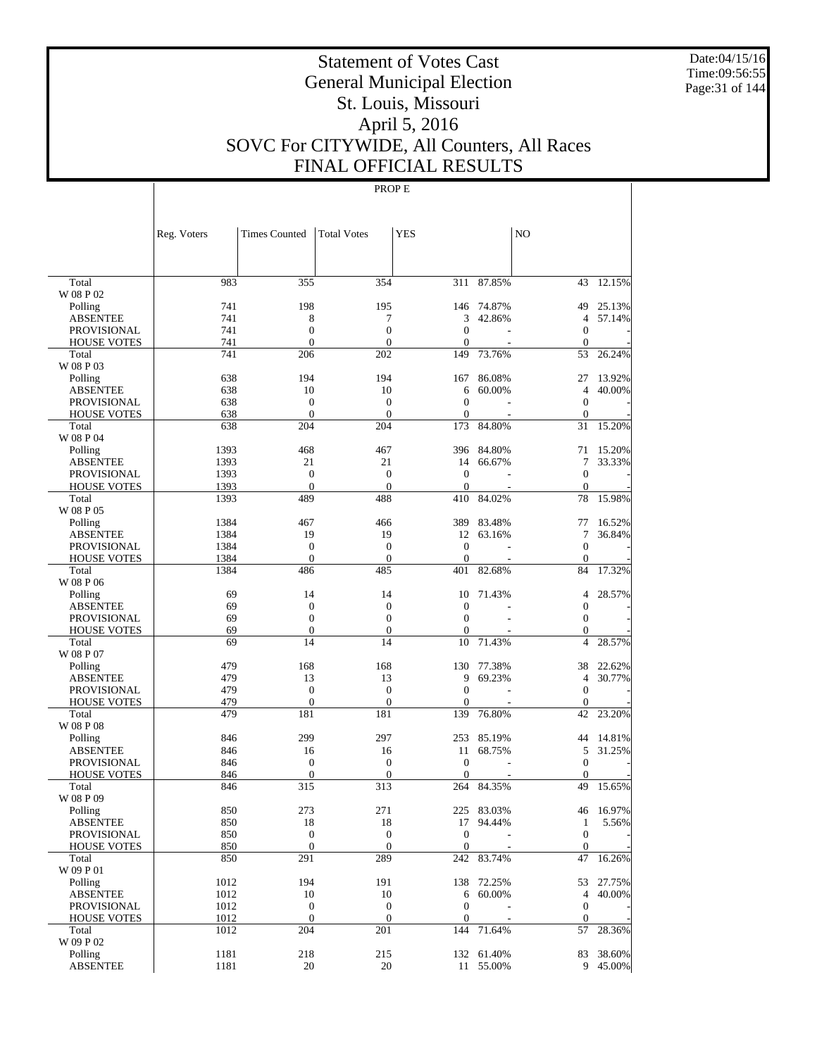Date:04/15/16 Time:09:56:55 Page:31 of 144

# Statement of Votes Cast General Municipal Election St. Louis, Missouri April 5, 2016 SOVC For CITYWIDE, All Counters, All Races FINAL OFFICIAL RESULTS

|                             | Reg. Voters  | <b>Times Counted</b>             | <b>Total Votes</b>      | YES                 |            | N <sub>O</sub>               |           |
|-----------------------------|--------------|----------------------------------|-------------------------|---------------------|------------|------------------------------|-----------|
|                             |              |                                  |                         |                     |            |                              |           |
| Total                       | 983          | 355                              | 354                     | 311                 | 87.85%     | 43                           | 12.15%    |
| W 08 P 02                   |              |                                  |                         |                     |            |                              |           |
| Polling                     | 741          | 198                              | 195                     |                     | 146 74.87% | 49                           | 25.13%    |
| <b>ABSENTEE</b>             | 741          | 8                                | 7                       | 3                   | 42.86%     | $\overline{4}$               | 57.14%    |
| <b>PROVISIONAL</b>          | 741<br>741   | $\boldsymbol{0}$<br>$\mathbf{0}$ | $\boldsymbol{0}$        | $\mathbf{0}$        |            | $\mathbf{0}$<br>$\mathbf{0}$ |           |
| <b>HOUSE VOTES</b><br>Total | 741          | 206                              | $\boldsymbol{0}$<br>202 | $\mathbf{0}$<br>149 | 73.76%     | 53                           | 26.24%    |
| W 08 P 03                   |              |                                  |                         |                     |            |                              |           |
| Polling                     | 638          | 194                              | 194                     | 167                 | 86.08%     | 27                           | 13.92%    |
| <b>ABSENTEE</b>             | 638          | 10                               | 10                      | 6                   | 60.00%     | $\overline{4}$               | 40.00%    |
| <b>PROVISIONAL</b>          | 638          | $\mathbf{0}$                     | $\boldsymbol{0}$        | $\mathbf{0}$        |            | $\mathbf{0}$                 |           |
| <b>HOUSE VOTES</b>          | 638          | $\mathbf{0}$                     | $\theta$                | $\mathbf{0}$        |            | $\mathbf{0}$                 |           |
| Total                       | 638          | 204                              | 204                     | 173                 | 84.80%     | 31                           | 15.20%    |
| W 08 P 04                   |              |                                  |                         |                     |            |                              |           |
| Polling                     | 1393         | 468                              | 467                     | 396                 | 84.80%     | 71                           | 15.20%    |
| <b>ABSENTEE</b>             | 1393         | 21                               | 21                      | 14                  | 66.67%     | 7                            | 33.33%    |
| <b>PROVISIONAL</b>          | 1393         | $\boldsymbol{0}$                 | $\boldsymbol{0}$        | $\mathbf{0}$        |            | $\mathbf{0}$                 |           |
| <b>HOUSE VOTES</b>          | 1393         | $\theta$                         | $\theta$                | $\mathbf{0}$        |            | $\mathbf{0}$                 |           |
| Total                       | 1393         | 489                              | 488                     | 410                 | 84.02%     | 78                           | 15.98%    |
| W 08 P 05                   |              |                                  |                         |                     |            |                              |           |
| Polling                     | 1384         | 467                              | 466                     | 389                 | 83.48%     | 77                           | 16.52%    |
| <b>ABSENTEE</b>             | 1384         | 19                               | 19                      | 12                  | 63.16%     | 7                            | 36.84%    |
| <b>PROVISIONAL</b>          | 1384         | $\boldsymbol{0}$                 | $\boldsymbol{0}$        | $\mathbf{0}$        |            | $\mathbf{0}$                 |           |
| <b>HOUSE VOTES</b><br>Total | 1384<br>1384 | $\boldsymbol{0}$<br>486          | $\boldsymbol{0}$<br>485 | $\mathbf{0}$<br>401 | 82.68%     | $\mathbf{0}$<br>84           | 17.32%    |
| W 08 P 06                   |              |                                  |                         |                     |            |                              |           |
| Polling                     | 69           | 14                               | 14                      | 10                  | 71.43%     | $\overline{4}$               | 28.57%    |
| <b>ABSENTEE</b>             | 69           | $\boldsymbol{0}$                 | $\boldsymbol{0}$        | $\mathbf{0}$        |            | $\mathbf{0}$                 |           |
| <b>PROVISIONAL</b>          | 69           | $\boldsymbol{0}$                 | $\boldsymbol{0}$        | $\mathbf{0}$        |            | $\mathbf{0}$                 |           |
| <b>HOUSE VOTES</b>          | 69           | $\boldsymbol{0}$                 | $\boldsymbol{0}$        | $\mathbf{0}$        |            | $\mathbf{0}$                 |           |
| Total                       | 69           | 14                               | 14                      | 10                  | 71.43%     | $\overline{4}$               | 28.57%    |
| W 08 P 07                   |              |                                  |                         |                     |            |                              |           |
| Polling                     | 479          | 168                              | 168                     | 130                 | 77.38%     | 38                           | 22.62%    |
| <b>ABSENTEE</b>             | 479          | 13                               | 13                      | 9                   | 69.23%     | $\overline{4}$               | 30.77%    |
| <b>PROVISIONAL</b>          | 479          | $\mathbf{0}$                     | $\theta$                | $\mathbf{0}$        |            | $\mathbf{0}$                 |           |
| <b>HOUSE VOTES</b>          | 479          | $\boldsymbol{0}$                 | $\boldsymbol{0}$        | $\mathbf{0}$        |            | $\mathbf{0}$                 |           |
| Total                       | 479          | 181                              | 181                     | 139                 | 76.80%     | 42                           | 23.20%    |
| W 08 P 08                   |              |                                  |                         |                     |            |                              |           |
| Polling                     | 846          | 299                              | 297                     | 253                 | 85.19%     | 44                           | 14.81%    |
| <b>ABSENTEE</b>             | 846          | 16                               | 16                      | 11                  | 68.75%     | 5                            | 31.25%    |
| <b>PROVISIONAL</b>          | 846          | $\boldsymbol{0}$                 | $\boldsymbol{0}$        | $\theta$            |            | $\mathbf{0}$                 |           |
| <b>HOUSE VOTES</b><br>Total | 846          | $\mathbf{0}$                     | $\boldsymbol{0}$        | $\mathbf{0}$<br>264 |            | $\theta$<br>49               |           |
| W 08 P 09                   | 846          | 315                              | 313                     |                     | 84.35%     |                              | 15.65%    |
| Polling                     | 850          | 273                              | 271                     |                     | 225 83.03% |                              | 46 16.97% |
| ABSENTEE                    | 850          | 18                               | 18                      |                     | 17 94.44%  | $\mathbf{1}$                 | 5.56%     |
| PROVISIONAL                 | 850          | $\boldsymbol{0}$                 | $\mathbf{0}$            | $\boldsymbol{0}$    |            | $\mathbf{0}$                 |           |
| <b>HOUSE VOTES</b>          | 850          | $\mathbf{0}$                     | $\mathbf{0}$            | $\boldsymbol{0}$    |            | $\mathbf{0}$                 |           |
| Total                       | 850          | 291                              | 289                     |                     | 242 83.74% | 47                           | 16.26%    |
| W 09 P 01                   |              |                                  |                         |                     |            |                              |           |
| Polling                     | 1012         | 194                              | 191                     |                     | 138 72.25% |                              | 53 27.75% |
| <b>ABSENTEE</b>             | 1012         | 10                               | 10                      | 6                   | 60.00%     | 4                            | 40.00%    |
| PROVISIONAL                 | 1012         | $\boldsymbol{0}$                 | $\mathbf{0}$            | $\boldsymbol{0}$    |            | $\boldsymbol{0}$             |           |
| <b>HOUSE VOTES</b>          | 1012         | $\mathbf{0}$                     | $\boldsymbol{0}$        | $\boldsymbol{0}$    |            | $\mathbf{0}$                 |           |
| Total                       | 1012         | 204                              | 201                     | 144                 | 71.64%     | 57                           | 28.36%    |
| W 09 P 02                   |              |                                  |                         |                     |            |                              |           |
| Polling                     | 1181         | 218                              | 215                     |                     | 132 61.40% |                              | 83 38.60% |
| <b>ABSENTEE</b>             | 1181         | 20                               | 20                      |                     | 11 55.00%  |                              | 9 45.00%  |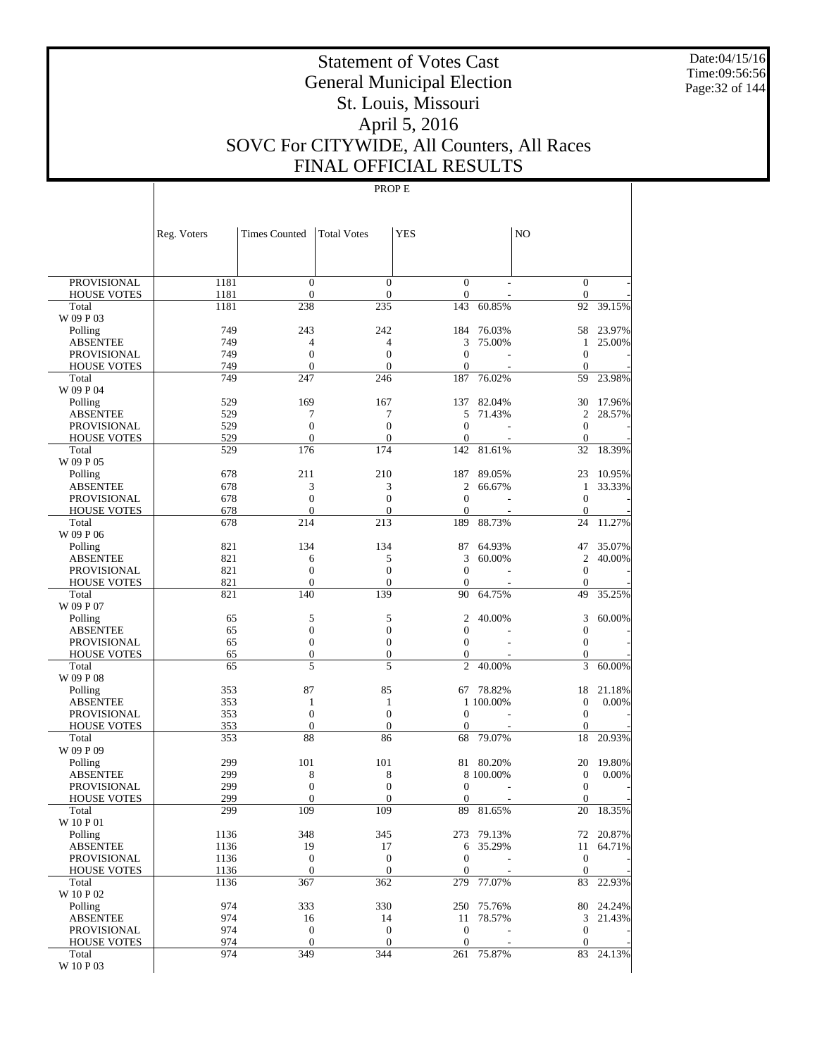Date:04/15/16 Time:09:56:56 Page:32 of 144

# Statement of Votes Cast General Municipal Election St. Louis, Missouri April 5, 2016 SOVC For CITYWIDE, All Counters, All Races FINAL OFFICIAL RESULTS

|                                       | Reg. Voters  | <b>Times Counted</b>                 | <b>Total Votes</b>                   | <b>YES</b>              |            | N <sub>O</sub>                       |           |
|---------------------------------------|--------------|--------------------------------------|--------------------------------------|-------------------------|------------|--------------------------------------|-----------|
|                                       |              |                                      |                                      |                         |            |                                      |           |
| <b>PROVISIONAL</b>                    | 1181         | $\boldsymbol{0}$<br>$\mathbf{0}$     | $\boldsymbol{0}$                     | $\boldsymbol{0}$        |            | $\bar{0}$<br>$\mathbf{0}$            |           |
| <b>HOUSE VOTES</b><br>Total           | 1181<br>1181 | 238                                  | $\boldsymbol{0}$<br>235              | $\boldsymbol{0}$<br>143 | 60.85%     | 92                                   | 39.15%    |
| W 09 P 03                             |              |                                      |                                      |                         |            |                                      |           |
| Polling                               | 749          | 243                                  | 242                                  | 184                     | 76.03%     | 58                                   | 23.97%    |
| <b>ABSENTEE</b>                       | 749          | 4                                    | 4                                    | 3                       | 75.00%     | 1                                    | 25.00%    |
| <b>PROVISIONAL</b>                    | 749          | $\boldsymbol{0}$                     | $\boldsymbol{0}$                     | $\mathbf{0}$            |            | $\mathbf{0}$                         |           |
| <b>HOUSE VOTES</b>                    | 749          | $\mathbf{0}$                         | $\overline{0}$                       | $\boldsymbol{0}$        |            | $\mathbf{0}$                         |           |
| Total                                 | 749          | 247                                  | 246                                  | 187                     | 76.02%     | 59                                   | 23.98%    |
| W 09 P 04<br>Polling                  | 529          | 169                                  | 167                                  | 137                     | 82.04%     | 30                                   | 17.96%    |
| <b>ABSENTEE</b>                       | 529          | 7                                    | 7                                    | 5                       | 71.43%     | 2                                    | 28.57%    |
| <b>PROVISIONAL</b>                    | 529          | $\boldsymbol{0}$                     | $\boldsymbol{0}$                     | $\mathbf{0}$            |            | $\boldsymbol{0}$                     |           |
| <b>HOUSE VOTES</b>                    | 529          | $\mathbf{0}$                         | $\boldsymbol{0}$                     | $\boldsymbol{0}$        |            | $\mathbf{0}$                         |           |
| Total                                 | 529          | 176                                  | 174                                  | 142                     | 81.61%     | 32                                   | 18.39%    |
| W 09 P 05                             |              |                                      |                                      |                         |            |                                      |           |
| Polling                               | 678          | 211                                  | 210                                  | 187                     | 89.05%     | 23                                   | 10.95%    |
| <b>ABSENTEE</b>                       | 678          | 3                                    | 3                                    | $\mathfrak{2}$          | 66.67%     | 1                                    | 33.33%    |
| <b>PROVISIONAL</b>                    | 678          | $\boldsymbol{0}$                     | $\boldsymbol{0}$                     | $\boldsymbol{0}$        |            | $\boldsymbol{0}$                     |           |
| <b>HOUSE VOTES</b>                    | 678          | $\mathbf{0}$                         | $\overline{0}$                       | $\boldsymbol{0}$        |            | $\boldsymbol{0}$                     |           |
| Total<br>W 09 P 06                    | 678          | 214                                  | 213                                  | 189                     | 88.73%     | 24                                   | 11.27%    |
| Polling                               | 821          | 134                                  | 134                                  | 87                      | 64.93%     | 47                                   | 35.07%    |
| <b>ABSENTEE</b>                       | 821          | 6                                    | 5                                    | 3                       | 60.00%     | 2                                    | 40.00%    |
| <b>PROVISIONAL</b>                    | 821          | $\boldsymbol{0}$                     | $\boldsymbol{0}$                     | $\boldsymbol{0}$        |            | $\boldsymbol{0}$                     |           |
| <b>HOUSE VOTES</b>                    | 821          | $\mathbf{0}$                         | $\overline{0}$                       | $\mathbf{0}$            |            | $\mathbf{0}$                         |           |
| Total                                 | 821          | 140                                  | 139                                  | 90                      | 64.75%     | 49                                   | 35.25%    |
| W 09 P 07                             |              |                                      |                                      |                         |            |                                      |           |
| Polling                               | 65           | 5                                    | 5                                    | $\mathfrak{2}$          | 40.00%     | 3                                    | 60.00%    |
| <b>ABSENTEE</b><br><b>PROVISIONAL</b> | 65<br>65     | $\boldsymbol{0}$<br>$\boldsymbol{0}$ | $\boldsymbol{0}$<br>$\boldsymbol{0}$ | 0<br>$\overline{0}$     |            | $\boldsymbol{0}$<br>$\boldsymbol{0}$ |           |
| <b>HOUSE VOTES</b>                    | 65           | $\boldsymbol{0}$                     | $\boldsymbol{0}$                     | $\boldsymbol{0}$        |            | $\boldsymbol{0}$                     |           |
| Total                                 | 65           | 5                                    | 5                                    | $\overline{2}$          | 40.00%     | 3                                    | 60.00%    |
| W 09 P 08                             |              |                                      |                                      |                         |            |                                      |           |
| Polling                               | 353          | 87                                   | 85                                   | 67                      | 78.82%     | 18                                   | 21.18%    |
| <b>ABSENTEE</b>                       | 353          | $\mathbf{1}$                         | 1                                    |                         | 1 100.00%  | $\boldsymbol{0}$                     | 0.00%     |
| <b>PROVISIONAL</b>                    | 353          | $\mathbf{0}$                         | $\boldsymbol{0}$                     | $\mathbf{0}$            |            | $\boldsymbol{0}$                     |           |
| <b>HOUSE VOTES</b>                    | 353          | $\boldsymbol{0}$                     | $\boldsymbol{0}$                     | $\overline{0}$          |            | $\boldsymbol{0}$                     |           |
| Total<br>W 09 P 09                    | 353          | 88                                   | 86                                   | 68                      | 79.07%     | 18                                   | 20.93%    |
| Polling                               | 299          | 101                                  | 101                                  | 81                      | 80.20%     | 20                                   | 19.80%    |
| <b>ABSENTEE</b>                       | 299          | 8                                    | 8                                    |                         | 8 100.00%  | $\boldsymbol{0}$                     | 0.00%     |
| <b>PROVISIONAL</b>                    | 299          | $\boldsymbol{0}$                     | $\boldsymbol{0}$                     | 0                       |            | $\boldsymbol{0}$                     |           |
| <b>HOUSE VOTES</b>                    | 299          | $\overline{0}$                       | $\boldsymbol{0}$                     | $\boldsymbol{0}$        |            | $\boldsymbol{0}$                     |           |
| Total                                 | 299          | 109                                  | 109                                  | 89                      | 81.65%     | 20                                   | 18.35%    |
| W 10 P 01                             |              |                                      |                                      |                         |            |                                      |           |
| Polling                               | 1136<br>1136 | 348<br>19                            | 345                                  | 6                       | 273 79.13% | 11                                   | 72 20.87% |
| <b>ABSENTEE</b><br><b>PROVISIONAL</b> | 1136         | $\boldsymbol{0}$                     | 17<br>$\boldsymbol{0}$               | $\boldsymbol{0}$        | 35.29%     | $\boldsymbol{0}$                     | 64.71%    |
| <b>HOUSE VOTES</b>                    | 1136         | $\boldsymbol{0}$                     | $\mathbf{0}$                         | $\boldsymbol{0}$        |            | $\boldsymbol{0}$                     |           |
| Total                                 | 1136         | 367                                  | 362                                  |                         | 279 77.07% | 83                                   | 22.93%    |
| W 10 P 02                             |              |                                      |                                      |                         |            |                                      |           |
| Polling                               | 974          | 333                                  | 330                                  |                         | 250 75.76% |                                      | 80 24.24% |
| <b>ABSENTEE</b>                       | 974          | 16                                   | 14                                   | 11                      | 78.57%     | $\mathfrak{Z}$                       | 21.43%    |
| PROVISIONAL                           | 974          | $\boldsymbol{0}$                     | $\boldsymbol{0}$                     | $\boldsymbol{0}$        |            | $\boldsymbol{0}$                     |           |
| <b>HOUSE VOTES</b>                    | 974          | $\boldsymbol{0}$                     | $\boldsymbol{0}$                     | $\mathbf{0}$            |            | $\mathbf{0}$                         |           |
| Total<br>W 10 P 03                    | 974          | 349                                  | 344                                  |                         | 261 75.87% | 83                                   | 24.13%    |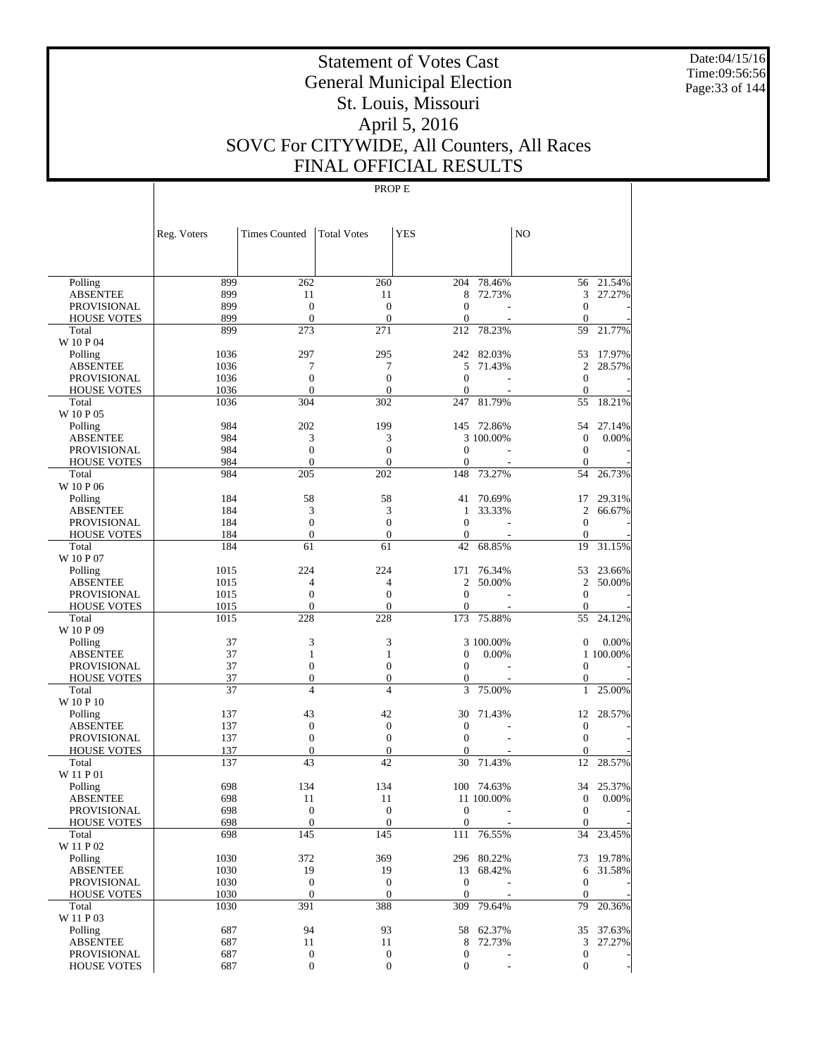Date:04/15/16 Time:09:56:56 Page:33 of 144

# Statement of Votes Cast General Municipal Election St. Louis, Missouri April 5, 2016 SOVC For CITYWIDE, All Counters, All Races FINAL OFFICIAL RESULTS

|                    | Reg. Voters | <b>Times Counted</b> | <b>Total Votes</b> | <b>YES</b>       |            | N <sub>O</sub>   |           |
|--------------------|-------------|----------------------|--------------------|------------------|------------|------------------|-----------|
|                    |             |                      |                    |                  |            |                  |           |
|                    |             |                      |                    |                  |            |                  |           |
| Polling            | 899         | 262                  | 260                | 204              | 78.46%     | 56               | 21.54%    |
| <b>ABSENTEE</b>    | 899         | 11                   | 11                 | 8                | 72.73%     | 3                | 27.27%    |
| <b>PROVISIONAL</b> | 899         | $\overline{0}$       | $\overline{0}$     | $\overline{0}$   |            | $\mathbf{0}$     |           |
| <b>HOUSE VOTES</b> | 899         | $\mathbf{0}$         | $\boldsymbol{0}$   | $\mathbf{0}$     |            | $\theta$         |           |
| Total              | 899         | 273                  | 271                | 212              | 78.23%     | 59               | 21.77%    |
| W 10 P 04          |             |                      |                    |                  |            |                  |           |
| Polling            | 1036        | 297                  | 295                | 242              | 82.03%     | 53               | 17.97%    |
| <b>ABSENTEE</b>    | 1036        | 7                    | 7                  | 5                | 71.43%     | $\mathfrak{2}$   | 28.57%    |
| PROVISIONAL        | 1036        | $\boldsymbol{0}$     | $\boldsymbol{0}$   | $\overline{0}$   | L,         | $\mathbf{0}$     |           |
| <b>HOUSE VOTES</b> | 1036        | $\overline{0}$       | $\overline{0}$     | $\mathbf{0}$     |            | $\theta$         |           |
| Total              | 1036        | 304                  | 302                | 247              | 81.79%     | 55               | 18.21%    |
| W 10 P 05          |             |                      |                    |                  |            |                  |           |
| Polling            | 984         | 202                  | 199                | 145              | 72.86%     | 54               | 27.14%    |
| <b>ABSENTEE</b>    | 984         | 3                    | 3                  |                  | 3 100.00%  | $\mathbf{0}$     | 0.00%     |
| PROVISIONAL        | 984         | $\boldsymbol{0}$     | $\overline{0}$     | $\overline{0}$   |            | $\mathbf{0}$     |           |
| <b>HOUSE VOTES</b> | 984         | $\overline{0}$       | $\boldsymbol{0}$   | $\mathbf{0}$     |            | $\theta$         |           |
| Total              | 984         | 205                  | 202                | 148              | 73.27%     | 54               | 26.73%    |
| W 10 P 06          |             |                      |                    |                  |            |                  |           |
| Polling            | 184         | 58                   | 58                 | 41               | 70.69%     | 17               | 29.31%    |
| <b>ABSENTEE</b>    | 184         | 3                    | 3                  | 1                | 33.33%     | $\overline{2}$   | 66.67%    |
| PROVISIONAL        | 184         | $\boldsymbol{0}$     | $\overline{0}$     | $\mathbf{0}$     | L,         | $\theta$         |           |
| <b>HOUSE VOTES</b> | 184         | $\overline{0}$       | $\overline{0}$     | $\mathbf{0}$     |            | $\theta$         |           |
| Total<br>W 10 P 07 | 184         | 61                   | 61                 | 42               | 68.85%     | 19               | 31.15%    |
| Polling            | 1015        | 224                  | 224                | 171              | 76.34%     | 53               | 23.66%    |
| <b>ABSENTEE</b>    | 1015        | 4                    | 4                  | $\overline{c}$   | 50.00%     | $\overline{2}$   | 50.00%    |
| PROVISIONAL        | 1015        | $\boldsymbol{0}$     | $\overline{0}$     | $\mathbf{0}$     |            | $\mathbf{0}$     |           |
| <b>HOUSE VOTES</b> | 1015        | $\overline{0}$       | $\boldsymbol{0}$   | $\boldsymbol{0}$ |            | $\theta$         |           |
| Total              | 1015        | 228                  | 228                | 173              | 75.88%     | 55               | 24.12%    |
| W 10 P 09          |             |                      |                    |                  |            |                  |           |
| Polling            | 37          | 3                    | 3                  |                  | 3 100.00%  | $\mathbf{0}$     | 0.00%     |
| <b>ABSENTEE</b>    | 37          | $\mathbf{1}$         | 1                  | $\boldsymbol{0}$ | 0.00%      |                  | 1 100.00% |
| PROVISIONAL        | 37          | $\boldsymbol{0}$     | $\boldsymbol{0}$   | $\mathbf{0}$     | L,         | $\mathbf{0}$     |           |
| <b>HOUSE VOTES</b> | 37          | $\overline{0}$       | $\boldsymbol{0}$   | 0                |            | $\mathbf{0}$     |           |
| Total              | 37          | 4                    | 4                  | 3                | 75.00%     | $\mathbf{1}$     | 25.00%    |
| W 10 P 10          |             |                      |                    |                  |            |                  |           |
| Polling            | 137         | 43                   | 42                 | 30               | 71.43%     | 12               | 28.57%    |
| <b>ABSENTEE</b>    | 137         | $\boldsymbol{0}$     | $\boldsymbol{0}$   | $\mathbf{0}$     |            | $\mathbf{0}$     |           |
| PROVISIONAL        | 137         | $\boldsymbol{0}$     | $\boldsymbol{0}$   | $\mathbf{0}$     |            | $\theta$         |           |
| <b>HOUSE VOTES</b> | 137         | $\boldsymbol{0}$     | $\boldsymbol{0}$   | $\mathbf{0}$     |            | $\mathbf{0}$     |           |
| Total              | 137         | 43                   | 42                 | 30               | 71.43%     | 12               | 28.57%    |
| W 11 P 01          |             |                      |                    |                  |            |                  |           |
| Polling            | 698         | 134                  | 134                |                  | 100 74.63% | 34               | 25.37%    |
| <b>ABSENTEE</b>    | 698         | 11                   | 11                 |                  | 11 100.00% | $\boldsymbol{0}$ | 0.00%     |
| PROVISIONAL        | 698         | $\mathbf{0}$         | $\boldsymbol{0}$   | $\Omega$         |            | $\mathbf{0}$     |           |
| <b>HOUSE VOTES</b> | 698         | $\boldsymbol{0}$     | $\boldsymbol{0}$   | $\mathbf{0}$     |            | $\mathbf{0}$     |           |
| Total              | 698         | 145                  | 145                | 111              | 76.55%     |                  | 34 23.45% |
| W 11 P 02          |             |                      |                    |                  |            |                  |           |
| Polling            | 1030        | 372                  | 369                |                  | 296 80.22% |                  | 73 19.78% |
| <b>ABSENTEE</b>    | 1030        | 19                   | 19                 |                  | 13 68.42%  |                  | 6 31.58%  |
| PROVISIONAL        | 1030        | $\boldsymbol{0}$     | $\boldsymbol{0}$   | $\mathbf{0}$     | $\sim$     | $\boldsymbol{0}$ |           |
| <b>HOUSE VOTES</b> | 1030        | $\theta$             | $\boldsymbol{0}$   | $\mathbf{0}$     |            | $\overline{0}$   |           |
| Total              | 1030        | 391                  | 388                |                  | 309 79.64% |                  | 79 20.36% |
| W 11 P 03          |             |                      |                    |                  |            |                  |           |
| Polling            | 687         | 94                   | 93                 |                  | 58 62.37%  |                  | 35 37.63% |
| <b>ABSENTEE</b>    | 687         | 11                   | 11                 | 8                | 72.73%     |                  | 3 27.27%  |
| PROVISIONAL        | 687         | 0                    | $\boldsymbol{0}$   | $\mathbf{0}$     |            | $\boldsymbol{0}$ |           |
| <b>HOUSE VOTES</b> | 687         | $\boldsymbol{0}$     | $\boldsymbol{0}$   | $\mathbf{0}$     |            | $\mathbf{0}$     |           |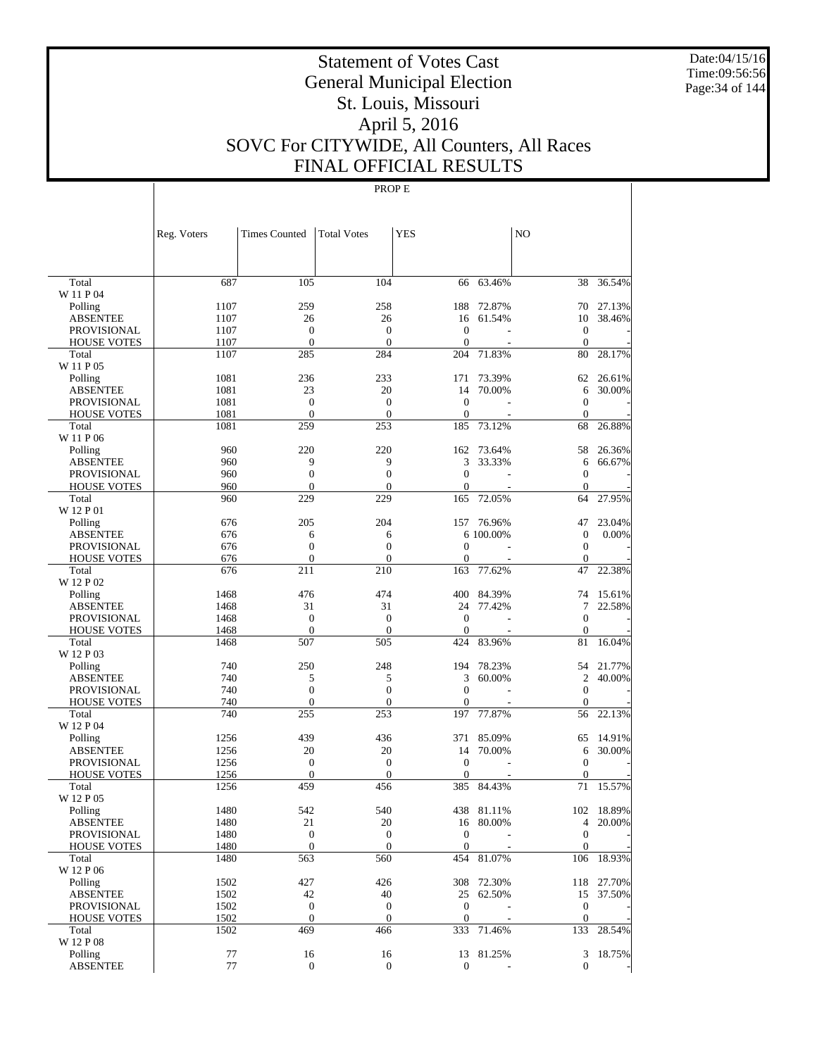Date:04/15/16 Time:09:56:56 Page:34 of 144

# Statement of Votes Cast General Municipal Election St. Louis, Missouri April 5, 2016 SOVC For CITYWIDE, All Counters, All Races FINAL OFFICIAL RESULTS

|                             | Reg. Voters  | <b>Times Counted</b> | <b>Total Votes</b>               | <b>YES</b>          |            | N <sub>O</sub>     |            |
|-----------------------------|--------------|----------------------|----------------------------------|---------------------|------------|--------------------|------------|
| Total                       | 687          | 105                  | 104                              | 66                  | 63.46%     | 38                 | 36.54%     |
| W 11 P 04                   |              |                      |                                  |                     |            |                    |            |
| Polling                     | 1107         | 259                  | 258                              | 188                 | 72.87%     | 70                 | 27.13%     |
| <b>ABSENTEE</b>             | 1107         | 26                   | 26                               | 16                  | 61.54%     | 10                 | 38.46%     |
| <b>PROVISIONAL</b>          | 1107         | $\boldsymbol{0}$     | $\boldsymbol{0}$                 | $\theta$            |            | $\mathbf{0}$       |            |
| <b>HOUSE VOTES</b>          | 1107         | $\mathbf{0}$         | $\mathbf{0}$                     | $\Omega$            |            | $\mathbf{0}$       |            |
| Total<br>W 11 P 05          | 1107         | 285                  | 284                              | 204                 | 71.83%     | 80                 | 28.17%     |
| Polling                     | 1081         | 236                  | 233                              | 171                 | 73.39%     | 62                 | 26.61%     |
| <b>ABSENTEE</b>             | 1081         | 23                   | 20                               | 14                  | 70.00%     | 6                  | 30.00%     |
| <b>PROVISIONAL</b>          | 1081         | $\mathbf{0}$         | $\boldsymbol{0}$                 | $\mathbf{0}$        |            | $\mathbf{0}$       |            |
| <b>HOUSE VOTES</b>          | 1081         | $\mathbf{0}$         | $\boldsymbol{0}$                 | $\theta$            |            | $\mathbf{0}$       |            |
| Total                       | 1081         | 259                  | 253                              | 185                 | 73.12%     | 68                 | 26.88%     |
| W 11 P 06                   |              |                      |                                  |                     |            |                    |            |
| Polling                     | 960          | 220                  | 220                              | 162                 | 73.64%     | 58                 | 26.36%     |
| <b>ABSENTEE</b>             | 960          | 9                    | 9                                | 3                   | 33.33%     | 6                  | 66.67%     |
| <b>PROVISIONAL</b>          | 960          | $\boldsymbol{0}$     | $\boldsymbol{0}$                 | $\mathbf{0}$        |            | $\mathbf{0}$       |            |
| <b>HOUSE VOTES</b><br>Total | 960<br>960   | $\mathbf{0}$<br>229  | $\overline{0}$<br>229            | $\Omega$<br>165     | 72.05%     | $\mathbf{0}$<br>64 | 27.95%     |
| W 12 P 01                   |              |                      |                                  |                     |            |                    |            |
| Polling                     | 676          | 205                  | 204                              | 157                 | 76.96%     | 47                 | 23.04%     |
| <b>ABSENTEE</b>             | 676          | 6                    | 6                                |                     | 6 100.00%  | $\boldsymbol{0}$   | 0.00%      |
| <b>PROVISIONAL</b>          | 676          | $\boldsymbol{0}$     | $\boldsymbol{0}$                 | $\mathbf{0}$        |            | $\mathbf{0}$       |            |
| <b>HOUSE VOTES</b>          | 676          | $\overline{0}$       | $\boldsymbol{0}$                 | $\mathbf{0}$        |            | $\mathbf{0}$       |            |
| Total<br>W 12 P 02          | 676          | 211                  | 210                              | 163                 | 77.62%     | 47                 | 22.38%     |
| Polling                     | 1468         | 476                  | 474                              | 400                 | 84.39%     | 74                 | 15.61%     |
| <b>ABSENTEE</b>             | 1468         | 31                   | 31                               | 24                  | 77.42%     | 7                  | 22.58%     |
| <b>PROVISIONAL</b>          | 1468         | $\boldsymbol{0}$     | $\boldsymbol{0}$                 | $\mathbf{0}$        |            | $\mathbf{0}$       |            |
| <b>HOUSE VOTES</b>          | 1468         | $\mathbf{0}$         | $\overline{0}$                   | $\overline{0}$      |            | $\mathbf{0}$       |            |
| Total                       | 1468         | 507                  | 505                              | 424                 | 83.96%     | 81                 | 16.04%     |
| W 12 P 03                   |              |                      |                                  |                     |            |                    |            |
| Polling                     | 740          | 250                  | 248                              | 194                 | 78.23%     | 54                 | 21.77%     |
| <b>ABSENTEE</b>             | 740          | 5                    | 5                                | 3                   | 60.00%     | $\overline{2}$     | 40.00%     |
| <b>PROVISIONAL</b>          | 740          | $\boldsymbol{0}$     | $\boldsymbol{0}$                 | $\mathbf{0}$        |            | $\mathbf{0}$       |            |
| <b>HOUSE VOTES</b>          | 740          | $\boldsymbol{0}$     | $\boldsymbol{0}$                 | $\mathbf{0}$        |            | $\mathbf{0}$       |            |
| Total                       | 740          | 255                  | 253                              | 197                 | 77.87%     | 56                 | 22.13%     |
| W 12 P 04                   |              |                      |                                  |                     |            |                    |            |
| Polling                     | 1256         | 439                  | 436                              | 371                 | 85.09%     | 65                 | 14.91%     |
| <b>ABSENTEE</b>             | 1256         | 20                   | 20                               | 14                  | 70.00%     | 6                  | 30.00%     |
| PROVISIONAL                 | 1256         | $\boldsymbol{0}$     | $\boldsymbol{0}$<br>$\mathbf{0}$ | $\theta$            |            | $\mathbf{0}$       |            |
| <b>HOUSE VOTES</b><br>Total | 1256<br>1256 | $\mathbf{0}$<br>459  | 456                              | $\mathbf{0}$<br>385 | 84.43%     | $\mathbf{0}$<br>71 | 15.57%     |
| W 12 P 05                   |              |                      |                                  |                     |            |                    |            |
| $\operatorname{Polling}$    | 1480         | 542                  | 540                              |                     | 438 81.11% |                    | 102 18.89% |
| <b>ABSENTEE</b>             | 1480         | 21                   | 20                               |                     | 16 80.00%  |                    | 4 20.00%   |
| <b>PROVISIONAL</b>          | 1480         | $\boldsymbol{0}$     | $\boldsymbol{0}$                 | $\mathbf{0}$        |            | $\Omega$           |            |
| <b>HOUSE VOTES</b>          | 1480         | $\mathbf{0}$         | $\overline{0}$                   | $\theta$            |            | $\mathbf{0}$       |            |
| Total                       | 1480         | 563                  | 560                              | 454                 | 81.07%     | 106                | 18.93%     |
| W 12 P 06                   |              |                      |                                  |                     |            |                    |            |
| Polling                     | 1502         | 427                  | 426                              |                     | 308 72.30% |                    | 118 27.70% |
| <b>ABSENTEE</b>             | 1502         | 42                   | 40                               |                     | 25 62.50%  |                    | 15 37.50%  |
| PROVISIONAL                 | 1502         | $\boldsymbol{0}$     | $\mathbf{0}$                     | $\mathbf{0}$        |            | $\mathbf{0}$       |            |
| <b>HOUSE VOTES</b>          | 1502         | $\mathbf{0}$         | $\mathbf{0}$                     | $\mathbf{0}$        |            | $\mathbf{0}$       |            |
| Total<br>W 12 P 08          | 1502         | 469                  | 466                              |                     | 333 71.46% | 133                | 28.54%     |
|                             |              |                      |                                  |                     |            |                    | 3 18.75%   |
| Polling<br><b>ABSENTEE</b>  | 77<br>$77\,$ | 16<br>$\mathbf{0}$   | 16<br>$\mathbf{0}$               | $\overline{0}$      | 13 81.25%  | $\mathbf{0}$       |            |
|                             |              |                      |                                  |                     |            |                    |            |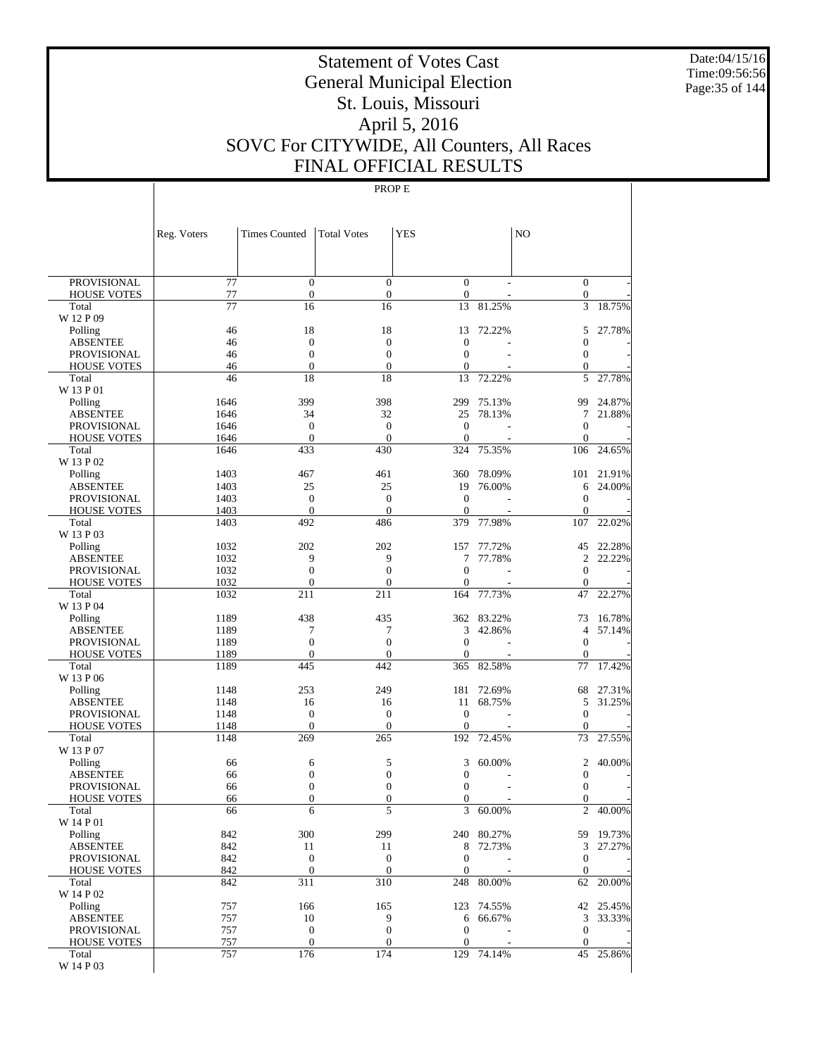Date:04/15/16 Time:09:56:56 Page:35 of 144

# Statement of Votes Cast General Municipal Election St. Louis, Missouri April 5, 2016 SOVC For CITYWIDE, All Counters, All Races FINAL OFFICIAL RESULTS

|                                       | Reg. Voters     | <b>Times Counted</b>                 | <b>Total Votes</b>                   | <b>YES</b>              |                      | N <sub>O</sub>                       |                     |
|---------------------------------------|-----------------|--------------------------------------|--------------------------------------|-------------------------|----------------------|--------------------------------------|---------------------|
|                                       |                 |                                      |                                      |                         |                      |                                      |                     |
| <b>PROVISIONAL</b>                    | $\overline{77}$ | $\boldsymbol{0}$                     | $\boldsymbol{0}$                     | $\boldsymbol{0}$        |                      | $\bar{0}$                            |                     |
| <b>HOUSE VOTES</b><br>Total           | 77<br>77        | $\boldsymbol{0}$<br>16               | $\boldsymbol{0}$<br>16               | $\boldsymbol{0}$<br>13  | 81.25%               | $\mathbf{0}$<br>3                    | 18.75%              |
| W 12 P 09                             |                 |                                      |                                      |                         |                      |                                      |                     |
| Polling                               | 46              | 18                                   | 18                                   | 13                      | 72.22%               | 5                                    | 27.78%              |
| <b>ABSENTEE</b>                       | 46              | $\mathbf{0}$                         | $\mathbf{0}$                         | $\boldsymbol{0}$        |                      | $\boldsymbol{0}$                     |                     |
| <b>PROVISIONAL</b>                    | 46              | $\boldsymbol{0}$                     | $\boldsymbol{0}$                     | $\boldsymbol{0}$        |                      | $\boldsymbol{0}$                     |                     |
| <b>HOUSE VOTES</b>                    | 46              | $\boldsymbol{0}$                     | $\mathbf{0}$                         | $\boldsymbol{0}$        |                      | $\boldsymbol{0}$                     |                     |
| Total                                 | 46              | 18                                   | 18                                   | 13                      | 72.22%               | 5                                    | 27.78%              |
| W 13 P 01<br>Polling                  | 1646            | 399                                  | 398                                  | 299                     | 75.13%               | 99                                   | 24.87%              |
| <b>ABSENTEE</b>                       | 1646            | 34                                   | 32                                   | 25                      | 78.13%               | 7                                    | 21.88%              |
| <b>PROVISIONAL</b>                    | 1646            | $\boldsymbol{0}$                     | $\boldsymbol{0}$                     | $\mathbf{0}$            |                      | $\mathbf{0}$                         |                     |
| <b>HOUSE VOTES</b>                    | 1646            | $\mathbf{0}$                         | $\overline{0}$                       | $\mathbf{0}$            |                      | $\mathbf{0}$                         |                     |
| Total                                 | 1646            | 433                                  | 430                                  | 324                     | 75.35%               | 106                                  | 24.65%              |
| W 13 P 02                             |                 |                                      |                                      |                         |                      |                                      |                     |
| Polling                               | 1403            | 467                                  | 461                                  | 360                     | 78.09%               | 101                                  | 21.91%              |
| <b>ABSENTEE</b>                       | 1403            | 25                                   | 25                                   | 19                      | 76.00%               | 6                                    | 24.00%              |
| <b>PROVISIONAL</b>                    | 1403            | $\boldsymbol{0}$                     | $\boldsymbol{0}$                     | $\mathbf{0}$            |                      | $\boldsymbol{0}$                     |                     |
| <b>HOUSE VOTES</b><br>Total           | 1403<br>1403    | $\mathbf{0}$<br>492                  | $\overline{0}$<br>486                | $\boldsymbol{0}$<br>379 | 77.98%               | $\mathbf{0}$<br>107                  | 22.02%              |
| W 13 P 03                             |                 |                                      |                                      |                         |                      |                                      |                     |
| Polling                               | 1032            | 202                                  | 202                                  | 157                     | 77.72%               | 45                                   | 22.28%              |
| <b>ABSENTEE</b>                       | 1032            | 9                                    | 9                                    | 7                       | 77.78%               | 2                                    | 22.22%              |
| <b>PROVISIONAL</b>                    | 1032            | $\boldsymbol{0}$                     | $\boldsymbol{0}$                     | $\mathbf{0}$            |                      | $\boldsymbol{0}$                     |                     |
| <b>HOUSE VOTES</b>                    | 1032            | $\mathbf{0}$                         | $\overline{0}$                       | $\mathbf{0}$            |                      | $\mathbf{0}$                         |                     |
| Total                                 | 1032            | 211                                  | 211                                  | 164                     | 77.73%               | 47                                   | 22.27%              |
| W 13 P 04                             |                 |                                      |                                      |                         |                      |                                      |                     |
| Polling                               | 1189            | 438                                  | 435                                  | 362                     | 83.22%               | 73                                   | 16.78%              |
| <b>ABSENTEE</b>                       | 1189            | 7                                    | 7                                    | 3                       | 42.86%               | $\overline{4}$                       | 57.14%              |
| <b>PROVISIONAL</b>                    | 1189            | $\boldsymbol{0}$<br>$\mathbf{0}$     | $\boldsymbol{0}$                     | $\mathbf{0}$            |                      | $\boldsymbol{0}$<br>$\mathbf{0}$     |                     |
| <b>HOUSE VOTES</b><br>Total           | 1189<br>1189    | 445                                  | $\boldsymbol{0}$<br>442              | $\boldsymbol{0}$<br>365 | 82.58%               | 77                                   | 17.42%              |
| W 13 P 06                             |                 |                                      |                                      |                         |                      |                                      |                     |
| Polling                               | 1148            | 253                                  | 249                                  | 181                     | 72.69%               | 68                                   | 27.31%              |
| <b>ABSENTEE</b>                       | 1148            | 16                                   | 16                                   | 11                      | 68.75%               | 5                                    | 31.25%              |
| <b>PROVISIONAL</b>                    | 1148            | $\boldsymbol{0}$                     | $\boldsymbol{0}$                     | $\mathbf{0}$            |                      | $\boldsymbol{0}$                     |                     |
| <b>HOUSE VOTES</b>                    | 1148            | $\mathbf{0}$                         | $\overline{0}$                       | $\overline{0}$          |                      | $\mathbf{0}$                         |                     |
| Total                                 | 1148            | 269                                  | 265                                  | 192                     | 72.45%               | 73                                   | 27.55%              |
| W 13 P 07                             |                 |                                      |                                      |                         |                      |                                      |                     |
| Polling                               | 66              | 6                                    | 5                                    | 3                       | 60.00%               | 2                                    | 40.00%              |
| <b>ABSENTEE</b><br><b>PROVISIONAL</b> | 66<br>66        | $\boldsymbol{0}$<br>$\boldsymbol{0}$ | $\boldsymbol{0}$<br>$\boldsymbol{0}$ | 0<br>$\boldsymbol{0}$   |                      | $\boldsymbol{0}$<br>$\boldsymbol{0}$ |                     |
| <b>HOUSE VOTES</b>                    | 66              | $\mathbf{0}$                         | $\boldsymbol{0}$                     | $\boldsymbol{0}$        |                      | $\boldsymbol{0}$                     |                     |
| Total                                 | 66              | 6                                    | 5                                    | 3                       | 60.00%               | $\overline{c}$                       | 40.00%              |
| W 14 P 01                             |                 |                                      |                                      |                         |                      |                                      |                     |
| Polling                               | 842             | 300                                  | 299                                  |                         | 240 80.27%           |                                      | 59 19.73%           |
| <b>ABSENTEE</b>                       | 842             | 11                                   | 11                                   |                         | 8 72.73%             | 3                                    | 27.27%              |
| <b>PROVISIONAL</b>                    | 842             | $\boldsymbol{0}$                     | $\mathbf{0}$                         | $\boldsymbol{0}$        |                      | $\boldsymbol{0}$                     |                     |
| <b>HOUSE VOTES</b>                    | 842             | $\boldsymbol{0}$                     | $\boldsymbol{0}$                     | $\boldsymbol{0}$        |                      | $\mathbf{0}$                         |                     |
| Total                                 | 842             | 311                                  | 310                                  | 248                     | 80.00%               | 62                                   | 20.00%              |
| W 14 P 02                             |                 |                                      |                                      |                         |                      |                                      |                     |
| Polling<br><b>ABSENTEE</b>            | 757<br>757      | 166<br>10                            | 165<br>9                             | 6                       | 123 74.55%<br>66.67% | 3                                    | 42 25.45%<br>33.33% |
| PROVISIONAL                           | 757             | $\boldsymbol{0}$                     | $\boldsymbol{0}$                     | $\boldsymbol{0}$        |                      | $\mathbf{0}$                         |                     |
| <b>HOUSE VOTES</b>                    | 757             | $\boldsymbol{0}$                     | $\boldsymbol{0}$                     | $\boldsymbol{0}$        |                      | $\mathbf{0}$                         |                     |
| Total                                 | 757             | 176                                  | 174                                  |                         | 129 74.14%           | 45                                   | 25.86%              |
| W 14 P 03                             |                 |                                      |                                      |                         |                      |                                      |                     |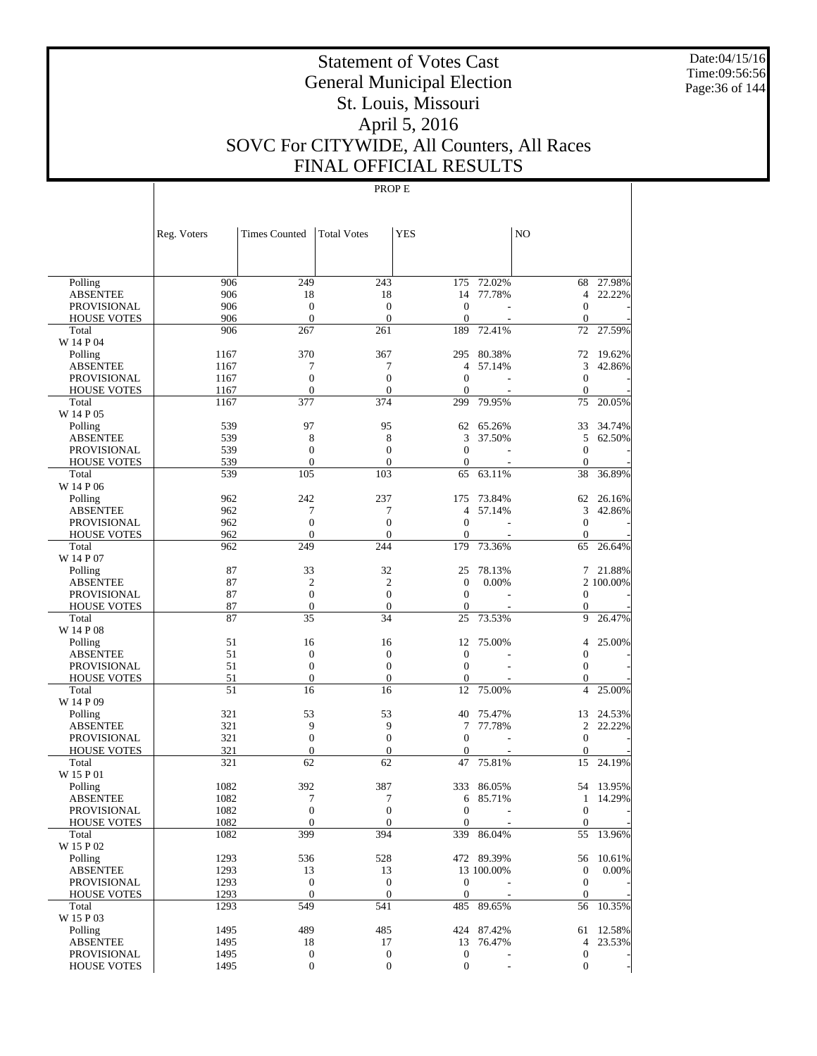Date:04/15/16 Time:09:56:56 Page:36 of 144

# Statement of Votes Cast General Municipal Election St. Louis, Missouri April 5, 2016 SOVC For CITYWIDE, All Counters, All Races FINAL OFFICIAL RESULTS

|                                          | Reg. Voters  | <b>Times Counted</b>             | <b>Total Votes</b>     | <b>YES</b>                       |                              | NO                                 |           |
|------------------------------------------|--------------|----------------------------------|------------------------|----------------------------------|------------------------------|------------------------------------|-----------|
|                                          |              |                                  |                        |                                  |                              |                                    |           |
| Polling                                  | 906          | 249                              | 243                    | 175                              | 72.02%                       | 68                                 | 27.98%    |
| <b>ABSENTEE</b>                          | 906          | 18                               | 18                     | 14                               | 77.78%                       | $\overline{4}$                     | 22.22%    |
| <b>PROVISIONAL</b>                       | 906          | $\mathbf{0}$                     | $\boldsymbol{0}$       | $\mathbf{0}$                     |                              | $\mathbf{0}$                       |           |
| <b>HOUSE VOTES</b>                       | 906          | $\mathbf{0}$                     | $\boldsymbol{0}$       | $\mathbf{0}$                     |                              | $\mathbf{0}$                       |           |
| Total                                    | 906          | 267                              | 261                    | 189                              | 72.41%                       | 72                                 | 27.59%    |
| W 14 P 04                                |              |                                  |                        |                                  |                              |                                    |           |
| Polling                                  | 1167         | 370                              | 367                    | 295                              | 80.38%                       | 72                                 | 19.62%    |
| <b>ABSENTEE</b>                          | 1167         | 7                                | 7                      | 4                                | 57.14%                       | 3                                  | 42.86%    |
| <b>PROVISIONAL</b>                       | 1167         | $\boldsymbol{0}$<br>$\mathbf{0}$ | $\boldsymbol{0}$       | $\mathbf{0}$                     | ÷.                           | $\boldsymbol{0}$                   |           |
| <b>HOUSE VOTES</b><br>Total              | 1167<br>1167 | 377                              | $\theta$<br>374        | $\overline{0}$<br>299            | 79.95%                       | $\mathbf{0}$<br>75                 | 20.05%    |
| W 14 P 05                                |              |                                  |                        |                                  |                              |                                    |           |
| Polling                                  | 539          | 97                               | 95                     | 62                               | 65.26%                       | 33                                 | 34.74%    |
| ABSENTEE                                 | 539          | 8                                | 8                      | 3                                | 37.50%                       | 5                                  | 62.50%    |
| <b>PROVISIONAL</b>                       | 539          | $\mathbf{0}$                     | $\overline{0}$         | $\mathbf{0}$                     |                              | $\mathbf{0}$                       |           |
| <b>HOUSE VOTES</b>                       | 539          | $\mathbf{0}$                     | $\boldsymbol{0}$       | $\mathbf{0}$                     |                              | $\theta$                           |           |
| Total                                    | 539          | 105                              | 103                    | 65                               | 63.11%                       | 38                                 | 36.89%    |
| W 14 P 06                                |              |                                  |                        |                                  |                              |                                    |           |
| Polling                                  | 962          | 242                              | 237                    | 175                              | 73.84%                       | 62                                 | 26.16%    |
| ABSENTEE                                 | 962          | 7                                | 7                      | 4                                | 57.14%                       | 3                                  | 42.86%    |
| <b>PROVISIONAL</b>                       | 962          | $\boldsymbol{0}$                 | $\boldsymbol{0}$       | $\overline{0}$                   |                              | $\boldsymbol{0}$                   |           |
| <b>HOUSE VOTES</b>                       | 962          | $\mathbf{0}$                     | $\boldsymbol{0}$       | 0                                |                              | $\mathbf{0}$                       |           |
| Total                                    | 962          | 249                              | 244                    | 179                              | 73.36%                       | 65                                 | 26.64%    |
| W 14 P 07                                |              |                                  |                        |                                  |                              |                                    |           |
| Polling                                  | 87           | 33                               | 32                     | 25                               | 78.13%                       |                                    | 7 21.88%  |
| ABSENTEE                                 | 87           | $\overline{2}$                   | $\overline{2}$         | $\boldsymbol{0}$                 | 0.00%                        |                                    | 2 100.00% |
| <b>PROVISIONAL</b>                       | 87           | $\boldsymbol{0}$                 | $\overline{0}$         | $\mathbf{0}$                     |                              | $\boldsymbol{0}$                   |           |
| <b>HOUSE VOTES</b><br>Total              | 87<br>87     | $\boldsymbol{0}$<br>35           | $\boldsymbol{0}$<br>34 | $\mathbf{0}$<br>25               | 73.53%                       | $\boldsymbol{0}$<br>9              | 26.47%    |
| W 14 P 08                                |              |                                  |                        |                                  |                              |                                    |           |
| Polling                                  | 51           | 16                               | 16                     | 12                               | 75.00%                       | $\overline{4}$                     | 25.00%    |
| ABSENTEE                                 | 51           | $\boldsymbol{0}$                 | $\boldsymbol{0}$       | $\boldsymbol{0}$                 |                              | $\boldsymbol{0}$                   |           |
| <b>PROVISIONAL</b>                       | 51           | $\boldsymbol{0}$                 | $\boldsymbol{0}$       | $\mathbf{0}$                     |                              | $\boldsymbol{0}$                   |           |
| <b>HOUSE VOTES</b>                       | 51           | $\boldsymbol{0}$                 | $\boldsymbol{0}$       | 0                                |                              | $\mathbf{0}$                       |           |
| Total                                    | 51           | 16                               | 16                     | 12                               | 75.00%                       | $\overline{4}$                     | 25.00%    |
| W 14 P 09                                |              |                                  |                        |                                  |                              |                                    |           |
| Polling                                  | 321          | 53                               | 53                     | 40                               | 75.47%                       | 13                                 | 24.53%    |
| ABSENTEE                                 | 321          | 9                                | 9                      | 7                                | 77.78%                       | 2                                  | 22.22%    |
| <b>PROVISIONAL</b>                       | 321          | $\boldsymbol{0}$                 | $\boldsymbol{0}$       | $\mathbf{0}$                     |                              | $\boldsymbol{0}$                   |           |
| <b>HOUSE VOTES</b>                       | 321          | $\boldsymbol{0}$                 | $\boldsymbol{0}$       | $\overline{0}$                   |                              | $\boldsymbol{0}$                   |           |
| Total                                    | 321          | 62                               | 62                     | 47                               | 75.81%                       | 15                                 | 24.19%    |
| W 15 P 01                                |              |                                  |                        |                                  |                              |                                    |           |
| Polling                                  | 1082         | 392                              | 387                    | 333                              | 86.05%                       |                                    | 54 13.95% |
| <b>ABSENTEE</b>                          | 1082         | 7<br>$\mathbf{0}$                | 7<br>$\overline{0}$    | 6                                | 85.71%                       | $\mathbf{1}$                       | 14.29%    |
| <b>PROVISIONAL</b><br><b>HOUSE VOTES</b> | 1082<br>1082 | $\boldsymbol{0}$                 | $\boldsymbol{0}$       | $\mathbf{0}$<br>$\boldsymbol{0}$ | $\qquad \qquad \blacksquare$ | $\overline{0}$<br>$\boldsymbol{0}$ |           |
| Total                                    | 1082         | 399                              | 394                    |                                  | 339 86.04%                   | 55                                 | 13.96%    |
| W 15 P 02                                |              |                                  |                        |                                  |                              |                                    |           |
| Polling                                  | 1293         | 536                              | 528                    |                                  | 472 89.39%                   | 56                                 | 10.61%    |
| <b>ABSENTEE</b>                          | 1293         | 13                               | 13                     |                                  | 13 100.00%                   | $\boldsymbol{0}$                   | 0.00%     |
| <b>PROVISIONAL</b>                       | 1293         | $\boldsymbol{0}$                 | $\boldsymbol{0}$       | $\boldsymbol{0}$                 |                              | $\mathbf{0}$                       |           |
| <b>HOUSE VOTES</b>                       | 1293         | $\mathbf{0}$                     | $\mathbf{0}$           | $\boldsymbol{0}$                 |                              | $\mathbf{0}$                       |           |
| Total                                    | 1293         | 549                              | 541                    |                                  | 485 89.65%                   | 56                                 | 10.35%    |
| W 15 P 03                                |              |                                  |                        |                                  |                              |                                    |           |
| Polling                                  | 1495         | 489                              | 485                    |                                  | 424 87.42%                   |                                    | 61 12.58% |
| <b>ABSENTEE</b>                          | 1495         | 18                               | 17                     |                                  | 13 76.47%                    | 4                                  | 23.53%    |
| <b>PROVISIONAL</b>                       | 1495         | 0                                | $\boldsymbol{0}$       | $\boldsymbol{0}$                 |                              | $\boldsymbol{0}$                   |           |
| <b>HOUSE VOTES</b>                       | 1495         | 0                                | $\mathbf{0}$           | $\mathbf{0}$                     |                              | $\mathbf{0}$                       |           |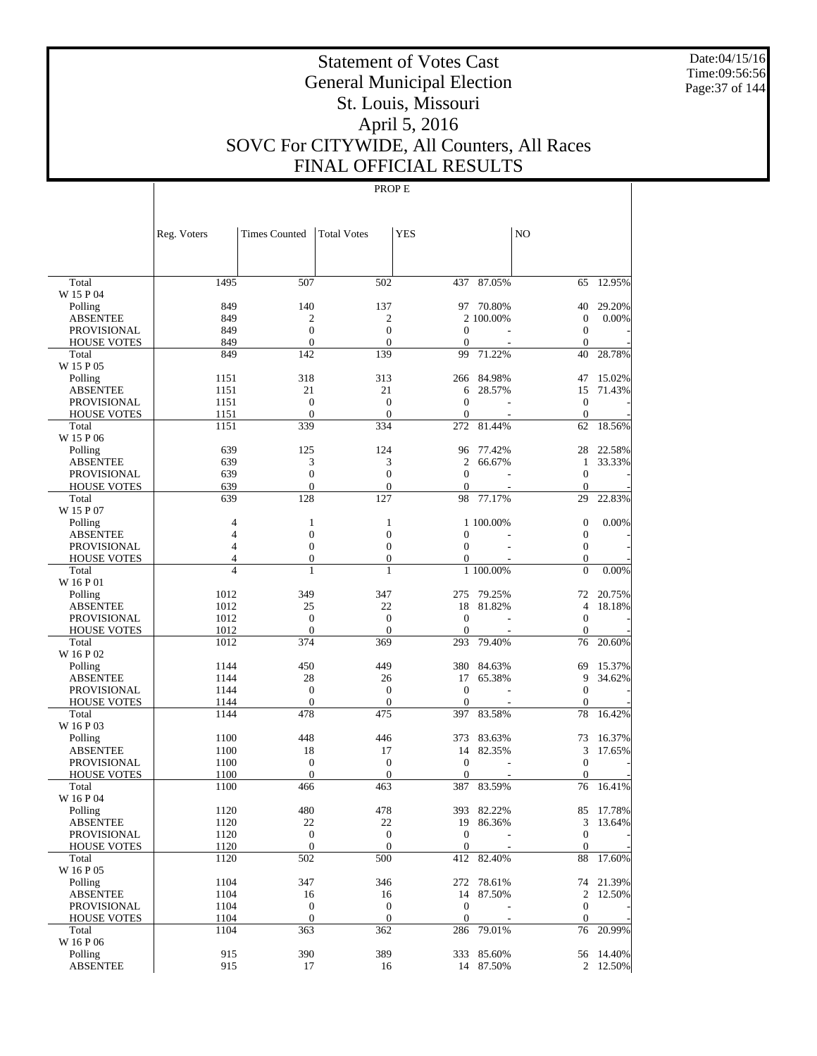Date:04/15/16 Time:09:56:56 Page:37 of 144

# Statement of Votes Cast General Municipal Election St. Louis, Missouri April 5, 2016 SOVC For CITYWIDE, All Counters, All Races FINAL OFFICIAL RESULTS

|                             | Reg. Voters                      | <b>Times Counted</b>             | <b>Total Votes</b>               | <b>YES</b>     |            | N <sub>O</sub>                 |           |
|-----------------------------|----------------------------------|----------------------------------|----------------------------------|----------------|------------|--------------------------------|-----------|
|                             |                                  |                                  |                                  |                |            |                                |           |
| Total<br>W 15 P 04          | 1495                             | 507                              | 502                              |                | 437 87.05% | 65                             | 12.95%    |
| Polling                     | 849                              | 140                              | 137                              |                | 97 70.80%  | 40                             | 29.20%    |
| <b>ABSENTEE</b>             | 849                              | $\mathfrak{2}$                   | $\mathfrak{2}$                   |                | 2 100.00%  | $\mathbf{0}$                   | 0.00%     |
| <b>PROVISIONAL</b>          | 849                              | $\boldsymbol{0}$                 | $\boldsymbol{0}$                 | $\mathbf{0}$   |            | $\boldsymbol{0}$               |           |
| <b>HOUSE VOTES</b>          | 849                              | $\mathbf{0}$                     | $\overline{0}$                   | $\Omega$       |            | $\mathbf{0}$                   |           |
| Total                       | 849                              | 142                              | 139                              | 99             | 71.22%     | 40                             | 28.78%    |
| W 15 P 05                   |                                  |                                  |                                  |                |            |                                |           |
| Polling                     | 1151                             | 318                              | 313                              | 266            | 84.98%     | 47                             | 15.02%    |
| <b>ABSENTEE</b>             | 1151                             | 21                               | 21                               | 6              | 28.57%     | 15                             | 71.43%    |
| <b>PROVISIONAL</b>          | 1151                             | $\mathbf{0}$                     | $\boldsymbol{0}$                 | $\mathbf{0}$   |            | $\mathbf{0}$                   |           |
| <b>HOUSE VOTES</b>          | 1151                             | $\mathbf{0}$                     | $\mathbf{0}$                     | $\mathbf{0}$   |            | $\theta$                       |           |
| Total                       | 1151                             | 339                              | 334                              | 272            | 81.44%     | 62                             | 18.56%    |
| W 15 P 06                   |                                  |                                  |                                  |                |            |                                |           |
| Polling                     | 639                              | 125                              | 124                              | 96             | 77.42%     | 28                             | 22.58%    |
| <b>ABSENTEE</b>             | 639                              | 3                                | 3                                | $\overline{c}$ | 66.67%     | 1                              | 33.33%    |
| <b>PROVISIONAL</b>          | 639                              | $\boldsymbol{0}$                 | $\boldsymbol{0}$                 | $\mathbf{0}$   |            | $\boldsymbol{0}$               |           |
| <b>HOUSE VOTES</b>          | 639                              | $\mathbf{0}$                     | $\overline{0}$                   | $\Omega$       |            | $\mathbf{0}$                   |           |
| Total                       | 639                              | 128                              | 127                              | 98             | 77.17%     | 29                             | 22.83%    |
| W 15 P 07                   |                                  |                                  |                                  |                |            |                                |           |
| Polling                     | 4                                | 1                                | 1                                |                | 1 100.00%  | $\mathbf{0}$                   | 0.00%     |
| <b>ABSENTEE</b>             | $\overline{4}$                   | $\boldsymbol{0}$                 | $\boldsymbol{0}$                 | $\mathbf{0}$   |            | $\boldsymbol{0}$               |           |
| <b>PROVISIONAL</b>          | $\overline{4}$<br>$\overline{4}$ | $\boldsymbol{0}$                 | $\boldsymbol{0}$                 | $\mathbf{0}$   |            | $\mathbf{0}$                   |           |
| <b>HOUSE VOTES</b><br>Total | $\overline{4}$                   | $\boldsymbol{0}$<br>$\mathbf{1}$ | $\boldsymbol{0}$<br>$\mathbf{1}$ | $\mathbf{0}$   | 1 100.00%  | $\mathbf{0}$<br>$\overline{0}$ | 0.00%     |
| W 16 P 01                   |                                  |                                  |                                  |                |            |                                |           |
| Polling                     | 1012                             | 349                              | 347                              | 275            | 79.25%     | 72                             | 20.75%    |
| <b>ABSENTEE</b>             | 1012                             | 25                               | 22                               | 18             | 81.82%     | $\overline{4}$                 | 18.18%    |
| <b>PROVISIONAL</b>          | 1012                             | $\boldsymbol{0}$                 | $\boldsymbol{0}$                 | $\mathbf{0}$   |            | $\mathbf{0}$                   |           |
| <b>HOUSE VOTES</b>          | 1012                             | $\mathbf{0}$                     | $\mathbf{0}$                     | $\Omega$       |            | $\Omega$                       |           |
| Total                       | 1012                             | 374                              | 369                              | 293            | 79.40%     | 76                             | 20.60%    |
| W 16 P 02                   |                                  |                                  |                                  |                |            |                                |           |
| Polling                     | 1144                             | 450                              | 449                              | 380            | 84.63%     | 69                             | 15.37%    |
| <b>ABSENTEE</b>             | 1144                             | 28                               | 26                               | 17             | 65.38%     | 9                              | 34.62%    |
| <b>PROVISIONAL</b>          | 1144                             | $\boldsymbol{0}$                 | $\boldsymbol{0}$                 | $\mathbf{0}$   |            | $\mathbf{0}$                   |           |
| <b>HOUSE VOTES</b>          | 1144                             | $\boldsymbol{0}$                 | $\overline{0}$                   | $\mathbf{0}$   |            | $\mathbf{0}$                   |           |
| Total                       | 1144                             | 478                              | 475                              | 397            | 83.58%     | 78                             | 16.42%    |
| W 16 P 03                   |                                  |                                  |                                  |                |            |                                |           |
| Polling                     | 1100                             | 448                              | 446                              |                | 373 83.63% | 73                             | 16.37%    |
| <b>ABSENTEE</b>             | 1100                             | 18                               | 17                               | 14             | 82.35%     | 3                              | 17.65%    |
| PROVISIONAL                 | 1100                             | $\boldsymbol{0}$                 | $\boldsymbol{0}$                 | $\mathbf{0}$   |            | $\mathbf{0}$                   |           |
| <b>HOUSE VOTES</b>          | 1100                             | $\mathbf{0}$                     | $\mathbf{0}$                     | $\Omega$       | 83.59%     | $\Omega$                       | 16.41%    |
| Total<br>W 16 P 04          | 1100                             | 466                              | 463                              | 387            |            | 76                             |           |
| Polling                     | 1120                             | 480                              | 478                              |                | 393 82.22% |                                | 85 17.78% |
| <b>ABSENTEE</b>             | 1120                             | 22                               | 22                               |                | 19 86.36%  | 3                              | 13.64%    |
| <b>PROVISIONAL</b>          | 1120                             | $\boldsymbol{0}$                 | $\boldsymbol{0}$                 | $\mathbf{0}$   |            | $\mathbf{0}$                   |           |
| <b>HOUSE VOTES</b>          | 1120                             | $\boldsymbol{0}$                 | $\boldsymbol{0}$                 | $\mathbf{0}$   |            | $\mathbf{0}$                   |           |
| Total                       | 1120                             | 502                              | 500                              |                | 412 82.40% | 88                             | 17.60%    |
| W 16 P 05                   |                                  |                                  |                                  |                |            |                                |           |
| Polling                     | 1104                             | 347                              | 346                              |                | 272 78.61% |                                | 74 21.39% |
| <b>ABSENTEE</b>             | 1104                             | 16                               | 16                               |                | 14 87.50%  | 2                              | 12.50%    |
| PROVISIONAL                 | 1104                             | $\boldsymbol{0}$                 | $\boldsymbol{0}$                 | $\mathbf{0}$   |            | $\mathbf{0}$                   |           |
| <b>HOUSE VOTES</b>          | 1104                             | $\boldsymbol{0}$                 | $\boldsymbol{0}$                 | $\mathbf{0}$   |            | $\mathbf{0}$                   |           |
| Total                       | 1104                             | 363                              | 362                              |                | 286 79.01% | 76                             | 20.99%    |
| W 16 P 06                   |                                  |                                  |                                  |                |            |                                |           |
| Polling                     | 915                              | 390                              | 389                              |                | 333 85.60% |                                | 56 14.40% |
| <b>ABSENTEE</b>             | 915                              | 17                               | 16                               |                | 14 87.50%  |                                | 2 12.50%  |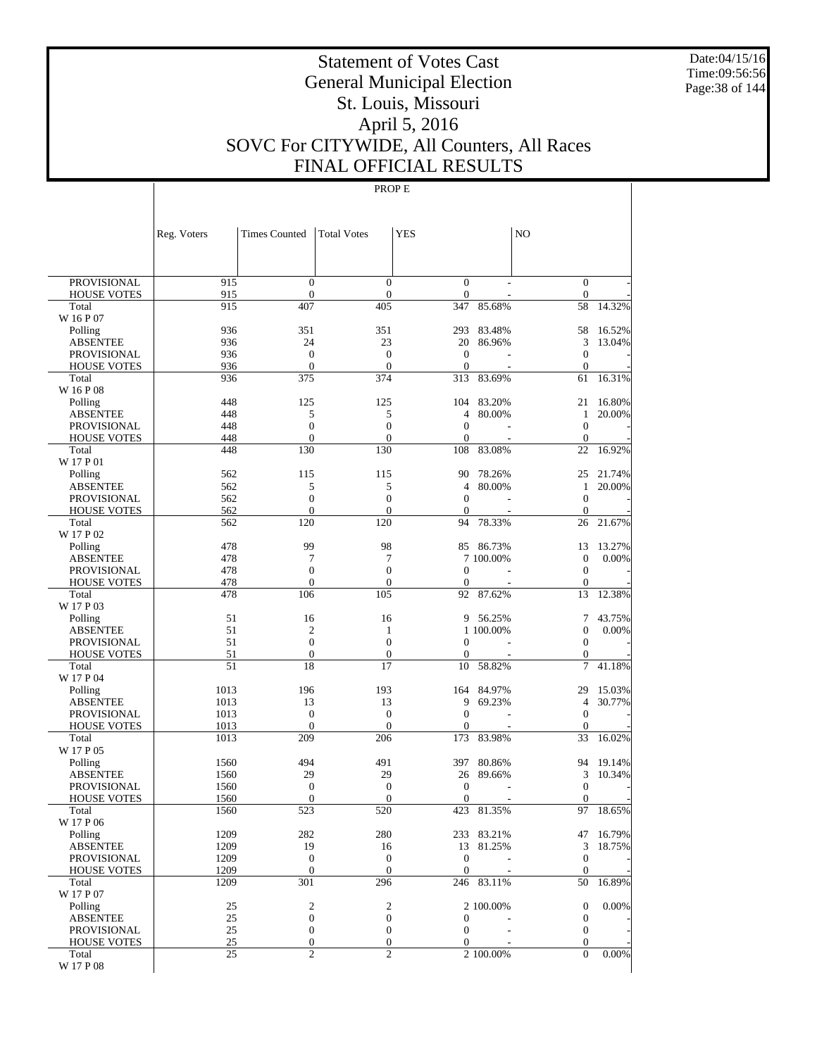Date:04/15/16 Time:09:56:56 Page:38 of 144

# Statement of Votes Cast General Municipal Election St. Louis, Missouri April 5, 2016 SOVC For CITYWIDE, All Counters, All Races FINAL OFFICIAL RESULTS

|                             | Reg. Voters  | <b>Times Counted</b>             | <b>Total Votes</b>                   | <b>YES</b>                     |                         | N <sub>O</sub>                       |                     |
|-----------------------------|--------------|----------------------------------|--------------------------------------|--------------------------------|-------------------------|--------------------------------------|---------------------|
|                             |              |                                  |                                      |                                |                         |                                      |                     |
| <b>PROVISIONAL</b>          | 915          | $\mathbf{0}$                     | $\overline{0}$                       | $\overline{0}$                 |                         | $\mathbf{0}$                         |                     |
| <b>HOUSE VOTES</b><br>Total | 915<br>915   | $\boldsymbol{0}$<br>407          | $\mathbf{0}$<br>405                  | $\boldsymbol{0}$<br>347        | 85.68%                  | $\boldsymbol{0}$<br>58               | 14.32%              |
| W 16 P 07                   |              |                                  |                                      |                                |                         |                                      |                     |
| Polling                     | 936          | 351                              | 351                                  | 293                            | 83.48%                  | 58                                   | 16.52%              |
| <b>ABSENTEE</b>             | 936          | 24                               | 23                                   | 20                             | 86.96%                  | 3                                    | 13.04%              |
| <b>PROVISIONAL</b>          | 936          | $\overline{0}$                   | $\boldsymbol{0}$                     | $\mathbf{0}$                   |                         | $\mathbf{0}$                         |                     |
| <b>HOUSE VOTES</b>          | 936          | $\boldsymbol{0}$                 | $\mathbf{0}$                         | $\boldsymbol{0}$               |                         | $\boldsymbol{0}$                     |                     |
| Total<br>W 16 P 08          | 936          | 375                              | 374                                  | 313                            | 83.69%                  | 61                                   | 16.31%              |
| Polling                     | 448          | 125                              | 125                                  | 104                            | 83.20%                  | 21                                   | 16.80%              |
| <b>ABSENTEE</b>             | 448          | 5                                | 5                                    | 4                              | 80.00%                  | 1                                    | 20.00%              |
| <b>PROVISIONAL</b>          | 448          | $\boldsymbol{0}$                 | $\boldsymbol{0}$                     | $\mathbf{0}$                   |                         | $\mathbf{0}$                         |                     |
| <b>HOUSE VOTES</b>          | 448          | $\mathbf{0}$                     | $\boldsymbol{0}$                     | $\overline{0}$                 |                         | $\mathbf{0}$                         |                     |
| Total                       | 448          | 130                              | 130                                  | 108                            | 83.08%                  | 22                                   | 16.92%              |
| W 17 P 01                   |              |                                  |                                      |                                |                         |                                      |                     |
| Polling<br>ABSENTEE         | 562<br>562   | 115<br>5                         | 115<br>5                             | 90<br>4                        | 78.26%<br>80.00%        | 25<br>1                              | 21.74%<br>20.00%    |
| <b>PROVISIONAL</b>          | 562          | $\boldsymbol{0}$                 | $\boldsymbol{0}$                     | $\overline{0}$                 |                         | $\boldsymbol{0}$                     |                     |
| <b>HOUSE VOTES</b>          | 562          | $\mathbf{0}$                     | $\mathbf{0}$                         | $\mathbf{0}$                   |                         | $\boldsymbol{0}$                     |                     |
| Total                       | 562          | 120                              | 120                                  | 94                             | 78.33%                  | 26                                   | 21.67%              |
| W 17 P 02                   |              |                                  |                                      |                                |                         |                                      |                     |
| Polling                     | 478          | 99                               | 98                                   | 85                             | 86.73%                  | 13                                   | 13.27%              |
| <b>ABSENTEE</b>             | 478          | 7                                | 7                                    |                                | 7 100,00%               | $\boldsymbol{0}$                     | 0.00%               |
| <b>PROVISIONAL</b>          | 478<br>478   | $\boldsymbol{0}$<br>$\mathbf{0}$ | $\boldsymbol{0}$<br>$\boldsymbol{0}$ | $\overline{0}$<br>$\mathbf{0}$ |                         | $\boldsymbol{0}$<br>$\boldsymbol{0}$ |                     |
| <b>HOUSE VOTES</b><br>Total | 478          | 106                              | 105                                  | 92                             | 87.62%                  | 13                                   | 12.38%              |
| W 17 P 03                   |              |                                  |                                      |                                |                         |                                      |                     |
| Polling                     | 51           | 16                               | 16                                   | 9                              | 56.25%                  | 7                                    | 43.75%              |
| ABSENTEE                    | 51           | $\overline{2}$                   | 1                                    |                                | 1 100.00%               | $\boldsymbol{0}$                     | 0.00%               |
| <b>PROVISIONAL</b>          | 51           | $\overline{0}$                   | $\overline{0}$                       | $\overline{0}$                 |                         | $\boldsymbol{0}$                     |                     |
| <b>HOUSE VOTES</b>          | 51<br>51     | $\boldsymbol{0}$<br>18           | $\boldsymbol{0}$<br>17               | 0                              | 58.82%                  | $\boldsymbol{0}$<br>7                |                     |
| Total<br>W 17 P 04          |              |                                  |                                      | 10                             |                         |                                      | 41.18%              |
| Polling                     | 1013         | 196                              | 193                                  | 164                            | 84.97%                  | 29                                   | 15.03%              |
| <b>ABSENTEE</b>             | 1013         | 13                               | 13                                   | 9                              | 69.23%                  | 4                                    | 30.77%              |
| <b>PROVISIONAL</b>          | 1013         | $\boldsymbol{0}$                 | $\boldsymbol{0}$                     | $\boldsymbol{0}$               |                         | $\boldsymbol{0}$                     |                     |
| <b>HOUSE VOTES</b>          | 1013         | $\mathbf{0}$                     | $\mathbf{0}$                         | $\overline{0}$                 |                         | $\boldsymbol{0}$                     |                     |
| Total<br>W 17 P 05          | 1013         | 209                              | 206                                  | 173                            | 83.98%                  | 33                                   | 16.02%              |
| Polling                     | 1560         | 494                              | 491                                  | 397                            | 80.86%                  | 94                                   | 19.14%              |
| ABSENTEE                    | 1560         | 29                               | 29                                   | 26                             | 89.66%                  | 3                                    | 10.34%              |
| <b>PROVISIONAL</b>          | 1560         | $\boldsymbol{0}$                 | $\boldsymbol{0}$                     | $\boldsymbol{0}$               |                         | $\boldsymbol{0}$                     |                     |
| <b>HOUSE VOTES</b>          | 1560         | $\boldsymbol{0}$                 | $\mathbf{0}$                         | $\mathbf{0}$                   |                         | $\boldsymbol{0}$                     |                     |
| Total                       | 1560         | 523                              | 520                                  | 423                            | 81.35%                  | 97                                   | 18.65%              |
| W 17 P 06                   |              |                                  |                                      |                                |                         |                                      |                     |
| Polling<br><b>ABSENTEE</b>  | 1209<br>1209 | 282<br>19                        | 280<br>16                            |                                | 233 83.21%<br>13 81.25% | 3                                    | 47 16.79%<br>18.75% |
| <b>PROVISIONAL</b>          | 1209         | $\mathbf{0}$                     | $\mathbf{0}$                         | $\mathbf{0}$                   |                         | $\boldsymbol{0}$                     |                     |
| <b>HOUSE VOTES</b>          | 1209         | $\boldsymbol{0}$                 | $\mathbf{0}$                         | $\mathbf{0}$                   |                         | $\boldsymbol{0}$                     |                     |
| Total                       | 1209         | 301                              | 296                                  |                                | 246 83.11%              | 50                                   | 16.89%              |
| W 17 P 07                   |              |                                  |                                      |                                | 2 100.00%               | $\mathbf{0}$                         | 0.00%               |
| Polling<br><b>ABSENTEE</b>  | 25<br>25     | 2<br>$\boldsymbol{0}$            | 2<br>$\boldsymbol{0}$                | 0                              |                         | $\boldsymbol{0}$                     |                     |
| PROVISIONAL                 | 25           | $\boldsymbol{0}$                 | $\boldsymbol{0}$                     | $\boldsymbol{0}$               |                         | $\boldsymbol{0}$                     |                     |
| <b>HOUSE VOTES</b>          | 25           | $\boldsymbol{0}$                 | $\boldsymbol{0}$                     | $\overline{0}$                 |                         | $\boldsymbol{0}$                     |                     |
| Total                       | 25           | $\overline{c}$                   | $\overline{c}$                       |                                | 2 100.00%               | $\overline{0}$                       | 0.00%               |
| W 17 P 08                   |              |                                  |                                      |                                |                         |                                      |                     |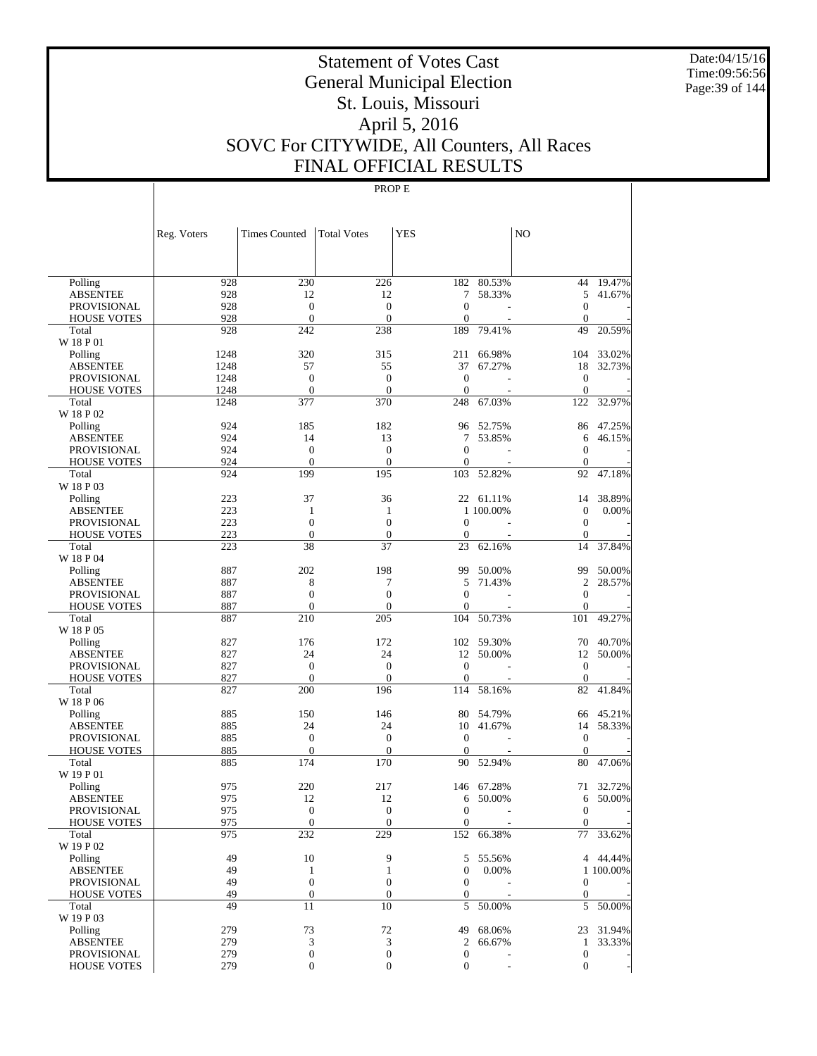Date:04/15/16 Time:09:56:56 Page:39 of 144

# Statement of Votes Cast General Municipal Election St. Louis, Missouri April 5, 2016 SOVC For CITYWIDE, All Counters, All Races FINAL OFFICIAL RESULTS

|                             | Reg. Voters | <b>Times Counted</b>           | <b>Total Votes</b>  | <b>YES</b>         |                 | NO                       |           |
|-----------------------------|-------------|--------------------------------|---------------------|--------------------|-----------------|--------------------------|-----------|
|                             |             |                                |                     |                    |                 |                          |           |
| Polling                     | 928         | 230                            | 226                 | 182                | 80.53%          | 44                       | 19.47%    |
| <b>ABSENTEE</b>             | 928         | 12                             | 12                  | 7                  | 58.33%          | 5                        | 41.67%    |
| <b>PROVISIONAL</b>          | 928         | $\overline{0}$                 | $\mathbf{0}$        | $\mathbf{0}$       |                 | $\mathbf{0}$             |           |
| <b>HOUSE VOTES</b>          | 928         | $\mathbf{0}$                   | $\mathbf{0}$        | $\mathbf{0}$       |                 | $\mathbf{0}$             |           |
| Total                       | 928         | 242                            | 238                 | 189                | 79.41%          | 49                       | 20.59%    |
| W 18 P 01                   |             |                                |                     |                    |                 |                          |           |
| Polling                     | 1248        | 320                            | 315                 | 211                | 66.98%          | 104                      | 33.02%    |
| <b>ABSENTEE</b>             | 1248        | 57                             | 55                  | 37                 | 67.27%          | 18                       | 32.73%    |
| <b>PROVISIONAL</b>          | 1248        | $\overline{0}$                 | $\overline{0}$      | $\mathbf{0}$       | Ĭ.              | $\mathbf{0}$             |           |
| <b>HOUSE VOTES</b>          | 1248        | $\mathbf{0}$                   | $\mathbf{0}$        | $\mathbf{0}$       |                 | $\overline{0}$           |           |
| Total                       | 1248        | 377                            | 370                 | 248                | 67.03%          | 122                      | 32.97%    |
| W 18 P 02                   |             |                                |                     |                    |                 |                          |           |
| Polling                     | 924         | 185                            | 182                 | 96                 | 52.75%          | 86                       | 47.25%    |
| <b>ABSENTEE</b>             | 924         | 14                             | 13                  | 7                  | 53.85%          | 6                        | 46.15%    |
| <b>PROVISIONAL</b>          | 924         | $\overline{0}$                 | $\mathbf{0}$        | $\mathbf{0}$       |                 | $\theta$                 |           |
| <b>HOUSE VOTES</b>          | 924         | $\mathbf{0}$                   | $\mathbf{0}$        | $\mathbf{0}$       |                 | $\theta$                 |           |
| Total                       | 924         | 199                            | 195                 | 103                | 52.82%          | 92                       | 47.18%    |
| W 18 P 03                   |             |                                |                     |                    |                 |                          |           |
| Polling                     | 223         | 37                             | 36                  |                    | 22 61.11%       | 14                       | 38.89%    |
| <b>ABSENTEE</b>             | 223<br>223  | 1<br>$\overline{0}$            | 1<br>$\overline{0}$ | $\mathbf{0}$       | 1 100.00%<br>L, | $\mathbf{0}$<br>$\theta$ | 0.00%     |
| <b>PROVISIONAL</b>          | 223         | $\overline{0}$                 | $\theta$            | $\mathbf{0}$       |                 | $\mathbf{0}$             |           |
| <b>HOUSE VOTES</b><br>Total | 223         | 38                             | 37                  | 23                 | 62.16%          | 14                       | 37.84%    |
| W 18 P 04                   |             |                                |                     |                    |                 |                          |           |
| Polling                     | 887         | 202                            | 198                 | 99                 | 50.00%          | 99                       | 50.00%    |
| <b>ABSENTEE</b>             | 887         | 8                              | 7                   | 5                  | 71.43%          | $\overline{c}$           | 28.57%    |
| <b>PROVISIONAL</b>          | 887         | $\overline{0}$                 | $\overline{0}$      | $\mathbf{0}$       |                 | $\mathbf{0}$             |           |
| <b>HOUSE VOTES</b>          | 887         | $\mathbf{0}$                   | $\mathbf{0}$        | $\mathbf{0}$       |                 | $\mathbf{0}$             |           |
| Total                       | 887         | 210                            | 205                 | 104                | 50.73%          | 101                      | 49.27%    |
| W 18 P 05                   |             |                                |                     |                    |                 |                          |           |
| Polling                     | 827         | 176                            | 172                 |                    | 102 59.30%      | 70                       | 40.70%    |
| <b>ABSENTEE</b>             | 827         | 24                             | 24                  | 12                 | 50.00%          | 12                       | 50.00%    |
| <b>PROVISIONAL</b>          | 827         | $\overline{0}$                 | $\overline{0}$      | $\mathbf{0}$       | L,              | $\theta$                 |           |
| <b>HOUSE VOTES</b>          | 827         | $\mathbf{0}$                   | $\mathbf{0}$        | $\mathbf{0}$       |                 | $\boldsymbol{0}$         |           |
| Total                       | 827         | 200                            | 196                 | 114                | 58.16%          | 82                       | 41.84%    |
| W 18 P 06                   |             |                                |                     |                    |                 |                          |           |
| Polling                     | 885         | 150                            | 146                 | 80                 | 54.79%          | 66                       | 45.21%    |
| <b>ABSENTEE</b>             | 885         | 24                             | 24                  | 10                 | 41.67%          | 14                       | 58.33%    |
| <b>PROVISIONAL</b>          | 885         | $\overline{0}$<br>$\mathbf{0}$ | $\mathbf{0}$        | $\mathbf{0}$       |                 | $\mathbf{0}$             |           |
| <b>HOUSE VOTES</b><br>Total | 885<br>885  | 174                            | $\theta$<br>170     | $\mathbf{0}$<br>90 | 52.94%          | $\theta$<br>80           | 47.06%    |
| W 19 P 01                   |             |                                |                     |                    |                 |                          |           |
| Polling                     | 975         | 220                            | 217                 | 146                | 67.28%          | 71                       | 32.72%    |
| <b>ABSENTEE</b>             | 975         | 12                             | 12                  | 6                  | 50.00%          | 6                        | 50.00%    |
| PROVISIONAL                 | 975         | $\Omega$                       | $\Omega$            | $\Omega$           |                 | $\boldsymbol{0}$         |           |
| <b>HOUSE VOTES</b>          | 975         | $\overline{0}$                 | $\boldsymbol{0}$    | $\boldsymbol{0}$   |                 | $\mathbf{0}$             |           |
| Total                       | 975         | 232                            | 229                 |                    | 152 66.38%      |                          | 77 33.62% |
| W 19 P 02                   |             |                                |                     |                    |                 |                          |           |
| Polling                     | 49          | 10                             | 9                   | 5                  | 55.56%          |                          | 4 44.44%  |
| <b>ABSENTEE</b>             | 49          | $\mathbf{1}$                   | 1                   | $\boldsymbol{0}$   | 0.00%           |                          | 1 100.00% |
| <b>PROVISIONAL</b>          | 49          | $\boldsymbol{0}$               | $\boldsymbol{0}$    | 0                  |                 | $\mathbf{0}$             |           |
| <b>HOUSE VOTES</b>          | 49          | $\boldsymbol{0}$               | $\theta$            | 0                  |                 | $\overline{0}$           |           |
| Total                       | 49          | 11                             | 10                  | 5                  | 50.00%          |                          | 5 50.00%  |
| W 19 P 03                   |             |                                |                     |                    |                 |                          |           |
| Polling                     | 279         | 73                             | 72                  | 49                 | 68.06%          |                          | 23 31.94% |
| <b>ABSENTEE</b>             | 279         | 3                              | 3                   | 2                  | 66.67%          |                          | 1 33.33%  |
| <b>PROVISIONAL</b>          | 279         | $\boldsymbol{0}$               | $\boldsymbol{0}$    | $\boldsymbol{0}$   |                 | $\boldsymbol{0}$         |           |
| <b>HOUSE VOTES</b>          | 279         | $\boldsymbol{0}$               | $\boldsymbol{0}$    | $\mathbf{0}$       |                 | $\overline{0}$           |           |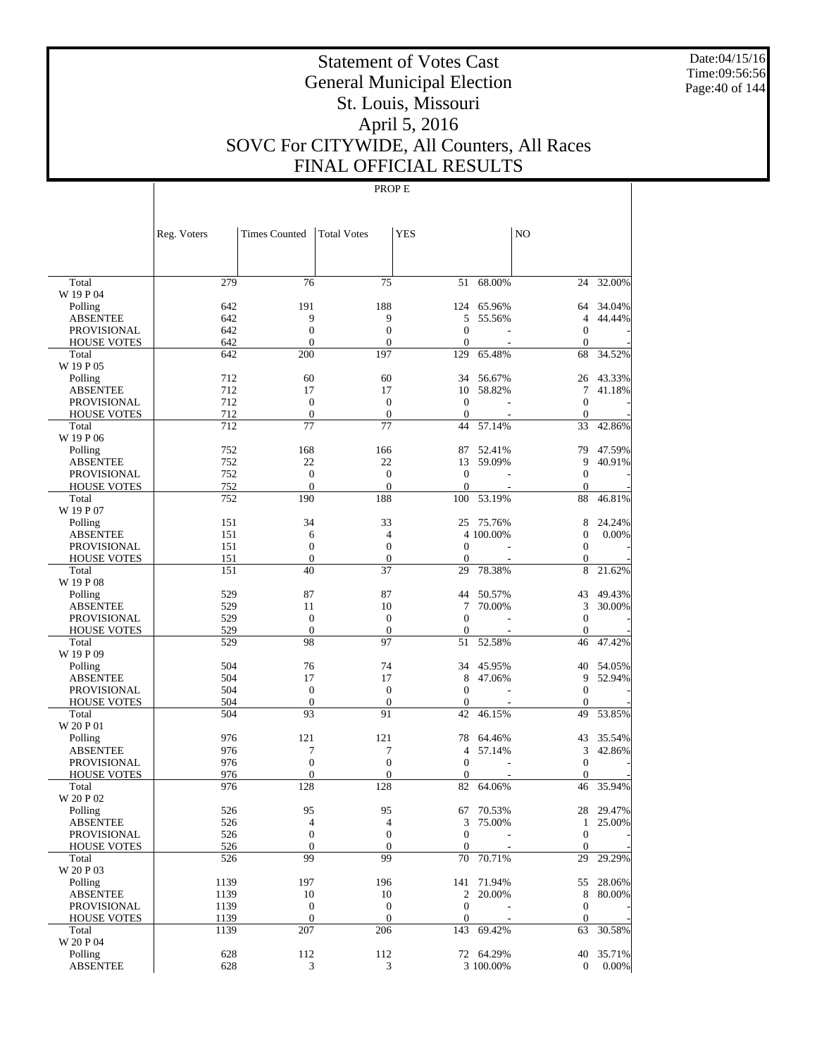Date:04/15/16 Time:09:56:56 Page:40 of 144

# Statement of Votes Cast General Municipal Election St. Louis, Missouri April 5, 2016 SOVC For CITYWIDE, All Counters, All Races FINAL OFFICIAL RESULTS

|                                          | Reg. Voters  | <b>Times Counted</b>             | <b>Total Votes</b>                   | <b>YES</b>                     |            | N <sub>O</sub>               |           |
|------------------------------------------|--------------|----------------------------------|--------------------------------------|--------------------------------|------------|------------------------------|-----------|
| Total                                    | 279          | 76                               | 75                                   | 51                             | 68.00%     | 24                           | 32.00%    |
| W 19 P 04                                |              |                                  |                                      |                                |            |                              |           |
| Polling                                  | 642          | 191                              | 188                                  | 124                            | 65.96%     | 64                           | 34.04%    |
| <b>ABSENTEE</b>                          | 642          | 9                                | 9                                    | 5                              | 55.56%     | 4                            | 44.44%    |
| <b>PROVISIONAL</b>                       | 642<br>642   | $\boldsymbol{0}$<br>$\mathbf{0}$ | $\boldsymbol{0}$<br>$\overline{0}$   | $\mathbf{0}$<br>$\mathbf{0}$   |            | $\mathbf{0}$<br>$\mathbf{0}$ |           |
| <b>HOUSE VOTES</b><br>Total              | 642          | 200                              | 197                                  | 129                            | 65.48%     | 68                           | 34.52%    |
| W 19 P 05                                |              |                                  |                                      |                                |            |                              |           |
| Polling                                  | 712          | 60                               | 60                                   | 34                             | 56.67%     | 26                           | 43.33%    |
| <b>ABSENTEE</b>                          | 712          | 17                               | 17                                   | 10                             | 58.82%     | 7                            | 41.18%    |
| <b>PROVISIONAL</b>                       | 712          | $\boldsymbol{0}$                 | $\mathbf{0}$                         | $\theta$                       |            | $\mathbf{0}$                 |           |
| <b>HOUSE VOTES</b>                       | 712          | $\mathbf{0}$                     | $\boldsymbol{0}$                     | $\theta$                       |            | $\mathbf{0}$                 |           |
| Total                                    | 712          | 77                               | 77                                   | 44                             | 57.14%     | 33                           | 42.86%    |
| W 19 P 06                                |              |                                  |                                      |                                |            |                              |           |
| Polling                                  | 752          | 168                              | 166                                  | 87                             | 52.41%     | 79                           | 47.59%    |
| ABSENTEE<br><b>PROVISIONAL</b>           | 752<br>752   | 22<br>$\boldsymbol{0}$           | 22<br>$\boldsymbol{0}$               | 13<br>$\theta$                 | 59.09%     | 9<br>$\mathbf{0}$            | 40.91%    |
| <b>HOUSE VOTES</b>                       | 752          | $\mathbf{0}$                     | $\mathbf{0}$                         | $\Omega$                       |            | $\mathbf{0}$                 |           |
| Total                                    | 752          | 190                              | 188                                  | 100                            | 53.19%     | 88                           | 46.81%    |
| W 19 P 07                                |              |                                  |                                      |                                |            |                              |           |
| Polling                                  | 151          | 34                               | 33                                   | 25                             | 75.76%     | 8                            | 24.24%    |
| <b>ABSENTEE</b>                          | 151          | 6                                | 4                                    |                                | 4 100.00%  | $\overline{0}$               | 0.00%     |
| <b>PROVISIONAL</b>                       | 151          | $\boldsymbol{0}$                 | $\boldsymbol{0}$                     | $\mathbf{0}$                   |            | $\mathbf{0}$                 |           |
| <b>HOUSE VOTES</b>                       | 151          | $\mathbf{0}$                     | $\boldsymbol{0}$                     | $\theta$                       |            | $\mathbf{0}$                 |           |
| Total                                    | 151          | 40                               | 37                                   | 29                             | 78.38%     | 8                            | 21.62%    |
| W 19 P 08                                |              |                                  |                                      |                                |            |                              |           |
| Polling                                  | 529          | 87                               | 87                                   | 44                             | 50.57%     | 43                           | 49.43%    |
| <b>ABSENTEE</b>                          | 529          | 11                               | 10                                   | 7<br>$\mathbf{0}$              | 70.00%     | 3                            | 30.00%    |
| <b>PROVISIONAL</b><br><b>HOUSE VOTES</b> | 529<br>529   | $\boldsymbol{0}$<br>$\mathbf{0}$ | $\boldsymbol{0}$<br>$\boldsymbol{0}$ | $\theta$                       |            | $\mathbf{0}$<br>$\mathbf{0}$ |           |
| Total                                    | 529          | 98                               | 97                                   | 51                             | 52.58%     | 46                           | 47.42%    |
| W 19 P 09                                |              |                                  |                                      |                                |            |                              |           |
| Polling                                  | 504          | 76                               | 74                                   | 34                             | 45.95%     | 40                           | 54.05%    |
| <b>ABSENTEE</b>                          | 504          | 17                               | 17                                   | 8                              | 47.06%     | 9                            | 52.94%    |
| <b>PROVISIONAL</b>                       | 504          | $\boldsymbol{0}$                 | $\boldsymbol{0}$                     | $\Omega$                       |            | $\mathbf{0}$                 |           |
| <b>HOUSE VOTES</b>                       | 504          | $\mathbf{0}$                     | $\boldsymbol{0}$                     | $\mathbf{0}$                   |            | $\mathbf{0}$                 |           |
| Total                                    | 504          | 93                               | 91                                   | 42                             | 46.15%     | 49                           | 53.85%    |
| W 20 P 01                                |              |                                  |                                      |                                |            |                              |           |
| Polling                                  | 976          | 121                              | 121                                  | 78                             | 64.46%     | 43                           | 35.54%    |
| <b>ABSENTEE</b>                          | 976<br>976   | 7<br>$\boldsymbol{0}$            | 7<br>$\boldsymbol{0}$                | $\overline{4}$<br>$\mathbf{0}$ | 57.14%     | 3<br>$\mathbf{0}$            | 42.86%    |
| PROVISIONAL<br><b>HOUSE VOTES</b>        | 976          | $\mathbf{0}$                     | $\mathbf{0}$                         | $\mathbf{0}$                   |            | $\mathbf{0}$                 |           |
| Total                                    | 976          | 128                              | 128                                  | 82                             | 64.06%     | 46                           | 35.94%    |
| W 20 P 02                                |              |                                  |                                      |                                |            |                              |           |
| $\operatorname{Polling}$                 | 526          | 95                               | 95                                   |                                | 67 70.53%  |                              | 28 29.47% |
| <b>ABSENTEE</b>                          | 526          | $\overline{\mathcal{L}}$         | $\overline{4}$                       | 3                              | 75.00%     |                              | 1 25.00%  |
| PROVISIONAL                              | 526          | $\boldsymbol{0}$                 | $\boldsymbol{0}$                     | $\mathbf{0}$                   |            | $\mathbf{0}$                 |           |
| <b>HOUSE VOTES</b>                       | 526          | $\boldsymbol{0}$                 | $\boldsymbol{0}$                     | $\mathbf{0}$                   |            | $\mathbf{0}$                 |           |
| Total                                    | 526          | 99                               | 99                                   | 70                             | 70.71%     | 29                           | 29.29%    |
| W 20 P 03                                |              |                                  |                                      |                                |            |                              |           |
| Polling                                  | 1139         | 197                              | 196                                  | 141                            | 71.94%     |                              | 55 28.06% |
| <b>ABSENTEE</b>                          | 1139         | 10<br>$\boldsymbol{0}$           | 10<br>$\mathbf{0}$                   | $\mathbf{0}$                   | 2 20.00%   | $\,8\,$<br>$\mathbf{0}$      | 80.00%    |
| PROVISIONAL<br><b>HOUSE VOTES</b>        | 1139<br>1139 | $\boldsymbol{0}$                 | $\mathbf{0}$                         | $\mathbf{0}$                   |            | $\mathbf{0}$                 |           |
| Total                                    | 1139         | 207                              | 206                                  |                                | 143 69.42% | 63                           | 30.58%    |
| W 20 P 04                                |              |                                  |                                      |                                |            |                              |           |
| Polling                                  | 628          | 112                              | 112                                  |                                | 72 64.29%  | 40                           | 35.71%    |
| <b>ABSENTEE</b>                          | 628          | 3                                | 3                                    |                                | 3 100.00%  | $\mathbf{0}$                 | $0.00\%$  |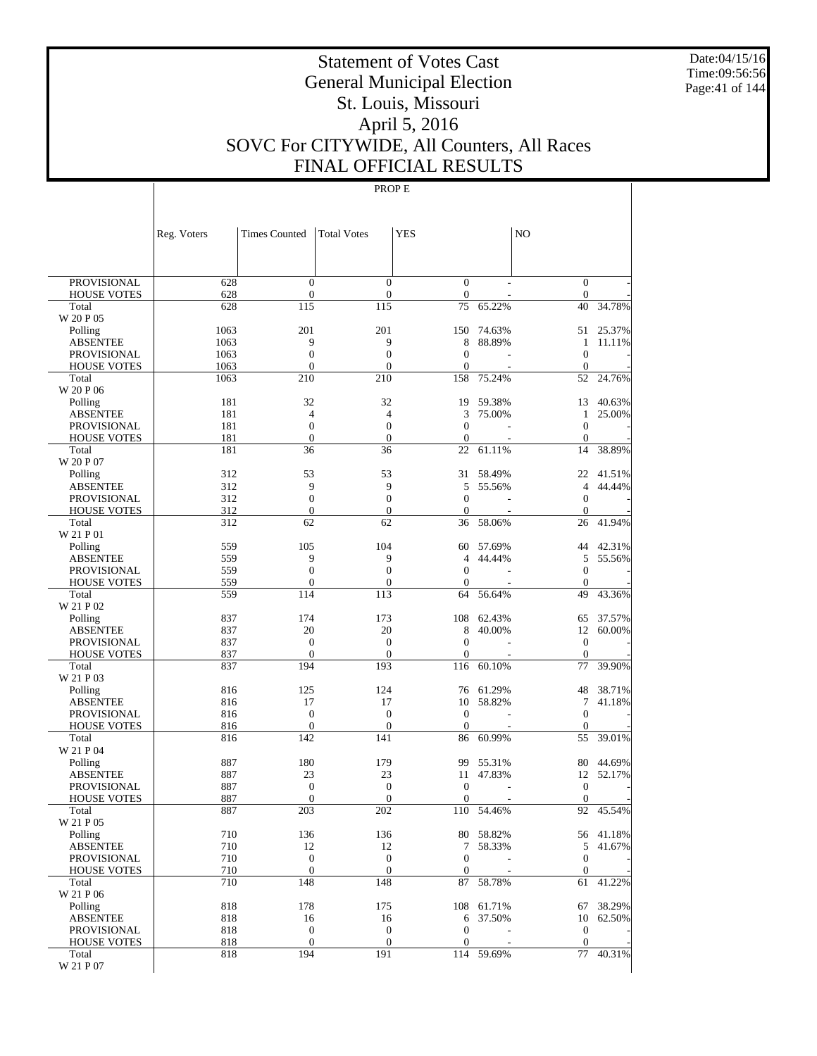Date:04/15/16 Time:09:56:56 Page:41 of 144

# Statement of Votes Cast General Municipal Election St. Louis, Missouri April 5, 2016 SOVC For CITYWIDE, All Counters, All Races FINAL OFFICIAL RESULTS

|                                       | Reg. Voters  | <b>Times Counted</b> | <b>Total Votes</b>    | <b>YES</b>             |           | N <sub>O</sub>         |           |
|---------------------------------------|--------------|----------------------|-----------------------|------------------------|-----------|------------------------|-----------|
|                                       |              |                      |                       |                        |           |                        |           |
| <b>PROVISIONAL</b>                    | 628          | $\mathbf{0}$         | $\overline{0}$        | $\mathbf{0}$           |           | $\mathbf{0}$           |           |
| <b>HOUSE VOTES</b>                    | 628          | $\boldsymbol{0}$     | $\boldsymbol{0}$      | $\boldsymbol{0}$       |           | $\boldsymbol{0}$       |           |
| Total                                 | 628          | 115                  | 115                   | 75                     | 65.22%    | 40                     | 34.78%    |
| W 20 P 05                             |              |                      |                       |                        |           |                        |           |
| Polling                               | 1063         | 201<br>9             | 201                   | 150                    | 74.63%    | 51                     | 25.37%    |
| <b>ABSENTEE</b><br><b>PROVISIONAL</b> | 1063<br>1063 | $\mathbf{0}$         | 9<br>$\boldsymbol{0}$ | 8<br>$\mathbf{0}$      | 88.89%    | 1<br>$\boldsymbol{0}$  | 11.11%    |
| <b>HOUSE VOTES</b>                    | 1063         | $\boldsymbol{0}$     | $\boldsymbol{0}$      | $\overline{0}$         |           | $\boldsymbol{0}$       |           |
| Total                                 | 1063         | 210                  | 210                   | 158                    | 75.24%    | 52                     | 24.76%    |
| W 20 P 06                             |              |                      |                       |                        |           |                        |           |
| Polling                               | 181          | 32                   | 32                    | 19                     | 59.38%    | 13                     | 40.63%    |
| <b>ABSENTEE</b>                       | 181          | $\overline{4}$       | $\overline{4}$        | 3                      | 75.00%    | 1                      | 25.00%    |
| PROVISIONAL                           | 181          | $\boldsymbol{0}$     | $\boldsymbol{0}$      | $\overline{0}$         |           | $\boldsymbol{0}$       |           |
| <b>HOUSE VOTES</b>                    | 181          | $\boldsymbol{0}$     | $\mathbf{0}$          | $\mathbf{0}$           |           | $\boldsymbol{0}$       |           |
| Total<br>W 20 P 07                    | 181          | 36                   | 36                    | 22                     | 61.11%    | 14                     | 38.89%    |
| Polling                               | 312          | 53                   | 53                    | 31                     | 58.49%    | 22                     | 41.51%    |
| <b>ABSENTEE</b>                       | 312          | 9                    | 9                     | 5                      | 55.56%    | $\overline{4}$         | 44.44%    |
| PROVISIONAL                           | 312          | $\mathbf{0}$         | $\boldsymbol{0}$      | $\overline{0}$         |           | $\boldsymbol{0}$       |           |
| <b>HOUSE VOTES</b>                    | 312          | $\boldsymbol{0}$     | $\mathbf{0}$          | $\overline{0}$         |           | $\boldsymbol{0}$       |           |
| Total                                 | 312          | 62                   | 62                    | 36                     | 58.06%    | 26                     | 41.94%    |
| W 21 P 01                             |              |                      |                       |                        |           |                        |           |
| Polling                               | 559          | 105                  | 104                   | 60                     | 57.69%    | 44                     | 42.31%    |
| <b>ABSENTEE</b><br>PROVISIONAL        | 559<br>559   | 9<br>$\mathbf{0}$    | 9<br>$\boldsymbol{0}$ | 4<br>$\overline{0}$    | 44.44%    | 5<br>$\boldsymbol{0}$  | 55.56%    |
| <b>HOUSE VOTES</b>                    | 559          | $\boldsymbol{0}$     | $\boldsymbol{0}$      | $\boldsymbol{0}$       |           | $\boldsymbol{0}$       |           |
| Total                                 | 559          | 114                  | 113                   | 64                     | 56.64%    | 49                     | 43.36%    |
| W 21 P 02                             |              |                      |                       |                        |           |                        |           |
| Polling                               | 837          | 174                  | 173                   | 108                    | 62.43%    | 65                     | 37.57%    |
| <b>ABSENTEE</b>                       | 837          | 20                   | 20                    | 8                      | 40.00%    | 12                     | 60.00%    |
| PROVISIONAL                           | 837          | $\boldsymbol{0}$     | $\mathbf{0}$          | $\overline{0}$         |           | $\boldsymbol{0}$       |           |
| <b>HOUSE VOTES</b>                    | 837          | $\boldsymbol{0}$     | $\mathbf{0}$          | $\overline{0}$         |           | $\boldsymbol{0}$       |           |
| Total<br>W 21 P 03                    | 837          | 194                  | 193                   | 116                    | 60.10%    | 77                     | 39.90%    |
| Polling                               | 816          | 125                  | 124                   | 76                     | 61.29%    | 48                     | 38.71%    |
| <b>ABSENTEE</b>                       | 816          | 17                   | 17                    | 10                     | 58.82%    | 7                      | 41.18%    |
| PROVISIONAL                           | 816          | $\mathbf{0}$         | $\mathbf{0}$          | $\boldsymbol{0}$       |           | $\boldsymbol{0}$       |           |
| <b>HOUSE VOTES</b>                    | 816          | $\boldsymbol{0}$     | $\mathbf{0}$          | $\boldsymbol{0}$       |           | $\boldsymbol{0}$       |           |
| Total                                 | 816          | 142                  | 141                   | 86                     | 60.99%    | 55                     | 39.01%    |
| W 21 P 04                             |              |                      |                       |                        |           |                        |           |
| Polling                               | 887          | 180                  | 179                   | 99                     | 55.31%    | 80                     | 44.69%    |
| <b>ABSENTEE</b>                       | 887<br>887   | 23<br>$\mathbf{0}$   | 23<br>$\mathbf{0}$    | 11<br>$\boldsymbol{0}$ | 47.83%    | 12<br>$\boldsymbol{0}$ | 52.17%    |
| PROVISIONAL<br><b>HOUSE VOTES</b>     | 887          | $\boldsymbol{0}$     | $\boldsymbol{0}$      | $\mathbf{0}$           |           | $\boldsymbol{0}$       |           |
| Total                                 | 887          | 203                  | 202                   | 110                    | 54.46%    | 92                     | 45.54%    |
| W 21 P 05                             |              |                      |                       |                        |           |                        |           |
| Polling                               | 710          | 136                  | 136                   |                        | 80 58.82% |                        | 56 41.18% |
| <b>ABSENTEE</b>                       | 710          | 12                   | 12                    | 7                      | 58.33%    | 5                      | 41.67%    |
| PROVISIONAL                           | 710          | $\mathbf{0}$         | $\mathbf{0}$          | $\boldsymbol{0}$       |           | $\boldsymbol{0}$       |           |
| <b>HOUSE VOTES</b>                    | 710          | $\boldsymbol{0}$     | $\mathbf{0}$          | $\boldsymbol{0}$       |           | $\boldsymbol{0}$       |           |
| Total<br>W 21 P 06                    | 710          | 148                  | 148                   | 87                     | 58.78%    | 61                     | 41.22%    |
| Polling                               | 818          | 178                  | 175                   | 108                    | 61.71%    | 67                     | 38.29%    |
| <b>ABSENTEE</b>                       | 818          | 16                   | 16                    | 6                      | 37.50%    | 10                     | 62.50%    |
| PROVISIONAL                           | 818          | $\mathbf{0}$         | $\mathbf{0}$          | $\boldsymbol{0}$       |           | $\boldsymbol{0}$       |           |
| <b>HOUSE VOTES</b>                    | 818          | $\boldsymbol{0}$     | $\mathbf{0}$          | $\boldsymbol{0}$       |           | $\mathbf{0}$           |           |
| Total                                 | 818          | 194                  | 191                   | 114                    | 59.69%    | 77                     | 40.31%    |
| W 21 P 07                             |              |                      |                       |                        |           |                        |           |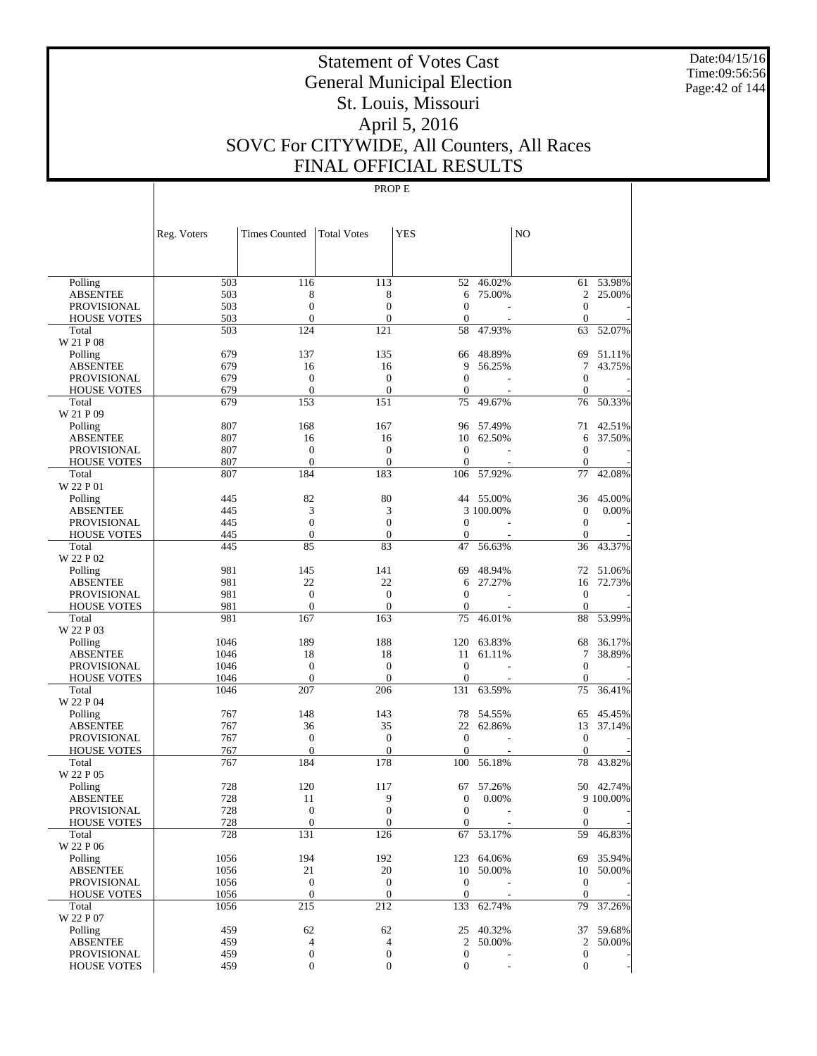Date:04/15/16 Time:09:56:56 Page:42 of 144

# Statement of Votes Cast General Municipal Election St. Louis, Missouri April 5, 2016 SOVC For CITYWIDE, All Counters, All Races FINAL OFFICIAL RESULTS

|                                          | Reg. Voters  | Times Counted                | <b>Total Votes</b>           | <b>YES</b>                     |                  | N <sub>O</sub>               |           |
|------------------------------------------|--------------|------------------------------|------------------------------|--------------------------------|------------------|------------------------------|-----------|
|                                          |              |                              |                              |                                |                  |                              |           |
| Polling                                  | 503          | 116                          | 113                          | 52                             | 46.02%           |                              | 61 53.98% |
| <b>ABSENTEE</b>                          | 503          | 8                            | 8                            | 6                              | 75.00%           | 2                            | 25.00%    |
| <b>PROVISIONAL</b>                       | 503          | $\mathbf{0}$                 | $\overline{0}$               | $\Omega$                       |                  | $\mathbf{0}$                 |           |
| <b>HOUSE VOTES</b>                       | 503<br>503   | $\mathbf{0}$<br>124          | $\mathbf{0}$<br>121          | $\mathbf{0}$<br>58             |                  | $\mathbf{0}$                 |           |
| Total<br>W 21 P 08                       |              |                              |                              |                                | 47.93%           | 63                           | 52.07%    |
| Polling                                  | 679          | 137                          | 135                          | 66                             | 48.89%           | 69                           | 51.11%    |
| <b>ABSENTEE</b>                          | 679          | 16                           | 16                           | 9                              | 56.25%           | 7                            | 43.75%    |
| <b>PROVISIONAL</b>                       | 679          | $\mathbf{0}$                 | $\overline{0}$               | $\mathbf{0}$                   |                  | $\mathbf{0}$                 |           |
| <b>HOUSE VOTES</b>                       | 679          | $\mathbf{0}$                 | $\mathbf{0}$                 | $\overline{0}$                 |                  | $\mathbf{0}$                 |           |
| Total                                    | 679          | 153                          | 151                          | 75                             | 49.67%           | 76                           | 50.33%    |
| W 21 P 09                                |              |                              |                              |                                |                  |                              |           |
| Polling                                  | 807          | 168                          | 167                          | 96                             | 57.49%           | 71                           | 42.51%    |
| <b>ABSENTEE</b>                          | 807          | 16                           | 16                           | 10                             | 62.50%           | 6                            | 37.50%    |
| <b>PROVISIONAL</b><br><b>HOUSE VOTES</b> | 807<br>807   | $\mathbf{0}$<br>$\mathbf{0}$ | $\mathbf{0}$<br>$\mathbf{0}$ | $\mathbf{0}$<br>$\overline{0}$ |                  | $\mathbf{0}$<br>$\mathbf{0}$ |           |
| Total                                    | 807          | 184                          | 183                          | 106                            | 57.92%           | 77                           | 42.08%    |
| W 22 P 01                                |              |                              |                              |                                |                  |                              |           |
| Polling                                  | 445          | 82                           | 80                           |                                | 44 55.00%        | 36                           | 45.00%    |
| <b>ABSENTEE</b>                          | 445          | 3                            | 3                            |                                | 3 100.00%        | $\mathbf{0}$                 | 0.00%     |
| <b>PROVISIONAL</b>                       | 445          | $\mathbf{0}$                 | $\overline{0}$               | $\Omega$                       |                  | $\boldsymbol{0}$             |           |
| <b>HOUSE VOTES</b>                       | 445          | $\mathbf{0}$                 | $\mathbf{0}$                 | 0                              |                  | $\mathbf{0}$                 |           |
| Total<br>W 22 P 02                       | 445          | 85                           | 83                           | 47                             | 56.63%           | 36                           | 43.37%    |
| Polling                                  | 981          | 145                          | 141                          | 69                             | 48.94%           | 72                           | 51.06%    |
| <b>ABSENTEE</b>                          | 981          | 22                           | 22                           | 6                              | 27.27%           | 16                           | 72.73%    |
| <b>PROVISIONAL</b>                       | 981          | $\mathbf{0}$                 | $\overline{0}$               | $\Omega$                       |                  | $\mathbf{0}$                 |           |
| <b>HOUSE VOTES</b>                       | 981          | $\mathbf{0}$                 | $\mathbf{0}$                 | $\overline{0}$                 |                  | $\mathbf{0}$                 |           |
| Total                                    | 981          | 167                          | 163                          | 75                             | 46.01%           | 88                           | 53.99%    |
| W 22 P 03                                | 1046         | 189                          | 188                          | 120                            |                  | 68                           | 36.17%    |
| Polling<br><b>ABSENTEE</b>               | 1046         | 18                           | 18                           | 11                             | 63.83%<br>61.11% | 7                            | 38.89%    |
| <b>PROVISIONAL</b>                       | 1046         | $\mathbf{0}$                 | $\overline{0}$               | $\mathbf{0}$                   |                  | $\overline{0}$               |           |
| <b>HOUSE VOTES</b>                       | 1046         | $\mathbf{0}$                 | $\mathbf{0}$                 | $\overline{0}$                 |                  | $\mathbf{0}$                 |           |
| Total                                    | 1046         | 207                          | 206                          | 131                            | 63.59%           | 75                           | 36.41%    |
| W 22 P 04                                |              |                              |                              |                                |                  |                              |           |
| Polling                                  | 767          | 148                          | 143                          | 78                             | 54.55%           | 65                           | 45.45%    |
| <b>ABSENTEE</b>                          | 767          | 36                           | 35                           | 22                             | 62.86%           | 13                           | 37.14%    |
| <b>PROVISIONAL</b>                       | 767          | $\boldsymbol{0}$             | $\mathbf{0}$                 | $\mathbf{0}$                   |                  | $\mathbf{0}$                 |           |
| <b>HOUSE VOTES</b><br>Total              | 767<br>767   | $\mathbf{0}$<br>184          | $\mathbf{0}$<br>178          | $\overline{0}$<br>100          | 56.18%           | $\mathbf{0}$<br>78           | 43.82%    |
| W 22 P 05                                |              |                              |                              |                                |                  |                              |           |
| Polling                                  | 728          | 120                          | 117                          | 67                             | 57.26%           |                              | 50 42.74% |
| <b>ABSENTEE</b>                          | 728          | 11                           | 9                            | 0                              | 0.00%            |                              | 9 100.00% |
| PROVISIONAL                              | 728          | $\theta$                     | $\overline{0}$               | $\overline{0}$                 |                  | $\boldsymbol{0}$             |           |
| <b>HOUSE VOTES</b>                       | 728          | $\mathbf{0}$                 | $\boldsymbol{0}$             | $\mathbf{0}$                   |                  | $\mathbf{0}$                 |           |
| Total                                    | 728          | 131                          | 126                          |                                | 67 53.17%        |                              | 59 46.83% |
| W 22 P 06                                |              |                              |                              |                                |                  |                              |           |
| Polling                                  | 1056         | 194                          | 192                          |                                | 123 64.06%       |                              | 69 35.94% |
| <b>ABSENTEE</b>                          | 1056         | 21<br>$\boldsymbol{0}$       | 20<br>$\mathbf{0}$           | $\mathbf{0}$                   | 10 50.00%        | $\mathbf{0}$                 | 10 50.00% |
| PROVISIONAL<br><b>HOUSE VOTES</b>        | 1056<br>1056 | $\boldsymbol{0}$             | $\mathbf{0}$                 | $\boldsymbol{0}$               |                  | $\mathbf{0}$                 |           |
| Total                                    | 1056         | 215                          | 212                          |                                | 133 62.74%       |                              | 79 37.26% |
| W 22 P 07                                |              |                              |                              |                                |                  |                              |           |
| Polling                                  | 459          | 62                           | 62                           |                                | 25 40.32%        |                              | 37 59.68% |
| <b>ABSENTEE</b>                          | 459          | $\overline{4}$               | $\overline{4}$               | $\overline{2}$                 | 50.00%           |                              | 2 50.00%  |
| PROVISIONAL                              | 459          | $\boldsymbol{0}$             | $\boldsymbol{0}$             | $\boldsymbol{0}$               |                  | $\boldsymbol{0}$             |           |
| <b>HOUSE VOTES</b>                       | 459          | $\boldsymbol{0}$             | $\mathbf{0}$                 | $\boldsymbol{0}$               |                  | $\mathbf{0}$                 |           |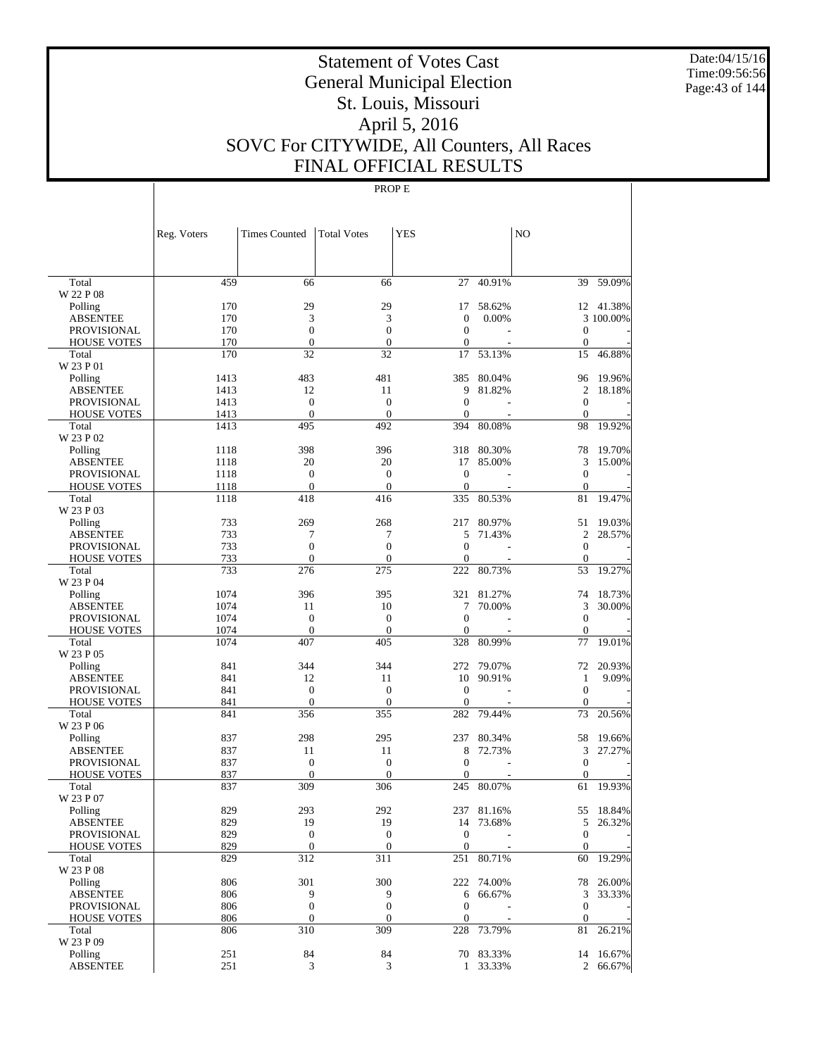Date:04/15/16 Time:09:56:56 Page:43 of 144

# Statement of Votes Cast General Municipal Election St. Louis, Missouri April 5, 2016 SOVC For CITYWIDE, All Counters, All Races FINAL OFFICIAL RESULTS

|                                          | Reg. Voters  | <b>Times Counted</b>                 | <b>Total Votes</b>               | YES                          |            | N <sub>O</sub>               |           |
|------------------------------------------|--------------|--------------------------------------|----------------------------------|------------------------------|------------|------------------------------|-----------|
|                                          |              |                                      |                                  |                              |            |                              |           |
| Total                                    | 459          | 66                                   | 66                               | 27                           | 40.91%     | 39                           | 59.09%    |
| W 22 P 08                                |              |                                      |                                  |                              |            |                              |           |
| Polling                                  | 170          | 29                                   | 29                               | 17                           | 58.62%     |                              | 12 41.38% |
| <b>ABSENTEE</b>                          | 170          | 3                                    | 3                                | $\mathbf{0}$<br>$\mathbf{0}$ | 0.00%      |                              | 3 100.00% |
| <b>PROVISIONAL</b><br><b>HOUSE VOTES</b> | 170<br>170   | $\boldsymbol{0}$<br>$\boldsymbol{0}$ | $\boldsymbol{0}$<br>$\mathbf{0}$ | $\mathbf{0}$                 |            | $\mathbf{0}$<br>$\mathbf{0}$ |           |
| Total                                    | 170          | 32                                   | 32                               | 17                           | 53.13%     | 15                           | 46.88%    |
| W 23 P 01                                |              |                                      |                                  |                              |            |                              |           |
| Polling                                  | 1413         | 483                                  | 481                              | 385                          | 80.04%     | 96                           | 19.96%    |
| <b>ABSENTEE</b>                          | 1413         | 12                                   | 11                               | 9                            | 81.82%     | 2                            | 18.18%    |
| <b>PROVISIONAL</b>                       | 1413         | $\mathbf{0}$                         | $\theta$                         | $\mathbf{0}$                 |            | $\mathbf{0}$                 |           |
| <b>HOUSE VOTES</b>                       | 1413         | $\theta$                             | $\boldsymbol{0}$                 | $\mathbf{0}$                 |            | $\mathbf{0}$                 |           |
| Total                                    | 1413         | 495                                  | 492                              | 394                          | 80.08%     | 98                           | 19.92%    |
| W 23 P 02                                |              |                                      |                                  |                              |            |                              |           |
| Polling                                  | 1118         | 398                                  | 396                              | 318                          | 80.30%     | 78                           | 19.70%    |
| <b>ABSENTEE</b>                          | 1118         | 20                                   | 20                               | 17                           | 85.00%     | 3                            | 15.00%    |
| <b>PROVISIONAL</b><br><b>HOUSE VOTES</b> | 1118<br>1118 | $\boldsymbol{0}$<br>$\mathbf{0}$     | $\boldsymbol{0}$<br>$\theta$     | $\theta$<br>$\theta$         |            | $\mathbf{0}$<br>$\mathbf{0}$ |           |
| Total                                    | 1118         | 418                                  | 416                              | 335                          | 80.53%     | 81                           | 19.47%    |
| W 23 P 03                                |              |                                      |                                  |                              |            |                              |           |
| Polling                                  | 733          | 269                                  | 268                              | 217                          | 80.97%     | 51                           | 19.03%    |
| <b>ABSENTEE</b>                          | 733          | 7                                    | 7                                | 5                            | 71.43%     | 2                            | 28.57%    |
| <b>PROVISIONAL</b>                       | 733          | $\mathbf{0}$                         | $\mathbf{0}$                     | $\mathbf{0}$                 |            | $\mathbf{0}$                 |           |
| <b>HOUSE VOTES</b>                       | 733          | $\mathbf{0}$                         | $\mathbf{0}$                     | $\mathbf{0}$                 |            | $\mathbf{0}$                 |           |
| Total                                    | 733          | 276                                  | 275                              | 222                          | 80.73%     | 53                           | 19.27%    |
| W 23 P 04                                |              |                                      |                                  |                              |            |                              |           |
| Polling                                  | 1074         | 396                                  | 395                              | 321                          | 81.27%     | 74                           | 18.73%    |
| <b>ABSENTEE</b>                          | 1074         | 11                                   | 10                               | 7                            | 70.00%     | 3                            | 30.00%    |
| <b>PROVISIONAL</b>                       | 1074         | $\boldsymbol{0}$                     | $\mathbf{0}$                     | $\mathbf{0}$                 |            | $\mathbf{0}$                 |           |
| <b>HOUSE VOTES</b>                       | 1074         | $\theta$<br>407                      | $\boldsymbol{0}$<br>405          | $\mathbf{0}$<br>328          | 80.99%     | $\mathbf{0}$                 | 19.01%    |
| Total<br>W 23 P 05                       | 1074         |                                      |                                  |                              |            | 77                           |           |
| Polling                                  | 841          | 344                                  | 344                              | 272                          | 79.07%     | 72                           | 20.93%    |
| <b>ABSENTEE</b>                          | 841          | 12                                   | 11                               | 10                           | 90.91%     | 1                            | 9.09%     |
| <b>PROVISIONAL</b>                       | 841          | $\mathbf{0}$                         | $\theta$                         | $\theta$                     |            | $\mathbf{0}$                 |           |
| <b>HOUSE VOTES</b>                       | 841          | $\boldsymbol{0}$                     | $\boldsymbol{0}$                 | $\boldsymbol{0}$             |            | $\mathbf{0}$                 |           |
| Total                                    | 841          | 356                                  | 355                              | 282                          | 79.44%     | 73                           | 20.56%    |
| W 23 P 06                                |              |                                      |                                  |                              |            |                              |           |
| Polling                                  | 837          | 298                                  | 295                              | 237                          | 80.34%     | 58                           | 19.66%    |
| <b>ABSENTEE</b>                          | 837          | 11                                   | 11                               | 8                            | 72.73%     | 3                            | 27.27%    |
| PROVISIONAL                              | 837          | $\boldsymbol{0}$                     | $\boldsymbol{0}$                 | $\mathbf{0}$                 |            | $\mathbf{0}$                 |           |
| <b>HOUSE VOTES</b>                       | 837          | $\mathbf{0}$                         | $\theta$                         | 0                            |            | $\mathbf{0}$                 |           |
| Total                                    | 837          | 309                                  | 306                              | 245                          | 80.07%     | 61                           | 19.93%    |
| W 23 P 07<br>Polling                     | 829          | 293                                  | 292                              |                              | 237 81.16% |                              | 55 18.84% |
| ABSENTEE                                 | 829          | 19                                   | 19                               |                              | 14 73.68%  | 5                            | 26.32%    |
| <b>PROVISIONAL</b>                       | 829          | $\boldsymbol{0}$                     | $\mathbf{0}$                     | $\boldsymbol{0}$             |            | $\mathbf{0}$                 |           |
| <b>HOUSE VOTES</b>                       | 829          | $\mathbf{0}$                         | $\mathbf{0}$                     | $\boldsymbol{0}$             |            | $\mathbf{0}$                 |           |
| Total                                    | 829          | 312                                  | 311                              | 251                          | 80.71%     | 60                           | 19.29%    |
| W 23 P 08                                |              |                                      |                                  |                              |            |                              |           |
| Polling                                  | 806          | 301                                  | 300                              |                              | 222 74.00% |                              | 78 26.00% |
| <b>ABSENTEE</b>                          | 806          | 9                                    | 9                                | 6                            | 66.67%     | 3                            | 33.33%    |
| PROVISIONAL                              | 806          | $\boldsymbol{0}$                     | $\boldsymbol{0}$                 | $\boldsymbol{0}$             |            | $\boldsymbol{0}$             |           |
| <b>HOUSE VOTES</b>                       | 806          | $\mathbf{0}$                         | $\mathbf{0}$                     | $\boldsymbol{0}$             |            | $\mathbf{0}$                 |           |
| Total                                    | 806          | 310                                  | 309                              | 228                          | 73.79%     | 81                           | 26.21%    |
| W 23 P 09                                |              |                                      |                                  |                              |            |                              |           |
| Polling                                  | 251          | 84                                   | 84                               |                              | 70 83.33%  |                              | 14 16.67% |
| <b>ABSENTEE</b>                          | 251          | 3                                    | 3                                | $\mathbf{1}$                 | 33.33%     |                              | 2 66.67%  |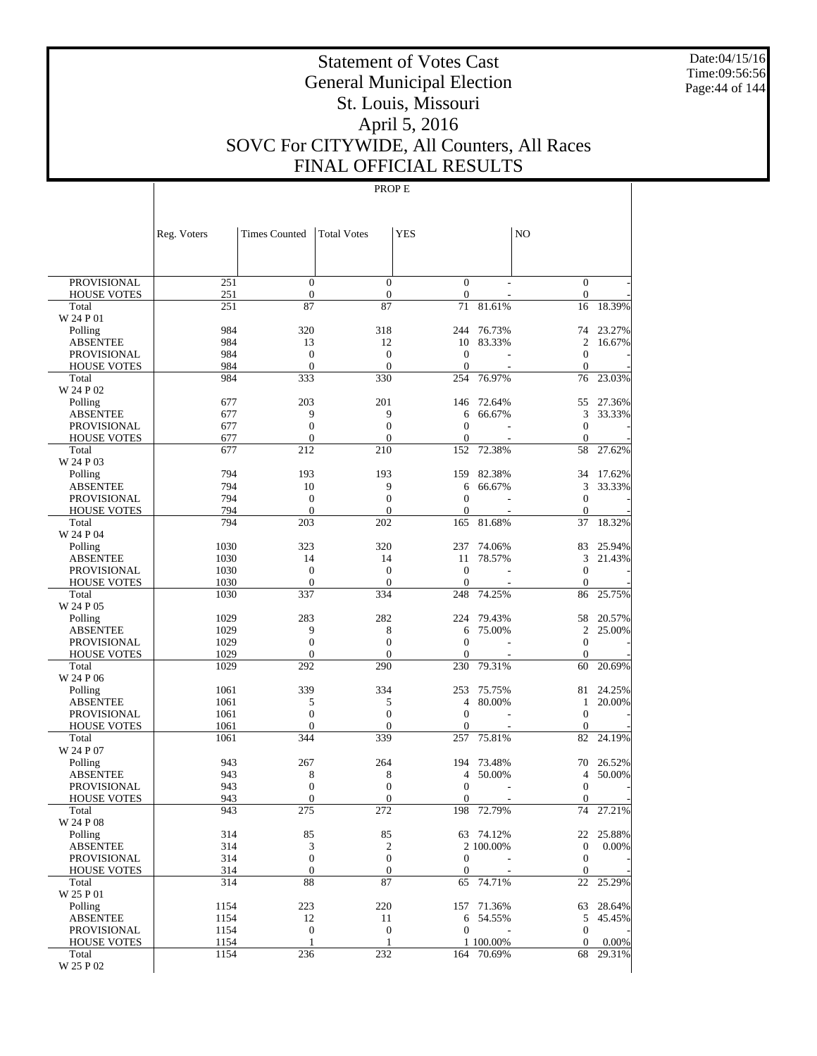Date:04/15/16 Time:09:56:56 Page:44 of 144

# Statement of Votes Cast General Municipal Election St. Louis, Missouri April 5, 2016 SOVC For CITYWIDE, All Counters, All Races FINAL OFFICIAL RESULTS

|                                          | Reg. Voters  | <b>Times Counted</b>             | <b>Total Votes</b>               | <b>YES</b>                       |                  | N <sub>O</sub>                   |                  |
|------------------------------------------|--------------|----------------------------------|----------------------------------|----------------------------------|------------------|----------------------------------|------------------|
|                                          |              |                                  |                                  |                                  |                  |                                  |                  |
| <b>PROVISIONAL</b>                       | 251          | $\mathbf{0}$                     | $\overline{0}$                   | $\mathbf{0}$                     |                  | $\mathbf{0}$                     |                  |
| <b>HOUSE VOTES</b>                       | 251          | $\boldsymbol{0}$                 | $\mathbf{0}$                     | $\boldsymbol{0}$                 |                  | $\mathbf{0}$                     |                  |
| Total                                    | 251          | 87                               | 87                               | 71                               | 81.61%           | 16                               | 18.39%           |
| W 24 P 01<br>Polling                     | 984          | 320                              | 318                              | 244                              | 76.73%           | 74                               | 23.27%           |
| <b>ABSENTEE</b>                          | 984          | 13                               | 12                               | 10                               | 83.33%           | $\overline{2}$                   | 16.67%           |
| <b>PROVISIONAL</b>                       | 984          | $\mathbf{0}$                     | $\overline{0}$                   | $\overline{0}$                   |                  | $\mathbf{0}$                     |                  |
| <b>HOUSE VOTES</b>                       | 984          | $\mathbf{0}$                     | $\overline{0}$                   | $\mathbf{0}$                     |                  | $\mathbf{0}$                     |                  |
| Total                                    | 984          | 333                              | 330                              | 254                              | 76.97%           | 76                               | 23.03%           |
| W 24 P 02                                |              |                                  |                                  |                                  |                  |                                  |                  |
| Polling<br><b>ABSENTEE</b>               | 677<br>677   | 203<br>9                         | 201<br>9                         | 146<br>6                         | 72.64%<br>66.67% | 55<br>3                          | 27.36%<br>33.33% |
| <b>PROVISIONAL</b>                       | 677          | $\mathbf{0}$                     | $\overline{0}$                   | $\overline{0}$                   |                  | $\mathbf{0}$                     |                  |
| <b>HOUSE VOTES</b>                       | 677          | $\mathbf{0}$                     | $\overline{0}$                   | $\mathbf{0}$                     |                  | $\mathbf{0}$                     |                  |
| Total                                    | 677          | 212                              | 210                              | 152                              | 72.38%           | 58                               | 27.62%           |
| W 24 P 03                                |              |                                  |                                  |                                  |                  |                                  |                  |
| Polling                                  | 794          | 193                              | 193                              | 159                              | 82.38%           | 34                               | 17.62%           |
| <b>ABSENTEE</b>                          | 794          | 10                               | 9                                | 6                                | 66.67%           | 3                                | 33.33%           |
| <b>PROVISIONAL</b>                       | 794<br>794   | $\mathbf{0}$<br>$\mathbf{0}$     | $\overline{0}$<br>$\overline{0}$ | $\overline{0}$<br>$\overline{0}$ |                  | $\mathbf{0}$<br>$\mathbf{0}$     |                  |
| <b>HOUSE VOTES</b><br>Total              | 794          | 203                              | 202                              | 165                              | 81.68%           | 37                               | 18.32%           |
| W 24 P 04                                |              |                                  |                                  |                                  |                  |                                  |                  |
| Polling                                  | 1030         | 323                              | 320                              | 237                              | 74.06%           | 83                               | 25.94%           |
| <b>ABSENTEE</b>                          | 1030         | 14                               | 14                               | 11                               | 78.57%           | 3                                | 21.43%           |
| <b>PROVISIONAL</b>                       | 1030         | $\mathbf{0}$                     | $\overline{0}$                   | $\overline{0}$                   |                  | $\mathbf{0}$                     |                  |
| <b>HOUSE VOTES</b>                       | 1030         | $\mathbf{0}$                     | $\theta$                         | $\mathbf{0}$                     |                  | $\mathbf{0}$                     |                  |
| Total<br>W 24 P 05                       | 1030         | 337                              | 334                              | 248                              | 74.25%           | 86                               | 25.75%           |
| Polling                                  | 1029         | 283                              | 282                              | 224                              | 79.43%           | 58                               | 20.57%           |
| <b>ABSENTEE</b>                          | 1029         | 9                                | 8                                | 6                                | 75.00%           | $\overline{2}$                   | 25.00%           |
| <b>PROVISIONAL</b>                       | 1029         | $\mathbf{0}$                     | $\overline{0}$                   | $\overline{0}$                   |                  | $\mathbf{0}$                     |                  |
| <b>HOUSE VOTES</b>                       | 1029         | $\mathbf{0}$                     | $\overline{0}$                   | $\overline{0}$                   |                  | $\mathbf{0}$                     |                  |
| Total                                    | 1029         | 292                              | 290                              | 230                              | 79.31%           | 60                               | 20.69%           |
| W 24 P 06                                |              |                                  |                                  |                                  |                  |                                  |                  |
| Polling<br><b>ABSENTEE</b>               | 1061<br>1061 | 339<br>5                         | 334<br>5                         | 253<br>4                         | 75.75%<br>80.00% | 81<br>1                          | 24.25%<br>20.00% |
| <b>PROVISIONAL</b>                       | 1061         | $\overline{0}$                   | $\overline{0}$                   | $\overline{0}$                   |                  | $\mathbf{0}$                     |                  |
| <b>HOUSE VOTES</b>                       | 1061         | $\mathbf{0}$                     | $\overline{0}$                   | $\mathbf{0}$                     |                  | $\mathbf{0}$                     |                  |
| Total                                    | 1061         | 344                              | 339                              | 257                              | 75.81%           | 82                               | 24.19%           |
| W 24 P 07                                |              |                                  |                                  |                                  |                  |                                  |                  |
| Polling                                  | 943          | 267                              | 264                              | 194                              | 73.48%           | 70                               | 26.52%           |
| <b>ABSENTEE</b>                          | 943          | 8                                | 8                                | 4                                | 50.00%           | $\overline{4}$                   | 50.00%           |
| <b>PROVISIONAL</b><br><b>HOUSE VOTES</b> | 943<br>943   | $\overline{0}$<br>$\overline{0}$ | $\overline{0}$<br>$\overline{0}$ | $\overline{0}$<br>$\mathbf{0}$   |                  | $\boldsymbol{0}$<br>$\mathbf{0}$ |                  |
| Total                                    | 943          | 275                              | 272                              | 198                              | 72.79%           | 74                               | 27.21%           |
| W 24 P 08                                |              |                                  |                                  |                                  |                  |                                  |                  |
| Polling                                  | 314          | 85                               | 85                               |                                  | 63 74.12%        | 22                               | 25.88%           |
| <b>ABSENTEE</b>                          | 314          | 3                                | $\boldsymbol{2}$                 |                                  | 2 100,00%        | $\mathbf{0}$                     | 0.00%            |
| <b>PROVISIONAL</b>                       | 314          | $\boldsymbol{0}$                 | $\mathbf{0}$                     | 0                                |                  | $\mathbf{0}$                     |                  |
| <b>HOUSE VOTES</b>                       | 314          | $\boldsymbol{0}$                 | $\boldsymbol{0}$                 | 0                                |                  | $\mathbf{0}$                     |                  |
| Total<br>W 25 P 01                       | 314          | 88                               | 87                               | 65                               | 74.71%           | 22                               | 25.29%           |
| Polling                                  | 1154         | 223                              | 220                              | 157                              | 71.36%           | 63                               | 28.64%           |
| <b>ABSENTEE</b>                          | 1154         | 12                               | 11                               | 6                                | 54.55%           | 5                                | 45.45%           |
| PROVISIONAL                              | 1154         | $\boldsymbol{0}$                 | $\mathbf{0}$                     | $\overline{0}$                   |                  | $\mathbf{0}$                     |                  |
| <b>HOUSE VOTES</b>                       | 1154         | $\mathbf{1}$                     | 1                                |                                  | 1 100.00%        | $\mathbf{0}$                     | 0.00%            |
| Total                                    | 1154         | 236                              | 232                              |                                  | 164 70.69%       | 68                               | 29.31%           |
| W 25 P 02                                |              |                                  |                                  |                                  |                  |                                  |                  |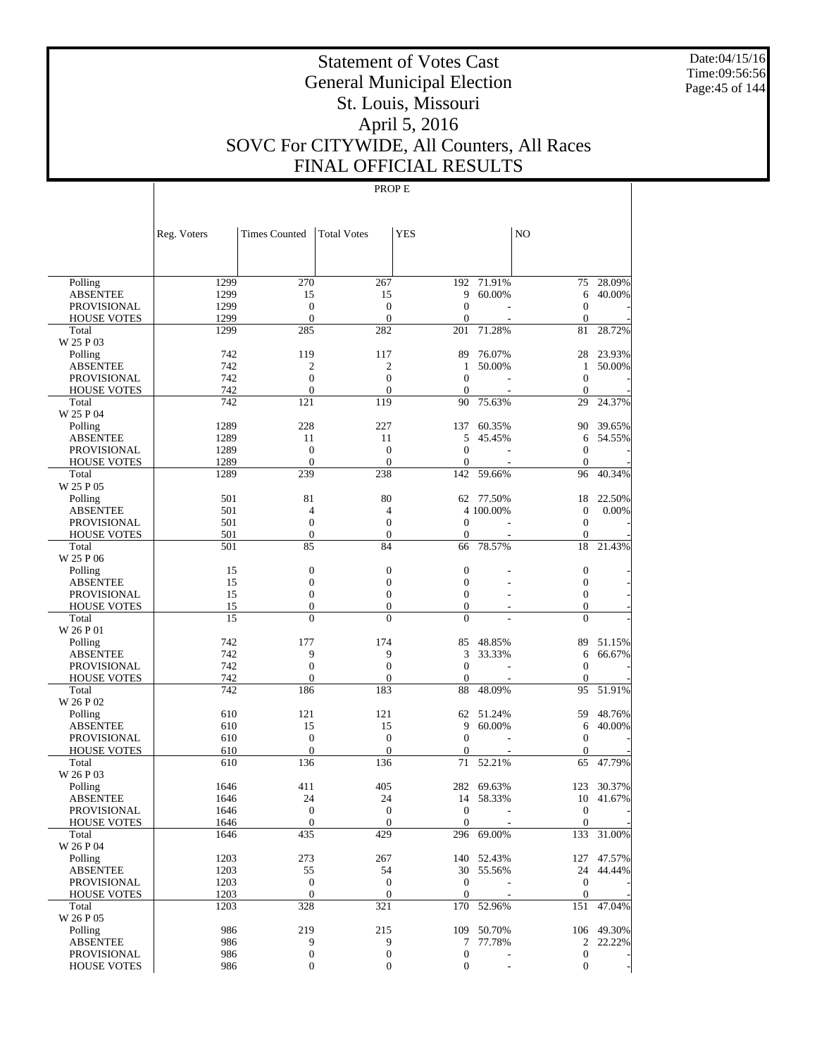Date:04/15/16 Time:09:56:56 Page:45 of 144

# Statement of Votes Cast General Municipal Election St. Louis, Missouri April 5, 2016 SOVC For CITYWIDE, All Counters, All Races FINAL OFFICIAL RESULTS

|                                       | Reg. Voters  | <b>Times Counted</b>         | <b>Total Votes</b>                   | <b>YES</b>                   |                          | NO                                   |            |
|---------------------------------------|--------------|------------------------------|--------------------------------------|------------------------------|--------------------------|--------------------------------------|------------|
|                                       |              |                              |                                      |                              |                          |                                      |            |
| Polling                               | 1299         | 270                          | 267                                  | 192                          | 71.91%                   | 75                                   | 28.09%     |
| <b>ABSENTEE</b>                       | 1299         | 15                           | 15                                   | 9                            | 60.00%                   | 6                                    | 40.00%     |
| <b>PROVISIONAL</b>                    | 1299         | $\boldsymbol{0}$             | $\boldsymbol{0}$                     | $\mathbf{0}$                 |                          | $\boldsymbol{0}$                     |            |
| <b>HOUSE VOTES</b>                    | 1299         | $\boldsymbol{0}$             | $\boldsymbol{0}$                     | $\mathbf{0}$                 |                          | $\boldsymbol{0}$                     |            |
| Total                                 | 1299         | 285                          | 282                                  | 201                          | 71.28%                   | 81                                   | 28.72%     |
| W 25 P 03                             |              |                              |                                      |                              |                          |                                      |            |
| Polling                               | 742          | 119                          | 117                                  | 89                           | 76.07%                   | 28                                   | 23.93%     |
| <b>ABSENTEE</b>                       | 742          | $\overline{c}$               | $\overline{c}$                       | 1                            | 50.00%                   | $\mathbf{1}$                         | 50.00%     |
| <b>PROVISIONAL</b>                    | 742          | $\mathbf{0}$                 | $\overline{0}$                       | $\mathbf{0}$                 |                          | $\mathbf{0}$                         |            |
| <b>HOUSE VOTES</b>                    | 742          | $\mathbf{0}$                 | $\mathbf{0}$                         | $\mathbf{0}$                 |                          | $\mathbf{0}$                         |            |
| Total                                 | 742          | 121                          | 119                                  | 90                           | 75.63%                   | 29                                   | 24.37%     |
| W 25 P 04                             |              |                              |                                      |                              |                          |                                      |            |
| Polling                               | 1289         | 228                          | 227                                  | 137                          | 60.35%                   | 90                                   | 39.65%     |
| ABSENTEE                              | 1289         | 11                           | 11                                   | 5                            | 45.45%                   | 6                                    | 54.55%     |
| <b>PROVISIONAL</b>                    | 1289<br>1289 | $\mathbf{0}$<br>$\mathbf{0}$ | $\mathbf{0}$<br>$\mathbf{0}$         | $\mathbf{0}$<br>$\mathbf{0}$ |                          | $\boldsymbol{0}$                     |            |
| <b>HOUSE VOTES</b><br>Total           | 1289         | 239                          | 238                                  | 142                          | 59.66%                   | $\boldsymbol{0}$<br>96               | 40.34%     |
| W 25 P 05                             |              |                              |                                      |                              |                          |                                      |            |
| Polling                               | 501          | 81                           | 80                                   |                              | 62 77.50%                | 18                                   | 22.50%     |
| <b>ABSENTEE</b>                       | 501          | $\overline{4}$               | $\overline{4}$                       |                              | 4 100.00%                | $\boldsymbol{0}$                     | 0.00%      |
| <b>PROVISIONAL</b>                    | 501          | $\boldsymbol{0}$             | $\mathbf{0}$                         | $\mathbf{0}$                 |                          | $\boldsymbol{0}$                     |            |
| <b>HOUSE VOTES</b>                    | 501          | $\boldsymbol{0}$             | $\boldsymbol{0}$                     | $\mathbf{0}$                 |                          | $\mathbf{0}$                         |            |
| Total                                 | 501          | 85                           | 84                                   | 66                           | 78.57%                   | 18                                   | 21.43%     |
| W 25 P 06                             |              |                              |                                      |                              |                          |                                      |            |
| Polling                               | 15           | $\boldsymbol{0}$             | $\boldsymbol{0}$                     | $\mathbf{0}$                 |                          | $\boldsymbol{0}$                     |            |
| <b>ABSENTEE</b>                       | 15           | $\boldsymbol{0}$             | $\boldsymbol{0}$                     | $\mathbf{0}$                 |                          | $\boldsymbol{0}$                     |            |
| <b>PROVISIONAL</b>                    | 15           | $\boldsymbol{0}$             | $\boldsymbol{0}$                     | $\mathbf{0}$                 | L.                       | $\boldsymbol{0}$                     |            |
| <b>HOUSE VOTES</b>                    | 15           | $\boldsymbol{0}$             | $\boldsymbol{0}$                     | $\boldsymbol{0}$             | ÷.                       | $\mathbf{0}$                         |            |
| Total                                 | 15           | $\overline{0}$               | $\overline{0}$                       | $\theta$                     |                          | $\overline{0}$                       |            |
| W 26 P 01                             |              |                              |                                      |                              |                          |                                      |            |
| Polling                               | 742          | 177                          | 174                                  | 85                           | 48.85%                   | 89                                   | 51.15%     |
| <b>ABSENTEE</b>                       | 742          | 9                            | 9                                    | 3                            | 33.33%                   | 6                                    | 66.67%     |
| <b>PROVISIONAL</b>                    | 742          | $\boldsymbol{0}$             | $\boldsymbol{0}$                     | $\mathbf{0}$                 |                          | $\mathbf{0}$                         |            |
| <b>HOUSE VOTES</b>                    | 742          | $\boldsymbol{0}$             | $\boldsymbol{0}$                     | $\mathbf{0}$                 |                          | $\boldsymbol{0}$                     |            |
| Total                                 | 742          | 186                          | 183                                  | 88                           | 48.09%                   | 95                                   | 51.91%     |
| W 26 P 02                             |              |                              |                                      |                              |                          |                                      |            |
| Polling                               | 610          | 121                          | 121                                  | 62                           | 51.24%                   | 59                                   | 48.76%     |
| <b>ABSENTEE</b><br><b>PROVISIONAL</b> | 610          | 15<br>$\mathbf{0}$           | 15                                   | 9<br>$\mathbf{0}$            | 60.00%                   | 6                                    | 40.00%     |
| <b>HOUSE VOTES</b>                    | 610<br>610   | $\boldsymbol{0}$             | $\boldsymbol{0}$<br>$\boldsymbol{0}$ | $\mathbf{0}$                 |                          | $\boldsymbol{0}$<br>$\boldsymbol{0}$ |            |
| Total                                 | 610          | 136                          | 136                                  | 71                           | 52.21%                   | 65                                   | 47.79%     |
| W 26 P 03                             |              |                              |                                      |                              |                          |                                      |            |
| Polling                               | 1646         | 411                          | 405                                  |                              | 282 69.63%               | 123                                  | 30.37%     |
| <b>ABSENTEE</b>                       | 1646         | 24                           | 24                                   | 14                           | 58.33%                   | 10                                   | 41.67%     |
| <b>PROVISIONAL</b>                    | 1646         | $\mathbf{0}$                 | $\mathbf{0}$                         | $\mathbf{0}$                 | $\overline{\phantom{a}}$ | $\overline{0}$                       |            |
| <b>HOUSE VOTES</b>                    | 1646         | $\overline{0}$               | $\boldsymbol{0}$                     | $\boldsymbol{0}$             |                          | $\boldsymbol{0}$                     |            |
| Total                                 | 1646         | 435                          | 429                                  |                              | 296 69.00%               |                                      | 133 31.00% |
| W 26 P 04                             |              |                              |                                      |                              |                          |                                      |            |
| Polling                               | 1203         | 273                          | 267                                  |                              | 140 52.43%               |                                      | 127 47.57% |
| <b>ABSENTEE</b>                       | 1203         | 55                           | 54                                   |                              | 30 55.56%                |                                      | 24 44.44%  |
| PROVISIONAL                           | 1203         | $\boldsymbol{0}$             | $\mathbf{0}$                         | $\mathbf{0}$                 |                          | $\mathbf{0}$                         |            |
| <b>HOUSE VOTES</b>                    | 1203         | $\mathbf{0}$                 | $\mathbf{0}$                         | $\mathbf{0}$                 |                          | $\mathbf{0}$                         |            |
| Total                                 | 1203         | 328                          | 321                                  | 170                          | 52.96%                   | 151                                  | 47.04%     |
| W 26 P 05                             |              |                              |                                      |                              |                          |                                      |            |
| Polling                               | 986          | 219                          | 215                                  |                              | 109 50.70%               |                                      | 106 49.30% |
| <b>ABSENTEE</b>                       | 986          | 9                            | 9                                    | 7                            | 77.78%                   |                                      | 2 22.22%   |
| PROVISIONAL                           | 986          | 0                            | $\boldsymbol{0}$                     | $\boldsymbol{0}$             |                          | $\boldsymbol{0}$                     |            |
| <b>HOUSE VOTES</b>                    | 986          | 0                            | $\mathbf{0}$                         | $\mathbf{0}$                 |                          | $\overline{0}$                       |            |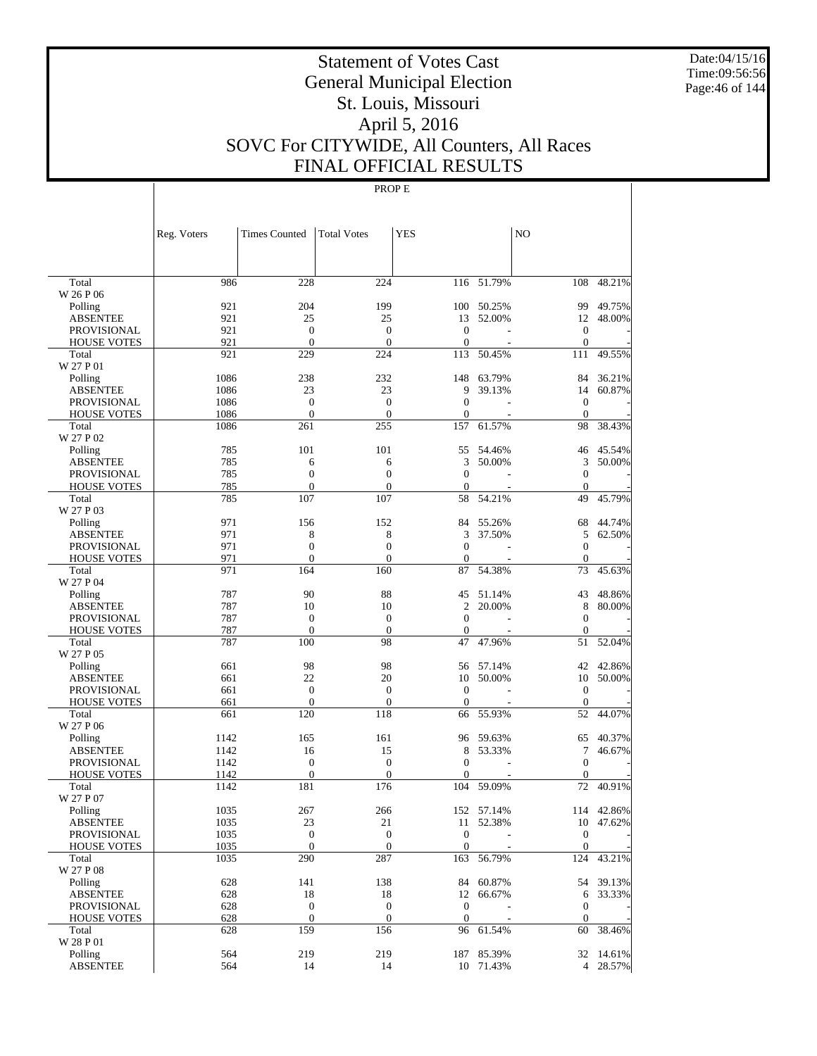Date:04/15/16 Time:09:56:56 Page:46 of 144

# Statement of Votes Cast General Municipal Election St. Louis, Missouri April 5, 2016 SOVC For CITYWIDE, All Counters, All Races FINAL OFFICIAL RESULTS

|                             | Reg. Voters | <b>Times Counted</b>             | <b>Total Votes</b>               | <b>YES</b>                       |                  | N <sub>O</sub>                   |            |
|-----------------------------|-------------|----------------------------------|----------------------------------|----------------------------------|------------------|----------------------------------|------------|
|                             |             |                                  |                                  |                                  |                  |                                  |            |
| Total                       | 986         | 228                              | 224                              |                                  | $116 - 51.79%$   | 108                              | 48.21%     |
| W 26 P 06                   |             |                                  |                                  |                                  |                  |                                  |            |
| Polling                     | 921         | 204                              | 199                              |                                  | 100 50.25%       | 99                               | 49.75%     |
| <b>ABSENTEE</b>             | 921         | 25                               | 25                               | 13                               | 52.00%           | 12                               | 48.00%     |
| <b>PROVISIONAL</b>          | 921<br>921  | $\mathbf{0}$<br>$\mathbf{0}$     | $\mathbf{0}$<br>$\theta$         | $\mathbf{0}$<br>$\boldsymbol{0}$ |                  | $\boldsymbol{0}$<br>$\mathbf{0}$ |            |
| <b>HOUSE VOTES</b><br>Total | 921         | 229                              | 224                              |                                  | 113 50.45%       | 111                              | 49.55%     |
| W 27 P 01                   |             |                                  |                                  |                                  |                  |                                  |            |
| Polling                     | 1086        | 238                              | 232                              |                                  | 148 63.79%       | 84                               | 36.21%     |
| <b>ABSENTEE</b>             | 1086        | 23                               | 23                               | 9                                | 39.13%           | 14                               | 60.87%     |
| <b>PROVISIONAL</b>          | 1086        | $\mathbf{0}$                     | $\boldsymbol{0}$                 | $\mathbf{0}$                     |                  | $\boldsymbol{0}$                 |            |
| <b>HOUSE VOTES</b>          | 1086        | $\mathbf{0}$                     | $\mathbf{0}$                     | $\mathbf{0}$                     |                  | $\mathbf{0}$                     |            |
| Total                       | 1086        | 261                              | 255                              | 157                              | 61.57%           | 98                               | 38.43%     |
| W 27 P 02                   |             |                                  |                                  |                                  |                  |                                  |            |
| Polling                     | 785         | 101                              | 101                              | 55                               | 54.46%           | 46                               | 45.54%     |
| <b>ABSENTEE</b>             | 785         | 6                                | 6                                | 3                                | 50.00%           | 3                                | 50.00%     |
| <b>PROVISIONAL</b>          | 785         | $\boldsymbol{0}$                 | $\boldsymbol{0}$                 | $\mathbf{0}$                     |                  | $\boldsymbol{0}$                 |            |
| <b>HOUSE VOTES</b>          | 785         | $\mathbf{0}$                     | $\mathbf{0}$                     | 0                                |                  | $\mathbf{0}$                     |            |
| Total                       | 785         | 107                              | 107                              | 58                               | 54.21%           | 49                               | 45.79%     |
| W 27 P 03                   |             |                                  |                                  |                                  |                  |                                  | 44.74%     |
| Polling<br><b>ABSENTEE</b>  | 971<br>971  | 156<br>8                         | 152<br>8                         | 84<br>3                          | 55.26%<br>37.50% | 68<br>5                          | 62.50%     |
| <b>PROVISIONAL</b>          | 971         | $\boldsymbol{0}$                 | $\overline{0}$                   | $\theta$                         |                  | $\boldsymbol{0}$                 |            |
| <b>HOUSE VOTES</b>          | 971         | $\overline{0}$                   | $\mathbf{0}$                     | $\boldsymbol{0}$                 |                  | $\mathbf{0}$                     |            |
| Total                       | 971         | 164                              | 160                              | 87                               | 54.38%           | 73                               | 45.63%     |
| W 27 P 04                   |             |                                  |                                  |                                  |                  |                                  |            |
| Polling                     | 787         | 90                               | 88                               |                                  | 45 51.14%        | 43                               | 48.86%     |
| <b>ABSENTEE</b>             | 787         | 10                               | 10                               | 2                                | 20.00%           | 8                                | 80.00%     |
| <b>PROVISIONAL</b>          | 787         | $\mathbf{0}$                     | $\boldsymbol{0}$                 | $\mathbf{0}$                     |                  | $\boldsymbol{0}$                 |            |
| <b>HOUSE VOTES</b>          | 787         | $\mathbf{0}$                     | $\theta$                         | 0                                |                  | $\mathbf{0}$                     |            |
| Total                       | 787         | 100                              | 98                               | 47                               | 47.96%           | 51                               | 52.04%     |
| W 27 P 05                   |             |                                  |                                  |                                  |                  |                                  |            |
| Polling                     | 661         | 98                               | 98                               |                                  | 56 57.14%        | 42                               | 42.86%     |
| <b>ABSENTEE</b>             | 661         | 22                               | 20                               | 10                               | 50.00%           | 10                               | 50.00%     |
| <b>PROVISIONAL</b>          | 661         | $\boldsymbol{0}$                 | $\boldsymbol{0}$                 | $\mathbf{0}$                     |                  | $\boldsymbol{0}$                 |            |
| <b>HOUSE VOTES</b>          | 661         | $\mathbf{0}$                     | $\mathbf{0}$                     | $\boldsymbol{0}$                 |                  | $\mathbf{0}$                     |            |
| Total<br>W 27 P 06          | 661         | 120                              | 118                              | 66                               | 55.93%           | 52                               | 44.07%     |
| Polling                     | 1142        | 165                              | 161                              |                                  | 96 59.63%        | 65                               | 40.37%     |
| <b>ABSENTEE</b>             | 1142        | 16                               | 15                               | 8                                | 53.33%           | 7                                | 46.67%     |
| PROVISIONAL                 | 1142        | $\boldsymbol{0}$                 | $\boldsymbol{0}$                 | $\mathbf{0}$                     |                  | $\boldsymbol{0}$                 |            |
| <b>HOUSE VOTES</b>          | 1142        | $\mathbf{0}$                     | $\mathbf{0}$                     | 0                                |                  | $\Omega$                         |            |
| Total                       | 1142        | 181                              | 176                              |                                  | 104 59.09%       | 72                               | 40.91%     |
| W 27 P 07                   |             |                                  |                                  |                                  |                  |                                  |            |
| Polling                     | 1035        | 267                              | 266                              |                                  | 152 57.14%       |                                  | 114 42.86% |
| ABSENTEE                    | 1035        | 23                               | 21                               |                                  | 11 52.38%        |                                  | 10 47.62%  |
| PROVISIONAL                 | 1035        | $\boldsymbol{0}$                 | $\mathbf{0}$                     | $\mathbf{0}$                     |                  | $\boldsymbol{0}$                 |            |
| <b>HOUSE VOTES</b>          | 1035        | $\mathbf{0}$                     | $\mathbf{0}$                     | $\mathbf{0}$                     |                  | $\overline{0}$                   |            |
| Total                       | 1035        | 290                              | 287                              |                                  | 163 56.79%       | 124                              | 43.21%     |
| W 27 P 08                   |             |                                  |                                  |                                  |                  |                                  |            |
| Polling                     | 628         | 141                              | 138                              |                                  | 84 60.87%        |                                  | 54 39.13%  |
| <b>ABSENTEE</b>             | 628         | 18                               | 18                               |                                  | 12 66.67%        | 6                                | 33.33%     |
| <b>PROVISIONAL</b>          | 628         | $\boldsymbol{0}$<br>$\mathbf{0}$ | $\boldsymbol{0}$<br>$\mathbf{0}$ | $\boldsymbol{0}$                 |                  | $\boldsymbol{0}$<br>$\mathbf{0}$ |            |
| <b>HOUSE VOTES</b><br>Total | 628<br>628  | 159                              | 156                              | $\mathbf{0}$                     | 96 61.54%        | 60                               | 38.46%     |
| W 28 P 01                   |             |                                  |                                  |                                  |                  |                                  |            |
| Polling                     | 564         | 219                              | 219                              |                                  | 187 85.39%       |                                  | 32 14.61%  |
| <b>ABSENTEE</b>             | 564         | 14                               | 14                               |                                  | 10 71.43%        |                                  | 4 28.57%   |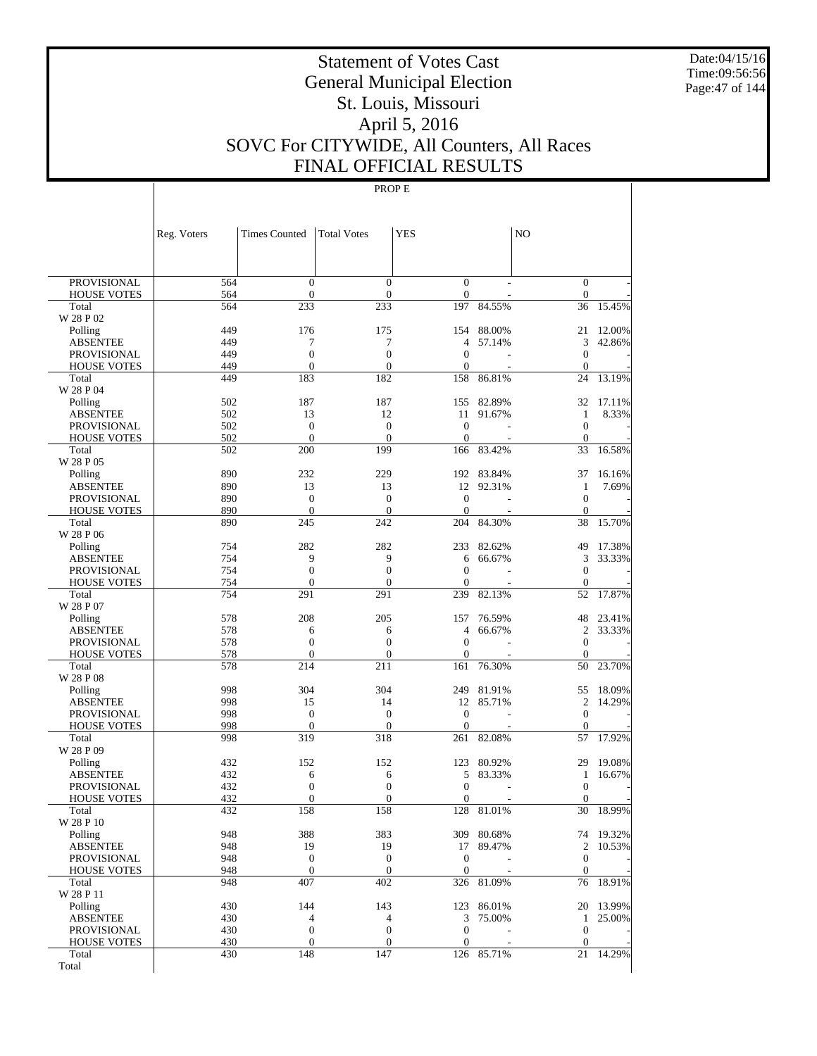Date:04/15/16 Time:09:56:56 Page:47 of 144

# Statement of Votes Cast General Municipal Election St. Louis, Missouri April 5, 2016 SOVC For CITYWIDE, All Counters, All Races FINAL OFFICIAL RESULTS

|                                          | Reg. Voters | <b>Times Counted</b>               | <b>Total Votes</b>                   | <b>YES</b>                       |                  | N <sub>O</sub>                       |                  |
|------------------------------------------|-------------|------------------------------------|--------------------------------------|----------------------------------|------------------|--------------------------------------|------------------|
|                                          |             |                                    |                                      |                                  |                  |                                      |                  |
| <b>PROVISIONAL</b>                       | 564         | $\boldsymbol{0}$                   | $\boldsymbol{0}$                     | $\boldsymbol{0}$                 |                  | $\mathbf{0}$                         |                  |
| <b>HOUSE VOTES</b><br>Total              | 564<br>564  | $\mathbf{0}$<br>233                | $\boldsymbol{0}$<br>233              | $\boldsymbol{0}$<br>197          | 84.55%           | $\mathbf{0}$<br>36                   | 15.45%           |
| W 28 P 02                                |             |                                    |                                      |                                  |                  |                                      |                  |
| Polling                                  | 449         | 176                                | 175                                  | 154                              | 88.00%           | 21                                   | 12.00%           |
| <b>ABSENTEE</b>                          | 449         | 7                                  | 7                                    | 4                                | 57.14%           | 3                                    | 42.86%           |
| <b>PROVISIONAL</b>                       | 449         | $\boldsymbol{0}$                   | $\boldsymbol{0}$                     | $\mathbf{0}$                     |                  | $\boldsymbol{0}$                     |                  |
| <b>HOUSE VOTES</b>                       | 449         | $\mathbf{0}$                       | $\mathbf{0}$                         | $\boldsymbol{0}$                 |                  | $\boldsymbol{0}$                     |                  |
| Total<br>W 28 P 04                       | 449         | 183                                | 182                                  | 158                              | 86.81%           | 24                                   | 13.19%           |
| Polling                                  | 502         | 187                                | 187                                  | 155                              | 82.89%           | 32                                   | 17.11%           |
| <b>ABSENTEE</b>                          | 502         | 13                                 | 12                                   | 11                               | 91.67%           | 1                                    | 8.33%            |
| <b>PROVISIONAL</b>                       | 502         | $\boldsymbol{0}$                   | $\boldsymbol{0}$                     | $\mathbf{0}$                     |                  | $\boldsymbol{0}$                     |                  |
| <b>HOUSE VOTES</b>                       | 502         | $\mathbf{0}$                       | $\overline{0}$                       | $\boldsymbol{0}$                 |                  | $\mathbf{0}$                         |                  |
| Total                                    | 502         | 200                                | 199                                  | 166                              | 83.42%           | 33                                   | 16.58%           |
| W 28 P 05                                |             |                                    |                                      |                                  |                  |                                      |                  |
| Polling                                  | 890         | 232                                | 229                                  | 192                              | 83.84%           | 37                                   | 16.16%           |
| <b>ABSENTEE</b><br><b>PROVISIONAL</b>    | 890<br>890  | 13<br>$\boldsymbol{0}$             | 13<br>$\boldsymbol{0}$               | 12<br>$\mathbf{0}$               | 92.31%           | $\mathbf{1}$<br>$\boldsymbol{0}$     | 7.69%            |
| <b>HOUSE VOTES</b>                       | 890         | $\mathbf{0}$                       | $\boldsymbol{0}$                     | $\boldsymbol{0}$                 |                  | $\boldsymbol{0}$                     |                  |
| Total                                    | 890         | 245                                | 242                                  | 204                              | 84.30%           | 38                                   | 15.70%           |
| W 28 P 06                                |             |                                    |                                      |                                  |                  |                                      |                  |
| Polling                                  | 754         | 282                                | 282                                  | 233                              | 82.62%           | 49                                   | 17.38%           |
| <b>ABSENTEE</b>                          | 754         | 9                                  | 9                                    | 6                                | 66.67%           | 3                                    | 33.33%           |
| <b>PROVISIONAL</b>                       | 754         | $\boldsymbol{0}$                   | $\boldsymbol{0}$                     | $\boldsymbol{0}$                 |                  | $\boldsymbol{0}$                     |                  |
| <b>HOUSE VOTES</b>                       | 754         | $\mathbf{0}$                       | $\overline{0}$<br>291                | $\overline{0}$                   |                  | $\mathbf{0}$                         | 17.87%           |
| Total<br>W 28 P 07                       | 754         | 291                                |                                      | 239                              | 82.13%           | 52                                   |                  |
| Polling                                  | 578         | 208                                | 205                                  | 157                              | 76.59%           | 48                                   | 23.41%           |
| <b>ABSENTEE</b>                          | 578         | 6                                  | 6                                    | 4                                | 66.67%           | $\mathfrak{2}$                       | 33.33%           |
| <b>PROVISIONAL</b>                       | 578         | $\boldsymbol{0}$                   | $\boldsymbol{0}$                     | $\mathbf{0}$                     |                  | $\boldsymbol{0}$                     |                  |
| <b>HOUSE VOTES</b>                       | 578         | $\mathbf{0}$                       | $\overline{0}$                       | $\boldsymbol{0}$                 |                  | $\mathbf{0}$                         |                  |
| Total                                    | 578         | 214                                | 211                                  | 161                              | 76.30%           | 50                                   | 23.70%           |
| W 28 P 08                                | 998         | 304                                | 304                                  |                                  |                  |                                      |                  |
| Polling<br><b>ABSENTEE</b>               | 998         | 15                                 | 14                                   | 249<br>12                        | 81.91%<br>85.71% | 55<br>2                              | 18.09%<br>14.29% |
| <b>PROVISIONAL</b>                       | 998         | $\boldsymbol{0}$                   | $\boldsymbol{0}$                     | $\mathbf{0}$                     |                  | $\boldsymbol{0}$                     |                  |
| <b>HOUSE VOTES</b>                       | 998         | $\mathbf{0}$                       | $\overline{0}$                       | $\boldsymbol{0}$                 |                  | $\mathbf{0}$                         |                  |
| Total                                    | 998         | 319                                | 318                                  | 261                              | 82.08%           | 57                                   | 17.92%           |
| W 28 P 09                                |             |                                    |                                      |                                  |                  |                                      |                  |
| Polling                                  | 432         | 152                                | 152                                  | 123                              | 80.92%           | 29                                   | 19.08%           |
| <b>ABSENTEE</b>                          | 432         | 6                                  | 6                                    | 5                                | 83.33%           | $\mathbf{1}$                         | 16.67%           |
| <b>PROVISIONAL</b><br><b>HOUSE VOTES</b> | 432<br>432  | $\boldsymbol{0}$<br>$\overline{0}$ | $\boldsymbol{0}$<br>$\boldsymbol{0}$ | $\mathbf{0}$<br>$\boldsymbol{0}$ |                  | $\boldsymbol{0}$<br>$\boldsymbol{0}$ |                  |
| Total                                    | 432         | 158                                | 158                                  | 128                              | 81.01%           | 30                                   | 18.99%           |
| W 28 P 10                                |             |                                    |                                      |                                  |                  |                                      |                  |
| Polling                                  | 948         | 388                                | 383                                  |                                  | 309 80.68%       |                                      | 74 19.32%        |
| <b>ABSENTEE</b>                          | 948         | 19                                 | 19                                   | 17                               | 89.47%           | $\mathbf{2}$                         | 10.53%           |
| <b>PROVISIONAL</b>                       | 948         | $\boldsymbol{0}$                   | $\mathbf{0}$                         | $\boldsymbol{0}$                 |                  | $\mathbf{0}$                         |                  |
| <b>HOUSE VOTES</b>                       | 948         | $\boldsymbol{0}$                   | $\boldsymbol{0}$                     | $\boldsymbol{0}$                 |                  | $\mathbf{0}$                         |                  |
| Total<br>W 28 P 11                       | 948         | 407                                | 402                                  | 326                              | 81.09%           | 76                                   | 18.91%           |
| Polling                                  | 430         | 144                                | 143                                  | 123                              | 86.01%           | 20                                   | 13.99%           |
| <b>ABSENTEE</b>                          | 430         | $\overline{4}$                     | 4                                    | 3                                | 75.00%           | $\mathbf{1}$                         | 25.00%           |
| PROVISIONAL                              | 430         | $\boldsymbol{0}$                   | $\boldsymbol{0}$                     | $\boldsymbol{0}$                 |                  | $\boldsymbol{0}$                     |                  |
| <b>HOUSE VOTES</b>                       | 430         | $\boldsymbol{0}$                   | $\boldsymbol{0}$                     | $\boldsymbol{0}$                 |                  | $\mathbf{0}$                         |                  |
| Total                                    | 430         | 148                                | 147                                  |                                  | 126 85.71%       | 21                                   | 14.29%           |
| Total                                    |             |                                    |                                      |                                  |                  |                                      |                  |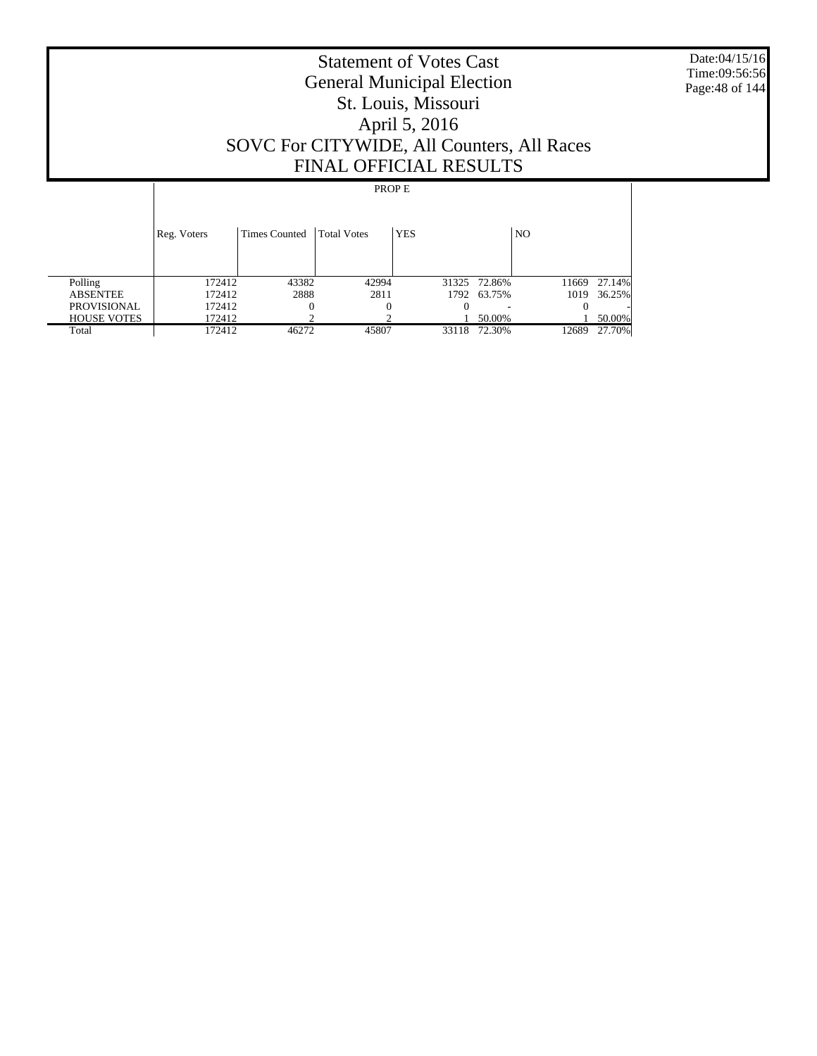Date:04/15/16 Time:09:56:56 Page:48 of 144

# Statement of Votes Cast General Municipal Election St. Louis, Missouri April 5, 2016 SOVC For CITYWIDE, All Counters, All Races FINAL OFFICIAL RESULTS

|                    | Reg. Voters | <b>Times Counted</b> | <b>Total Votes</b> | <b>YES</b> |              | N <sub>O</sub> |        |
|--------------------|-------------|----------------------|--------------------|------------|--------------|----------------|--------|
| Polling            | 172412      | 43382                | 42994              |            | 31325 72.86% | 11669          | 27.14% |
| <b>ABSENTEE</b>    | 172412      | 2888                 | 2811               |            | 1792 63.75%  | 1019           | 36.25% |
| <b>PROVISIONAL</b> | 172412      |                      |                    |            |              |                |        |
| <b>HOUSE VOTES</b> | 172412      |                      |                    |            | 50.00%       |                | 50.00% |
| Total              | 172412      | 46272                | 45807              | 33118      | 72.30%       | 12689          | 27.70% |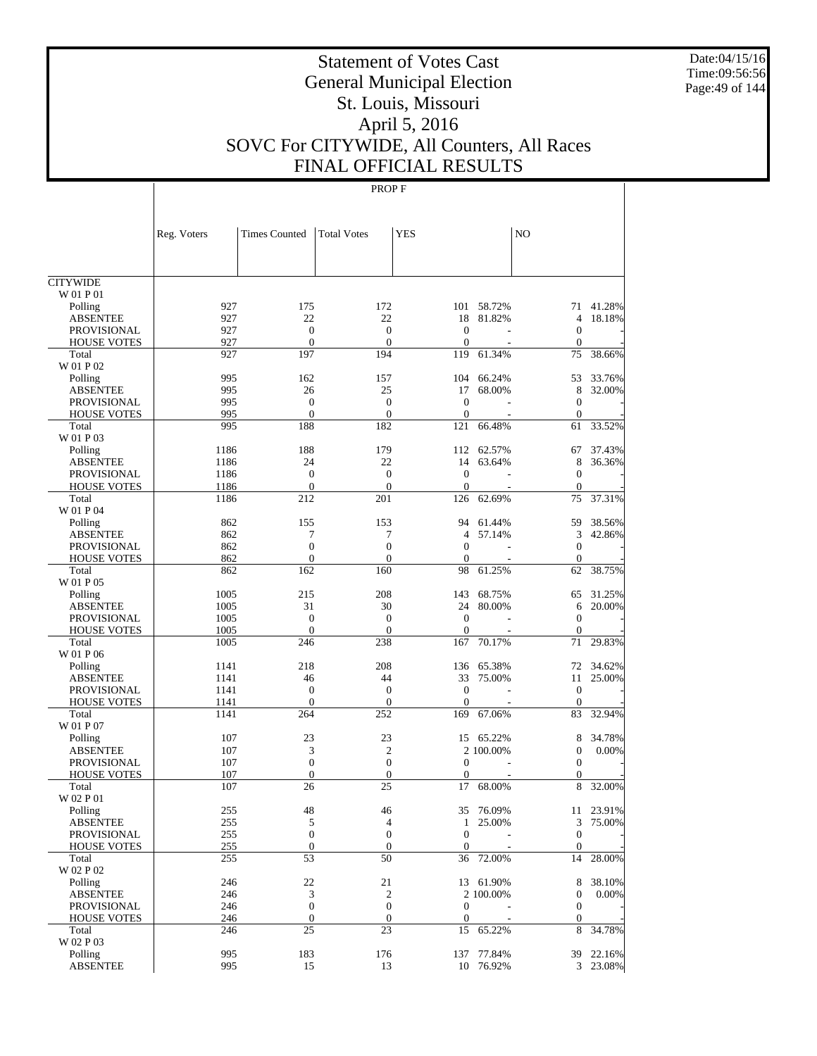Date:04/15/16 Time:09:56:56 Page:49 of 144

# Statement of Votes Cast General Municipal Election St. Louis, Missouri April 5, 2016 SOVC For CITYWIDE, All Counters, All Races FINAL OFFICIAL RESULTS

|                              | Reg. Voters  | <b>Times Counted</b> | <b>Total Votes</b>      | <b>YES</b>       |                     | N <sub>O</sub>         |                       |
|------------------------------|--------------|----------------------|-------------------------|------------------|---------------------|------------------------|-----------------------|
|                              |              |                      |                         |                  |                     |                        |                       |
|                              |              |                      |                         |                  |                     |                        |                       |
| <b>CITYWIDE</b><br>W 01 P 01 |              |                      |                         |                  |                     |                        |                       |
| Polling                      | 927          | 175                  | 172                     |                  | 101 58.72%          |                        | 71 41.28%             |
| <b>ABSENTEE</b>              | 927          | 22                   | 22                      | 18               | 81.82%              | $\overline{4}$         | 18.18%                |
| <b>PROVISIONAL</b>           | 927          | $\boldsymbol{0}$     | $\boldsymbol{0}$        | $\overline{0}$   |                     | $\boldsymbol{0}$       |                       |
| <b>HOUSE VOTES</b>           | 927          | $\mathbf{0}$         | $\overline{0}$          | $\Omega$         |                     | $\boldsymbol{0}$       |                       |
| Total                        | 927          | 197                  | 194                     | 119              | 61.34%              | 75                     | 38.66%                |
| W 01 P 02                    |              |                      |                         |                  |                     |                        |                       |
| Polling                      | 995          | 162                  | 157                     | 104              | 66.24%              | 53                     | 33.76%                |
| <b>ABSENTEE</b>              | 995          | 26                   | 25                      | 17               | 68.00%              | 8                      | 32.00%                |
| <b>PROVISIONAL</b>           | 995          | $\mathbf{0}$         | $\boldsymbol{0}$        | $\theta$         |                     | $\boldsymbol{0}$       |                       |
| <b>HOUSE VOTES</b>           | 995          | $\overline{0}$       | $\boldsymbol{0}$        | $\theta$         |                     | $\boldsymbol{0}$       |                       |
| Total                        | 995          | 188                  | 182                     | 121              | 66.48%              | 61                     | 33.52%                |
| W 01 P 03                    |              |                      |                         | 112              |                     |                        |                       |
| Polling<br><b>ABSENTEE</b>   | 1186<br>1186 | 188<br>24            | 179<br>22               | 14               | 62.57%<br>63.64%    | 67<br>8                | 37.43%<br>36.36%      |
| <b>PROVISIONAL</b>           | 1186         | $\boldsymbol{0}$     | $\boldsymbol{0}$        | $\mathbf{0}$     |                     | $\boldsymbol{0}$       |                       |
| <b>HOUSE VOTES</b>           | 1186         | $\mathbf{0}$         | $\overline{0}$          | $\mathbf{0}$     |                     | $\boldsymbol{0}$       |                       |
| Total                        | 1186         | 212                  | 201                     | 126              | 62.69%              | 75                     | 37.31%                |
| W 01 P 04                    |              |                      |                         |                  |                     |                        |                       |
| Polling                      | 862          | 155                  | 153                     | 94               | 61.44%              | 59                     | 38.56%                |
| <b>ABSENTEE</b>              | 862          | 7                    | 7                       | $\overline{4}$   | 57.14%              | 3                      | 42.86%                |
| <b>PROVISIONAL</b>           | 862          | $\mathbf{0}$         | $\mathbf{0}$            | $\Omega$         |                     | $\boldsymbol{0}$       |                       |
| <b>HOUSE VOTES</b>           | 862          | $\mathbf{0}$         | $\overline{0}$          | $\Omega$         |                     | $\boldsymbol{0}$       |                       |
| Total                        | 862          | 162                  | 160                     | 98               | 61.25%              | 62                     | 38.75%                |
| W 01 P 05                    |              |                      |                         |                  |                     |                        |                       |
| Polling                      | 1005         | 215                  | 208                     | 143              | 68.75%              | 65                     | 31.25%                |
| <b>ABSENTEE</b>              | 1005         | 31                   | 30                      | 24               | 80.00%              | 6                      | 20.00%                |
| <b>PROVISIONAL</b>           | 1005         | $\boldsymbol{0}$     | $\boldsymbol{0}$        | $\mathbf{0}$     |                     | $\boldsymbol{0}$       |                       |
| <b>HOUSE VOTES</b>           | 1005         | $\mathbf{0}$         | $\overline{0}$          | $\mathbf{0}$     |                     | $\boldsymbol{0}$       |                       |
| Total                        | 1005         | 246                  | 238                     | 167              | 70.17%              | 71                     | 29.83%                |
| W 01 P 06                    |              |                      |                         |                  |                     |                        |                       |
| Polling                      | 1141         | 218                  | 208                     | 136              | 65.38%              | 72                     | 34.62%                |
| <b>ABSENTEE</b>              | 1141         | 46                   | 44                      | 33               | 75.00%              | 11                     | 25.00%                |
| <b>PROVISIONAL</b>           | 1141         | $\boldsymbol{0}$     | $\boldsymbol{0}$        | $\overline{0}$   |                     | $\mathbf{0}$           |                       |
| <b>HOUSE VOTES</b><br>Total  | 1141<br>1141 | $\mathbf{0}$<br>264  | $\boldsymbol{0}$<br>252 | $\theta$<br>169  | 67.06%              | $\boldsymbol{0}$<br>83 | 32.94%                |
| W 01 P 07                    |              |                      |                         |                  |                     |                        |                       |
| Polling                      | 107          | 23                   | 23                      | 15               | 65.22%              | 8                      | 34.78%                |
| <b>ABSENTEE</b>              | 107          | 3                    | $\mathfrak{2}$          |                  | 2 100.00%           | $\boldsymbol{0}$       | 0.00%                 |
| PROVISIONAL                  | 107          | $\boldsymbol{0}$     | $\boldsymbol{0}$        | $\theta$         |                     | $\theta$               |                       |
| <b>HOUSE VOTES</b>           | 107          | $\mathbf{0}$         | $\boldsymbol{0}$        | $\mathbf{0}$     |                     | $\mathbf{0}$           |                       |
| Total                        | 107          | 26                   | 25                      | 17               | 68.00%              | 8                      | 32.00%                |
| W 02 P 01                    |              |                      |                         |                  |                     |                        |                       |
| Polling                      | 255          | 48                   | 46                      |                  | 35 76.09%           |                        | 11 23.91%             |
| <b>ABSENTEE</b>              | 255          | 5                    | 4                       |                  | 1 25.00%            | 3                      | 75.00%                |
| PROVISIONAL                  | 255          | $\boldsymbol{0}$     | $\boldsymbol{0}$        | $\mathbf{0}$     |                     | $\mathbf{0}$           |                       |
| <b>HOUSE VOTES</b>           | 255          | $\boldsymbol{0}$     | $\boldsymbol{0}$        | $\mathbf{0}$     |                     | $\mathbf{0}$           |                       |
| Total                        | 255          | 53                   | 50                      | 36               | 72.00%              | 14                     | 28.00%                |
| W 02 P 02                    |              |                      |                         |                  |                     |                        |                       |
| Polling                      | 246          | 22                   | 21                      |                  | 13 61.90%           | 8                      | 38.10%                |
| <b>ABSENTEE</b>              | 246          | 3                    | $\boldsymbol{2}$        |                  | 2 100.00%           | $\boldsymbol{0}$       | $0.00\%$              |
| PROVISIONAL                  | 246          | $\boldsymbol{0}$     | $\boldsymbol{0}$        | $\boldsymbol{0}$ |                     | $\mathbf{0}$           |                       |
| <b>HOUSE VOTES</b>           | 246          | $\boldsymbol{0}$     | $\boldsymbol{0}$        | $\boldsymbol{0}$ |                     | $\mathbf{0}$           |                       |
| Total                        | 246          | 25                   | 23                      | 15               | 65.22%              | 8                      | 34.78%                |
| W 02 P 03                    |              |                      |                         |                  |                     |                        |                       |
| Polling<br><b>ABSENTEE</b>   | 995<br>995   | 183<br>15            | 176<br>13               | 137              | 77.84%<br>10 76.92% |                        | 39 22.16%<br>3 23.08% |
|                              |              |                      |                         |                  |                     |                        |                       |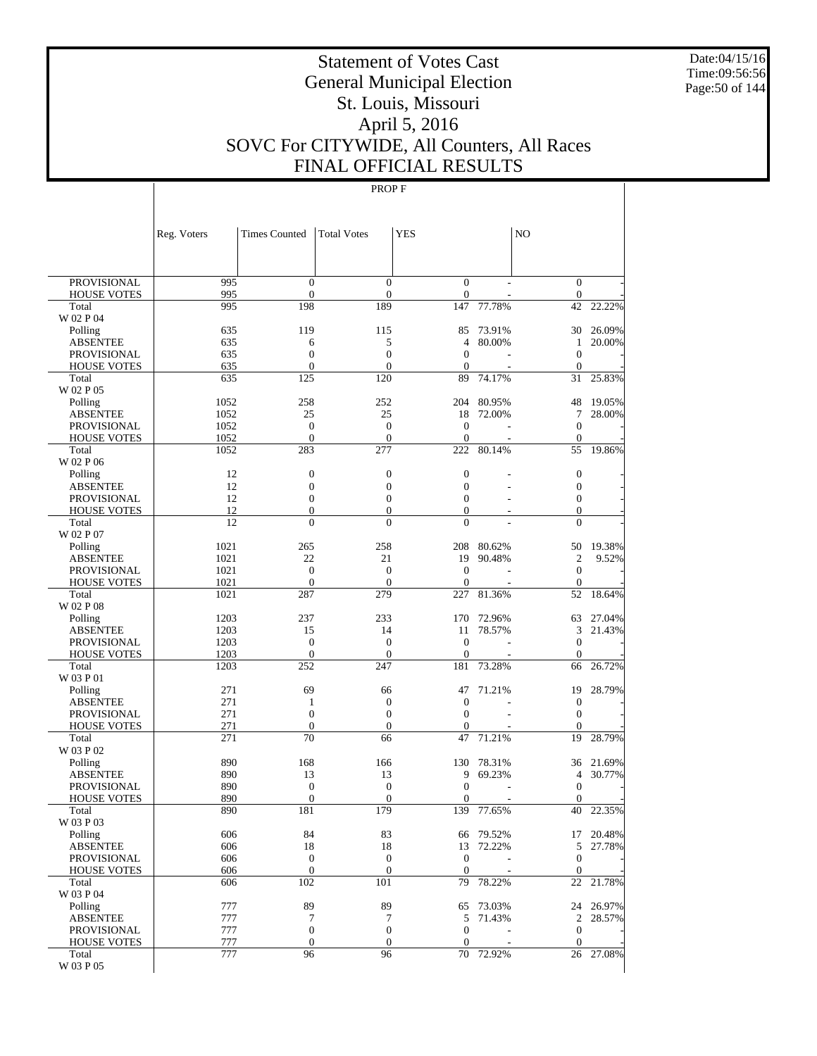Date:04/15/16 Time:09:56:56 Page:50 of 144

# Statement of Votes Cast General Municipal Election St. Louis, Missouri April 5, 2016 SOVC For CITYWIDE, All Counters, All Races FINAL OFFICIAL RESULTS

|                                   | Reg. Voters  | <b>Times Counted</b>           | <b>Total Votes</b>       | <b>YES</b>           |                  | NO                                 |                  |
|-----------------------------------|--------------|--------------------------------|--------------------------|----------------------|------------------|------------------------------------|------------------|
|                                   |              |                                |                          |                      |                  |                                    |                  |
| PROVISIONAL                       | 995          | $\mathbf{0}$                   | $\mathbf{0}$             | $\mathbf{0}$         |                  | $\boldsymbol{0}$                   |                  |
| <b>HOUSE VOTES</b>                | 995          | $\overline{0}$                 | $\overline{0}$           | $\mathbf{0}$         |                  | $\boldsymbol{0}$                   |                  |
| Total                             | 995          | 198                            | 189                      | 147                  | 77.78%           | 42                                 | 22.22%           |
| W 02 P 04                         |              |                                |                          |                      |                  |                                    |                  |
| Polling<br><b>ABSENTEE</b>        | 635<br>635   | 119<br>6                       | 115<br>5                 | 85<br>$\overline{4}$ | 73.91%<br>80.00% | 30<br>1                            | 26.09%<br>20.00% |
| <b>PROVISIONAL</b>                | 635          | $\overline{0}$                 | $\overline{0}$           | $\overline{0}$       |                  | $\boldsymbol{0}$                   |                  |
| <b>HOUSE VOTES</b>                | 635          | $\mathbf{0}$                   | $\overline{0}$           | $\theta$             |                  | $\theta$                           |                  |
| Total                             | 635          | 125                            | 120                      | 89                   | 74.17%           | 31                                 | 25.83%           |
| W 02 P 05                         |              |                                |                          |                      |                  |                                    |                  |
| Polling                           | 1052         | 258                            | 252                      | 204                  | 80.95%           | 48                                 | 19.05%           |
| <b>ABSENTEE</b>                   | 1052         | 25                             | 25                       | 18                   | 72.00%           | 7                                  | 28.00%           |
| <b>PROVISIONAL</b>                | 1052         | $\overline{0}$                 | $\mathbf{0}$             | $\overline{0}$       |                  | $\boldsymbol{0}$                   |                  |
| <b>HOUSE VOTES</b>                | 1052         | $\mathbf{0}$                   | $\theta$                 | $\theta$<br>222      |                  | $\mathbf{0}$                       |                  |
| Total<br>W 02 P 06                | 1052         | 283                            | 277                      |                      | 80.14%           | 55                                 | 19.86%           |
| Polling                           | 12           | $\boldsymbol{0}$               | $\mathbf{0}$             | $\mathbf{0}$         |                  | $\boldsymbol{0}$                   |                  |
| <b>ABSENTEE</b>                   | 12           | 0                              | $\mathbf{0}$             | $\mathbf{0}$         |                  | $\boldsymbol{0}$                   |                  |
| <b>PROVISIONAL</b>                | 12           | $\overline{0}$                 | $\overline{0}$           | $\mathbf{0}$         |                  | $\boldsymbol{0}$                   |                  |
| <b>HOUSE VOTES</b>                | 12           | $\boldsymbol{0}$               | $\boldsymbol{0}$         | $\mathbf{0}$         |                  | $\overline{0}$                     |                  |
| Total                             | 12           | $\overline{0}$                 | $\overline{0}$           | $\mathbf{0}$         |                  | $\overline{0}$                     |                  |
| W 02 P 07                         |              |                                |                          |                      |                  |                                    |                  |
| Polling                           | 1021         | 265                            | 258                      | 208                  | 80.62%           | 50                                 | 19.38%           |
| <b>ABSENTEE</b>                   | 1021         | 22                             | 21                       | 19                   | 90.48%           | $\mathfrak{2}$                     | 9.52%            |
| <b>PROVISIONAL</b>                | 1021<br>1021 | $\overline{0}$<br>$\mathbf{0}$ | $\mathbf{0}$<br>$\theta$ | $\theta$<br>$\theta$ |                  | $\boldsymbol{0}$<br>$\theta$       |                  |
| <b>HOUSE VOTES</b><br>Total       | 1021         | 287                            | 279                      | 227                  | 81.36%           | 52                                 | 18.64%           |
| W 02 P 08                         |              |                                |                          |                      |                  |                                    |                  |
| Polling                           | 1203         | 237                            | 233                      | 170                  | 72.96%           | 63                                 | 27.04%           |
| <b>ABSENTEE</b>                   | 1203         | 15                             | 14                       | 11                   | 78.57%           | 3                                  | 21.43%           |
| <b>PROVISIONAL</b>                | 1203         | $\overline{0}$                 | $\overline{0}$           | $\overline{0}$       |                  | $\boldsymbol{0}$                   |                  |
| <b>HOUSE VOTES</b>                | 1203         | $\mathbf{0}$                   | $\theta$                 | $\theta$             |                  | $\theta$                           |                  |
| Total                             | 1203         | 252                            | 247                      | 181                  | 73.28%           | 66                                 | 26.72%           |
| W 03 P 01                         |              |                                |                          |                      |                  |                                    |                  |
| Polling<br><b>ABSENTEE</b>        | 271<br>271   | 69<br>1                        | 66<br>$\boldsymbol{0}$   | 47<br>$\theta$       | 71.21%           | 19<br>$\mathbf{0}$                 | 28.79%           |
| <b>PROVISIONAL</b>                | 271          | $\overline{0}$                 | $\mathbf{0}$             | $\theta$             |                  | $\mathbf{0}$                       |                  |
| <b>HOUSE VOTES</b>                | 271          | 0                              | $\boldsymbol{0}$         | $\mathbf{0}$         |                  | $\overline{0}$                     |                  |
| Total                             | 271          | 70                             | 66                       | 47                   | 71.21%           | 19                                 | 28.79%           |
| W 03 P 02                         |              |                                |                          |                      |                  |                                    |                  |
| Polling                           | 890          | 168                            | 166                      | 130                  | 78.31%           | 36                                 | 21.69%           |
| <b>ABSENTEE</b>                   | 890          | 13                             | 13                       | 9                    | 69.23%           | 4                                  | 30.77%           |
| <b>PROVISIONAL</b>                | 890          | $\overline{0}$                 | $\mathbf{0}$             | $\mathbf{0}$         |                  | $\boldsymbol{0}$                   |                  |
| <b>HOUSE VOTES</b>                | 890          | $\overline{0}$                 | $\theta$                 | $\mathbf{0}$         |                  | $\overline{0}$                     |                  |
| Total<br>W 03 P 03                | 890          | 181                            | 179                      | 139                  | 77.65%           | 40                                 | 22.35%           |
| Polling                           | 606          | 84                             | 83                       | 66                   | 79.52%           |                                    | 17 20.48%        |
| <b>ABSENTEE</b>                   | 606          | 18                             | 18                       | 13                   | 72.22%           | 5                                  | 27.78%           |
| <b>PROVISIONAL</b>                | 606          | $\boldsymbol{0}$               | $\mathbf{0}$             | $\mathbf{0}$         |                  | $\boldsymbol{0}$                   |                  |
| <b>HOUSE VOTES</b>                | 606          | $\boldsymbol{0}$               | $\boldsymbol{0}$         | $\theta$             |                  | $\mathbf{0}$                       |                  |
| Total                             | 606          | 102                            | 101                      | 79                   | 78.22%           | 22                                 | 21.78%           |
| W 03 P 04                         |              |                                |                          |                      |                  |                                    |                  |
| Polling                           | 777          | 89                             | 89                       | 65                   | 73.03%           |                                    | 24 26.97%        |
| <b>ABSENTEE</b>                   | 777<br>777   | 7<br>$\boldsymbol{0}$          | 7<br>$\mathbf{0}$        | 5<br>$\theta$        | 71.43%           | $\mathfrak{2}$<br>$\boldsymbol{0}$ | 28.57%           |
| PROVISIONAL<br><b>HOUSE VOTES</b> | 777          | $\boldsymbol{0}$               | $\mathbf{0}$             | $\theta$             |                  | $\boldsymbol{0}$                   |                  |
| Total                             | 777          | 96                             | 96                       | 70                   | 72.92%           |                                    | 26 27.08%        |
| W 03 P 05                         |              |                                |                          |                      |                  |                                    |                  |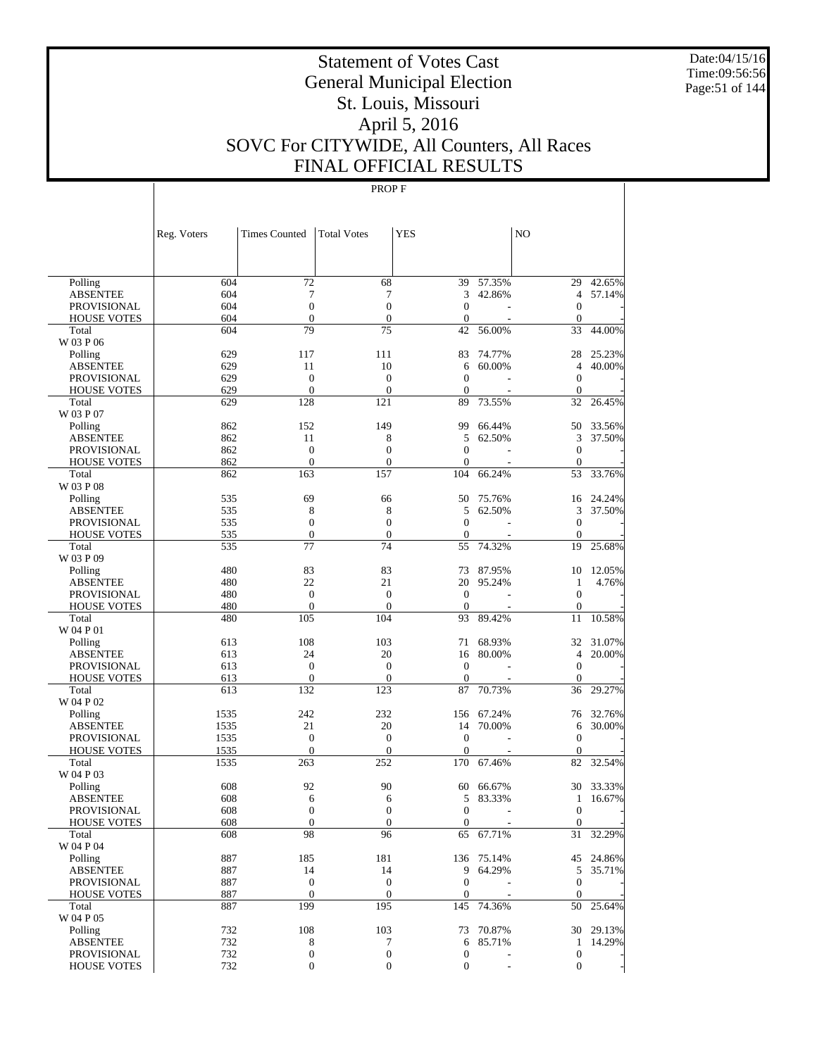Date:04/15/16 Time:09:56:56 Page:51 of 144

# Statement of Votes Cast General Municipal Election St. Louis, Missouri April 5, 2016 SOVC For CITYWIDE, All Counters, All Races FINAL OFFICIAL RESULTS

|                                   | Reg. Voters  | <b>Times Counted</b>   | <b>Total Votes</b> | <b>YES</b>        |            | N <sub>O</sub>       |                  |
|-----------------------------------|--------------|------------------------|--------------------|-------------------|------------|----------------------|------------------|
|                                   |              |                        |                    |                   |            |                      |                  |
| Polling                           | 604          | 72                     | 68                 | 39                | 57.35%     |                      | 29 42.65%        |
| <b>ABSENTEE</b>                   | 604          | 7                      | $\tau$             | 3                 | 42.86%     | $\overline{4}$       | 57.14%           |
| <b>PROVISIONAL</b>                | 604          | $\mathbf{0}$           | $\boldsymbol{0}$   | $\mathbf{0}$      |            | $\mathbf{0}$         |                  |
| <b>HOUSE VOTES</b>                | 604          | $\boldsymbol{0}$       | $\boldsymbol{0}$   | $\mathbf{0}$      |            | $\mathbf{0}$         |                  |
| Total                             | 604          | 79                     | 75                 | 42                | 56.00%     | 33                   | 44.00%           |
| W 03 P 06                         |              |                        |                    |                   |            |                      |                  |
| Polling                           | 629<br>629   | 117                    | 111<br>10          | 83                | 74.77%     | 28<br>$\overline{4}$ | 25.23%<br>40.00% |
| <b>ABSENTEE</b>                   | 629          | 11<br>$\mathbf{0}$     | $\boldsymbol{0}$   | 6<br>$\mathbf{0}$ | 60.00%     | $\mathbf{0}$         |                  |
| PROVISIONAL<br><b>HOUSE VOTES</b> | 629          | $\mathbf{0}$           | $\boldsymbol{0}$   | $\overline{0}$    |            | $\mathbf{0}$         |                  |
| Total                             | 629          | 128                    | 121                | 89                | 73.55%     | 32                   | 26.45%           |
| W 03 P 07                         |              |                        |                    |                   |            |                      |                  |
| Polling                           | 862          | 152                    | 149                | 99                | 66.44%     | 50                   | 33.56%           |
| <b>ABSENTEE</b>                   | 862          | 11                     | 8                  | 5                 | 62.50%     | 3                    | 37.50%           |
| PROVISIONAL                       | 862          | $\boldsymbol{0}$       | $\boldsymbol{0}$   | $\mathbf{0}$      |            | $\mathbf{0}$         |                  |
| <b>HOUSE VOTES</b>                | 862          | $\mathbf{0}$           | $\boldsymbol{0}$   | $\overline{0}$    |            | $\mathbf{0}$         |                  |
| Total                             | 862          | 163                    | 157                | 104               | 66.24%     | 53                   | 33.76%           |
| W 03 P 08                         |              |                        |                    |                   |            |                      |                  |
| Polling                           | 535          | 69                     | 66                 | 50                | 75.76%     | 16                   | 24.24%           |
| <b>ABSENTEE</b>                   | 535          | 8                      | 8                  | 5                 | 62.50%     | 3                    | 37.50%           |
| <b>PROVISIONAL</b>                | 535          | $\boldsymbol{0}$       | $\boldsymbol{0}$   | $\mathbf{0}$      |            | $\mathbf{0}$         |                  |
| <b>HOUSE VOTES</b>                | 535          | $\boldsymbol{0}$       | $\boldsymbol{0}$   | $\mathbf{0}$      |            | $\mathbf{0}$         |                  |
| Total                             | 535          | 77                     | 74                 | 55                | 74.32%     | 19                   | 25.68%           |
| W 03 P 09                         |              |                        |                    |                   |            |                      |                  |
| Polling                           | 480          | 83                     | 83                 | 73                | 87.95%     | 10                   | 12.05%           |
| <b>ABSENTEE</b>                   | 480          | 22                     | 21                 | 20                | 95.24%     | $\mathbf{1}$         | 4.76%            |
| PROVISIONAL                       | 480          | $\mathbf{0}$           | $\boldsymbol{0}$   | $\mathbf{0}$      |            | $\mathbf{0}$         |                  |
| <b>HOUSE VOTES</b>                | 480          | $\boldsymbol{0}$       | $\boldsymbol{0}$   | $\mathbf{0}$      |            | $\mathbf{0}$         |                  |
| Total                             | 480          | 105                    | 104                | 93                | 89.42%     | 11                   | 10.58%           |
| W 04 P 01                         |              |                        |                    |                   |            |                      |                  |
| Polling                           | 613          | 108                    | 103                | 71                | 68.93%     | 32                   | 31.07%           |
| <b>ABSENTEE</b>                   | 613          | 24                     | 20                 | 16                | 80.00%     | $\overline{4}$       | 20.00%           |
| PROVISIONAL                       | 613          | $\mathbf{0}$           | $\boldsymbol{0}$   | $\mathbf{0}$      |            | $\mathbf{0}$         |                  |
| <b>HOUSE VOTES</b>                | 613          | $\boldsymbol{0}$       | $\boldsymbol{0}$   | $\overline{0}$    |            | $\overline{0}$       |                  |
| Total                             | 613          | 132                    | 123                | 87                | 70.73%     | 36                   | 29.27%           |
| W 04 P 02                         |              | 242                    | 232                | 156               | 67.24%     | 76                   | 32.76%           |
| Polling                           | 1535         |                        | 20                 | 14                |            |                      | 30.00%           |
| ABSENTEE<br><b>PROVISIONAL</b>    | 1535<br>1535 | 21<br>$\boldsymbol{0}$ | $\boldsymbol{0}$   | $\mathbf{0}$      | 70.00%     | 6<br>$\mathbf{0}$    |                  |
| <b>HOUSE VOTES</b>                | 1535         | $\boldsymbol{0}$       | $\boldsymbol{0}$   | $\overline{0}$    |            | $\boldsymbol{0}$     |                  |
| Total                             | 1535         | 263                    | 252                | 170               | 67.46%     | 82                   | 32.54%           |
| W 04 P 03                         |              |                        |                    |                   |            |                      |                  |
| Polling                           | 608          | 92                     | 90                 | 60                | 66.67%     | 30                   | 33.33%           |
| <b>ABSENTEE</b>                   | 608          | 6                      | 6                  | 5                 | 83.33%     | 1                    | 16.67%           |
| PROVISIONAL                       | 608          | $\mathbf{0}$           | $\overline{0}$     | $\mathbf{0}$      | ٠          | $\overline{0}$       |                  |
| <b>HOUSE VOTES</b>                | 608          | $\boldsymbol{0}$       | $\mathbf{0}$       | $\boldsymbol{0}$  |            | $\mathbf{0}$         |                  |
| Total                             | 608          | 98                     | 96                 | 65                | 67.71%     | 31                   | 32.29%           |
| W 04 P 04                         |              |                        |                    |                   |            |                      |                  |
| Polling                           | 887          | 185                    | 181                |                   | 136 75.14% |                      | 45 24.86%        |
| <b>ABSENTEE</b>                   | 887          | 14                     | 14                 | 9                 | 64.29%     | 5                    | 35.71%           |
| <b>PROVISIONAL</b>                | 887          | $\boldsymbol{0}$       | $\boldsymbol{0}$   | $\boldsymbol{0}$  |            | $\mathbf{0}$         |                  |
| <b>HOUSE VOTES</b>                | 887          | $\boldsymbol{0}$       | $\mathbf{0}$       | $\boldsymbol{0}$  |            | $\mathbf{0}$         |                  |
| Total                             | 887          | 199                    | 195                | 145               | 74.36%     | 50                   | 25.64%           |
| W 04 P 05                         |              |                        |                    |                   |            |                      |                  |
| Polling                           | 732          | 108                    | 103                | 73                | 70.87%     |                      | 30 29.13%        |
| <b>ABSENTEE</b>                   | 732          | 8                      | 7                  | 6                 | 85.71%     | $\mathbf{1}$         | 14.29%           |
| <b>PROVISIONAL</b>                | 732          | $\boldsymbol{0}$       | $\boldsymbol{0}$   | $\boldsymbol{0}$  |            | $\mathbf{0}$         |                  |
| <b>HOUSE VOTES</b>                | 732          | $\boldsymbol{0}$       | $\boldsymbol{0}$   | $\boldsymbol{0}$  |            | $\mathbf{0}$         |                  |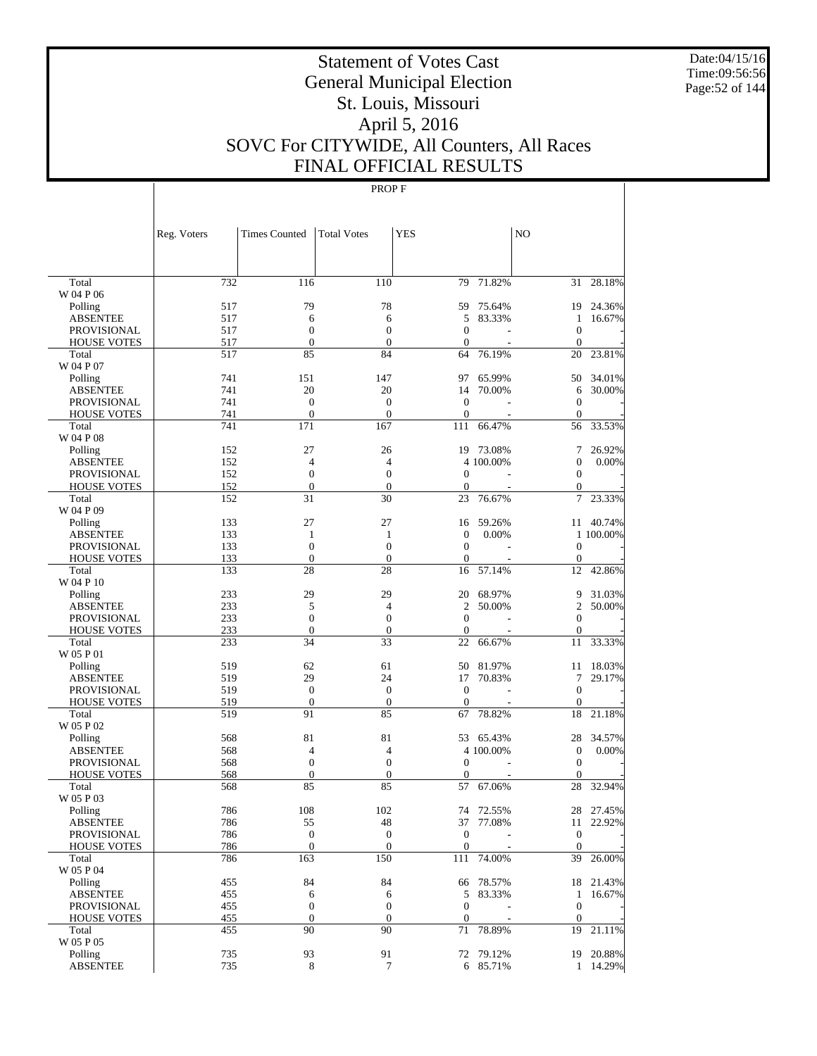Date:04/15/16 Time:09:56:56 Page:52 of 144

# Statement of Votes Cast General Municipal Election St. Louis, Missouri April 5, 2016 SOVC For CITYWIDE, All Counters, All Races FINAL OFFICIAL RESULTS

|                            | Reg. Voters | <b>Times Counted</b>   | <b>Total Votes</b>     | <b>YES</b>         |                     | NO                     |                     |
|----------------------------|-------------|------------------------|------------------------|--------------------|---------------------|------------------------|---------------------|
|                            |             |                        |                        |                    |                     |                        |                     |
| Total                      | 732         | 116                    | 110                    | 79                 | 71.82%              |                        | 31 28.18%           |
| W 04 P 06                  |             | 79                     | 78                     |                    |                     |                        |                     |
| Polling<br><b>ABSENTEE</b> | 517<br>517  | 6                      | 6                      | 59<br>5            | 75.64%<br>83.33%    | 1                      | 19 24.36%<br>16.67% |
| <b>PROVISIONAL</b>         | 517         | $\boldsymbol{0}$       | $\boldsymbol{0}$       | $\mathbf{0}$       |                     | $\boldsymbol{0}$       |                     |
| <b>HOUSE VOTES</b>         | 517         | $\boldsymbol{0}$       | $\boldsymbol{0}$       | $\mathbf{0}$       |                     | $\boldsymbol{0}$       |                     |
| Total                      | 517         | 85                     | 84                     | 64                 | 76.19%              | 20                     | 23.81%              |
| W 04 P 07                  |             |                        |                        |                    |                     |                        |                     |
| Polling                    | 741         | 151                    | 147                    | 97                 | 65.99%              |                        | 50 34.01%           |
| <b>ABSENTEE</b>            | 741         | 20                     | 20                     | 14                 | 70.00%              | 6                      | 30.00%              |
| <b>PROVISIONAL</b>         | 741         | $\boldsymbol{0}$       | $\boldsymbol{0}$       | $\overline{0}$     |                     | $\boldsymbol{0}$       |                     |
| <b>HOUSE VOTES</b>         | 741         | $\boldsymbol{0}$       | $\boldsymbol{0}$       | $\boldsymbol{0}$   |                     | $\boldsymbol{0}$       |                     |
| Total                      | 741         | 171                    | 167                    | 111                | 66.47%              | 56                     | 33.53%              |
| W 04 P 08                  |             |                        |                        |                    |                     |                        |                     |
| Polling                    | 152         | 27                     | 26                     | 19                 | 73.08%              | 7                      | 26.92%              |
| <b>ABSENTEE</b>            | 152         | 4                      | $\overline{4}$         |                    | 4 100.00%           | $\boldsymbol{0}$       | 0.00%               |
| <b>PROVISIONAL</b>         | 152         | $\boldsymbol{0}$       | $\boldsymbol{0}$       | $\mathbf{0}$       |                     | $\boldsymbol{0}$       |                     |
| <b>HOUSE VOTES</b>         | 152<br>152  | $\boldsymbol{0}$<br>31 | $\boldsymbol{0}$<br>30 | $\mathbf{0}$<br>23 | 76.67%              | $\overline{0}$<br>7    | 23.33%              |
| Total<br>W 04 P 09         |             |                        |                        |                    |                     |                        |                     |
| Polling                    | 133         | 27                     | 27                     | 16                 | 59.26%              |                        | 11 40.74%           |
| <b>ABSENTEE</b>            | 133         | $\mathbf{1}$           | 1                      | $\mathbf{0}$       | 0.00%               |                        | 1 100.00%           |
| <b>PROVISIONAL</b>         | 133         | $\boldsymbol{0}$       | $\boldsymbol{0}$       | $\mathbf{0}$       |                     | $\boldsymbol{0}$       |                     |
| <b>HOUSE VOTES</b>         | 133         | $\boldsymbol{0}$       | $\boldsymbol{0}$       | $\boldsymbol{0}$   |                     | $\boldsymbol{0}$       |                     |
| Total                      | 133         | 28                     | 28                     | 16                 | 57.14%              | 12                     | 42.86%              |
| W 04 P 10                  |             |                        |                        |                    |                     |                        |                     |
| Polling                    | 233         | 29                     | 29                     | 20                 | 68.97%              | 9                      | 31.03%              |
| <b>ABSENTEE</b>            | 233         | 5                      | $\overline{4}$         | $\mathfrak{2}$     | 50.00%              | $\overline{c}$         | 50.00%              |
| PROVISIONAL                | 233         | $\boldsymbol{0}$       | $\boldsymbol{0}$       | $\mathbf{0}$       |                     | $\boldsymbol{0}$       |                     |
| <b>HOUSE VOTES</b>         | 233         | $\boldsymbol{0}$       | $\boldsymbol{0}$       | $\overline{0}$     |                     | $\overline{0}$         |                     |
| Total                      | 233         | 34                     | 33                     | 22                 | 66.67%              | 11                     | 33.33%              |
| W 05 P 01                  |             |                        |                        |                    |                     |                        |                     |
| Polling                    | 519         | 62                     | 61                     | 50                 | 81.97%              | 11                     | 18.03%              |
| <b>ABSENTEE</b>            | 519         | 29                     | 24                     | 17                 | 70.83%              | 7                      | 29.17%              |
| <b>PROVISIONAL</b>         | 519         | $\boldsymbol{0}$       | $\boldsymbol{0}$       | $\boldsymbol{0}$   |                     | $\boldsymbol{0}$       |                     |
| <b>HOUSE VOTES</b>         | 519         | $\boldsymbol{0}$       | $\boldsymbol{0}$       | $\mathbf{0}$       |                     | $\boldsymbol{0}$       |                     |
| Total                      | 519         | 91                     | 85                     | 67                 | 78.82%              | 18                     | 21.18%              |
| W 05 P 02                  |             |                        |                        | 53                 |                     |                        |                     |
| Polling<br><b>ABSENTEE</b> | 568<br>568  | 81<br>4                | 81<br>4                |                    | 65.43%<br>4 100.00% | 28<br>$\boldsymbol{0}$ | 34.57%<br>0.00%     |
| PROVISIONAL                | 568         | $\boldsymbol{0}$       | $\boldsymbol{0}$       | $\mathbf{0}$       |                     | $\boldsymbol{0}$       |                     |
| <b>HOUSE VOTES</b>         | 568         | $\boldsymbol{0}$       | $\boldsymbol{0}$       | $\boldsymbol{0}$   |                     | $\theta$               |                     |
| Total                      | 568         | 85                     | 85                     | 57                 | 67.06%              | 28                     | 32.94%              |
| W 05 P 03                  |             |                        |                        |                    |                     |                        |                     |
| Polling                    | 786         | 108                    | 102                    |                    | 74 72.55%           |                        | 28 27.45%           |
| <b>ABSENTEE</b>            | 786         | 55                     | 48                     |                    | 37 77.08%           |                        | 11 22.92%           |
| <b>PROVISIONAL</b>         | 786         | $\boldsymbol{0}$       | $\boldsymbol{0}$       | $\boldsymbol{0}$   |                     | $\boldsymbol{0}$       |                     |
| <b>HOUSE VOTES</b>         | 786         | $\mathbf{0}$           | $\mathbf{0}$           | $\boldsymbol{0}$   |                     | $\boldsymbol{0}$       |                     |
| Total                      | 786         | 163                    | 150                    | 111                | 74.00%              |                        | 39 26.00%           |
| W 05 P 04                  |             |                        |                        |                    |                     |                        |                     |
| Polling                    | 455         | 84                     | 84                     |                    | 66 78.57%           |                        | 18 21.43%           |
| <b>ABSENTEE</b>            | 455         | 6                      | 6                      | 5                  | 83.33%              | $\mathbf{1}$           | 16.67%              |
| <b>PROVISIONAL</b>         | 455         | $\boldsymbol{0}$       | $\boldsymbol{0}$       | $\boldsymbol{0}$   |                     | $\boldsymbol{0}$       |                     |
| <b>HOUSE VOTES</b>         | 455         | $\mathbf{0}$           | $\boldsymbol{0}$       | $\boldsymbol{0}$   |                     | $\mathbf{0}$           |                     |
| Total                      | 455         | 90                     | 90                     | 71                 | 78.89%              |                        | 19 21.11%           |
| W 05 P 05                  |             |                        |                        |                    |                     |                        |                     |
| Polling                    | 735         | 93                     | 91                     |                    | 72 79.12%           |                        | 19 20.88%           |
| <b>ABSENTEE</b>            | 735         | 8                      | $\tau$                 |                    | 6 85.71%            |                        | 1 14.29%            |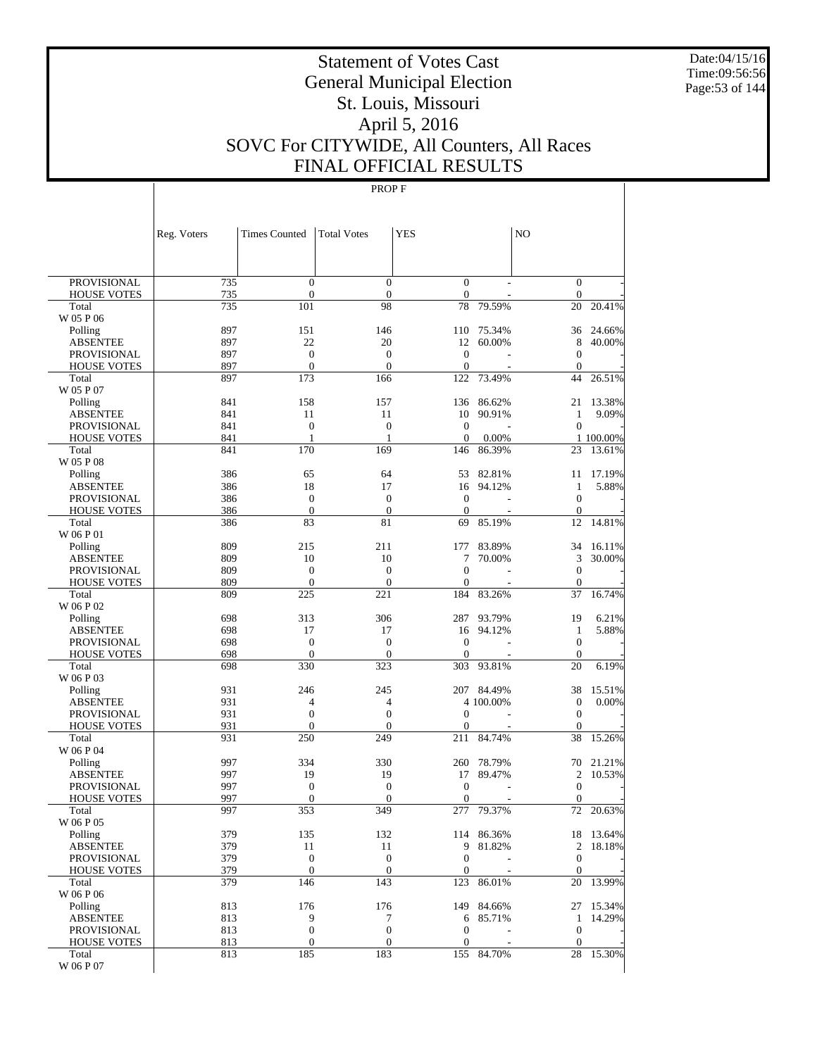Date:04/15/16 Time:09:56:56 Page:53 of 144

# Statement of Votes Cast General Municipal Election St. Louis, Missouri April 5, 2016 SOVC For CITYWIDE, All Counters, All Races FINAL OFFICIAL RESULTS

|                            | Reg. Voters | <b>Times Counted</b>  | <b>Total Votes</b>    | <b>YES</b>       |                         | N <sub>O</sub>         |                 |
|----------------------------|-------------|-----------------------|-----------------------|------------------|-------------------------|------------------------|-----------------|
|                            |             |                       |                       |                  |                         |                        |                 |
| PROVISIONAL                | 735         | $\boldsymbol{0}$      | $\boldsymbol{0}$      | $\boldsymbol{0}$ |                         | $\boldsymbol{0}$       |                 |
| <b>HOUSE VOTES</b>         | 735         | $\boldsymbol{0}$      | $\mathbf{0}$          | $\mathbf{0}$     |                         | $\boldsymbol{0}$       |                 |
| Total                      | 735         | 101                   | 98                    | 78               | 79.59%                  | 20                     | 20.41%          |
| W 05 P 06                  |             |                       |                       |                  |                         |                        |                 |
| Polling                    | 897         | 151                   | 146                   | 110              | 75.34%                  | 36                     | 24.66%          |
| <b>ABSENTEE</b>            | 897         | 22                    | 20                    | 12               | 60.00%                  | 8                      | 40.00%          |
| PROVISIONAL                | 897         | $\mathbf{0}$          | $\mathbf{0}$          | $\mathbf{0}$     |                         | $\mathbf{0}$           |                 |
| <b>HOUSE VOTES</b>         | 897<br>897  | $\mathbf{0}$          | $\boldsymbol{0}$      | $\mathbf{0}$     |                         | $\theta$<br>44         |                 |
| Total<br>W 05 P 07         |             | 173                   | 166                   | 122              | 73.49%                  |                        | 26.51%          |
| Polling                    | 841         | 158                   | 157                   | 136              | 86.62%                  | 21                     | 13.38%          |
| <b>ABSENTEE</b>            | 841         | 11                    | 11                    | 10               | 90.91%                  | $\mathbf{1}$           | 9.09%           |
| PROVISIONAL                | 841         | $\mathbf{0}$          | $\boldsymbol{0}$      | $\mathbf{0}$     |                         | $\boldsymbol{0}$       |                 |
| <b>HOUSE VOTES</b>         | 841         | 1                     | 1                     | $\theta$         | 0.00%                   |                        | 1 100.00%       |
| Total                      | 841         | 170                   | 169                   | 146              | 86.39%                  | 23                     | 13.61%          |
| W 05 P 08                  |             |                       |                       |                  |                         |                        |                 |
| Polling                    | 386         | 65                    | 64                    | 53               | 82.81%                  | 11                     | 17.19%          |
| <b>ABSENTEE</b>            | 386         | 18                    | 17                    | 16               | 94.12%                  | $\mathbf{1}$           | 5.88%           |
| PROVISIONAL                | 386         | $\boldsymbol{0}$      | $\boldsymbol{0}$      | $\mathbf{0}$     |                         | $\boldsymbol{0}$       |                 |
| <b>HOUSE VOTES</b>         | 386         | $\boldsymbol{0}$      | $\boldsymbol{0}$      | $\theta$         |                         | $\mathbf{0}$           |                 |
| Total                      | 386         | 83                    | 81                    | 69               | 85.19%                  | 12                     | 14.81%          |
| W 06 P 01                  |             |                       |                       |                  |                         |                        |                 |
| Polling                    | 809         | 215                   | 211                   | 177              | 83.89%                  | 34                     | 16.11%          |
| <b>ABSENTEE</b>            | 809         | 10                    | 10                    | 7                | 70.00%                  | 3                      | 30.00%          |
| <b>PROVISIONAL</b>         | 809         | $\mathbf{0}$          | $\boldsymbol{0}$      | $\mathbf{0}$     |                         | $\boldsymbol{0}$       |                 |
| <b>HOUSE VOTES</b>         | 809         | $\mathbf{0}$          | $\mathbf{0}$          | $\theta$         |                         | $\theta$               |                 |
| Total                      | 809         | 225                   | 221                   | 184              | 83.26%                  | 37                     | 16.74%          |
| W 06 P 02                  |             |                       |                       |                  |                         |                        |                 |
| Polling                    | 698         | 313                   | 306                   | 287              | 93.79%                  | 19                     | 6.21%           |
| <b>ABSENTEE</b>            | 698         | 17                    | 17                    | 16               | 94.12%                  | $\mathbf{1}$           | 5.88%           |
| PROVISIONAL                | 698         | $\mathbf{0}$          | $\mathbf{0}$          | $\mathbf{0}$     |                         | $\boldsymbol{0}$       |                 |
| <b>HOUSE VOTES</b>         | 698         | $\mathbf{0}$          | $\boldsymbol{0}$      | $\theta$         |                         | $\mathbf{0}$           |                 |
| Total                      | 698         | 330                   | 323                   | 303              | 93.81%                  | 20                     | 6.19%           |
| W 06 P 03                  |             |                       |                       |                  |                         |                        |                 |
| Polling<br><b>ABSENTEE</b> | 931<br>931  | 246<br>$\overline{4}$ | 245<br>$\overline{4}$ |                  | 207 84.49%<br>4 100.00% | 38<br>$\boldsymbol{0}$ | 15.51%<br>0.00% |
| PROVISIONAL                | 931         | $\mathbf{0}$          | $\mathbf{0}$          | $\boldsymbol{0}$ |                         | $\mathbf{0}$           |                 |
| <b>HOUSE VOTES</b>         | 931         | $\mathbf{0}$          | $\mathbf{0}$          | $\overline{0}$   |                         | $\theta$               |                 |
| Total                      | 931         | 250                   | 249                   | 211              | 84.74%                  | 38                     | 15.26%          |
| W 06 P 04                  |             |                       |                       |                  |                         |                        |                 |
| Polling                    | 997         | 334                   | 330                   | 260              | 78.79%                  | 70                     | 21.21%          |
| <b>ABSENTEE</b>            | 997         | 19                    | 19                    | 17               | 89.47%                  | $\mathfrak{2}$         | 10.53%          |
| <b>PROVISIONAL</b>         | 997         | $\mathbf{0}$          | $\boldsymbol{0}$      | $\boldsymbol{0}$ |                         | $\boldsymbol{0}$       |                 |
| <b>HOUSE VOTES</b>         | 997         | $\boldsymbol{0}$      | $\boldsymbol{0}$      | $\mathbf{0}$     |                         | $\mathbf{0}$           |                 |
| Total                      | 997         | 353                   | 349                   | 277              | 79.37%                  | 72                     | 20.63%          |
| W 06 P 05                  |             |                       |                       |                  |                         |                        |                 |
| Polling                    | 379         | 135                   | 132                   |                  | 114 86.36%              |                        | 18 13.64%       |
| <b>ABSENTEE</b>            | 379         | 11                    | 11                    | 9                | 81.82%                  | $\overline{c}$         | 18.18%          |
| <b>PROVISIONAL</b>         | 379         | $\boldsymbol{0}$      | $\boldsymbol{0}$      | $\mathbf{0}$     |                         | $\boldsymbol{0}$       |                 |
| <b>HOUSE VOTES</b>         | 379         | $\boldsymbol{0}$      | $\boldsymbol{0}$      | $\mathbf{0}$     |                         | $\mathbf{0}$           |                 |
| Total                      | 379         | 146                   | 143                   | 123              | 86.01%                  | 20                     | 13.99%          |
| W 06 P 06                  |             |                       |                       |                  |                         |                        |                 |
| Polling                    | 813         | 176                   | 176                   | 149              | 84.66%                  | 27                     | 15.34%          |
| <b>ABSENTEE</b>            | 813         | 9                     | 7                     | 6                | 85.71%                  | 1                      | 14.29%          |
| PROVISIONAL                | 813         | $\boldsymbol{0}$      | $\boldsymbol{0}$      | $\mathbf{0}$     |                         | $\mathbf{0}$           |                 |
| <b>HOUSE VOTES</b>         | 813         | $\boldsymbol{0}$      | $\mathbf{0}$          | $\mathbf{0}$     |                         | $\mathbf{0}$           |                 |
| Total                      | 813         | 185                   | 183                   | 155              | 84.70%                  | 28                     | 15.30%          |
| W 06 P 07                  |             |                       |                       |                  |                         |                        |                 |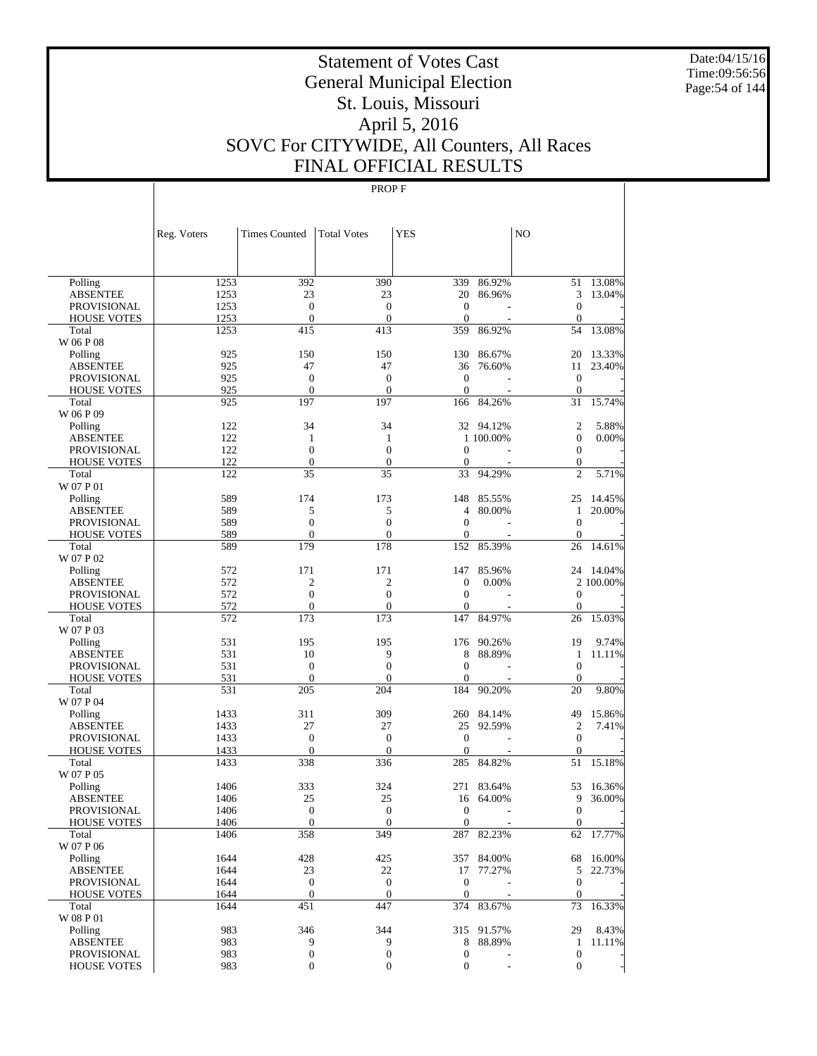Date:04/15/16 Time:09:56:56 Page:54 of 144

# Statement of Votes Cast General Municipal Election St. Louis, Missouri April 5, 2016 SOVC For CITYWIDE, All Counters, All Races FINAL OFFICIAL RESULTS

|                                       | Reg. Voters  | <b>Times Counted</b>   | <b>Total Votes</b>      | <b>YES</b>          |                  | N <sub>O</sub>        |                  |
|---------------------------------------|--------------|------------------------|-------------------------|---------------------|------------------|-----------------------|------------------|
|                                       |              |                        |                         |                     |                  |                       |                  |
|                                       |              |                        |                         |                     |                  |                       |                  |
| Polling<br><b>ABSENTEE</b>            | 1253<br>1253 | 392<br>23              | 390<br>23               | 339<br>20           | 86.92%<br>86.96% | 51<br>3               | 13.08%<br>13.04% |
| <b>PROVISIONAL</b>                    | 1253         | $\mathbf{0}$           | $\boldsymbol{0}$        | $\mathbf{0}$        |                  | $\boldsymbol{0}$      |                  |
| <b>HOUSE VOTES</b>                    | 1253         | $\boldsymbol{0}$       | $\overline{0}$          | $\overline{0}$      |                  | $\overline{0}$        |                  |
| Total                                 | 1253         | 415                    | 413                     | 359                 | 86.92%           | 54                    | 13.08%           |
| W 06 P 08                             |              |                        |                         |                     |                  |                       |                  |
| Polling                               | 925          | 150                    | 150                     | 130                 | 86.67%           | 20                    | 13.33%           |
| <b>ABSENTEE</b>                       | 925          | 47                     | 47                      | 36                  | 76.60%           | 11                    | 23.40%           |
| <b>PROVISIONAL</b>                    | 925          | $\mathbf{0}$           | $\boldsymbol{0}$        | $\mathbf{0}$        |                  | $\mathbf{0}$          |                  |
| <b>HOUSE VOTES</b>                    | 925          | $\mathbf{0}$           | $\overline{0}$          | $\mathbf{0}$        |                  | $\boldsymbol{0}$      |                  |
| Total                                 | 925          | 197                    | 197                     | 166                 | 84.26%           | 31                    | 15.74%           |
| W 06 P 09                             |              |                        |                         |                     |                  |                       |                  |
| Polling                               | 122          | 34                     | 34                      | 32                  | 94.12%           | $\overline{c}$        | 5.88%            |
| <b>ABSENTEE</b>                       | 122          | $\mathbf{1}$           | 1                       |                     | 1 100.00%        | $\boldsymbol{0}$      | 0.00%            |
| <b>PROVISIONAL</b>                    | 122          | $\boldsymbol{0}$       | $\boldsymbol{0}$        | $\mathbf{0}$        |                  | $\boldsymbol{0}$      |                  |
| <b>HOUSE VOTES</b>                    | 122          | $\mathbf{0}$           | $\boldsymbol{0}$        | $\boldsymbol{0}$    |                  | $\boldsymbol{0}$      |                  |
| Total                                 | 122          | 35                     | 35                      | 33                  | 94.29%           | $\overline{c}$        | 5.71%            |
| W 07 P 01                             |              |                        |                         |                     |                  |                       |                  |
| Polling                               | 589          | 174                    | 173                     | 148                 | 85.55%           | 25                    | 14.45%           |
| <b>ABSENTEE</b>                       | 589          | 5                      | 5                       | $\overline{4}$      | 80.00%           | $\mathbf{1}$          | 20.00%           |
| <b>PROVISIONAL</b>                    | 589          | $\overline{0}$         | $\boldsymbol{0}$        | $\mathbf{0}$        |                  | $\boldsymbol{0}$      |                  |
| <b>HOUSE VOTES</b>                    | 589          | $\overline{0}$         | $\overline{0}$          | $\mathbf{0}$        |                  | $\boldsymbol{0}$      |                  |
| Total                                 | 589          | 179                    | 178                     | 152                 | 85.39%           | 26                    | 14.61%           |
| W 07 P 02                             |              |                        |                         |                     |                  |                       |                  |
| Polling                               | 572          | 171                    | 171                     | 147                 | 85.96%           | 24                    | 14.04%           |
| <b>ABSENTEE</b>                       | 572          | $\overline{2}$         | $\overline{2}$          | $\boldsymbol{0}$    | 0.00%            |                       | 2 100.00%        |
| <b>PROVISIONAL</b>                    | 572          | $\boldsymbol{0}$       | $\boldsymbol{0}$        | $\mathbf{0}$        |                  | $\overline{0}$        |                  |
| <b>HOUSE VOTES</b><br>Total           | 572<br>572   | $\mathbf{0}$<br>173    | $\boldsymbol{0}$<br>173 | $\mathbf{0}$<br>147 | 84.97%           | $\mathbf{0}$<br>26    | 15.03%           |
| W 07 P 03                             |              |                        |                         |                     |                  |                       |                  |
| Polling                               | 531          | 195                    | 195                     | 176                 | 90.26%           | 19                    | 9.74%            |
| <b>ABSENTEE</b>                       | 531          | 10                     | 9                       | 8                   | 88.89%           | 1                     | 11.11%           |
| <b>PROVISIONAL</b>                    | 531          | $\mathbf{0}$           | $\boldsymbol{0}$        | $\boldsymbol{0}$    |                  | $\mathbf{0}$          |                  |
| <b>HOUSE VOTES</b>                    | 531          | $\boldsymbol{0}$       | $\boldsymbol{0}$        | $\overline{0}$      |                  | $\boldsymbol{0}$      |                  |
| Total                                 | 531          | 205                    | 204                     | 184                 | 90.20%           | 20                    | 9.80%            |
| W 07 P 04                             |              |                        |                         |                     |                  |                       |                  |
| Polling                               | 1433         | 311                    | 309                     | 260                 | 84.14%           | 49                    | 15.86%           |
| <b>ABSENTEE</b>                       | 1433         | 27                     | 27                      | 25                  | 92.59%           | $\overline{c}$        | 7.41%            |
| <b>PROVISIONAL</b>                    | 1433         | $\mathbf{0}$           | $\boldsymbol{0}$        | $\mathbf{0}$        |                  | $\boldsymbol{0}$      |                  |
| <b>HOUSE VOTES</b>                    | 1433         | $\overline{0}$         | $\overline{0}$          | $\mathbf{0}$        |                  | $\boldsymbol{0}$      |                  |
| Total                                 | 1433         | 338                    | 336                     | 285                 | 84.82%           | 51                    | 15.18%           |
| W 07 P 05                             |              |                        |                         |                     |                  |                       |                  |
| Polling                               | 1406         | 333                    | 324                     | 271                 | 83.64%           | 53                    | 16.36%           |
| <b>ABSENTEE</b>                       | 1406         | 25                     | 25                      | 16                  | 64.00%           | 9                     | 36.00%           |
| <b>PROVISIONAL</b>                    | 1406         | $\overline{0}$         | $\overline{0}$          | $\overline{0}$      |                  | $\overline{0}$        |                  |
| <b>HOUSE VOTES</b>                    | 1406         | $\mathbf{0}$           | $\mathbf{0}$            | $\overline{0}$      |                  | $\overline{0}$        |                  |
| Total                                 | 1406         | 358                    | 349                     | 287                 | 82.23%           |                       | 62 17.77%        |
| W 07 P 06                             |              |                        |                         |                     |                  |                       |                  |
| Polling                               | 1644         | 428                    | 425                     |                     | 357 84.00%       |                       | 68 16.00%        |
| <b>ABSENTEE</b><br><b>PROVISIONAL</b> | 1644<br>1644 | 23<br>$\boldsymbol{0}$ | 22<br>$\boldsymbol{0}$  | 17<br>$\mathbf{0}$  | 77.27%           | 5<br>$\boldsymbol{0}$ | 22.73%           |
| <b>HOUSE VOTES</b>                    | 1644         | $\boldsymbol{0}$       | $\mathbf{0}$            | $\mathbf{0}$        |                  | $\boldsymbol{0}$      |                  |
| Total                                 | 1644         | 451                    | 447                     | 374                 | 83.67%           | 73                    | 16.33%           |
| W 08 P 01                             |              |                        |                         |                     |                  |                       |                  |
| Polling                               | 983          | 346                    | 344                     | 315                 | 91.57%           | 29                    | 8.43%            |
| <b>ABSENTEE</b>                       | 983          | 9                      | 9                       | $\,8\,$             | 88.89%           | $\mathbf{1}$          | 11.11%           |
| <b>PROVISIONAL</b>                    | 983          | $\boldsymbol{0}$       | $\boldsymbol{0}$        | $\boldsymbol{0}$    |                  | $\boldsymbol{0}$      |                  |
| <b>HOUSE VOTES</b>                    | 983          | $\boldsymbol{0}$       | $\boldsymbol{0}$        | $\boldsymbol{0}$    |                  | $\mathbf{0}$          |                  |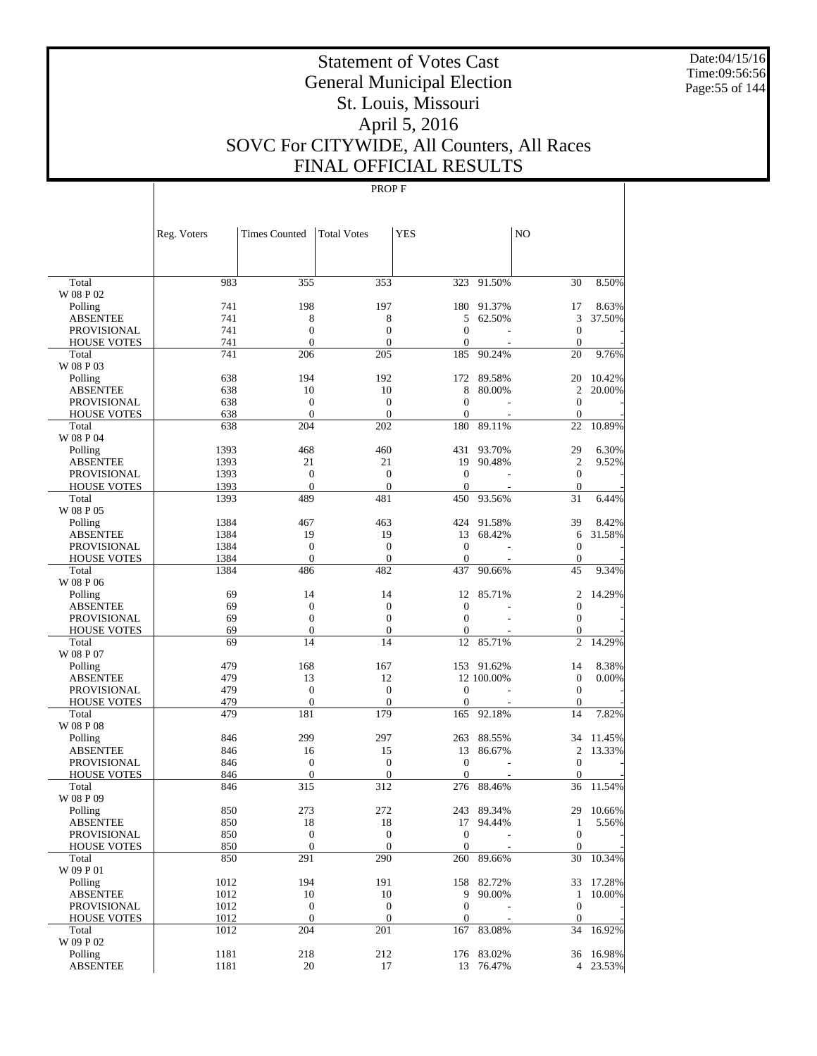Date:04/15/16 Time:09:56:56 Page:55 of 144

# Statement of Votes Cast General Municipal Election St. Louis, Missouri April 5, 2016 SOVC For CITYWIDE, All Counters, All Races FINAL OFFICIAL RESULTS

|                            | Reg. Voters | <b>Times Counted</b> | <b>Total Votes</b>    | <b>YES</b>            |            | NO                     |           |
|----------------------------|-------------|----------------------|-----------------------|-----------------------|------------|------------------------|-----------|
|                            |             |                      |                       |                       |            |                        |           |
| Total                      | 983         | 355                  | 353                   |                       | 323 91.50% | 30                     | 8.50%     |
| W 08 P 02                  |             |                      |                       |                       |            |                        |           |
| Polling                    | 741         | 198                  | 197                   | 180                   | 91.37%     | 17                     | 8.63%     |
| <b>ABSENTEE</b>            | 741         | 8                    | 8                     | 5                     | 62.50%     | 3                      | 37.50%    |
| <b>PROVISIONAL</b>         | 741         | $\overline{0}$       | $\boldsymbol{0}$      | $\overline{0}$        |            | $\boldsymbol{0}$       |           |
| <b>HOUSE VOTES</b>         | 741<br>741  | $\mathbf{0}$<br>206  | $\overline{0}$<br>205 | $\overline{0}$<br>185 |            | $\boldsymbol{0}$<br>20 |           |
| Total<br>W 08 P 03         |             |                      |                       |                       | 90.24%     |                        | 9.76%     |
| Polling                    | 638         | 194                  | 192                   | 172                   | 89.58%     | 20                     | 10.42%    |
| <b>ABSENTEE</b>            | 638         | 10                   | 10                    | 8                     | 80.00%     | $\overline{c}$         | 20.00%    |
| <b>PROVISIONAL</b>         | 638         | $\boldsymbol{0}$     | $\boldsymbol{0}$      | $\overline{0}$        |            | $\overline{0}$         |           |
| <b>HOUSE VOTES</b>         | 638         | $\mathbf{0}$         | $\overline{0}$        | $\overline{0}$        |            | $\overline{0}$         |           |
| Total                      | 638         | 204                  | 202                   | 180                   | 89.11%     | 22                     | 10.89%    |
| W 08 P 04                  |             |                      |                       |                       |            |                        |           |
| Polling                    | 1393        | 468                  | 460                   | 431                   | 93.70%     | 29                     | 6.30%     |
| <b>ABSENTEE</b>            | 1393        | 21                   | 21                    | 19                    | 90.48%     | $\mathfrak{2}$         | 9.52%     |
| <b>PROVISIONAL</b>         | 1393        | $\boldsymbol{0}$     | $\boldsymbol{0}$      | $\overline{0}$        |            | $\boldsymbol{0}$       |           |
| <b>HOUSE VOTES</b>         | 1393        | $\mathbf{0}$         | $\boldsymbol{0}$      | $\mathbf{0}$          |            | $\boldsymbol{0}$       |           |
| Total<br>W 08 P 05         | 1393        | 489                  | 481                   | 450                   | 93.56%     | 31                     | 6.44%     |
| Polling                    | 1384        | 467                  | 463                   | 424                   | 91.58%     | 39                     | 8.42%     |
| <b>ABSENTEE</b>            | 1384        | 19                   | 19                    | 13                    | 68.42%     | 6                      | 31.58%    |
| <b>PROVISIONAL</b>         | 1384        | $\boldsymbol{0}$     | $\boldsymbol{0}$      | $\overline{0}$        |            | $\boldsymbol{0}$       |           |
| <b>HOUSE VOTES</b>         | 1384        | $\mathbf{0}$         | $\mathbf{0}$          | $\overline{0}$        |            | $\boldsymbol{0}$       |           |
| Total                      | 1384        | 486                  | 482                   | 437                   | 90.66%     | 45                     | 9.34%     |
| W 08 P 06                  |             |                      |                       |                       |            |                        |           |
| Polling                    | 69          | 14                   | 14                    | 12                    | 85.71%     | 2                      | 14.29%    |
| <b>ABSENTEE</b>            | 69          | $\boldsymbol{0}$     | $\boldsymbol{0}$      | $\overline{0}$        |            | $\boldsymbol{0}$       |           |
| <b>PROVISIONAL</b>         | 69          | $\boldsymbol{0}$     | $\boldsymbol{0}$      | $\theta$              |            | $\boldsymbol{0}$       |           |
| <b>HOUSE VOTES</b>         | 69          | $\boldsymbol{0}$     | $\boldsymbol{0}$      | $\boldsymbol{0}$      |            | $\boldsymbol{0}$       |           |
| Total                      | 69          | 14                   | 14                    | 12                    | 85.71%     | $\overline{c}$         | 14.29%    |
| W 08 P 07                  |             |                      |                       |                       |            |                        |           |
| Polling                    | 479         | 168                  | 167                   | 153                   | 91.62%     | 14                     | 8.38%     |
| <b>ABSENTEE</b>            | 479         | 13                   | 12                    |                       | 12 100.00% | $\boldsymbol{0}$       | 0.00%     |
| <b>PROVISIONAL</b>         | 479         | $\boldsymbol{0}$     | $\boldsymbol{0}$      | $\overline{0}$        |            | $\overline{0}$         |           |
| <b>HOUSE VOTES</b>         | 479         | $\mathbf{0}$         | $\overline{0}$        | $\overline{0}$        |            | $\boldsymbol{0}$       |           |
| Total                      | 479         | 181                  | 179                   | 165                   | 92.18%     | 14                     | 7.82%     |
| W 08 P 08                  |             |                      |                       |                       |            |                        |           |
| Polling                    | 846         | 299                  | 297                   | 263                   | 88.55%     | 34                     | 11.45%    |
| <b>ABSENTEE</b>            | 846         | 16                   | 15                    | 13                    | 86.67%     | $\overline{2}$         | 13.33%    |
| <b>PROVISIONAL</b>         | 846         | $\boldsymbol{0}$     | $\boldsymbol{0}$      | $\overline{0}$        |            | $\boldsymbol{0}$       |           |
| <b>HOUSE VOTES</b>         | 846         | $\mathbf{0}$         | $\mathbf{0}$          | $\theta$              |            | $\mathbf{0}$           |           |
| Total                      | 846         | 315                  | 312                   | 276                   | 88.46%     | 36                     | 11.54%    |
| W 08 P 09                  |             |                      |                       |                       |            |                        |           |
| Polling                    | 850         | 273                  | 272                   |                       | 243 89.34% |                        | 29 10.66% |
| <b>ABSENTEE</b>            | 850         | 18                   | 18                    |                       | 17 94.44%  | $\mathbf{1}$           | 5.56%     |
| <b>PROVISIONAL</b>         | 850         | $\boldsymbol{0}$     | $\boldsymbol{0}$      | $\mathbf{0}$          |            | $\overline{0}$         |           |
| <b>HOUSE VOTES</b>         | 850         | $\mathbf{0}$         | $\mathbf{0}$          | $\overline{0}$        |            | $\mathbf{0}$           |           |
| Total                      | 850         | 291                  | 290                   | 260                   | 89.66%     | 30                     | 10.34%    |
| W 09 P 01                  |             |                      |                       |                       |            |                        |           |
| Polling<br><b>ABSENTEE</b> | 1012        | 194                  | 191                   |                       | 158 82.72% | 33                     | 17.28%    |
|                            | 1012        | 10                   | 10                    | 9                     | 90.00%     | $\mathbf{1}$           | 10.00%    |
| <b>PROVISIONAL</b>         | 1012        | $\boldsymbol{0}$     | $\boldsymbol{0}$      | $\overline{0}$        |            | $\mathbf{0}$           |           |
| <b>HOUSE VOTES</b>         | 1012        | $\mathbf{0}$<br>204  | $\boldsymbol{0}$      | $\boldsymbol{0}$      |            | $\boldsymbol{0}$       |           |
| Total<br>W 09 P 02         | 1012        |                      | 201                   | 167                   | 83.08%     | 34                     | 16.92%    |
| Polling                    | 1181        | 218                  | 212                   |                       | 176 83.02% |                        | 36 16.98% |
| <b>ABSENTEE</b>            | 1181        | 20                   | 17                    |                       | 13 76.47%  |                        | 4 23.53%  |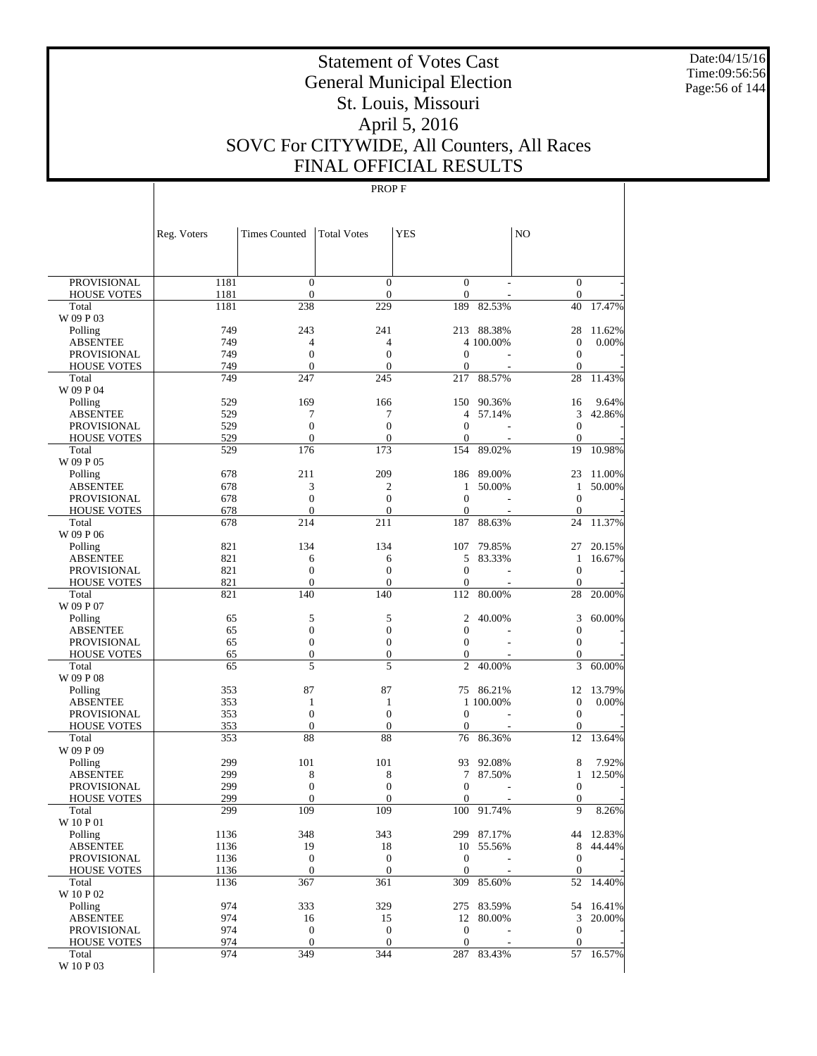Date:04/15/16 Time:09:56:56 Page:56 of 144

# Statement of Votes Cast General Municipal Election St. Louis, Missouri April 5, 2016 SOVC For CITYWIDE, All Counters, All Races FINAL OFFICIAL RESULTS

|                                          | Reg. Voters | <b>Times Counted</b>           | <b>Total Votes</b>             | <b>YES</b>                   |            | N <sub>O</sub>                       |           |
|------------------------------------------|-------------|--------------------------------|--------------------------------|------------------------------|------------|--------------------------------------|-----------|
|                                          |             |                                |                                |                              |            |                                      |           |
| <b>PROVISIONAL</b>                       | 1181        | $\mathbf{0}$                   | $\mathbf{0}$                   | $\mathbf{0}$                 |            | $\overline{0}$                       |           |
| <b>HOUSE VOTES</b>                       | 1181        | $\mathbf{0}$                   | $\overline{0}$                 | $\mathbf{0}$                 |            | $\mathbf{0}$                         |           |
| Total                                    | 1181        | 238                            | 229                            | 189                          | 82.53%     | 40                                   | 17.47%    |
| W 09 P 03                                |             |                                |                                |                              |            |                                      |           |
| Polling                                  | 749         | 243                            | 241                            |                              | 213 88.38% | 28                                   | 11.62%    |
| <b>ABSENTEE</b><br><b>PROVISIONAL</b>    | 749<br>749  | $\overline{4}$<br>$\mathbf{0}$ | 4<br>$\overline{0}$            | $\mathbf{0}$                 | 4 100.00%  | $\overline{0}$<br>$\mathbf{0}$       | 0.00%     |
| <b>HOUSE VOTES</b>                       | 749         | $\mathbf{0}$                   | $\overline{0}$                 | $\mathbf{0}$                 |            | $\boldsymbol{0}$                     |           |
| Total                                    | 749         | 247                            | 245                            | 217                          | 88.57%     | 28                                   | 11.43%    |
| W 09 P 04                                |             |                                |                                |                              |            |                                      |           |
| Polling                                  | 529         | 169                            | 166                            | 150                          | 90.36%     | 16                                   | 9.64%     |
| <b>ABSENTEE</b>                          | 529         | 7                              | 7                              | 4                            | 57.14%     | 3                                    | 42.86%    |
| PROVISIONAL                              | 529         | $\mathbf{0}$                   | $\overline{0}$                 | $\mathbf{0}$                 |            | $\boldsymbol{0}$                     |           |
| <b>HOUSE VOTES</b>                       | 529         | $\mathbf{0}$                   | $\theta$                       | $\mathbf{0}$                 |            | $\theta$                             |           |
| Total<br>W 09 P 05                       | 529         | 176                            | 173                            | 154                          | 89.02%     | 19                                   | 10.98%    |
| Polling                                  | 678         | 211                            | 209                            | 186                          | 89.00%     | 23                                   | 11.00%    |
| <b>ABSENTEE</b>                          | 678         | 3                              | 2                              | 1                            | 50.00%     | 1                                    | 50.00%    |
| <b>PROVISIONAL</b>                       | 678         | $\mathbf{0}$                   | $\overline{0}$                 | $\mathbf{0}$                 |            | $\overline{0}$                       |           |
| <b>HOUSE VOTES</b>                       | 678         | $\mathbf{0}$                   | $\overline{0}$                 | $\mathbf{0}$                 |            | $\boldsymbol{0}$                     |           |
| Total                                    | 678         | 214                            | 211                            | 187                          | 88.63%     | 24                                   | 11.37%    |
| W 09 P 06                                |             |                                |                                |                              |            |                                      |           |
| Polling                                  | 821         | 134                            | 134                            | 107                          | 79.85%     | 27                                   | 20.15%    |
| <b>ABSENTEE</b>                          | 821<br>821  | 6<br>$\mathbf{0}$              | 6<br>$\overline{0}$            | 5<br>$\mathbf{0}$            | 83.33%     | 1<br>$\overline{0}$                  | 16.67%    |
| PROVISIONAL<br><b>HOUSE VOTES</b>        | 821         | $\mathbf{0}$                   | $\overline{0}$                 | $\mathbf{0}$                 |            | $\overline{0}$                       |           |
| Total                                    | 821         | 140                            | 140                            | 112                          | 80.00%     | 28                                   | 20.00%    |
| W 09 P 07                                |             |                                |                                |                              |            |                                      |           |
| Polling                                  | 65          | 5                              | 5                              | $\mathfrak{2}$               | 40.00%     | 3                                    | 60.00%    |
| <b>ABSENTEE</b>                          | 65          | $\mathbf{0}$                   | $\overline{0}$                 | $\mathbf{0}$                 |            | $\boldsymbol{0}$                     |           |
| <b>PROVISIONAL</b>                       | 65          | $\mathbf{0}$                   | $\overline{0}$                 | $\mathbf{0}$                 |            | $\boldsymbol{0}$                     |           |
| <b>HOUSE VOTES</b>                       | 65          | $\boldsymbol{0}$               | 0                              | $\boldsymbol{0}$             |            | $\boldsymbol{0}$                     |           |
| Total<br>W 09 P 08                       | 65          | 5                              | 5                              | $\overline{2}$               | 40.00%     | 3                                    | 60.00%    |
| Polling                                  | 353         | 87                             | 87                             | 75                           | 86.21%     | 12                                   | 13.79%    |
| <b>ABSENTEE</b>                          | 353         | 1                              | 1                              |                              | 1 100,00%  | $\mathbf{0}$                         | 0.00%     |
| PROVISIONAL                              | 353         | $\mathbf{0}$                   | $\overline{0}$                 | $\theta$                     |            | $\boldsymbol{0}$                     |           |
| <b>HOUSE VOTES</b>                       | 353         | $\mathbf{0}$                   | $\overline{0}$                 | $\mathbf{0}$                 |            | $\boldsymbol{0}$                     |           |
| Total                                    | 353         | 88                             | 88                             | 76                           | 86.36%     | 12                                   | 13.64%    |
| W 09 P 09                                |             |                                |                                |                              |            |                                      |           |
| Polling                                  | 299         | 101                            | 101                            | 93                           | 92.08%     | 8                                    | 7.92%     |
| <b>ABSENTEE</b>                          | 299         | 8                              | 8                              | 7                            | 87.50%     | 1                                    | 12.50%    |
| <b>PROVISIONAL</b><br><b>HOUSE VOTES</b> | 299<br>299  | $\mathbf{0}$<br>$\mathbf{0}$   | $\overline{0}$<br>$\mathbf{0}$ | $\mathbf{0}$<br>$\mathbf{0}$ |            | $\boldsymbol{0}$<br>$\boldsymbol{0}$ |           |
| Total                                    | 299         | 109                            | 109                            | 100                          | 91.74%     | 9                                    | 8.26%     |
| W 10 P 01                                |             |                                |                                |                              |            |                                      |           |
| Polling                                  | 1136        | 348                            | 343                            |                              | 299 87.17% |                                      | 44 12.83% |
| <b>ABSENTEE</b>                          | 1136        | 19                             | 18                             |                              | 10 55.56%  | 8                                    | 44.44%    |
| PROVISIONAL                              | 1136        | $\mathbf{0}$                   | $\boldsymbol{0}$               | $\mathbf{0}$                 |            | $\mathbf{0}$                         |           |
| <b>HOUSE VOTES</b>                       | 1136        | $\mathbf{0}$                   | $\mathbf{0}$                   | $\mathbf{0}$                 |            | $\mathbf{0}$                         |           |
| Total                                    | 1136        | 367                            | 361                            | 309                          | 85.60%     | 52                                   | 14.40%    |
| W 10 P 02<br>Polling                     | 974         | 333                            | 329                            |                              | 275 83.59% | 54                                   | 16.41%    |
| <b>ABSENTEE</b>                          | 974         | 16                             | 15                             |                              | 12 80.00%  | 3                                    | 20.00%    |
| PROVISIONAL                              | 974         | $\mathbf{0}$                   | $\mathbf{0}$                   | $\boldsymbol{0}$             |            | $\mathbf{0}$                         |           |
| <b>HOUSE VOTES</b>                       | 974         | $\mathbf{0}$                   | $\mathbf{0}$                   | $\boldsymbol{0}$             |            | $\mathbf{0}$                         |           |
| Total                                    | 974         | 349                            | 344                            |                              | 287 83.43% | 57                                   | 16.57%    |
| W 10 P 03                                |             |                                |                                |                              |            |                                      |           |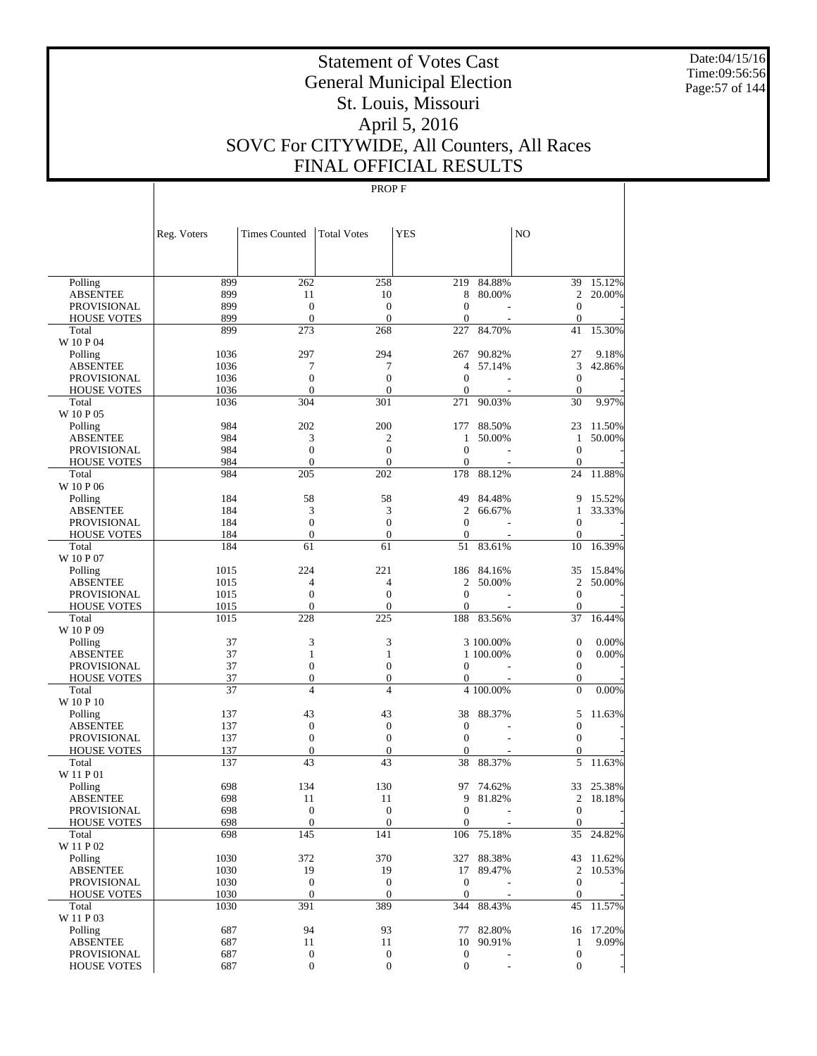Date:04/15/16 Time:09:56:56 Page:57 of 144

# Statement of Votes Cast General Municipal Election St. Louis, Missouri April 5, 2016 SOVC For CITYWIDE, All Counters, All Races FINAL OFFICIAL RESULTS

|                                       | Reg. Voters  | <b>Times Counted</b>             | <b>Total Votes</b>                   | <b>YES</b>                       |           | N <sub>O</sub>                       |                 |
|---------------------------------------|--------------|----------------------------------|--------------------------------------|----------------------------------|-----------|--------------------------------------|-----------------|
|                                       |              |                                  |                                      |                                  |           |                                      |                 |
| Polling                               | 899          | 262                              | 258                                  | 219                              | 84.88%    | 39                                   | 15.12%          |
| <b>ABSENTEE</b>                       | 899          | 11                               | 10                                   | 8                                | 80.00%    | $\overline{c}$                       | 20.00%          |
| <b>PROVISIONAL</b>                    | 899          | $\mathbf{0}$                     | $\boldsymbol{0}$                     | $\boldsymbol{0}$                 |           | $\boldsymbol{0}$                     |                 |
| <b>HOUSE VOTES</b>                    | 899          | $\mathbf{0}$                     | $\boldsymbol{0}$                     | $\boldsymbol{0}$                 |           | $\boldsymbol{0}$                     |                 |
| Total                                 | 899          | 273                              | 268                                  | 227                              | 84.70%    | 41                                   | 15.30%          |
| W 10 P 04                             |              |                                  |                                      |                                  |           |                                      |                 |
| Polling                               | 1036         | 297                              | 294                                  | 267                              | 90.82%    | 27                                   | 9.18%<br>42.86% |
| <b>ABSENTEE</b><br><b>PROVISIONAL</b> | 1036<br>1036 | 7<br>$\mathbf{0}$                | 7<br>$\boldsymbol{0}$                | 4<br>$\boldsymbol{0}$            | 57.14%    | 3<br>$\boldsymbol{0}$                |                 |
| <b>HOUSE VOTES</b>                    | 1036         | $\mathbf{0}$                     | $\boldsymbol{0}$                     | $\boldsymbol{0}$                 |           | $\boldsymbol{0}$                     |                 |
| Total                                 | 1036         | 304                              | 301                                  | 271                              | 90.03%    | 30                                   | 9.97%           |
| W 10 P 05                             |              |                                  |                                      |                                  |           |                                      |                 |
| Polling                               | 984          | 202                              | 200                                  | 177                              | 88.50%    | 23                                   | 11.50%          |
| ABSENTEE                              | 984          | 3                                | $\mathfrak{2}$                       | $\mathbf{1}$                     | 50.00%    | 1                                    | 50.00%          |
| PROVISIONAL                           | 984          | $\boldsymbol{0}$                 | $\boldsymbol{0}$                     | $\boldsymbol{0}$                 |           | $\mathbf{0}$                         |                 |
| <b>HOUSE VOTES</b>                    | 984          | $\mathbf{0}$                     | $\boldsymbol{0}$                     | $\mathbf{0}$                     |           | $\boldsymbol{0}$                     |                 |
| Total                                 | 984          | 205                              | 202                                  | 178                              | 88.12%    | 24                                   | 11.88%          |
| W 10 P 06                             |              |                                  |                                      |                                  |           |                                      |                 |
| Polling                               | 184          | 58                               | 58                                   | 49                               | 84.48%    | 9                                    | 15.52%          |
| ABSENTEE                              | 184          | 3                                | 3                                    | $\mathfrak{2}$                   | 66.67%    | $\mathbf{1}$                         | 33.33%          |
| <b>PROVISIONAL</b>                    | 184          | $\boldsymbol{0}$                 | $\boldsymbol{0}$                     | $\boldsymbol{0}$                 |           | $\boldsymbol{0}$                     |                 |
| <b>HOUSE VOTES</b>                    | 184          | $\boldsymbol{0}$                 | $\boldsymbol{0}$                     | $\boldsymbol{0}$                 |           | $\boldsymbol{0}$                     |                 |
| Total                                 | 184          | 61                               | 61                                   | 51                               | 83.61%    | 10                                   | 16.39%          |
| W 10 P 07                             |              |                                  |                                      |                                  |           |                                      |                 |
| Polling                               | 1015         | 224                              | 221                                  | 186                              | 84.16%    | 35                                   | 15.84%          |
| ABSENTEE                              | 1015         | 4                                | $\overline{4}$                       | 2                                | 50.00%    | $\overline{c}$                       | 50.00%          |
| <b>PROVISIONAL</b>                    | 1015         | $\boldsymbol{0}$<br>$\mathbf{0}$ | $\boldsymbol{0}$<br>$\boldsymbol{0}$ | $\boldsymbol{0}$<br>$\mathbf{0}$ |           | $\boldsymbol{0}$<br>$\boldsymbol{0}$ |                 |
| <b>HOUSE VOTES</b><br>Total           | 1015<br>1015 | 228                              | 225                                  | 188                              | 83.56%    | 37                                   | 16.44%          |
| W 10 P 09                             |              |                                  |                                      |                                  |           |                                      |                 |
| Polling                               | 37           | 3                                | 3                                    |                                  | 3 100.00% | $\boldsymbol{0}$                     | 0.00%           |
| ABSENTEE                              | 37           | $\mathbf{1}$                     | $\mathbf{1}$                         |                                  | 1 100.00% | $\boldsymbol{0}$                     | 0.00%           |
| PROVISIONAL                           | 37           | $\mathbf{0}$                     | $\boldsymbol{0}$                     | $\boldsymbol{0}$                 |           | $\boldsymbol{0}$                     |                 |
| <b>HOUSE VOTES</b>                    | 37           | $\boldsymbol{0}$                 | $\boldsymbol{0}$                     | $\mathbf{0}$                     |           | $\boldsymbol{0}$                     |                 |
| Total                                 | 37           | $\overline{4}$                   | $\overline{4}$                       |                                  | 4 100.00% | $\overline{0}$                       | 0.00%           |
| W 10 P 10                             |              |                                  |                                      |                                  |           |                                      |                 |
| Polling                               | 137          | 43                               | 43                                   | 38                               | 88.37%    | 5                                    | 11.63%          |
| ABSENTEE                              | 137          | $\boldsymbol{0}$                 | $\boldsymbol{0}$                     | $\mathbf{0}$                     |           | $\boldsymbol{0}$                     |                 |
| <b>PROVISIONAL</b>                    | 137          | $\boldsymbol{0}$                 | $\boldsymbol{0}$                     | $\boldsymbol{0}$                 |           | $\boldsymbol{0}$                     |                 |
| <b>HOUSE VOTES</b>                    | 137          | $\mathbf{0}$                     | $\boldsymbol{0}$                     | $\mathbf{0}$                     |           | $\boldsymbol{0}$                     |                 |
| Total                                 | 137          | 43                               | 43                                   | 38                               | 88.37%    | 5                                    | 11.63%          |
| W 11 P 01                             |              |                                  |                                      |                                  |           |                                      |                 |
| Polling                               | 698          | 134                              | 130                                  | 97                               | 74.62%    | 33                                   | 25.38%          |
| <b>ABSENTEE</b>                       | 698          | 11                               | 11                                   | 9                                | 81.82%    | 2                                    | 18.18%          |
| PROVISIONAL                           | 698<br>698   | $\mathbf{0}$<br>$\boldsymbol{0}$ | $\boldsymbol{0}$<br>$\mathbf{0}$     | $\mathbf{0}$<br>$\mathbf{0}$     | ÷         | $\overline{0}$<br>$\overline{0}$     |                 |
| <b>HOUSE VOTES</b><br>Total           | 698          | 145                              | 141                                  | 106                              | 75.18%    | 35                                   | 24.82%          |
| W 11 P 02                             |              |                                  |                                      |                                  |           |                                      |                 |
| Polling                               | 1030         | 372                              | 370                                  | 327                              | 88.38%    |                                      | 43 11.62%       |
| <b>ABSENTEE</b>                       | 1030         | 19                               | 19                                   | 17                               | 89.47%    | $\overline{2}$                       | 10.53%          |
| PROVISIONAL                           | 1030         | $\boldsymbol{0}$                 | $\boldsymbol{0}$                     | $\boldsymbol{0}$                 |           | $\mathbf{0}$                         |                 |
| <b>HOUSE VOTES</b>                    | 1030         | $\boldsymbol{0}$                 | $\mathbf{0}$                         | $\mathbf{0}$                     |           | $\boldsymbol{0}$                     |                 |
| Total                                 | 1030         | 391                              | 389                                  | 344                              | 88.43%    | 45                                   | 11.57%          |
| W 11 P 03                             |              |                                  |                                      |                                  |           |                                      |                 |
| Polling                               | 687          | 94                               | 93                                   | 77                               | 82.80%    | 16                                   | 17.20%          |
| <b>ABSENTEE</b>                       | 687          | 11                               | 11                                   | 10                               | 90.91%    | $\mathbf{1}$                         | 9.09%           |
| <b>PROVISIONAL</b>                    | 687          | $\boldsymbol{0}$                 | $\boldsymbol{0}$                     | $\boldsymbol{0}$                 |           | $\boldsymbol{0}$                     |                 |
| <b>HOUSE VOTES</b>                    | 687          | $\boldsymbol{0}$                 | $\boldsymbol{0}$                     | $\boldsymbol{0}$                 |           | $\mathbf{0}$                         |                 |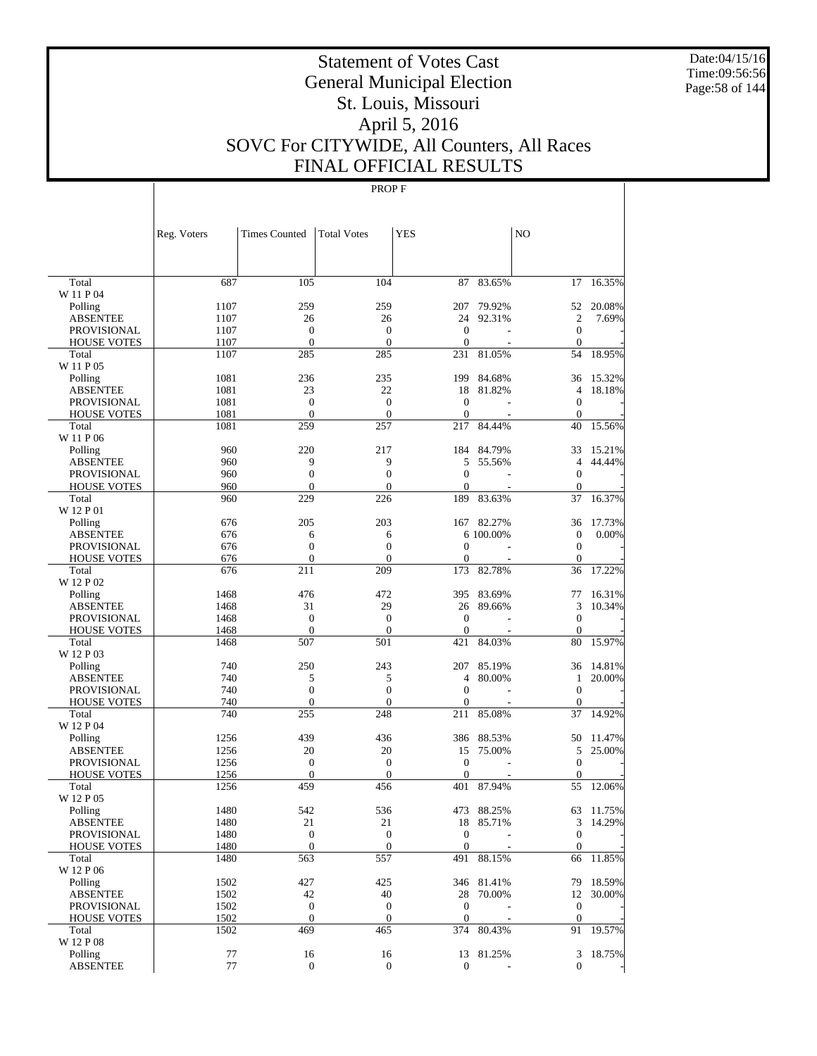Date:04/15/16 Time:09:56:56 Page:58 of 144

# Statement of Votes Cast General Municipal Election St. Louis, Missouri April 5, 2016 SOVC For CITYWIDE, All Counters, All Races FINAL OFFICIAL RESULTS

|                                       | Reg. Voters  | <b>Times Counted</b>    | <b>Total Votes</b>      | <b>YES</b>           |            | NO                                 |        |
|---------------------------------------|--------------|-------------------------|-------------------------|----------------------|------------|------------------------------------|--------|
|                                       |              |                         |                         |                      |            |                                    |        |
| Total                                 | 687          | 105                     | 104                     | 87                   | 83.65%     | 17                                 | 16.35% |
| W 11 P 04                             |              |                         |                         |                      |            |                                    |        |
| Polling                               | 1107         | 259                     | 259                     | 207                  | 79.92%     | 52                                 | 20.08% |
| <b>ABSENTEE</b><br><b>PROVISIONAL</b> | 1107<br>1107 | 26<br>$\mathbf{0}$      | 26<br>$\overline{0}$    | 24<br>$\overline{0}$ | 92.31%     | $\overline{c}$<br>$\boldsymbol{0}$ | 7.69%  |
| <b>HOUSE VOTES</b>                    | 1107         | $\mathbf{0}$            | $\mathbf{0}$            | $\mathbf{0}$         |            | $\boldsymbol{0}$                   |        |
| Total                                 | 1107         | 285                     | 285                     | 231                  | 81.05%     | 54                                 | 18.95% |
| W 11 P 05                             |              |                         |                         |                      |            |                                    |        |
| Polling                               | 1081         | 236                     | 235                     | 199                  | 84.68%     | 36                                 | 15.32% |
| <b>ABSENTEE</b>                       | 1081         | 23                      | 22                      | 18                   | 81.82%     | 4                                  | 18.18% |
| <b>PROVISIONAL</b>                    | 1081         | $\overline{0}$          | $\overline{0}$          | $\mathbf{0}$         |            | $\boldsymbol{0}$                   |        |
| <b>HOUSE VOTES</b>                    | 1081         | $\mathbf{0}$            | $\mathbf{0}$            | $\mathbf{0}$         |            | $\boldsymbol{0}$                   |        |
| Total                                 | 1081         | 259                     | 257                     | 217                  | 84.44%     | 40                                 | 15.56% |
| W 11 P 06                             |              |                         |                         |                      |            |                                    |        |
| Polling                               | 960          | 220                     | 217                     | 184                  | 84.79%     | 33                                 | 15.21% |
| <b>ABSENTEE</b>                       | 960          | 9                       | 9                       | 5                    | 55.56%     | $\overline{4}$                     | 44.44% |
| <b>PROVISIONAL</b>                    | 960          | $\overline{0}$          | $\overline{0}$          | $\mathbf{0}$         |            | $\boldsymbol{0}$                   |        |
| <b>HOUSE VOTES</b>                    | 960          | $\mathbf{0}$            | $\overline{0}$          | 0                    |            | $\overline{0}$                     |        |
| Total                                 | 960          | 229                     | 226                     | 189                  | 83.63%     | 37                                 | 16.37% |
| W 12 P 01<br>Polling                  | 676          | 205                     | 203                     | 167                  | 82.27%     | 36                                 | 17.73% |
| <b>ABSENTEE</b>                       | 676          | 6                       | 6                       |                      | 6 100.00%  | $\boldsymbol{0}$                   | 0.00%  |
| <b>PROVISIONAL</b>                    | 676          | $\overline{0}$          | $\overline{0}$          | $\overline{0}$       |            | $\overline{0}$                     |        |
| <b>HOUSE VOTES</b>                    | 676          | $\mathbf{0}$            | $\overline{0}$          | 0                    |            | $\overline{0}$                     |        |
| Total                                 | 676          | 211                     | 209                     | 173                  | 82.78%     | 36                                 | 17.22% |
| W 12 P 02                             |              |                         |                         |                      |            |                                    |        |
| Polling                               | 1468         | 476                     | 472                     | 395                  | 83.69%     | 77                                 | 16.31% |
| <b>ABSENTEE</b>                       | 1468         | 31                      | 29                      | 26                   | 89.66%     | 3                                  | 10.34% |
| <b>PROVISIONAL</b>                    | 1468         | $\overline{0}$          | $\boldsymbol{0}$        | $\mathbf{0}$         |            | $\mathbf{0}$                       |        |
| <b>HOUSE VOTES</b>                    | 1468         | $\mathbf{0}$            | $\overline{0}$          | $\mathbf{0}$         |            | $\overline{0}$                     |        |
| Total                                 | 1468         | 507                     | 501                     | 421                  | 84.03%     | 80                                 | 15.97% |
| W 12 P 03                             |              |                         |                         |                      |            |                                    |        |
| Polling                               | 740          | 250                     | 243                     | 207                  | 85.19%     | 36                                 | 14.81% |
| <b>ABSENTEE</b>                       | 740          | 5                       | 5                       | 4                    | 80.00%     | $\mathbf{1}$                       | 20.00% |
| <b>PROVISIONAL</b>                    | 740          | $\overline{0}$          | $\overline{0}$          | $\mathbf{0}$         |            | $\boldsymbol{0}$                   |        |
| <b>HOUSE VOTES</b>                    | 740<br>740   | $\mathbf{0}$            | $\overline{0}$<br>248   | $\boldsymbol{0}$     |            | $\boldsymbol{0}$<br>37             |        |
| Total<br>W 12 P 04                    |              | 255                     |                         | 211                  | 85.08%     |                                    | 14.92% |
| Polling                               | 1256         | 439                     | 436                     | 386                  | 88.53%     | 50                                 | 11.47% |
| <b>ABSENTEE</b>                       | 1256         | 20                      | 20                      | 15                   | 75.00%     | 5                                  | 25.00% |
| <b>PROVISIONAL</b>                    | 1256         | $\boldsymbol{0}$        | $\boldsymbol{0}$        | $\mathbf{0}$         |            | $\boldsymbol{0}$                   |        |
| <b>HOUSE VOTES</b>                    | 1256         | $\mathbf{0}$            | $\overline{0}$          | $\boldsymbol{0}$     |            | $\overline{0}$                     |        |
| Total                                 | 1256         | 459                     | 456                     | 401                  | 87.94%     | 55                                 | 12.06% |
| W 12 P 05                             |              |                         |                         |                      |            |                                    |        |
| Polling                               | 1480         | 542                     | 536                     | 473                  | 88.25%     | 63                                 | 11.75% |
| <b>ABSENTEE</b>                       | 1480         | 21                      | 21                      |                      | 18 85.71%  | 3                                  | 14.29% |
| <b>PROVISIONAL</b>                    | 1480         | $\boldsymbol{0}$        | $\boldsymbol{0}$        | $\boldsymbol{0}$     |            | $\mathbf{0}$                       |        |
| <b>HOUSE VOTES</b>                    | 1480         | $\mathbf{0}$            | $\boldsymbol{0}$        | $\boldsymbol{0}$     |            | $\boldsymbol{0}$                   |        |
| Total                                 | 1480         | 563                     | 557                     | 491                  | 88.15%     | 66                                 | 11.85% |
| W 12 P 06                             |              |                         |                         |                      |            |                                    |        |
| Polling                               | 1502         | 427                     | 425                     |                      | 346 81.41% | 79                                 | 18.59% |
| <b>ABSENTEE</b>                       | 1502         | 42                      | 40                      | 28                   | 70.00%     | 12                                 | 30.00% |
| <b>PROVISIONAL</b>                    | 1502         | $\boldsymbol{0}$        | $\mathbf{0}$            | $\boldsymbol{0}$     |            | $\boldsymbol{0}$                   |        |
| <b>HOUSE VOTES</b>                    | 1502<br>1502 | $\boldsymbol{0}$<br>469 | $\boldsymbol{0}$<br>465 | $\mathbf{0}$<br>374  | 80.43%     | $\boldsymbol{0}$<br>91             | 19.57% |
| Total<br>W 12 P 08                    |              |                         |                         |                      |            |                                    |        |
| Polling                               | 77           | 16                      | 16                      | 13                   | 81.25%     | 3                                  | 18.75% |
| ABSENTEE                              | 77           | $\mathbf{0}$            | $\mathbf{0}$            | $\boldsymbol{0}$     |            | $\mathbf{0}$                       |        |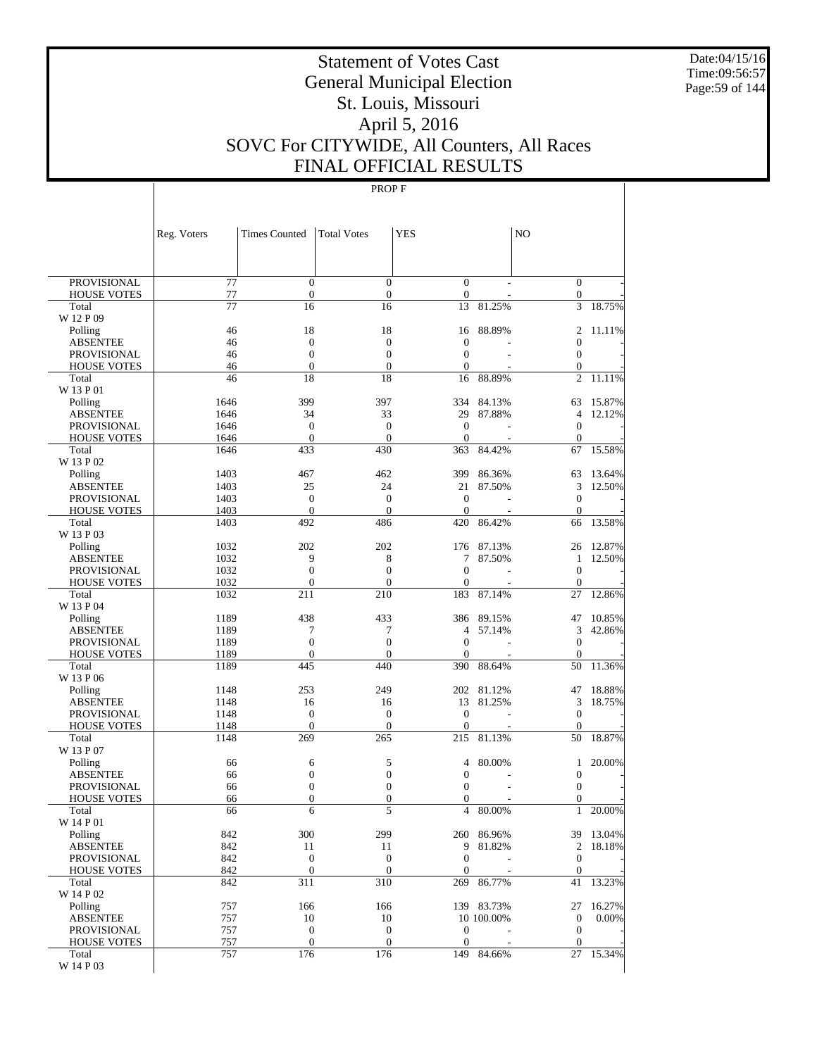Date:04/15/16 Time:09:56:57 Page:59 of 144

# Statement of Votes Cast General Municipal Election St. Louis, Missouri April 5, 2016 SOVC For CITYWIDE, All Counters, All Races FINAL OFFICIAL RESULTS

|                                       | Reg. Voters  | <b>Times Counted</b>               | <b>Total Votes</b>               | <b>YES</b>               |            | NO                               |           |
|---------------------------------------|--------------|------------------------------------|----------------------------------|--------------------------|------------|----------------------------------|-----------|
|                                       |              |                                    |                                  |                          |            |                                  |           |
| PROVISIONAL                           | 77           | $\mathbf{0}$                       | $\overline{0}$                   | $\mathbf{0}$             |            | $\boldsymbol{0}$                 |           |
| <b>HOUSE VOTES</b>                    | 77           | $\boldsymbol{0}$                   | $\boldsymbol{0}$                 | $\mathbf{0}$             |            | $\mathbf{0}$                     |           |
| Total                                 | 77           | 16                                 | 16                               | 13                       | 81.25%     | 3                                | 18.75%    |
| W 12 P 09                             | 46           | 18                                 | 18                               |                          | 88.89%     | 2                                | 11.11%    |
| Polling<br><b>ABSENTEE</b>            | 46           | $\boldsymbol{0}$                   | $\boldsymbol{0}$                 | 16<br>$\overline{0}$     |            | 0                                |           |
| <b>PROVISIONAL</b>                    | 46           | $\overline{0}$                     | $\mathbf{0}$                     | $\overline{0}$           |            | $\mathbf{0}$                     |           |
| <b>HOUSE VOTES</b>                    | 46           | $\overline{0}$                     | $\mathbf{0}$                     | $\theta$                 |            | $\boldsymbol{0}$                 |           |
| Total                                 | 46           | 18                                 | 18                               | 16                       | 88.89%     | $\overline{2}$                   | 11.11%    |
| W 13 P 01                             |              |                                    |                                  |                          |            |                                  |           |
| Polling                               | 1646         | 399                                | 397                              | 334                      | 84.13%     | 63                               | 15.87%    |
| <b>ABSENTEE</b><br><b>PROVISIONAL</b> | 1646<br>1646 | 34<br>$\mathbf{0}$                 | 33<br>$\mathbf{0}$               | 29<br>$\mathbf{0}$       | 87.88%     | 4<br>$\mathbf{0}$                | 12.12%    |
| <b>HOUSE VOTES</b>                    | 1646         | $\mathbf{0}$                       | $\mathbf{0}$                     | $\theta$                 |            | $\mathbf{0}$                     |           |
| Total                                 | 1646         | 433                                | 430                              | 363                      | 84.42%     | 67                               | 15.58%    |
| W 13 P 02                             |              |                                    |                                  |                          |            |                                  |           |
| Polling                               | 1403         | 467                                | 462                              | 399                      | 86.36%     | 63                               | 13.64%    |
| <b>ABSENTEE</b>                       | 1403         | 25                                 | 24                               | 21                       | 87.50%     | 3                                | 12.50%    |
| <b>PROVISIONAL</b>                    | 1403         | $\boldsymbol{0}$<br>$\overline{0}$ | $\mathbf{0}$                     | $\theta$                 |            | $\boldsymbol{0}$                 |           |
| <b>HOUSE VOTES</b><br>Total           | 1403<br>1403 | 492                                | $\theta$<br>486                  | $\theta$<br>420          | 86.42%     | $\mathbf{0}$<br>66               | 13.58%    |
| W 13 P 03                             |              |                                    |                                  |                          |            |                                  |           |
| Polling                               | 1032         | 202                                | 202                              | 176                      | 87.13%     | 26                               | 12.87%    |
| <b>ABSENTEE</b>                       | 1032         | 9                                  | 8                                | 7                        | 87.50%     | 1                                | 12.50%    |
| <b>PROVISIONAL</b>                    | 1032         | $\overline{0}$                     | $\boldsymbol{0}$                 | $\theta$                 |            | $\mathbf{0}$                     |           |
| <b>HOUSE VOTES</b>                    | 1032         | $\boldsymbol{0}$                   | $\overline{0}$                   | $\theta$                 |            | $\mathbf{0}$                     |           |
| Total                                 | 1032         | 211                                | 210                              | 183                      | 87.14%     | 27                               | 12.86%    |
| W 13 P 04<br>Polling                  | 1189         | 438                                | 433                              | 386                      | 89.15%     | 47                               | 10.85%    |
| <b>ABSENTEE</b>                       | 1189         | 7                                  | 7                                | 4                        | 57.14%     | 3                                | 42.86%    |
| <b>PROVISIONAL</b>                    | 1189         | $\mathbf{0}$                       | $\boldsymbol{0}$                 | $\theta$                 |            | $\boldsymbol{0}$                 |           |
| <b>HOUSE VOTES</b>                    | 1189         | $\boldsymbol{0}$                   | $\boldsymbol{0}$                 | $\theta$                 |            | $\mathbf{0}$                     |           |
| Total                                 | 1189         | 445                                | 440                              | 390                      | 88.64%     | 50                               | 11.36%    |
| W 13 P 06                             |              |                                    |                                  |                          |            |                                  |           |
| Polling                               | 1148         | 253                                | 249                              | 202                      | 81.12%     | 47                               | 18.88%    |
| <b>ABSENTEE</b><br><b>PROVISIONAL</b> | 1148<br>1148 | 16<br>$\mathbf{0}$                 | 16<br>$\mathbf{0}$               | 13<br>$\mathbf{0}$       | 81.25%     | 3<br>$\boldsymbol{0}$            | 18.75%    |
| <b>HOUSE VOTES</b>                    | 1148         | $\overline{0}$                     | $\mathbf{0}$                     | $\theta$                 |            | $\mathbf{0}$                     |           |
| Total                                 | 1148         | 269                                | 265                              | 215                      | 81.13%     | 50                               | 18.87%    |
| W 13 P 07                             |              |                                    |                                  |                          |            |                                  |           |
| Polling                               | 66           | 6                                  | 5                                | 4                        | 80.00%     | 1                                | 20.00%    |
| <b>ABSENTEE</b>                       | 66           | 0                                  | $\mathbf{0}$                     | $\mathbf{0}$             |            | $\boldsymbol{0}$                 |           |
| PROVISIONAL                           | 66<br>66     | $\boldsymbol{0}$<br>$\overline{0}$ | $\mathbf{0}$<br>$\boldsymbol{0}$ | $\theta$<br>$\mathbf{0}$ |            | $\boldsymbol{0}$<br>$\mathbf{0}$ |           |
| <b>HOUSE VOTES</b><br>Total           | 66           | 6                                  | 5                                | $\overline{4}$           | 80.00%     | $\mathbf{1}$                     | 20.00%    |
| W 14 P 01                             |              |                                    |                                  |                          |            |                                  |           |
| Polling                               | 842          | 300                                | 299                              |                          | 260 86.96% |                                  | 39 13.04% |
| <b>ABSENTEE</b>                       | 842          | 11                                 | 11                               | 9                        | 81.82%     | 2                                | 18.18%    |
| PROVISIONAL                           | 842          | $\boldsymbol{0}$                   | $\boldsymbol{0}$                 | $\mathbf{0}$             |            | $\boldsymbol{0}$                 |           |
| <b>HOUSE VOTES</b>                    | 842          | $\boldsymbol{0}$                   | $\boldsymbol{0}$                 | $\mathbf{0}$             |            | $\mathbf{0}$                     |           |
| Total<br>W 14 P 02                    | 842          | 311                                | 310                              | 269                      | 86.77%     | 41                               | 13.23%    |
| Polling                               | 757          | 166                                | 166                              |                          | 139 83.73% | 27                               | 16.27%    |
| <b>ABSENTEE</b>                       | 757          | 10                                 | 10                               |                          | 10 100.00% | $\boldsymbol{0}$                 | 0.00%     |
| PROVISIONAL                           | 757          | $\boldsymbol{0}$                   | $\boldsymbol{0}$                 | $\mathbf{0}$             |            | $\boldsymbol{0}$                 |           |
| <b>HOUSE VOTES</b>                    | 757          | $\boldsymbol{0}$                   | $\boldsymbol{0}$                 | $\mathbf{0}$             |            | $\boldsymbol{0}$                 |           |
| Total                                 | 757          | 176                                | 176                              | 149                      | 84.66%     | 27                               | 15.34%    |
| W 14 P 03                             |              |                                    |                                  |                          |            |                                  |           |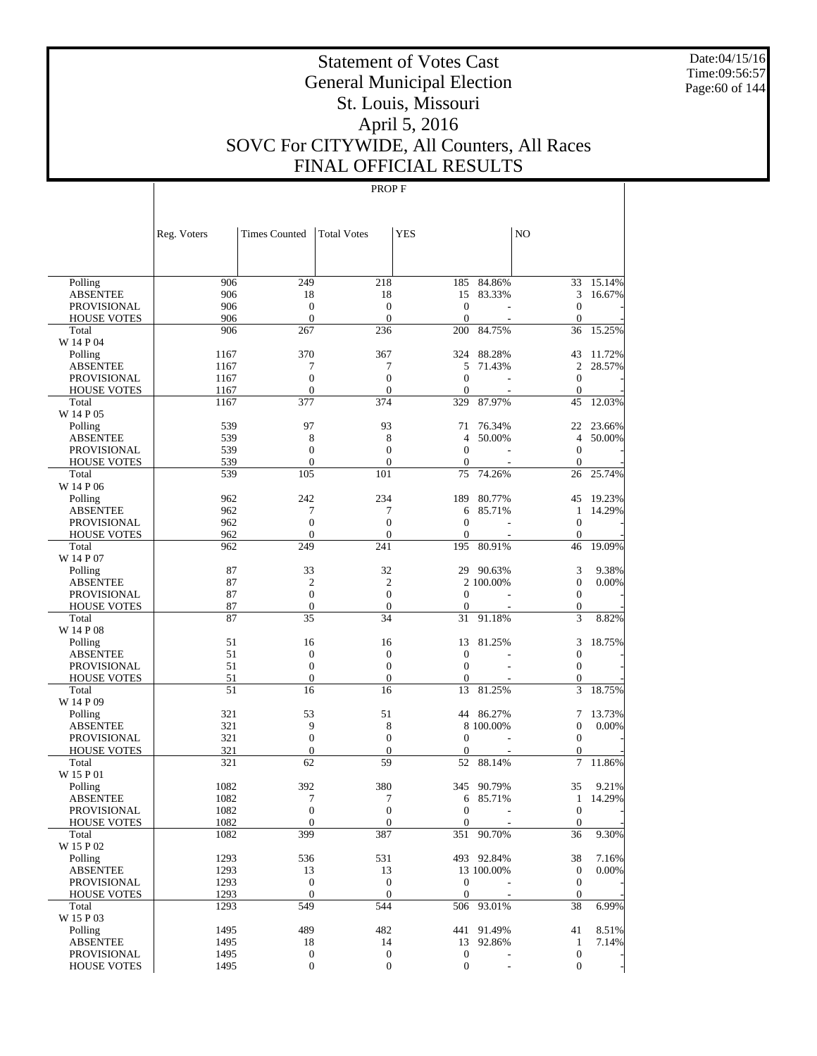Date:04/15/16 Time:09:56:57 Page:60 of 144

# Statement of Votes Cast General Municipal Election St. Louis, Missouri April 5, 2016 SOVC For CITYWIDE, All Counters, All Races FINAL OFFICIAL RESULTS

| 906<br>249<br>218<br>185<br>84.86%<br>15.14%<br>Polling<br>33<br>906<br>18<br>18<br>15<br>83.33%<br>3<br>16.67%<br><b>ABSENTEE</b><br>906<br>$\boldsymbol{0}$<br>$\boldsymbol{0}$<br>$\theta$<br>$\mathbf{0}$<br><b>PROVISIONAL</b><br>906<br>$\boldsymbol{0}$<br>$\overline{0}$<br>$\overline{0}$<br><b>HOUSE VOTES</b><br>$\overline{0}$<br>906<br>267<br>236<br>200<br>84.75%<br>36<br>15.25%<br>Total<br>W 14 P 04<br>370<br>367<br>324<br>88.28%<br>1167<br>43<br>11.72%<br>Polling<br>7<br>7<br>5<br>$\overline{2}$<br>28.57%<br><b>ABSENTEE</b><br>1167<br>71.43%<br>$\boldsymbol{0}$<br>$\boldsymbol{0}$<br>$\mathbf{0}$<br>$\boldsymbol{0}$<br><b>PROVISIONAL</b><br>1167<br>$\mathbf{0}$<br>$\overline{0}$<br>$\mathbf{0}$<br>$\boldsymbol{0}$<br><b>HOUSE VOTES</b><br>1167<br>J.<br>1167<br>377<br>374<br>329<br>87.97%<br>45<br>12.03%<br>Total<br>W 14 P 05<br>97<br>93<br>76.34%<br>23.66%<br>539<br>71<br>22<br>Polling<br>539<br>8<br>8<br>$\overline{4}$<br>4<br>50.00%<br><b>ABSENTEE</b><br>50.00%<br>539<br>$\boldsymbol{0}$<br>$\boldsymbol{0}$<br>$\mathbf{0}$<br>$\mathbf{0}$<br><b>PROVISIONAL</b><br>539<br>$\mathbf{0}$<br>$\boldsymbol{0}$<br><b>HOUSE VOTES</b><br>$\boldsymbol{0}$<br>$\overline{0}$<br>539<br>105<br>101<br>75<br>74.26%<br>26<br>25.74%<br>Total<br>W 14 P 06<br>242<br>234<br>189<br>19.23%<br>962<br>80.77%<br>45<br>Polling<br>7<br>7<br>14.29%<br><b>ABSENTEE</b><br>962<br>6<br>85.71%<br>$\mathbf{1}$<br>$\boldsymbol{0}$<br>$\boldsymbol{0}$<br>$\mathbf{0}$<br>$\boldsymbol{0}$<br><b>PROVISIONAL</b><br>962<br>962<br>$\boldsymbol{0}$<br>$\boldsymbol{0}$<br>$\overline{0}$<br>$\boldsymbol{0}$<br><b>HOUSE VOTES</b><br>249<br>962<br>241<br>195<br>80.91%<br>46<br>19.09%<br>Total<br>W 14 P 07<br>87<br>33<br>32<br>29<br>3<br>9.38%<br>90.63%<br>Polling<br>87<br>$\overline{c}$<br>$\overline{2}$<br>2 100.00%<br>$\boldsymbol{0}$<br><b>ABSENTEE</b><br>0.00%<br>87<br>$\boldsymbol{0}$<br>$\boldsymbol{0}$<br>$\mathbf{0}$<br>$\boldsymbol{0}$<br><b>PROVISIONAL</b><br>87<br>$\boldsymbol{0}$<br>$\boldsymbol{0}$<br>$\boldsymbol{0}$<br>$\boldsymbol{0}$<br><b>HOUSE VOTES</b><br>87<br>35<br>34<br>3<br>31<br>91.18%<br>8.82%<br>Total<br>W 14 P 08<br>51<br>16<br>16<br>81.25%<br>3<br>18.75%<br>13<br>Polling<br>$\boldsymbol{0}$<br>51<br>$\boldsymbol{0}$<br>$\boldsymbol{0}$<br>$\mathbf{0}$<br><b>ABSENTEE</b><br>51<br>$\boldsymbol{0}$<br>$\boldsymbol{0}$<br>$\mathbf{0}$<br>$\boldsymbol{0}$<br><b>PROVISIONAL</b><br>51<br>$\boldsymbol{0}$<br>$\boldsymbol{0}$<br>$\mathbf{0}$<br>$\boldsymbol{0}$<br><b>HOUSE VOTES</b><br>51<br>3<br>16<br>16<br>13<br>81.25%<br>18.75%<br>Total<br>W 14 P 09<br>321<br>53<br>51<br>44<br>86.27%<br>7<br>13.73%<br>Polling<br>321<br>9<br>8<br>8 100.00%<br>$\boldsymbol{0}$<br><b>ABSENTEE</b><br>0.00%<br>$\mathbf{0}$<br>321<br>$\boldsymbol{0}$<br>$\boldsymbol{0}$<br><b>PROVISIONAL</b><br>$\mathbf{0}$<br>321<br>$\mathbf{0}$<br>$\boldsymbol{0}$<br>$\boldsymbol{0}$<br><b>HOUSE VOTES</b><br>$\boldsymbol{0}$<br>62<br>59<br>321<br>52<br>88.14%<br>7<br>11.86%<br>Total<br>W 15 P 01<br>1082<br>392<br>380<br>9.21%<br>345<br>90.79%<br>35<br>Polling<br>7<br>14.29%<br><b>ABSENTEE</b><br>1082<br>7<br>6<br>85.71%<br>$\mathbf{1}$<br>$\overline{0}$<br>$\overline{0}$<br>1082<br>$\mathbf{0}$<br>$\overline{0}$<br><b>PROVISIONAL</b><br>1082<br>$\mathbf{0}$<br>$\boldsymbol{0}$<br><b>HOUSE VOTES</b><br>$\overline{0}$<br>$\boldsymbol{0}$<br>399<br>387<br>351<br>1082<br>90.70%<br>36<br>9.30%<br>Total<br>W 15 P 02<br>1293<br>536<br>531<br>38<br>7.16%<br>Polling<br>493 92.84%<br>1293<br>13<br>13<br>$\mathbf{0}$<br>0.00%<br><b>ABSENTEE</b><br>13 100.00%<br>$\boldsymbol{0}$<br>$\boldsymbol{0}$<br>1293<br>$\boldsymbol{0}$<br>$\mathbf{0}$<br>PROVISIONAL<br>$\mathbf{0}$<br>1293<br>$\mathbf{0}$<br>$\mathbf{0}$<br>$\mathbf{0}$<br><b>HOUSE VOTES</b><br>549<br>6.99%<br>1293<br>544<br>506 93.01%<br>38<br>Total<br>W 15 P 03<br>Polling<br>1495<br>489<br>482<br>91.49%<br>41<br>8.51%<br>441<br><b>ABSENTEE</b><br>1495<br>18<br>14<br>13<br>92.86%<br>$\mathbf{1}$<br>7.14%<br>1495<br>$\boldsymbol{0}$<br>$\boldsymbol{0}$<br>$\boldsymbol{0}$<br>$\boldsymbol{0}$<br>PROVISIONAL<br>1495<br>$\boldsymbol{0}$<br>$\boldsymbol{0}$ |                    | Reg. Voters | <b>Times Counted</b> | <b>Total Votes</b> | <b>YES</b>       | N <sub>O</sub> |  |
|---------------------------------------------------------------------------------------------------------------------------------------------------------------------------------------------------------------------------------------------------------------------------------------------------------------------------------------------------------------------------------------------------------------------------------------------------------------------------------------------------------------------------------------------------------------------------------------------------------------------------------------------------------------------------------------------------------------------------------------------------------------------------------------------------------------------------------------------------------------------------------------------------------------------------------------------------------------------------------------------------------------------------------------------------------------------------------------------------------------------------------------------------------------------------------------------------------------------------------------------------------------------------------------------------------------------------------------------------------------------------------------------------------------------------------------------------------------------------------------------------------------------------------------------------------------------------------------------------------------------------------------------------------------------------------------------------------------------------------------------------------------------------------------------------------------------------------------------------------------------------------------------------------------------------------------------------------------------------------------------------------------------------------------------------------------------------------------------------------------------------------------------------------------------------------------------------------------------------------------------------------------------------------------------------------------------------------------------------------------------------------------------------------------------------------------------------------------------------------------------------------------------------------------------------------------------------------------------------------------------------------------------------------------------------------------------------------------------------------------------------------------------------------------------------------------------------------------------------------------------------------------------------------------------------------------------------------------------------------------------------------------------------------------------------------------------------------------------------------------------------------------------------------------------------------------------------------------------------------------------------------------------------------------------------------------------------------------------------------------------------------------------------------------------------------------------------------------------------------------------------------------------------------------------------------------------------------------------------------------------------------------------------------------------------------------------------------------------------------------------------------------------------------------------------------------------------------------------------------------------------------------------------------------------------------------------------------------------------------------------------------------------------------------------------------------------------------------------------------------------------------------------------------------------------------------------------------------------------------------------------------------------------------------|--------------------|-------------|----------------------|--------------------|------------------|----------------|--|
|                                                                                                                                                                                                                                                                                                                                                                                                                                                                                                                                                                                                                                                                                                                                                                                                                                                                                                                                                                                                                                                                                                                                                                                                                                                                                                                                                                                                                                                                                                                                                                                                                                                                                                                                                                                                                                                                                                                                                                                                                                                                                                                                                                                                                                                                                                                                                                                                                                                                                                                                                                                                                                                                                                                                                                                                                                                                                                                                                                                                                                                                                                                                                                                                                                                                                                                                                                                                                                                                                                                                                                                                                                                                                                                                                                                                                                                                                                                                                                                                                                                                                                                                                                                                                                                                                       |                    |             |                      |                    |                  |                |  |
|                                                                                                                                                                                                                                                                                                                                                                                                                                                                                                                                                                                                                                                                                                                                                                                                                                                                                                                                                                                                                                                                                                                                                                                                                                                                                                                                                                                                                                                                                                                                                                                                                                                                                                                                                                                                                                                                                                                                                                                                                                                                                                                                                                                                                                                                                                                                                                                                                                                                                                                                                                                                                                                                                                                                                                                                                                                                                                                                                                                                                                                                                                                                                                                                                                                                                                                                                                                                                                                                                                                                                                                                                                                                                                                                                                                                                                                                                                                                                                                                                                                                                                                                                                                                                                                                                       |                    |             |                      |                    |                  |                |  |
|                                                                                                                                                                                                                                                                                                                                                                                                                                                                                                                                                                                                                                                                                                                                                                                                                                                                                                                                                                                                                                                                                                                                                                                                                                                                                                                                                                                                                                                                                                                                                                                                                                                                                                                                                                                                                                                                                                                                                                                                                                                                                                                                                                                                                                                                                                                                                                                                                                                                                                                                                                                                                                                                                                                                                                                                                                                                                                                                                                                                                                                                                                                                                                                                                                                                                                                                                                                                                                                                                                                                                                                                                                                                                                                                                                                                                                                                                                                                                                                                                                                                                                                                                                                                                                                                                       |                    |             |                      |                    |                  |                |  |
|                                                                                                                                                                                                                                                                                                                                                                                                                                                                                                                                                                                                                                                                                                                                                                                                                                                                                                                                                                                                                                                                                                                                                                                                                                                                                                                                                                                                                                                                                                                                                                                                                                                                                                                                                                                                                                                                                                                                                                                                                                                                                                                                                                                                                                                                                                                                                                                                                                                                                                                                                                                                                                                                                                                                                                                                                                                                                                                                                                                                                                                                                                                                                                                                                                                                                                                                                                                                                                                                                                                                                                                                                                                                                                                                                                                                                                                                                                                                                                                                                                                                                                                                                                                                                                                                                       |                    |             |                      |                    |                  |                |  |
|                                                                                                                                                                                                                                                                                                                                                                                                                                                                                                                                                                                                                                                                                                                                                                                                                                                                                                                                                                                                                                                                                                                                                                                                                                                                                                                                                                                                                                                                                                                                                                                                                                                                                                                                                                                                                                                                                                                                                                                                                                                                                                                                                                                                                                                                                                                                                                                                                                                                                                                                                                                                                                                                                                                                                                                                                                                                                                                                                                                                                                                                                                                                                                                                                                                                                                                                                                                                                                                                                                                                                                                                                                                                                                                                                                                                                                                                                                                                                                                                                                                                                                                                                                                                                                                                                       |                    |             |                      |                    |                  |                |  |
|                                                                                                                                                                                                                                                                                                                                                                                                                                                                                                                                                                                                                                                                                                                                                                                                                                                                                                                                                                                                                                                                                                                                                                                                                                                                                                                                                                                                                                                                                                                                                                                                                                                                                                                                                                                                                                                                                                                                                                                                                                                                                                                                                                                                                                                                                                                                                                                                                                                                                                                                                                                                                                                                                                                                                                                                                                                                                                                                                                                                                                                                                                                                                                                                                                                                                                                                                                                                                                                                                                                                                                                                                                                                                                                                                                                                                                                                                                                                                                                                                                                                                                                                                                                                                                                                                       |                    |             |                      |                    |                  |                |  |
|                                                                                                                                                                                                                                                                                                                                                                                                                                                                                                                                                                                                                                                                                                                                                                                                                                                                                                                                                                                                                                                                                                                                                                                                                                                                                                                                                                                                                                                                                                                                                                                                                                                                                                                                                                                                                                                                                                                                                                                                                                                                                                                                                                                                                                                                                                                                                                                                                                                                                                                                                                                                                                                                                                                                                                                                                                                                                                                                                                                                                                                                                                                                                                                                                                                                                                                                                                                                                                                                                                                                                                                                                                                                                                                                                                                                                                                                                                                                                                                                                                                                                                                                                                                                                                                                                       |                    |             |                      |                    |                  |                |  |
|                                                                                                                                                                                                                                                                                                                                                                                                                                                                                                                                                                                                                                                                                                                                                                                                                                                                                                                                                                                                                                                                                                                                                                                                                                                                                                                                                                                                                                                                                                                                                                                                                                                                                                                                                                                                                                                                                                                                                                                                                                                                                                                                                                                                                                                                                                                                                                                                                                                                                                                                                                                                                                                                                                                                                                                                                                                                                                                                                                                                                                                                                                                                                                                                                                                                                                                                                                                                                                                                                                                                                                                                                                                                                                                                                                                                                                                                                                                                                                                                                                                                                                                                                                                                                                                                                       |                    |             |                      |                    |                  |                |  |
|                                                                                                                                                                                                                                                                                                                                                                                                                                                                                                                                                                                                                                                                                                                                                                                                                                                                                                                                                                                                                                                                                                                                                                                                                                                                                                                                                                                                                                                                                                                                                                                                                                                                                                                                                                                                                                                                                                                                                                                                                                                                                                                                                                                                                                                                                                                                                                                                                                                                                                                                                                                                                                                                                                                                                                                                                                                                                                                                                                                                                                                                                                                                                                                                                                                                                                                                                                                                                                                                                                                                                                                                                                                                                                                                                                                                                                                                                                                                                                                                                                                                                                                                                                                                                                                                                       |                    |             |                      |                    |                  |                |  |
|                                                                                                                                                                                                                                                                                                                                                                                                                                                                                                                                                                                                                                                                                                                                                                                                                                                                                                                                                                                                                                                                                                                                                                                                                                                                                                                                                                                                                                                                                                                                                                                                                                                                                                                                                                                                                                                                                                                                                                                                                                                                                                                                                                                                                                                                                                                                                                                                                                                                                                                                                                                                                                                                                                                                                                                                                                                                                                                                                                                                                                                                                                                                                                                                                                                                                                                                                                                                                                                                                                                                                                                                                                                                                                                                                                                                                                                                                                                                                                                                                                                                                                                                                                                                                                                                                       |                    |             |                      |                    |                  |                |  |
|                                                                                                                                                                                                                                                                                                                                                                                                                                                                                                                                                                                                                                                                                                                                                                                                                                                                                                                                                                                                                                                                                                                                                                                                                                                                                                                                                                                                                                                                                                                                                                                                                                                                                                                                                                                                                                                                                                                                                                                                                                                                                                                                                                                                                                                                                                                                                                                                                                                                                                                                                                                                                                                                                                                                                                                                                                                                                                                                                                                                                                                                                                                                                                                                                                                                                                                                                                                                                                                                                                                                                                                                                                                                                                                                                                                                                                                                                                                                                                                                                                                                                                                                                                                                                                                                                       |                    |             |                      |                    |                  |                |  |
|                                                                                                                                                                                                                                                                                                                                                                                                                                                                                                                                                                                                                                                                                                                                                                                                                                                                                                                                                                                                                                                                                                                                                                                                                                                                                                                                                                                                                                                                                                                                                                                                                                                                                                                                                                                                                                                                                                                                                                                                                                                                                                                                                                                                                                                                                                                                                                                                                                                                                                                                                                                                                                                                                                                                                                                                                                                                                                                                                                                                                                                                                                                                                                                                                                                                                                                                                                                                                                                                                                                                                                                                                                                                                                                                                                                                                                                                                                                                                                                                                                                                                                                                                                                                                                                                                       |                    |             |                      |                    |                  |                |  |
|                                                                                                                                                                                                                                                                                                                                                                                                                                                                                                                                                                                                                                                                                                                                                                                                                                                                                                                                                                                                                                                                                                                                                                                                                                                                                                                                                                                                                                                                                                                                                                                                                                                                                                                                                                                                                                                                                                                                                                                                                                                                                                                                                                                                                                                                                                                                                                                                                                                                                                                                                                                                                                                                                                                                                                                                                                                                                                                                                                                                                                                                                                                                                                                                                                                                                                                                                                                                                                                                                                                                                                                                                                                                                                                                                                                                                                                                                                                                                                                                                                                                                                                                                                                                                                                                                       |                    |             |                      |                    |                  |                |  |
|                                                                                                                                                                                                                                                                                                                                                                                                                                                                                                                                                                                                                                                                                                                                                                                                                                                                                                                                                                                                                                                                                                                                                                                                                                                                                                                                                                                                                                                                                                                                                                                                                                                                                                                                                                                                                                                                                                                                                                                                                                                                                                                                                                                                                                                                                                                                                                                                                                                                                                                                                                                                                                                                                                                                                                                                                                                                                                                                                                                                                                                                                                                                                                                                                                                                                                                                                                                                                                                                                                                                                                                                                                                                                                                                                                                                                                                                                                                                                                                                                                                                                                                                                                                                                                                                                       |                    |             |                      |                    |                  |                |  |
|                                                                                                                                                                                                                                                                                                                                                                                                                                                                                                                                                                                                                                                                                                                                                                                                                                                                                                                                                                                                                                                                                                                                                                                                                                                                                                                                                                                                                                                                                                                                                                                                                                                                                                                                                                                                                                                                                                                                                                                                                                                                                                                                                                                                                                                                                                                                                                                                                                                                                                                                                                                                                                                                                                                                                                                                                                                                                                                                                                                                                                                                                                                                                                                                                                                                                                                                                                                                                                                                                                                                                                                                                                                                                                                                                                                                                                                                                                                                                                                                                                                                                                                                                                                                                                                                                       |                    |             |                      |                    |                  |                |  |
|                                                                                                                                                                                                                                                                                                                                                                                                                                                                                                                                                                                                                                                                                                                                                                                                                                                                                                                                                                                                                                                                                                                                                                                                                                                                                                                                                                                                                                                                                                                                                                                                                                                                                                                                                                                                                                                                                                                                                                                                                                                                                                                                                                                                                                                                                                                                                                                                                                                                                                                                                                                                                                                                                                                                                                                                                                                                                                                                                                                                                                                                                                                                                                                                                                                                                                                                                                                                                                                                                                                                                                                                                                                                                                                                                                                                                                                                                                                                                                                                                                                                                                                                                                                                                                                                                       |                    |             |                      |                    |                  |                |  |
|                                                                                                                                                                                                                                                                                                                                                                                                                                                                                                                                                                                                                                                                                                                                                                                                                                                                                                                                                                                                                                                                                                                                                                                                                                                                                                                                                                                                                                                                                                                                                                                                                                                                                                                                                                                                                                                                                                                                                                                                                                                                                                                                                                                                                                                                                                                                                                                                                                                                                                                                                                                                                                                                                                                                                                                                                                                                                                                                                                                                                                                                                                                                                                                                                                                                                                                                                                                                                                                                                                                                                                                                                                                                                                                                                                                                                                                                                                                                                                                                                                                                                                                                                                                                                                                                                       |                    |             |                      |                    |                  |                |  |
|                                                                                                                                                                                                                                                                                                                                                                                                                                                                                                                                                                                                                                                                                                                                                                                                                                                                                                                                                                                                                                                                                                                                                                                                                                                                                                                                                                                                                                                                                                                                                                                                                                                                                                                                                                                                                                                                                                                                                                                                                                                                                                                                                                                                                                                                                                                                                                                                                                                                                                                                                                                                                                                                                                                                                                                                                                                                                                                                                                                                                                                                                                                                                                                                                                                                                                                                                                                                                                                                                                                                                                                                                                                                                                                                                                                                                                                                                                                                                                                                                                                                                                                                                                                                                                                                                       |                    |             |                      |                    |                  |                |  |
|                                                                                                                                                                                                                                                                                                                                                                                                                                                                                                                                                                                                                                                                                                                                                                                                                                                                                                                                                                                                                                                                                                                                                                                                                                                                                                                                                                                                                                                                                                                                                                                                                                                                                                                                                                                                                                                                                                                                                                                                                                                                                                                                                                                                                                                                                                                                                                                                                                                                                                                                                                                                                                                                                                                                                                                                                                                                                                                                                                                                                                                                                                                                                                                                                                                                                                                                                                                                                                                                                                                                                                                                                                                                                                                                                                                                                                                                                                                                                                                                                                                                                                                                                                                                                                                                                       |                    |             |                      |                    |                  |                |  |
|                                                                                                                                                                                                                                                                                                                                                                                                                                                                                                                                                                                                                                                                                                                                                                                                                                                                                                                                                                                                                                                                                                                                                                                                                                                                                                                                                                                                                                                                                                                                                                                                                                                                                                                                                                                                                                                                                                                                                                                                                                                                                                                                                                                                                                                                                                                                                                                                                                                                                                                                                                                                                                                                                                                                                                                                                                                                                                                                                                                                                                                                                                                                                                                                                                                                                                                                                                                                                                                                                                                                                                                                                                                                                                                                                                                                                                                                                                                                                                                                                                                                                                                                                                                                                                                                                       |                    |             |                      |                    |                  |                |  |
|                                                                                                                                                                                                                                                                                                                                                                                                                                                                                                                                                                                                                                                                                                                                                                                                                                                                                                                                                                                                                                                                                                                                                                                                                                                                                                                                                                                                                                                                                                                                                                                                                                                                                                                                                                                                                                                                                                                                                                                                                                                                                                                                                                                                                                                                                                                                                                                                                                                                                                                                                                                                                                                                                                                                                                                                                                                                                                                                                                                                                                                                                                                                                                                                                                                                                                                                                                                                                                                                                                                                                                                                                                                                                                                                                                                                                                                                                                                                                                                                                                                                                                                                                                                                                                                                                       |                    |             |                      |                    |                  |                |  |
|                                                                                                                                                                                                                                                                                                                                                                                                                                                                                                                                                                                                                                                                                                                                                                                                                                                                                                                                                                                                                                                                                                                                                                                                                                                                                                                                                                                                                                                                                                                                                                                                                                                                                                                                                                                                                                                                                                                                                                                                                                                                                                                                                                                                                                                                                                                                                                                                                                                                                                                                                                                                                                                                                                                                                                                                                                                                                                                                                                                                                                                                                                                                                                                                                                                                                                                                                                                                                                                                                                                                                                                                                                                                                                                                                                                                                                                                                                                                                                                                                                                                                                                                                                                                                                                                                       |                    |             |                      |                    |                  |                |  |
|                                                                                                                                                                                                                                                                                                                                                                                                                                                                                                                                                                                                                                                                                                                                                                                                                                                                                                                                                                                                                                                                                                                                                                                                                                                                                                                                                                                                                                                                                                                                                                                                                                                                                                                                                                                                                                                                                                                                                                                                                                                                                                                                                                                                                                                                                                                                                                                                                                                                                                                                                                                                                                                                                                                                                                                                                                                                                                                                                                                                                                                                                                                                                                                                                                                                                                                                                                                                                                                                                                                                                                                                                                                                                                                                                                                                                                                                                                                                                                                                                                                                                                                                                                                                                                                                                       |                    |             |                      |                    |                  |                |  |
|                                                                                                                                                                                                                                                                                                                                                                                                                                                                                                                                                                                                                                                                                                                                                                                                                                                                                                                                                                                                                                                                                                                                                                                                                                                                                                                                                                                                                                                                                                                                                                                                                                                                                                                                                                                                                                                                                                                                                                                                                                                                                                                                                                                                                                                                                                                                                                                                                                                                                                                                                                                                                                                                                                                                                                                                                                                                                                                                                                                                                                                                                                                                                                                                                                                                                                                                                                                                                                                                                                                                                                                                                                                                                                                                                                                                                                                                                                                                                                                                                                                                                                                                                                                                                                                                                       |                    |             |                      |                    |                  |                |  |
|                                                                                                                                                                                                                                                                                                                                                                                                                                                                                                                                                                                                                                                                                                                                                                                                                                                                                                                                                                                                                                                                                                                                                                                                                                                                                                                                                                                                                                                                                                                                                                                                                                                                                                                                                                                                                                                                                                                                                                                                                                                                                                                                                                                                                                                                                                                                                                                                                                                                                                                                                                                                                                                                                                                                                                                                                                                                                                                                                                                                                                                                                                                                                                                                                                                                                                                                                                                                                                                                                                                                                                                                                                                                                                                                                                                                                                                                                                                                                                                                                                                                                                                                                                                                                                                                                       |                    |             |                      |                    |                  |                |  |
|                                                                                                                                                                                                                                                                                                                                                                                                                                                                                                                                                                                                                                                                                                                                                                                                                                                                                                                                                                                                                                                                                                                                                                                                                                                                                                                                                                                                                                                                                                                                                                                                                                                                                                                                                                                                                                                                                                                                                                                                                                                                                                                                                                                                                                                                                                                                                                                                                                                                                                                                                                                                                                                                                                                                                                                                                                                                                                                                                                                                                                                                                                                                                                                                                                                                                                                                                                                                                                                                                                                                                                                                                                                                                                                                                                                                                                                                                                                                                                                                                                                                                                                                                                                                                                                                                       |                    |             |                      |                    |                  |                |  |
|                                                                                                                                                                                                                                                                                                                                                                                                                                                                                                                                                                                                                                                                                                                                                                                                                                                                                                                                                                                                                                                                                                                                                                                                                                                                                                                                                                                                                                                                                                                                                                                                                                                                                                                                                                                                                                                                                                                                                                                                                                                                                                                                                                                                                                                                                                                                                                                                                                                                                                                                                                                                                                                                                                                                                                                                                                                                                                                                                                                                                                                                                                                                                                                                                                                                                                                                                                                                                                                                                                                                                                                                                                                                                                                                                                                                                                                                                                                                                                                                                                                                                                                                                                                                                                                                                       |                    |             |                      |                    |                  |                |  |
|                                                                                                                                                                                                                                                                                                                                                                                                                                                                                                                                                                                                                                                                                                                                                                                                                                                                                                                                                                                                                                                                                                                                                                                                                                                                                                                                                                                                                                                                                                                                                                                                                                                                                                                                                                                                                                                                                                                                                                                                                                                                                                                                                                                                                                                                                                                                                                                                                                                                                                                                                                                                                                                                                                                                                                                                                                                                                                                                                                                                                                                                                                                                                                                                                                                                                                                                                                                                                                                                                                                                                                                                                                                                                                                                                                                                                                                                                                                                                                                                                                                                                                                                                                                                                                                                                       |                    |             |                      |                    |                  |                |  |
|                                                                                                                                                                                                                                                                                                                                                                                                                                                                                                                                                                                                                                                                                                                                                                                                                                                                                                                                                                                                                                                                                                                                                                                                                                                                                                                                                                                                                                                                                                                                                                                                                                                                                                                                                                                                                                                                                                                                                                                                                                                                                                                                                                                                                                                                                                                                                                                                                                                                                                                                                                                                                                                                                                                                                                                                                                                                                                                                                                                                                                                                                                                                                                                                                                                                                                                                                                                                                                                                                                                                                                                                                                                                                                                                                                                                                                                                                                                                                                                                                                                                                                                                                                                                                                                                                       |                    |             |                      |                    |                  |                |  |
|                                                                                                                                                                                                                                                                                                                                                                                                                                                                                                                                                                                                                                                                                                                                                                                                                                                                                                                                                                                                                                                                                                                                                                                                                                                                                                                                                                                                                                                                                                                                                                                                                                                                                                                                                                                                                                                                                                                                                                                                                                                                                                                                                                                                                                                                                                                                                                                                                                                                                                                                                                                                                                                                                                                                                                                                                                                                                                                                                                                                                                                                                                                                                                                                                                                                                                                                                                                                                                                                                                                                                                                                                                                                                                                                                                                                                                                                                                                                                                                                                                                                                                                                                                                                                                                                                       |                    |             |                      |                    |                  |                |  |
|                                                                                                                                                                                                                                                                                                                                                                                                                                                                                                                                                                                                                                                                                                                                                                                                                                                                                                                                                                                                                                                                                                                                                                                                                                                                                                                                                                                                                                                                                                                                                                                                                                                                                                                                                                                                                                                                                                                                                                                                                                                                                                                                                                                                                                                                                                                                                                                                                                                                                                                                                                                                                                                                                                                                                                                                                                                                                                                                                                                                                                                                                                                                                                                                                                                                                                                                                                                                                                                                                                                                                                                                                                                                                                                                                                                                                                                                                                                                                                                                                                                                                                                                                                                                                                                                                       |                    |             |                      |                    |                  |                |  |
|                                                                                                                                                                                                                                                                                                                                                                                                                                                                                                                                                                                                                                                                                                                                                                                                                                                                                                                                                                                                                                                                                                                                                                                                                                                                                                                                                                                                                                                                                                                                                                                                                                                                                                                                                                                                                                                                                                                                                                                                                                                                                                                                                                                                                                                                                                                                                                                                                                                                                                                                                                                                                                                                                                                                                                                                                                                                                                                                                                                                                                                                                                                                                                                                                                                                                                                                                                                                                                                                                                                                                                                                                                                                                                                                                                                                                                                                                                                                                                                                                                                                                                                                                                                                                                                                                       |                    |             |                      |                    |                  |                |  |
|                                                                                                                                                                                                                                                                                                                                                                                                                                                                                                                                                                                                                                                                                                                                                                                                                                                                                                                                                                                                                                                                                                                                                                                                                                                                                                                                                                                                                                                                                                                                                                                                                                                                                                                                                                                                                                                                                                                                                                                                                                                                                                                                                                                                                                                                                                                                                                                                                                                                                                                                                                                                                                                                                                                                                                                                                                                                                                                                                                                                                                                                                                                                                                                                                                                                                                                                                                                                                                                                                                                                                                                                                                                                                                                                                                                                                                                                                                                                                                                                                                                                                                                                                                                                                                                                                       |                    |             |                      |                    |                  |                |  |
|                                                                                                                                                                                                                                                                                                                                                                                                                                                                                                                                                                                                                                                                                                                                                                                                                                                                                                                                                                                                                                                                                                                                                                                                                                                                                                                                                                                                                                                                                                                                                                                                                                                                                                                                                                                                                                                                                                                                                                                                                                                                                                                                                                                                                                                                                                                                                                                                                                                                                                                                                                                                                                                                                                                                                                                                                                                                                                                                                                                                                                                                                                                                                                                                                                                                                                                                                                                                                                                                                                                                                                                                                                                                                                                                                                                                                                                                                                                                                                                                                                                                                                                                                                                                                                                                                       |                    |             |                      |                    |                  |                |  |
|                                                                                                                                                                                                                                                                                                                                                                                                                                                                                                                                                                                                                                                                                                                                                                                                                                                                                                                                                                                                                                                                                                                                                                                                                                                                                                                                                                                                                                                                                                                                                                                                                                                                                                                                                                                                                                                                                                                                                                                                                                                                                                                                                                                                                                                                                                                                                                                                                                                                                                                                                                                                                                                                                                                                                                                                                                                                                                                                                                                                                                                                                                                                                                                                                                                                                                                                                                                                                                                                                                                                                                                                                                                                                                                                                                                                                                                                                                                                                                                                                                                                                                                                                                                                                                                                                       |                    |             |                      |                    |                  |                |  |
|                                                                                                                                                                                                                                                                                                                                                                                                                                                                                                                                                                                                                                                                                                                                                                                                                                                                                                                                                                                                                                                                                                                                                                                                                                                                                                                                                                                                                                                                                                                                                                                                                                                                                                                                                                                                                                                                                                                                                                                                                                                                                                                                                                                                                                                                                                                                                                                                                                                                                                                                                                                                                                                                                                                                                                                                                                                                                                                                                                                                                                                                                                                                                                                                                                                                                                                                                                                                                                                                                                                                                                                                                                                                                                                                                                                                                                                                                                                                                                                                                                                                                                                                                                                                                                                                                       |                    |             |                      |                    |                  |                |  |
|                                                                                                                                                                                                                                                                                                                                                                                                                                                                                                                                                                                                                                                                                                                                                                                                                                                                                                                                                                                                                                                                                                                                                                                                                                                                                                                                                                                                                                                                                                                                                                                                                                                                                                                                                                                                                                                                                                                                                                                                                                                                                                                                                                                                                                                                                                                                                                                                                                                                                                                                                                                                                                                                                                                                                                                                                                                                                                                                                                                                                                                                                                                                                                                                                                                                                                                                                                                                                                                                                                                                                                                                                                                                                                                                                                                                                                                                                                                                                                                                                                                                                                                                                                                                                                                                                       |                    |             |                      |                    |                  |                |  |
|                                                                                                                                                                                                                                                                                                                                                                                                                                                                                                                                                                                                                                                                                                                                                                                                                                                                                                                                                                                                                                                                                                                                                                                                                                                                                                                                                                                                                                                                                                                                                                                                                                                                                                                                                                                                                                                                                                                                                                                                                                                                                                                                                                                                                                                                                                                                                                                                                                                                                                                                                                                                                                                                                                                                                                                                                                                                                                                                                                                                                                                                                                                                                                                                                                                                                                                                                                                                                                                                                                                                                                                                                                                                                                                                                                                                                                                                                                                                                                                                                                                                                                                                                                                                                                                                                       |                    |             |                      |                    |                  |                |  |
|                                                                                                                                                                                                                                                                                                                                                                                                                                                                                                                                                                                                                                                                                                                                                                                                                                                                                                                                                                                                                                                                                                                                                                                                                                                                                                                                                                                                                                                                                                                                                                                                                                                                                                                                                                                                                                                                                                                                                                                                                                                                                                                                                                                                                                                                                                                                                                                                                                                                                                                                                                                                                                                                                                                                                                                                                                                                                                                                                                                                                                                                                                                                                                                                                                                                                                                                                                                                                                                                                                                                                                                                                                                                                                                                                                                                                                                                                                                                                                                                                                                                                                                                                                                                                                                                                       |                    |             |                      |                    |                  |                |  |
|                                                                                                                                                                                                                                                                                                                                                                                                                                                                                                                                                                                                                                                                                                                                                                                                                                                                                                                                                                                                                                                                                                                                                                                                                                                                                                                                                                                                                                                                                                                                                                                                                                                                                                                                                                                                                                                                                                                                                                                                                                                                                                                                                                                                                                                                                                                                                                                                                                                                                                                                                                                                                                                                                                                                                                                                                                                                                                                                                                                                                                                                                                                                                                                                                                                                                                                                                                                                                                                                                                                                                                                                                                                                                                                                                                                                                                                                                                                                                                                                                                                                                                                                                                                                                                                                                       |                    |             |                      |                    |                  |                |  |
|                                                                                                                                                                                                                                                                                                                                                                                                                                                                                                                                                                                                                                                                                                                                                                                                                                                                                                                                                                                                                                                                                                                                                                                                                                                                                                                                                                                                                                                                                                                                                                                                                                                                                                                                                                                                                                                                                                                                                                                                                                                                                                                                                                                                                                                                                                                                                                                                                                                                                                                                                                                                                                                                                                                                                                                                                                                                                                                                                                                                                                                                                                                                                                                                                                                                                                                                                                                                                                                                                                                                                                                                                                                                                                                                                                                                                                                                                                                                                                                                                                                                                                                                                                                                                                                                                       |                    |             |                      |                    |                  |                |  |
|                                                                                                                                                                                                                                                                                                                                                                                                                                                                                                                                                                                                                                                                                                                                                                                                                                                                                                                                                                                                                                                                                                                                                                                                                                                                                                                                                                                                                                                                                                                                                                                                                                                                                                                                                                                                                                                                                                                                                                                                                                                                                                                                                                                                                                                                                                                                                                                                                                                                                                                                                                                                                                                                                                                                                                                                                                                                                                                                                                                                                                                                                                                                                                                                                                                                                                                                                                                                                                                                                                                                                                                                                                                                                                                                                                                                                                                                                                                                                                                                                                                                                                                                                                                                                                                                                       |                    |             |                      |                    |                  |                |  |
|                                                                                                                                                                                                                                                                                                                                                                                                                                                                                                                                                                                                                                                                                                                                                                                                                                                                                                                                                                                                                                                                                                                                                                                                                                                                                                                                                                                                                                                                                                                                                                                                                                                                                                                                                                                                                                                                                                                                                                                                                                                                                                                                                                                                                                                                                                                                                                                                                                                                                                                                                                                                                                                                                                                                                                                                                                                                                                                                                                                                                                                                                                                                                                                                                                                                                                                                                                                                                                                                                                                                                                                                                                                                                                                                                                                                                                                                                                                                                                                                                                                                                                                                                                                                                                                                                       |                    |             |                      |                    |                  |                |  |
|                                                                                                                                                                                                                                                                                                                                                                                                                                                                                                                                                                                                                                                                                                                                                                                                                                                                                                                                                                                                                                                                                                                                                                                                                                                                                                                                                                                                                                                                                                                                                                                                                                                                                                                                                                                                                                                                                                                                                                                                                                                                                                                                                                                                                                                                                                                                                                                                                                                                                                                                                                                                                                                                                                                                                                                                                                                                                                                                                                                                                                                                                                                                                                                                                                                                                                                                                                                                                                                                                                                                                                                                                                                                                                                                                                                                                                                                                                                                                                                                                                                                                                                                                                                                                                                                                       |                    |             |                      |                    |                  |                |  |
|                                                                                                                                                                                                                                                                                                                                                                                                                                                                                                                                                                                                                                                                                                                                                                                                                                                                                                                                                                                                                                                                                                                                                                                                                                                                                                                                                                                                                                                                                                                                                                                                                                                                                                                                                                                                                                                                                                                                                                                                                                                                                                                                                                                                                                                                                                                                                                                                                                                                                                                                                                                                                                                                                                                                                                                                                                                                                                                                                                                                                                                                                                                                                                                                                                                                                                                                                                                                                                                                                                                                                                                                                                                                                                                                                                                                                                                                                                                                                                                                                                                                                                                                                                                                                                                                                       |                    |             |                      |                    |                  |                |  |
|                                                                                                                                                                                                                                                                                                                                                                                                                                                                                                                                                                                                                                                                                                                                                                                                                                                                                                                                                                                                                                                                                                                                                                                                                                                                                                                                                                                                                                                                                                                                                                                                                                                                                                                                                                                                                                                                                                                                                                                                                                                                                                                                                                                                                                                                                                                                                                                                                                                                                                                                                                                                                                                                                                                                                                                                                                                                                                                                                                                                                                                                                                                                                                                                                                                                                                                                                                                                                                                                                                                                                                                                                                                                                                                                                                                                                                                                                                                                                                                                                                                                                                                                                                                                                                                                                       |                    |             |                      |                    |                  |                |  |
|                                                                                                                                                                                                                                                                                                                                                                                                                                                                                                                                                                                                                                                                                                                                                                                                                                                                                                                                                                                                                                                                                                                                                                                                                                                                                                                                                                                                                                                                                                                                                                                                                                                                                                                                                                                                                                                                                                                                                                                                                                                                                                                                                                                                                                                                                                                                                                                                                                                                                                                                                                                                                                                                                                                                                                                                                                                                                                                                                                                                                                                                                                                                                                                                                                                                                                                                                                                                                                                                                                                                                                                                                                                                                                                                                                                                                                                                                                                                                                                                                                                                                                                                                                                                                                                                                       |                    |             |                      |                    |                  |                |  |
|                                                                                                                                                                                                                                                                                                                                                                                                                                                                                                                                                                                                                                                                                                                                                                                                                                                                                                                                                                                                                                                                                                                                                                                                                                                                                                                                                                                                                                                                                                                                                                                                                                                                                                                                                                                                                                                                                                                                                                                                                                                                                                                                                                                                                                                                                                                                                                                                                                                                                                                                                                                                                                                                                                                                                                                                                                                                                                                                                                                                                                                                                                                                                                                                                                                                                                                                                                                                                                                                                                                                                                                                                                                                                                                                                                                                                                                                                                                                                                                                                                                                                                                                                                                                                                                                                       |                    |             |                      |                    |                  |                |  |
|                                                                                                                                                                                                                                                                                                                                                                                                                                                                                                                                                                                                                                                                                                                                                                                                                                                                                                                                                                                                                                                                                                                                                                                                                                                                                                                                                                                                                                                                                                                                                                                                                                                                                                                                                                                                                                                                                                                                                                                                                                                                                                                                                                                                                                                                                                                                                                                                                                                                                                                                                                                                                                                                                                                                                                                                                                                                                                                                                                                                                                                                                                                                                                                                                                                                                                                                                                                                                                                                                                                                                                                                                                                                                                                                                                                                                                                                                                                                                                                                                                                                                                                                                                                                                                                                                       |                    |             |                      |                    |                  |                |  |
|                                                                                                                                                                                                                                                                                                                                                                                                                                                                                                                                                                                                                                                                                                                                                                                                                                                                                                                                                                                                                                                                                                                                                                                                                                                                                                                                                                                                                                                                                                                                                                                                                                                                                                                                                                                                                                                                                                                                                                                                                                                                                                                                                                                                                                                                                                                                                                                                                                                                                                                                                                                                                                                                                                                                                                                                                                                                                                                                                                                                                                                                                                                                                                                                                                                                                                                                                                                                                                                                                                                                                                                                                                                                                                                                                                                                                                                                                                                                                                                                                                                                                                                                                                                                                                                                                       |                    |             |                      |                    |                  |                |  |
|                                                                                                                                                                                                                                                                                                                                                                                                                                                                                                                                                                                                                                                                                                                                                                                                                                                                                                                                                                                                                                                                                                                                                                                                                                                                                                                                                                                                                                                                                                                                                                                                                                                                                                                                                                                                                                                                                                                                                                                                                                                                                                                                                                                                                                                                                                                                                                                                                                                                                                                                                                                                                                                                                                                                                                                                                                                                                                                                                                                                                                                                                                                                                                                                                                                                                                                                                                                                                                                                                                                                                                                                                                                                                                                                                                                                                                                                                                                                                                                                                                                                                                                                                                                                                                                                                       |                    |             |                      |                    |                  |                |  |
|                                                                                                                                                                                                                                                                                                                                                                                                                                                                                                                                                                                                                                                                                                                                                                                                                                                                                                                                                                                                                                                                                                                                                                                                                                                                                                                                                                                                                                                                                                                                                                                                                                                                                                                                                                                                                                                                                                                                                                                                                                                                                                                                                                                                                                                                                                                                                                                                                                                                                                                                                                                                                                                                                                                                                                                                                                                                                                                                                                                                                                                                                                                                                                                                                                                                                                                                                                                                                                                                                                                                                                                                                                                                                                                                                                                                                                                                                                                                                                                                                                                                                                                                                                                                                                                                                       |                    |             |                      |                    |                  |                |  |
|                                                                                                                                                                                                                                                                                                                                                                                                                                                                                                                                                                                                                                                                                                                                                                                                                                                                                                                                                                                                                                                                                                                                                                                                                                                                                                                                                                                                                                                                                                                                                                                                                                                                                                                                                                                                                                                                                                                                                                                                                                                                                                                                                                                                                                                                                                                                                                                                                                                                                                                                                                                                                                                                                                                                                                                                                                                                                                                                                                                                                                                                                                                                                                                                                                                                                                                                                                                                                                                                                                                                                                                                                                                                                                                                                                                                                                                                                                                                                                                                                                                                                                                                                                                                                                                                                       |                    |             |                      |                    |                  |                |  |
|                                                                                                                                                                                                                                                                                                                                                                                                                                                                                                                                                                                                                                                                                                                                                                                                                                                                                                                                                                                                                                                                                                                                                                                                                                                                                                                                                                                                                                                                                                                                                                                                                                                                                                                                                                                                                                                                                                                                                                                                                                                                                                                                                                                                                                                                                                                                                                                                                                                                                                                                                                                                                                                                                                                                                                                                                                                                                                                                                                                                                                                                                                                                                                                                                                                                                                                                                                                                                                                                                                                                                                                                                                                                                                                                                                                                                                                                                                                                                                                                                                                                                                                                                                                                                                                                                       |                    |             |                      |                    |                  |                |  |
|                                                                                                                                                                                                                                                                                                                                                                                                                                                                                                                                                                                                                                                                                                                                                                                                                                                                                                                                                                                                                                                                                                                                                                                                                                                                                                                                                                                                                                                                                                                                                                                                                                                                                                                                                                                                                                                                                                                                                                                                                                                                                                                                                                                                                                                                                                                                                                                                                                                                                                                                                                                                                                                                                                                                                                                                                                                                                                                                                                                                                                                                                                                                                                                                                                                                                                                                                                                                                                                                                                                                                                                                                                                                                                                                                                                                                                                                                                                                                                                                                                                                                                                                                                                                                                                                                       |                    |             |                      |                    |                  |                |  |
|                                                                                                                                                                                                                                                                                                                                                                                                                                                                                                                                                                                                                                                                                                                                                                                                                                                                                                                                                                                                                                                                                                                                                                                                                                                                                                                                                                                                                                                                                                                                                                                                                                                                                                                                                                                                                                                                                                                                                                                                                                                                                                                                                                                                                                                                                                                                                                                                                                                                                                                                                                                                                                                                                                                                                                                                                                                                                                                                                                                                                                                                                                                                                                                                                                                                                                                                                                                                                                                                                                                                                                                                                                                                                                                                                                                                                                                                                                                                                                                                                                                                                                                                                                                                                                                                                       |                    |             |                      |                    |                  |                |  |
|                                                                                                                                                                                                                                                                                                                                                                                                                                                                                                                                                                                                                                                                                                                                                                                                                                                                                                                                                                                                                                                                                                                                                                                                                                                                                                                                                                                                                                                                                                                                                                                                                                                                                                                                                                                                                                                                                                                                                                                                                                                                                                                                                                                                                                                                                                                                                                                                                                                                                                                                                                                                                                                                                                                                                                                                                                                                                                                                                                                                                                                                                                                                                                                                                                                                                                                                                                                                                                                                                                                                                                                                                                                                                                                                                                                                                                                                                                                                                                                                                                                                                                                                                                                                                                                                                       | <b>HOUSE VOTES</b> |             |                      |                    | $\boldsymbol{0}$ | $\mathbf{0}$   |  |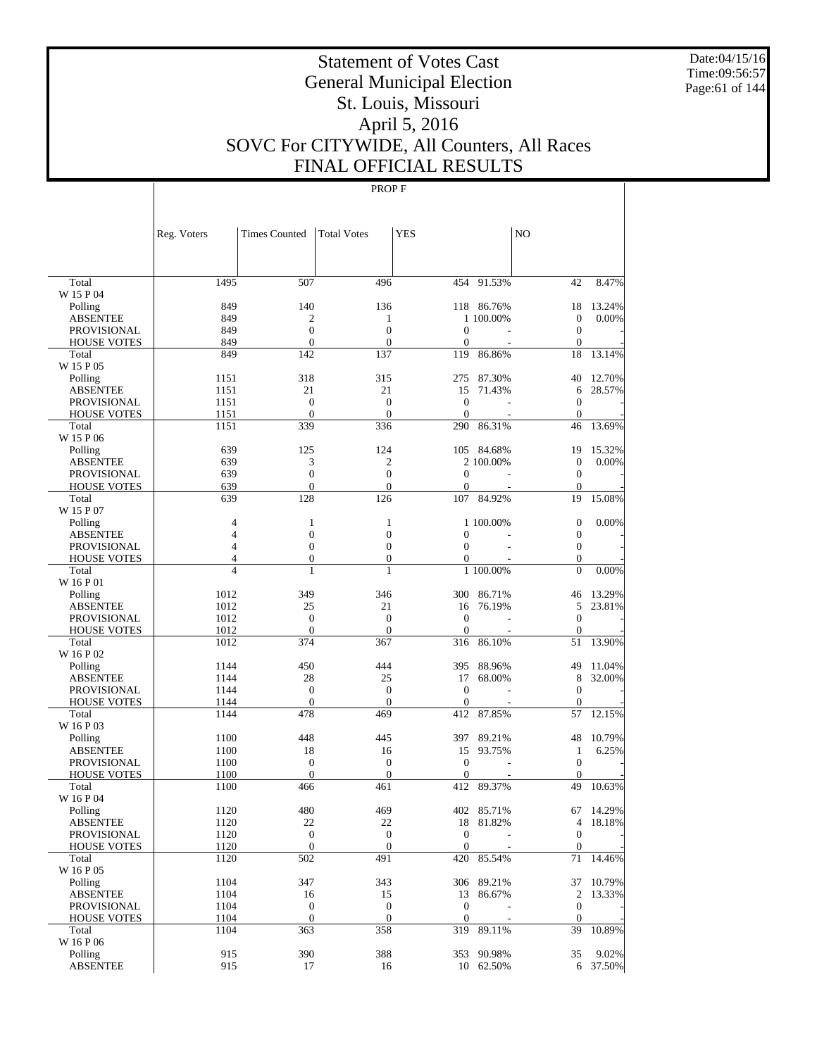Date:04/15/16 Time:09:56:57 Page:61 of 144

# Statement of Votes Cast General Municipal Election St. Louis, Missouri April 5, 2016 SOVC For CITYWIDE, All Counters, All Races FINAL OFFICIAL RESULTS

|                                       | Reg. Voters    | <b>Times Counted</b>   | <b>Total Votes</b>     | <b>YES</b>         |                         | N <sub>O</sub>                   |                 |
|---------------------------------------|----------------|------------------------|------------------------|--------------------|-------------------------|----------------------------------|-----------------|
|                                       |                |                        |                        |                    |                         |                                  |                 |
| Total                                 | 1495           | 507                    | 496                    | 454                | 91.53%                  | 42                               | 8.47%           |
| W 15 P 04                             |                |                        |                        |                    |                         |                                  |                 |
| Polling<br><b>ABSENTEE</b>            | 849<br>849     | 140<br>$\overline{c}$  | 136<br>$\mathbf{1}$    |                    | 118 86.76%<br>1 100,00% | 18<br>$\theta$                   | 13.24%<br>0.00% |
| <b>PROVISIONAL</b>                    | 849            | $\mathbf{0}$           | $\overline{0}$         | $\mathbf{0}$       |                         | $\boldsymbol{0}$                 |                 |
| <b>HOUSE VOTES</b>                    | 849            | $\overline{0}$         | $\overline{0}$         | $\mathbf{0}$       |                         | $\boldsymbol{0}$                 |                 |
| Total                                 | 849            | 142                    | 137                    | 119                | 86.86%                  | 18                               | 13.14%          |
| W 15 P 05                             |                |                        |                        |                    |                         |                                  |                 |
| Polling                               | 1151           | 318                    | 315                    | 275                | 87.30%                  | 40                               | 12.70%          |
| <b>ABSENTEE</b>                       | 1151           | 21                     | 21                     | 15                 | 71.43%                  | 6                                | 28.57%          |
| <b>PROVISIONAL</b>                    | 1151           | $\overline{0}$         | $\overline{0}$         | $\theta$           |                         | $\boldsymbol{0}$                 |                 |
| <b>HOUSE VOTES</b>                    | 1151           | $\overline{0}$         | $\mathbf{0}$           | $\theta$           |                         | $\boldsymbol{0}$                 |                 |
| Total                                 | 1151           | 339                    | 336                    | 290                | 86.31%                  | 46                               | 13.69%          |
| W 15 P 06                             |                |                        |                        |                    |                         |                                  |                 |
| Polling                               | 639            | 125                    | 124                    |                    | 105 84.68%              | 19                               | 15.32%          |
| <b>ABSENTEE</b>                       | 639            | 3                      | 2                      |                    | 2 100,00%               | $\boldsymbol{0}$                 | 0.00%           |
| <b>PROVISIONAL</b>                    | 639            | $\overline{0}$         | $\overline{0}$         | $\theta$           |                         | $\boldsymbol{0}$                 |                 |
| <b>HOUSE VOTES</b>                    | 639            | $\overline{0}$         | $\overline{0}$         | $\mathbf{0}$       |                         | $\boldsymbol{0}$                 |                 |
| Total<br>W 15 P 07                    | 639            | 128                    | 126                    | 107                | 84.92%                  | 19                               | 15.08%          |
| Polling                               | $\overline{4}$ | 1                      | $\mathbf{1}$           |                    | 1 100.00%               | $\boldsymbol{0}$                 | 0.00%           |
| <b>ABSENTEE</b>                       | $\overline{4}$ | $\overline{0}$         | $\overline{0}$         | $\mathbf{0}$       |                         | $\boldsymbol{0}$                 |                 |
| <b>PROVISIONAL</b>                    | $\overline{4}$ | $\overline{0}$         | $\overline{0}$         | $\mathbf{0}$       |                         | $\mathbf{0}$                     |                 |
| <b>HOUSE VOTES</b>                    | $\overline{4}$ | $\boldsymbol{0}$       | $\boldsymbol{0}$       | 0                  |                         | $\boldsymbol{0}$                 |                 |
| Total                                 | $\overline{4}$ | $\mathbf{1}$           | $\mathbf{1}$           |                    | 1 100.00%               | $\overline{0}$                   | 0.00%           |
| W 16 P 01                             |                |                        |                        |                    |                         |                                  |                 |
| Polling                               | 1012           | 349                    | 346                    | 300                | 86.71%                  | 46                               | 13.29%          |
| <b>ABSENTEE</b>                       | 1012           | 25                     | 21                     | 16                 | 76.19%                  | 5                                | 23.81%          |
| <b>PROVISIONAL</b>                    | 1012           | $\mathbf{0}$           | $\overline{0}$         | $\theta$           |                         | $\boldsymbol{0}$                 |                 |
| <b>HOUSE VOTES</b>                    | 1012           | $\mathbf{0}$           | $\mathbf{0}$           | $\theta$           |                         | $\overline{0}$                   |                 |
| Total                                 | 1012           | 374                    | 367                    | 316                | 86.10%                  | 51                               | 13.90%          |
| W 16 P 02                             |                |                        |                        |                    |                         |                                  |                 |
| Polling                               | 1144           | 450                    | 444                    | 395                | 88.96%                  | 49                               | 11.04%          |
| <b>ABSENTEE</b>                       | 1144           | 28                     | 25                     | 17                 | 68.00%                  | 8                                | 32.00%          |
| <b>PROVISIONAL</b>                    | 1144           | $\mathbf{0}$           | $\mathbf{0}$           | $\theta$           |                         | $\boldsymbol{0}$                 |                 |
| <b>HOUSE VOTES</b>                    | 1144           | $\mathbf{0}$           | $\mathbf{0}$           | $\mathbf{0}$       |                         | $\overline{0}$                   |                 |
| Total                                 | 1144           | 478                    | 469                    | 412                | 87.85%                  | 57                               | 12.15%          |
| W 16 P 03                             |                |                        |                        |                    |                         |                                  |                 |
| Polling                               | 1100           | 448                    | 445                    | 397                | 89.21%<br>93.75%        | 48                               | 10.79%<br>6.25% |
| <b>ABSENTEE</b><br><b>PROVISIONAL</b> | 1100<br>1100   | 18<br>$\boldsymbol{0}$ | 16<br>$\boldsymbol{0}$ | 15<br>$\mathbf{0}$ |                         | $\mathbf{1}$<br>$\boldsymbol{0}$ |                 |
| <b>HOUSE VOTES</b>                    | 1100           | $\mathbf{0}$           | $\theta$               | $\mathbf{0}$       |                         | $\mathbf{0}$                     |                 |
| Total                                 | 1100           | 466                    | 461                    | 412                | 89.37%                  | 49                               | 10.63%          |
| W 16 P 04                             |                |                        |                        |                    |                         |                                  |                 |
| Polling                               | 1120           | 480                    | 469                    | 402                | 85.71%                  | 67                               | 14.29%          |
| <b>ABSENTEE</b>                       | 1120           | 22                     | 22                     |                    | 18 81.82%               | 4                                | 18.18%          |
| <b>PROVISIONAL</b>                    | 1120           | $\boldsymbol{0}$       | $\boldsymbol{0}$       | $\mathbf{0}$       |                         | $\mathbf{0}$                     |                 |
| <b>HOUSE VOTES</b>                    | 1120           | $\boldsymbol{0}$       | $\boldsymbol{0}$       | $\boldsymbol{0}$   |                         | $\boldsymbol{0}$                 |                 |
| Total                                 | 1120           | 502                    | 491                    | 420                | 85.54%                  | 71                               | 14.46%          |
| W 16 P 05                             |                |                        |                        |                    |                         |                                  |                 |
| Polling                               | 1104           | 347                    | 343                    |                    | 306 89.21%              | 37                               | 10.79%          |
| <b>ABSENTEE</b>                       | 1104           | 16                     | 15                     | 13                 | 86.67%                  | $\boldsymbol{2}$                 | 13.33%          |
| <b>PROVISIONAL</b>                    | 1104           | $\boldsymbol{0}$       | $\boldsymbol{0}$       | $\boldsymbol{0}$   |                         | $\boldsymbol{0}$                 |                 |
| <b>HOUSE VOTES</b>                    | 1104           | $\boldsymbol{0}$       | $\boldsymbol{0}$       | $\boldsymbol{0}$   |                         | $\boldsymbol{0}$                 |                 |
| Total                                 | 1104           | 363                    | 358                    | 319                | 89.11%                  | 39                               | 10.89%          |
| W 16 P 06                             |                |                        |                        |                    |                         |                                  |                 |
| Polling                               | 915            | 390                    | 388                    |                    | 353 90.98%              | 35                               | 9.02%           |
| <b>ABSENTEE</b>                       | 915            | 17                     | 16                     |                    | 10 62.50%               |                                  | 6 37.50%        |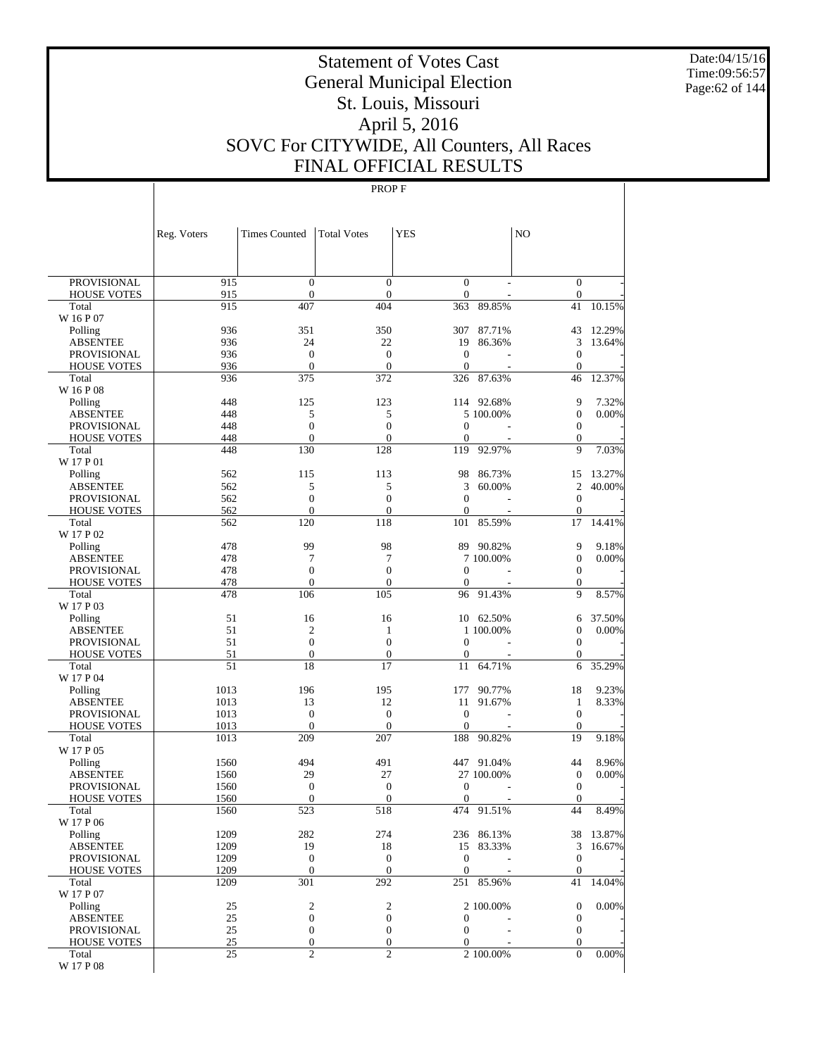Date:04/15/16 Time:09:56:57 Page:62 of 144

# Statement of Votes Cast General Municipal Election St. Louis, Missouri April 5, 2016 SOVC For CITYWIDE, All Counters, All Races FINAL OFFICIAL RESULTS

| PROVISIONAL<br>915<br>$\boldsymbol{0}$<br>$\boldsymbol{0}$<br>$\boldsymbol{0}$<br>$\boldsymbol{0}$<br>915<br>$\boldsymbol{0}$<br>$\mathbf{0}$<br>$\mathbf{0}$<br>$\boldsymbol{0}$<br><b>HOUSE VOTES</b><br>10.15%<br>915<br>407<br>404<br>363<br>89.85%<br>41<br>Total<br>W 16 P 07<br>350<br>12.29%<br>936<br>351<br>307<br>87.71%<br>43<br>Polling<br>22<br>3<br>936<br>24<br>19<br>86.36%<br>13.64%<br><b>ABSENTEE</b><br>936<br>$\mathbf{0}$<br>$\boldsymbol{0}$<br><b>PROVISIONAL</b><br>$\mathbf{0}$<br>$\boldsymbol{0}$<br>936<br>$\mathbf{0}$<br>$\mathbf{0}$<br><b>HOUSE VOTES</b><br>$\mathbf{0}$<br>$\mathbf{0}$<br>936<br>375<br>372<br>326<br>87.63%<br>46<br>12.37%<br>Total<br>W 16 P 08<br>123<br>9<br>448<br>125<br>114 92.68%<br>7.32%<br>Polling<br>448<br>5<br>5<br>$\boldsymbol{0}$<br>5 100.00%<br>0.00%<br><b>ABSENTEE</b><br>$\mathbf{0}$<br>$\boldsymbol{0}$<br>448<br>$\mathbf{0}$<br>$\boldsymbol{0}$<br>PROVISIONAL<br>$\mathbf{0}$<br>$\mathbf{0}$<br>$\boldsymbol{0}$<br><b>HOUSE VOTES</b><br>448<br>$\theta$<br>448<br>130<br>128<br>92.97%<br>9<br>7.03%<br>Total<br>119<br>W 17 P 01<br>113<br>98<br>86.73%<br>13.27%<br>562<br>115<br>15<br>Polling<br>5<br>5<br>3<br>60.00%<br>$\overline{c}$<br>562<br>40.00%<br><b>ABSENTEE</b><br>562<br>$\boldsymbol{0}$<br>$\boldsymbol{0}$<br><b>PROVISIONAL</b><br>$\mathbf{0}$<br>$\boldsymbol{0}$<br>562<br>$\mathbf{0}$<br>$\mathbf{0}$<br><b>HOUSE VOTES</b><br>$\overline{0}$<br>$\mathbf{0}$<br>562<br>120<br>118<br>101<br>85.59%<br>17<br>14.41%<br>Total<br>W 17 P 02<br>99<br>478<br>98<br>9<br>89<br>90.82%<br>9.18%<br>Polling<br>478<br>7<br>7<br>$\boldsymbol{0}$<br>7 100.00%<br>$0.00\%$<br><b>ABSENTEE</b><br>478<br>$\mathbf{0}$<br>$\boldsymbol{0}$<br>$\boldsymbol{0}$<br>$\boldsymbol{0}$<br><b>PROVISIONAL</b><br>478<br>$\mathbf{0}$<br>$\mathbf{0}$<br>$\theta$<br>$\boldsymbol{0}$<br><b>HOUSE VOTES</b><br>106<br>105<br>91.43%<br>9<br>8.57%<br>Total<br>478<br>96<br>W 17 P 03<br>51<br>37.50%<br>16<br>16<br>10<br>62.50%<br>Polling<br>6<br>51<br>$\mathfrak{2}$<br>1 100.00%<br>$\boldsymbol{0}$<br>0.00%<br><b>ABSENTEE</b><br>1<br>51<br>$\boldsymbol{0}$<br>$\mathbf{0}$<br>$\boldsymbol{0}$<br>$\boldsymbol{0}$<br>PROVISIONAL<br>51<br>$\boldsymbol{0}$<br>$\boldsymbol{0}$<br>$\overline{0}$<br><b>HOUSE VOTES</b><br>$\theta$<br>51<br>18<br>17<br>64.71%<br>35.29%<br>Total<br>11<br>6<br>W 17 P 04<br>18<br>1013<br>196<br>195<br>177<br>90.77%<br>9.23%<br>Polling<br>12<br>1013<br>13<br>91.67%<br>$\mathbf{1}$<br>8.33%<br><b>ABSENTEE</b><br>11<br>$\mathbf{0}$<br>$\mathbf{0}$<br>$\boldsymbol{0}$<br>1013<br>$\mathbf{0}$<br>PROVISIONAL<br>$\mathbf{0}$<br>$\mathbf{0}$<br>1013<br>$\theta$<br>$\mathbf{0}$<br><b>HOUSE VOTES</b><br>209<br>207<br>188<br>90.82%<br>19<br>9.18%<br>Total<br>1013<br>W 17 P 05<br>494<br>491<br>1560<br>447 91.04%<br>44<br>8.96%<br>Polling<br>29<br>27<br>1560<br>27 100.00%<br>$\boldsymbol{0}$<br>$0.00\%$<br><b>ABSENTEE</b><br>$\mathbf{0}$<br>$\boldsymbol{0}$<br>1560<br>$\mathbf{0}$<br>$\boldsymbol{0}$<br><b>PROVISIONAL</b><br>$\boldsymbol{0}$<br>$\boldsymbol{0}$<br><b>HOUSE VOTES</b><br>1560<br>$\theta$<br>$\mathbf{0}$<br>44<br>8.49%<br>523<br>518<br>474<br>91.51%<br>Total<br>1560<br>W 17 P 06<br>282<br>1209<br>274<br>236 86.13%<br>38 13.87%<br>Polling<br>19<br><b>ABSENTEE</b><br>1209<br>18<br>15<br>83.33%<br>3<br>16.67%<br>$\boldsymbol{0}$<br>1209<br>$\boldsymbol{0}$<br>$\mathbf{0}$<br>$\boldsymbol{0}$<br>PROVISIONAL<br>1209<br>$\boldsymbol{0}$<br>$\mathbf{0}$<br><b>HOUSE VOTES</b><br>$\mathbf{0}$<br>$\mathbf{0}$<br>1209<br>301<br>292<br>41<br>251 85.96%<br>14.04%<br>Total<br>W 17 P 07<br>2<br>$\boldsymbol{2}$<br>0.00%<br>Polling<br>25<br>2 100.00%<br>$\boldsymbol{0}$<br>25<br>$\boldsymbol{0}$<br>$\boldsymbol{0}$<br>$\boldsymbol{0}$<br><b>ABSENTEE</b><br>$\mathbf{0}$<br>25<br>$\boldsymbol{0}$<br>$\boldsymbol{0}$<br>$\boldsymbol{0}$<br>$\mathbf{0}$<br>PROVISIONAL<br>25<br>$\boldsymbol{0}$<br>$\boldsymbol{0}$<br>$\overline{0}$<br>$\boldsymbol{0}$<br><b>HOUSE VOTES</b><br>$\overline{c}$<br>$\overline{c}$<br>2 100.00%<br>0.00%<br>Total<br>25<br>$\theta$<br>W 17 P 08 | Reg. Voters | <b>Times Counted</b> | <b>Total Votes</b> | <b>YES</b> | N <sub>O</sub> |  |
|-------------------------------------------------------------------------------------------------------------------------------------------------------------------------------------------------------------------------------------------------------------------------------------------------------------------------------------------------------------------------------------------------------------------------------------------------------------------------------------------------------------------------------------------------------------------------------------------------------------------------------------------------------------------------------------------------------------------------------------------------------------------------------------------------------------------------------------------------------------------------------------------------------------------------------------------------------------------------------------------------------------------------------------------------------------------------------------------------------------------------------------------------------------------------------------------------------------------------------------------------------------------------------------------------------------------------------------------------------------------------------------------------------------------------------------------------------------------------------------------------------------------------------------------------------------------------------------------------------------------------------------------------------------------------------------------------------------------------------------------------------------------------------------------------------------------------------------------------------------------------------------------------------------------------------------------------------------------------------------------------------------------------------------------------------------------------------------------------------------------------------------------------------------------------------------------------------------------------------------------------------------------------------------------------------------------------------------------------------------------------------------------------------------------------------------------------------------------------------------------------------------------------------------------------------------------------------------------------------------------------------------------------------------------------------------------------------------------------------------------------------------------------------------------------------------------------------------------------------------------------------------------------------------------------------------------------------------------------------------------------------------------------------------------------------------------------------------------------------------------------------------------------------------------------------------------------------------------------------------------------------------------------------------------------------------------------------------------------------------------------------------------------------------------------------------------------------------------------------------------------------------------------------------------------------------------------------------------------------------------------------------------------------------------------------------------------------------------------------------------------------------------------------------------------------------------------------------------------------------------------------------------------------------------------------------------------------------------------------------------------------------------------------------------------------------------------------------------------------------------------------------------------------------------------------------------------------|-------------|----------------------|--------------------|------------|----------------|--|
|                                                                                                                                                                                                                                                                                                                                                                                                                                                                                                                                                                                                                                                                                                                                                                                                                                                                                                                                                                                                                                                                                                                                                                                                                                                                                                                                                                                                                                                                                                                                                                                                                                                                                                                                                                                                                                                                                                                                                                                                                                                                                                                                                                                                                                                                                                                                                                                                                                                                                                                                                                                                                                                                                                                                                                                                                                                                                                                                                                                                                                                                                                                                                                                                                                                                                                                                                                                                                                                                                                                                                                                                                                                                                                                                                                                                                                                                                                                                                                                                                                                                                                                                                                                                       |             |                      |                    |            |                |  |
|                                                                                                                                                                                                                                                                                                                                                                                                                                                                                                                                                                                                                                                                                                                                                                                                                                                                                                                                                                                                                                                                                                                                                                                                                                                                                                                                                                                                                                                                                                                                                                                                                                                                                                                                                                                                                                                                                                                                                                                                                                                                                                                                                                                                                                                                                                                                                                                                                                                                                                                                                                                                                                                                                                                                                                                                                                                                                                                                                                                                                                                                                                                                                                                                                                                                                                                                                                                                                                                                                                                                                                                                                                                                                                                                                                                                                                                                                                                                                                                                                                                                                                                                                                                                       |             |                      |                    |            |                |  |
|                                                                                                                                                                                                                                                                                                                                                                                                                                                                                                                                                                                                                                                                                                                                                                                                                                                                                                                                                                                                                                                                                                                                                                                                                                                                                                                                                                                                                                                                                                                                                                                                                                                                                                                                                                                                                                                                                                                                                                                                                                                                                                                                                                                                                                                                                                                                                                                                                                                                                                                                                                                                                                                                                                                                                                                                                                                                                                                                                                                                                                                                                                                                                                                                                                                                                                                                                                                                                                                                                                                                                                                                                                                                                                                                                                                                                                                                                                                                                                                                                                                                                                                                                                                                       |             |                      |                    |            |                |  |
|                                                                                                                                                                                                                                                                                                                                                                                                                                                                                                                                                                                                                                                                                                                                                                                                                                                                                                                                                                                                                                                                                                                                                                                                                                                                                                                                                                                                                                                                                                                                                                                                                                                                                                                                                                                                                                                                                                                                                                                                                                                                                                                                                                                                                                                                                                                                                                                                                                                                                                                                                                                                                                                                                                                                                                                                                                                                                                                                                                                                                                                                                                                                                                                                                                                                                                                                                                                                                                                                                                                                                                                                                                                                                                                                                                                                                                                                                                                                                                                                                                                                                                                                                                                                       |             |                      |                    |            |                |  |
|                                                                                                                                                                                                                                                                                                                                                                                                                                                                                                                                                                                                                                                                                                                                                                                                                                                                                                                                                                                                                                                                                                                                                                                                                                                                                                                                                                                                                                                                                                                                                                                                                                                                                                                                                                                                                                                                                                                                                                                                                                                                                                                                                                                                                                                                                                                                                                                                                                                                                                                                                                                                                                                                                                                                                                                                                                                                                                                                                                                                                                                                                                                                                                                                                                                                                                                                                                                                                                                                                                                                                                                                                                                                                                                                                                                                                                                                                                                                                                                                                                                                                                                                                                                                       |             |                      |                    |            |                |  |
|                                                                                                                                                                                                                                                                                                                                                                                                                                                                                                                                                                                                                                                                                                                                                                                                                                                                                                                                                                                                                                                                                                                                                                                                                                                                                                                                                                                                                                                                                                                                                                                                                                                                                                                                                                                                                                                                                                                                                                                                                                                                                                                                                                                                                                                                                                                                                                                                                                                                                                                                                                                                                                                                                                                                                                                                                                                                                                                                                                                                                                                                                                                                                                                                                                                                                                                                                                                                                                                                                                                                                                                                                                                                                                                                                                                                                                                                                                                                                                                                                                                                                                                                                                                                       |             |                      |                    |            |                |  |
|                                                                                                                                                                                                                                                                                                                                                                                                                                                                                                                                                                                                                                                                                                                                                                                                                                                                                                                                                                                                                                                                                                                                                                                                                                                                                                                                                                                                                                                                                                                                                                                                                                                                                                                                                                                                                                                                                                                                                                                                                                                                                                                                                                                                                                                                                                                                                                                                                                                                                                                                                                                                                                                                                                                                                                                                                                                                                                                                                                                                                                                                                                                                                                                                                                                                                                                                                                                                                                                                                                                                                                                                                                                                                                                                                                                                                                                                                                                                                                                                                                                                                                                                                                                                       |             |                      |                    |            |                |  |
|                                                                                                                                                                                                                                                                                                                                                                                                                                                                                                                                                                                                                                                                                                                                                                                                                                                                                                                                                                                                                                                                                                                                                                                                                                                                                                                                                                                                                                                                                                                                                                                                                                                                                                                                                                                                                                                                                                                                                                                                                                                                                                                                                                                                                                                                                                                                                                                                                                                                                                                                                                                                                                                                                                                                                                                                                                                                                                                                                                                                                                                                                                                                                                                                                                                                                                                                                                                                                                                                                                                                                                                                                                                                                                                                                                                                                                                                                                                                                                                                                                                                                                                                                                                                       |             |                      |                    |            |                |  |
|                                                                                                                                                                                                                                                                                                                                                                                                                                                                                                                                                                                                                                                                                                                                                                                                                                                                                                                                                                                                                                                                                                                                                                                                                                                                                                                                                                                                                                                                                                                                                                                                                                                                                                                                                                                                                                                                                                                                                                                                                                                                                                                                                                                                                                                                                                                                                                                                                                                                                                                                                                                                                                                                                                                                                                                                                                                                                                                                                                                                                                                                                                                                                                                                                                                                                                                                                                                                                                                                                                                                                                                                                                                                                                                                                                                                                                                                                                                                                                                                                                                                                                                                                                                                       |             |                      |                    |            |                |  |
|                                                                                                                                                                                                                                                                                                                                                                                                                                                                                                                                                                                                                                                                                                                                                                                                                                                                                                                                                                                                                                                                                                                                                                                                                                                                                                                                                                                                                                                                                                                                                                                                                                                                                                                                                                                                                                                                                                                                                                                                                                                                                                                                                                                                                                                                                                                                                                                                                                                                                                                                                                                                                                                                                                                                                                                                                                                                                                                                                                                                                                                                                                                                                                                                                                                                                                                                                                                                                                                                                                                                                                                                                                                                                                                                                                                                                                                                                                                                                                                                                                                                                                                                                                                                       |             |                      |                    |            |                |  |
|                                                                                                                                                                                                                                                                                                                                                                                                                                                                                                                                                                                                                                                                                                                                                                                                                                                                                                                                                                                                                                                                                                                                                                                                                                                                                                                                                                                                                                                                                                                                                                                                                                                                                                                                                                                                                                                                                                                                                                                                                                                                                                                                                                                                                                                                                                                                                                                                                                                                                                                                                                                                                                                                                                                                                                                                                                                                                                                                                                                                                                                                                                                                                                                                                                                                                                                                                                                                                                                                                                                                                                                                                                                                                                                                                                                                                                                                                                                                                                                                                                                                                                                                                                                                       |             |                      |                    |            |                |  |
|                                                                                                                                                                                                                                                                                                                                                                                                                                                                                                                                                                                                                                                                                                                                                                                                                                                                                                                                                                                                                                                                                                                                                                                                                                                                                                                                                                                                                                                                                                                                                                                                                                                                                                                                                                                                                                                                                                                                                                                                                                                                                                                                                                                                                                                                                                                                                                                                                                                                                                                                                                                                                                                                                                                                                                                                                                                                                                                                                                                                                                                                                                                                                                                                                                                                                                                                                                                                                                                                                                                                                                                                                                                                                                                                                                                                                                                                                                                                                                                                                                                                                                                                                                                                       |             |                      |                    |            |                |  |
|                                                                                                                                                                                                                                                                                                                                                                                                                                                                                                                                                                                                                                                                                                                                                                                                                                                                                                                                                                                                                                                                                                                                                                                                                                                                                                                                                                                                                                                                                                                                                                                                                                                                                                                                                                                                                                                                                                                                                                                                                                                                                                                                                                                                                                                                                                                                                                                                                                                                                                                                                                                                                                                                                                                                                                                                                                                                                                                                                                                                                                                                                                                                                                                                                                                                                                                                                                                                                                                                                                                                                                                                                                                                                                                                                                                                                                                                                                                                                                                                                                                                                                                                                                                                       |             |                      |                    |            |                |  |
|                                                                                                                                                                                                                                                                                                                                                                                                                                                                                                                                                                                                                                                                                                                                                                                                                                                                                                                                                                                                                                                                                                                                                                                                                                                                                                                                                                                                                                                                                                                                                                                                                                                                                                                                                                                                                                                                                                                                                                                                                                                                                                                                                                                                                                                                                                                                                                                                                                                                                                                                                                                                                                                                                                                                                                                                                                                                                                                                                                                                                                                                                                                                                                                                                                                                                                                                                                                                                                                                                                                                                                                                                                                                                                                                                                                                                                                                                                                                                                                                                                                                                                                                                                                                       |             |                      |                    |            |                |  |
|                                                                                                                                                                                                                                                                                                                                                                                                                                                                                                                                                                                                                                                                                                                                                                                                                                                                                                                                                                                                                                                                                                                                                                                                                                                                                                                                                                                                                                                                                                                                                                                                                                                                                                                                                                                                                                                                                                                                                                                                                                                                                                                                                                                                                                                                                                                                                                                                                                                                                                                                                                                                                                                                                                                                                                                                                                                                                                                                                                                                                                                                                                                                                                                                                                                                                                                                                                                                                                                                                                                                                                                                                                                                                                                                                                                                                                                                                                                                                                                                                                                                                                                                                                                                       |             |                      |                    |            |                |  |
|                                                                                                                                                                                                                                                                                                                                                                                                                                                                                                                                                                                                                                                                                                                                                                                                                                                                                                                                                                                                                                                                                                                                                                                                                                                                                                                                                                                                                                                                                                                                                                                                                                                                                                                                                                                                                                                                                                                                                                                                                                                                                                                                                                                                                                                                                                                                                                                                                                                                                                                                                                                                                                                                                                                                                                                                                                                                                                                                                                                                                                                                                                                                                                                                                                                                                                                                                                                                                                                                                                                                                                                                                                                                                                                                                                                                                                                                                                                                                                                                                                                                                                                                                                                                       |             |                      |                    |            |                |  |
|                                                                                                                                                                                                                                                                                                                                                                                                                                                                                                                                                                                                                                                                                                                                                                                                                                                                                                                                                                                                                                                                                                                                                                                                                                                                                                                                                                                                                                                                                                                                                                                                                                                                                                                                                                                                                                                                                                                                                                                                                                                                                                                                                                                                                                                                                                                                                                                                                                                                                                                                                                                                                                                                                                                                                                                                                                                                                                                                                                                                                                                                                                                                                                                                                                                                                                                                                                                                                                                                                                                                                                                                                                                                                                                                                                                                                                                                                                                                                                                                                                                                                                                                                                                                       |             |                      |                    |            |                |  |
|                                                                                                                                                                                                                                                                                                                                                                                                                                                                                                                                                                                                                                                                                                                                                                                                                                                                                                                                                                                                                                                                                                                                                                                                                                                                                                                                                                                                                                                                                                                                                                                                                                                                                                                                                                                                                                                                                                                                                                                                                                                                                                                                                                                                                                                                                                                                                                                                                                                                                                                                                                                                                                                                                                                                                                                                                                                                                                                                                                                                                                                                                                                                                                                                                                                                                                                                                                                                                                                                                                                                                                                                                                                                                                                                                                                                                                                                                                                                                                                                                                                                                                                                                                                                       |             |                      |                    |            |                |  |
|                                                                                                                                                                                                                                                                                                                                                                                                                                                                                                                                                                                                                                                                                                                                                                                                                                                                                                                                                                                                                                                                                                                                                                                                                                                                                                                                                                                                                                                                                                                                                                                                                                                                                                                                                                                                                                                                                                                                                                                                                                                                                                                                                                                                                                                                                                                                                                                                                                                                                                                                                                                                                                                                                                                                                                                                                                                                                                                                                                                                                                                                                                                                                                                                                                                                                                                                                                                                                                                                                                                                                                                                                                                                                                                                                                                                                                                                                                                                                                                                                                                                                                                                                                                                       |             |                      |                    |            |                |  |
|                                                                                                                                                                                                                                                                                                                                                                                                                                                                                                                                                                                                                                                                                                                                                                                                                                                                                                                                                                                                                                                                                                                                                                                                                                                                                                                                                                                                                                                                                                                                                                                                                                                                                                                                                                                                                                                                                                                                                                                                                                                                                                                                                                                                                                                                                                                                                                                                                                                                                                                                                                                                                                                                                                                                                                                                                                                                                                                                                                                                                                                                                                                                                                                                                                                                                                                                                                                                                                                                                                                                                                                                                                                                                                                                                                                                                                                                                                                                                                                                                                                                                                                                                                                                       |             |                      |                    |            |                |  |
|                                                                                                                                                                                                                                                                                                                                                                                                                                                                                                                                                                                                                                                                                                                                                                                                                                                                                                                                                                                                                                                                                                                                                                                                                                                                                                                                                                                                                                                                                                                                                                                                                                                                                                                                                                                                                                                                                                                                                                                                                                                                                                                                                                                                                                                                                                                                                                                                                                                                                                                                                                                                                                                                                                                                                                                                                                                                                                                                                                                                                                                                                                                                                                                                                                                                                                                                                                                                                                                                                                                                                                                                                                                                                                                                                                                                                                                                                                                                                                                                                                                                                                                                                                                                       |             |                      |                    |            |                |  |
|                                                                                                                                                                                                                                                                                                                                                                                                                                                                                                                                                                                                                                                                                                                                                                                                                                                                                                                                                                                                                                                                                                                                                                                                                                                                                                                                                                                                                                                                                                                                                                                                                                                                                                                                                                                                                                                                                                                                                                                                                                                                                                                                                                                                                                                                                                                                                                                                                                                                                                                                                                                                                                                                                                                                                                                                                                                                                                                                                                                                                                                                                                                                                                                                                                                                                                                                                                                                                                                                                                                                                                                                                                                                                                                                                                                                                                                                                                                                                                                                                                                                                                                                                                                                       |             |                      |                    |            |                |  |
|                                                                                                                                                                                                                                                                                                                                                                                                                                                                                                                                                                                                                                                                                                                                                                                                                                                                                                                                                                                                                                                                                                                                                                                                                                                                                                                                                                                                                                                                                                                                                                                                                                                                                                                                                                                                                                                                                                                                                                                                                                                                                                                                                                                                                                                                                                                                                                                                                                                                                                                                                                                                                                                                                                                                                                                                                                                                                                                                                                                                                                                                                                                                                                                                                                                                                                                                                                                                                                                                                                                                                                                                                                                                                                                                                                                                                                                                                                                                                                                                                                                                                                                                                                                                       |             |                      |                    |            |                |  |
|                                                                                                                                                                                                                                                                                                                                                                                                                                                                                                                                                                                                                                                                                                                                                                                                                                                                                                                                                                                                                                                                                                                                                                                                                                                                                                                                                                                                                                                                                                                                                                                                                                                                                                                                                                                                                                                                                                                                                                                                                                                                                                                                                                                                                                                                                                                                                                                                                                                                                                                                                                                                                                                                                                                                                                                                                                                                                                                                                                                                                                                                                                                                                                                                                                                                                                                                                                                                                                                                                                                                                                                                                                                                                                                                                                                                                                                                                                                                                                                                                                                                                                                                                                                                       |             |                      |                    |            |                |  |
|                                                                                                                                                                                                                                                                                                                                                                                                                                                                                                                                                                                                                                                                                                                                                                                                                                                                                                                                                                                                                                                                                                                                                                                                                                                                                                                                                                                                                                                                                                                                                                                                                                                                                                                                                                                                                                                                                                                                                                                                                                                                                                                                                                                                                                                                                                                                                                                                                                                                                                                                                                                                                                                                                                                                                                                                                                                                                                                                                                                                                                                                                                                                                                                                                                                                                                                                                                                                                                                                                                                                                                                                                                                                                                                                                                                                                                                                                                                                                                                                                                                                                                                                                                                                       |             |                      |                    |            |                |  |
|                                                                                                                                                                                                                                                                                                                                                                                                                                                                                                                                                                                                                                                                                                                                                                                                                                                                                                                                                                                                                                                                                                                                                                                                                                                                                                                                                                                                                                                                                                                                                                                                                                                                                                                                                                                                                                                                                                                                                                                                                                                                                                                                                                                                                                                                                                                                                                                                                                                                                                                                                                                                                                                                                                                                                                                                                                                                                                                                                                                                                                                                                                                                                                                                                                                                                                                                                                                                                                                                                                                                                                                                                                                                                                                                                                                                                                                                                                                                                                                                                                                                                                                                                                                                       |             |                      |                    |            |                |  |
|                                                                                                                                                                                                                                                                                                                                                                                                                                                                                                                                                                                                                                                                                                                                                                                                                                                                                                                                                                                                                                                                                                                                                                                                                                                                                                                                                                                                                                                                                                                                                                                                                                                                                                                                                                                                                                                                                                                                                                                                                                                                                                                                                                                                                                                                                                                                                                                                                                                                                                                                                                                                                                                                                                                                                                                                                                                                                                                                                                                                                                                                                                                                                                                                                                                                                                                                                                                                                                                                                                                                                                                                                                                                                                                                                                                                                                                                                                                                                                                                                                                                                                                                                                                                       |             |                      |                    |            |                |  |
|                                                                                                                                                                                                                                                                                                                                                                                                                                                                                                                                                                                                                                                                                                                                                                                                                                                                                                                                                                                                                                                                                                                                                                                                                                                                                                                                                                                                                                                                                                                                                                                                                                                                                                                                                                                                                                                                                                                                                                                                                                                                                                                                                                                                                                                                                                                                                                                                                                                                                                                                                                                                                                                                                                                                                                                                                                                                                                                                                                                                                                                                                                                                                                                                                                                                                                                                                                                                                                                                                                                                                                                                                                                                                                                                                                                                                                                                                                                                                                                                                                                                                                                                                                                                       |             |                      |                    |            |                |  |
|                                                                                                                                                                                                                                                                                                                                                                                                                                                                                                                                                                                                                                                                                                                                                                                                                                                                                                                                                                                                                                                                                                                                                                                                                                                                                                                                                                                                                                                                                                                                                                                                                                                                                                                                                                                                                                                                                                                                                                                                                                                                                                                                                                                                                                                                                                                                                                                                                                                                                                                                                                                                                                                                                                                                                                                                                                                                                                                                                                                                                                                                                                                                                                                                                                                                                                                                                                                                                                                                                                                                                                                                                                                                                                                                                                                                                                                                                                                                                                                                                                                                                                                                                                                                       |             |                      |                    |            |                |  |
|                                                                                                                                                                                                                                                                                                                                                                                                                                                                                                                                                                                                                                                                                                                                                                                                                                                                                                                                                                                                                                                                                                                                                                                                                                                                                                                                                                                                                                                                                                                                                                                                                                                                                                                                                                                                                                                                                                                                                                                                                                                                                                                                                                                                                                                                                                                                                                                                                                                                                                                                                                                                                                                                                                                                                                                                                                                                                                                                                                                                                                                                                                                                                                                                                                                                                                                                                                                                                                                                                                                                                                                                                                                                                                                                                                                                                                                                                                                                                                                                                                                                                                                                                                                                       |             |                      |                    |            |                |  |
|                                                                                                                                                                                                                                                                                                                                                                                                                                                                                                                                                                                                                                                                                                                                                                                                                                                                                                                                                                                                                                                                                                                                                                                                                                                                                                                                                                                                                                                                                                                                                                                                                                                                                                                                                                                                                                                                                                                                                                                                                                                                                                                                                                                                                                                                                                                                                                                                                                                                                                                                                                                                                                                                                                                                                                                                                                                                                                                                                                                                                                                                                                                                                                                                                                                                                                                                                                                                                                                                                                                                                                                                                                                                                                                                                                                                                                                                                                                                                                                                                                                                                                                                                                                                       |             |                      |                    |            |                |  |
|                                                                                                                                                                                                                                                                                                                                                                                                                                                                                                                                                                                                                                                                                                                                                                                                                                                                                                                                                                                                                                                                                                                                                                                                                                                                                                                                                                                                                                                                                                                                                                                                                                                                                                                                                                                                                                                                                                                                                                                                                                                                                                                                                                                                                                                                                                                                                                                                                                                                                                                                                                                                                                                                                                                                                                                                                                                                                                                                                                                                                                                                                                                                                                                                                                                                                                                                                                                                                                                                                                                                                                                                                                                                                                                                                                                                                                                                                                                                                                                                                                                                                                                                                                                                       |             |                      |                    |            |                |  |
|                                                                                                                                                                                                                                                                                                                                                                                                                                                                                                                                                                                                                                                                                                                                                                                                                                                                                                                                                                                                                                                                                                                                                                                                                                                                                                                                                                                                                                                                                                                                                                                                                                                                                                                                                                                                                                                                                                                                                                                                                                                                                                                                                                                                                                                                                                                                                                                                                                                                                                                                                                                                                                                                                                                                                                                                                                                                                                                                                                                                                                                                                                                                                                                                                                                                                                                                                                                                                                                                                                                                                                                                                                                                                                                                                                                                                                                                                                                                                                                                                                                                                                                                                                                                       |             |                      |                    |            |                |  |
|                                                                                                                                                                                                                                                                                                                                                                                                                                                                                                                                                                                                                                                                                                                                                                                                                                                                                                                                                                                                                                                                                                                                                                                                                                                                                                                                                                                                                                                                                                                                                                                                                                                                                                                                                                                                                                                                                                                                                                                                                                                                                                                                                                                                                                                                                                                                                                                                                                                                                                                                                                                                                                                                                                                                                                                                                                                                                                                                                                                                                                                                                                                                                                                                                                                                                                                                                                                                                                                                                                                                                                                                                                                                                                                                                                                                                                                                                                                                                                                                                                                                                                                                                                                                       |             |                      |                    |            |                |  |
|                                                                                                                                                                                                                                                                                                                                                                                                                                                                                                                                                                                                                                                                                                                                                                                                                                                                                                                                                                                                                                                                                                                                                                                                                                                                                                                                                                                                                                                                                                                                                                                                                                                                                                                                                                                                                                                                                                                                                                                                                                                                                                                                                                                                                                                                                                                                                                                                                                                                                                                                                                                                                                                                                                                                                                                                                                                                                                                                                                                                                                                                                                                                                                                                                                                                                                                                                                                                                                                                                                                                                                                                                                                                                                                                                                                                                                                                                                                                                                                                                                                                                                                                                                                                       |             |                      |                    |            |                |  |
|                                                                                                                                                                                                                                                                                                                                                                                                                                                                                                                                                                                                                                                                                                                                                                                                                                                                                                                                                                                                                                                                                                                                                                                                                                                                                                                                                                                                                                                                                                                                                                                                                                                                                                                                                                                                                                                                                                                                                                                                                                                                                                                                                                                                                                                                                                                                                                                                                                                                                                                                                                                                                                                                                                                                                                                                                                                                                                                                                                                                                                                                                                                                                                                                                                                                                                                                                                                                                                                                                                                                                                                                                                                                                                                                                                                                                                                                                                                                                                                                                                                                                                                                                                                                       |             |                      |                    |            |                |  |
|                                                                                                                                                                                                                                                                                                                                                                                                                                                                                                                                                                                                                                                                                                                                                                                                                                                                                                                                                                                                                                                                                                                                                                                                                                                                                                                                                                                                                                                                                                                                                                                                                                                                                                                                                                                                                                                                                                                                                                                                                                                                                                                                                                                                                                                                                                                                                                                                                                                                                                                                                                                                                                                                                                                                                                                                                                                                                                                                                                                                                                                                                                                                                                                                                                                                                                                                                                                                                                                                                                                                                                                                                                                                                                                                                                                                                                                                                                                                                                                                                                                                                                                                                                                                       |             |                      |                    |            |                |  |
|                                                                                                                                                                                                                                                                                                                                                                                                                                                                                                                                                                                                                                                                                                                                                                                                                                                                                                                                                                                                                                                                                                                                                                                                                                                                                                                                                                                                                                                                                                                                                                                                                                                                                                                                                                                                                                                                                                                                                                                                                                                                                                                                                                                                                                                                                                                                                                                                                                                                                                                                                                                                                                                                                                                                                                                                                                                                                                                                                                                                                                                                                                                                                                                                                                                                                                                                                                                                                                                                                                                                                                                                                                                                                                                                                                                                                                                                                                                                                                                                                                                                                                                                                                                                       |             |                      |                    |            |                |  |
|                                                                                                                                                                                                                                                                                                                                                                                                                                                                                                                                                                                                                                                                                                                                                                                                                                                                                                                                                                                                                                                                                                                                                                                                                                                                                                                                                                                                                                                                                                                                                                                                                                                                                                                                                                                                                                                                                                                                                                                                                                                                                                                                                                                                                                                                                                                                                                                                                                                                                                                                                                                                                                                                                                                                                                                                                                                                                                                                                                                                                                                                                                                                                                                                                                                                                                                                                                                                                                                                                                                                                                                                                                                                                                                                                                                                                                                                                                                                                                                                                                                                                                                                                                                                       |             |                      |                    |            |                |  |
|                                                                                                                                                                                                                                                                                                                                                                                                                                                                                                                                                                                                                                                                                                                                                                                                                                                                                                                                                                                                                                                                                                                                                                                                                                                                                                                                                                                                                                                                                                                                                                                                                                                                                                                                                                                                                                                                                                                                                                                                                                                                                                                                                                                                                                                                                                                                                                                                                                                                                                                                                                                                                                                                                                                                                                                                                                                                                                                                                                                                                                                                                                                                                                                                                                                                                                                                                                                                                                                                                                                                                                                                                                                                                                                                                                                                                                                                                                                                                                                                                                                                                                                                                                                                       |             |                      |                    |            |                |  |
|                                                                                                                                                                                                                                                                                                                                                                                                                                                                                                                                                                                                                                                                                                                                                                                                                                                                                                                                                                                                                                                                                                                                                                                                                                                                                                                                                                                                                                                                                                                                                                                                                                                                                                                                                                                                                                                                                                                                                                                                                                                                                                                                                                                                                                                                                                                                                                                                                                                                                                                                                                                                                                                                                                                                                                                                                                                                                                                                                                                                                                                                                                                                                                                                                                                                                                                                                                                                                                                                                                                                                                                                                                                                                                                                                                                                                                                                                                                                                                                                                                                                                                                                                                                                       |             |                      |                    |            |                |  |
|                                                                                                                                                                                                                                                                                                                                                                                                                                                                                                                                                                                                                                                                                                                                                                                                                                                                                                                                                                                                                                                                                                                                                                                                                                                                                                                                                                                                                                                                                                                                                                                                                                                                                                                                                                                                                                                                                                                                                                                                                                                                                                                                                                                                                                                                                                                                                                                                                                                                                                                                                                                                                                                                                                                                                                                                                                                                                                                                                                                                                                                                                                                                                                                                                                                                                                                                                                                                                                                                                                                                                                                                                                                                                                                                                                                                                                                                                                                                                                                                                                                                                                                                                                                                       |             |                      |                    |            |                |  |
|                                                                                                                                                                                                                                                                                                                                                                                                                                                                                                                                                                                                                                                                                                                                                                                                                                                                                                                                                                                                                                                                                                                                                                                                                                                                                                                                                                                                                                                                                                                                                                                                                                                                                                                                                                                                                                                                                                                                                                                                                                                                                                                                                                                                                                                                                                                                                                                                                                                                                                                                                                                                                                                                                                                                                                                                                                                                                                                                                                                                                                                                                                                                                                                                                                                                                                                                                                                                                                                                                                                                                                                                                                                                                                                                                                                                                                                                                                                                                                                                                                                                                                                                                                                                       |             |                      |                    |            |                |  |
|                                                                                                                                                                                                                                                                                                                                                                                                                                                                                                                                                                                                                                                                                                                                                                                                                                                                                                                                                                                                                                                                                                                                                                                                                                                                                                                                                                                                                                                                                                                                                                                                                                                                                                                                                                                                                                                                                                                                                                                                                                                                                                                                                                                                                                                                                                                                                                                                                                                                                                                                                                                                                                                                                                                                                                                                                                                                                                                                                                                                                                                                                                                                                                                                                                                                                                                                                                                                                                                                                                                                                                                                                                                                                                                                                                                                                                                                                                                                                                                                                                                                                                                                                                                                       |             |                      |                    |            |                |  |
|                                                                                                                                                                                                                                                                                                                                                                                                                                                                                                                                                                                                                                                                                                                                                                                                                                                                                                                                                                                                                                                                                                                                                                                                                                                                                                                                                                                                                                                                                                                                                                                                                                                                                                                                                                                                                                                                                                                                                                                                                                                                                                                                                                                                                                                                                                                                                                                                                                                                                                                                                                                                                                                                                                                                                                                                                                                                                                                                                                                                                                                                                                                                                                                                                                                                                                                                                                                                                                                                                                                                                                                                                                                                                                                                                                                                                                                                                                                                                                                                                                                                                                                                                                                                       |             |                      |                    |            |                |  |
|                                                                                                                                                                                                                                                                                                                                                                                                                                                                                                                                                                                                                                                                                                                                                                                                                                                                                                                                                                                                                                                                                                                                                                                                                                                                                                                                                                                                                                                                                                                                                                                                                                                                                                                                                                                                                                                                                                                                                                                                                                                                                                                                                                                                                                                                                                                                                                                                                                                                                                                                                                                                                                                                                                                                                                                                                                                                                                                                                                                                                                                                                                                                                                                                                                                                                                                                                                                                                                                                                                                                                                                                                                                                                                                                                                                                                                                                                                                                                                                                                                                                                                                                                                                                       |             |                      |                    |            |                |  |
|                                                                                                                                                                                                                                                                                                                                                                                                                                                                                                                                                                                                                                                                                                                                                                                                                                                                                                                                                                                                                                                                                                                                                                                                                                                                                                                                                                                                                                                                                                                                                                                                                                                                                                                                                                                                                                                                                                                                                                                                                                                                                                                                                                                                                                                                                                                                                                                                                                                                                                                                                                                                                                                                                                                                                                                                                                                                                                                                                                                                                                                                                                                                                                                                                                                                                                                                                                                                                                                                                                                                                                                                                                                                                                                                                                                                                                                                                                                                                                                                                                                                                                                                                                                                       |             |                      |                    |            |                |  |
|                                                                                                                                                                                                                                                                                                                                                                                                                                                                                                                                                                                                                                                                                                                                                                                                                                                                                                                                                                                                                                                                                                                                                                                                                                                                                                                                                                                                                                                                                                                                                                                                                                                                                                                                                                                                                                                                                                                                                                                                                                                                                                                                                                                                                                                                                                                                                                                                                                                                                                                                                                                                                                                                                                                                                                                                                                                                                                                                                                                                                                                                                                                                                                                                                                                                                                                                                                                                                                                                                                                                                                                                                                                                                                                                                                                                                                                                                                                                                                                                                                                                                                                                                                                                       |             |                      |                    |            |                |  |
|                                                                                                                                                                                                                                                                                                                                                                                                                                                                                                                                                                                                                                                                                                                                                                                                                                                                                                                                                                                                                                                                                                                                                                                                                                                                                                                                                                                                                                                                                                                                                                                                                                                                                                                                                                                                                                                                                                                                                                                                                                                                                                                                                                                                                                                                                                                                                                                                                                                                                                                                                                                                                                                                                                                                                                                                                                                                                                                                                                                                                                                                                                                                                                                                                                                                                                                                                                                                                                                                                                                                                                                                                                                                                                                                                                                                                                                                                                                                                                                                                                                                                                                                                                                                       |             |                      |                    |            |                |  |
|                                                                                                                                                                                                                                                                                                                                                                                                                                                                                                                                                                                                                                                                                                                                                                                                                                                                                                                                                                                                                                                                                                                                                                                                                                                                                                                                                                                                                                                                                                                                                                                                                                                                                                                                                                                                                                                                                                                                                                                                                                                                                                                                                                                                                                                                                                                                                                                                                                                                                                                                                                                                                                                                                                                                                                                                                                                                                                                                                                                                                                                                                                                                                                                                                                                                                                                                                                                                                                                                                                                                                                                                                                                                                                                                                                                                                                                                                                                                                                                                                                                                                                                                                                                                       |             |                      |                    |            |                |  |
|                                                                                                                                                                                                                                                                                                                                                                                                                                                                                                                                                                                                                                                                                                                                                                                                                                                                                                                                                                                                                                                                                                                                                                                                                                                                                                                                                                                                                                                                                                                                                                                                                                                                                                                                                                                                                                                                                                                                                                                                                                                                                                                                                                                                                                                                                                                                                                                                                                                                                                                                                                                                                                                                                                                                                                                                                                                                                                                                                                                                                                                                                                                                                                                                                                                                                                                                                                                                                                                                                                                                                                                                                                                                                                                                                                                                                                                                                                                                                                                                                                                                                                                                                                                                       |             |                      |                    |            |                |  |
|                                                                                                                                                                                                                                                                                                                                                                                                                                                                                                                                                                                                                                                                                                                                                                                                                                                                                                                                                                                                                                                                                                                                                                                                                                                                                                                                                                                                                                                                                                                                                                                                                                                                                                                                                                                                                                                                                                                                                                                                                                                                                                                                                                                                                                                                                                                                                                                                                                                                                                                                                                                                                                                                                                                                                                                                                                                                                                                                                                                                                                                                                                                                                                                                                                                                                                                                                                                                                                                                                                                                                                                                                                                                                                                                                                                                                                                                                                                                                                                                                                                                                                                                                                                                       |             |                      |                    |            |                |  |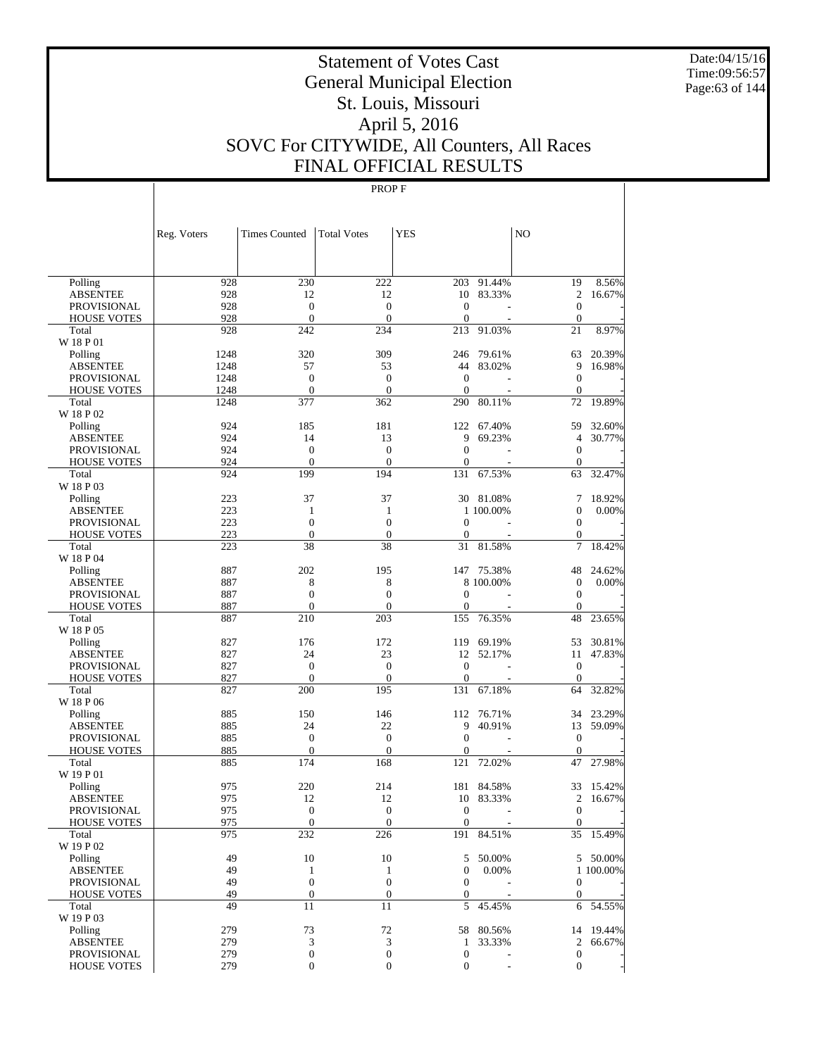Date:04/15/16 Time:09:56:57 Page:63 of 144

# Statement of Votes Cast General Municipal Election St. Louis, Missouri April 5, 2016 SOVC For CITYWIDE, All Counters, All Races FINAL OFFICIAL RESULTS

|                                          | Reg. Voters  | <b>Times Counted</b>                 | <b>Total Votes</b>                   | <b>YES</b>                       |                     | NO                             |                 |
|------------------------------------------|--------------|--------------------------------------|--------------------------------------|----------------------------------|---------------------|--------------------------------|-----------------|
|                                          |              |                                      |                                      |                                  |                     |                                |                 |
|                                          |              |                                      |                                      |                                  |                     |                                |                 |
| Polling                                  | 928          | 230                                  | 222                                  | 203                              | 91.44%              | 19                             | 8.56%           |
| <b>ABSENTEE</b>                          | 928          | 12                                   | 12                                   | 10                               | 83.33%              | $\overline{2}$                 | 16.67%          |
| <b>PROVISIONAL</b>                       | 928          | $\boldsymbol{0}$                     | $\boldsymbol{0}$                     | $\mathbf{0}$                     |                     | $\boldsymbol{0}$               |                 |
| <b>HOUSE VOTES</b>                       | 928          | $\mathbf{0}$                         | $\overline{0}$                       | $\mathbf{0}$                     |                     | $\boldsymbol{0}$               |                 |
| Total                                    | 928          | 242                                  | 234                                  | 213                              | 91.03%              | 21                             | 8.97%           |
| W 18 P 01                                |              |                                      |                                      |                                  |                     |                                |                 |
| Polling                                  | 1248         | 320                                  | 309                                  | 246                              | 79.61%              | 63                             | 20.39%          |
| <b>ABSENTEE</b>                          | 1248         | 57                                   | 53                                   | 44                               | 83.02%              | 9                              | 16.98%          |
| PROVISIONAL                              | 1248         | $\boldsymbol{0}$                     | $\boldsymbol{0}$                     | $\mathbf{0}$                     |                     | $\boldsymbol{0}$               |                 |
| <b>HOUSE VOTES</b>                       | 1248<br>1248 | $\mathbf{0}$<br>377                  | $\overline{0}$                       | $\mathbf{0}$<br>290              |                     | $\boldsymbol{0}$               | 19.89%          |
| Total<br>W 18 P 02                       |              |                                      | 362                                  |                                  | 80.11%              | 72                             |                 |
| Polling                                  | 924          | 185                                  | 181                                  | 122                              | 67.40%              | 59                             | 32.60%          |
| <b>ABSENTEE</b>                          | 924          | 14                                   | 13                                   | 9                                | 69.23%              | $\overline{4}$                 | 30.77%          |
| <b>PROVISIONAL</b>                       | 924          | $\boldsymbol{0}$                     | $\boldsymbol{0}$                     | $\mathbf{0}$                     |                     | $\boldsymbol{0}$               |                 |
| <b>HOUSE VOTES</b>                       | 924          | $\mathbf{0}$                         | $\overline{0}$                       | $\mathbf{0}$                     |                     | $\mathbf{0}$                   |                 |
| Total                                    | 924          | 199                                  | 194                                  | 131                              | 67.53%              | 63                             | 32.47%          |
| W 18 P 03                                |              |                                      |                                      |                                  |                     |                                |                 |
| Polling                                  | 223          | 37                                   | 37                                   | 30                               | 81.08%              | 7                              | 18.92%          |
| <b>ABSENTEE</b>                          | 223          | $\mathbf{1}$                         | 1                                    |                                  | 1 100,00%           | $\boldsymbol{0}$               | 0.00%           |
| PROVISIONAL                              | 223          | $\boldsymbol{0}$                     | $\boldsymbol{0}$                     | $\mathbf{0}$                     |                     | $\boldsymbol{0}$               |                 |
| <b>HOUSE VOTES</b>                       | 223          | $\mathbf{0}$                         | $\mathbf{0}$                         | $\boldsymbol{0}$                 |                     | $\boldsymbol{0}$               |                 |
| Total                                    | 223          | 38                                   | 38                                   | 31                               | 81.58%              | 7                              | 18.42%          |
| W 18 P 04                                |              |                                      |                                      |                                  |                     |                                |                 |
| Polling                                  | 887<br>887   | 202<br>8                             | 195<br>8                             | 147                              | 75.38%<br>8 100.00% | 48<br>$\boldsymbol{0}$         | 24.62%<br>0.00% |
| <b>ABSENTEE</b><br><b>PROVISIONAL</b>    | 887          | $\boldsymbol{0}$                     | $\boldsymbol{0}$                     | $\mathbf{0}$                     |                     | $\boldsymbol{0}$               |                 |
| <b>HOUSE VOTES</b>                       | 887          | $\mathbf{0}$                         | $\mathbf{0}$                         | $\mathbf{0}$                     |                     | $\mathbf{0}$                   |                 |
| Total                                    | 887          | 210                                  | 203                                  | 155                              | 76.35%              | 48                             | 23.65%          |
| W 18 P 05                                |              |                                      |                                      |                                  |                     |                                |                 |
| Polling                                  | 827          | 176                                  | 172                                  | 119                              | 69.19%              | 53                             | 30.81%          |
| <b>ABSENTEE</b>                          | 827          | 24                                   | 23                                   | 12                               | 52.17%              | 11                             | 47.83%          |
| PROVISIONAL                              | 827          | $\boldsymbol{0}$                     | $\boldsymbol{0}$                     | $\boldsymbol{0}$                 |                     | $\mathbf{0}$                   |                 |
| <b>HOUSE VOTES</b>                       | 827          | $\mathbf{0}$                         | $\overline{0}$                       | $\mathbf{0}$                     |                     | $\boldsymbol{0}$               |                 |
| Total                                    | 827          | 200                                  | 195                                  | 131                              | 67.18%              | 64                             | 32.82%          |
| W 18 P 06                                |              |                                      |                                      |                                  |                     |                                |                 |
| Polling                                  | 885          | 150                                  | 146                                  | 112                              | 76.71%              | 34                             | 23.29%          |
| <b>ABSENTEE</b>                          | 885          | 24                                   | 22                                   | 9                                | 40.91%              | 13                             | 59.09%          |
| <b>PROVISIONAL</b><br><b>HOUSE VOTES</b> | 885<br>885   | $\boldsymbol{0}$<br>$\boldsymbol{0}$ | $\boldsymbol{0}$<br>$\boldsymbol{0}$ | $\mathbf{0}$<br>$\boldsymbol{0}$ |                     | $\mathbf{0}$<br>$\overline{0}$ |                 |
| Total                                    | 885          | 174                                  | 168                                  | 121                              | 72.02%              | 47                             | 27.98%          |
| W 19 P 01                                |              |                                      |                                      |                                  |                     |                                |                 |
| Polling                                  | 975          | 220                                  | 214                                  | 181                              | 84.58%              | 33                             | 15.42%          |
| <b>ABSENTEE</b>                          | 975          | 12                                   | 12                                   | 10                               | 83.33%              | $\overline{c}$                 | 16.67%          |
| <b>PROVISIONAL</b>                       | 975          | $\mathbf{0}$                         | $\overline{0}$                       | $\mathbf{0}$                     |                     | $\overline{0}$                 |                 |
| <b>HOUSE VOTES</b>                       | 975          | $\mathbf{0}$                         | $\mathbf{0}$                         | $\mathbf{0}$                     |                     | $\overline{0}$                 |                 |
| Total                                    | 975          | 232                                  | 226                                  | 191                              | 84.51%              |                                | 35 15.49%       |
| W 19 P 02                                |              |                                      |                                      |                                  |                     |                                |                 |
| Polling                                  | 49           | $10\,$                               | 10                                   | 5                                | 50.00%              |                                | 5 50.00%        |
| <b>ABSENTEE</b>                          | 49           | $\mathbf{1}$                         | $\mathbf{1}$                         | $\boldsymbol{0}$                 | 0.00%               |                                | 1 100.00%       |
| PROVISIONAL                              | 49           | $\boldsymbol{0}$                     | $\boldsymbol{0}$                     | $\mathbf{0}$                     |                     | $\boldsymbol{0}$               |                 |
| <b>HOUSE VOTES</b>                       | 49           | $\boldsymbol{0}$                     | $\boldsymbol{0}$                     | $\boldsymbol{0}$                 |                     | $\boldsymbol{0}$               |                 |
| Total<br>W 19 P 03                       | 49           | 11                                   | 11                                   | 5                                | 45.45%              | 6                              | 54.55%          |
| Polling                                  | 279          | 73                                   | 72                                   | 58                               | 80.56%              | 14                             | 19.44%          |
| <b>ABSENTEE</b>                          | 279          | $\mathfrak{Z}$                       | 3                                    | $\mathbf{1}$                     | 33.33%              | $\overline{2}$                 | 66.67%          |
| <b>PROVISIONAL</b>                       | 279          | $\boldsymbol{0}$                     | $\boldsymbol{0}$                     | $\boldsymbol{0}$                 |                     | $\boldsymbol{0}$               |                 |
| <b>HOUSE VOTES</b>                       | 279          | $\boldsymbol{0}$                     | $\boldsymbol{0}$                     | $\boldsymbol{0}$                 |                     | $\boldsymbol{0}$               |                 |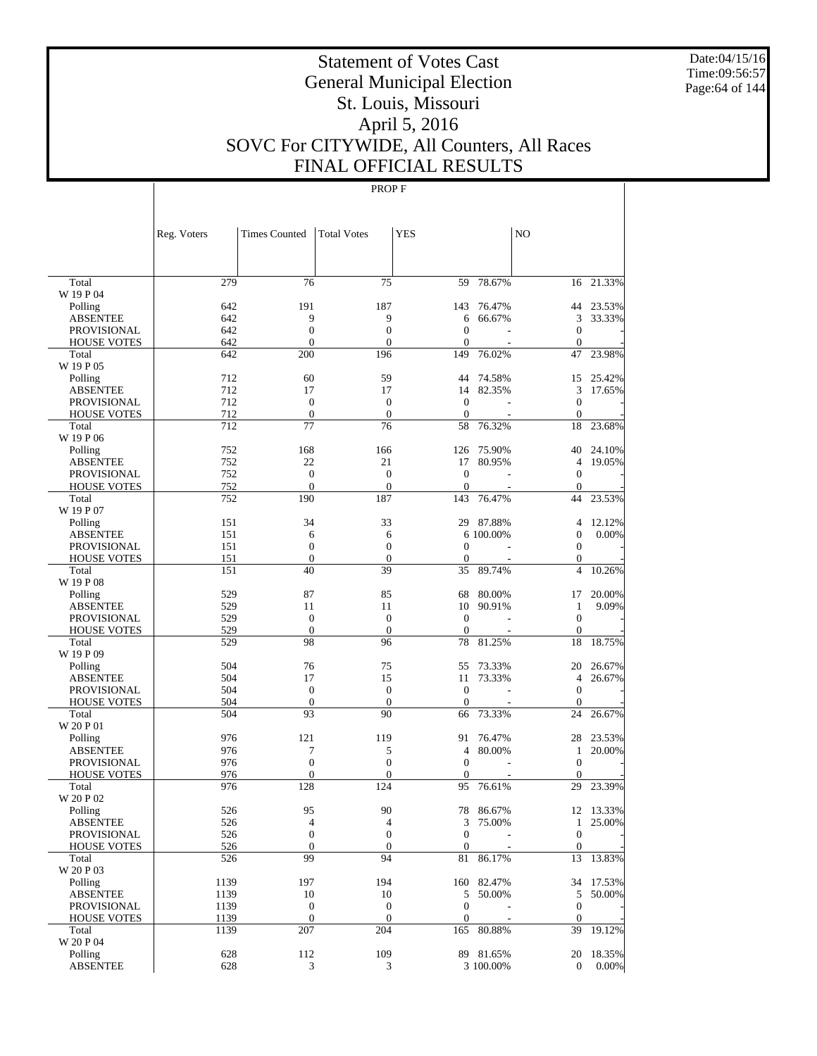Date:04/15/16 Time:09:56:57 Page:64 of 144

# Statement of Votes Cast General Municipal Election St. Louis, Missouri April 5, 2016 SOVC For CITYWIDE, All Counters, All Races FINAL OFFICIAL RESULTS

|                                          | Reg. Voters | <b>Times Counted</b>             | <b>Total Votes</b>                 | <b>YES</b>          |            | NO                                   |           |
|------------------------------------------|-------------|----------------------------------|------------------------------------|---------------------|------------|--------------------------------------|-----------|
|                                          |             |                                  |                                    |                     |            |                                      |           |
| Total                                    | 279         | 76                               | 75                                 | 59                  | 78.67%     |                                      | 16 21.33% |
| W 19 P 04                                |             |                                  |                                    |                     |            |                                      |           |
| Polling                                  | 642         | 191                              | 187                                | 143                 | 76.47%     |                                      | 44 23.53% |
| <b>ABSENTEE</b>                          | 642         | 9                                | 9                                  | 6<br>$\overline{0}$ | 66.67%     | 3                                    | 33.33%    |
| <b>PROVISIONAL</b><br><b>HOUSE VOTES</b> | 642<br>642  | $\boldsymbol{0}$<br>$\mathbf{0}$ | $\boldsymbol{0}$<br>$\overline{0}$ | $\overline{0}$      |            | $\boldsymbol{0}$<br>$\boldsymbol{0}$ |           |
| Total                                    | 642         | 200                              | 196                                | 149                 | 76.02%     | 47                                   | 23.98%    |
| W 19 P 05                                |             |                                  |                                    |                     |            |                                      |           |
| Polling                                  | 712         | 60                               | 59                                 | 44                  | 74.58%     | 15                                   | 25.42%    |
| <b>ABSENTEE</b>                          | 712         | 17                               | 17                                 | 14                  | 82.35%     | 3                                    | 17.65%    |
| <b>PROVISIONAL</b>                       | 712         | $\boldsymbol{0}$                 | $\boldsymbol{0}$                   | $\overline{0}$      |            | $\boldsymbol{0}$                     |           |
| <b>HOUSE VOTES</b>                       | 712         | $\mathbf{0}$                     | $\boldsymbol{0}$                   | $\mathbf{0}$        |            | $\boldsymbol{0}$                     |           |
| Total                                    | 712         | 77                               | 76                                 | 58                  | 76.32%     | 18                                   | 23.68%    |
| W 19 P 06                                |             |                                  |                                    |                     |            |                                      |           |
| Polling                                  | 752         | 168                              | 166                                | 126                 | 75.90%     | 40                                   | 24.10%    |
| <b>ABSENTEE</b>                          | 752         | 22                               | 21                                 | 17                  | 80.95%     | 4                                    | 19.05%    |
| <b>PROVISIONAL</b>                       | 752         | $\boldsymbol{0}$                 | $\boldsymbol{0}$                   | $\overline{0}$      |            | $\boldsymbol{0}$                     |           |
| <b>HOUSE VOTES</b>                       | 752         | $\mathbf{0}$                     | $\mathbf{0}$                       | $\overline{0}$      |            | $\boldsymbol{0}$                     |           |
| Total<br>W 19 P 07                       | 752         | 190                              | 187                                | 143                 | 76.47%     | 44                                   | 23.53%    |
| Polling                                  | 151         | 34                               | 33                                 | 29                  | 87.88%     | 4                                    | 12.12%    |
| <b>ABSENTEE</b>                          | 151         | 6                                | 6                                  |                     | 6 100.00%  | $\boldsymbol{0}$                     | 0.00%     |
| <b>PROVISIONAL</b>                       | 151         | $\boldsymbol{0}$                 | $\boldsymbol{0}$                   | $\overline{0}$      |            | $\boldsymbol{0}$                     |           |
| <b>HOUSE VOTES</b>                       | 151         | $\boldsymbol{0}$                 | $\boldsymbol{0}$                   | $\overline{0}$      |            | $\boldsymbol{0}$                     |           |
| Total                                    | 151         | 40                               | 39                                 | 35                  | 89.74%     | 4                                    | 10.26%    |
| W 19 P 08                                |             |                                  |                                    |                     |            |                                      |           |
| Polling                                  | 529         | 87                               | 85                                 | 68                  | 80.00%     | 17                                   | 20.00%    |
| <b>ABSENTEE</b>                          | 529         | 11                               | 11                                 | 10                  | 90.91%     | $\mathbf{1}$                         | 9.09%     |
| <b>PROVISIONAL</b>                       | 529         | $\mathbf{0}$                     | $\boldsymbol{0}$                   | $\overline{0}$      |            | $\boldsymbol{0}$                     |           |
| <b>HOUSE VOTES</b>                       | 529         | $\mathbf{0}$                     | $\boldsymbol{0}$                   | $\mathbf{0}$        |            | $\boldsymbol{0}$                     |           |
| Total                                    | 529         | 98                               | 96                                 | 78                  | 81.25%     | 18                                   | 18.75%    |
| W 19 P 09<br>Polling                     | 504         | 76                               | 75                                 | 55                  | 73.33%     | 20                                   | 26.67%    |
| <b>ABSENTEE</b>                          | 504         | 17                               | 15                                 | 11                  | 73.33%     | 4                                    | 26.67%    |
| <b>PROVISIONAL</b>                       | 504         | $\boldsymbol{0}$                 | $\boldsymbol{0}$                   | $\overline{0}$      |            | $\boldsymbol{0}$                     |           |
| <b>HOUSE VOTES</b>                       | 504         | $\boldsymbol{0}$                 | $\boldsymbol{0}$                   | $\mathbf{0}$        |            | $\mathbf{0}$                         |           |
| Total                                    | 504         | 93                               | 90                                 | 66                  | 73.33%     | 24                                   | 26.67%    |
| W 20 P 01                                |             |                                  |                                    |                     |            |                                      |           |
| Polling                                  | 976         | 121                              | 119                                | 91                  | 76.47%     | 28                                   | 23.53%    |
| <b>ABSENTEE</b>                          | 976         | 7                                | 5                                  | 4                   | 80.00%     | 1                                    | 20.00%    |
| <b>PROVISIONAL</b>                       | 976         | $\boldsymbol{0}$                 | $\boldsymbol{0}$                   | $\overline{0}$      |            | $\boldsymbol{0}$                     |           |
| <b>HOUSE VOTES</b>                       | 976         | $\mathbf{0}$                     | $\overline{0}$                     | $\theta$            |            | $\overline{0}$                       |           |
| Total                                    | 976         | 128                              | 124                                | 95                  | 76.61%     | 29                                   | 23.39%    |
| W 20 P 02                                |             |                                  |                                    |                     |            |                                      |           |
| Polling                                  | 526         | 95                               | 90                                 | 78                  | 86.67%     |                                      | 12 13.33% |
| <b>ABSENTEE</b>                          | 526         | $\overline{4}$                   | $\overline{4}$                     | 3                   | 75.00%     | $\mathbf{1}$                         | 25.00%    |
| <b>PROVISIONAL</b>                       | 526         | $\boldsymbol{0}$                 | $\boldsymbol{0}$                   | $\mathbf{0}$        |            | $\overline{0}$                       |           |
| <b>HOUSE VOTES</b>                       | 526         | $\boldsymbol{0}$                 | $\boldsymbol{0}$                   | $\boldsymbol{0}$    |            | $\boldsymbol{0}$                     |           |
| Total<br>W 20 P 03                       | 526         | 99                               | 94                                 | 81                  | 86.17%     |                                      | 13 13.83% |
| Polling                                  | 1139        | 197                              | 194                                |                     | 160 82.47% |                                      | 34 17.53% |
| <b>ABSENTEE</b>                          | 1139        | 10                               | 10                                 | 5                   | 50.00%     | 5                                    | 50.00%    |
| <b>PROVISIONAL</b>                       | 1139        | $\boldsymbol{0}$                 | $\boldsymbol{0}$                   | $\mathbf{0}$        |            | $\mathbf{0}$                         |           |
| <b>HOUSE VOTES</b>                       | 1139        | $\mathbf{0}$                     | $\boldsymbol{0}$                   | $\boldsymbol{0}$    |            | $\boldsymbol{0}$                     |           |
| Total                                    | 1139        | 207                              | 204                                | 165                 | 80.88%     | 39                                   | 19.12%    |
| W 20 P 04                                |             |                                  |                                    |                     |            |                                      |           |
| Polling                                  | 628         | 112                              | 109                                |                     | 89 81.65%  |                                      | 20 18.35% |
| <b>ABSENTEE</b>                          | 628         | $\mathfrak{Z}$                   | 3                                  |                     | 3 100.00%  | $\overline{0}$                       | $0.00\%$  |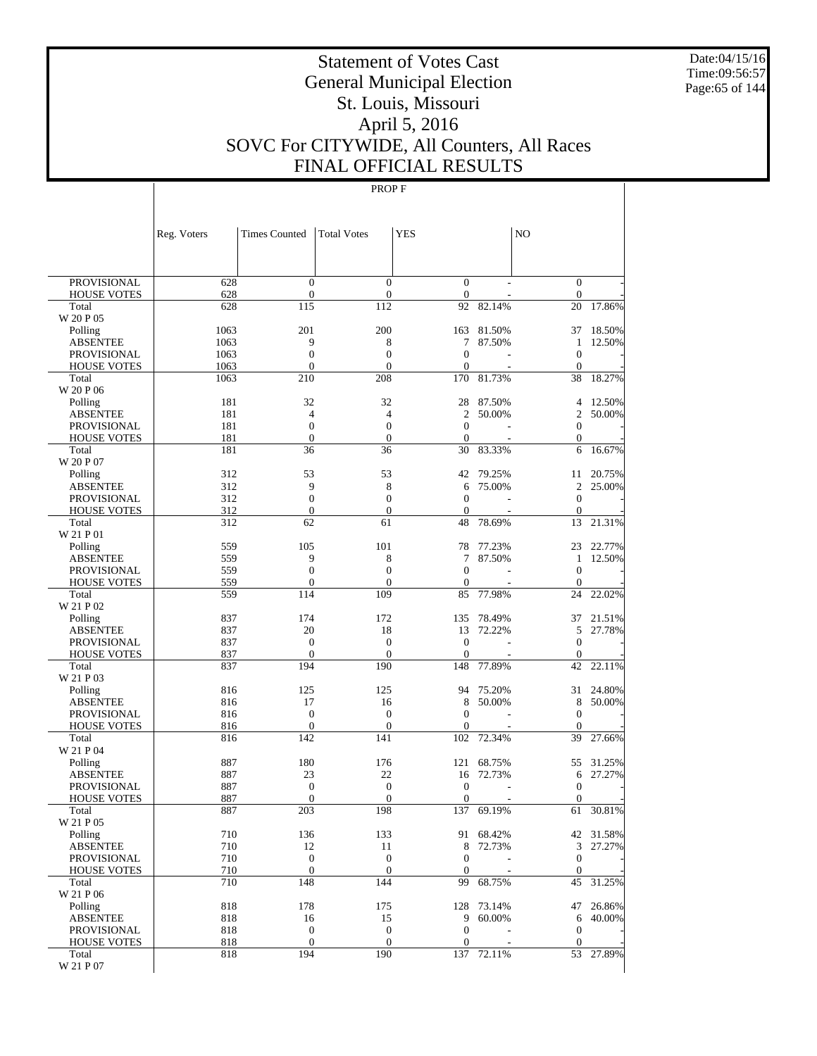Date:04/15/16 Time:09:56:57 Page:65 of 144

# Statement of Votes Cast General Municipal Election St. Louis, Missouri April 5, 2016 SOVC For CITYWIDE, All Counters, All Races FINAL OFFICIAL RESULTS

|                                          | Reg. Voters  | <b>Times Counted</b>                 | <b>Total Votes</b>                 | YES                          |                     | N <sub>O</sub>                       |                     |
|------------------------------------------|--------------|--------------------------------------|------------------------------------|------------------------------|---------------------|--------------------------------------|---------------------|
|                                          |              |                                      |                                    |                              |                     |                                      |                     |
| <b>PROVISIONAL</b>                       | 628          | $\mathbf{0}$                         | $\mathbf{0}$                       | $\mathbf{0}$                 |                     | $\overline{0}$                       |                     |
| <b>HOUSE VOTES</b>                       | 628          | $\boldsymbol{0}$                     | $\boldsymbol{0}$                   | $\mathbf{0}$                 |                     | $\boldsymbol{0}$                     |                     |
| Total                                    | 628          | 115                                  | 112                                | 92                           | 82.14%              | 20                                   | 17.86%              |
| W 20 P 05                                |              |                                      |                                    |                              |                     |                                      |                     |
| Polling                                  | 1063         | 201                                  | 200                                | 163                          | 81.50%              | 37                                   | 18.50%              |
| <b>ABSENTEE</b>                          | 1063         | 9                                    | 8                                  | 7                            | 87.50%              | 1                                    | 12.50%              |
| <b>PROVISIONAL</b><br><b>HOUSE VOTES</b> | 1063<br>1063 | $\boldsymbol{0}$<br>$\mathbf{0}$     | $\overline{0}$<br>$\overline{0}$   | $\mathbf{0}$<br>$\mathbf{0}$ |                     | $\boldsymbol{0}$<br>$\boldsymbol{0}$ |                     |
| Total                                    | 1063         | 210                                  | 208                                | 170                          | 81.73%              | 38                                   | 18.27%              |
| W 20 P 06                                |              |                                      |                                    |                              |                     |                                      |                     |
| Polling                                  | 181          | 32                                   | 32                                 | 28                           | 87.50%              | 4                                    | 12.50%              |
| <b>ABSENTEE</b>                          | 181          | $\overline{4}$                       | $\overline{4}$                     | $\overline{c}$               | 50.00%              | $\overline{2}$                       | 50.00%              |
| <b>PROVISIONAL</b>                       | 181          | $\mathbf{0}$                         | $\overline{0}$                     | $\mathbf{0}$                 |                     | $\boldsymbol{0}$                     |                     |
| <b>HOUSE VOTES</b>                       | 181          | $\boldsymbol{0}$                     | $\overline{0}$                     | $\mathbf{0}$                 |                     | $\boldsymbol{0}$                     |                     |
| Total                                    | 181          | 36                                   | 36                                 | 30                           | 83.33%              | 6                                    | 16.67%              |
| W 20 P 07<br>Polling                     | 312          | 53                                   | 53                                 | 42                           | 79.25%              | 11                                   | 20.75%              |
| <b>ABSENTEE</b>                          | 312          | 9                                    | 8                                  | 6                            | 75.00%              | $\mathfrak{2}$                       | 25.00%              |
| <b>PROVISIONAL</b>                       | 312          | $\boldsymbol{0}$                     | $\boldsymbol{0}$                   | $\mathbf{0}$                 |                     | $\mathbf{0}$                         |                     |
| <b>HOUSE VOTES</b>                       | 312          | $\mathbf{0}$                         | $\overline{0}$                     | $\mathbf{0}$                 |                     | $\boldsymbol{0}$                     |                     |
| Total                                    | 312          | 62                                   | 61                                 | 48                           | 78.69%              | 13                                   | 21.31%              |
| W 21 P 01                                |              |                                      |                                    |                              |                     |                                      |                     |
| Polling                                  | 559          | 105                                  | 101                                | 78                           | 77.23%              | 23                                   | 22.77%              |
| <b>ABSENTEE</b>                          | 559          | 9                                    | 8                                  | 7                            | 87.50%              | 1                                    | 12.50%              |
| <b>PROVISIONAL</b>                       | 559          | $\overline{0}$                       | $\overline{0}$                     | $\theta$                     |                     | $\boldsymbol{0}$                     |                     |
| <b>HOUSE VOTES</b>                       | 559          | $\mathbf{0}$                         | $\overline{0}$                     | $\mathbf{0}$                 |                     | $\boldsymbol{0}$                     |                     |
| Total<br>W 21 P 02                       | 559          | 114                                  | 109                                | 85                           | 77.98%              | 24                                   | 22.02%              |
| Polling                                  | 837          | 174                                  | 172                                | 135                          | 78.49%              | 37                                   | 21.51%              |
| <b>ABSENTEE</b>                          | 837          | 20                                   | 18                                 | 13                           | 72.22%              | 5                                    | 27.78%              |
| <b>PROVISIONAL</b>                       | 837          | $\boldsymbol{0}$                     | $\boldsymbol{0}$                   | $\mathbf{0}$                 |                     | $\overline{0}$                       |                     |
| <b>HOUSE VOTES</b>                       | 837          | $\mathbf{0}$                         | $\overline{0}$                     | $\mathbf{0}$                 |                     | $\boldsymbol{0}$                     |                     |
| Total                                    | 837          | 194                                  | 190                                | 148                          | 77.89%              | 42                                   | 22.11%              |
| W 21 P 03                                |              |                                      |                                    |                              |                     |                                      |                     |
| Polling                                  | 816          | 125                                  | 125                                | 94                           | 75.20%              | 31                                   | 24.80%              |
| <b>ABSENTEE</b>                          | 816          | 17                                   | 16                                 | 8                            | 50.00%              | 8                                    | 50.00%              |
| <b>PROVISIONAL</b>                       | 816          | $\boldsymbol{0}$<br>$\boldsymbol{0}$ | $\boldsymbol{0}$<br>$\overline{0}$ | $\mathbf{0}$<br>0            |                     | $\boldsymbol{0}$<br>$\overline{0}$   |                     |
| <b>HOUSE VOTES</b><br>Total              | 816<br>816   | 142                                  | 141                                | 102                          | 72.34%              | 39                                   | 27.66%              |
| W 21 P 04                                |              |                                      |                                    |                              |                     |                                      |                     |
| Polling                                  | 887          | 180                                  | 176                                | 121                          | 68.75%              | 55                                   | 31.25%              |
| <b>ABSENTEE</b>                          | 887          | 23                                   | 22                                 | 16                           | 72.73%              | 6                                    | 27.27%              |
| PROVISIONAL                              | 887          | $\mathbf{0}$                         | $\boldsymbol{0}$                   | $\theta$                     |                     | $\mathbf{0}$                         |                     |
| <b>HOUSE VOTES</b>                       | 887          | $\mathbf{0}$                         | $\overline{0}$                     | $\boldsymbol{0}$             |                     | $\mathbf{0}$                         |                     |
| Total                                    | 887          | 203                                  | 198                                | 137                          | 69.19%              | 61                                   | 30.81%              |
| W 21 P 05                                |              |                                      |                                    |                              |                     |                                      |                     |
| Polling<br><b>ABSENTEE</b>               | 710<br>710   | 136<br>12                            | 133<br>11                          | 8                            | 91 68.42%<br>72.73% | 3                                    | 42 31.58%<br>27.27% |
| PROVISIONAL                              | 710          | $\mathbf{0}$                         | $\mathbf{0}$                       | $\mathbf{0}$                 |                     | $\mathbf{0}$                         |                     |
| <b>HOUSE VOTES</b>                       | 710          | $\mathbf{0}$                         | $\mathbf{0}$                       | $\mathbf{0}$                 |                     | $\mathbf{0}$                         |                     |
| Total                                    | 710          | 148                                  | 144                                | 99                           | 68.75%              | 45                                   | 31.25%              |
| W 21 P 06                                |              |                                      |                                    |                              |                     |                                      |                     |
| Polling                                  | 818          | 178                                  | 175                                |                              | 128 73.14%          | 47                                   | 26.86%              |
| <b>ABSENTEE</b>                          | 818          | 16                                   | 15                                 | 9                            | 60.00%              | 6                                    | 40.00%              |
| PROVISIONAL                              | 818          | $\boldsymbol{0}$                     | $\mathbf{0}$                       | $\mathbf{0}$                 |                     | $\mathbf{0}$                         |                     |
| <b>HOUSE VOTES</b>                       | 818          | $\mathbf{0}$                         | $\mathbf{0}$                       | $\mathbf{0}$                 |                     | $\mathbf{0}$                         |                     |
| Total                                    | 818          | 194                                  | 190                                |                              | 137 72.11%          |                                      | 53 27.89%           |
| W 21 P 07                                |              |                                      |                                    |                              |                     |                                      |                     |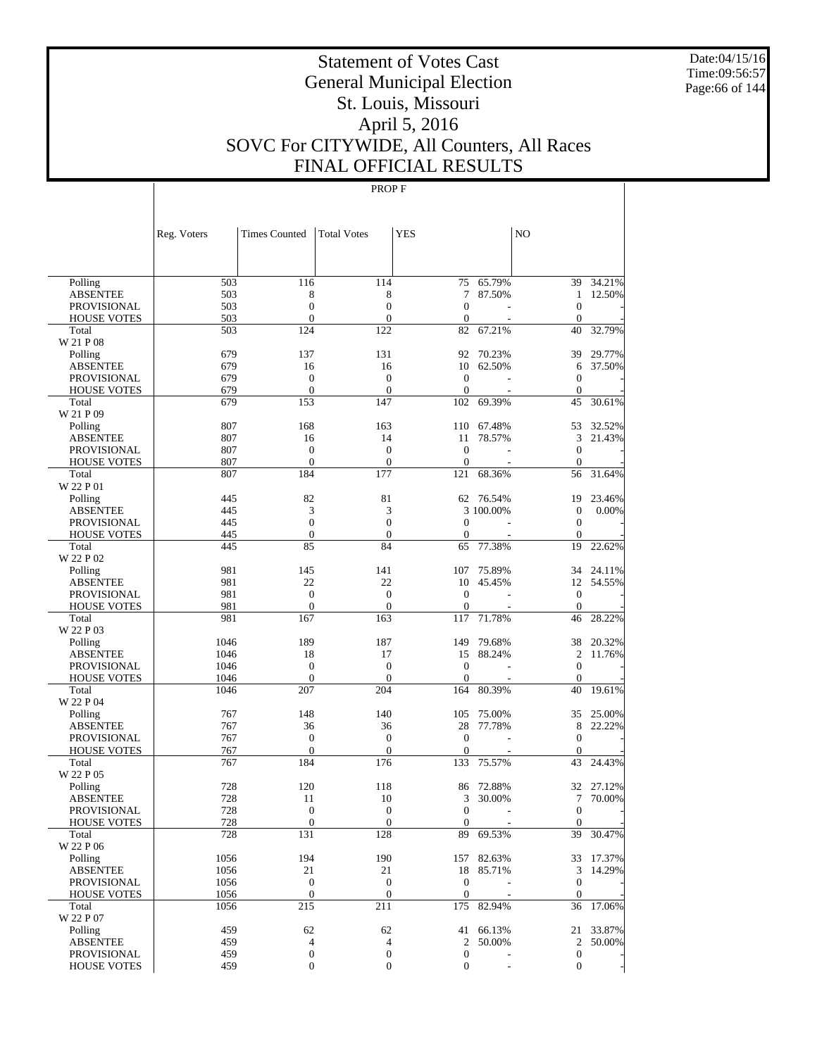Date:04/15/16 Time:09:56:57 Page:66 of 144

# Statement of Votes Cast General Municipal Election St. Louis, Missouri April 5, 2016 SOVC For CITYWIDE, All Counters, All Races FINAL OFFICIAL RESULTS

|                             | Reg. Voters  | <b>Times Counted</b>               | <b>Total Votes</b>  | <b>YES</b>          |                  | NO                   |                     |
|-----------------------------|--------------|------------------------------------|---------------------|---------------------|------------------|----------------------|---------------------|
|                             |              |                                    |                     |                     |                  |                      |                     |
| Polling                     | 503          | 116                                | 114                 | 75                  | 65.79%           | 39                   | 34.21%              |
| <b>ABSENTEE</b>             | 503          | 8                                  | 8                   | 7                   | 87.50%           | $\mathbf{1}$         | 12.50%              |
| <b>PROVISIONAL</b>          | 503          | $\mathbf{0}$                       | $\overline{0}$      | $\mathbf{0}$        |                  | $\overline{0}$       |                     |
| <b>HOUSE VOTES</b>          | 503          | $\mathbf{0}$                       | $\boldsymbol{0}$    | $\boldsymbol{0}$    |                  | $\mathbf{0}$         |                     |
| Total                       | 503          | 124                                | 122                 | 82                  | 67.21%           | 40                   | 32.79%              |
| W 21 P 08<br>Polling        | 679          | 137                                | 131                 | 92                  | 70.23%           | 39                   | 29.77%              |
| <b>ABSENTEE</b>             | 679          | 16                                 | 16                  | 10                  | 62.50%           | 6                    | 37.50%              |
| <b>PROVISIONAL</b>          | 679          | $\mathbf{0}$                       | $\boldsymbol{0}$    | $\mathbf{0}$        |                  | $\overline{0}$       |                     |
| <b>HOUSE VOTES</b>          | 679          | $\mathbf{0}$                       | $\mathbf{0}$        | $\mathbf{0}$        |                  | $\overline{0}$       |                     |
| Total                       | 679          | 153                                | 147                 | 102                 | 69.39%           | 45                   | 30.61%              |
| W 21 P 09                   |              |                                    |                     |                     |                  |                      |                     |
| Polling                     | 807          | 168                                | 163                 | 110                 | 67.48%           | 53                   | 32.52%              |
| <b>ABSENTEE</b>             | 807          | 16                                 | 14                  | 11                  | 78.57%           | 3                    | 21.43%              |
| <b>PROVISIONAL</b>          | 807          | $\mathbf{0}$                       | $\overline{0}$      | $\overline{0}$      |                  | $\overline{0}$       |                     |
| <b>HOUSE VOTES</b>          | 807          | $\mathbf{0}$                       | $\boldsymbol{0}$    | $\boldsymbol{0}$    |                  | $\overline{0}$       |                     |
| Total                       | 807          | 184                                | 177                 | 121                 | 68.36%           | 56                   | 31.64%              |
| W 22 P 01                   |              |                                    |                     |                     |                  |                      |                     |
| Polling                     | 445          | 82                                 | 81                  |                     | 62 76.54%        | 19                   | 23.46%              |
| <b>ABSENTEE</b>             | 445          | 3                                  | 3                   |                     | 3 100.00%        | $\mathbf{0}$         | 0.00%               |
| <b>PROVISIONAL</b>          | 445          | $\mathbf{0}$                       | $\overline{0}$      | $\mathbf{0}$        |                  | $\overline{0}$       |                     |
| <b>HOUSE VOTES</b>          | 445          | $\mathbf{0}$                       | $\boldsymbol{0}$    | $\mathbf{0}$        |                  | $\mathbf{0}$         |                     |
| Total<br>W 22 P 02          | 445          | 85                                 | 84                  | 65                  | 77.38%           | 19                   | 22.62%              |
| Polling                     | 981          | 145                                | 141                 | 107                 | 75.89%           | 34                   | 24.11%              |
| <b>ABSENTEE</b>             | 981          | 22                                 | 22                  | 10                  | 45.45%           | 12                   | 54.55%              |
| <b>PROVISIONAL</b>          | 981          | $\mathbf{0}$                       | $\boldsymbol{0}$    | $\mathbf{0}$        |                  | $\mathbf{0}$         |                     |
| <b>HOUSE VOTES</b>          | 981          | $\mathbf{0}$                       | $\boldsymbol{0}$    | $\boldsymbol{0}$    |                  | $\boldsymbol{0}$     |                     |
| Total                       | 981          | 167                                | 163                 | 117                 | 71.78%           | 46                   | 28.22%              |
| W 22 P 03                   |              |                                    |                     |                     |                  |                      |                     |
| Polling                     | 1046         | 189                                | 187                 | 149                 | 79.68%           | 38                   | 20.32%              |
| <b>ABSENTEE</b>             | 1046         | 18                                 | 17                  | 15                  | 88.24%           | $\overline{c}$       | 11.76%              |
| <b>PROVISIONAL</b>          | 1046         | $\mathbf{0}$                       | $\boldsymbol{0}$    | $\mathbf{0}$        |                  | $\overline{0}$       |                     |
| <b>HOUSE VOTES</b><br>Total | 1046<br>1046 | $\mathbf{0}$<br>207                | $\mathbf{0}$<br>204 | $\mathbf{0}$<br>164 | 80.39%           | $\overline{0}$<br>40 | 19.61%              |
| W 22 P 04                   |              |                                    |                     |                     |                  |                      |                     |
| Polling                     | 767          | 148                                | 140                 | 105                 | 75.00%           | 35                   | 25.00%              |
| <b>ABSENTEE</b>             | 767          | 36                                 | 36                  | 28                  | 77.78%           | 8                    | 22.22%              |
| <b>PROVISIONAL</b>          | 767          | $\boldsymbol{0}$                   | $\boldsymbol{0}$    | $\mathbf{0}$        |                  | $\overline{0}$       |                     |
| <b>HOUSE VOTES</b>          | 767          | $\mathbf{0}$                       | $\boldsymbol{0}$    | $\mathbf{0}$        |                  | $\mathbf{0}$         |                     |
| Total                       | 767          | 184                                | 176                 | 133                 | 75.57%           | 43                   | 24.43%              |
| W 22 P 05                   |              |                                    |                     |                     |                  |                      |                     |
| Polling                     | 728          | 120                                | 118                 | 86                  | 72.88%           | 32                   | 27.12%              |
| <b>ABSENTEE</b>             | 728          | 11                                 | 10                  | 3                   | 30.00%           | 7                    | 70.00%              |
| PROVISIONAL                 | 728          | $\mathbf{0}$                       | $\overline{0}$      | $\mathbf{0}$        |                  | $\overline{0}$       |                     |
| <b>HOUSE VOTES</b>          | 728          | $\boldsymbol{0}$                   | $\boldsymbol{0}$    | $\mathbf{0}$        |                  | $\overline{0}$       |                     |
| Total                       | 728          | 131                                | 128                 | 89                  | 69.53%           | 39                   | 30.47%              |
| W 22 P 06                   |              |                                    |                     |                     |                  |                      |                     |
| Polling                     | 1056         | 194                                | 190                 |                     | 157 82.63%       | 33                   | 17.37%              |
| <b>ABSENTEE</b>             | 1056         | 21                                 | 21                  | 18                  | 85.71%           | 3                    | 14.29%              |
| <b>PROVISIONAL</b>          | 1056         | $\mathbf{0}$                       | $\boldsymbol{0}$    | $\boldsymbol{0}$    |                  | $\boldsymbol{0}$     |                     |
| <b>HOUSE VOTES</b>          | 1056         | $\mathbf{0}$                       | $\boldsymbol{0}$    | $\mathbf{0}$        |                  | $\mathbf{0}$         |                     |
| Total                       | 1056         | 215                                | 211                 | 175                 | 82.94%           | 36                   | 17.06%              |
| W 22 P 07                   |              |                                    |                     |                     |                  |                      |                     |
| Polling<br><b>ABSENTEE</b>  | 459<br>459   | 62                                 | 62<br>4             | 41<br>2             | 66.13%<br>50.00% | $\overline{2}$       | 21 33.87%<br>50.00% |
| PROVISIONAL                 | 459          | $\overline{4}$<br>$\boldsymbol{0}$ | 0                   | $\boldsymbol{0}$    |                  | $\boldsymbol{0}$     |                     |
| <b>HOUSE VOTES</b>          | 459          | $\boldsymbol{0}$                   | 0                   | $\boldsymbol{0}$    |                  | $\overline{0}$       |                     |
|                             |              |                                    |                     |                     |                  |                      |                     |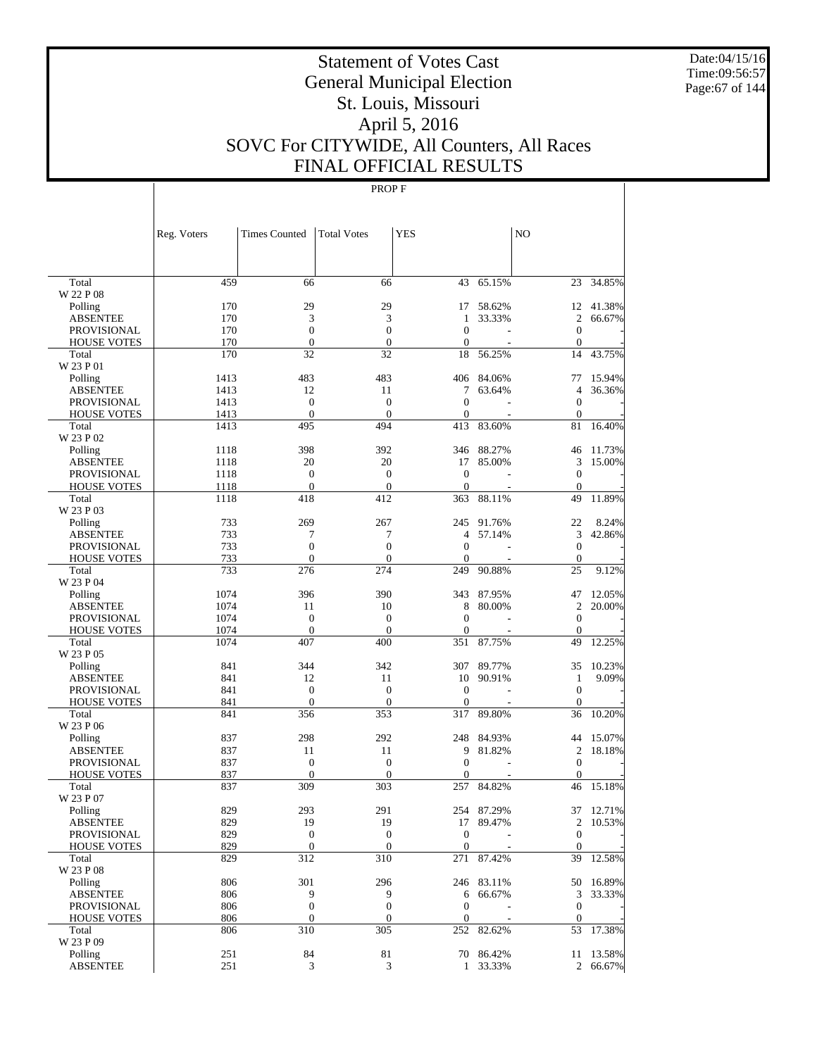Date:04/15/16 Time:09:56:57 Page:67 of 144

# Statement of Votes Cast General Municipal Election St. Louis, Missouri April 5, 2016 SOVC For CITYWIDE, All Counters, All Races FINAL OFFICIAL RESULTS

|                             | Reg. Voters | <b>Times Counted</b> | <b>Total Votes</b>  | <b>YES</b>       |            | N <sub>O</sub>                       |           |
|-----------------------------|-------------|----------------------|---------------------|------------------|------------|--------------------------------------|-----------|
|                             |             |                      |                     |                  |            |                                      |           |
| Total                       | 459         | 66                   | 66                  | 43               | 65.15%     |                                      | 23 34.85% |
| W 22 P 08                   |             |                      |                     |                  |            |                                      | 12 41.38% |
| Polling                     | 170         | 29                   | 29                  | 17<br>1          | 58.62%     | $\overline{2}$                       |           |
| <b>ABSENTEE</b>             | 170         | 3<br>$\overline{0}$  | 3<br>$\overline{0}$ | $\overline{0}$   | 33.33%     |                                      | 66.67%    |
| <b>PROVISIONAL</b>          | 170<br>170  | $\overline{0}$       | $\overline{0}$      | $\mathbf{0}$     |            | $\boldsymbol{0}$<br>$\boldsymbol{0}$ |           |
| <b>HOUSE VOTES</b><br>Total | 170         | 32                   | 32                  | 18               | 56.25%     | 14                                   | 43.75%    |
| W 23 P 01                   |             |                      |                     |                  |            |                                      |           |
| Polling                     | 1413        | 483                  | 483                 | 406              | 84.06%     | 77                                   | 15.94%    |
| <b>ABSENTEE</b>             | 1413        | 12                   | 11                  | 7                | 63.64%     | 4                                    | 36.36%    |
| <b>PROVISIONAL</b>          | 1413        | $\overline{0}$       | $\boldsymbol{0}$    | $\mathbf{0}$     |            | $\boldsymbol{0}$                     |           |
| <b>HOUSE VOTES</b>          | 1413        | $\overline{0}$       | $\mathbf{0}$        | $\mathbf{0}$     |            | $\boldsymbol{0}$                     |           |
| Total                       | 1413        | 495                  | 494                 | 413              | 83.60%     | 81                                   | 16.40%    |
| W 23 P 02                   |             |                      |                     |                  |            |                                      |           |
| Polling                     | 1118        | 398                  | 392                 | 346              | 88.27%     | 46                                   | 11.73%    |
| <b>ABSENTEE</b>             | 1118        | 20                   | 20                  | 17               | 85.00%     | 3                                    | 15.00%    |
| <b>PROVISIONAL</b>          | 1118        | $\overline{0}$       | $\boldsymbol{0}$    | $\mathbf{0}$     |            | $\boldsymbol{0}$                     |           |
| <b>HOUSE VOTES</b>          | 1118        | $\mathbf{0}$         | $\mathbf{0}$        | $\mathbf{0}$     |            | $\boldsymbol{0}$                     |           |
| Total                       | 1118        | 418                  | 412                 | 363              | 88.11%     | 49                                   | 11.89%    |
| W 23 P 03                   |             |                      |                     |                  |            |                                      |           |
| Polling                     | 733         | 269                  | 267                 | 245              | 91.76%     | 22                                   | 8.24%     |
| <b>ABSENTEE</b>             | 733         | 7                    | 7                   | 4                | 57.14%     | 3                                    | 42.86%    |
| <b>PROVISIONAL</b>          | 733         | $\overline{0}$       | $\overline{0}$      | $\mathbf{0}$     |            | $\overline{0}$                       |           |
| <b>HOUSE VOTES</b>          | 733         | $\overline{0}$       | $\overline{0}$      | $\mathbf{0}$     |            | $\boldsymbol{0}$                     |           |
| Total<br>W 23 P 04          | 733         | 276                  | 274                 | 249              | 90.88%     | 25                                   | 9.12%     |
| Polling                     | 1074        | 396                  | 390                 | 343              | 87.95%     | 47                                   | 12.05%    |
| <b>ABSENTEE</b>             | 1074        | 11                   | 10                  | 8                | 80.00%     | $\overline{2}$                       | 20.00%    |
| <b>PROVISIONAL</b>          | 1074        | $\overline{0}$       | $\boldsymbol{0}$    | $\mathbf{0}$     |            | $\boldsymbol{0}$                     |           |
| <b>HOUSE VOTES</b>          | 1074        | $\mathbf{0}$         | $\overline{0}$      | $\mathbf{0}$     |            | $\overline{0}$                       |           |
| Total                       | 1074        | 407                  | 400                 | 351              | 87.75%     | 49                                   | 12.25%    |
| W 23 P 05                   |             |                      |                     |                  |            |                                      |           |
| Polling                     | 841         | 344                  | 342                 | 307              | 89.77%     | 35                                   | 10.23%    |
| <b>ABSENTEE</b>             | 841         | 12                   | 11                  | 10               | 90.91%     | $\mathbf{1}$                         | 9.09%     |
| <b>PROVISIONAL</b>          | 841         | $\overline{0}$       | $\overline{0}$      | $\mathbf{0}$     |            | $\boldsymbol{0}$                     |           |
| <b>HOUSE VOTES</b>          | 841         | $\overline{0}$       | $\mathbf{0}$        | $\mathbf{0}$     |            | $\overline{0}$                       |           |
| Total                       | 841         | 356                  | 353                 | 317              | 89.80%     | 36                                   | 10.20%    |
| W 23 P 06                   |             |                      |                     |                  |            |                                      |           |
| Polling                     | 837         | 298                  | 292                 | 248              | 84.93%     | 44                                   | 15.07%    |
| <b>ABSENTEE</b>             | 837         | 11                   | 11                  | 9                | 81.82%     | 2                                    | 18.18%    |
| <b>PROVISIONAL</b>          | 837         | $\boldsymbol{0}$     | $\boldsymbol{0}$    | $\mathbf{0}$     |            | $\boldsymbol{0}$                     |           |
| <b>HOUSE VOTES</b>          | 837         | $\overline{0}$       | $\overline{0}$      | $\mathbf{0}$     |            | $\mathbf{0}$                         |           |
| Total                       | 837         | 309                  | 303                 | 257              | 84.82%     | 46                                   | 15.18%    |
| W 23 P 07                   |             |                      |                     |                  |            |                                      |           |
| Polling                     | 829         | 293                  | 291                 |                  | 254 87.29% |                                      | 37 12.71% |
| <b>ABSENTEE</b>             | 829         | 19                   | 19                  |                  | 17 89.47%  | $\sqrt{2}$                           | 10.53%    |
| PROVISIONAL                 | 829         | $\boldsymbol{0}$     | $\boldsymbol{0}$    | $\boldsymbol{0}$ |            | $\mathbf{0}$                         |           |
| <b>HOUSE VOTES</b>          | 829         | $\boldsymbol{0}$     | $\mathbf{0}$        | $\mathbf{0}$     |            | $\boldsymbol{0}$                     |           |
| Total                       | 829         | 312                  | 310                 | 271              | 87.42%     | 39                                   | 12.58%    |
| W 23 P 08                   |             |                      |                     |                  |            |                                      |           |
| Polling                     | 806         | 301                  | 296                 |                  | 246 83.11% |                                      | 50 16.89% |
| <b>ABSENTEE</b>             | 806         | 9                    | 9                   | 6                | 66.67%     | 3                                    | 33.33%    |
| PROVISIONAL                 | 806         | $\boldsymbol{0}$     | $\boldsymbol{0}$    | $\boldsymbol{0}$ |            | $\boldsymbol{0}$                     |           |
| <b>HOUSE VOTES</b>          | 806         | $\boldsymbol{0}$     | $\boldsymbol{0}$    | $\boldsymbol{0}$ |            | $\boldsymbol{0}$                     |           |
| Total<br>W 23 P 09          | 806         | 310                  | 305                 | 252              | 82.62%     |                                      | 53 17.38% |
| Polling                     | 251         | 84                   | 81                  |                  | 70 86.42%  |                                      | 11 13.58% |
| <b>ABSENTEE</b>             | 251         | 3                    | 3                   | $\mathbf{1}$     | 33.33%     |                                      | 2 66.67%  |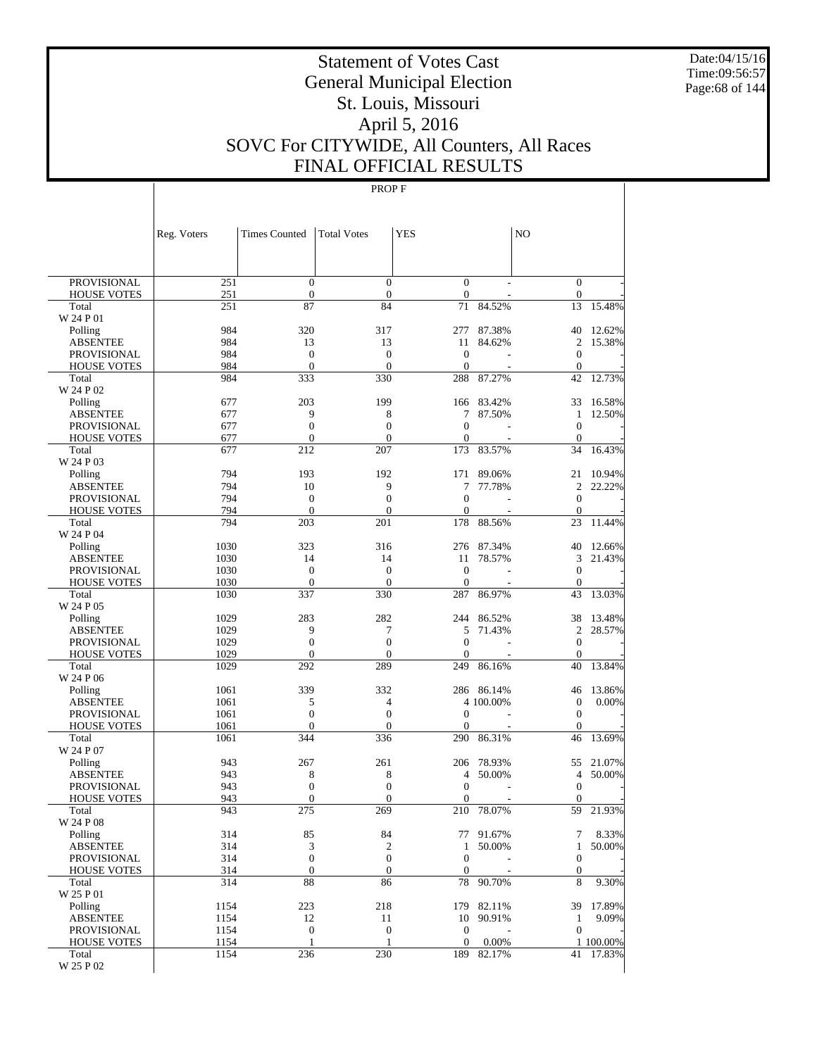Date:04/15/16 Time:09:56:57 Page:68 of 144

# Statement of Votes Cast General Municipal Election St. Louis, Missouri April 5, 2016 SOVC For CITYWIDE, All Counters, All Races FINAL OFFICIAL RESULTS

|                                   | Reg. Voters  | <b>Times Counted</b>             | <b>Total Votes</b>               | <b>YES</b>                           |                         | N <sub>O</sub>         |                  |
|-----------------------------------|--------------|----------------------------------|----------------------------------|--------------------------------------|-------------------------|------------------------|------------------|
|                                   |              |                                  |                                  |                                      |                         |                        |                  |
| <b>PROVISIONAL</b>                | 251          | $\boldsymbol{0}$                 | $\mathbf{0}$                     | $\boldsymbol{0}$                     |                         | $\boldsymbol{0}$       |                  |
| <b>HOUSE VOTES</b>                | 251          | $\boldsymbol{0}$                 | $\boldsymbol{0}$                 | $\boldsymbol{0}$                     |                         | $\boldsymbol{0}$       |                  |
| Total                             | 251          | 87                               | 84                               | 71                                   | 84.52%                  | 13                     | 15.48%           |
| W 24 P 01                         |              |                                  |                                  |                                      |                         |                        |                  |
| Polling<br>ABSENTEE               | 984<br>984   | 320<br>13                        | 317<br>13                        | 277<br>11                            | 87.38%<br>84.62%        | 40<br>$\overline{c}$   | 12.62%<br>15.38% |
| <b>PROVISIONAL</b>                | 984          | $\mathbf{0}$                     | $\boldsymbol{0}$                 | $\mathbf{0}$                         |                         | $\boldsymbol{0}$       |                  |
| <b>HOUSE VOTES</b>                | 984          | $\mathbf{0}$                     | $\boldsymbol{0}$                 | $\boldsymbol{0}$                     |                         | $\boldsymbol{0}$       |                  |
| Total                             | 984          | 333                              | 330                              | 288                                  | 87.27%                  | 42                     | 12.73%           |
| W 24 P 02                         |              |                                  |                                  |                                      |                         |                        |                  |
| Polling                           | 677          | 203                              | 199                              | 166                                  | 83.42%                  | 33                     | 16.58%           |
| ABSENTEE                          | 677          | 9                                | 8                                | 7                                    | 87.50%                  | 1                      | 12.50%           |
| PROVISIONAL                       | 677          | $\boldsymbol{0}$                 | $\boldsymbol{0}$                 | $\mathbf{0}$<br>$\mathbf{0}$         |                         | $\boldsymbol{0}$       |                  |
| <b>HOUSE VOTES</b><br>Total       | 677<br>677   | $\mathbf{0}$<br>212              | $\boldsymbol{0}$<br>207          | 173                                  | 83.57%                  | $\boldsymbol{0}$<br>34 | 16.43%           |
| W 24 P 03                         |              |                                  |                                  |                                      |                         |                        |                  |
| Polling                           | 794          | 193                              | 192                              | 171                                  | 89.06%                  | 21                     | 10.94%           |
| ABSENTEE                          | 794          | 10                               | 9                                | 7                                    | 77.78%                  | 2                      | 22.22%           |
| <b>PROVISIONAL</b>                | 794          | $\mathbf{0}$                     | $\boldsymbol{0}$                 | $\mathbf{0}$                         |                         | $\boldsymbol{0}$       |                  |
| <b>HOUSE VOTES</b>                | 794          | $\mathbf{0}$                     | $\boldsymbol{0}$                 | $\mathbf{0}$                         |                         | $\boldsymbol{0}$       |                  |
| Total                             | 794          | 203                              | 201                              | 178                                  | 88.56%                  | 23                     | 11.44%           |
| W 24 P 04                         |              |                                  |                                  |                                      |                         |                        |                  |
| Polling                           | 1030         | 323                              | 316                              | 276                                  | 87.34%                  | 40                     | 12.66%           |
| ABSENTEE                          | 1030<br>1030 | 14<br>$\mathbf{0}$               | 14<br>$\boldsymbol{0}$           | 11<br>$\mathbf{0}$                   | 78.57%                  | 3<br>$\boldsymbol{0}$  | 21.43%           |
| PROVISIONAL<br><b>HOUSE VOTES</b> | 1030         | $\mathbf{0}$                     | $\boldsymbol{0}$                 | $\mathbf{0}$                         |                         | $\boldsymbol{0}$       |                  |
| Total                             | 1030         | 337                              | 330                              | 287                                  | 86.97%                  | 43                     | 13.03%           |
| W 24 P 05                         |              |                                  |                                  |                                      |                         |                        |                  |
| Polling                           | 1029         | 283                              | 282                              | 244                                  | 86.52%                  | 38                     | 13.48%           |
| ABSENTEE                          | 1029         | 9                                | 7                                | 5                                    | 71.43%                  | 2                      | 28.57%           |
| PROVISIONAL                       | 1029         | $\boldsymbol{0}$                 | $\boldsymbol{0}$                 | $\boldsymbol{0}$                     |                         | $\boldsymbol{0}$       |                  |
| <b>HOUSE VOTES</b>                | 1029         | $\mathbf{0}$                     | $\boldsymbol{0}$                 | $\mathbf{0}$                         |                         | $\boldsymbol{0}$       |                  |
| Total                             | 1029         | 292                              | 289                              | 249                                  | 86.16%                  | 40                     | 13.84%           |
| W 24 P 06                         |              | 339                              |                                  |                                      |                         |                        |                  |
| Polling<br>ABSENTEE               | 1061<br>1061 | 5                                | 332<br>$\overline{4}$            |                                      | 286 86.14%<br>4 100.00% | 46<br>$\mathbf{0}$     | 13.86%<br>0.00%  |
| PROVISIONAL                       | 1061         | $\boldsymbol{0}$                 | $\boldsymbol{0}$                 | $\boldsymbol{0}$                     |                         | $\mathbf{0}$           |                  |
| <b>HOUSE VOTES</b>                | 1061         | $\mathbf{0}$                     | $\boldsymbol{0}$                 | $\overline{0}$                       |                         | $\boldsymbol{0}$       |                  |
| Total                             | 1061         | 344                              | 336                              | 290                                  | 86.31%                  | 46                     | 13.69%           |
| W 24 P 07                         |              |                                  |                                  |                                      |                         |                        |                  |
| Polling                           | 943          | 267                              | 261                              | 206                                  | 78.93%                  | 55                     | 21.07%           |
| ABSENTEE                          | 943          | 8                                | 8                                | 4                                    | 50.00%                  | 4                      | 50.00%           |
| <b>PROVISIONAL</b>                | 943          | $\mathbf{0}$                     | $\boldsymbol{0}$                 | $\mathbf{0}$                         |                         | $\boldsymbol{0}$       |                  |
| <b>HOUSE VOTES</b>                | 943          | $\mathbf{0}$                     | $\boldsymbol{0}$                 | $\mathbf{0}$                         |                         | $\mathbf{0}$<br>59     | 21.93%           |
| Total<br>W 24 P 08                | 943          | 275                              | 269                              | 210                                  | 78.07%                  |                        |                  |
| Polling                           | 314          | 85                               | 84                               | 77                                   | 91.67%                  | 7                      | 8.33%            |
| <b>ABSENTEE</b>                   | 314          | 3                                | $\mathfrak{2}$                   | 1                                    | 50.00%                  | $\mathbf{1}$           | 50.00%           |
| PROVISIONAL                       | 314          | $\boldsymbol{0}$                 | $\mathbf{0}$                     | $\boldsymbol{0}$                     |                         | $\boldsymbol{0}$       |                  |
| <b>HOUSE VOTES</b>                | 314          | $\boldsymbol{0}$                 | $\boldsymbol{0}$                 | $\boldsymbol{0}$                     |                         | $\boldsymbol{0}$       |                  |
| Total                             | 314          | 88                               | 86                               | 78                                   | 90.70%                  | 8                      | 9.30%            |
| W 25 P 01                         |              |                                  |                                  |                                      |                         |                        |                  |
| Polling                           | 1154         | 223                              | 218                              | 179                                  | 82.11%                  | 39                     | 17.89%           |
| <b>ABSENTEE</b>                   | 1154         | 12                               | 11                               | 10                                   | 90.91%                  | $\mathbf{1}$           | 9.09%            |
| PROVISIONAL<br><b>HOUSE VOTES</b> | 1154<br>1154 | $\boldsymbol{0}$<br>$\mathbf{1}$ | $\boldsymbol{0}$<br>$\mathbf{1}$ | $\boldsymbol{0}$<br>$\boldsymbol{0}$ | 0.00%                   | $\boldsymbol{0}$       | 1 100.00%        |
| Total                             | 1154         | 236                              | 230                              | 189                                  | 82.17%                  |                        | 41 17.83%        |
| W 25 P 02                         |              |                                  |                                  |                                      |                         |                        |                  |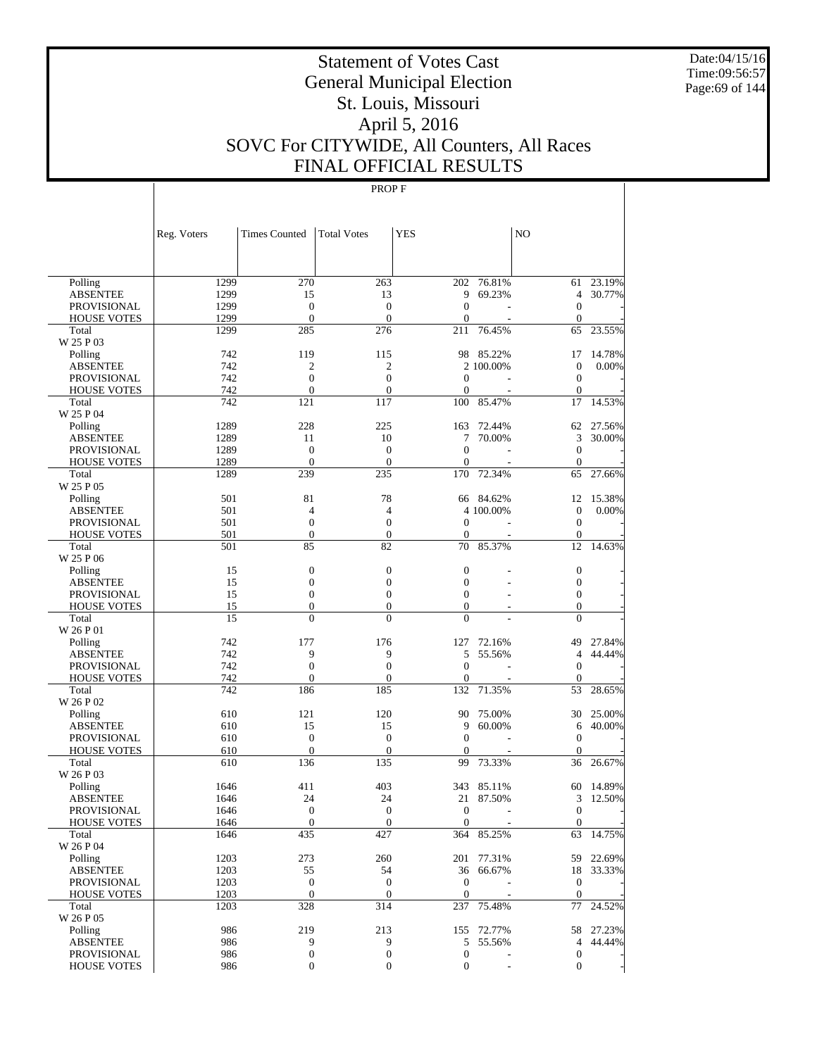Date:04/15/16 Time:09:56:57 Page:69 of 144

# Statement of Votes Cast General Municipal Election St. Louis, Missouri April 5, 2016 SOVC For CITYWIDE, All Counters, All Races FINAL OFFICIAL RESULTS

|                                       | Reg. Voters  | <b>Times Counted</b>             | <b>Total Votes</b>                   | <b>YES</b>                   |                  | N <sub>O</sub>         |                     |
|---------------------------------------|--------------|----------------------------------|--------------------------------------|------------------------------|------------------|------------------------|---------------------|
|                                       |              |                                  |                                      |                              |                  |                        |                     |
|                                       |              |                                  |                                      |                              |                  |                        |                     |
| Polling                               | 1299         | 270                              | 263                                  | 202<br>9                     | 76.81%<br>69.23% | 61<br>$\overline{4}$   | 23.19%<br>30.77%    |
| <b>ABSENTEE</b><br><b>PROVISIONAL</b> | 1299<br>1299 | 15<br>$\boldsymbol{0}$           | 13<br>$\boldsymbol{0}$               | $\mathbf{0}$                 |                  | $\boldsymbol{0}$       |                     |
| <b>HOUSE VOTES</b>                    | 1299         | $\mathbf{0}$                     | $\boldsymbol{0}$                     | $\boldsymbol{0}$             |                  | $\boldsymbol{0}$       |                     |
| Total                                 | 1299         | 285                              | 276                                  | 211                          | 76.45%           | 65                     | 23.55%              |
| W 25 P 03                             |              |                                  |                                      |                              |                  |                        |                     |
| Polling                               | 742          | 119                              | 115                                  | 98                           | 85.22%           | 17                     | 14.78%              |
| ABSENTEE                              | 742          | $\overline{c}$                   | $\overline{2}$                       |                              | 2 100.00%        | $\boldsymbol{0}$       | 0.00%               |
| <b>PROVISIONAL</b>                    | 742          | $\mathbf{0}$                     | $\boldsymbol{0}$                     | $\mathbf{0}$                 |                  | $\boldsymbol{0}$       |                     |
| <b>HOUSE VOTES</b>                    | 742          | $\boldsymbol{0}$                 | $\boldsymbol{0}$                     | $\mathbf{0}$                 |                  | $\boldsymbol{0}$       |                     |
| Total                                 | 742          | 121                              | 117                                  | 100                          | 85.47%           | 17                     | 14.53%              |
| W 25 P 04                             |              |                                  |                                      |                              |                  |                        |                     |
| Polling                               | 1289         | 228                              | 225                                  | 163                          | 72.44%           | 62                     | 27.56%              |
| ABSENTEE                              | 1289         | 11                               | 10                                   | 7                            | 70.00%           | 3                      | 30.00%              |
| <b>PROVISIONAL</b>                    | 1289         | $\boldsymbol{0}$                 | $\boldsymbol{0}$                     | $\mathbf{0}$                 |                  | $\boldsymbol{0}$       |                     |
| <b>HOUSE VOTES</b><br>Total           | 1289<br>1289 | $\mathbf{0}$<br>239              | $\boldsymbol{0}$<br>235              | $\mathbf{0}$<br>170          | 72.34%           | $\overline{0}$<br>65   | 27.66%              |
| W 25 P 05                             |              |                                  |                                      |                              |                  |                        |                     |
| Polling                               | 501          | 81                               | 78                                   |                              | 66 84.62%        | 12                     | 15.38%              |
| ABSENTEE                              | 501          | 4                                | 4                                    |                              | 4 100.00%        | $\overline{0}$         | 0.00%               |
| <b>PROVISIONAL</b>                    | 501          | $\boldsymbol{0}$                 | $\boldsymbol{0}$                     | $\boldsymbol{0}$             |                  | $\boldsymbol{0}$       |                     |
| <b>HOUSE VOTES</b>                    | 501          | $\boldsymbol{0}$                 | 0                                    | $\boldsymbol{0}$             |                  | $\boldsymbol{0}$       |                     |
| Total                                 | 501          | 85                               | 82                                   | 70                           | 85.37%           | 12                     | 14.63%              |
| W 25 P 06                             |              |                                  |                                      |                              |                  |                        |                     |
| Polling                               | 15           | $\boldsymbol{0}$                 | $\boldsymbol{0}$                     | $\boldsymbol{0}$             |                  | $\boldsymbol{0}$       |                     |
| ABSENTEE                              | 15           | $\boldsymbol{0}$                 | $\boldsymbol{0}$                     | $\mathbf{0}$                 |                  | $\boldsymbol{0}$       |                     |
| <b>PROVISIONAL</b>                    | 15           | $\boldsymbol{0}$                 | $\boldsymbol{0}$                     | $\boldsymbol{0}$             |                  | $\boldsymbol{0}$       |                     |
| <b>HOUSE VOTES</b>                    | 15           | $\boldsymbol{0}$                 | $\boldsymbol{0}$                     | $\boldsymbol{0}$             |                  | $\boldsymbol{0}$       |                     |
| Total                                 | 15           | $\overline{0}$                   | $\overline{0}$                       | $\overline{0}$               |                  | $\overline{0}$         |                     |
| W 26 P 01                             |              |                                  |                                      |                              |                  |                        |                     |
| Polling                               | 742          | 177                              | 176                                  | 127                          | 72.16%           | 49                     | 27.84%              |
| ABSENTEE                              | 742          | 9                                | 9                                    | 5                            | 55.56%           | $\overline{4}$         | 44.44%              |
| PROVISIONAL                           | 742          | $\boldsymbol{0}$<br>$\mathbf{0}$ | $\boldsymbol{0}$<br>$\boldsymbol{0}$ | $\mathbf{0}$<br>$\mathbf{0}$ |                  | $\boldsymbol{0}$       |                     |
| <b>HOUSE VOTES</b><br>Total           | 742<br>742   | 186                              | 185                                  | 132                          | 71.35%           | $\boldsymbol{0}$<br>53 | 28.65%              |
| W 26 P 02                             |              |                                  |                                      |                              |                  |                        |                     |
| Polling                               | 610          | 121                              | 120                                  | 90                           | 75.00%           | 30                     | 25.00%              |
| <b>ABSENTEE</b>                       | 610          | 15                               | 15                                   | 9                            | 60.00%           | 6                      | 40.00%              |
| PROVISIONAL                           | 610          | $\boldsymbol{0}$                 | $\boldsymbol{0}$                     | $\mathbf{0}$                 |                  | $\boldsymbol{0}$       |                     |
| <b>HOUSE VOTES</b>                    | 610          | $\boldsymbol{0}$                 | $\boldsymbol{0}$                     | $\mathbf{0}$                 |                  | $\mathbf{0}$           |                     |
| Total                                 | 610          | 136                              | 135                                  | 99                           | 73.33%           | 36                     | 26.67%              |
| W 26 P 03                             |              |                                  |                                      |                              |                  |                        |                     |
| Polling                               | 1646         | 411                              | 403                                  | 343                          | 85.11%           | 60                     | 14.89%              |
| <b>ABSENTEE</b>                       | 1646         | 24                               | 24                                   | 21                           | 87.50%           | 3                      | 12.50%              |
| PROVISIONAL                           | 1646         | $\mathbf{0}$                     | $\overline{0}$                       | $\mathbf{0}$                 |                  | $\overline{0}$         |                     |
| <b>HOUSE VOTES</b>                    | 1646         | $\mathbf{0}$                     | $\mathbf{0}$                         | $\mathbf{0}$                 |                  | $\overline{0}$         |                     |
| Total                                 | 1646         | 435                              | 427                                  | 364                          | 85.25%           | 63                     | 14.75%              |
| W 26 P 04                             |              |                                  |                                      |                              |                  |                        |                     |
| Polling<br><b>ABSENTEE</b>            | 1203<br>1203 | 273<br>55                        | 260<br>54                            | 201<br>36                    | 77.31%<br>66.67% | 18                     | 59 22.69%<br>33.33% |
| PROVISIONAL                           | 1203         | $\boldsymbol{0}$                 | $\mathbf{0}$                         | $\boldsymbol{0}$             |                  | $\boldsymbol{0}$       |                     |
| <b>HOUSE VOTES</b>                    | 1203         | $\mathbf{0}$                     | $\mathbf{0}$                         | $\boldsymbol{0}$             |                  | $\mathbf{0}$           |                     |
| Total                                 | 1203         | 328                              | 314                                  | 237                          | 75.48%           | 77                     | 24.52%              |
| W 26 P 05                             |              |                                  |                                      |                              |                  |                        |                     |
| Polling                               | 986          | 219                              | 213                                  | 155                          | 72.77%           | 58                     | 27.23%              |
| <b>ABSENTEE</b>                       | 986          | 9                                | 9                                    | 5                            | 55.56%           | 4                      | 44.44%              |
| PROVISIONAL                           | 986          | $\boldsymbol{0}$                 | $\boldsymbol{0}$                     | $\boldsymbol{0}$             |                  | $\mathbf{0}$           |                     |
| <b>HOUSE VOTES</b>                    | 986          | $\boldsymbol{0}$                 | 0                                    | $\boldsymbol{0}$             |                  | $\overline{0}$         |                     |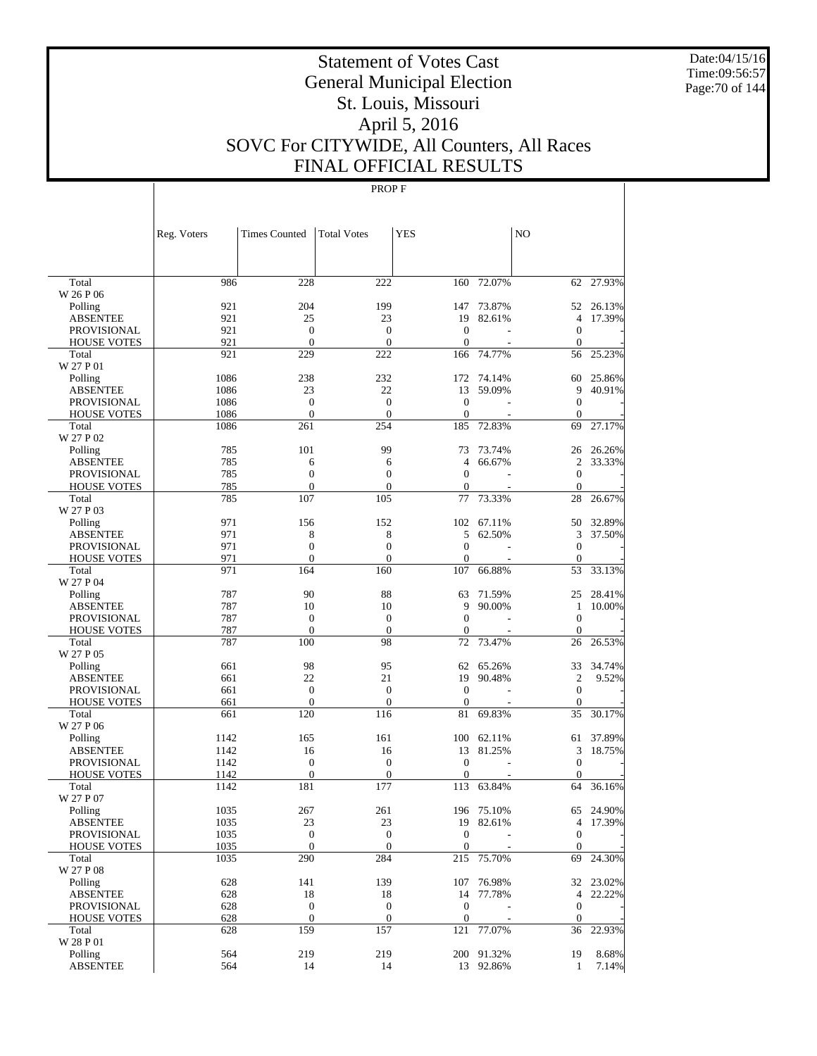Date:04/15/16 Time:09:56:57 Page:70 of 144

# Statement of Votes Cast General Municipal Election St. Louis, Missouri April 5, 2016 SOVC For CITYWIDE, All Counters, All Races FINAL OFFICIAL RESULTS

|                             | Reg. Voters | <b>Times Counted</b> | <b>Total Votes</b>    | <b>YES</b>       |                  | NO                     |           |
|-----------------------------|-------------|----------------------|-----------------------|------------------|------------------|------------------------|-----------|
|                             |             |                      |                       |                  |                  |                        |           |
| Total                       | 986         | 228                  | 222                   | 160              | 72.07%           | 62                     | 27.93%    |
| W 26 P 06                   |             | 204                  | 199                   |                  |                  |                        | 26.13%    |
| Polling<br><b>ABSENTEE</b>  | 921<br>921  | 25                   | 23                    | 147<br>19        | 73.87%<br>82.61% | 52<br>4                | 17.39%    |
| <b>PROVISIONAL</b>          | 921         | $\overline{0}$       | $\boldsymbol{0}$      | $\overline{0}$   |                  | $\boldsymbol{0}$       |           |
| <b>HOUSE VOTES</b>          | 921         | $\mathbf{0}$         | $\mathbf{0}$          | $\mathbf{0}$     |                  | $\boldsymbol{0}$       |           |
| Total                       | 921         | 229                  | 222                   | 166              | 74.77%           | 56                     | 25.23%    |
| W 27 P 01                   |             |                      |                       |                  |                  |                        |           |
| Polling                     | 1086        | 238                  | 232                   | 172              | 74.14%           | 60                     | 25.86%    |
| <b>ABSENTEE</b>             | 1086        | 23                   | 22                    | 13               | 59.09%           | 9                      | 40.91%    |
| <b>PROVISIONAL</b>          | 1086        | $\overline{0}$       | $\overline{0}$        | $\mathbf{0}$     |                  | $\boldsymbol{0}$       |           |
| <b>HOUSE VOTES</b>          | 1086        | $\mathbf{0}$         | $\overline{0}$        | $\mathbf{0}$     |                  | $\boldsymbol{0}$       |           |
| Total                       | 1086        | 261                  | 254                   | 185              | 72.83%           | 69                     | 27.17%    |
| W 27 P 02                   |             |                      |                       |                  |                  |                        |           |
| Polling                     | 785         | 101                  | 99                    | 73               | 73.74%           |                        | 26 26.26% |
| <b>ABSENTEE</b>             | 785         | 6                    | 6                     | $\overline{4}$   | 66.67%           | 2                      | 33.33%    |
| <b>PROVISIONAL</b>          | 785         | $\overline{0}$       | $\mathbf{0}$          | $\overline{0}$   |                  | $\boldsymbol{0}$       |           |
| <b>HOUSE VOTES</b>          | 785         | $\mathbf{0}$         | $\overline{0}$        | 0                |                  | $\overline{0}$         |           |
| Total                       | 785         | 107                  | 105                   | 77               | 73.33%           | 28                     | 26.67%    |
| W 27 P 03                   |             |                      |                       |                  |                  |                        |           |
| Polling                     | 971         | 156                  | 152                   | 102              | 67.11%           | 50                     | 32.89%    |
| <b>ABSENTEE</b>             | 971         | 8                    | 8                     | 5                | 62.50%           | 3                      | 37.50%    |
| <b>PROVISIONAL</b>          | 971         | $\overline{0}$       | $\overline{0}$        | $\mathbf{0}$     |                  | $\overline{0}$         |           |
| <b>HOUSE VOTES</b><br>Total | 971<br>971  | $\mathbf{0}$<br>164  | $\overline{0}$<br>160 | 0<br>107         | 66.88%           | $\boldsymbol{0}$<br>53 | 33.13%    |
| W 27 P 04                   |             |                      |                       |                  |                  |                        |           |
| Polling                     | 787         | 90                   | 88                    | 63               | 71.59%           | 25                     | 28.41%    |
| <b>ABSENTEE</b>             | 787         | 10                   | 10                    | 9                | 90.00%           | 1                      | 10.00%    |
| <b>PROVISIONAL</b>          | 787         | $\overline{0}$       | $\boldsymbol{0}$      | $\mathbf{0}$     |                  | $\boldsymbol{0}$       |           |
| <b>HOUSE VOTES</b>          | 787         | $\mathbf{0}$         | $\boldsymbol{0}$      | 0                |                  | $\overline{0}$         |           |
| Total<br>W 27 P 05          | 787         | 100                  | 98                    | 72               | 73.47%           | 26                     | 26.53%    |
| Polling                     | 661         | 98                   | 95                    | 62               | 65.26%           | 33                     | 34.74%    |
| <b>ABSENTEE</b>             | 661         | 22                   | 21                    | 19               | 90.48%           | $\mathfrak{2}$         | 9.52%     |
| <b>PROVISIONAL</b>          | 661         | $\mathbf{0}$         | $\boldsymbol{0}$      | $\overline{0}$   |                  | $\mathbf{0}$           |           |
| <b>HOUSE VOTES</b>          | 661         | $\mathbf{0}$         | $\boldsymbol{0}$      | $\boldsymbol{0}$ |                  | $\boldsymbol{0}$       |           |
| Total                       | 661         | 120                  | 116                   | 81               | 69.83%           | 35                     | 30.17%    |
| W 27 P 06                   |             |                      |                       |                  |                  |                        |           |
| Polling                     | 1142        | 165                  | 161                   | 100              | 62.11%           | 61                     | 37.89%    |
| <b>ABSENTEE</b>             | 1142        | 16                   | 16                    | 13               | 81.25%           | 3                      | 18.75%    |
| <b>PROVISIONAL</b>          | 1142        | $\boldsymbol{0}$     | $\boldsymbol{0}$      | $\mathbf{0}$     |                  | $\boldsymbol{0}$       |           |
| <b>HOUSE VOTES</b>          | 1142        | $\mathbf{0}$         | $\overline{0}$        | 0                |                  | $\overline{0}$         |           |
| Total                       | 1142        | 181                  | 177                   | 113              | 63.84%           | 64                     | 36.16%    |
| W 27 P 07                   |             |                      |                       |                  |                  |                        |           |
| Polling                     | 1035        | 267                  | 261                   |                  | 196 75.10%       | 65                     | 24.90%    |
| <b>ABSENTEE</b>             | 1035        | 23                   | 23                    |                  | 19 82.61%        | 4                      | 17.39%    |
| <b>PROVISIONAL</b>          | 1035        | $\boldsymbol{0}$     | $\boldsymbol{0}$      | $\boldsymbol{0}$ |                  | $\mathbf{0}$           |           |
| <b>HOUSE VOTES</b>          | 1035        | $\boldsymbol{0}$     | $\boldsymbol{0}$      | $\mathbf{0}$     |                  | $\boldsymbol{0}$       |           |
| Total<br>W 27 P 08          | 1035        | 290                  | 284                   | 215              | 75.70%           | 69                     | 24.30%    |
| Polling                     | 628         | 141                  | 139                   | 107              | 76.98%           | 32                     | 23.02%    |
| <b>ABSENTEE</b>             | 628         | 18                   | 18                    | 14               | 77.78%           | 4                      | 22.22%    |
| <b>PROVISIONAL</b>          | 628         | $\boldsymbol{0}$     | $\boldsymbol{0}$      | $\boldsymbol{0}$ |                  | $\boldsymbol{0}$       |           |
| <b>HOUSE VOTES</b>          | 628         | $\boldsymbol{0}$     | $\boldsymbol{0}$      | $\mathbf{0}$     |                  | $\boldsymbol{0}$       |           |
| Total                       | 628         | 159                  | 157                   | 121              | 77.07%           | 36                     | 22.93%    |
| W 28 P 01                   |             |                      |                       |                  |                  |                        |           |
| Polling                     | 564         | 219                  | 219                   |                  | 200 91.32%       | 19                     | 8.68%     |
| <b>ABSENTEE</b>             | 564         | 14                   | 14                    |                  | 13 92.86%        | $\mathbf{1}$           | 7.14%     |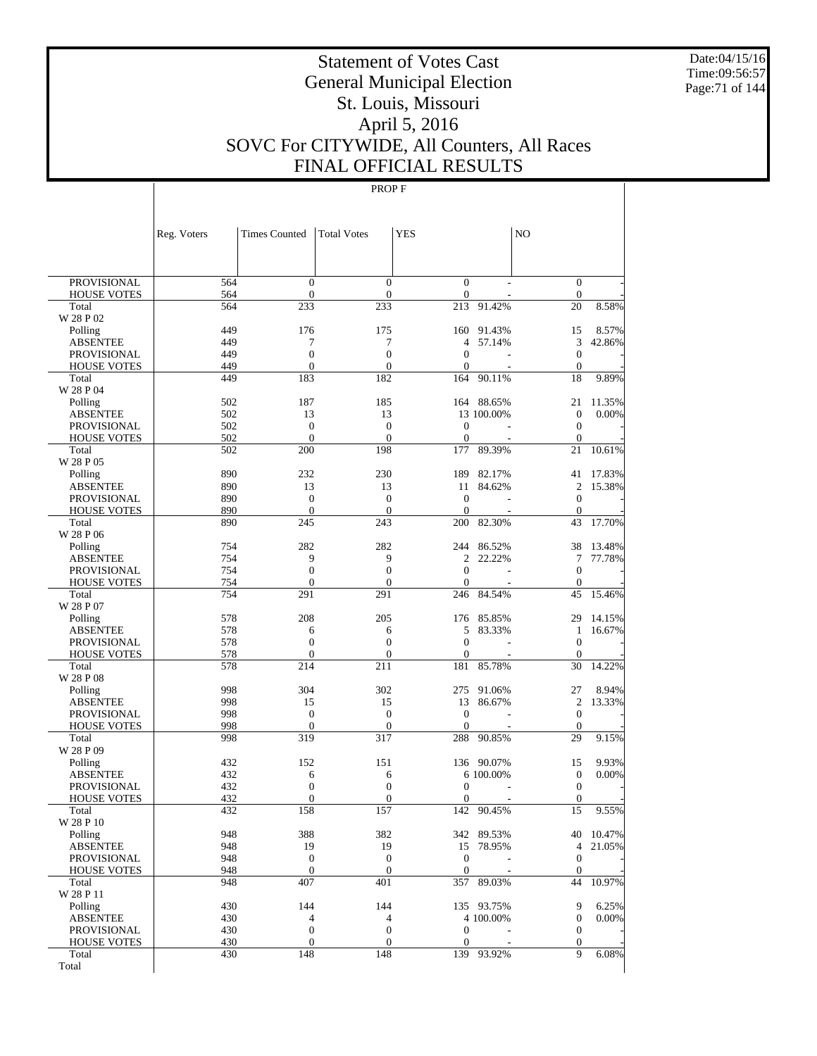Date:04/15/16 Time:09:56:57 Page:71 of 144

# Statement of Votes Cast General Municipal Election St. Louis, Missouri April 5, 2016 SOVC For CITYWIDE, All Counters, All Races FINAL OFFICIAL RESULTS

|                                   | Reg. Voters | <b>Times Counted</b>                 | <b>Total Votes</b>               | <b>YES</b>                   |                  | N <sub>O</sub>                   |                  |
|-----------------------------------|-------------|--------------------------------------|----------------------------------|------------------------------|------------------|----------------------------------|------------------|
|                                   |             |                                      |                                  |                              |                  |                                  |                  |
| PROVISIONAL                       | 564         | $\boldsymbol{0}$                     | $\boldsymbol{0}$                 | $\boldsymbol{0}$             |                  | $\boldsymbol{0}$                 |                  |
| <b>HOUSE VOTES</b>                | 564         | $\boldsymbol{0}$                     | $\mathbf{0}$                     | $\mathbf{0}$                 |                  | $\mathbf{0}$                     |                  |
| Total                             | 564         | 233                                  | 233                              | 213                          | 91.42%           | 20                               | 8.58%            |
| W 28 P 02                         |             |                                      |                                  |                              |                  |                                  |                  |
| Polling<br><b>ABSENTEE</b>        | 449<br>449  | 176<br>7                             | 175<br>7                         | 160<br>4                     | 91.43%<br>57.14% | 15<br>3                          | 8.57%<br>42.86%  |
| PROVISIONAL                       | 449         | $\boldsymbol{0}$                     | $\mathbf{0}$                     | $\overline{0}$               |                  | $\boldsymbol{0}$                 |                  |
| <b>HOUSE VOTES</b>                | 449         | $\overline{0}$                       | $\mathbf{0}$                     | $\overline{0}$               |                  | $\mathbf{0}$                     |                  |
| Total                             | 449         | 183                                  | 182                              | 164                          | 90.11%           | 18                               | 9.89%            |
| W 28 P 04                         |             |                                      |                                  |                              |                  |                                  |                  |
| Polling                           | 502         | 187                                  | 185                              | 164                          | 88.65%           | 21                               | 11.35%           |
| <b>ABSENTEE</b>                   | 502         | 13                                   | 13                               |                              | 13 100.00%       | $\boldsymbol{0}$                 | 0.00%            |
| PROVISIONAL                       | 502         | $\mathbf{0}$<br>$\mathbf{0}$         | $\mathbf{0}$                     | $\mathbf{0}$                 |                  | $\boldsymbol{0}$                 |                  |
| <b>HOUSE VOTES</b><br>Total       | 502<br>502  | 200                                  | $\boldsymbol{0}$<br>198          | $\theta$<br>177              | 89.39%           | $\mathbf{0}$<br>21               | 10.61%           |
| W 28 P 05                         |             |                                      |                                  |                              |                  |                                  |                  |
| Polling                           | 890         | 232                                  | 230                              | 189                          | 82.17%           | 41                               | 17.83%           |
| <b>ABSENTEE</b>                   | 890         | 13                                   | 13                               | 11                           | 84.62%           | $\overline{c}$                   | 15.38%           |
| PROVISIONAL                       | 890         | $\mathbf{0}$                         | $\mathbf{0}$                     | $\mathbf{0}$                 |                  | $\boldsymbol{0}$                 |                  |
| <b>HOUSE VOTES</b>                | 890         | $\mathbf{0}$                         | $\boldsymbol{0}$                 | $\theta$                     |                  | $\mathbf 0$                      |                  |
| Total                             | 890         | 245                                  | 243                              | 200                          | 82.30%           | 43                               | 17.70%           |
| W 28 P 06<br>Polling              | 754         | 282                                  | 282                              | 244                          | 86.52%           | 38                               |                  |
| <b>ABSENTEE</b>                   | 754         | 9                                    | 9                                | 2                            | 22.22%           | 7                                | 13.48%<br>77.78% |
| PROVISIONAL                       | 754         | $\mathbf{0}$                         | $\boldsymbol{0}$                 | $\mathbf{0}$                 |                  | $\boldsymbol{0}$                 |                  |
| <b>HOUSE VOTES</b>                | 754         | $\boldsymbol{0}$                     | $\mathbf{0}$                     | $\theta$                     |                  | $\mathbf{0}$                     |                  |
| Total                             | 754         | 291                                  | 291                              | 246                          | 84.54%           | 45                               | 15.46%           |
| W 28 P 07                         |             |                                      |                                  |                              |                  |                                  |                  |
| Polling                           | 578         | 208                                  | 205                              | 176                          | 85.85%           | 29                               | 14.15%           |
| <b>ABSENTEE</b>                   | 578         | 6                                    | 6                                | 5                            | 83.33%           | 1                                | 16.67%           |
| PROVISIONAL                       | 578         | $\boldsymbol{0}$                     | $\mathbf{0}$                     | $\mathbf{0}$                 |                  | $\mathbf{0}$                     |                  |
| <b>HOUSE VOTES</b><br>Total       | 578<br>578  | $\mathbf{0}$<br>214                  | $\boldsymbol{0}$<br>211          | $\overline{0}$<br>181        | 85.78%           | $\mathbf{0}$<br>30               | 14.22%           |
| W 28 P 08                         |             |                                      |                                  |                              |                  |                                  |                  |
| Polling                           | 998         | 304                                  | 302                              | 275                          | 91.06%           | 27                               | 8.94%            |
| <b>ABSENTEE</b>                   | 998         | 15                                   | 15                               | 13                           | 86.67%           | $\mathfrak{2}$                   | 13.33%           |
| PROVISIONAL                       | 998         | $\mathbf{0}$                         | $\mathbf{0}$                     | $\mathbf{0}$                 |                  | $\boldsymbol{0}$                 |                  |
| <b>HOUSE VOTES</b>                | 998         | $\mathbf{0}$                         | $\mathbf{0}$                     | $\theta$                     |                  | $\mathbf{0}$                     |                  |
| Total                             | 998         | 319                                  | 317                              | 288                          | 90.85%           | 29                               | 9.15%            |
| W 28 P 09                         | 432         | 152                                  | 151                              |                              | 136 90.07%       | 15                               | 9.93%            |
| Polling<br><b>ABSENTEE</b>        | 432         | 6                                    | 6                                |                              | 6 100.00%        | $\boldsymbol{0}$                 | $0.00\%$         |
| PROVISIONAL                       | 432         | $\boldsymbol{0}$                     | $\mathbf{0}$                     | $\mathbf{0}$                 |                  | $\boldsymbol{0}$                 |                  |
| <b>HOUSE VOTES</b>                | 432         | $\overline{0}$                       | $\mathbf{0}$                     | $\overline{0}$               |                  | $\mathbf{0}$                     |                  |
| Total                             | 432         | 158                                  | 157                              | 142                          | 90.45%           | 15                               | 9.55%            |
| W 28 P 10                         |             |                                      |                                  |                              |                  |                                  |                  |
| Polling                           | 948         | 388                                  | 382                              |                              | 342 89.53%       |                                  | 40 10.47%        |
| <b>ABSENTEE</b>                   | 948         | 19                                   | 19                               |                              | 15 78.95%        | 4                                | 21.05%           |
| PROVISIONAL<br><b>HOUSE VOTES</b> | 948<br>948  | $\boldsymbol{0}$<br>$\boldsymbol{0}$ | $\boldsymbol{0}$<br>$\mathbf{0}$ | $\mathbf{0}$<br>$\mathbf{0}$ |                  | $\boldsymbol{0}$<br>$\mathbf{0}$ |                  |
| Total                             | 948         | 407                                  | 401                              | 357                          | 89.03%           | 44                               | 10.97%           |
| W 28 P 11                         |             |                                      |                                  |                              |                  |                                  |                  |
| Polling                           | 430         | 144                                  | 144                              |                              | 135 93.75%       | 9                                | 6.25%            |
| <b>ABSENTEE</b>                   | 430         | $\overline{4}$                       | 4                                |                              | 4 100.00%        | $\boldsymbol{0}$                 | $0.00\%$         |
| PROVISIONAL                       | 430         | $\boldsymbol{0}$                     | $\boldsymbol{0}$                 | $\mathbf{0}$                 |                  | $\boldsymbol{0}$                 |                  |
| <b>HOUSE VOTES</b>                | 430         | $\boldsymbol{0}$                     | $\boldsymbol{0}$                 | $\boldsymbol{0}$             |                  | $\boldsymbol{0}$                 |                  |
| Total                             | 430         | 148                                  | 148                              |                              | 139 93.92%       | 9                                | 6.08%            |
| Total                             |             |                                      |                                  |                              |                  |                                  |                  |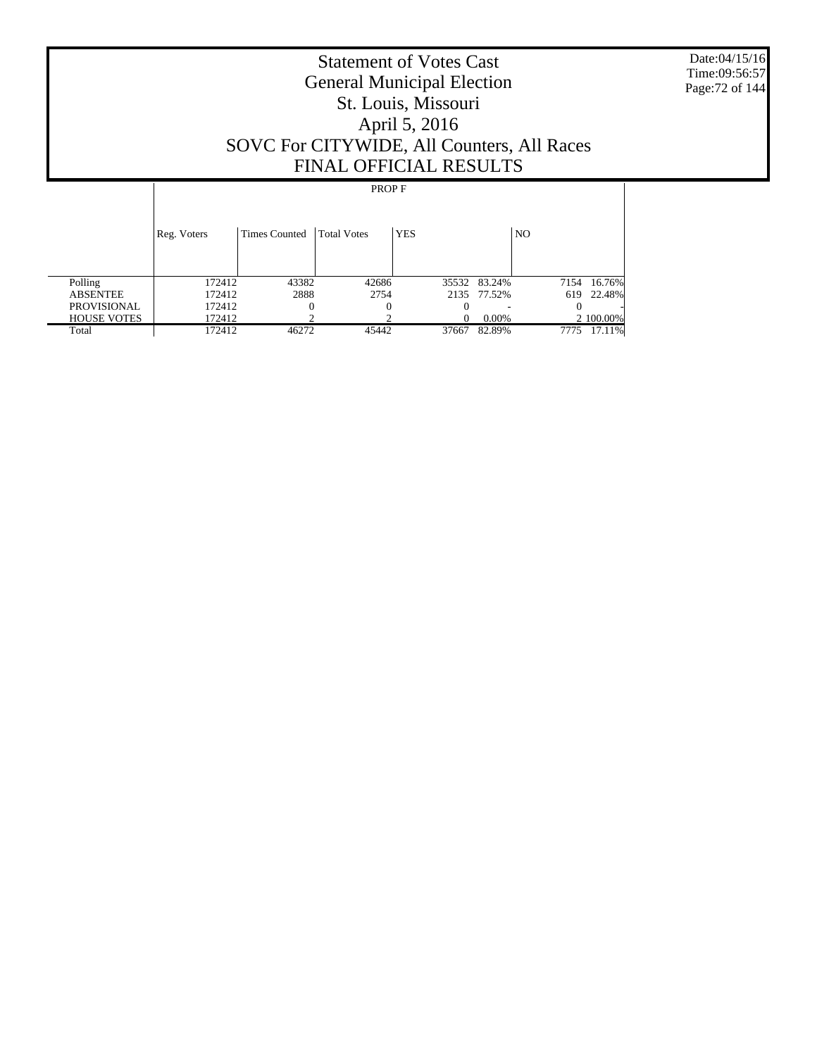Date:04/15/16 Time:09:56:57 Page:72 of 144

# Statement of Votes Cast General Municipal Election St. Louis, Missouri April 5, 2016 SOVC For CITYWIDE, All Counters, All Races FINAL OFFICIAL RESULTS

|                    | Reg. Voters | <b>Times Counted</b> | <b>Total Votes</b> | <b>YES</b> |              | N <sub>O</sub> |             |
|--------------------|-------------|----------------------|--------------------|------------|--------------|----------------|-------------|
| Polling            | 172412      | 43382                | 42686              |            | 35532 83.24% |                | 7154 16.76% |
| <b>ABSENTEE</b>    | 172412      | 2888                 | 2754               |            | 2135 77.52%  | 619            | 22.48%      |
| <b>PROVISIONAL</b> | 172412      | 0                    | $\theta$           |            |              |                |             |
| <b>HOUSE VOTES</b> | 172412      |                      |                    |            | $0.00\%$     |                | 2 100.00%   |
| Total              | 172412      | 46272                | 45442              | 37667      | 82.89%       | 7775           | 17.11%      |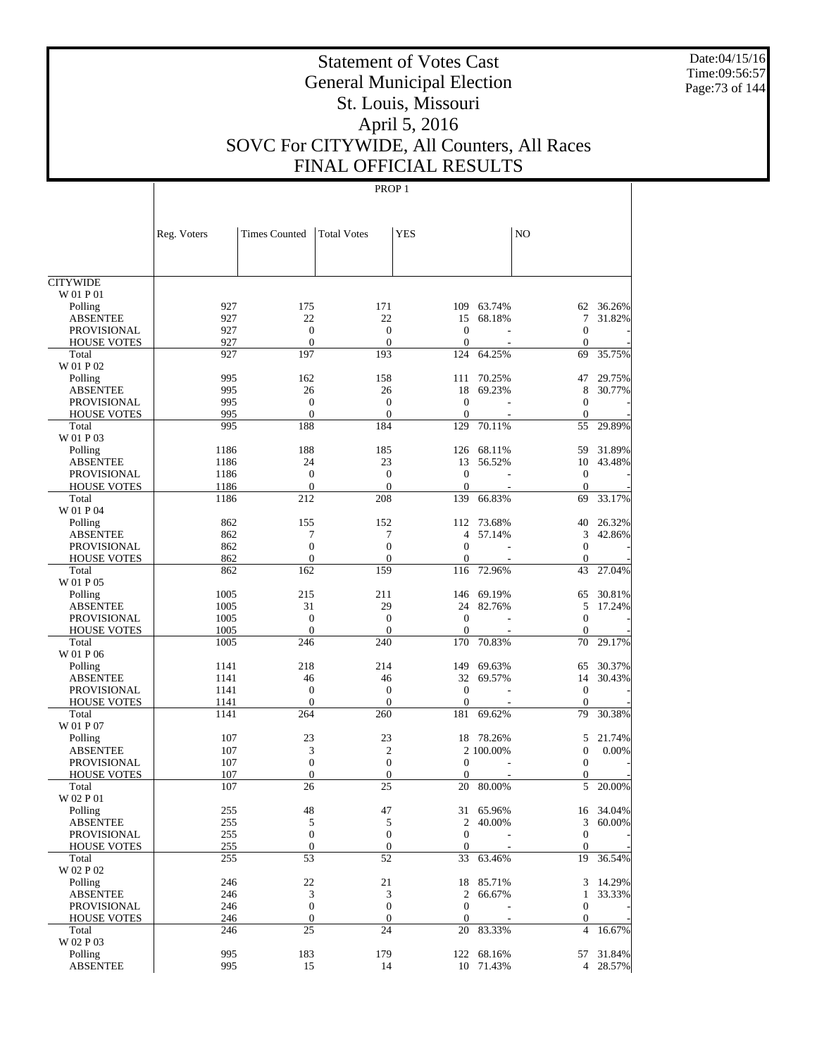Date:04/15/16 Time:09:56:57 Page:73 of 144

# Statement of Votes Cast General Municipal Election St. Louis, Missouri April 5, 2016 SOVC For CITYWIDE, All Counters, All Races FINAL OFFICIAL RESULTS

|                                | Reg. Voters  | <b>Times Counted</b>   | <b>Total Votes</b>     | <b>YES</b>       |                       | N <sub>O</sub>                 |                       |
|--------------------------------|--------------|------------------------|------------------------|------------------|-----------------------|--------------------------------|-----------------------|
|                                |              |                        |                        |                  |                       |                                |                       |
| <b>CITYWIDE</b>                |              |                        |                        |                  |                       |                                |                       |
| W 01 P 01                      |              |                        |                        |                  |                       |                                |                       |
| Polling                        | 927          | 175                    | 171                    |                  | 109 63.74%            |                                | 62 36.26%             |
| <b>ABSENTEE</b>                | 927          | 22                     | 22                     | 15               | 68.18%                | $\tau$                         | 31.82%                |
| PROVISIONAL                    | 927          | $\overline{0}$         | $\mathbf{0}$           | $\theta$         |                       | $\mathbf{0}$                   |                       |
| <b>HOUSE VOTES</b>             | 927          | $\theta$               | $\Omega$               | $\theta$         |                       | $\Omega$                       |                       |
| Total<br>W 01 P 02             | 927          | 197                    | 193                    | 124              | 64.25%                | 69                             | 35.75%                |
| Polling                        | 995          | 162                    | 158                    | 111              | 70.25%                | 47                             | 29.75%                |
| <b>ABSENTEE</b>                | 995          | 26                     | 26                     | 18               | 69.23%                | 8                              | 30.77%                |
| <b>PROVISIONAL</b>             | 995          | $\overline{0}$         | $\mathbf{0}$           | $\Omega$         |                       | $\mathbf{0}$                   |                       |
| <b>HOUSE VOTES</b>             | 995          | $\theta$               | $\Omega$               | $\mathbf{0}$     |                       | $\mathbf{0}$                   |                       |
| Total                          | 995          | 188                    | 184                    | 129              | 70.11%                | 55                             | 29.89%                |
| W 01 P 03                      |              |                        |                        |                  |                       |                                |                       |
| Polling                        | 1186         | 188<br>24              | 185<br>23              | 126<br>13        | 68.11%<br>56.52%      | 59                             | 31.89%<br>43.48%      |
| <b>ABSENTEE</b><br>PROVISIONAL | 1186<br>1186 | $\overline{0}$         | $\mathbf{0}$           | $\mathbf{0}$     |                       | 10<br>$\theta$                 |                       |
| <b>HOUSE VOTES</b>             | 1186         | $\theta$               | $\Omega$               | $\mathbf{0}$     |                       | $\Omega$                       |                       |
| Total                          | 1186         | 212                    | 208                    | 139              | 66.83%                | 69                             | 33.17%                |
| W 01 P 04                      |              |                        |                        |                  |                       |                                |                       |
| Polling                        | 862          | 155                    | 152                    | 112              | 73.68%                | 40                             | 26.32%                |
| <b>ABSENTEE</b>                | 862          | 7                      | 7                      | 4                | 57.14%                | 3                              | 42.86%                |
| <b>PROVISIONAL</b>             | 862          | $\Omega$               | $\mathbf{0}$           | $\theta$         |                       | $\mathbf{0}$                   |                       |
| <b>HOUSE VOTES</b>             | 862          | $\overline{0}$         | $\overline{0}$         | $\mathbf{0}$     |                       | $\mathbf{0}$                   |                       |
| Total                          | 862          | 162                    | 159                    | 116              | 72.96%                | 43                             | 27.04%                |
| W 01 P 05                      |              |                        |                        |                  |                       |                                |                       |
| Polling                        | 1005         | 215                    | 211                    | 146              | 69.19%                | 65                             | 30.81%                |
| <b>ABSENTEE</b>                | 1005         | 31                     | 29                     | 24               | 82.76%                | 5                              | 17.24%                |
| PROVISIONAL                    | 1005         | $\overline{0}$         | $\mathbf{0}$           | $\mathbf{0}$     |                       | $\mathbf{0}$                   |                       |
| <b>HOUSE VOTES</b>             | 1005         | $\theta$               | $\Omega$               | $\mathbf{0}$     |                       | $\mathbf{0}$                   |                       |
| Total<br>W 01 P 06             | 1005         | 246                    | 240                    | 170              | 70.83%                | 70                             | 29.17%                |
| Polling                        | 1141         | 218                    | 214                    | 149              | 69.63%                | 65                             | 30.37%                |
| <b>ABSENTEE</b>                | 1141         | 46                     | 46                     | 32               | 69.57%                | 14                             | 30.43%                |
| PROVISIONAL                    | 1141         | $\overline{0}$         | $\mathbf{0}$           | $\Omega$         |                       | $\theta$                       |                       |
| <b>HOUSE VOTES</b>             | 1141         | $\theta$               | $\Omega$               | $\mathbf{0}$     |                       | $\mathbf{0}$                   |                       |
| Total                          | 1141         | 264                    | 260                    | 181              | 69.62%                | 79                             | 30.38%                |
| W 01 P 07                      |              |                        |                        |                  |                       |                                |                       |
| Polling                        | 107          | 23                     | 23                     | 18               | 78.26%                | 5                              | 21.74%                |
| <b>ABSENTEE</b>                | 107          | 3                      | $\mathfrak{2}$         |                  | 2 100.00%             | $\mathbf{0}$                   | 0.00%                 |
| PROVISIONAL                    | 107          | $\overline{0}$         | $\mathbf{0}$           | $\Omega$         |                       | $\mathbf{0}$                   |                       |
| <b>HOUSE VOTES</b>             | 107          | $\overline{0}$         | $\overline{0}$         | $\mathbf{0}$     |                       | $\mathbf{0}$                   |                       |
| Total                          | 107          | 26                     | 25                     | 20               | 80.00%                | 5                              | 20.00%                |
| W 02 P 01                      |              |                        |                        |                  |                       |                                |                       |
| Polling                        | 255          | 48                     | 47                     |                  | 31 65.96%<br>2 40.00% |                                | 16 34.04%<br>3 60.00% |
| <b>ABSENTEE</b><br>PROVISIONAL | 255<br>255   | 5<br>$\boldsymbol{0}$  | 5<br>$\mathbf{0}$      | $\mathbf{0}$     |                       | $\mathbf{0}$                   |                       |
| <b>HOUSE VOTES</b>             | 255          | $\mathbf{0}$           | $\boldsymbol{0}$       | $\boldsymbol{0}$ |                       | $\overline{0}$                 |                       |
| Total                          | 255          | 53                     | 52                     | 33               | 63.46%                | 19                             | 36.54%                |
| W 02 P 02                      |              |                        |                        |                  |                       |                                |                       |
| Polling                        | 246          | 22                     | 21                     |                  | 18 85.71%             |                                | 3 14.29%              |
| <b>ABSENTEE</b>                | 246          | 3                      | 3                      | $2^{\circ}$      | 66.67%                | $\mathbf{1}$                   | 33.33%                |
| PROVISIONAL                    | 246          | $\boldsymbol{0}$       | $\mathbf{0}$           | $\mathbf{0}$     |                       | $\mathbf{0}$                   |                       |
| <b>HOUSE VOTES</b><br>Total    | 246<br>246   | $\boldsymbol{0}$<br>25 | $\boldsymbol{0}$<br>24 | $\boldsymbol{0}$ | 20 83.33%             | $\mathbf{0}$<br>$\overline{4}$ | 16.67%                |
| W 02 P 03                      |              |                        |                        |                  |                       |                                |                       |
| Polling                        | 995          | 183                    | 179                    |                  | 122 68.16%            |                                | 57 31.84%             |
| <b>ABSENTEE</b>                | 995          | 15                     | 14                     |                  | 10 71.43%             |                                | 4 28.57%              |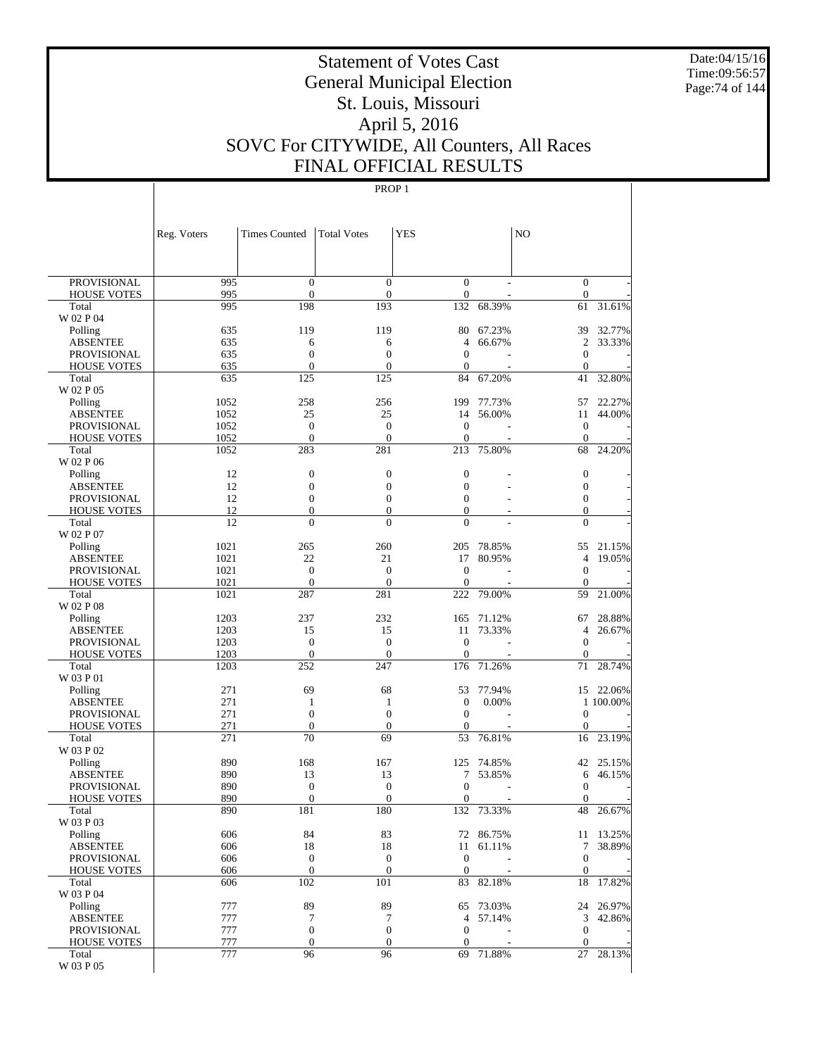Date:04/15/16 Time:09:56:57 Page:74 of 144

# Statement of Votes Cast General Municipal Election St. Louis, Missouri April 5, 2016 SOVC For CITYWIDE, All Counters, All Races FINAL OFFICIAL RESULTS

|                                          | Reg. Voters  | <b>Times Counted</b>             | <b>Total Votes</b>                   | <b>YES</b>                           |                  | N <sub>O</sub>                     |                     |
|------------------------------------------|--------------|----------------------------------|--------------------------------------|--------------------------------------|------------------|------------------------------------|---------------------|
|                                          |              |                                  |                                      |                                      |                  |                                    |                     |
| <b>PROVISIONAL</b><br><b>HOUSE VOTES</b> | 995<br>995   | $\boldsymbol{0}$<br>$\mathbf{0}$ | $\boldsymbol{0}$<br>$\boldsymbol{0}$ | $\boldsymbol{0}$<br>$\boldsymbol{0}$ |                  | $\bar{0}$<br>$\mathbf{0}$          |                     |
| Total                                    | 995          | 198                              | 193                                  | 132                                  | 68.39%           | 61                                 | 31.61%              |
| W 02 P 04                                |              |                                  |                                      |                                      |                  |                                    |                     |
| Polling                                  | 635          | 119                              | 119                                  | 80                                   | 67.23%           | 39                                 | 32.77%              |
| <b>ABSENTEE</b>                          | 635          | 6                                | 6                                    | 4                                    | 66.67%           | $\overline{c}$                     | 33.33%              |
| <b>PROVISIONAL</b>                       | 635<br>635   | $\boldsymbol{0}$<br>$\mathbf{0}$ | $\boldsymbol{0}$<br>$\boldsymbol{0}$ | $\mathbf{0}$                         |                  | $\boldsymbol{0}$<br>$\mathbf{0}$   |                     |
| <b>HOUSE VOTES</b><br>Total              | 635          | 125                              | 125                                  | $\boldsymbol{0}$<br>84               | 67.20%           | 41                                 | 32.80%              |
| W 02 P 05                                |              |                                  |                                      |                                      |                  |                                    |                     |
| Polling                                  | 1052         | 258                              | 256                                  | 199                                  | 77.73%           | 57                                 | 22.27%              |
| <b>ABSENTEE</b>                          | 1052         | 25                               | 25                                   | 14                                   | 56.00%           | 11                                 | 44.00%              |
| <b>PROVISIONAL</b>                       | 1052         | $\boldsymbol{0}$                 | $\boldsymbol{0}$                     | $\mathbf{0}$                         |                  | $\mathbf{0}$                       |                     |
| <b>HOUSE VOTES</b>                       | 1052         | $\mathbf{0}$                     | $\overline{0}$                       | $\boldsymbol{0}$                     |                  | $\mathbf{0}$                       |                     |
| Total<br>W 02 P 06                       | 1052         | 283                              | 281                                  | 213                                  | 75.80%           | 68                                 | 24.20%              |
| Polling                                  | 12           | $\boldsymbol{0}$                 | $\boldsymbol{0}$                     | $\boldsymbol{0}$                     |                  | $\boldsymbol{0}$                   |                     |
| <b>ABSENTEE</b>                          | 12           | $\boldsymbol{0}$                 | $\boldsymbol{0}$                     | $\overline{0}$                       |                  | $\boldsymbol{0}$                   |                     |
| <b>PROVISIONAL</b>                       | 12           | $\boldsymbol{0}$                 | $\boldsymbol{0}$                     | $\overline{0}$                       |                  | $\boldsymbol{0}$                   |                     |
| <b>HOUSE VOTES</b>                       | 12           | $\boldsymbol{0}$                 | $\boldsymbol{0}$                     | $\boldsymbol{0}$                     |                  | $\mathbf{0}$                       |                     |
| Total                                    | 12           | $\overline{0}$                   | $\overline{0}$                       | $\overline{0}$                       |                  | $\overline{0}$                     |                     |
| W 02 P 07                                |              |                                  |                                      |                                      |                  |                                    |                     |
| Polling<br><b>ABSENTEE</b>               | 1021<br>1021 | 265<br>22                        | 260<br>21                            | 205<br>17                            | 78.85%<br>80.95% | 55<br>4                            | 21.15%<br>19.05%    |
| <b>PROVISIONAL</b>                       | 1021         | $\boldsymbol{0}$                 | $\boldsymbol{0}$                     | $\mathbf{0}$                         |                  | $\boldsymbol{0}$                   |                     |
| <b>HOUSE VOTES</b>                       | 1021         | $\mathbf{0}$                     | $\overline{0}$                       | $\mathbf{0}$                         |                  | $\mathbf{0}$                       |                     |
| Total                                    | 1021         | 287                              | 281                                  | 222                                  | 79.00%           | 59                                 | 21.00%              |
| W 02 P 08                                |              |                                  |                                      |                                      |                  |                                    |                     |
| Polling                                  | 1203         | 237                              | 232                                  | 165                                  | 71.12%           | 67                                 | 28.88%              |
| <b>ABSENTEE</b>                          | 1203         | 15<br>$\boldsymbol{0}$           | 15<br>$\boldsymbol{0}$               | 11<br>$\mathbf{0}$                   | 73.33%           | $\overline{4}$<br>$\boldsymbol{0}$ | 26.67%              |
| <b>PROVISIONAL</b><br><b>HOUSE VOTES</b> | 1203<br>1203 | $\mathbf{0}$                     | $\boldsymbol{0}$                     | $\boldsymbol{0}$                     |                  | $\mathbf{0}$                       |                     |
| Total                                    | 1203         | 252                              | 247                                  | 176                                  | 71.26%           | 71                                 | 28.74%              |
| W 03 P 01                                |              |                                  |                                      |                                      |                  |                                    |                     |
| Polling                                  | 271          | 69                               | 68                                   | 53                                   | 77.94%           |                                    | 15 22.06%           |
| <b>ABSENTEE</b>                          | 271          | $\mathbf{1}$                     | 1                                    | $\boldsymbol{0}$                     | 0.00%            |                                    | 1 100.00%           |
| <b>PROVISIONAL</b>                       | 271          | $\mathbf{0}$                     | $\boldsymbol{0}$                     | $\boldsymbol{0}$                     |                  | $\boldsymbol{0}$                   |                     |
| <b>HOUSE VOTES</b><br>Total              | 271<br>271   | $\mathbf{0}$<br>70               | $\mathbf{0}$<br>69                   | $\mathbf{0}$<br>53                   | 76.81%           | $\boldsymbol{0}$<br>16             | 23.19%              |
| W 03 P 02                                |              |                                  |                                      |                                      |                  |                                    |                     |
| Polling                                  | 890          | 168                              | 167                                  | 125                                  | 74.85%           | 42                                 | 25.15%              |
| <b>ABSENTEE</b>                          | 890          | 13                               | 13                                   | 7                                    | 53.85%           | 6                                  | 46.15%              |
| PROVISIONAL                              | 890          | $\boldsymbol{0}$                 | $\boldsymbol{0}$                     | $\mathbf{0}$                         |                  | $\mathbf{0}$                       |                     |
| <b>HOUSE VOTES</b>                       | 890          | $\boldsymbol{0}$                 | $\mathbf{0}$                         | $\boldsymbol{0}$                     |                  | $\boldsymbol{0}$                   |                     |
| Total<br>W 03 P 03                       | 890          | 181                              | 180                                  | 132                                  | 73.33%           | 48                                 | 26.67%              |
| Polling                                  | 606          | 84                               | 83                                   |                                      | 72 86.75%        |                                    | 11 13.25%           |
| <b>ABSENTEE</b>                          | 606          | 18                               | 18                                   | 11                                   | 61.11%           | 7                                  | 38.89%              |
| <b>PROVISIONAL</b>                       | 606          | $\boldsymbol{0}$                 | $\boldsymbol{0}$                     | $\boldsymbol{0}$                     |                  | $\boldsymbol{0}$                   |                     |
| <b>HOUSE VOTES</b>                       | 606          | $\boldsymbol{0}$                 | $\boldsymbol{0}$                     | $\mathbf{0}$                         |                  | $\mathbf{0}$                       |                     |
| Total                                    | 606          | 102                              | 101                                  | 83                                   | 82.18%           | 18                                 | 17.82%              |
| W 03 P 04                                |              |                                  |                                      |                                      |                  |                                    |                     |
| Polling<br><b>ABSENTEE</b>               | 777<br>777   | 89<br>$\tau$                     | 89<br>7                              | 65<br>4                              | 73.03%<br>57.14% | 3                                  | 24 26.97%<br>42.86% |
| PROVISIONAL                              | 777          | $\boldsymbol{0}$                 | $\boldsymbol{0}$                     | $\boldsymbol{0}$                     |                  | $\mathbf{0}$                       |                     |
| <b>HOUSE VOTES</b>                       | 777          | $\boldsymbol{0}$                 | $\boldsymbol{0}$                     | $\boldsymbol{0}$                     |                  | $\mathbf{0}$                       |                     |
| Total                                    | 777          | 96                               | 96                                   |                                      | 69 71.88%        | 27                                 | 28.13%              |
| $\rm W$ 03 P $05$                        |              |                                  |                                      |                                      |                  |                                    |                     |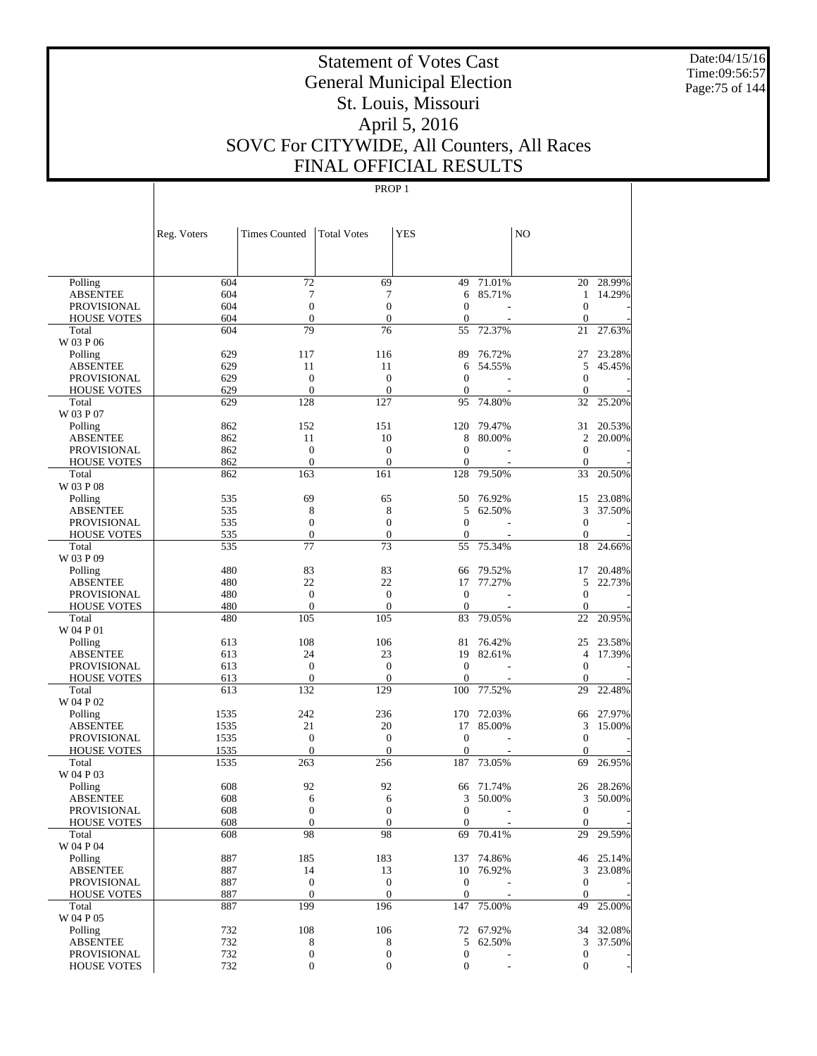Date:04/15/16 Time:09:56:57 Page:75 of 144

# Statement of Votes Cast General Municipal Election St. Louis, Missouri April 5, 2016 SOVC For CITYWIDE, All Counters, All Races FINAL OFFICIAL RESULTS

|                                       | Reg. Voters  | <b>Times Counted</b> | <b>Total Votes</b>   | <b>YES</b>         |                     | NO                |                  |
|---------------------------------------|--------------|----------------------|----------------------|--------------------|---------------------|-------------------|------------------|
|                                       |              |                      |                      |                    |                     |                   |                  |
| Polling                               | 604          | 72                   | 69                   | 49                 | 71.01%              | 20                | 28.99%           |
| <b>ABSENTEE</b>                       | 604          | 7                    | 7                    | 6                  | 85.71%              | $\mathbf{1}$      | 14.29%           |
| <b>PROVISIONAL</b>                    | 604          | $\overline{0}$       | $\overline{0}$       | $\mathbf{0}$       |                     | $\theta$          |                  |
| <b>HOUSE VOTES</b>                    | 604          | $\overline{0}$       | $\overline{0}$       | $\mathbf{0}$       |                     | $\theta$          |                  |
| Total                                 | 604          | 79                   | 76                   | 55                 | 72.37%              | 21                | 27.63%           |
| W 03 P 06                             |              |                      |                      |                    |                     |                   |                  |
| Polling<br><b>ABSENTEE</b>            | 629<br>629   | 117<br>11            | 116<br>11            | 89<br>6            | 76.72%<br>54.55%    | 27<br>5           | 23.28%<br>45.45% |
| <b>PROVISIONAL</b>                    | 629          | $\mathbf{0}$         | $\overline{0}$       | $\mathbf{0}$       |                     | $\theta$          |                  |
| <b>HOUSE VOTES</b>                    | 629          | $\overline{0}$       | $\overline{0}$       | $\mathbf{0}$       |                     | $\mathbf{0}$      |                  |
| Total                                 | 629          | 128                  | 127                  | 95                 | 74.80%              | 32                | 25.20%           |
| W 03 P 07                             |              |                      |                      |                    |                     |                   |                  |
| Polling                               | 862          | 152                  | 151                  | 120                | 79.47%              | 31                | 20.53%           |
| <b>ABSENTEE</b>                       | 862          | 11                   | 10                   | 8                  | 80.00%              | $\overline{c}$    | 20.00%           |
| <b>PROVISIONAL</b>                    | 862          | $\overline{0}$       | $\overline{0}$       | $\mathbf{0}$       |                     | $\theta$          |                  |
| <b>HOUSE VOTES</b>                    | 862          | $\overline{0}$       | $\overline{0}$       | $\mathbf{0}$       |                     | $\theta$          |                  |
| Total                                 | 862          | 163                  | 161                  | 128                | 79.50%              | 33                | 20.50%           |
| W 03 P 08                             |              |                      |                      |                    |                     |                   |                  |
| Polling                               | 535          | 69                   | 65                   | 50                 | 76.92%              | 15                | 23.08%           |
| <b>ABSENTEE</b>                       | 535          | 8                    | 8                    | 5                  | 62.50%              | 3                 | 37.50%           |
| <b>PROVISIONAL</b>                    | 535          | $\overline{0}$       | $\overline{0}$       | $\mathbf{0}$       |                     | $\mathbf{0}$      |                  |
| <b>HOUSE VOTES</b>                    | 535          | $\mathbf{0}$         | $\theta$             | $\mathbf{0}$       |                     | $\mathbf{0}$      |                  |
| Total<br>W 03 P 09                    | 535          | 77                   | 73                   | 55                 | 75.34%              | 18                | 24.66%           |
| Polling                               | 480          | 83                   | 83                   | 66                 | 79.52%              | 17                | 20.48%           |
| <b>ABSENTEE</b>                       | 480          | 22                   | 22                   | 17                 | 77.27%              | 5                 | 22.73%           |
| <b>PROVISIONAL</b>                    | 480          | $\mathbf{0}$         | $\overline{0}$       | $\theta$           |                     | $\theta$          |                  |
| <b>HOUSE VOTES</b>                    | 480          | $\overline{0}$       | $\overline{0}$       | $\theta$           |                     | $\mathbf{0}$      |                  |
| Total                                 | 480          | 105                  | 105                  | 83                 | 79.05%              | 22                | 20.95%           |
| W 04 P 01                             |              |                      |                      |                    |                     |                   |                  |
| Polling                               | 613          | 108                  | 106                  | 81                 | 76.42%              | 25                | 23.58%           |
| <b>ABSENTEE</b>                       | 613          | 24                   | 23                   | 19                 | 82.61%              | $\overline{4}$    | 17.39%           |
| <b>PROVISIONAL</b>                    | 613          | $\overline{0}$       | $\overline{0}$       | $\theta$           |                     | $\mathbf{0}$      |                  |
| <b>HOUSE VOTES</b>                    | 613          | $\mathbf{0}$         | $\overline{0}$       | $\mathbf{0}$       |                     | $\mathbf{0}$      |                  |
| Total                                 | 613          | 132                  | 129                  | 100                | 77.52%              | 29                | 22.48%           |
| W 04 P 02                             |              |                      |                      |                    |                     |                   |                  |
| Polling                               | 1535         | 242<br>21            | 236                  | 170                | 72.03%              | 66                | 27.97%           |
| <b>ABSENTEE</b><br><b>PROVISIONAL</b> | 1535<br>1535 | $\overline{0}$       | 20<br>$\overline{0}$ | 17<br>$\mathbf{0}$ | 85.00%              | 3<br>$\mathbf{0}$ | 15.00%           |
| <b>HOUSE VOTES</b>                    | 1535         | $\mathbf{0}$         | $\overline{0}$       | $\mathbf{0}$       |                     | $\mathbf{0}$      |                  |
| Total                                 | 1535         | 263                  | 256                  | 187                | 73.05%              | 69                | 26.95%           |
| W 04 P 03                             |              |                      |                      |                    |                     |                   |                  |
| Polling                               | 608          | 92                   | 92                   | 66                 | 71.74%              | 26                | 28.26%           |
| <b>ABSENTEE</b>                       | 608          | 6                    | 6                    | 3                  | 50.00%              | 3                 | 50.00%           |
| PROVISIONAL                           | 608          | $\theta$             | $\theta$             | $\mathbf{0}$       |                     | $\mathbf{0}$      |                  |
| <b>HOUSE VOTES</b>                    | 608          | $\mathbf{0}$         | $\boldsymbol{0}$     | $\mathbf{0}$       |                     | $\mathbf{0}$      |                  |
| Total                                 | 608          | 98                   | 98                   | 69                 | 70.41%              | 29                | 29.59%           |
| W 04 P 04                             |              |                      |                      |                    |                     |                   |                  |
| Polling                               | 887          | 185                  | 183                  |                    | 137 74.86%          |                   | 46 25.14%        |
| <b>ABSENTEE</b>                       | 887          | 14                   | 13                   | 10                 | 76.92%              | 3                 | 23.08%           |
| <b>PROVISIONAL</b>                    | 887          | $\mathbf{0}$         | $\boldsymbol{0}$     | $\mathbf{0}$       |                     | $\mathbf{0}$      |                  |
| <b>HOUSE VOTES</b>                    | 887          | $\boldsymbol{0}$     | $\boldsymbol{0}$     | $\boldsymbol{0}$   |                     | $\mathbf{0}$      |                  |
| Total<br>W 04 P 05                    | 887          | 199                  | 196                  | 147                | 75.00%              | 49                | 25.00%           |
|                                       | 732          | 108                  | 106                  |                    |                     |                   | 32.08%           |
| Polling<br><b>ABSENTEE</b>            | 732          | 8                    | 8                    | 5                  | 72 67.92%<br>62.50% | 34<br>3           | 37.50%           |
| <b>PROVISIONAL</b>                    | 732          | $\boldsymbol{0}$     | $\boldsymbol{0}$     | $\boldsymbol{0}$   |                     | $\boldsymbol{0}$  |                  |
| HOUSE VOTES                           | 732          | $\boldsymbol{0}$     | $\boldsymbol{0}$     | $\boldsymbol{0}$   |                     | $\mathbf{0}$      |                  |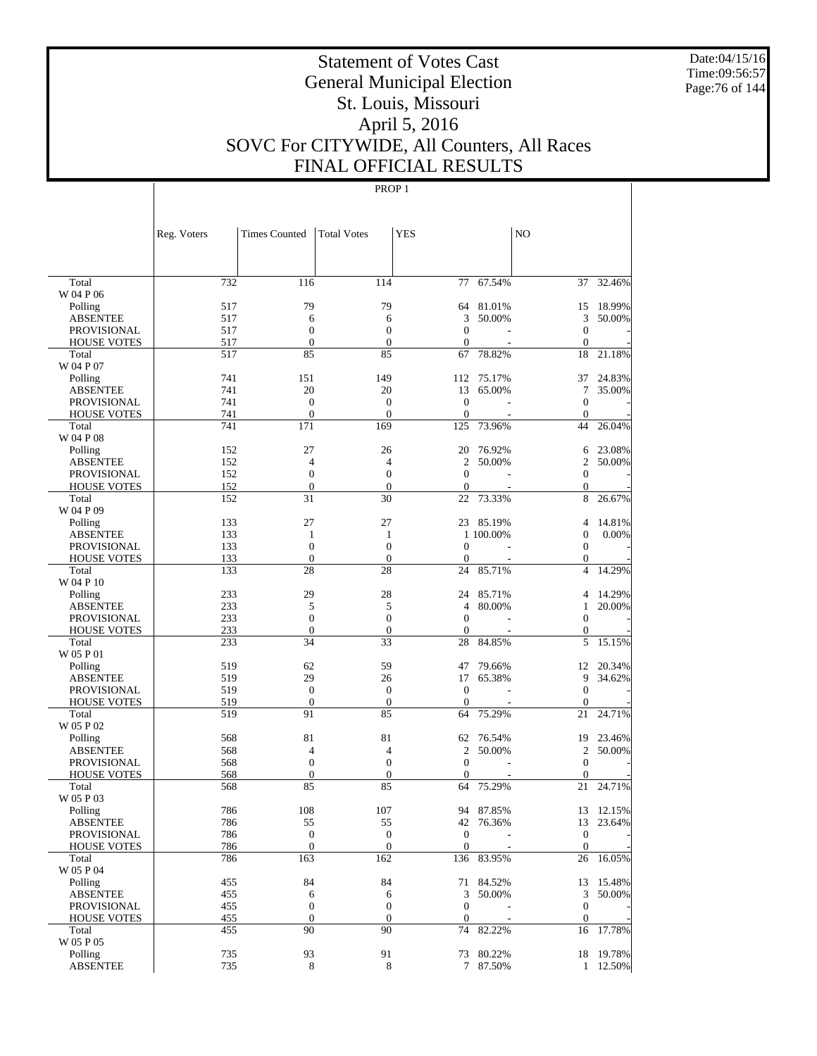Date:04/15/16 Time:09:56:57 Page:76 of 144

# Statement of Votes Cast General Municipal Election St. Louis, Missouri April 5, 2016 SOVC For CITYWIDE, All Counters, All Races FINAL OFFICIAL RESULTS

|                                          | Reg. Voters | <b>Times Counted</b>                 | <b>Total Votes</b>                   | <b>YES</b>               |            | N <sub>O</sub>                   |                        |
|------------------------------------------|-------------|--------------------------------------|--------------------------------------|--------------------------|------------|----------------------------------|------------------------|
|                                          |             |                                      |                                      |                          |            |                                  |                        |
| Total                                    | 732         | 116                                  | 114                                  |                          | 77 67.54%  |                                  | 37 32.46%              |
| W 04 P 06                                |             |                                      |                                      |                          |            |                                  |                        |
| Polling                                  | 517         | 79                                   | 79                                   |                          | 64 81.01%  | 15                               | 18.99%                 |
| <b>ABSENTEE</b>                          | 517         | 6                                    | 6                                    | 3                        | 50.00%     | 3                                | 50.00%                 |
| <b>PROVISIONAL</b><br><b>HOUSE VOTES</b> | 517<br>517  | $\boldsymbol{0}$<br>$\boldsymbol{0}$ | $\boldsymbol{0}$<br>$\boldsymbol{0}$ | $\mathbf{0}$<br>$\theta$ |            | $\boldsymbol{0}$<br>$\mathbf{0}$ |                        |
| Total                                    | 517         | 85                                   | 85                                   | 67                       | 78.82%     | 18                               | 21.18%                 |
| W 04 P 07                                |             |                                      |                                      |                          |            |                                  |                        |
| Polling                                  | 741         | 151                                  | 149                                  |                          | 112 75.17% | 37                               | 24.83%                 |
| <b>ABSENTEE</b>                          | 741         | 20                                   | 20                                   | 13                       | 65.00%     | 7                                | 35.00%                 |
| <b>PROVISIONAL</b>                       | 741         | $\mathbf{0}$                         | $\boldsymbol{0}$                     | $\boldsymbol{0}$         |            | $\boldsymbol{0}$                 |                        |
| <b>HOUSE VOTES</b>                       | 741         | $\mathbf{0}$                         | $\mathbf{0}$                         | $\boldsymbol{0}$         |            | $\mathbf{0}$                     |                        |
| Total                                    | 741         | 171                                  | 169                                  | 125                      | 73.96%     | 44                               | 26.04%                 |
| W 04 P 08                                |             |                                      |                                      |                          |            |                                  |                        |
| Polling                                  | 152         | 27                                   | 26                                   | 20                       | 76.92%     | 6                                | 23.08%                 |
| <b>ABSENTEE</b>                          | 152         | $\overline{4}$                       | 4                                    | 2                        | 50.00%     | $\overline{c}$                   | 50.00%                 |
| <b>PROVISIONAL</b>                       | 152         | $\mathbf{0}$                         | $\boldsymbol{0}$                     | $\mathbf{0}$             |            | $\boldsymbol{0}$                 |                        |
| <b>HOUSE VOTES</b><br>Total              | 152<br>152  | $\boldsymbol{0}$<br>31               | $\boldsymbol{0}$<br>30               | $\theta$<br>22           | 73.33%     | $\mathbf{0}$<br>8                | 26.67%                 |
| W 04 P 09                                |             |                                      |                                      |                          |            |                                  |                        |
| Polling                                  | 133         | 27                                   | 27                                   |                          | 23 85.19%  | 4                                | 14.81%                 |
| <b>ABSENTEE</b>                          | 133         | 1                                    | $\mathbf{1}$                         |                          | 1 100.00%  | $\boldsymbol{0}$                 | 0.00%                  |
| <b>PROVISIONAL</b>                       | 133         | $\mathbf{0}$                         | $\boldsymbol{0}$                     | $\theta$                 |            | $\mathbf{0}$                     |                        |
| <b>HOUSE VOTES</b>                       | 133         | $\boldsymbol{0}$                     | $\boldsymbol{0}$                     | $\mathbf{0}$             |            | $\mathbf{0}$                     |                        |
| Total                                    | 133         | 28                                   | 28                                   | 24                       | 85.71%     | $\overline{4}$                   | 14.29%                 |
| W 04 P 10                                |             |                                      |                                      |                          |            |                                  |                        |
| Polling                                  | 233         | 29                                   | 28                                   | 24                       | 85.71%     | 4                                | 14.29%                 |
| <b>ABSENTEE</b>                          | 233         | 5                                    | 5                                    | $\overline{4}$           | 80.00%     | 1                                | 20.00%                 |
| PROVISIONAL                              | 233         | $\mathbf{0}$                         | $\boldsymbol{0}$                     | $\mathbf{0}$             |            | $\boldsymbol{0}$                 |                        |
| <b>HOUSE VOTES</b>                       | 233         | $\mathbf{0}$                         | $\mathbf{0}$                         | $\boldsymbol{0}$         |            | $\mathbf{0}$                     |                        |
| Total                                    | 233         | 34                                   | 33                                   | 28                       | 84.85%     | 5                                | 15.15%                 |
| W 05 P 01<br>Polling                     | 519         | 62                                   | 59                                   | 47                       | 79.66%     | 12                               | 20.34%                 |
| <b>ABSENTEE</b>                          | 519         | 29                                   | 26                                   | 17                       | 65.38%     | 9                                | 34.62%                 |
| <b>PROVISIONAL</b>                       | 519         | $\mathbf{0}$                         | $\boldsymbol{0}$                     | $\mathbf{0}$             |            | $\mathbf{0}$                     |                        |
| <b>HOUSE VOTES</b>                       | 519         | $\boldsymbol{0}$                     | $\mathbf{0}$                         | $\mathbf{0}$             |            | $\mathbf{0}$                     |                        |
| Total                                    | 519         | 91                                   | 85                                   | 64                       | 75.29%     | 21                               | 24.71%                 |
| W 05 P 02                                |             |                                      |                                      |                          |            |                                  |                        |
| Polling                                  | 568         | 81                                   | 81                                   | 62                       | 76.54%     | 19                               | 23.46%                 |
| <b>ABSENTEE</b>                          | 568         | 4                                    | 4                                    | $\mathfrak{2}$           | 50.00%     | $\mathfrak{2}$                   | 50.00%                 |
| PROVISIONAL                              | 568         | $\mathbf{0}$                         | $\boldsymbol{0}$                     | $\mathbf{0}$             |            | $\mathbf{0}$                     |                        |
| <b>HOUSE VOTES</b>                       | 568         | $\overline{0}$                       | $\overline{0}$                       | $\mathbf{0}$             |            | $\Omega$                         |                        |
| Total                                    | 568         | 85                                   | 85                                   | 64                       | 75.29%     |                                  | 21 24.71%              |
| W 05 P 03                                |             |                                      |                                      |                          |            |                                  |                        |
| Polling                                  | 786<br>786  | 108                                  | 107                                  |                          | 94 87.85%  |                                  | 13 12.15%<br>13 23.64% |
| <b>ABSENTEE</b><br><b>PROVISIONAL</b>    | 786         | 55<br>$\boldsymbol{0}$               | 55<br>$\boldsymbol{0}$               | $\mathbf{0}$             | 42 76.36%  | $\boldsymbol{0}$                 |                        |
| <b>HOUSE VOTES</b>                       | 786         | $\boldsymbol{0}$                     | $\boldsymbol{0}$                     | $\mathbf{0}$             |            | $\mathbf{0}$                     |                        |
| Total                                    | 786         | 163                                  | 162                                  |                          | 136 83.95% | 26                               | 16.05%                 |
| W 05 P 04                                |             |                                      |                                      |                          |            |                                  |                        |
| Polling                                  | 455         | 84                                   | 84                                   |                          | 71 84.52%  |                                  | 13 15.48%              |
| <b>ABSENTEE</b>                          | 455         | 6                                    | 6                                    | 3                        | 50.00%     | 3                                | 50.00%                 |
| <b>PROVISIONAL</b>                       | 455         | $\boldsymbol{0}$                     | $\boldsymbol{0}$                     | $\mathbf{0}$             |            | $\boldsymbol{0}$                 |                        |
| <b>HOUSE VOTES</b>                       | 455         | $\boldsymbol{0}$                     | $\mathbf{0}$                         | $\mathbf{0}$             |            | $\mathbf{0}$                     |                        |
| Total                                    | 455         | 90                                   | 90                                   | 74                       | 82.22%     | 16                               | 17.78%                 |
| W 05 P 05                                |             |                                      |                                      |                          |            |                                  |                        |
| Polling                                  | 735         | 93                                   | 91                                   |                          | 73 80.22%  |                                  | 18 19.78%              |
| <b>ABSENTEE</b>                          | 735         | $\,8\,$                              | $\,8\,$                              |                          | 7 87.50%   |                                  | 1 12.50%               |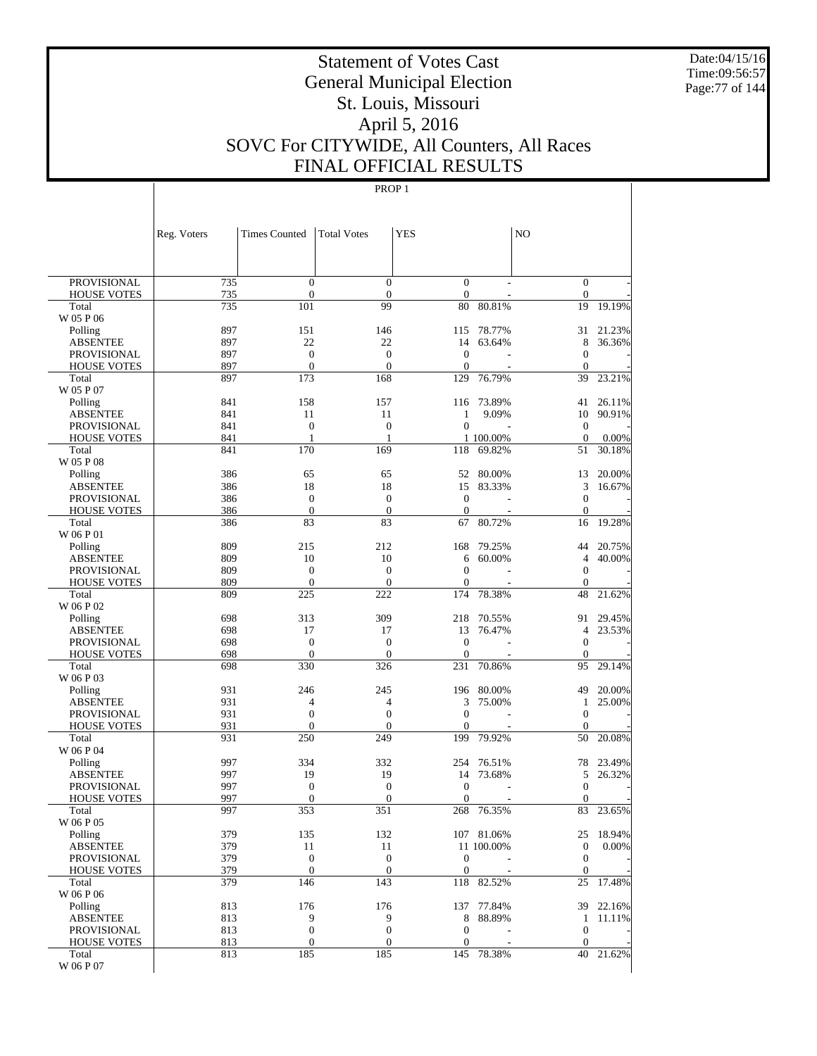Date:04/15/16 Time:09:56:57 Page:77 of 144

# Statement of Votes Cast General Municipal Election St. Louis, Missouri April 5, 2016 SOVC For CITYWIDE, All Counters, All Races FINAL OFFICIAL RESULTS

|                                          | Reg. Voters | <b>Times Counted</b>             | <b>Total Votes</b>         | <b>YES</b>                       |                          | N <sub>O</sub>                   |                  |
|------------------------------------------|-------------|----------------------------------|----------------------------|----------------------------------|--------------------------|----------------------------------|------------------|
|                                          |             |                                  |                            |                                  |                          |                                  |                  |
| <b>PROVISIONAL</b>                       | 735         | $\mathbf{0}$                     | $\overline{0}$             | $\mathbf{0}$                     |                          | $\mathbf{0}$                     |                  |
| <b>HOUSE VOTES</b>                       | 735         | $\boldsymbol{0}$                 | $\theta$                   | $\boldsymbol{0}$                 |                          | $\mathbf{0}$                     |                  |
| Total                                    | 735         | 101                              | 99                         | 80                               | 80.81%                   | 19                               | 19.19%           |
| W 05 P 06                                |             |                                  |                            |                                  |                          |                                  |                  |
| Polling<br><b>ABSENTEE</b>               | 897<br>897  | 151<br>22                        | 146<br>22                  | 115<br>14                        | 78.77%<br>63.64%         | 31<br>8                          | 21.23%<br>36.36% |
| <b>PROVISIONAL</b>                       | 897         | $\mathbf{0}$                     | $\overline{0}$             | $\overline{0}$                   |                          | $\mathbf{0}$                     |                  |
| <b>HOUSE VOTES</b>                       | 897         | $\overline{0}$                   | $\overline{0}$             | $\mathbf{0}$                     |                          | $\mathbf{0}$                     |                  |
| Total                                    | 897         | 173                              | 168                        | 129                              | 76.79%                   | 39                               | 23.21%           |
| W 05 P 07                                |             |                                  |                            |                                  |                          |                                  |                  |
| Polling                                  | 841         | 158                              | 157                        | 116                              | 73.89%                   | 41                               | 26.11%           |
| <b>ABSENTEE</b>                          | 841         | 11                               | 11                         | 1                                | 9.09%                    | 10                               | 90.91%           |
| <b>PROVISIONAL</b>                       | 841         | $\mathbf{0}$<br>1                | $\overline{0}$<br>1        | $\overline{0}$                   |                          | $\boldsymbol{0}$<br>$\mathbf{0}$ |                  |
| <b>HOUSE VOTES</b><br>Total              | 841<br>841  | 170                              | 169                        | 118                              | 1 100.00%<br>69.82%      | 51                               | 0.00%<br>30.18%  |
| W 05 P 08                                |             |                                  |                            |                                  |                          |                                  |                  |
| Polling                                  | 386         | 65                               | 65                         | 52                               | 80.00%                   | 13                               | 20.00%           |
| <b>ABSENTEE</b>                          | 386         | 18                               | 18                         | 15                               | 83.33%                   | 3                                | 16.67%           |
| <b>PROVISIONAL</b>                       | 386         | $\overline{0}$                   | $\overline{0}$             | $\mathbf{0}$                     |                          | $\mathbf{0}$                     |                  |
| <b>HOUSE VOTES</b>                       | 386         | $\mathbf{0}$                     | $\theta$                   | $\boldsymbol{0}$                 |                          | $\boldsymbol{0}$                 |                  |
| Total                                    | 386         | 83                               | 83                         | 67                               | 80.72%                   | 16                               | 19.28%           |
| W 06 P 01<br>Polling                     | 809         | 215                              | 212                        | 168                              | 79.25%                   | 44                               | 20.75%           |
| <b>ABSENTEE</b>                          | 809         | 10                               | 10                         | 6                                | 60.00%                   | $\overline{4}$                   | 40.00%           |
| <b>PROVISIONAL</b>                       | 809         | $\mathbf{0}$                     | $\overline{0}$             | $\overline{0}$                   |                          | $\mathbf{0}$                     |                  |
| <b>HOUSE VOTES</b>                       | 809         | $\mathbf{0}$                     | $\overline{0}$             | $\mathbf{0}$                     |                          | $\mathbf{0}$                     |                  |
| Total                                    | 809         | 225                              | 222                        | 174                              | 78.38%                   | 48                               | 21.62%           |
| W 06 P 02                                |             |                                  |                            |                                  |                          |                                  |                  |
| Polling                                  | 698         | 313                              | 309                        | 218                              | 70.55%                   | 91                               | 29.45%           |
| <b>ABSENTEE</b>                          | 698         | 17                               | 17                         | 13                               | 76.47%                   | $\overline{4}$                   | 23.53%           |
| <b>PROVISIONAL</b><br><b>HOUSE VOTES</b> | 698<br>698  | $\mathbf{0}$<br>$\mathbf{0}$     | $\overline{0}$<br>$\theta$ | $\overline{0}$<br>$\mathbf{0}$   |                          | $\mathbf{0}$<br>$\mathbf{0}$     |                  |
| Total                                    | 698         | 330                              | 326                        | 231                              | 70.86%                   | 95                               | 29.14%           |
| W 06 P 03                                |             |                                  |                            |                                  |                          |                                  |                  |
| Polling                                  | 931         | 246                              | 245                        | 196                              | 80.00%                   | 49                               | 20.00%           |
| <b>ABSENTEE</b>                          | 931         | 4                                | $\overline{4}$             | 3                                | 75.00%                   | 1                                | 25.00%           |
| <b>PROVISIONAL</b>                       | 931         | $\mathbf{0}$                     | $\overline{0}$             | $\overline{0}$                   |                          | $\boldsymbol{0}$                 |                  |
| <b>HOUSE VOTES</b>                       | 931<br>931  | $\mathbf{0}$<br>250              | $\overline{0}$<br>249      | $\overline{0}$<br>199            |                          | $\mathbf{0}$<br>50               |                  |
| Total<br>W 06 P 04                       |             |                                  |                            |                                  | 79.92%                   |                                  | 20.08%           |
| Polling                                  | 997         | 334                              | 332                        | 254                              | 76.51%                   | 78                               | 23.49%           |
| <b>ABSENTEE</b>                          | 997         | 19                               | 19                         | 14                               | 73.68%                   | 5                                | 26.32%           |
| <b>PROVISIONAL</b>                       | 997         | $\mathbf{0}$                     | $\overline{0}$             | $\overline{0}$                   |                          | $\boldsymbol{0}$                 |                  |
| <b>HOUSE VOTES</b>                       | 997         | $\mathbf{0}$                     | $\theta$                   | $\mathbf{0}$                     |                          | $\mathbf{0}$                     |                  |
| Total                                    | 997         | 353                              | 351                        | 268                              | 76.35%                   | 83                               | 23.65%           |
| W 06 P 05                                |             |                                  |                            |                                  |                          |                                  |                  |
| Polling<br><b>ABSENTEE</b>               | 379<br>379  | 135<br>11                        | 132<br>11                  |                                  | 107 81.06%<br>11 100.00% | 25<br>$\mathbf{0}$               | 18.94%<br>0.00%  |
| PROVISIONAL                              | 379         | $\mathbf{0}$                     | $\mathbf{0}$               | $\boldsymbol{0}$                 |                          | $\mathbf{0}$                     |                  |
| <b>HOUSE VOTES</b>                       | 379         | $\boldsymbol{0}$                 | $\mathbf{0}$               | $\mathbf{0}$                     |                          | $\mathbf{0}$                     |                  |
| Total                                    | 379         | 146                              | 143                        | 118                              | 82.52%                   | 25                               | 17.48%           |
| W 06 P 06                                |             |                                  |                            |                                  |                          |                                  |                  |
| Polling                                  | 813         | 176                              | 176                        | 137                              | 77.84%                   | 39                               | 22.16%           |
| <b>ABSENTEE</b>                          | 813         | 9                                | 9                          | 8                                | 88.89%                   | $\mathbf{1}$                     | 11.11%           |
| PROVISIONAL                              | 813<br>813  | $\mathbf{0}$<br>$\boldsymbol{0}$ | $\boldsymbol{0}$           | $\mathbf{0}$<br>$\boldsymbol{0}$ |                          | $\mathbf{0}$<br>$\mathbf{0}$     |                  |
| <b>HOUSE VOTES</b><br>Total              | 813         | 185                              | $\mathbf{0}$<br>185        | 145                              | 78.38%                   | 40                               | 21.62%           |
| W 06 P 07                                |             |                                  |                            |                                  |                          |                                  |                  |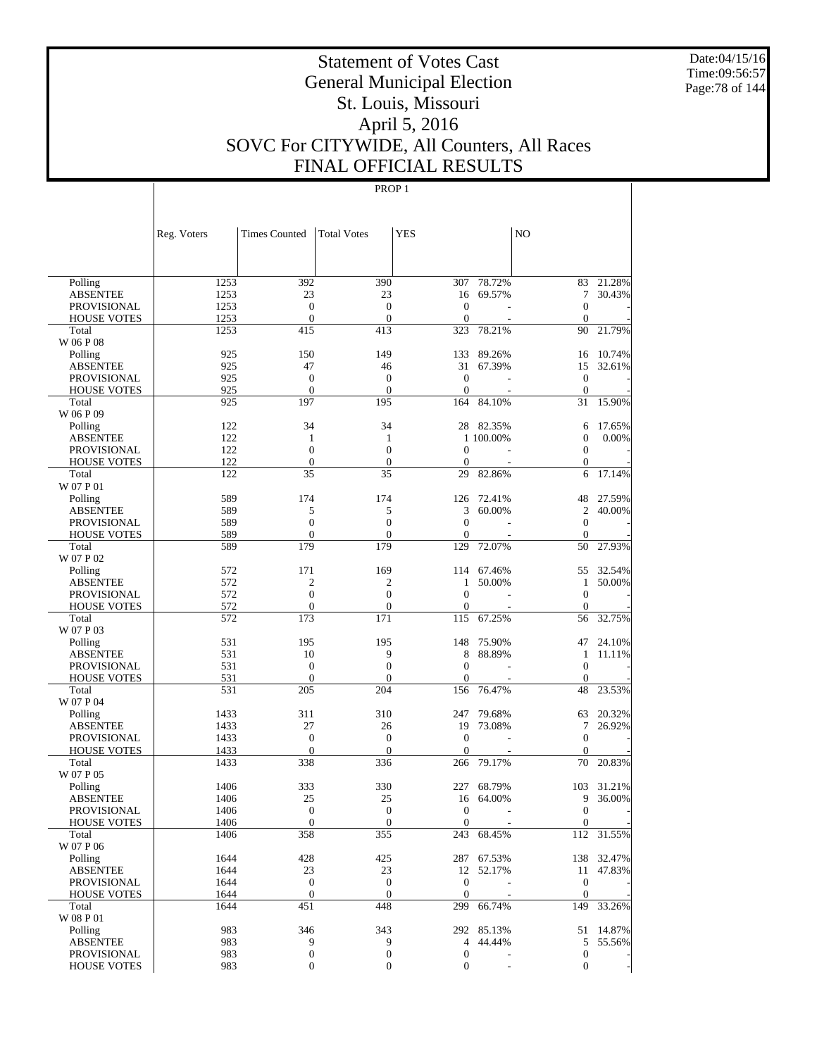Date:04/15/16 Time:09:56:57 Page:78 of 144

# Statement of Votes Cast General Municipal Election St. Louis, Missouri April 5, 2016 SOVC For CITYWIDE, All Counters, All Races FINAL OFFICIAL RESULTS

|                                          | Reg. Voters  | <b>Times Counted</b>         | <b>Total Votes</b>               | <b>YES</b>                       |                          | N <sub>O</sub>               |                  |
|------------------------------------------|--------------|------------------------------|----------------------------------|----------------------------------|--------------------------|------------------------------|------------------|
|                                          |              |                              |                                  |                                  |                          |                              |                  |
| Polling                                  | 1253         | 392                          | 390                              | 307                              | 78.72%                   | 83                           | 21.28%           |
| <b>ABSENTEE</b>                          | 1253         | 23                           | 23                               | 16                               | 69.57%                   | 7                            | 30.43%           |
| PROVISIONAL                              | 1253         | $\mathbf{0}$                 | $\mathbf{0}$                     | $\boldsymbol{0}$                 |                          | $\mathbf{0}$                 |                  |
| <b>HOUSE VOTES</b>                       | 1253         | $\mathbf{0}$                 | $\mathbf{0}$                     | $\overline{0}$                   |                          | $\theta$                     |                  |
| Total                                    | 1253         | 415                          | 413                              | 323                              | 78.21%                   | 90                           | 21.79%           |
| W 06 P 08                                |              |                              |                                  |                                  |                          |                              |                  |
| Polling                                  | 925          | 150                          | 149                              | 133                              | 89.26%                   | 16                           | 10.74%           |
| <b>ABSENTEE</b>                          | 925          | 47                           | 46                               | 31                               | 67.39%                   | 15                           | 32.61%           |
| PROVISIONAL<br><b>HOUSE VOTES</b>        | 925<br>925   | $\mathbf{0}$<br>$\mathbf{0}$ | $\mathbf{0}$<br>$\mathbf{0}$     | $\boldsymbol{0}$<br>$\mathbf{0}$ |                          | $\mathbf{0}$<br>$\theta$     |                  |
| Total                                    | 925          | 197                          | 195                              | 164                              | 84.10%                   | 31                           | 15.90%           |
| W 06 P 09                                |              |                              |                                  |                                  |                          |                              |                  |
| Polling                                  | 122          | 34                           | 34                               |                                  | 28 82.35%                | 6                            | 17.65%           |
| <b>ABSENTEE</b>                          | 122          | $\mathbf{1}$                 | 1                                |                                  | 1 100.00%                | $\boldsymbol{0}$             | 0.00%            |
| PROVISIONAL                              | 122          | $\boldsymbol{0}$             | $\overline{0}$                   | $\mathbf{0}$                     |                          | $\mathbf{0}$                 |                  |
| <b>HOUSE VOTES</b>                       | 122          | $\boldsymbol{0}$             | $\mathbf{0}$                     | 0                                |                          | $\mathbf{0}$                 |                  |
| Total                                    | 122          | 35                           | 35                               | 29                               | 82.86%                   | 6                            | 17.14%           |
| W 07 P 01                                |              |                              |                                  |                                  |                          |                              |                  |
| Polling                                  | 589          | 174                          | 174                              | 126                              | 72.41%                   | 48                           | 27.59%           |
| <b>ABSENTEE</b>                          | 589          | 5                            | 5                                | 3                                | 60.00%                   | 2                            | 40.00%           |
| PROVISIONAL                              | 589          | $\boldsymbol{0}$             | $\mathbf{0}$                     | $\boldsymbol{0}$                 |                          | $\mathbf{0}$                 |                  |
| <b>HOUSE VOTES</b>                       | 589          | $\mathbf{0}$                 | $\mathbf{0}$                     | $\Omega$                         |                          | $\mathbf{0}$                 |                  |
| Total                                    | 589          | 179                          | 179                              | 129                              | 72.07%                   | 50                           | 27.93%           |
| W 07 P 02                                |              |                              |                                  |                                  |                          |                              |                  |
| Polling                                  | 572          | 171                          | 169                              |                                  | 114 67.46%               | 55                           | 32.54%           |
| <b>ABSENTEE</b>                          | 572          | $\mathfrak{2}$               | 2                                | 1                                | 50.00%                   | $\mathbf{1}$                 | 50.00%           |
| PROVISIONAL                              | 572          | $\boldsymbol{0}$             | $\overline{0}$                   | $\overline{0}$                   |                          | $\mathbf{0}$                 |                  |
| <b>HOUSE VOTES</b>                       | 572          | $\mathbf{0}$                 | $\mathbf{0}$                     | 0                                |                          | $\theta$                     |                  |
| Total                                    | 572          | 173                          | 171                              | 115                              | 67.25%                   | 56                           | 32.75%           |
| W 07 P 03                                |              |                              |                                  |                                  |                          |                              |                  |
| Polling<br><b>ABSENTEE</b>               | 531<br>531   | 195<br>10                    | 195<br>9                         | 148<br>8                         | 75.90%<br>88.89%         | 47<br>1                      | 24.10%<br>11.11% |
| PROVISIONAL                              | 531          | $\boldsymbol{0}$             | $\mathbf{0}$                     | $\mathbf{0}$                     |                          | $\mathbf{0}$                 |                  |
| <b>HOUSE VOTES</b>                       | 531          | $\mathbf{0}$                 | $\theta$                         | $\Omega$                         |                          | $\theta$                     |                  |
| Total                                    | 531          | 205                          | 204                              | 156                              | 76.47%                   | 48                           | 23.53%           |
| W 07 P 04                                |              |                              |                                  |                                  |                          |                              |                  |
| Polling                                  | 1433         | 311                          | 310                              | 247                              | 79.68%                   | 63                           | 20.32%           |
| ABSENTEE                                 | 1433         | 27                           | 26                               | 19                               | 73.08%                   | 7                            | 26.92%           |
| PROVISIONAL                              | 1433         | $\mathbf{0}$                 | $\mathbf{0}$                     | $\boldsymbol{0}$                 |                          | $\mathbf{0}$                 |                  |
| <b>HOUSE VOTES</b>                       | 1433         | $\mathbf{0}$                 | $\theta$                         | 0                                |                          | $\mathbf{0}$                 |                  |
| Total                                    | 1433         | 338                          | 336                              | 266                              | 79.17%                   | 70                           | 20.83%           |
| W 07 P 05                                |              |                              |                                  |                                  |                          |                              |                  |
| Polling                                  | 1406         | 333                          | 330                              | 227                              | 68.79%                   | 103                          | 31.21%           |
| <b>ABSENTEE</b>                          | 1406         | 25                           | 25                               | 16                               | 64.00%                   | 9                            | 36.00%           |
| <b>PROVISIONAL</b>                       | 1406         | $\mathbf{0}$                 | $\mathbf{0}$                     | $\boldsymbol{0}$                 | $\overline{\phantom{a}}$ | $\mathbf{0}$                 |                  |
| <b>HOUSE VOTES</b>                       | 1406         | $\boldsymbol{0}$             | $\boldsymbol{0}$                 | $\overline{0}$                   |                          | $\boldsymbol{0}$             |                  |
| Total                                    | 1406         | 358                          | 355                              |                                  | 243 68.45%               |                              | 112 31.55%       |
| W 07 P 06                                |              |                              |                                  |                                  |                          |                              |                  |
| Polling                                  | 1644         | 428                          | 425                              |                                  | 287 67.53%               |                              | 138 32.47%       |
| <b>ABSENTEE</b>                          | 1644         | 23                           | 23                               |                                  | 12 52.17%                |                              | 11 47.83%        |
| <b>PROVISIONAL</b><br><b>HOUSE VOTES</b> | 1644<br>1644 | $\mathbf{0}$<br>$\mathbf{0}$ | $\boldsymbol{0}$<br>$\mathbf{0}$ | $\mathbf{0}$<br>$\overline{0}$   |                          | $\mathbf{0}$<br>$\mathbf{0}$ |                  |
| Total                                    | 1644         | 451                          | 448                              |                                  | 299 66.74%               |                              | 149 33.26%       |
| W 08 P 01                                |              |                              |                                  |                                  |                          |                              |                  |
| Polling                                  | 983          | 346                          | 343                              |                                  | 292 85.13%               |                              | 51 14.87%        |
| <b>ABSENTEE</b>                          | 983          | 9                            | 9                                | $\overline{4}$                   | 44.44%                   | 5                            | 55.56%           |
| PROVISIONAL                              | 983          | $\boldsymbol{0}$             | $\boldsymbol{0}$                 | $\boldsymbol{0}$                 |                          | $\boldsymbol{0}$             |                  |
| <b>HOUSE VOTES</b>                       | 983          | $\boldsymbol{0}$             | $\mathbf{0}$                     | $\boldsymbol{0}$                 |                          | $\mathbf{0}$                 |                  |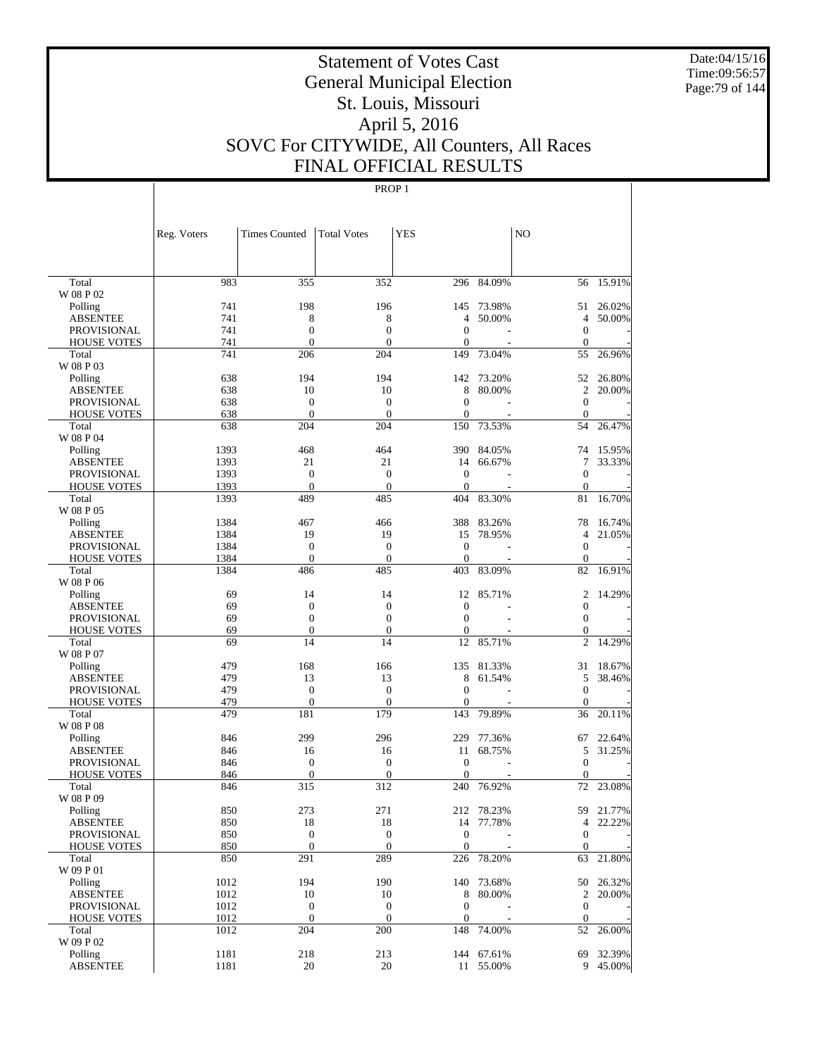Date:04/15/16 Time:09:56:57 Page:79 of 144

# Statement of Votes Cast General Municipal Election St. Louis, Missouri April 5, 2016 SOVC For CITYWIDE, All Counters, All Races FINAL OFFICIAL RESULTS

|                             | Reg. Voters | <b>Times Counted</b>         | <b>Total Votes</b>  | <b>YES</b>                   |            | N <sub>O</sub>               |           |
|-----------------------------|-------------|------------------------------|---------------------|------------------------------|------------|------------------------------|-----------|
|                             |             |                              |                     |                              |            |                              |           |
| Total                       | 983         | 355                          | 352                 | 296                          | 84.09%     | 56                           | 15.91%    |
| W 08 P 02                   | 741         | 198                          | 196                 | 145                          | 73.98%     |                              | 26.02%    |
| Polling                     | 741         |                              |                     | 4                            |            | 51<br>$\overline{4}$         |           |
| <b>ABSENTEE</b>             | 741         | 8                            | 8<br>$\overline{0}$ | $\mathbf{0}$                 | 50.00%     |                              | 50.00%    |
| <b>PROVISIONAL</b>          | 741         | $\mathbf{0}$<br>$\mathbf{0}$ | $\overline{0}$      | $\mathbf{0}$                 |            | $\mathbf{0}$<br>$\mathbf{0}$ |           |
| <b>HOUSE VOTES</b><br>Total | 741         | 206                          | 204                 | 149                          | 73.04%     | 55                           | 26.96%    |
| W 08 P 03                   |             |                              |                     |                              |            |                              |           |
| Polling                     | 638         | 194                          | 194                 | 142                          | 73.20%     | 52                           | 26.80%    |
| <b>ABSENTEE</b>             | 638         | 10                           | 10                  | 8                            | 80.00%     | $\overline{c}$               | 20.00%    |
| <b>PROVISIONAL</b>          | 638         | $\mathbf{0}$                 | $\theta$            | $\mathbf{0}$                 |            | $\mathbf{0}$                 |           |
| <b>HOUSE VOTES</b>          | 638         | $\mathbf{0}$                 | $\overline{0}$      | $\mathbf{0}$                 |            | $\mathbf{0}$                 |           |
| Total                       | 638         | 204                          | 204                 | 150                          | 73.53%     | 54                           | 26.47%    |
| W 08 P 04                   |             |                              |                     |                              |            |                              |           |
| Polling                     | 1393        | 468                          | 464                 | 390                          | 84.05%     | 74                           | 15.95%    |
| <b>ABSENTEE</b>             | 1393        | 21                           | 21                  | 14                           | 66.67%     | 7                            | 33.33%    |
| <b>PROVISIONAL</b>          | 1393        | $\mathbf{0}$                 | $\theta$            | $\mathbf{0}$                 |            | $\mathbf{0}$                 |           |
| <b>HOUSE VOTES</b>          | 1393        | $\mathbf{0}$                 | $\overline{0}$      | $\theta$                     |            | $\mathbf{0}$                 |           |
| Total<br>W 08 P 05          | 1393        | 489                          | 485                 | 404                          | 83.30%     | 81                           | 16.70%    |
| Polling                     | 1384        | 467                          | 466                 | 388                          | 83.26%     | 78                           | 16.74%    |
| ABSENTEE                    | 1384        | 19                           | 19                  | 15                           | 78.95%     | $\overline{4}$               | 21.05%    |
| <b>PROVISIONAL</b>          | 1384        | $\mathbf{0}$                 | $\theta$            | $\theta$                     |            | $\mathbf{0}$                 |           |
| <b>HOUSE VOTES</b>          | 1384        | $\mathbf{0}$                 | $\mathbf{0}$        | $\theta$                     |            | $\boldsymbol{0}$             |           |
| Total                       | 1384        | 486                          | 485                 | 403                          | 83.09%     | 82                           | 16.91%    |
| W 08 P 06                   |             |                              |                     |                              |            |                              |           |
| Polling                     | 69          | 14                           | 14                  | 12                           | 85.71%     | $\overline{c}$               | 14.29%    |
| <b>ABSENTEE</b>             | 69          | $\mathbf{0}$                 | $\boldsymbol{0}$    | $\theta$                     |            | $\mathbf{0}$                 |           |
| <b>PROVISIONAL</b>          | 69          | $\mathbf{0}$                 | $\overline{0}$      | $\mathbf{0}$                 |            | $\mathbf{0}$                 |           |
| <b>HOUSE VOTES</b>          | 69          | $\mathbf{0}$                 | $\theta$            | $\mathbf{0}$                 |            | $\mathbf{0}$                 |           |
| Total                       | 69          | 14                           | 14                  | 12                           | 85.71%     | $\overline{2}$               | 14.29%    |
| W 08 P 07                   |             |                              |                     |                              |            |                              |           |
| Polling                     | 479         | 168                          | 166                 | 135                          | 81.33%     | 31                           | 18.67%    |
| ABSENTEE                    | 479         | 13                           | 13                  | 8                            | 61.54%     | 5                            | 38.46%    |
| <b>PROVISIONAL</b>          | 479         | $\mathbf{0}$                 | $\theta$            | $\mathbf{0}$                 |            | $\mathbf{0}$                 |           |
| <b>HOUSE VOTES</b>          | 479         | $\mathbf{0}$                 | $\mathbf{0}$        | $\boldsymbol{0}$             |            | $\mathbf{0}$                 |           |
| Total                       | 479         | 181                          | 179                 | 143                          | 79.89%     | 36                           | 20.11%    |
| W 08 P 08                   |             |                              |                     |                              |            |                              |           |
| Polling                     | 846         | 299                          | 296                 | 229                          | 77.36%     | 67                           | 22.64%    |
| <b>ABSENTEE</b>             | 846         | 16                           | 16                  | 11                           | 68.75%     | 5                            | 31.25%    |
| <b>PROVISIONAL</b>          | 846         | $\mathbf{0}$                 | $\theta$            | $\theta$                     |            | $\mathbf{0}$                 |           |
| <b>HOUSE VOTES</b>          | 846         | $\mathbf{0}$                 | $\overline{0}$      | $\mathbf{0}$                 |            | $\mathbf{0}$                 |           |
| Total                       | 846         | 315                          | 312                 | 240                          | 76.92%     | 72                           | 23.08%    |
| W 08 P 09                   |             |                              |                     |                              |            |                              |           |
| Polling                     | 850         | 273                          | 271                 | 212                          | 78.23%     | 59                           | 21.77%    |
| <b>ABSENTEE</b>             | 850         | 18                           | 18                  |                              | 14 77.78%  | 4                            | 22.22%    |
| PROVISIONAL                 | 850         | $\boldsymbol{0}$             | $\mathbf{0}$        | $\mathbf{0}$<br>$\mathbf{0}$ |            | $\mathbf{0}$                 |           |
| <b>HOUSE VOTES</b>          | 850         | $\mathbf{0}$<br>291          | $\mathbf{0}$<br>289 | 226                          | 78.20%     | $\mathbf{0}$                 | 21.80%    |
| Total<br>W 09 P 01          | 850         |                              |                     |                              |            | 63                           |           |
| Polling                     | 1012        | 194                          | 190                 |                              | 140 73.68% |                              | 50 26.32% |
| <b>ABSENTEE</b>             | 1012        | 10                           | 10                  | $\,8\,$                      | 80.00%     |                              | 2 20.00%  |
| <b>PROVISIONAL</b>          | 1012        | $\boldsymbol{0}$             | $\mathbf{0}$        | $\mathbf{0}$                 |            | $\boldsymbol{0}$             |           |
| <b>HOUSE VOTES</b>          | 1012        | $\mathbf{0}$                 | $\boldsymbol{0}$    | $\boldsymbol{0}$             |            | $\mathbf{0}$                 |           |
| Total<br>W 09 P 02          | 1012        | 204                          | 200                 | 148                          | 74.00%     | 52                           | 26.00%    |
| Polling                     | 1181        | 218                          | 213                 |                              | 144 67.61% | 69                           | 32.39%    |
| <b>ABSENTEE</b>             | 1181        | 20                           | 20                  |                              | 11 55.00%  |                              | 9 45.00%  |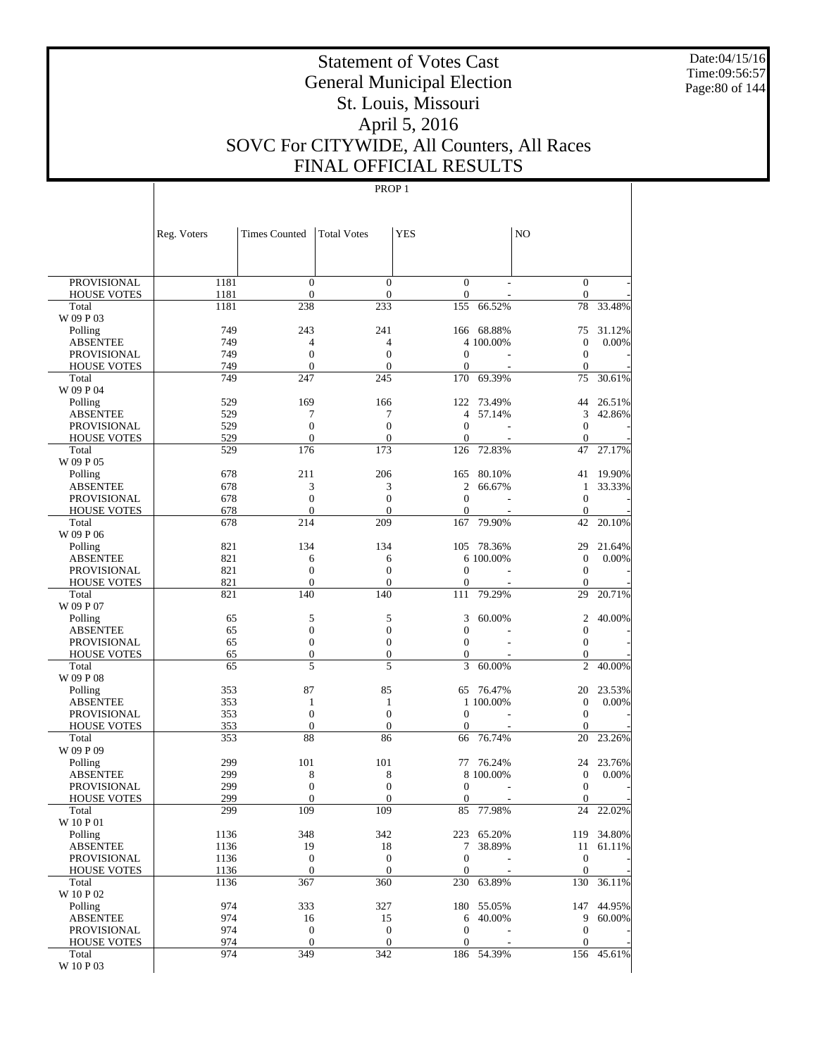Date:04/15/16 Time:09:56:57 Page:80 of 144

# Statement of Votes Cast General Municipal Election St. Louis, Missouri April 5, 2016 SOVC For CITYWIDE, All Counters, All Races FINAL OFFICIAL RESULTS

|                                       | Reg. Voters  | <b>Times Counted</b>         | <b>Total Votes</b>               | <b>YES</b>          |                      | N <sub>O</sub>                   |            |
|---------------------------------------|--------------|------------------------------|----------------------------------|---------------------|----------------------|----------------------------------|------------|
|                                       |              |                              |                                  |                     |                      |                                  |            |
| <b>PROVISIONAL</b>                    | 1181         | $\mathbf{0}$                 | $\overline{0}$                   | $\overline{0}$      | $\overline{a}$       | $\mathbf{0}$                     |            |
| <b>HOUSE VOTES</b>                    | 1181         | $\mathbf{0}$                 | $\boldsymbol{0}$                 | $\boldsymbol{0}$    |                      | $\boldsymbol{0}$                 |            |
| Total                                 | 1181         | 238                          | 233                              | 155                 | 66.52%               | 78                               | 33.48%     |
| W 09 P 03                             | 749          | 243                          | 241                              | 166                 | 68.88%               | 75                               | 31.12%     |
| Polling<br><b>ABSENTEE</b>            | 749          | 4                            | 4                                |                     | 4 100.00%            | $\boldsymbol{0}$                 | 0.00%      |
| <b>PROVISIONAL</b>                    | 749          | $\overline{0}$               | $\overline{0}$                   | $\overline{0}$      |                      | $\mathbf{0}$                     |            |
| <b>HOUSE VOTES</b>                    | 749          | $\mathbf{0}$                 | $\mathbf{0}$                     | $\boldsymbol{0}$    |                      | $\boldsymbol{0}$                 |            |
| Total                                 | 749          | 247                          | 245                              | 170                 | 69.39%               | 75                               | 30.61%     |
| W 09 P 04                             |              |                              |                                  |                     |                      |                                  |            |
| Polling                               | 529          | 169                          | 166                              | 122                 | 73.49%               | 44                               | 26.51%     |
| <b>ABSENTEE</b>                       | 529          | 7                            | 7                                | $\overline{4}$      | 57.14%               | 3                                | 42.86%     |
| <b>PROVISIONAL</b>                    | 529          | $\overline{0}$               | $\overline{0}$                   | $\overline{0}$      | L,                   | $\mathbf{0}$                     |            |
| <b>HOUSE VOTES</b><br>Total           | 529<br>529   | $\mathbf{0}$<br>176          | $\overline{0}$<br>173            | $\mathbf{0}$<br>126 | 72.83%               | $\mathbf{0}$<br>47               | 27.17%     |
| W 09 P 05                             |              |                              |                                  |                     |                      |                                  |            |
| Polling                               | 678          | 211                          | 206                              | 165                 | 80.10%               | 41                               | 19.90%     |
| <b>ABSENTEE</b>                       | 678          | 3                            | 3                                | $\mathfrak{2}$      | 66.67%               | 1                                | 33.33%     |
| <b>PROVISIONAL</b>                    | 678          | $\overline{0}$               | $\overline{0}$                   | $\overline{0}$      |                      | $\mathbf{0}$                     |            |
| <b>HOUSE VOTES</b>                    | 678          | $\mathbf{0}$                 | $\overline{0}$                   | $\boldsymbol{0}$    |                      | $\boldsymbol{0}$                 |            |
| Total                                 | 678          | 214                          | 209                              | 167                 | 79.90%               | 42                               | 20.10%     |
| W 09 P 06                             |              |                              |                                  |                     |                      |                                  |            |
| Polling                               | 821          | 134                          | 134                              | 105                 | 78.36%               | 29                               | 21.64%     |
| <b>ABSENTEE</b>                       | 821          | 6                            | 6                                |                     | 6 100.00%            | $\boldsymbol{0}$                 | 0.00%      |
| <b>PROVISIONAL</b>                    | 821<br>821   | $\mathbf{0}$<br>$\mathbf{0}$ | $\overline{0}$<br>$\overline{0}$ | $\overline{0}$      |                      | $\mathbf{0}$                     |            |
| <b>HOUSE VOTES</b><br>Total           | 821          | 140                          | 140                              | 0<br>111            | 79.29%               | $\mathbf{0}$<br>29               | 20.71%     |
| W 09 P 07                             |              |                              |                                  |                     |                      |                                  |            |
| Polling                               | 65           | 5                            | 5                                | 3                   | 60.00%               | $\overline{c}$                   | 40.00%     |
| <b>ABSENTEE</b>                       | 65           | $\boldsymbol{0}$             | $\overline{0}$                   | $\mathbf{0}$        |                      | $\boldsymbol{0}$                 |            |
| <b>PROVISIONAL</b>                    | 65           | $\overline{0}$               | $\overline{0}$                   | $\overline{0}$      |                      | $\mathbf{0}$                     |            |
| <b>HOUSE VOTES</b>                    | 65           | $\boldsymbol{0}$             | $\boldsymbol{0}$                 | 0                   |                      | $\mathbf{0}$                     |            |
| Total                                 | 65           | 5                            | 5                                | 3                   | 60.00%               | $\overline{c}$                   | 40.00%     |
| W 09 P 08                             |              |                              |                                  |                     |                      |                                  |            |
| Polling                               | 353          | 87                           | 85                               | 65                  | 76.47%               | 20                               | 23.53%     |
| <b>ABSENTEE</b><br><b>PROVISIONAL</b> | 353<br>353   | 1<br>$\mathbf{0}$            | 1<br>$\overline{0}$              | $\overline{0}$      | 1 100.00%            | $\boldsymbol{0}$<br>$\mathbf{0}$ | 0.00%      |
| <b>HOUSE VOTES</b>                    | 353          | $\mathbf{0}$                 | $\overline{0}$                   | $\overline{0}$      |                      | $\mathbf 0$                      |            |
| Total                                 | 353          | 88                           | 86                               | 66                  | 76.74%               | 20                               | 23.26%     |
| W 09 P 09                             |              |                              |                                  |                     |                      |                                  |            |
| Polling                               | 299          | 101                          | 101                              | 77                  | 76.24%               | 24                               | 23.76%     |
| <b>ABSENTEE</b>                       | 299          | 8                            | 8                                |                     | 8 100,00%            | $\boldsymbol{0}$                 | 0.00%      |
| <b>PROVISIONAL</b>                    | 299          | $\overline{0}$               | $\overline{0}$                   | $\overline{0}$      |                      | $\boldsymbol{0}$                 |            |
| <b>HOUSE VOTES</b>                    | 299          | $\mathbf{0}$                 | $\boldsymbol{0}$                 | 0                   |                      | $\boldsymbol{0}$                 |            |
| Total                                 | 299          | 109                          | 109                              | 85                  | 77.98%               | 24                               | 22.02%     |
| W 10 P 01                             |              |                              |                                  |                     |                      |                                  | 119 34.80% |
| Polling<br><b>ABSENTEE</b>            | 1136<br>1136 | 348<br>19                    | 342<br>18                        | $7\overline{ }$     | 223 65.20%<br>38.89% |                                  | 11 61.11%  |
| <b>PROVISIONAL</b>                    | 1136         | $\mathbf{0}$                 | $\boldsymbol{0}$                 | $\mathbf{0}$        |                      | $\mathbf{0}$                     |            |
| <b>HOUSE VOTES</b>                    | 1136         | $\mathbf{0}$                 | $\theta$                         | $\overline{0}$      |                      | $\mathbf{0}$                     |            |
| Total                                 | 1136         | 367                          | 360                              | 230                 | 63.89%               | 130                              | 36.11%     |
| W 10 P 02                             |              |                              |                                  |                     |                      |                                  |            |
| Polling                               | 974          | 333                          | 327                              |                     | 180 55.05%           |                                  | 147 44.95% |
| <b>ABSENTEE</b>                       | 974          | 16                           | 15                               |                     | 6 40.00%             |                                  | 9 60.00%   |
| <b>PROVISIONAL</b>                    | 974          | $\mathbf{0}$                 | $\mathbf{0}$                     | $\mathbf{0}$        |                      | $\mathbf{0}$                     |            |
| <b>HOUSE VOTES</b>                    | 974          | $\mathbf{0}$                 | $\theta$                         | $\overline{0}$      |                      | $\mathbf{0}$                     |            |
| Total                                 | 974          | 349                          | 342                              |                     | 186 54.39%           |                                  | 156 45.61% |
| W 10 P 03                             |              |                              |                                  |                     |                      |                                  |            |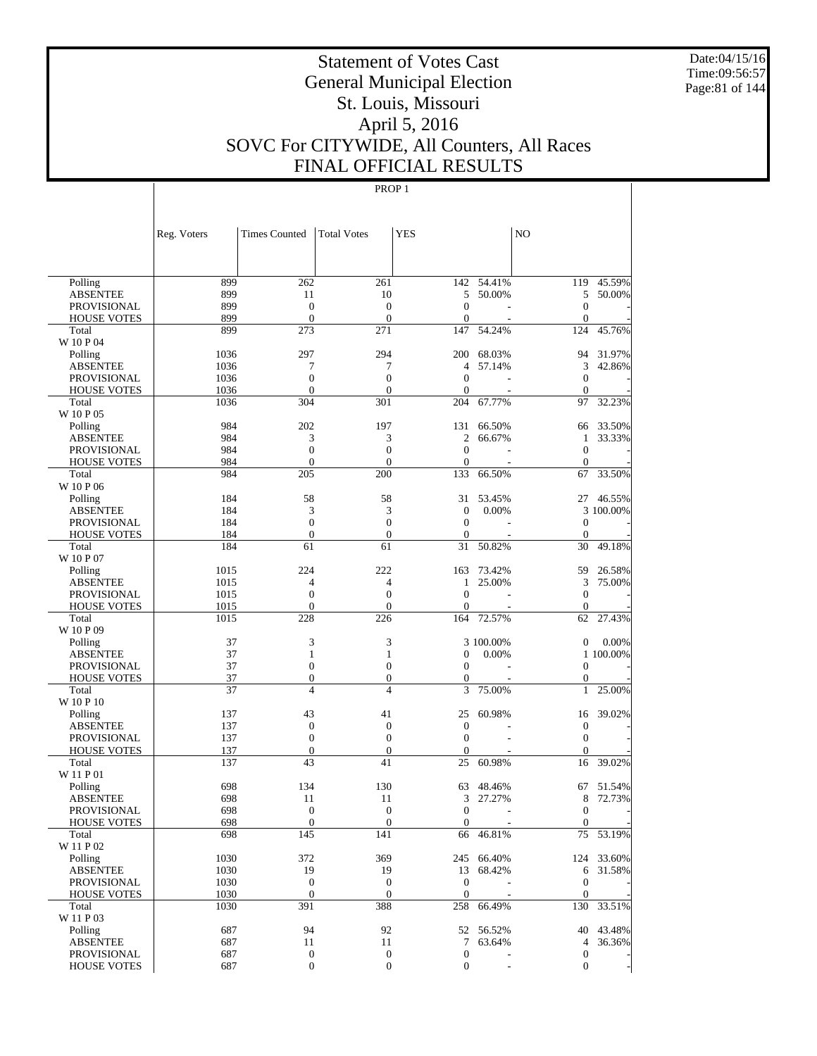Date:04/15/16 Time:09:56:57 Page:81 of 144

# Statement of Votes Cast General Municipal Election St. Louis, Missouri April 5, 2016 SOVC For CITYWIDE, All Counters, All Races FINAL OFFICIAL RESULTS

|                                       | Reg. Voters  | <b>Times Counted</b>         | <b>Total Votes</b>               | <b>YES</b>                       |            | NO                       |            |
|---------------------------------------|--------------|------------------------------|----------------------------------|----------------------------------|------------|--------------------------|------------|
|                                       |              |                              |                                  |                                  |            |                          |            |
| Polling                               | 899          | 262                          | 261                              | 142                              | 54.41%     | 119                      | 45.59%     |
| <b>ABSENTEE</b>                       | 899          | 11                           | 10                               | 5                                | 50.00%     | 5                        | 50.00%     |
| <b>PROVISIONAL</b>                    | 899          | $\mathbf{0}$                 | $\overline{0}$                   | $\mathbf{0}$                     |            | $\theta$                 |            |
| <b>HOUSE VOTES</b>                    | 899          | $\mathbf{0}$                 | $\overline{0}$                   | $\boldsymbol{0}$                 |            | $\theta$                 |            |
| Total                                 | 899          | 273                          | 271                              | 147                              | 54.24%     | 124                      | 45.76%     |
| W 10 P 04                             |              |                              |                                  |                                  |            |                          |            |
| Polling                               | 1036         | 297                          | 294                              | 200                              | 68.03%     | 94                       | 31.97%     |
| <b>ABSENTEE</b><br><b>PROVISIONAL</b> | 1036<br>1036 | 7<br>$\overline{0}$          | 7<br>$\overline{0}$              | 4<br>$\mathbf{0}$                | 57.14%     | 3<br>$\theta$            | 42.86%     |
| <b>HOUSE VOTES</b>                    | 1036         | $\mathbf{0}$                 | $\overline{0}$                   | $\boldsymbol{0}$                 |            | $\Omega$                 |            |
| Total                                 | 1036         | 304                          | 301                              | 204                              | 67.77%     | 97                       | 32.23%     |
| W 10 P 05                             |              |                              |                                  |                                  |            |                          |            |
| Polling                               | 984          | 202                          | 197                              | 131                              | 66.50%     | 66                       | 33.50%     |
| <b>ABSENTEE</b>                       | 984          | 3                            | 3                                | 2                                | 66.67%     | $\mathbf{1}$             | 33.33%     |
| <b>PROVISIONAL</b>                    | 984          | $\overline{0}$               | $\overline{0}$                   | $\mathbf{0}$                     |            | $\theta$                 |            |
| <b>HOUSE VOTES</b>                    | 984          | $\overline{0}$               | $\overline{0}$                   | $\mathbf{0}$                     |            | $\mathbf{0}$             |            |
| Total                                 | 984          | 205                          | 200                              | 133                              | 66.50%     | 67                       | 33.50%     |
| W 10 P 06                             |              |                              |                                  |                                  |            |                          |            |
| Polling                               | 184          | 58                           | 58                               | 31                               | 53.45%     | 27                       | 46.55%     |
| <b>ABSENTEE</b>                       | 184          | 3                            | 3                                | $\mathbf{0}$                     | 0.00%      |                          | 3 100.00%  |
| <b>PROVISIONAL</b>                    | 184          | $\overline{0}$               | $\overline{0}$                   | $\mathbf{0}$                     |            | $\mathbf{0}$             |            |
| <b>HOUSE VOTES</b>                    | 184          | $\mathbf{0}$                 | $\overline{0}$                   | $\mathbf{0}$                     |            | $\mathbf{0}$             |            |
| Total                                 | 184          | 61                           | 61                               | 31                               | 50.82%     | 30                       | 49.18%     |
| W 10 P 07                             |              |                              |                                  |                                  |            |                          |            |
| Polling                               | 1015         | 224                          | 222                              | 163                              | 73.42%     | 59                       | 26.58%     |
| <b>ABSENTEE</b>                       | 1015         | 4                            | $\overline{4}$                   | $\mathbf{1}$                     | 25.00%     | 3                        | 75.00%     |
| <b>PROVISIONAL</b>                    | 1015<br>1015 | $\mathbf{0}$<br>$\mathbf{0}$ | $\overline{0}$<br>$\overline{0}$ | $\mathbf{0}$<br>$\boldsymbol{0}$ |            | $\theta$<br>$\mathbf{0}$ |            |
| <b>HOUSE VOTES</b><br>Total           | 1015         | 228                          | 226                              | 164                              | 72.57%     | 62                       | 27.43%     |
| W 10 P 09                             |              |                              |                                  |                                  |            |                          |            |
| Polling                               | 37           | 3                            | 3                                |                                  | 3 100.00%  | $\mathbf{0}$             | 0.00%      |
| <b>ABSENTEE</b>                       | 37           | $\mathbf{1}$                 | 1                                | $\boldsymbol{0}$                 | 0.00%      |                          | 1 100.00%  |
| <b>PROVISIONAL</b>                    | 37           | $\mathbf{0}$                 | $\overline{0}$                   | $\mathbf{0}$                     |            | $\mathbf{0}$             |            |
| <b>HOUSE VOTES</b>                    | 37           | 0                            | $\boldsymbol{0}$                 | 0                                |            | $\mathbf{0}$             |            |
| Total                                 | 37           | $\overline{4}$               | $\overline{4}$                   | 3                                | 75.00%     | $\mathbf{1}$             | 25.00%     |
| W 10 P 10                             |              |                              |                                  |                                  |            |                          |            |
| Polling                               | 137          | 43                           | 41                               | 25                               | 60.98%     | 16                       | 39.02%     |
| <b>ABSENTEE</b>                       | 137          | $\mathbf{0}$                 | $\overline{0}$                   | $\mathbf{0}$                     |            | $\mathbf{0}$             |            |
| <b>PROVISIONAL</b>                    | 137          | $\mathbf{0}$                 | $\overline{0}$                   | $\mathbf{0}$                     |            | $\theta$                 |            |
| <b>HOUSE VOTES</b>                    | 137          | $\mathbf{0}$                 | $\boldsymbol{0}$                 | $\mathbf{0}$                     |            | $\mathbf{0}$             |            |
| Total                                 | 137          | 43                           | 41                               | 25                               | 60.98%     | 16                       | 39.02%     |
| W 11 P 01                             |              |                              |                                  |                                  |            |                          |            |
| Polling                               | 698          | 134                          | 130                              | 63                               | 48.46%     | 67                       | 51.54%     |
| <b>ABSENTEE</b><br>PROVISIONAL        | 698<br>698   | 11<br>$\overline{0}$         | 11<br>$\overline{0}$             | 3<br>$\boldsymbol{0}$            | 27.27%     | 8<br>$\mathbf{0}$        | 72.73%     |
| <b>HOUSE VOTES</b>                    | 698          | $\mathbf{0}$                 | $\boldsymbol{0}$                 | $\mathbf{0}$                     |            | $\mathbf{0}$             |            |
| Total                                 | 698          | 145                          | 141                              | 66                               | 46.81%     | 75                       | 53.19%     |
| W 11 P 02                             |              |                              |                                  |                                  |            |                          |            |
| Polling                               | 1030         | 372                          | 369                              |                                  | 245 66.40% |                          | 124 33.60% |
| <b>ABSENTEE</b>                       | 1030         | 19                           | 19                               | 13                               | 68.42%     | 6                        | 31.58%     |
| <b>PROVISIONAL</b>                    | 1030         | $\boldsymbol{0}$             | $\boldsymbol{0}$                 | $\mathbf{0}$                     |            | $\mathbf{0}$             |            |
| <b>HOUSE VOTES</b>                    | 1030         | $\mathbf{0}$                 | $\boldsymbol{0}$                 | $\mathbf{0}$                     |            | $\mathbf{0}$             |            |
| Total                                 | 1030         | 391                          | 388                              | 258                              | 66.49%     | 130                      | 33.51%     |
| W 11 P 03                             |              |                              |                                  |                                  |            |                          |            |
| Polling                               | 687          | 94                           | 92                               |                                  | 52 56.52%  | 40                       | 43.48%     |
| <b>ABSENTEE</b>                       | 687          | 11                           | 11                               | 7                                | 63.64%     | 4                        | 36.36%     |
| PROVISIONAL                           | 687          | $\boldsymbol{0}$             | $\boldsymbol{0}$                 | $\boldsymbol{0}$                 |            | $\mathbf{0}$             |            |
| <b>HOUSE VOTES</b>                    | 687          | $\boldsymbol{0}$             | $\boldsymbol{0}$                 | $\boldsymbol{0}$                 |            | $\mathbf{0}$             |            |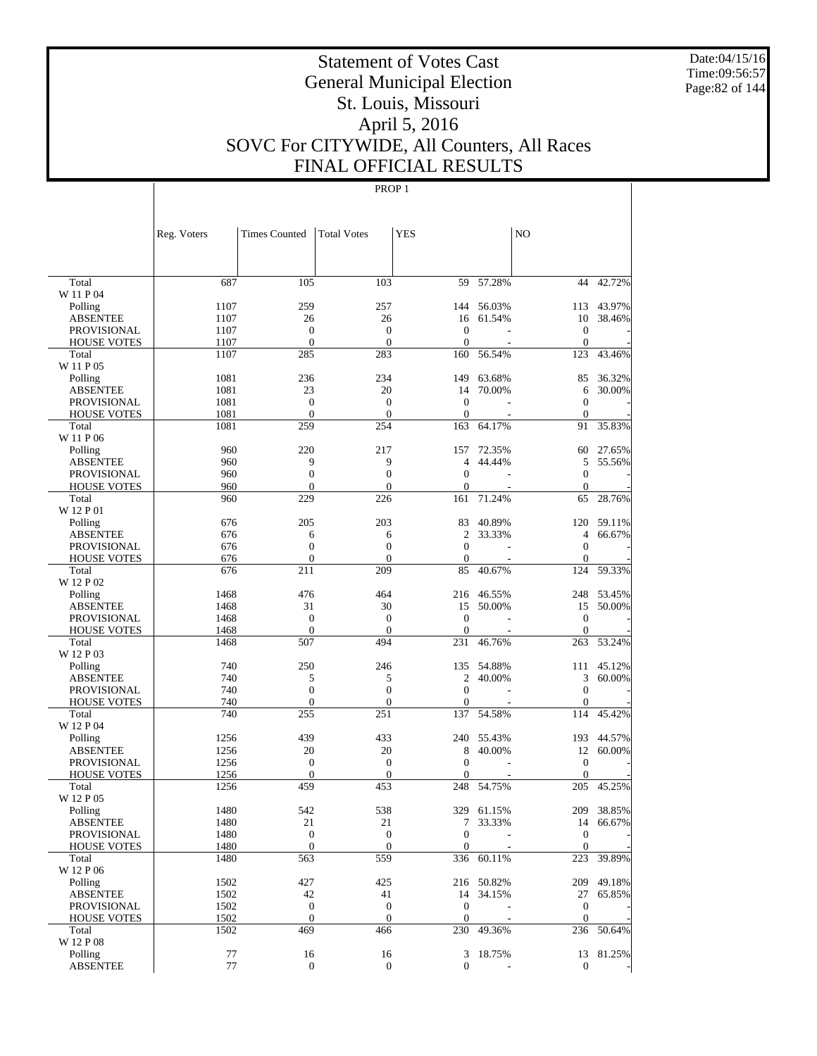Date:04/15/16 Time:09:56:57 Page:82 of 144

# Statement of Votes Cast General Municipal Election St. Louis, Missouri April 5, 2016 SOVC For CITYWIDE, All Counters, All Races FINAL OFFICIAL RESULTS

|                    | Reg. Voters  | <b>Times Counted</b>             | <b>Total Votes</b>               | <b>YES</b>       |            | N <sub>O</sub>                   |            |
|--------------------|--------------|----------------------------------|----------------------------------|------------------|------------|----------------------------------|------------|
|                    |              |                                  |                                  |                  |            |                                  |            |
| Total<br>W 11 P 04 | 687          | 105                              | 103                              |                  | 59 57.28%  | 44                               | 42.72%     |
| Polling            | 1107         | 259                              | 257                              |                  | 144 56.03% | 113                              | 43.97%     |
| <b>ABSENTEE</b>    | 1107         | 26                               | 26                               | 16               | 61.54%     | 10                               | 38.46%     |
| <b>PROVISIONAL</b> | 1107         | $\boldsymbol{0}$                 | $\boldsymbol{0}$                 | $\mathbf{0}$     |            | $\boldsymbol{0}$                 |            |
| <b>HOUSE VOTES</b> | 1107         | $\mathbf{0}$                     | $\theta$                         | $\mathbf{0}$     |            | $\mathbf{0}$                     |            |
| Total              | 1107         | 285                              | 283                              | 160              | 56.54%     | 123                              | 43.46%     |
| W 11 P 05          |              |                                  |                                  |                  |            |                                  |            |
| Polling            | 1081         | 236                              | 234                              | 149              | 63.68%     | 85                               | 36.32%     |
| <b>ABSENTEE</b>    | 1081         | 23                               | 20                               | 14               | 70.00%     | 6                                | 30.00%     |
| <b>PROVISIONAL</b> | 1081         | $\boldsymbol{0}$                 | $\boldsymbol{0}$                 | $\theta$         |            | $\mathbf{0}$                     |            |
| <b>HOUSE VOTES</b> | 1081         | $\mathbf{0}$                     | $\theta$                         | $\mathbf{0}$     |            | $\mathbf{0}$                     |            |
| Total              | 1081         | 259                              | 254                              | 163              | 64.17%     | 91                               | 35.83%     |
| W 11 P 06          |              |                                  |                                  |                  |            |                                  |            |
| Polling            | 960          | 220                              | 217                              | 157              | 72.35%     | 60                               | 27.65%     |
| <b>ABSENTEE</b>    | 960          | 9                                | 9                                | 4                | 44.44%     | 5                                | 55.56%     |
| <b>PROVISIONAL</b> | 960          | $\boldsymbol{0}$                 | $\boldsymbol{0}$                 | $\mathbf{0}$     |            | $\mathbf{0}$                     |            |
| <b>HOUSE VOTES</b> | 960          | $\Omega$                         | $\overline{0}$                   | $\mathbf{0}$     |            | $\Omega$                         |            |
| Total<br>W 12 P 01 | 960          | 229                              | 226                              | 161              | 71.24%     | 65                               | 28.76%     |
| Polling            | 676          | 205                              | 203                              | 83               | 40.89%     | 120                              | 59.11%     |
| <b>ABSENTEE</b>    | 676          | 6                                | 6                                | 2                | 33.33%     | $\overline{4}$                   | 66.67%     |
| <b>PROVISIONAL</b> | 676          | $\boldsymbol{0}$                 | $\mathbf{0}$                     | $\theta$         |            | $\mathbf{0}$                     |            |
| <b>HOUSE VOTES</b> | 676          | $\mathbf{0}$                     | $\mathbf{0}$                     | $\boldsymbol{0}$ |            | $\mathbf{0}$                     |            |
| Total              | 676          | 211                              | 209                              | 85               | 40.67%     | 124                              | 59.33%     |
| W 12 P 02          |              |                                  |                                  |                  |            |                                  |            |
| Polling            | 1468         | 476                              | 464                              |                  | 216 46.55% |                                  | 248 53.45% |
| <b>ABSENTEE</b>    | 1468         | 31                               | 30                               | 15               | 50.00%     | 15                               | 50.00%     |
| <b>PROVISIONAL</b> | 1468         | $\boldsymbol{0}$                 | $\boldsymbol{0}$                 | $\boldsymbol{0}$ |            | $\mathbf{0}$                     |            |
| <b>HOUSE VOTES</b> | 1468         | $\mathbf{0}$                     | $\theta$                         | $\mathbf{0}$     |            | $\Omega$                         |            |
| Total<br>W 12 P 03 | 1468         | 507                              | 494                              | 231              | 46.76%     | 263                              | 53.24%     |
| Polling            | 740          | 250                              | 246                              | 135              | 54.88%     | 111                              | 45.12%     |
| <b>ABSENTEE</b>    | 740          | 5                                | 5                                | $\overline{c}$   | 40.00%     | 3                                | 60.00%     |
| <b>PROVISIONAL</b> | 740          | $\boldsymbol{0}$                 | $\mathbf{0}$                     | $\mathbf{0}$     |            | $\mathbf{0}$                     |            |
| <b>HOUSE VOTES</b> | 740          | $\overline{0}$                   | $\overline{0}$                   | $\boldsymbol{0}$ |            | $\mathbf{0}$                     |            |
| Total              | 740          | 255                              | 251                              | 137              | 54.58%     | 114                              | 45.42%     |
| W 12 P 04          |              |                                  |                                  |                  |            |                                  |            |
| Polling            | 1256         | 439                              | 433                              |                  | 240 55.43% | 193                              | 44.57%     |
| <b>ABSENTEE</b>    | 1256         | 20                               | 20                               | 8                | 40.00%     | 12                               | 60.00%     |
| <b>PROVISIONAL</b> | 1256         | $\boldsymbol{0}$                 | $\boldsymbol{0}$                 | $\mathbf{0}$     | L,         | $\boldsymbol{0}$                 |            |
| <b>HOUSE VOTES</b> | 1256         | $\Omega$                         | $\mathbf{0}$                     | 0                |            | $\Omega$                         |            |
| Total              | 1256         | 459                              | 453                              |                  | 248 54.75% | 205                              | 45.25%     |
| W 12 P 05          |              |                                  |                                  |                  |            |                                  |            |
| Polling            | 1480         | 542                              | 538                              |                  | 329 61.15% |                                  | 209 38.85% |
| ABSENTEE           | 1480         | 21                               | 21                               | 7                | 33.33%     |                                  | 14 66.67%  |
| PROVISIONAL        | 1480         | $\boldsymbol{0}$<br>$\mathbf{0}$ | $\boldsymbol{0}$<br>$\mathbf{0}$ | $\boldsymbol{0}$ |            | $\boldsymbol{0}$<br>$\mathbf{0}$ |            |
| <b>HOUSE VOTES</b> | 1480<br>1480 | 563                              | 559                              | $\mathbf{0}$     | 336 60.11% | 223                              | 39.89%     |
| Total<br>W 12 P 06 |              |                                  |                                  |                  |            |                                  |            |
| Polling            | 1502         | 427                              | 425                              |                  | 216 50.82% | 209                              | 49.18%     |
| <b>ABSENTEE</b>    | 1502         | 42                               | 41                               | 14               | 34.15%     | 27                               | 65.85%     |
| PROVISIONAL        | 1502         | $\boldsymbol{0}$                 | $\mathbf{0}$                     | $\mathbf{0}$     |            | $\boldsymbol{0}$                 |            |
| <b>HOUSE VOTES</b> | 1502         | $\mathbf{0}$                     | $\mathbf{0}$                     | $\mathbf{0}$     |            | $\mathbf{0}$                     |            |
| Total              | 1502         | 469                              | 466                              |                  | 230 49.36% | 236                              | 50.64%     |
| W 12 P 08          |              |                                  |                                  |                  |            |                                  |            |
| Polling            | 77           | 16                               | 16                               |                  | 3 18.75%   |                                  | 13 81.25%  |
| <b>ABSENTEE</b>    | $77\,$       | $\mathbf{0}$                     | $\mathbf{0}$                     | 0                |            | $\boldsymbol{0}$                 |            |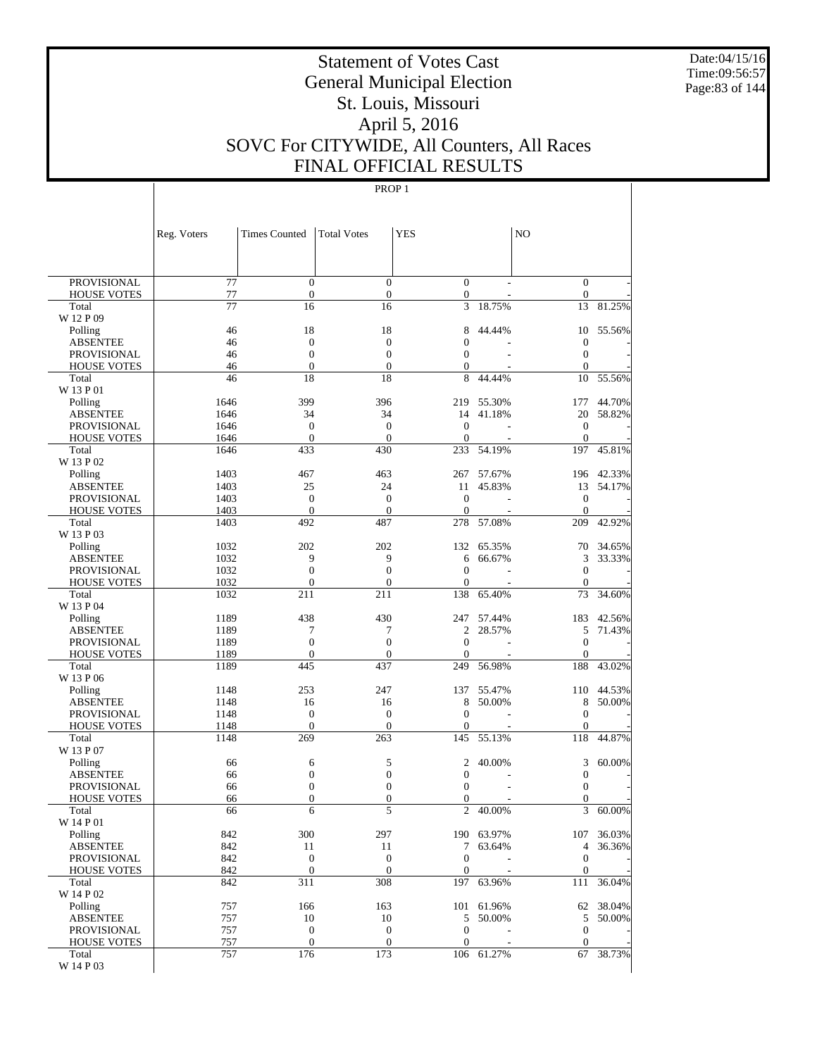Date:04/15/16 Time:09:56:57 Page:83 of 144

# Statement of Votes Cast General Municipal Election St. Louis, Missouri April 5, 2016 SOVC For CITYWIDE, All Counters, All Races FINAL OFFICIAL RESULTS

|                                          | Reg. Voters     | <b>Times Counted</b>                 | <b>Total Votes</b>                   | YES                          |                  | N <sub>O</sub>                       |                  |
|------------------------------------------|-----------------|--------------------------------------|--------------------------------------|------------------------------|------------------|--------------------------------------|------------------|
|                                          |                 |                                      |                                      |                              |                  |                                      |                  |
| <b>PROVISIONAL</b>                       | 77              | $\mathbf{0}$                         | $\overline{0}$                       | $\overline{0}$               |                  | $\mathbf{0}$                         |                  |
| <b>HOUSE VOTES</b>                       | 77              | $\boldsymbol{0}$                     | $\mathbf{0}$                         | 0                            |                  | $\boldsymbol{0}$                     |                  |
| Total<br>W 12 P 09                       | $\overline{77}$ | 16                                   | 16                                   | 3                            | 18.75%           | 13                                   | 81.25%           |
| Polling                                  | 46              | 18                                   | 18                                   | 8                            | 44.44%           | 10                                   | 55.56%           |
| ABSENTEE                                 | 46              | $\boldsymbol{0}$                     | $\mathbf{0}$                         | $\overline{0}$               |                  | $\boldsymbol{0}$                     |                  |
| <b>PROVISIONAL</b>                       | 46              | $\mathbf{0}$                         | $\overline{0}$                       | $\boldsymbol{0}$             |                  | $\mathbf{0}$                         |                  |
| <b>HOUSE VOTES</b>                       | 46              | $\boldsymbol{0}$                     | $\mathbf{0}$                         | 0                            |                  | $\boldsymbol{0}$                     |                  |
| Total                                    | 46              | 18                                   | 18                                   | 8                            | 44.44%           | 10                                   | 55.56%           |
| W 13 P 01                                |                 |                                      |                                      |                              |                  |                                      |                  |
| Polling                                  | 1646            | 399                                  | 396                                  | 219                          | 55.30%           | 177                                  | 44.70%           |
| ABSENTEE                                 | 1646            | 34                                   | 34                                   | 14                           | 41.18%           | 20                                   | 58.82%           |
| <b>PROVISIONAL</b><br><b>HOUSE VOTES</b> | 1646<br>1646    | $\boldsymbol{0}$<br>$\mathbf{0}$     | $\boldsymbol{0}$<br>$\overline{0}$   | $\mathbf{0}$<br>$\mathbf{0}$ | ÷                | $\mathbf{0}$<br>$\mathbf{0}$         |                  |
| Total                                    | 1646            | 433                                  | 430                                  | 233                          | 54.19%           | 197                                  | 45.81%           |
| W 13 P 02                                |                 |                                      |                                      |                              |                  |                                      |                  |
| Polling                                  | 1403            | 467                                  | 463                                  | 267                          | 57.67%           | 196                                  | 42.33%           |
| ABSENTEE                                 | 1403            | 25                                   | 24                                   | 11                           | 45.83%           | 13                                   | 54.17%           |
| <b>PROVISIONAL</b>                       | 1403            | $\boldsymbol{0}$                     | $\boldsymbol{0}$                     | $\mathbf{0}$                 |                  | $\mathbf{0}$                         |                  |
| <b>HOUSE VOTES</b>                       | 1403            | $\boldsymbol{0}$                     | $\mathbf{0}$                         | $\mathbf{0}$                 |                  | $\boldsymbol{0}$                     |                  |
| Total                                    | 1403            | 492                                  | 487                                  | 278                          | 57.08%           | 209                                  | 42.92%           |
| W 13 P 03                                |                 |                                      |                                      |                              |                  |                                      |                  |
| Polling<br><b>ABSENTEE</b>               | 1032<br>1032    | 202<br>9                             | 202<br>9                             | 132<br>6                     | 65.35%<br>66.67% | 70<br>3                              | 34.65%<br>33.33% |
| <b>PROVISIONAL</b>                       | 1032            | $\boldsymbol{0}$                     | $\boldsymbol{0}$                     | $\overline{0}$               |                  | $\boldsymbol{0}$                     |                  |
| <b>HOUSE VOTES</b>                       | 1032            | $\boldsymbol{0}$                     | $\boldsymbol{0}$                     | $\overline{0}$               |                  | $\mathbf{0}$                         |                  |
| Total                                    | 1032            | 211                                  | 211                                  | 138                          | 65.40%           | 73                                   | 34.60%           |
| W 13 P 04                                |                 |                                      |                                      |                              |                  |                                      |                  |
| Polling                                  | 1189            | 438                                  | 430                                  | 247                          | 57.44%           | 183                                  | 42.56%           |
| ABSENTEE                                 | 1189            | 7                                    | 7                                    | 2                            | 28.57%           | 5                                    | 71.43%           |
| <b>PROVISIONAL</b>                       | 1189            | $\mathbf{0}$                         | $\overline{0}$                       | $\overline{0}$               |                  | $\mathbf{0}$                         |                  |
| <b>HOUSE VOTES</b>                       | 1189            | $\boldsymbol{0}$                     | $\mathbf{0}$                         | $\overline{0}$               |                  | $\boldsymbol{0}$                     |                  |
| Total<br>W 13 P 06                       | 1189            | 445                                  | 437                                  | 249                          | 56.98%           | 188                                  | 43.02%           |
| Polling                                  | 1148            | 253                                  | 247                                  | 137                          | 55.47%           | 110                                  | 44.53%           |
| ABSENTEE                                 | 1148            | 16                                   | 16                                   | 8                            | 50.00%           | 8                                    | 50.00%           |
| <b>PROVISIONAL</b>                       | 1148            | $\boldsymbol{0}$                     | $\boldsymbol{0}$                     | $\overline{0}$               |                  | $\mathbf{0}$                         |                  |
| <b>HOUSE VOTES</b>                       | 1148            | $\mathbf{0}$                         | $\boldsymbol{0}$                     | $\overline{0}$               |                  | $\boldsymbol{0}$                     |                  |
| Total                                    | 1148            | 269                                  | 263                                  | 145                          | 55.13%           | 118                                  | 44.87%           |
| W 13 P 07                                |                 |                                      |                                      |                              |                  |                                      |                  |
| Polling                                  | 66              | 6                                    | 5                                    | 2                            | 40.00%           | 3                                    | 60.00%           |
| ABSENTEE<br><b>PROVISIONAL</b>           | 66<br>66        | $\boldsymbol{0}$<br>$\boldsymbol{0}$ | $\boldsymbol{0}$<br>$\boldsymbol{0}$ | 0<br>0                       |                  | $\boldsymbol{0}$<br>$\boldsymbol{0}$ |                  |
| <b>HOUSE VOTES</b>                       | 66              | $\boldsymbol{0}$                     | $\boldsymbol{0}$                     | $\mathbf{0}$                 |                  | $\boldsymbol{0}$                     |                  |
| Total                                    | 66              | 6                                    | 5                                    | $\overline{2}$               | 40.00%           | $\overline{3}$                       | 60.00%           |
| W 14 P 01                                |                 |                                      |                                      |                              |                  |                                      |                  |
| Polling                                  | 842             | 300                                  | 297                                  |                              | 190 63.97%       |                                      | 107 36.03%       |
| <b>ABSENTEE</b>                          | 842             | 11                                   | 11                                   | 7                            | 63.64%           |                                      | 4 36.36%         |
| <b>PROVISIONAL</b>                       | 842             | $\boldsymbol{0}$                     | $\boldsymbol{0}$                     | $\boldsymbol{0}$             |                  | $\mathbf{0}$                         |                  |
| <b>HOUSE VOTES</b>                       | 842             | $\mathbf{0}$                         | $\mathbf{0}$                         | $\boldsymbol{0}$             |                  | $\boldsymbol{0}$                     |                  |
| Total<br>W 14 P 02                       | 842             | 311                                  | 308                                  | 197                          | 63.96%           | 111                                  | 36.04%           |
| Polling                                  | 757             | 166                                  | 163                                  |                              | 101 61.96%       |                                      | 62 38.04%        |
| <b>ABSENTEE</b>                          | 757             | 10                                   | 10                                   |                              | 5 50.00%         | 5                                    | 50.00%           |
| PROVISIONAL                              | 757             | $\boldsymbol{0}$                     | $\boldsymbol{0}$                     | $\boldsymbol{0}$             |                  | $\mathbf{0}$                         |                  |
| <b>HOUSE VOTES</b>                       | 757             | $\mathbf{0}$                         | $\mathbf{0}$                         | $\boldsymbol{0}$             |                  | $\mathbf{0}$                         |                  |
| Total                                    | 757             | 176                                  | 173                                  |                              | 106 61.27%       | 67                                   | 38.73%           |
| W 14 P 03                                |                 |                                      |                                      |                              |                  |                                      |                  |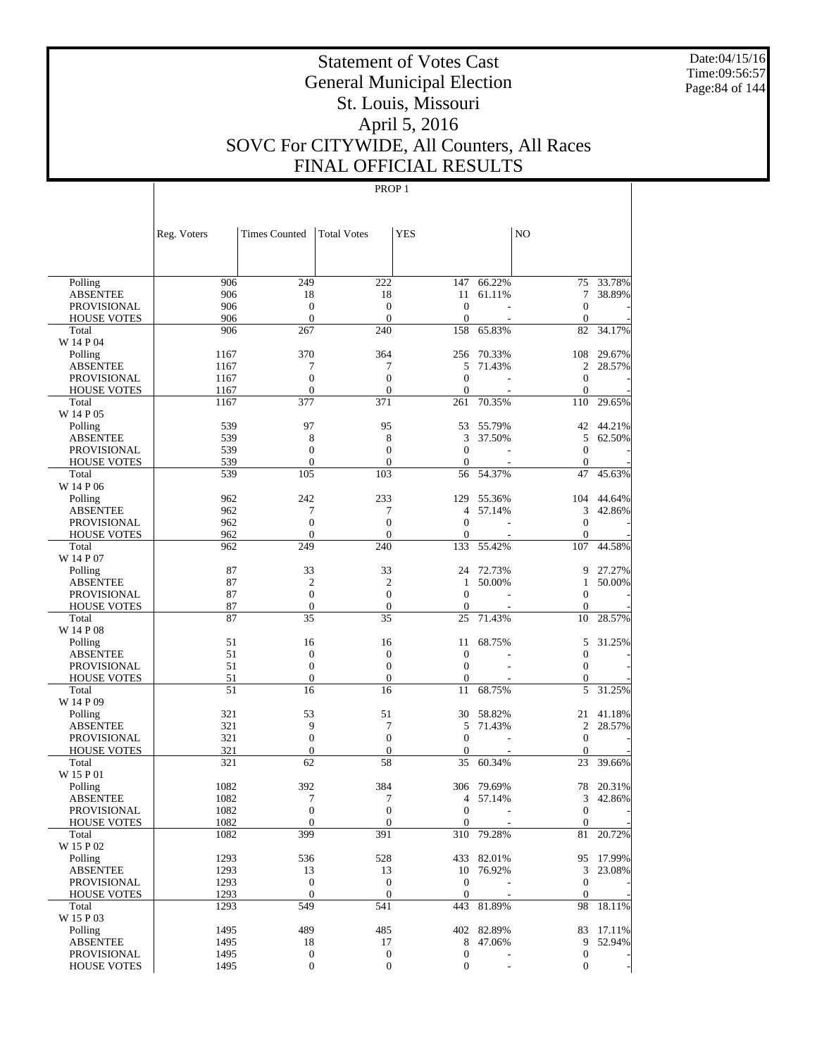Date:04/15/16 Time:09:56:57 Page:84 of 144

# Statement of Votes Cast General Municipal Election St. Louis, Missouri April 5, 2016 SOVC For CITYWIDE, All Counters, All Races FINAL OFFICIAL RESULTS

|                                       | Reg. Voters  | <b>Times Counted</b>  | <b>Total Votes</b> | <b>YES</b>         |            | NO                |           |
|---------------------------------------|--------------|-----------------------|--------------------|--------------------|------------|-------------------|-----------|
|                                       |              |                       |                    |                    |            |                   |           |
| Polling                               | 906          | 249                   | 222                | 147                | 66.22%     | 75                | 33.78%    |
| <b>ABSENTEE</b>                       | 906          | 18                    | 18                 | 11                 | 61.11%     | 7                 | 38.89%    |
| <b>PROVISIONAL</b>                    | 906          | $\boldsymbol{0}$      | $\mathbf{0}$       | $\overline{0}$     |            | $\mathbf{0}$      |           |
| <b>HOUSE VOTES</b>                    | 906          | $\mathbf{0}$          | $\mathbf{0}$       | $\overline{0}$     |            | $\theta$          |           |
| Total                                 | 906          | 267                   | 240                | 158                | 65.83%     | 82                | 34.17%    |
| W 14 P 04                             |              |                       |                    |                    |            |                   |           |
| Polling                               | 1167         | 370                   | 364<br>7           | 256<br>5           | 70.33%     | 108<br>2          | 29.67%    |
| <b>ABSENTEE</b><br><b>PROVISIONAL</b> | 1167<br>1167 | 7<br>$\boldsymbol{0}$ | $\mathbf{0}$       | $\overline{0}$     | 71.43%     | $\mathbf{0}$      | 28.57%    |
| <b>HOUSE VOTES</b>                    | 1167         | $\mathbf{0}$          | $\theta$           | $\overline{0}$     |            | $\mathbf{0}$      |           |
| Total                                 | 1167         | 377                   | 371                | 261                | 70.35%     | 110               | 29.65%    |
| W 14 P 05                             |              |                       |                    |                    |            |                   |           |
| Polling                               | 539          | 97                    | 95                 | 53                 | 55.79%     | 42                | 44.21%    |
| ABSENTEE                              | 539          | 8                     | 8                  | 3                  | 37.50%     | 5                 | 62.50%    |
| PROVISIONAL                           | 539          | $\mathbf{0}$          | $\mathbf{0}$       | $\mathbf{0}$       |            | $\theta$          |           |
| <b>HOUSE VOTES</b>                    | 539          | $\mathbf{0}$          | $\theta$           | $\mathbf{0}$       |            | $\theta$          |           |
| Total                                 | 539          | 105                   | 103                | 56                 | 54.37%     | 47                | 45.63%    |
| W 14 P 06                             |              |                       |                    |                    |            |                   |           |
| Polling                               | 962          | 242                   | 233                | 129                | 55.36%     | 104               | 44.64%    |
| ABSENTEE                              | 962          | 7                     | 7                  | 4                  | 57.14%     | 3                 | 42.86%    |
| PROVISIONAL                           | 962          | $\boldsymbol{0}$      | $\theta$           | $\overline{0}$     |            | $\mathbf{0}$      |           |
| <b>HOUSE VOTES</b>                    | 962          | $\boldsymbol{0}$      | $\theta$           | 0                  |            | $\mathbf{0}$      |           |
| Total<br>W 14 P 07                    | 962          | 249                   | 240                | 133                | 55.42%     | 107               | 44.58%    |
| Polling                               | 87           | 33                    | 33                 | 24                 | 72.73%     | 9                 | 27.27%    |
| ABSENTEE                              | 87           | $\overline{2}$        | $\overline{c}$     | 1                  | 50.00%     | 1                 | 50.00%    |
| <b>PROVISIONAL</b>                    | 87           | $\boldsymbol{0}$      | $\theta$           | $\overline{0}$     |            | $\theta$          |           |
| <b>HOUSE VOTES</b>                    | 87           | $\boldsymbol{0}$      | $\theta$           | $\mathbf{0}$       |            | $\mathbf{0}$      |           |
| Total                                 | 87           | 35                    | 35                 | 25                 | 71.43%     | 10                | 28.57%    |
| W 14 P 08                             |              |                       |                    |                    |            |                   |           |
| Polling                               | 51           | 16                    | 16                 | 11                 | 68.75%     | 5                 | 31.25%    |
| ABSENTEE                              | 51           | $\boldsymbol{0}$      | $\boldsymbol{0}$   | $\mathbf{0}$       |            | $\mathbf{0}$      |           |
| PROVISIONAL                           | 51           | $\mathbf{0}$          | $\overline{0}$     | $\overline{0}$     |            | $\theta$          |           |
| <b>HOUSE VOTES</b>                    | 51           | $\boldsymbol{0}$      | $\theta$           | $\boldsymbol{0}$   |            | $\mathbf{0}$      |           |
| Total<br>W 14 P 09                    | 51           | 16                    | 16                 | 11                 | 68.75%     | 5                 | 31.25%    |
| Polling                               | 321          | 53                    | 51                 | 30                 | 58.82%     | 21                | 41.18%    |
| ABSENTEE                              | 321          | 9                     | 7                  | 5                  | 71.43%     | 2                 | 28.57%    |
| PROVISIONAL                           | 321          | $\boldsymbol{0}$      | $\theta$           | $\overline{0}$     |            | $\mathbf{0}$      |           |
| <b>HOUSE VOTES</b>                    | 321          | $\boldsymbol{0}$      | $\theta$           | $\mathbf{0}$       |            | $\theta$          |           |
| Total                                 | 321          | 62                    | 58                 | 35                 | 60.34%     | 23                | 39.66%    |
| W 15 P 01                             |              |                       |                    |                    |            |                   |           |
| Polling                               | 1082         | 392                   | 384                | 306                | 79.69%     | 78                | 20.31%    |
| <b>ABSENTEE</b>                       | 1082         | 7                     | 7                  | 4                  | 57.14%     | 3                 | 42.86%    |
| PROVISIONAL                           | 1082         | $\overline{0}$        | $\Omega$           | $\overline{0}$     | ÷          | $\mathbf{0}$      |           |
| <b>HOUSE VOTES</b>                    | 1082         | $\mathbf{0}$          | $\mathbf{0}$       | $\boldsymbol{0}$   |            | $\mathbf{0}$      |           |
| Total                                 | 1082         | 399                   | 391                |                    | 310 79.28% | 81                | 20.72%    |
| W 15 P 02                             |              |                       |                    |                    |            |                   |           |
| Polling                               | 1293         | 536                   | 528                |                    | 433 82.01% |                   | 95 17.99% |
| <b>ABSENTEE</b>                       | 1293<br>1293 | 13<br>$\mathbf{0}$    | 13<br>$\mathbf{0}$ | 10<br>$\mathbf{0}$ | 76.92%     | 3<br>$\mathbf{0}$ | 23.08%    |
| PROVISIONAL<br><b>HOUSE VOTES</b>     | 1293         | $\mathbf{0}$          | $\boldsymbol{0}$   | $\boldsymbol{0}$   |            | $\mathbf{0}$      |           |
| Total                                 | 1293         | 549                   | 541                |                    | 443 81.89% | 98                | 18.11%    |
| W 15 P 03                             |              |                       |                    |                    |            |                   |           |
| Polling                               | 1495         | 489                   | 485                |                    | 402 82.89% | 83                | 17.11%    |
| <b>ABSENTEE</b>                       | 1495         | 18                    | 17                 | 8                  | 47.06%     | 9                 | 52.94%    |
| PROVISIONAL                           | 1495         | $\boldsymbol{0}$      | $\boldsymbol{0}$   | $\mathbf{0}$       |            | $\mathbf{0}$      |           |
| <b>HOUSE VOTES</b>                    | 1495         | $\boldsymbol{0}$      | $\boldsymbol{0}$   | $\boldsymbol{0}$   |            | $\mathbf{0}$      |           |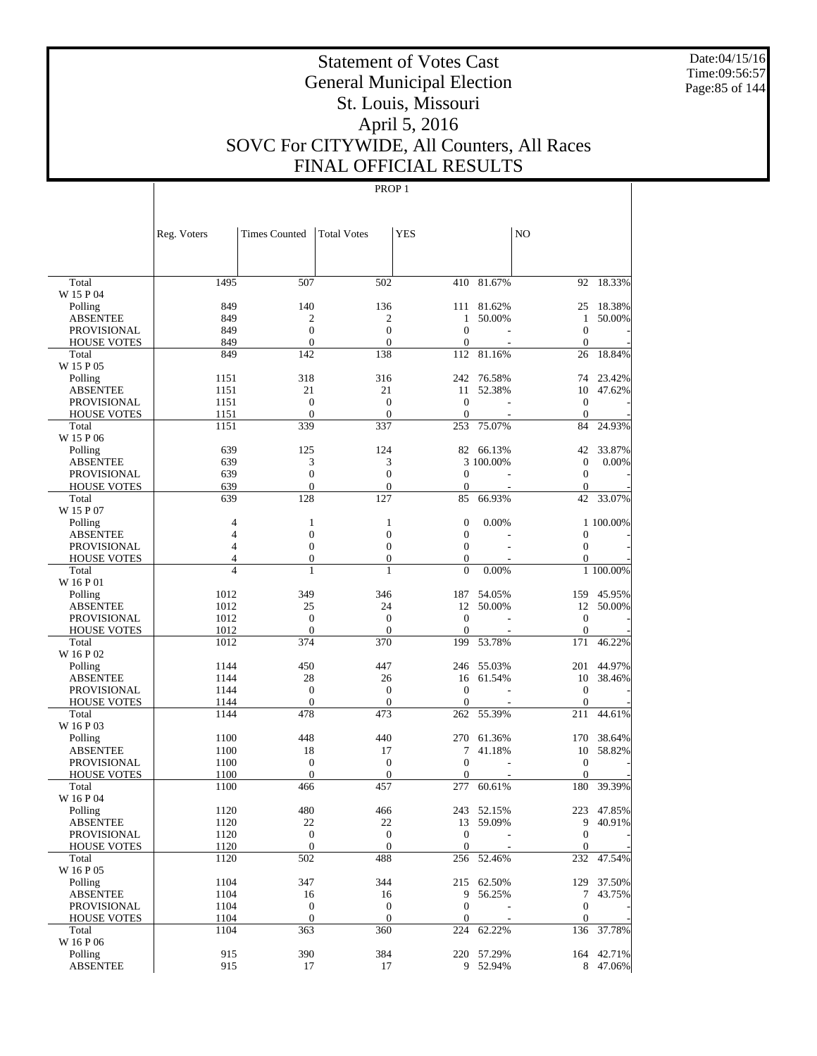Date:04/15/16 Time:09:56:57 Page:85 of 144

# Statement of Votes Cast General Municipal Election St. Louis, Missouri April 5, 2016 SOVC For CITYWIDE, All Counters, All Races FINAL OFFICIAL RESULTS

|                                          | Reg. Voters    | Times Counted                | <b>Total Votes</b>           | <b>YES</b>                   |                | N <sub>O</sub>           |            |
|------------------------------------------|----------------|------------------------------|------------------------------|------------------------------|----------------|--------------------------|------------|
|                                          |                |                              |                              |                              |                |                          |            |
| Total                                    | 1495           | 507                          | 502                          |                              | $410 - 81.67%$ | 92                       | 18.33%     |
| W 15 P 04                                |                |                              |                              |                              |                |                          |            |
| Polling                                  | 849<br>849     | 140<br>$\mathfrak{2}$        | 136<br>$\overline{c}$        | 1                            | 111 81.62%     | 25<br>$\mathbf{1}$       | 18.38%     |
| <b>ABSENTEE</b><br><b>PROVISIONAL</b>    | 849            | $\mathbf{0}$                 | $\mathbf{0}$                 | $\mathbf{0}$                 | 50.00%         | $\mathbf{0}$             | 50.00%     |
| <b>HOUSE VOTES</b>                       | 849            | $\mathbf{0}$                 | $\mathbf{0}$                 | 0                            |                | $\mathbf{0}$             |            |
| Total                                    | 849            | 142                          | 138                          | 112                          | 81.16%         | 26                       | 18.84%     |
| W 15 P 05                                |                |                              |                              |                              |                |                          |            |
| Polling                                  | 1151           | 318                          | 316                          | 242                          | 76.58%         | 74                       | 23.42%     |
| <b>ABSENTEE</b>                          | 1151           | 21                           | 21                           | 11                           | 52.38%         | 10                       | 47.62%     |
| <b>PROVISIONAL</b>                       | 1151           | $\mathbf{0}$                 | $\overline{0}$               | $\mathbf{0}$                 |                | $\mathbf{0}$             |            |
| <b>HOUSE VOTES</b>                       | 1151           | $\mathbf{0}$                 | $\mathbf{0}$                 | $\mathbf{0}$                 |                | $\mathbf{0}$             |            |
| Total                                    | 1151           | 339                          | 337                          | 253                          | 75.07%         | 84                       | 24.93%     |
| W 15 P 06                                |                |                              |                              |                              |                |                          |            |
| Polling                                  | 639            | 125                          | 124                          |                              | 82 66.13%      | 42                       | 33.87%     |
| <b>ABSENTEE</b>                          | 639            | 3                            | 3                            |                              | 3 100.00%      | $\mathbf{0}$             | 0.00%      |
| <b>PROVISIONAL</b><br><b>HOUSE VOTES</b> | 639<br>639     | $\mathbf{0}$<br>$\mathbf{0}$ | $\mathbf{0}$<br>$\mathbf{0}$ | $\mathbf{0}$<br>$\mathbf{0}$ |                | $\mathbf{0}$<br>$\Omega$ |            |
| Total                                    | 639            | 128                          | 127                          | 85                           | 66.93%         | 42                       | 33.07%     |
| W 15 P 07                                |                |                              |                              |                              |                |                          |            |
| Polling                                  | 4              | 1                            | $\mathbf{1}$                 | $\mathbf{0}$                 | 0.00%          |                          | 1 100.00%  |
| <b>ABSENTEE</b>                          | $\overline{4}$ | $\boldsymbol{0}$             | $\overline{0}$               | $\mathbf{0}$                 |                | $\mathbf{0}$             |            |
| <b>PROVISIONAL</b>                       | $\overline{4}$ | $\mathbf{0}$                 | $\overline{0}$               | $\mathbf{0}$                 | L,             | $\Omega$                 |            |
| <b>HOUSE VOTES</b>                       | $\overline{4}$ | $\mathbf{0}$                 | $\boldsymbol{0}$             | $\boldsymbol{0}$             |                | $\mathbf{0}$             |            |
| Total                                    | $\overline{4}$ | $\mathbf{1}$                 | $\mathbf{1}$                 | $\theta$                     | 0.00%          |                          | 1 100.00%  |
| W 16 P 01                                |                |                              |                              |                              |                |                          |            |
| Polling                                  | 1012           | 349                          | 346                          | 187                          | 54.05%         | 159                      | 45.95%     |
| <b>ABSENTEE</b>                          | 1012           | 25                           | 24                           | 12                           | 50.00%         | 12                       | 50.00%     |
| <b>PROVISIONAL</b>                       | 1012           | $\mathbf{0}$                 | $\overline{0}$               | $\mathbf{0}$                 |                | $\mathbf{0}$             |            |
| <b>HOUSE VOTES</b>                       | 1012           | $\mathbf{0}$                 | $\mathbf{0}$                 | $\Omega$                     |                | $\Omega$                 |            |
| Total<br>W 16 P 02                       | 1012           | 374                          | 370                          | 199                          | 53.78%         | 171                      | 46.22%     |
| Polling                                  | 1144           | 450                          | 447                          |                              | 246 55.03%     | 201                      | 44.97%     |
| <b>ABSENTEE</b>                          | 1144           | 28                           | 26                           | 16                           | 61.54%         | 10                       | 38.46%     |
| <b>PROVISIONAL</b>                       | 1144           | $\mathbf{0}$                 | $\mathbf{0}$                 | $\mathbf{0}$                 |                | $\mathbf{0}$             |            |
| <b>HOUSE VOTES</b>                       | 1144           | $\mathbf{0}$                 | $\overline{0}$               | $\mathbf{0}$                 |                | $\mathbf{0}$             |            |
| Total                                    | 1144           | 478                          | 473                          | 262                          | 55.39%         | 211                      | 44.61%     |
| W 16 P 03                                |                |                              |                              |                              |                |                          |            |
| Polling                                  | 1100           | 448                          | 440                          | 270                          | 61.36%         | 170                      | 38.64%     |
| <b>ABSENTEE</b>                          | 1100           | 18                           | 17                           | 7                            | 41.18%         | 10                       | 58.82%     |
| <b>PROVISIONAL</b>                       | 1100           | $\mathbf{0}$                 | $\mathbf{0}$                 | $\mathbf{0}$                 |                | $\mathbf{0}$             |            |
| <b>HOUSE VOTES</b>                       | 1100           | $\mathbf{0}$                 | $\mathbf{0}$                 | $\Omega$                     |                | $\Omega$                 |            |
| Total                                    | 1100           | 466                          | 457                          | 277                          | 60.61%         | 180                      | 39.39%     |
| W 16 P 04                                |                |                              |                              |                              |                |                          |            |
| Polling                                  | 1120           | 480                          | 466                          |                              | 243 52.15%     |                          | 223 47.85% |
| <b>ABSENTEE</b><br>PROVISIONAL           | 1120<br>1120   | 22<br>$\boldsymbol{0}$       | 22<br>$\mathbf{0}$           | $\mathbf{0}$                 | 13 59.09%      | 9<br>$\Omega$            | 40.91%     |
| <b>HOUSE VOTES</b>                       | 1120           | $\mathbf{0}$                 | $\mathbf{0}$                 | $\mathbf{0}$                 |                | $\mathbf{0}$             |            |
| Total                                    | 1120           | 502                          | 488                          |                              | 256 52.46%     | 232                      | 47.54%     |
| W 16 P 05                                |                |                              |                              |                              |                |                          |            |
| Polling                                  | 1104           | 347                          | 344                          |                              | 215 62.50%     | 129                      | 37.50%     |
| <b>ABSENTEE</b>                          | 1104           | 16                           | 16                           | 9                            | 56.25%         | 7                        | 43.75%     |
| PROVISIONAL                              | 1104           | $\boldsymbol{0}$             | $\mathbf{0}$                 | $\boldsymbol{0}$             |                | $\mathbf{0}$             |            |
| <b>HOUSE VOTES</b>                       | 1104           | $\mathbf{0}$                 | $\mathbf{0}$                 | $\mathbf{0}$                 |                | $\mathbf{0}$             |            |
| Total                                    | 1104           | 363                          | 360                          | 224                          | 62.22%         |                          | 136 37.78% |
| W 16 P 06                                |                |                              |                              |                              |                |                          |            |
| Polling                                  | 915            | 390                          | 384                          |                              | 220 57.29%     |                          | 164 42.71% |
| <b>ABSENTEE</b>                          | 915            | 17                           | 17                           |                              | 9 52.94%       |                          | 8 47.06%   |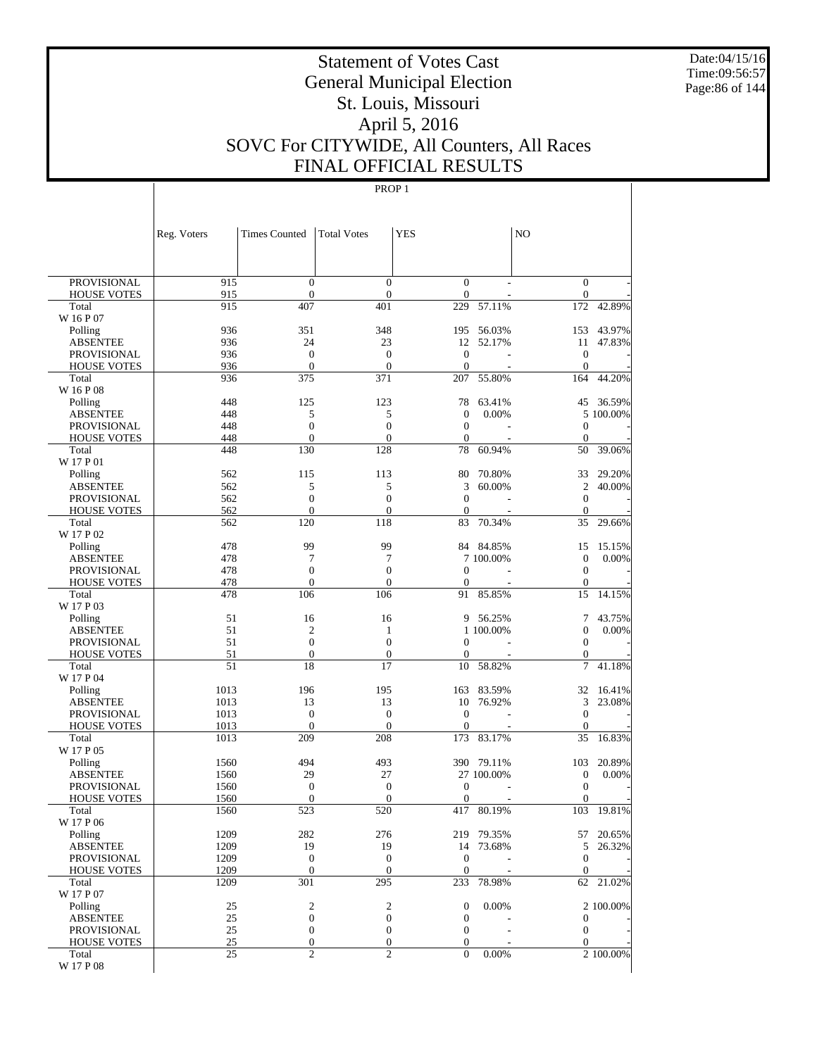Date:04/15/16 Time:09:56:57 Page:86 of 144

# Statement of Votes Cast General Municipal Election St. Louis, Missouri April 5, 2016 SOVC For CITYWIDE, All Counters, All Races FINAL OFFICIAL RESULTS

|                                       | Reg. Voters  | <b>Times Counted</b>    | <b>Total Votes</b>      | <b>YES</b>             |            | N <sub>O</sub>                       |           |
|---------------------------------------|--------------|-------------------------|-------------------------|------------------------|------------|--------------------------------------|-----------|
|                                       |              |                         |                         |                        |            |                                      |           |
| <b>PROVISIONAL</b>                    | 915          | $\mathbf{0}$            | $\overline{0}$          | $\mathbf{0}$           |            | $\mathbf{0}$                         |           |
| <b>HOUSE VOTES</b>                    | 915          | $\boldsymbol{0}$        | $\boldsymbol{0}$        | $\mathbf{0}$           |            | $\mathbf{0}$                         |           |
| Total                                 | 915          | 407                     | 401                     | 229                    | 57.11%     | 172                                  | 42.89%    |
| W 16 P 07                             |              |                         |                         |                        |            |                                      |           |
| Polling                               | 936          | 351                     | 348                     | 195                    | 56.03%     | 153                                  | 43.97%    |
| <b>ABSENTEE</b><br><b>PROVISIONAL</b> | 936<br>936   | 24<br>$\mathbf{0}$      | 23<br>$\mathbf{0}$      | 12<br>$\boldsymbol{0}$ | 52.17%     | 11<br>$\boldsymbol{0}$               | 47.83%    |
| <b>HOUSE VOTES</b>                    | 936          | $\mathbf{0}$            | $\mathbf{0}$            | $\overline{0}$         |            | $\mathbf{0}$                         |           |
| Total                                 | 936          | 375                     | 371                     | 207                    | 55.80%     | 164                                  | 44.20%    |
| W 16 P 08                             |              |                         |                         |                        |            |                                      |           |
| Polling                               | 448          | 125                     | 123                     | 78                     | 63.41%     | 45                                   | 36.59%    |
| <b>ABSENTEE</b>                       | 448          | 5                       | 5                       | $\boldsymbol{0}$       | 0.00%      |                                      | 5 100.00% |
| PROVISIONAL                           | 448          | $\overline{0}$          | $\boldsymbol{0}$        | $\mathbf{0}$           |            | $\boldsymbol{0}$                     |           |
| <b>HOUSE VOTES</b>                    | 448<br>448   | $\boldsymbol{0}$        | $\boldsymbol{0}$        | $\boldsymbol{0}$       |            | $\boldsymbol{0}$                     |           |
| Total<br>W 17 P 01                    |              | 130                     | 128                     | 78                     | 60.94%     | 50                                   | 39.06%    |
| Polling                               | 562          | 115                     | 113                     | 80                     | 70.80%     | 33                                   | 29.20%    |
| <b>ABSENTEE</b>                       | 562          | 5                       | 5                       | 3                      | 60.00%     | $\mathfrak{2}$                       | 40.00%    |
| <b>PROVISIONAL</b>                    | 562          | $\boldsymbol{0}$        | $\boldsymbol{0}$        | $\overline{0}$         |            | $\mathbf{0}$                         |           |
| <b>HOUSE VOTES</b>                    | 562          | $\mathbf{0}$            | $\boldsymbol{0}$        | $\mathbf{0}$           |            | $\boldsymbol{0}$                     |           |
| Total                                 | 562          | 120                     | 118                     | 83                     | 70.34%     | 35                                   | 29.66%    |
| W 17 P 02                             |              |                         |                         |                        |            |                                      |           |
| Polling                               | 478<br>478   | 99<br>7                 | 99<br>7                 |                        | 84 84.85%  | 15                                   | 15.15%    |
| <b>ABSENTEE</b><br><b>PROVISIONAL</b> | 478          | $\boldsymbol{0}$        | $\boldsymbol{0}$        | $\boldsymbol{0}$       | 7 100.00%  | $\boldsymbol{0}$<br>$\boldsymbol{0}$ | 0.00%     |
| <b>HOUSE VOTES</b>                    | 478          | $\boldsymbol{0}$        | $\boldsymbol{0}$        | $\mathbf{0}$           |            | $\boldsymbol{0}$                     |           |
| Total                                 | 478          | 106                     | 106                     | 91                     | 85.85%     | 15                                   | 14.15%    |
| W 17 P 03                             |              |                         |                         |                        |            |                                      |           |
| Polling                               | 51           | 16                      | 16                      | 9                      | 56.25%     | 7                                    | 43.75%    |
| <b>ABSENTEE</b>                       | 51           | $\overline{2}$          | 1                       |                        | 1 100.00%  | $\boldsymbol{0}$                     | 0.00%     |
| <b>PROVISIONAL</b>                    | 51           | $\mathbf{0}$            | $\overline{0}$          | 0                      |            | $\mathbf{0}$                         |           |
| <b>HOUSE VOTES</b>                    | 51           | $\boldsymbol{0}$        | $\mathbf{0}$            | $\mathbf{0}$           |            | $\mathbf{0}$                         |           |
| Total<br>W 17 P 04                    | 51           | 18                      | 17                      | 10                     | 58.82%     | 7                                    | 41.18%    |
| Polling                               | 1013         | 196                     | 195                     | 163                    | 83.59%     | 32                                   | 16.41%    |
| <b>ABSENTEE</b>                       | 1013         | 13                      | 13                      | 10                     | 76.92%     | 3                                    | 23.08%    |
| PROVISIONAL                           | 1013         | $\mathbf{0}$            | $\mathbf{0}$            | $\boldsymbol{0}$       |            | $\mathbf{0}$                         |           |
| <b>HOUSE VOTES</b>                    | 1013         | $\boldsymbol{0}$        | $\mathbf{0}$            | $\overline{0}$         |            | $\mathbf{0}$                         |           |
| Total                                 | 1013         | 209                     | 208                     | 173                    | 83.17%     | 35                                   | 16.83%    |
| W 17 P 05                             |              |                         |                         |                        |            |                                      |           |
| Polling                               | 1560         | 494                     | 493                     |                        | 390 79.11% | 103                                  | 20.89%    |
| <b>ABSENTEE</b>                       | 1560<br>1560 | 29<br>$\boldsymbol{0}$  | 27<br>$\mathbf{0}$      | $\boldsymbol{0}$       | 27 100.00% | $\boldsymbol{0}$<br>$\boldsymbol{0}$ | 0.00%     |
| PROVISIONAL<br><b>HOUSE VOTES</b>     | 1560         | $\boldsymbol{0}$        | $\mathbf{0}$            | $\mathbf{0}$           |            | $\boldsymbol{0}$                     |           |
| Total                                 | 1560         | 523                     | 520                     | 417                    | 80.19%     | 103                                  | 19.81%    |
| W 17 P 06                             |              |                         |                         |                        |            |                                      |           |
| Polling                               | 1209         | 282                     | 276                     |                        | 219 79.35% | 57                                   | 20.65%    |
| <b>ABSENTEE</b>                       | 1209         | 19                      | 19                      | 14                     | 73.68%     | 5                                    | 26.32%    |
| PROVISIONAL                           | 1209         | $\mathbf{0}$            | $\mathbf{0}$            | $\boldsymbol{0}$       |            | $\mathbf{0}$                         |           |
| <b>HOUSE VOTES</b>                    | 1209         | $\boldsymbol{0}$<br>301 | $\boldsymbol{0}$<br>295 | $\boldsymbol{0}$       |            | $\mathbf{0}$                         |           |
| Total<br>W 17 P 07                    | 1209         |                         |                         | 233                    | 78.98%     | 62                                   | 21.02%    |
| Polling                               | 25           | $\mathfrak{2}$          | $\boldsymbol{2}$        | $\boldsymbol{0}$       | 0.00%      |                                      | 2 100.00% |
| <b>ABSENTEE</b>                       | 25           | $\boldsymbol{0}$        | $\boldsymbol{0}$        | $\boldsymbol{0}$       |            | $\mathbf{0}$                         |           |
| PROVISIONAL                           | 25           | $\boldsymbol{0}$        | $\boldsymbol{0}$        | $\boldsymbol{0}$       |            | $\mathbf{0}$                         |           |
| <b>HOUSE VOTES</b>                    | 25           | $\boldsymbol{0}$        | $\boldsymbol{0}$        | $\boldsymbol{0}$       |            | $\mathbf{0}$                         |           |
| Total                                 | 25           | $\overline{c}$          | $\overline{2}$          | $\theta$               | 0.00%      |                                      | 2 100.00% |
| W 17 P 08                             |              |                         |                         |                        |            |                                      |           |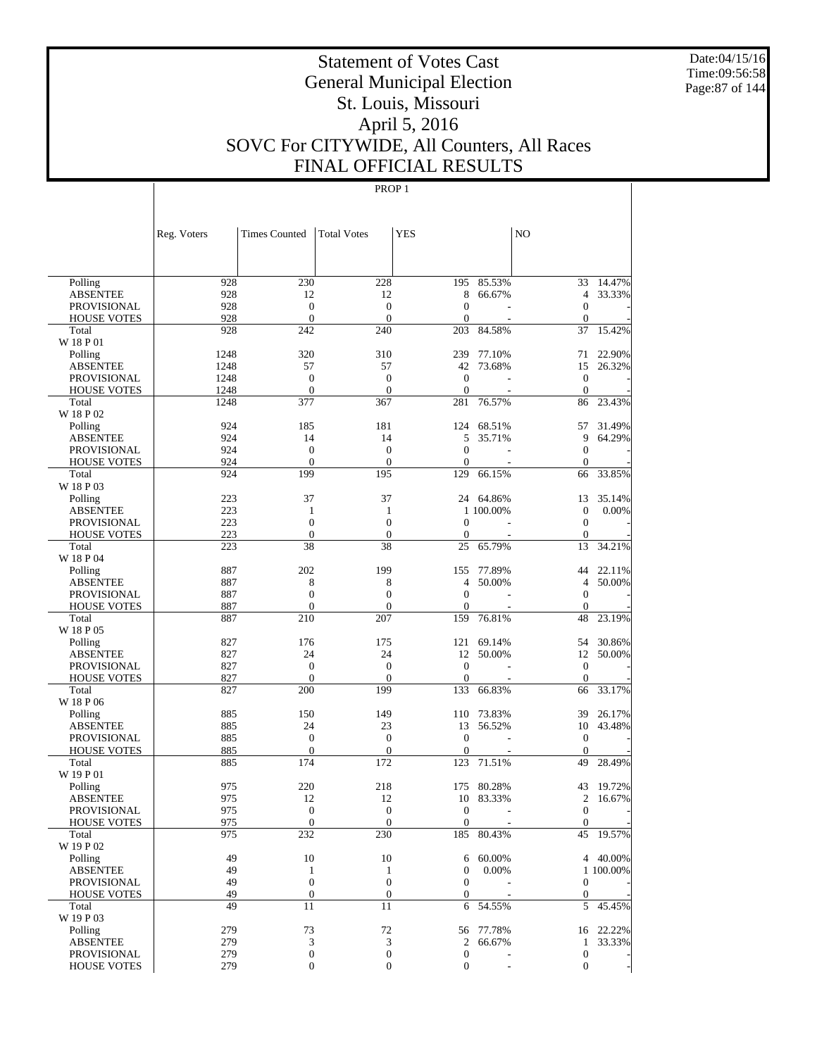Date:04/15/16 Time:09:56:58 Page:87 of 144

# Statement of Votes Cast General Municipal Election St. Louis, Missouri April 5, 2016 SOVC For CITYWIDE, All Counters, All Races FINAL OFFICIAL RESULTS

|                                | Reg. Voters  | <b>Times Counted</b>             | <b>Total Votes</b>               | <b>YES</b>                       |                  | NO                           |           |
|--------------------------------|--------------|----------------------------------|----------------------------------|----------------------------------|------------------|------------------------------|-----------|
|                                |              |                                  |                                  |                                  |                  |                              |           |
| Polling                        | 928          | 230                              | 228                              | 195                              | 85.53%           | 33                           | 14.47%    |
| <b>ABSENTEE</b>                | 928          | 12                               | 12                               | 8                                | 66.67%           | $\overline{4}$               | 33.33%    |
| <b>PROVISIONAL</b>             | 928          | $\mathbf{0}$                     | $\theta$                         | $\overline{0}$                   |                  | $\theta$                     |           |
| <b>HOUSE VOTES</b>             | 928          | $\mathbf{0}$                     | $\theta$                         | $\overline{0}$                   |                  | $\theta$                     |           |
| Total                          | 928          | 242                              | 240                              | 203                              | 84.58%           | 37                           | 15.42%    |
| W 18 P 01                      |              | 320                              |                                  |                                  |                  |                              | 22.90%    |
| Polling<br><b>ABSENTEE</b>     | 1248<br>1248 | 57                               | 310<br>57                        | 239<br>42                        | 77.10%<br>73.68% | 71<br>15                     | 26.32%    |
| <b>PROVISIONAL</b>             | 1248         | $\mathbf{0}$                     | $\theta$                         | $\overline{0}$                   |                  | $\mathbf{0}$                 |           |
| <b>HOUSE VOTES</b>             | 1248         | $\mathbf{0}$                     | $\theta$                         | $\mathbf{0}$                     |                  | $\theta$                     |           |
| Total                          | 1248         | 377                              | 367                              | 281                              | 76.57%           | 86                           | 23.43%    |
| W 18 P 02                      |              |                                  |                                  |                                  |                  |                              |           |
| Polling                        | 924          | 185                              | 181                              | 124                              | 68.51%           | 57                           | 31.49%    |
| <b>ABSENTEE</b>                | 924          | 14                               | 14                               | 5                                | 35.71%           | 9                            | 64.29%    |
| <b>PROVISIONAL</b>             | 924          | $\mathbf{0}$                     | $\theta$                         | $\overline{0}$                   |                  | $\theta$                     |           |
| <b>HOUSE VOTES</b>             | 924          | $\mathbf{0}$                     | $\theta$                         | $\overline{0}$                   |                  | $\mathbf{0}$                 |           |
| Total                          | 924          | 199                              | 195                              | 129                              | 66.15%           | 66                           | 33.85%    |
| W 18 P 03                      |              |                                  |                                  |                                  |                  |                              |           |
| Polling                        | 223          | 37                               | 37                               |                                  | 24 64.86%        | 13                           | 35.14%    |
| <b>ABSENTEE</b>                | 223          | 1                                | 1                                |                                  | 1 100,00%        | $\mathbf{0}$                 | 0.00%     |
| <b>PROVISIONAL</b>             | 223<br>223   | $\mathbf{0}$<br>$\mathbf{0}$     | $\overline{0}$<br>$\theta$       | $\mathbf{0}$<br>$\overline{0}$   |                  | $\mathbf{0}$<br>$\mathbf{0}$ |           |
| <b>HOUSE VOTES</b><br>Total    | 223          | 38                               | 38                               | 25                               | 65.79%           | 13                           | 34.21%    |
| W 18 P 04                      |              |                                  |                                  |                                  |                  |                              |           |
| Polling                        | 887          | 202                              | 199                              | 155                              | 77.89%           | 44                           | 22.11%    |
| <b>ABSENTEE</b>                | 887          | 8                                | 8                                | 4                                | 50.00%           | $\overline{4}$               | 50.00%    |
| <b>PROVISIONAL</b>             | 887          | $\mathbf{0}$                     | $\mathbf{0}$                     | $\overline{0}$                   |                  | $\theta$                     |           |
| <b>HOUSE VOTES</b>             | 887          | $\mathbf{0}$                     | $\theta$                         | $\overline{0}$                   |                  | $\mathbf{0}$                 |           |
| Total                          | 887          | 210                              | 207                              | 159                              | 76.81%           | 48                           | 23.19%    |
| W 18 P 05                      |              |                                  |                                  |                                  |                  |                              |           |
| Polling                        | 827          | 176                              | 175                              | 121                              | 69.14%           | 54                           | 30.86%    |
| <b>ABSENTEE</b>                | 827          | 24                               | 24                               | 12                               | 50.00%           | 12                           | 50.00%    |
| <b>PROVISIONAL</b>             | 827          | $\mathbf{0}$                     | $\overline{0}$                   | $\overline{0}$                   |                  | $\mathbf{0}$                 |           |
| <b>HOUSE VOTES</b>             | 827          | $\mathbf{0}$                     | $\theta$                         | $\mathbf{0}$                     |                  | $\theta$                     |           |
| Total                          | 827          | 200                              | 199                              | 133                              | 66.83%           | 66                           | 33.17%    |
| W 18 P 06                      | 885          | 150                              | 149                              | 110                              | 73.83%           | 39                           | 26.17%    |
| Polling<br><b>ABSENTEE</b>     | 885          | 24                               | 23                               | 13                               | 56.52%           | 10                           | 43.48%    |
| <b>PROVISIONAL</b>             | 885          | $\mathbf{0}$                     | $\mathbf{0}$                     | $\overline{0}$                   |                  | $\mathbf{0}$                 |           |
| <b>HOUSE VOTES</b>             | 885          | $\mathbf{0}$                     | $\theta$                         | $\overline{0}$                   |                  | $\theta$                     |           |
| Total                          | 885          | 174                              | 172                              | 123                              | 71.51%           | 49                           | 28.49%    |
| W 19 P 01                      |              |                                  |                                  |                                  |                  |                              |           |
| Polling                        | 975          | 220                              | 218                              | 175                              | 80.28%           | 43                           | 19.72%    |
| <b>ABSENTEE</b>                | 975          | 12                               | 12                               | 10                               | 83.33%           | $\overline{2}$               | 16.67%    |
| PROVISIONAL                    | 975          | $\mathbf{0}$                     | $\overline{0}$                   | $\mathbf{0}$                     |                  | $\mathbf{0}$                 |           |
| <b>HOUSE VOTES</b>             | 975          | $\boldsymbol{0}$                 | $\mathbf{0}$                     | $\boldsymbol{0}$                 |                  | $\mathbf{0}$                 |           |
| Total                          | 975          | 232                              | 230                              | 185                              | 80.43%           | 45                           | 19.57%    |
| W 19 P 02                      |              |                                  |                                  |                                  |                  |                              |           |
| Polling                        | 49           | 10                               | 10                               | 6                                | 60.00%           |                              | 4 40.00%  |
| <b>ABSENTEE</b><br>PROVISIONAL | 49<br>49     | $\mathbf{1}$<br>$\boldsymbol{0}$ | $\mathbf{1}$<br>$\boldsymbol{0}$ | $\boldsymbol{0}$<br>$\mathbf{0}$ | 0.00%            | $\boldsymbol{0}$             | 1 100.00% |
| <b>HOUSE VOTES</b>             | 49           | $\boldsymbol{0}$                 | $\boldsymbol{0}$                 | $\boldsymbol{0}$                 |                  | $\mathbf{0}$                 |           |
| Total                          | 49           | 11                               | 11                               | 6                                | 54.55%           | 5                            | 45.45%    |
| W 19 P 03                      |              |                                  |                                  |                                  |                  |                              |           |
| Polling                        | 279          | 73                               | 72                               |                                  | 56 77.78%        |                              | 16 22.22% |
| <b>ABSENTEE</b>                | 279          | 3                                | $\mathfrak{Z}$                   | 2                                | 66.67%           | $\mathbf{1}$                 | 33.33%    |
| <b>PROVISIONAL</b>             | 279          | $\boldsymbol{0}$                 | $\boldsymbol{0}$                 | $\boldsymbol{0}$                 |                  | $\boldsymbol{0}$             |           |
| <b>HOUSE VOTES</b>             | 279          | 0                                | $\boldsymbol{0}$                 | $\boldsymbol{0}$                 |                  | $\mathbf{0}$                 |           |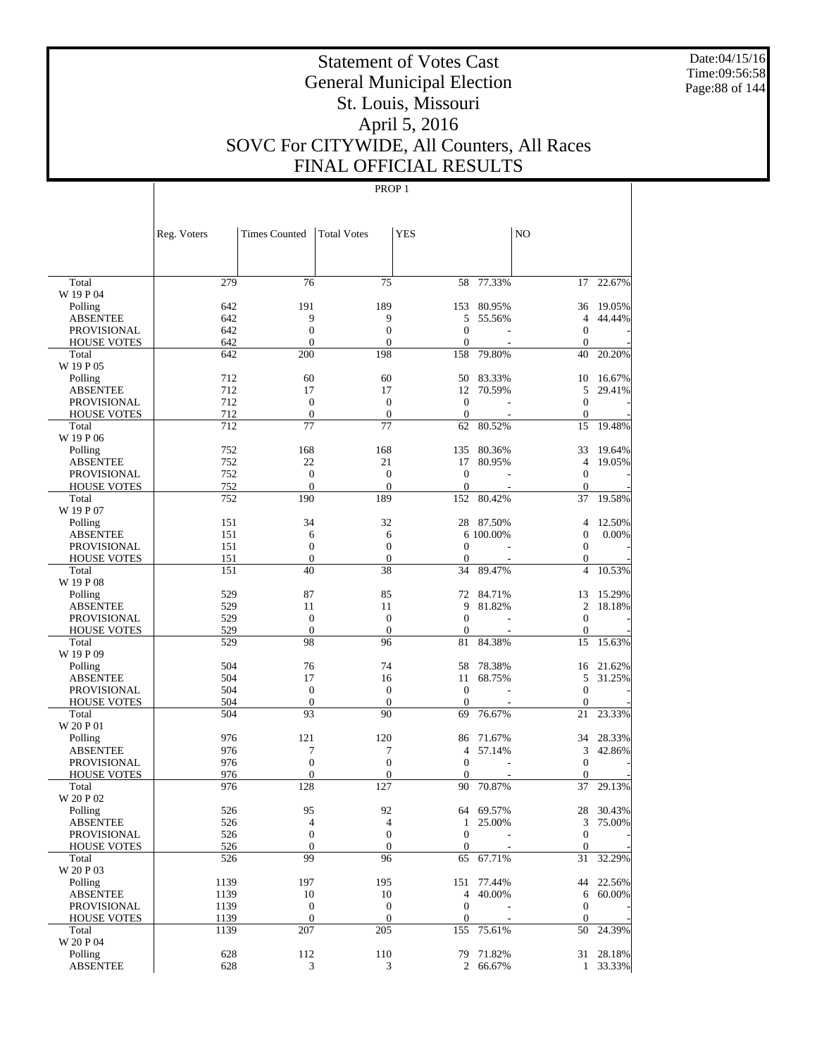Date:04/15/16 Time:09:56:58 Page:88 of 144

# Statement of Votes Cast General Municipal Election St. Louis, Missouri April 5, 2016 SOVC For CITYWIDE, All Counters, All Races FINAL OFFICIAL RESULTS

|                    | Reg. Voters | Times Counted            | <b>Total Votes</b> | YES              |            | N <sub>O</sub> |           |
|--------------------|-------------|--------------------------|--------------------|------------------|------------|----------------|-----------|
| Total              | 279         | 76                       | 75                 | 58               | 77.33%     | 17             | 22.67%    |
| W 19 P 04          |             |                          |                    |                  |            |                |           |
| Polling            | 642         | 191                      | 189                | 153              | 80.95%     | 36             | 19.05%    |
| <b>ABSENTEE</b>    | 642         | 9                        | 9                  | 5                | 55.56%     | $\overline{4}$ | 44.44%    |
| <b>PROVISIONAL</b> | 642         | $\boldsymbol{0}$         | $\boldsymbol{0}$   | $\mathbf{0}$     |            | $\mathbf{0}$   |           |
| <b>HOUSE VOTES</b> | 642         | $\mathbf{0}$             | $\mathbf{0}$       | $\mathbf{0}$     |            | $\mathbf{0}$   |           |
| Total<br>W 19 P 05 | 642         | 200                      | 198                | 158              | 79.80%     | 40             | 20.20%    |
| Polling            | 712         | 60                       | 60                 | 50               | 83.33%     | 10             | 16.67%    |
| <b>ABSENTEE</b>    | 712         | 17                       | 17                 | 12               | 70.59%     | 5              | 29.41%    |
| <b>PROVISIONAL</b> | 712         | $\boldsymbol{0}$         | $\mathbf{0}$       | $\mathbf{0}$     |            | $\mathbf{0}$   |           |
| <b>HOUSE VOTES</b> | 712         | $\mathbf{0}$             | $\boldsymbol{0}$   | $\mathbf{0}$     |            | $\mathbf{0}$   |           |
| Total              | 712         | 77                       | 77                 | 62               | 80.52%     | 15             | 19.48%    |
| W 19 P 06          |             |                          |                    |                  |            |                |           |
| Polling            | 752         | 168                      | 168                | 135              | 80.36%     | 33             | 19.64%    |
| <b>ABSENTEE</b>    | 752         | 22                       | 21                 | 17               | 80.95%     | $\overline{4}$ | 19.05%    |
| <b>PROVISIONAL</b> | 752         | $\boldsymbol{0}$         | $\mathbf{0}$       | $\mathbf{0}$     |            | $\mathbf{0}$   |           |
| <b>HOUSE VOTES</b> | 752         | $\mathbf{0}$             | $\mathbf{0}$       | $\theta$         |            | $\mathbf{0}$   |           |
| Total<br>W 19 P 07 | 752         | 190                      | 189                | 152              | 80.42%     | 37             | 19.58%    |
| Polling            | 151         | 34                       | 32                 |                  | 28 87.50%  | $\overline{4}$ | 12.50%    |
| <b>ABSENTEE</b>    | 151         | 6                        | 6                  |                  | 6 100,00%  | $\mathbf{0}$   | 0.00%     |
| <b>PROVISIONAL</b> | 151         | $\boldsymbol{0}$         | $\mathbf{0}$       | $\theta$         |            | $\mathbf{0}$   |           |
| <b>HOUSE VOTES</b> | 151         | $\mathbf{0}$             | $\boldsymbol{0}$   | $\mathbf{0}$     |            | $\mathbf{0}$   |           |
| Total              | 151         | 40                       | 38                 | 34               | 89.47%     | $\overline{4}$ | 10.53%    |
| W 19 P 08          |             |                          |                    |                  |            |                |           |
| Polling            | 529         | 87                       | 85                 | 72               | 84.71%     | 13             | 15.29%    |
| <b>ABSENTEE</b>    | 529         | 11                       | 11                 | 9                | 81.82%     | $\overline{2}$ | 18.18%    |
| <b>PROVISIONAL</b> | 529         | $\boldsymbol{0}$         | $\mathbf{0}$       | $\mathbf{0}$     |            | $\mathbf{0}$   |           |
| <b>HOUSE VOTES</b> | 529         | $\theta$                 | $\theta$           | $\theta$         |            | $\mathbf{0}$   |           |
| Total              | 529         | 98                       | 96                 | 81               | 84.38%     | 15             | 15.63%    |
| W 19 P 09          |             |                          |                    |                  |            |                |           |
| Polling            | 504         | 76                       | 74                 | 58               | 78.38%     | 16             | 21.62%    |
| <b>ABSENTEE</b>    | 504         | 17                       | 16                 | 11               | 68.75%     | 5              | 31.25%    |
| <b>PROVISIONAL</b> | 504         | $\boldsymbol{0}$         | $\boldsymbol{0}$   | $\theta$         |            | $\mathbf{0}$   |           |
| <b>HOUSE VOTES</b> | 504         | $\theta$                 | $\theta$           | $\theta$         |            | $\mathbf{0}$   |           |
| Total              | 504         | 93                       | 90                 | 69               | 76.67%     | 21             | 23.33%    |
| W 20 P 01          |             |                          |                    |                  |            |                |           |
| Polling            | 976         | 121                      | 120                | 86               | 71.67%     | 34             | 28.33%    |
| <b>ABSENTEE</b>    | 976         | 7                        | 7                  | $\overline{4}$   | 57.14%     | 3              | 42.86%    |
| PROVISIONAL        | 976         | $\boldsymbol{0}$         | $\boldsymbol{0}$   | $\mathbf{0}$     |            | $\mathbf{0}$   |           |
| <b>HOUSE VOTES</b> | 976         | $\mathbf{0}$             | $\boldsymbol{0}$   | $\mathbf{0}$     |            | $\mathbf{0}$   |           |
| Total              | 976         | 128                      | 127                | 90               | 70.87%     | 37             | 29.13%    |
| W 20 P 02          |             |                          |                    |                  |            |                |           |
| Polling            | 526         | 95                       | 92                 |                  | 64 69.57%  |                | 28 30.43% |
| <b>ABSENTEE</b>    | 526         | $\overline{\mathcal{L}}$ | $\overline{4}$     |                  | 1 25.00%   |                | 3 75.00%  |
| PROVISIONAL        | 526         | $\boldsymbol{0}$         | $\boldsymbol{0}$   | $\mathbf{0}$     |            | $\mathbf{0}$   |           |
| <b>HOUSE VOTES</b> | 526         | $\mathbf{0}$             | $\mathbf{0}$       | $\mathbf{0}$     |            | $\mathbf{0}$   |           |
| Total              | 526         | 99                       | 96                 | 65               | 67.71%     | 31             | 32.29%    |
| W 20 P 03          |             |                          |                    |                  |            |                |           |
| Polling            | 1139        | 197                      | 195                | 151              | 77.44%     |                | 44 22.56% |
| <b>ABSENTEE</b>    | 1139        | 10                       | 10                 | 4                | 40.00%     |                | 6 60.00%  |
| <b>PROVISIONAL</b> | 1139        | $\boldsymbol{0}$         | $\boldsymbol{0}$   | $\mathbf{0}$     |            | $\mathbf{0}$   |           |
| <b>HOUSE VOTES</b> | 1139        | $\mathbf{0}$             | $\mathbf{0}$       | $\boldsymbol{0}$ |            | $\theta$       |           |
| Total<br>W 20 P 04 | 1139        | 207                      | 205                |                  | 155 75.61% | 50             | 24.39%    |
| Polling            | 628         | 112                      | 110                |                  | 79 71.82%  |                | 31 28.18% |
| <b>ABSENTEE</b>    | 628         | $\mathfrak{Z}$           | 3                  |                  | 2 66.67%   |                | 1 33.33%  |
|                    |             |                          |                    |                  |            |                |           |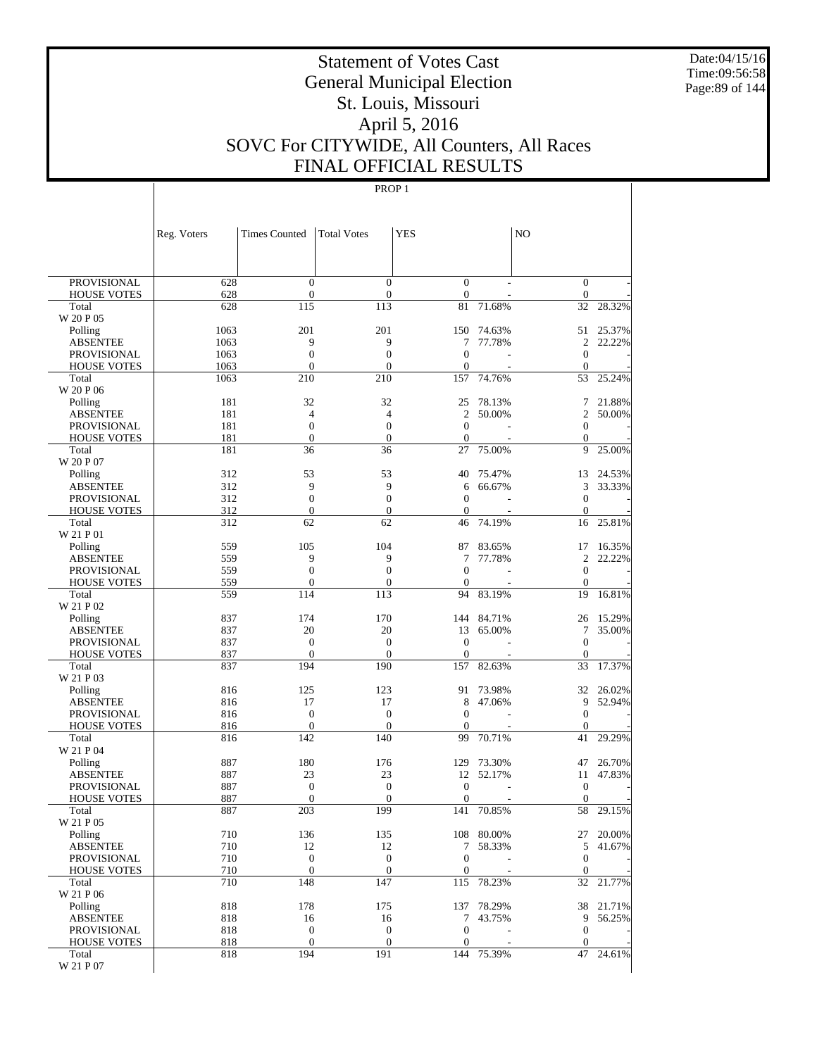Date:04/15/16 Time:09:56:58 Page:89 of 144

# Statement of Votes Cast General Municipal Election St. Louis, Missouri April 5, 2016 SOVC For CITYWIDE, All Counters, All Races FINAL OFFICIAL RESULTS

|                                          | Reg. Voters | <b>Times Counted</b>             | <b>Total Votes</b>         | <b>YES</b>             |                | N <sub>O</sub>              |           |
|------------------------------------------|-------------|----------------------------------|----------------------------|------------------------|----------------|-----------------------------|-----------|
|                                          |             |                                  |                            |                        |                |                             |           |
| <b>PROVISIONAL</b>                       | 628         | $\mathbf{0}$                     | $\overline{0}$             | $\overline{0}$         | $\overline{a}$ | $\mathbf{0}$                |           |
| <b>HOUSE VOTES</b>                       | 628         | $\boldsymbol{0}$                 | $\boldsymbol{0}$           | $\boldsymbol{0}$       |                | $\mathbf{0}$                |           |
| Total                                    | 628         | 115                              | 113                        | 81                     | 71.68%         | 32                          | 28.32%    |
| W 20 P 05<br>Polling                     | 1063        | 201                              | 201                        | 150                    | 74.63%         | 51                          | 25.37%    |
| <b>ABSENTEE</b>                          | 1063        | 9                                | 9                          | 7                      | 77.78%         | $\overline{c}$              | 22.22%    |
| <b>PROVISIONAL</b>                       | 1063        | $\mathbf{0}$                     | $\overline{0}$             | $\overline{0}$         |                | $\mathbf{0}$                |           |
| <b>HOUSE VOTES</b>                       | 1063        | $\mathbf{0}$                     | $\overline{0}$             | $\boldsymbol{0}$       |                | $\mathbf{0}$                |           |
| Total                                    | 1063        | 210                              | 210                        | 157                    | 74.76%         | 53                          | 25.24%    |
| W 20 P 06                                |             |                                  |                            |                        |                |                             |           |
| Polling                                  | 181         | 32                               | 32                         | 25                     | 78.13%         | 7                           | 21.88%    |
| <b>ABSENTEE</b>                          | 181         | $\overline{4}$                   | $\overline{4}$             | $\overline{c}$         | 50.00%         | 2                           | 50.00%    |
| <b>PROVISIONAL</b>                       | 181         | $\mathbf{0}$                     | $\overline{0}$             | $\mathbf{0}$           | L,             | $\mathbf{0}$                |           |
| <b>HOUSE VOTES</b><br>Total              | 181<br>181  | $\mathbf{0}$<br>36               | $\theta$<br>36             | $\mathbf{0}$<br>27     | 75.00%         | $\mathbf{0}$<br>9           | 25.00%    |
| W 20 P 07                                |             |                                  |                            |                        |                |                             |           |
| Polling                                  | 312         | 53                               | 53                         | 40                     | 75.47%         | 13                          | 24.53%    |
| <b>ABSENTEE</b>                          | 312         | 9                                | 9                          | 6                      | 66.67%         | 3                           | 33.33%    |
| <b>PROVISIONAL</b>                       | 312         | $\mathbf{0}$                     | $\overline{0}$             | $\overline{0}$         |                | $\mathbf{0}$                |           |
| <b>HOUSE VOTES</b>                       | 312         | $\boldsymbol{0}$                 | $\mathbf{0}$               | $\boldsymbol{0}$       |                | $\mathbf{0}$                |           |
| Total                                    | 312         | 62                               | 62                         | 46                     | 74.19%         | 16                          | 25.81%    |
| W 21 P 01                                |             |                                  |                            |                        |                |                             |           |
| Polling                                  | 559         | 105                              | 104                        | 87                     | 83.65%         | 17                          | 16.35%    |
| <b>ABSENTEE</b>                          | 559         | 9                                | 9                          | 7                      | 77.78%         | 2                           | 22.22%    |
| <b>PROVISIONAL</b>                       | 559         | $\mathbf{0}$                     | $\overline{0}$             | $\mathbf{0}$           | L,             | $\mathbf{0}$                |           |
| <b>HOUSE VOTES</b><br>Total              | 559<br>559  | $\mathbf{0}$<br>114              | $\overline{0}$<br>113      | $\boldsymbol{0}$<br>94 | 83.19%         | $\mathbf{0}$<br>19          | 16.81%    |
| W 21 P 02                                |             |                                  |                            |                        |                |                             |           |
| Polling                                  | 837         | 174                              | 170                        | 144                    | 84.71%         | 26                          | 15.29%    |
| <b>ABSENTEE</b>                          | 837         | 20                               | 20                         | 13                     | 65.00%         | 7                           | 35.00%    |
| <b>PROVISIONAL</b>                       | 837         | $\mathbf{0}$                     | $\overline{0}$             | $\mathbf{0}$           |                | $\mathbf{0}$                |           |
| <b>HOUSE VOTES</b>                       | 837         | $\mathbf{0}$                     | $\overline{0}$             | $\boldsymbol{0}$       |                | $\mathbf{0}$                |           |
| Total                                    | 837         | 194                              | 190                        | 157                    | 82.63%         | 33                          | 17.37%    |
| W 21 P 03                                |             |                                  |                            |                        |                |                             |           |
| Polling                                  | 816         | 125                              | 123                        | 91                     | 73.98%         | 32                          | 26.02%    |
| <b>ABSENTEE</b>                          | 816         | 17                               | 17                         | 8                      | 47.06%         | 9                           | 52.94%    |
| <b>PROVISIONAL</b><br><b>HOUSE VOTES</b> | 816<br>816  | $\boldsymbol{0}$<br>$\mathbf{0}$ | $\overline{0}$<br>$\theta$ | $\mathbf{0}$<br>0      |                | $\mathbf{0}$<br>$\mathbf 0$ |           |
| Total                                    | 816         | 142                              | 140                        | 99                     | 70.71%         | 41                          | 29.29%    |
| W 21 P 04                                |             |                                  |                            |                        |                |                             |           |
| Polling                                  | 887         | 180                              | 176                        | 129                    | 73.30%         | 47                          | 26.70%    |
| <b>ABSENTEE</b>                          | 887         | 23                               | 23                         | 12                     | 52.17%         | 11                          | 47.83%    |
| <b>PROVISIONAL</b>                       | 887         | $\mathbf{0}$                     | $\overline{0}$             | $\overline{0}$         |                | $\boldsymbol{0}$            |           |
| <b>HOUSE VOTES</b>                       | 887         | $\mathbf{0}$                     | $\boldsymbol{0}$           | $\boldsymbol{0}$       |                | $\mathbf{0}$                |           |
| Total                                    | 887         | 203                              | 199                        | 141                    | 70.85%         | 58                          | 29.15%    |
| W 21 P 05                                |             |                                  |                            |                        |                |                             |           |
| Polling                                  | 710         | 136                              | 135                        |                        | 108 80.00%     |                             | 27 20.00% |
| <b>ABSENTEE</b>                          | 710<br>710  | 12<br>$\mathbf{0}$               | 12<br>$\mathbf{0}$         | $\boldsymbol{0}$       | 7 58.33%       | 5<br>$\mathbf{0}$           | 41.67%    |
| <b>PROVISIONAL</b><br><b>HOUSE VOTES</b> | 710         | $\mathbf{0}$                     | $\mathbf{0}$               | $\boldsymbol{0}$       |                | $\boldsymbol{0}$            |           |
| Total                                    | 710         | 148                              | 147                        | 115                    | 78.23%         | 32                          | 21.77%    |
| W 21 P 06                                |             |                                  |                            |                        |                |                             |           |
| Polling                                  | 818         | 178                              | 175                        |                        | 137 78.29%     |                             | 38 21.71% |
| <b>ABSENTEE</b>                          | 818         | 16                               | 16                         | 7                      | 43.75%         | 9                           | 56.25%    |
| PROVISIONAL                              | 818         | $\boldsymbol{0}$                 | $\mathbf{0}$               | $\boldsymbol{0}$       |                | $\mathbf{0}$                |           |
| <b>HOUSE VOTES</b>                       | 818         | $\mathbf{0}$                     | $\boldsymbol{0}$           | $\mathbf{0}$           |                | $\mathbf{0}$                |           |
| Total                                    | 818         | 194                              | 191                        |                        | 144 75.39%     | 47                          | 24.61%    |
| W 21 P 07                                |             |                                  |                            |                        |                |                             |           |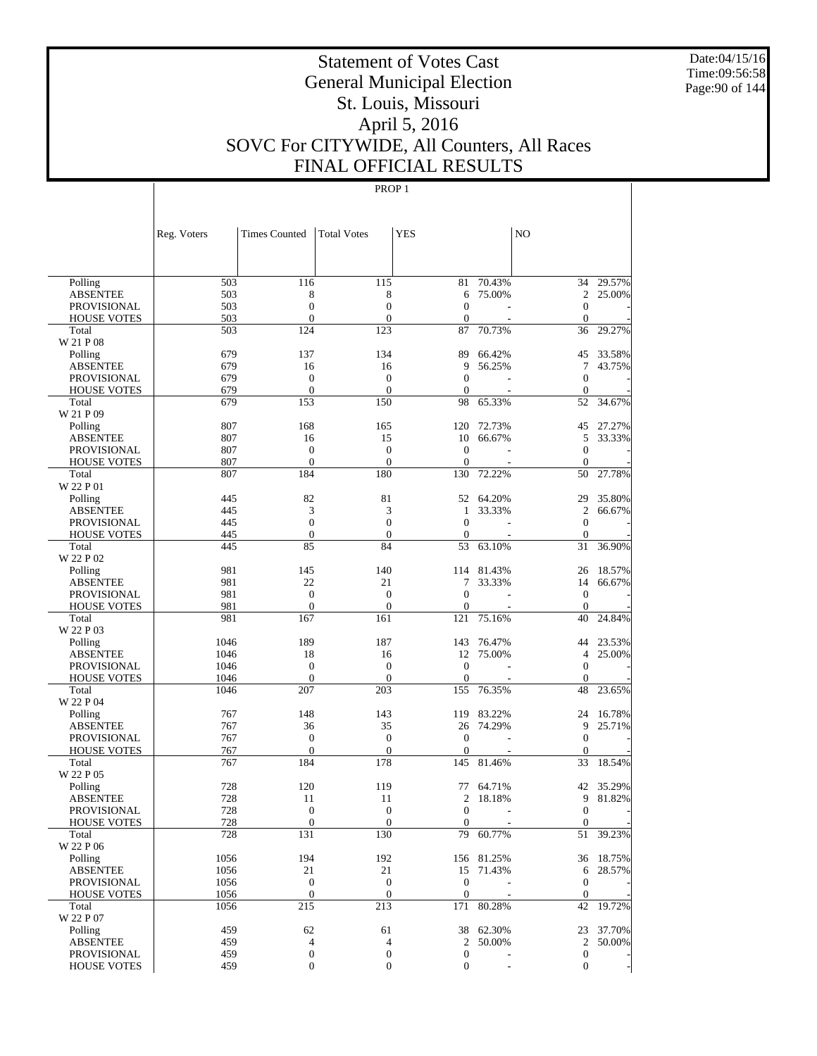Date:04/15/16 Time:09:56:58 Page:90 of 144

# Statement of Votes Cast General Municipal Election St. Louis, Missouri April 5, 2016 SOVC For CITYWIDE, All Counters, All Races FINAL OFFICIAL RESULTS

|                                          | Reg. Voters | <b>Times Counted</b> | <b>Total Votes</b>   | <b>YES</b>        |            | N <sub>O</sub>   |           |
|------------------------------------------|-------------|----------------------|----------------------|-------------------|------------|------------------|-----------|
|                                          |             |                      |                      |                   |            |                  |           |
| Polling                                  | 503         | 116                  | 115                  | 81                | 70.43%     | 34               | 29.57%    |
| <b>ABSENTEE</b>                          | 503         | 8                    | 8                    | 6                 | 75.00%     | $\mathfrak{2}$   | 25.00%    |
| <b>PROVISIONAL</b>                       | 503         | $\mathbf{0}$         | $\overline{0}$       | $\mathbf{0}$      |            | $\overline{0}$   |           |
| <b>HOUSE VOTES</b>                       | 503         | $\mathbf{0}$         | $\mathbf{0}$         | $\mathbf{0}$      |            | $\mathbf{0}$     |           |
| Total                                    | 503         | 124                  | 123                  | 87                | 70.73%     | 36               | 29.27%    |
| W 21 P 08                                |             |                      |                      |                   |            |                  |           |
| Polling                                  | 679         | 137                  | 134                  | 89                | 66.42%     | 45               | 33.58%    |
| <b>ABSENTEE</b>                          | 679         | 16<br>$\mathbf{0}$   | 16<br>$\overline{0}$ | 9<br>$\mathbf{0}$ | 56.25%     | 7<br>$\theta$    | 43.75%    |
| <b>PROVISIONAL</b><br><b>HOUSE VOTES</b> | 679<br>679  | $\mathbf{0}$         | $\mathbf{0}$         | $\mathbf{0}$      |            | $\mathbf{0}$     |           |
| Total                                    | 679         | 153                  | 150                  | 98                | 65.33%     | 52               | 34.67%    |
| W 21 P 09                                |             |                      |                      |                   |            |                  |           |
| Polling                                  | 807         | 168                  | 165                  | 120               | 72.73%     | 45               | 27.27%    |
| <b>ABSENTEE</b>                          | 807         | 16                   | 15                   | 10                | 66.67%     | 5                | 33.33%    |
| <b>PROVISIONAL</b>                       | 807         | $\mathbf{0}$         | $\overline{0}$       | $\mathbf{0}$      |            | $\overline{0}$   |           |
| <b>HOUSE VOTES</b>                       | 807         | $\mathbf{0}$         | $\overline{0}$       | $\mathbf{0}$      |            | $\theta$         |           |
| Total                                    | 807         | 184                  | 180                  | 130               | 72.22%     | 50               | 27.78%    |
| W 22 P 01                                |             |                      |                      |                   |            |                  |           |
| Polling                                  | 445         | 82                   | 81                   | 52                | 64.20%     | 29               | 35.80%    |
| <b>ABSENTEE</b>                          | 445         | 3                    | 3                    | $\mathbf{1}$      | 33.33%     | $\overline{c}$   | 66.67%    |
| <b>PROVISIONAL</b>                       | 445         | $\mathbf{0}$         | $\overline{0}$       | $\mathbf{0}$      |            | $\theta$         |           |
| <b>HOUSE VOTES</b>                       | 445         | $\mathbf{0}$         | $\overline{0}$       | $\mathbf{0}$      |            | $\mathbf{0}$     |           |
| Total                                    | 445         | 85                   | 84                   | 53                | 63.10%     | 31               | 36.90%    |
| W 22 P 02                                |             |                      |                      |                   |            |                  |           |
| Polling                                  | 981         | 145                  | 140                  | 114               | 81.43%     | 26               | 18.57%    |
| <b>ABSENTEE</b>                          | 981         | 22                   | 21                   | 7                 | 33.33%     | 14               | 66.67%    |
| <b>PROVISIONAL</b>                       | 981         | $\mathbf{0}$         | $\overline{0}$       | $\mathbf{0}$      |            | $\theta$         |           |
| <b>HOUSE VOTES</b>                       | 981<br>981  | $\mathbf{0}$         | $\overline{0}$       | $\boldsymbol{0}$  |            | $\theta$         | 24.84%    |
| Total<br>W 22 P 03                       |             | 167                  | 161                  | 121               | 75.16%     | 40               |           |
| Polling                                  | 1046        | 189                  | 187                  | 143               | 76.47%     | 44               | 23.53%    |
| <b>ABSENTEE</b>                          | 1046        | 18                   | 16                   | 12                | 75.00%     | $\overline{4}$   | 25.00%    |
| <b>PROVISIONAL</b>                       | 1046        | $\mathbf{0}$         | $\overline{0}$       | $\boldsymbol{0}$  |            | $\theta$         |           |
| <b>HOUSE VOTES</b>                       | 1046        | $\mathbf{0}$         | $\mathbf{0}$         | $\mathbf{0}$      |            | $\mathbf{0}$     |           |
| Total                                    | 1046        | 207                  | 203                  | 155               | 76.35%     | 48               | 23.65%    |
| W 22 P 04                                |             |                      |                      |                   |            |                  |           |
| Polling                                  | 767         | 148                  | 143                  | 119               | 83.22%     | 24               | 16.78%    |
| <b>ABSENTEE</b>                          | 767         | 36                   | 35                   | 26                | 74.29%     | 9                | 25.71%    |
| <b>PROVISIONAL</b>                       | 767         | $\mathbf{0}$         | $\mathbf{0}$         | $\mathbf{0}$      |            | $\theta$         |           |
| <b>HOUSE VOTES</b>                       | 767         | $\mathbf{0}$         | $\mathbf{0}$         | $\boldsymbol{0}$  |            | $\mathbf{0}$     |           |
| Total                                    | 767         | 184                  | 178                  | 145               | 81.46%     | 33               | 18.54%    |
| W 22 P 05                                |             |                      |                      |                   |            |                  |           |
| Polling                                  | 728         | 120                  | 119                  | 77                | 64.71%     | 42               | 35.29%    |
| <b>ABSENTEE</b>                          | 728         | 11                   | 11                   | 2                 | 18.18%     | 9                | 81.82%    |
| PROVISIONAL                              | 728         | $\theta$             | $\overline{0}$       | $\overline{0}$    |            | $\mathbf{0}$     |           |
| <b>HOUSE VOTES</b>                       | 728         | $\boldsymbol{0}$     | $\boldsymbol{0}$     | $\mathbf{0}$      |            | $\mathbf{0}$     |           |
| Total<br>W 22 P 06                       | 728         | 131                  | 130                  | 79                | 60.77%     |                  | 51 39.23% |
| Polling                                  | 1056        | 194                  | 192                  |                   | 156 81.25% |                  | 36 18.75% |
| <b>ABSENTEE</b>                          | 1056        | 21                   | 21                   |                   | 15 71.43%  | 6                | 28.57%    |
| PROVISIONAL                              | 1056        | $\mathbf{0}$         | $\boldsymbol{0}$     | $\mathbf{0}$      |            | $\theta$         |           |
| <b>HOUSE VOTES</b>                       | 1056        | $\mathbf{0}$         | $\boldsymbol{0}$     | $\mathbf{0}$      |            | $\mathbf{0}$     |           |
| Total                                    | 1056        | 215                  | 213                  |                   | 171 80.28% | 42               | 19.72%    |
| W 22 P 07                                |             |                      |                      |                   |            |                  |           |
| Polling                                  | 459         | 62                   | 61                   |                   | 38 62.30%  |                  | 23 37.70% |
| <b>ABSENTEE</b>                          | 459         | 4                    | $\overline{4}$       | $\overline{2}$    | 50.00%     | 2                | 50.00%    |
| PROVISIONAL                              | 459         | $\boldsymbol{0}$     | $\boldsymbol{0}$     | $\boldsymbol{0}$  |            | $\boldsymbol{0}$ |           |
| <b>HOUSE VOTES</b>                       | 459         | $\boldsymbol{0}$     | $\mathbf{0}$         | $\boldsymbol{0}$  |            | $\overline{0}$   |           |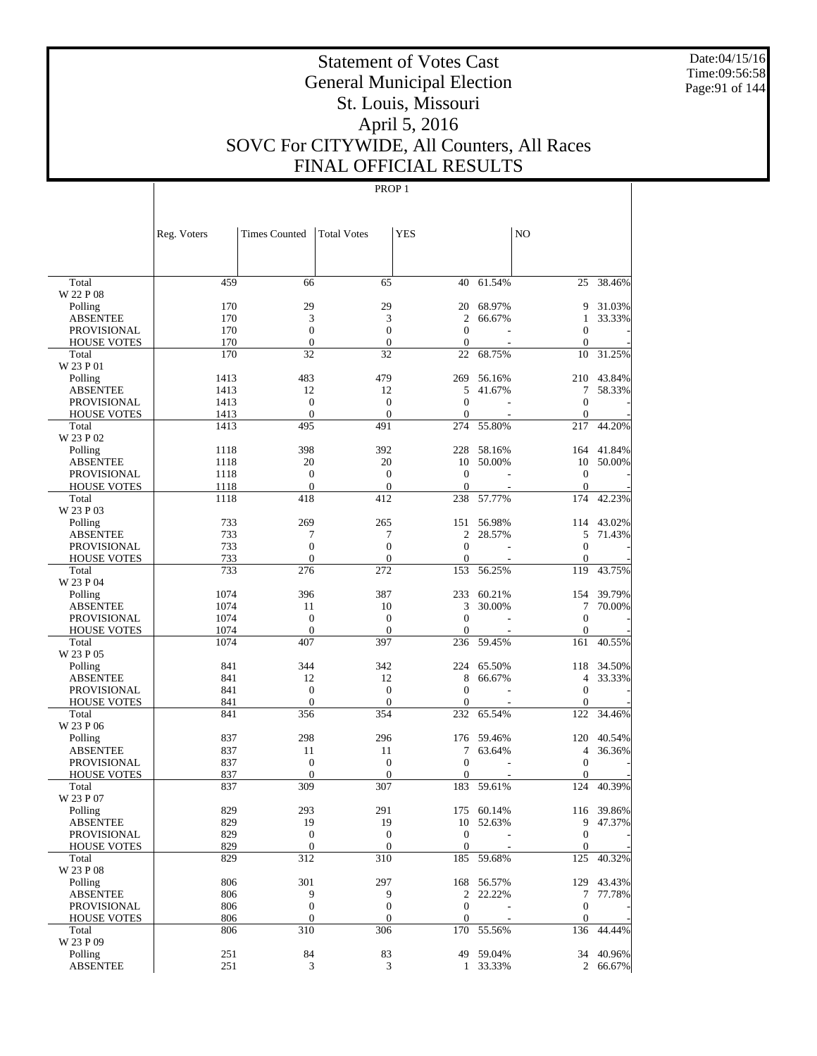Date:04/15/16 Time:09:56:58 Page:91 of 144

# Statement of Votes Cast General Municipal Election St. Louis, Missouri April 5, 2016 SOVC For CITYWIDE, All Counters, All Races FINAL OFFICIAL RESULTS

|                                   | Reg. Voters | <b>Times Counted</b>             | <b>Total Votes</b>               | <b>YES</b>                       |                  | NO.                              |                  |
|-----------------------------------|-------------|----------------------------------|----------------------------------|----------------------------------|------------------|----------------------------------|------------------|
|                                   |             |                                  |                                  |                                  |                  |                                  |                  |
| Total<br>W 22 P 08                | 459         | 66                               | 65                               | 40                               | 61.54%           | 25                               | 38.46%           |
|                                   | 170         | 29                               | 29                               | 20                               | 68.97%           | 9                                | 31.03%           |
| Polling<br><b>ABSENTEE</b>        | 170         | 3                                | 3                                | 2                                | 66.67%           | 1                                | 33.33%           |
| <b>PROVISIONAL</b>                | 170         | $\mathbf{0}$                     | $\boldsymbol{0}$                 | $\overline{0}$                   |                  | $\boldsymbol{0}$                 |                  |
| <b>HOUSE VOTES</b>                | 170         | $\mathbf{0}$                     | $\mathbf{0}$                     | $\mathbf{0}$                     |                  | $\Omega$                         |                  |
| Total                             | 170         | 32                               | 32                               | 22                               | 68.75%           | 10                               | 31.25%           |
| W 23 P 01                         |             |                                  |                                  |                                  |                  |                                  |                  |
| Polling                           | 1413        | 483                              | 479                              | 269                              | 56.16%           |                                  | 210 43.84%       |
| <b>ABSENTEE</b>                   | 1413        | 12                               | 12                               | 5                                | 41.67%           | 7                                | 58.33%           |
| <b>PROVISIONAL</b>                | 1413        | $\boldsymbol{0}$                 | $\boldsymbol{0}$                 | $\overline{0}$                   |                  | $\boldsymbol{0}$                 |                  |
| <b>HOUSE VOTES</b>                | 1413        | $\mathbf{0}$                     | $\mathbf{0}$                     | $\overline{0}$                   |                  | $\mathbf{0}$                     |                  |
| Total                             | 1413        | 495                              | 491                              | 274                              | 55.80%           | 217                              | 44.20%           |
| W 23 P 02                         |             |                                  |                                  |                                  |                  |                                  |                  |
| Polling                           | 1118        | 398                              | 392                              | 228                              | 58.16%           |                                  | 164 41.84%       |
| <b>ABSENTEE</b>                   | 1118        | 20                               | 20                               | 10                               | 50.00%           | 10                               | 50.00%           |
| <b>PROVISIONAL</b>                | 1118        | $\mathbf{0}$                     | $\boldsymbol{0}$                 | $\boldsymbol{0}$                 | $\overline{a}$   | $\mathbf{0}$                     |                  |
| <b>HOUSE VOTES</b>                | 1118        | $\mathbf{0}$                     | $\overline{0}$                   | $\mathbf{0}$                     |                  | $\Omega$                         |                  |
| Total                             | 1118        | 418                              | 412                              | 238                              | 57.77%           | 174                              | 42.23%           |
| W 23 P 03                         |             |                                  |                                  |                                  |                  |                                  |                  |
| Polling<br><b>ABSENTEE</b>        | 733<br>733  | 269                              | 265                              | 151<br>2                         | 56.98%<br>28.57% | 114<br>5                         | 43.02%<br>71.43% |
| <b>PROVISIONAL</b>                | 733         | 7<br>$\boldsymbol{0}$            | 7<br>$\mathbf{0}$                | $\overline{0}$                   |                  | $\mathbf{0}$                     |                  |
| <b>HOUSE VOTES</b>                | 733         | $\mathbf{0}$                     | $\overline{0}$                   | $\boldsymbol{0}$                 |                  | $\mathbf{0}$                     |                  |
| Total                             | 733         | 276                              | 272                              | 153                              | 56.25%           | 119                              | 43.75%           |
| W 23 P 04                         |             |                                  |                                  |                                  |                  |                                  |                  |
| Polling                           | 1074        | 396                              | 387                              | 233                              | 60.21%           | 154                              | 39.79%           |
| <b>ABSENTEE</b>                   | 1074        | 11                               | 10                               | 3                                | 30.00%           | 7                                | 70.00%           |
| <b>PROVISIONAL</b>                | 1074        | $\mathbf{0}$                     | $\boldsymbol{0}$                 | $\overline{0}$                   |                  | $\mathbf{0}$                     |                  |
| <b>HOUSE VOTES</b>                | 1074        | $\mathbf{0}$                     | $\Omega$                         | $\Omega$                         |                  | $\mathbf{0}$                     |                  |
| Total                             | 1074        | 407                              | 397                              | 236                              | 59.45%           | 161                              | 40.55%           |
| W 23 P 05                         |             |                                  |                                  |                                  |                  |                                  |                  |
| Polling                           | 841         | 344                              | 342                              | 224                              | 65.50%           | 118                              | 34.50%           |
| <b>ABSENTEE</b>                   | 841         | 12                               | 12                               | 8                                | 66.67%           | 4                                | 33.33%           |
| <b>PROVISIONAL</b>                | 841         | $\boldsymbol{0}$                 | $\boldsymbol{0}$                 | $\mathbf{0}$                     |                  | $\boldsymbol{0}$                 |                  |
| <b>HOUSE VOTES</b>                | 841         | $\overline{0}$                   | $\overline{0}$                   | $\boldsymbol{0}$                 |                  | $\mathbf{0}$                     |                  |
| Total                             | 841         | 356                              | 354                              | 232                              | 65.54%           | 122                              | 34.46%           |
| W 23 P 06                         |             |                                  |                                  |                                  |                  |                                  |                  |
| Polling                           | 837         | 298                              | 296                              |                                  | 176 59.46%       | 120                              | 40.54%           |
| <b>ABSENTEE</b>                   | 837         | 11                               | 11                               | 7                                | 63.64%           | $\overline{4}$                   | 36.36%           |
| <b>PROVISIONAL</b>                | 837         | $\mathbf{0}$                     | $\boldsymbol{0}$                 | $\overline{0}$                   |                  | $\mathbf{0}$                     |                  |
| <b>HOUSE VOTES</b>                | 837         | $\mathbf{0}$                     | $\Omega$                         | 0                                |                  | $\Omega$                         |                  |
| Total                             | 837         | 309                              | 307                              |                                  | 183 59.61%       | 124                              | 40.39%           |
| W 23 P 07                         |             |                                  |                                  |                                  |                  |                                  |                  |
| Polling                           | 829         | 293                              | 291                              |                                  | 175 60.14%       |                                  | 116 39.86%       |
| <b>ABSENTEE</b>                   | 829         | 19                               | 19                               |                                  | 10 52.63%        | 9                                | 47.37%           |
| PROVISIONAL<br><b>HOUSE VOTES</b> | 829<br>829  | $\boldsymbol{0}$<br>$\mathbf{0}$ | $\boldsymbol{0}$<br>$\mathbf{0}$ | $\boldsymbol{0}$<br>$\mathbf{0}$ |                  | $\boldsymbol{0}$<br>$\mathbf{0}$ |                  |
| Total                             | 829         | 312                              | 310                              |                                  | 185 59.68%       | 125                              | 40.32%           |
| W 23 P 08                         |             |                                  |                                  |                                  |                  |                                  |                  |
| Polling                           | 806         | 301                              | 297                              |                                  | 168 56.57%       |                                  | 129 43.43%       |
| <b>ABSENTEE</b>                   | 806         | 9                                | 9                                | $\overline{2}$                   | 22.22%           | 7                                | 77.78%           |
| <b>PROVISIONAL</b>                | 806         | $\boldsymbol{0}$                 | $\boldsymbol{0}$                 | $\boldsymbol{0}$                 |                  | $\boldsymbol{0}$                 |                  |
| <b>HOUSE VOTES</b>                | 806         | $\boldsymbol{0}$                 | $\mathbf{0}$                     | $\overline{0}$                   |                  | $\mathbf{0}$                     |                  |
| Total                             | 806         | 310                              | 306                              |                                  | 170 55.56%       | 136                              | 44.44%           |
| W 23 P 09                         |             |                                  |                                  |                                  |                  |                                  |                  |
| Polling                           | 251         | 84                               | 83                               |                                  | 49 59.04%        |                                  | 34 40.96%        |
| <b>ABSENTEE</b>                   | 251         | 3                                | 3                                | $\mathbf{1}$                     | 33.33%           |                                  | 2 66.67%         |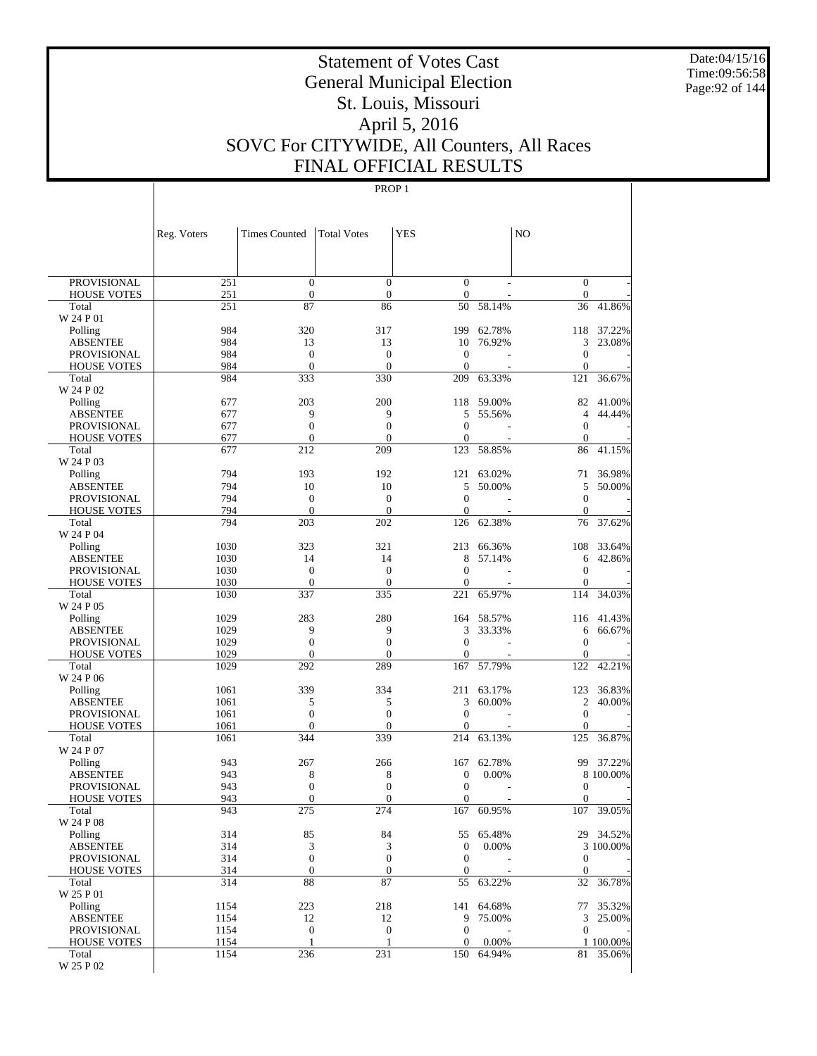Date:04/15/16 Time:09:56:58 Page:92 of 144

# Statement of Votes Cast General Municipal Election St. Louis, Missouri April 5, 2016 SOVC For CITYWIDE, All Counters, All Races FINAL OFFICIAL RESULTS

|                             | Reg. Voters  | <b>Times Counted</b>                 | <b>Total Votes</b>                 | <b>YES</b>                     |                  | N <sub>O</sub>                   |                        |
|-----------------------------|--------------|--------------------------------------|------------------------------------|--------------------------------|------------------|----------------------------------|------------------------|
|                             |              |                                      |                                    |                                |                  |                                  |                        |
| <b>PROVISIONAL</b>          | 251          | $\mathbf{0}$                         | $\overline{0}$                     | $\mathbf{0}$                   |                  | $\mathbf{0}$                     |                        |
| <b>HOUSE VOTES</b>          | 251          | $\boldsymbol{0}$                     | $\mathbf{0}$                       | $\boldsymbol{0}$               |                  | $\mathbf{0}$                     |                        |
| Total                       | 251          | 87                                   | 86                                 | 50                             | 58.14%           | 36                               | 41.86%                 |
| W 24 P 01                   |              |                                      |                                    |                                |                  |                                  |                        |
| Polling<br><b>ABSENTEE</b>  | 984<br>984   | 320<br>13                            | 317<br>13                          | 199<br>10                      | 62.78%<br>76.92% | 118<br>3                         | 37.22%<br>23.08%       |
| <b>PROVISIONAL</b>          | 984          | $\mathbf{0}$                         | $\mathbf{0}$                       | $\boldsymbol{0}$               |                  | $\mathbf{0}$                     |                        |
| <b>HOUSE VOTES</b>          | 984          | $\overline{0}$                       | $\theta$                           | $\overline{0}$                 |                  | $\mathbf{0}$                     |                        |
| Total                       | 984          | 333                                  | 330                                | 209                            | 63.33%           | 121                              | 36.67%                 |
| W 24 P 02                   |              |                                      |                                    |                                |                  |                                  |                        |
| Polling                     | 677          | 203                                  | 200                                | 118                            | 59.00%           | 82                               | 41.00%                 |
| <b>ABSENTEE</b>             | 677          | 9                                    | 9                                  | 5                              | 55.56%           | $\overline{4}$                   | 44.44%                 |
| PROVISIONAL                 | 677          | $\overline{0}$                       | $\boldsymbol{0}$                   | $\overline{0}$                 |                  | $\mathbf{0}$                     |                        |
| <b>HOUSE VOTES</b>          | 677          | $\boldsymbol{0}$                     | $\overline{0}$                     | $\overline{0}$                 |                  | $\mathbf{0}$                     |                        |
| Total<br>W 24 P 03          | 677          | 212                                  | 209                                | 123                            | 58.85%           | 86                               | 41.15%                 |
| Polling                     | 794          | 193                                  | 192                                | 121                            | 63.02%           | 71                               | 36.98%                 |
| <b>ABSENTEE</b>             | 794          | 10                                   | 10                                 | 5                              | 50.00%           | 5                                | 50.00%                 |
| <b>PROVISIONAL</b>          | 794          | $\mathbf{0}$                         | $\mathbf{0}$                       | $\overline{0}$                 |                  | $\boldsymbol{0}$                 |                        |
| <b>HOUSE VOTES</b>          | 794          | $\boldsymbol{0}$                     | $\theta$                           | $\mathbf{0}$                   |                  | $\mathbf{0}$                     |                        |
| Total                       | 794          | 203                                  | 202                                | 126                            | 62.38%           | 76                               | 37.62%                 |
| W 24 P 04                   |              |                                      |                                    |                                |                  |                                  |                        |
| Polling                     | 1030         | 323                                  | 321                                | 213                            | 66.36%           | 108                              | 33.64%                 |
| <b>ABSENTEE</b>             | 1030         | 14                                   | 14                                 | 8                              | 57.14%           | 6                                | 42.86%                 |
| PROVISIONAL                 | 1030         | $\mathbf{0}$                         | $\mathbf{0}$                       | $\overline{0}$                 |                  | $\mathbf{0}$                     |                        |
| <b>HOUSE VOTES</b>          | 1030         | $\boldsymbol{0}$                     | $\mathbf{0}$                       | $\overline{0}$                 |                  | $\mathbf{0}$                     | 34.03%                 |
| Total<br>W 24 P 05          | 1030         | 337                                  | 335                                | 221                            | 65.97%           | 114                              |                        |
| Polling                     | 1029         | 283                                  | 280                                | 164                            | 58.57%           | 116                              | 41.43%                 |
| <b>ABSENTEE</b>             | 1029         | 9                                    | 9                                  | 3                              | 33.33%           | 6                                | 66.67%                 |
| PROVISIONAL                 | 1029         | $\boldsymbol{0}$                     | $\boldsymbol{0}$                   | $\overline{0}$                 |                  | $\mathbf{0}$                     |                        |
| <b>HOUSE VOTES</b>          | 1029         | $\boldsymbol{0}$                     | $\overline{0}$                     | $\overline{0}$                 |                  | $\mathbf{0}$                     |                        |
| Total                       | 1029         | 292                                  | 289                                | 167                            | 57.79%           | 122                              | 42.21%                 |
| W 24 P 06                   |              |                                      |                                    |                                |                  |                                  |                        |
| Polling                     | 1061         | 339                                  | 334                                | 211                            | 63.17%           | 123                              | 36.83%                 |
| <b>ABSENTEE</b>             | 1061         | 5                                    | 5                                  | 3                              | 60.00%           | 2                                | 40.00%                 |
| PROVISIONAL                 | 1061<br>1061 | $\boldsymbol{0}$<br>$\boldsymbol{0}$ | $\boldsymbol{0}$<br>$\overline{0}$ | $\overline{0}$<br>$\mathbf{0}$ |                  | $\boldsymbol{0}$<br>$\mathbf{0}$ |                        |
| <b>HOUSE VOTES</b><br>Total | 1061         | 344                                  | 339                                | 214                            | 63.13%           | 125                              | 36.87%                 |
| W 24 P 07                   |              |                                      |                                    |                                |                  |                                  |                        |
| Polling                     | 943          | 267                                  | 266                                | 167                            | 62.78%           | 99                               | 37.22%                 |
| <b>ABSENTEE</b>             | 943          | 8                                    | 8                                  | $\boldsymbol{0}$               | 0.00%            |                                  | 8 100.00%              |
| PROVISIONAL                 | 943          | $\boldsymbol{0}$                     | $\boldsymbol{0}$                   | $\boldsymbol{0}$               |                  | $\boldsymbol{0}$                 |                        |
| <b>HOUSE VOTES</b>          | 943          | $\boldsymbol{0}$                     | $\boldsymbol{0}$                   | $\boldsymbol{0}$               |                  | $\boldsymbol{0}$                 |                        |
| Total                       | 943          | 275                                  | 274                                | 167                            | 60.95%           | 107                              | 39.05%                 |
| W 24 P 08                   |              |                                      |                                    |                                |                  |                                  |                        |
| Polling<br><b>ABSENTEE</b>  | 314<br>314   | 85<br>3                              | 84<br>3                            | 55<br>$\boldsymbol{0}$         | 65.48%<br>0.00%  |                                  | 29 34.52%<br>3 100.00% |
| <b>PROVISIONAL</b>          | 314          | $\boldsymbol{0}$                     | $\boldsymbol{0}$                   | $\boldsymbol{0}$               |                  | $\mathbf{0}$                     |                        |
| <b>HOUSE VOTES</b>          | 314          | $\boldsymbol{0}$                     | $\boldsymbol{0}$                   | $\boldsymbol{0}$               |                  | $\mathbf{0}$                     |                        |
| Total                       | 314          | 88                                   | 87                                 | 55                             | 63.22%           | 32                               | 36.78%                 |
| W 25 P 01                   |              |                                      |                                    |                                |                  |                                  |                        |
| Polling                     | 1154         | 223                                  | 218                                | 141                            | 64.68%           | 77                               | 35.32%                 |
| <b>ABSENTEE</b>             | 1154         | 12                                   | 12                                 | 9                              | 75.00%           | 3                                | 25.00%                 |
| PROVISIONAL                 | 1154         | $\mathbf{0}$                         | $\boldsymbol{0}$                   | $\boldsymbol{0}$               |                  | $\mathbf{0}$                     |                        |
| <b>HOUSE VOTES</b>          | 1154         | 1                                    | 1                                  | 0                              | 0.00%            |                                  | 1 100.00%              |
| Total<br>W 25 P 02          | 1154         | 236                                  | 231                                | 150                            | 64.94%           |                                  | 81 35.06%              |
|                             |              |                                      |                                    |                                |                  |                                  |                        |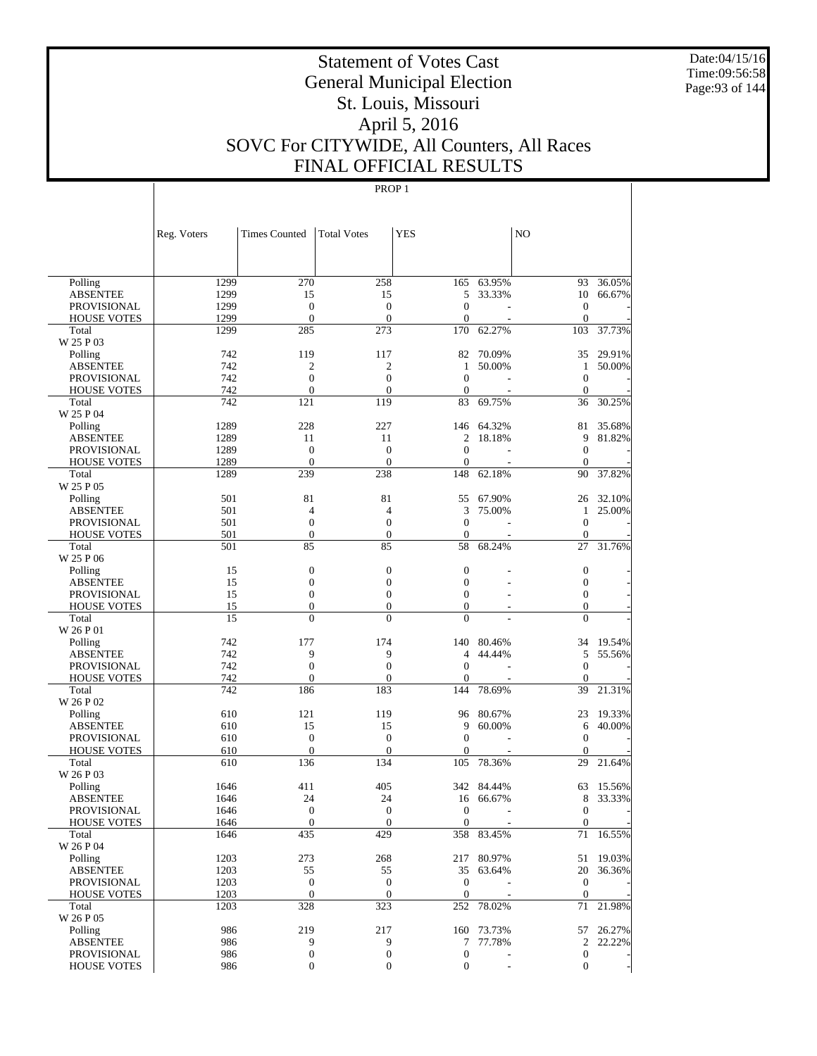Date:04/15/16 Time:09:56:58 Page:93 of 144

# Statement of Votes Cast General Municipal Election St. Louis, Missouri April 5, 2016 SOVC For CITYWIDE, All Counters, All Races FINAL OFFICIAL RESULTS

|                      | Reg. Voters | <b>Times Counted</b> | <b>Total Votes</b>  | <b>YES</b>       |                | NO               |           |
|----------------------|-------------|----------------------|---------------------|------------------|----------------|------------------|-----------|
|                      |             |                      |                     |                  |                |                  |           |
| Polling              | 1299        | 270                  | 258                 | 165              | 63.95%         | 93               | 36.05%    |
| <b>ABSENTEE</b>      | 1299        | 15                   | 15                  | 5                | 33.33%         | 10               | 66.67%    |
| PROVISIONAL          | 1299        | $\boldsymbol{0}$     | $\mathbf{0}$        | $\overline{0}$   |                | $\theta$         |           |
| <b>HOUSE VOTES</b>   | 1299        | $\mathbf{0}$         | $\mathbf{0}$        | $\overline{0}$   |                | $\theta$         |           |
| Total                | 1299        | 285                  | 273                 | 170              | 62.27%         | 103              | 37.73%    |
| W 25 P 03            |             |                      |                     |                  |                |                  |           |
| Polling              | 742         | 119                  | 117                 | 82               | 70.09%         | 35               | 29.91%    |
| <b>ABSENTEE</b>      | 742         | $\overline{2}$       | 2                   | 1                | 50.00%         | 1                | 50.00%    |
| <b>PROVISIONAL</b>   | 742         | $\boldsymbol{0}$     | $\overline{0}$      | $\overline{0}$   | ÷,             | $\mathbf{0}$     |           |
| <b>HOUSE VOTES</b>   | 742         | $\mathbf{0}$         | $\theta$            | $\mathbf{0}$     |                | $\theta$         |           |
| Total                | 742         | 121                  | 119                 | 83               | 69.75%         | 36               | 30.25%    |
| W 25 P 04            |             |                      |                     |                  |                |                  |           |
| Polling              | 1289        | 228                  | 227                 | 146              | 64.32%         | 81               | 35.68%    |
| ABSENTEE             | 1289        | 11                   | 11                  | $\overline{c}$   | 18.18%         | 9                | 81.82%    |
| <b>PROVISIONAL</b>   | 1289        | $\mathbf{0}$         | $\mathbf{0}$        | $\overline{0}$   |                | $\theta$         |           |
| <b>HOUSE VOTES</b>   | 1289        | $\mathbf{0}$<br>239  | $\mathbf{0}$<br>238 | $\overline{0}$   | 62.18%         | $\theta$         | 37.82%    |
| Total                | 1289        |                      |                     | 148              |                | 90               |           |
| W 25 P 05<br>Polling | 501         | 81                   | 81                  | 55               | 67.90%         |                  | 32.10%    |
| <b>ABSENTEE</b>      | 501         | 4                    | $\overline{4}$      | 3                | 75.00%         | 26<br>1          | 25.00%    |
| <b>PROVISIONAL</b>   | 501         | $\mathbf{0}$         | $\overline{0}$      | $\overline{0}$   | ÷.             | $\mathbf{0}$     |           |
| <b>HOUSE VOTES</b>   | 501         | $\mathbf{0}$         | $\mathbf{0}$        | $\mathbf{0}$     |                | $\mathbf{0}$     |           |
| Total                | 501         | 85                   | 85                  | 58               | 68.24%         | 27               | 31.76%    |
| W 25 P 06            |             |                      |                     |                  |                |                  |           |
| Polling              | 15          | $\boldsymbol{0}$     | $\mathbf{0}$        | $\mathbf{0}$     |                | $\boldsymbol{0}$ |           |
| <b>ABSENTEE</b>      | 15          | $\boldsymbol{0}$     | $\boldsymbol{0}$    | $\overline{0}$   |                | $\boldsymbol{0}$ |           |
| <b>PROVISIONAL</b>   | 15          | $\boldsymbol{0}$     | $\overline{0}$      | $\overline{0}$   | ÷              | $\mathbf{0}$     |           |
| <b>HOUSE VOTES</b>   | 15          | $\boldsymbol{0}$     | $\mathbf{0}$        | $\boldsymbol{0}$ | $\overline{a}$ | $\mathbf{0}$     |           |
| Total                | 15          | $\overline{0}$       | $\theta$            | $\overline{0}$   |                | $\theta$         |           |
| W 26 P 01            |             |                      |                     |                  |                |                  |           |
| Polling              | 742         | 177                  | 174                 | 140              | 80.46%         | 34               | 19.54%    |
| <b>ABSENTEE</b>      | 742         | 9                    | 9                   | 4                | 44.44%         | 5                | 55.56%    |
| PROVISIONAL          | 742         | $\boldsymbol{0}$     | $\mathbf{0}$        | $\overline{0}$   | L,             | $\mathbf{0}$     |           |
| <b>HOUSE VOTES</b>   | 742         | $\mathbf{0}$         | $\theta$            | 0                |                | $\theta$         |           |
| Total<br>W 26 P 02   | 742         | 186                  | 183                 | 144              | 78.69%         | 39               | 21.31%    |
| Polling              | 610         | 121                  | 119                 | 96               | 80.67%         | 23               | 19.33%    |
| <b>ABSENTEE</b>      | 610         | 15                   | 15                  | 9                | 60.00%         | 6                | 40.00%    |
| <b>PROVISIONAL</b>   | 610         | $\boldsymbol{0}$     | $\theta$            | $\mathbf{0}$     |                | $\theta$         |           |
| <b>HOUSE VOTES</b>   | 610         | $\mathbf{0}$         | $\mathbf{0}$        | $\overline{0}$   |                | $\mathbf{0}$     |           |
| Total                | 610         | 136                  | 134                 | 105              | 78.36%         | 29               | 21.64%    |
| W 26 P 03            |             |                      |                     |                  |                |                  |           |
| Polling              | 1646        | 411                  | 405                 |                  | 342 84.44%     | 63               | 15.56%    |
| <b>ABSENTEE</b>      | 1646        | 24                   | 24                  | 16               | 66.67%         | 8                | 33.33%    |
| <b>PROVISIONAL</b>   | 1646        | $\mathbf{0}$         | $\mathbf{0}$        | $\mathbf{0}$     | $\overline{a}$ | $\mathbf{0}$     |           |
| <b>HOUSE VOTES</b>   | 1646        | $\boldsymbol{0}$     | $\boldsymbol{0}$    | $\boldsymbol{0}$ |                | $\mathbf{0}$     |           |
| Total                | 1646        | 435                  | 429                 |                  | 358 83.45%     | 71               | 16.55%    |
| W 26 P 04            |             |                      |                     |                  |                |                  |           |
| Polling              | 1203        | 273                  | 268                 |                  | 217 80.97%     |                  | 51 19.03% |
| <b>ABSENTEE</b>      | 1203        | 55                   | 55                  | 35               | 63.64%         | 20               | 36.36%    |
| PROVISIONAL          | 1203        | $\boldsymbol{0}$     | $\boldsymbol{0}$    | $\mathbf{0}$     |                | $\mathbf{0}$     |           |
| <b>HOUSE VOTES</b>   | 1203        | $\mathbf{0}$         | $\mathbf{0}$        | $\mathbf{0}$     |                | $\mathbf{0}$     |           |
| Total<br>W 26 P 05   | 1203        | 328                  | 323                 |                  | 252 78.02%     | 71               | 21.98%    |
| Polling              | 986         | 219                  | 217                 |                  | 160 73.73%     |                  | 57 26.27% |
| <b>ABSENTEE</b>      | 986         | 9                    | 9                   | 7                | 77.78%         |                  | 2 22.22%  |
| PROVISIONAL          | 986         | 0                    | $\boldsymbol{0}$    | $\boldsymbol{0}$ |                | $\boldsymbol{0}$ |           |
| <b>HOUSE VOTES</b>   | 986         | 0                    | $\mathbf{0}$        | $\boldsymbol{0}$ |                | $\overline{0}$   |           |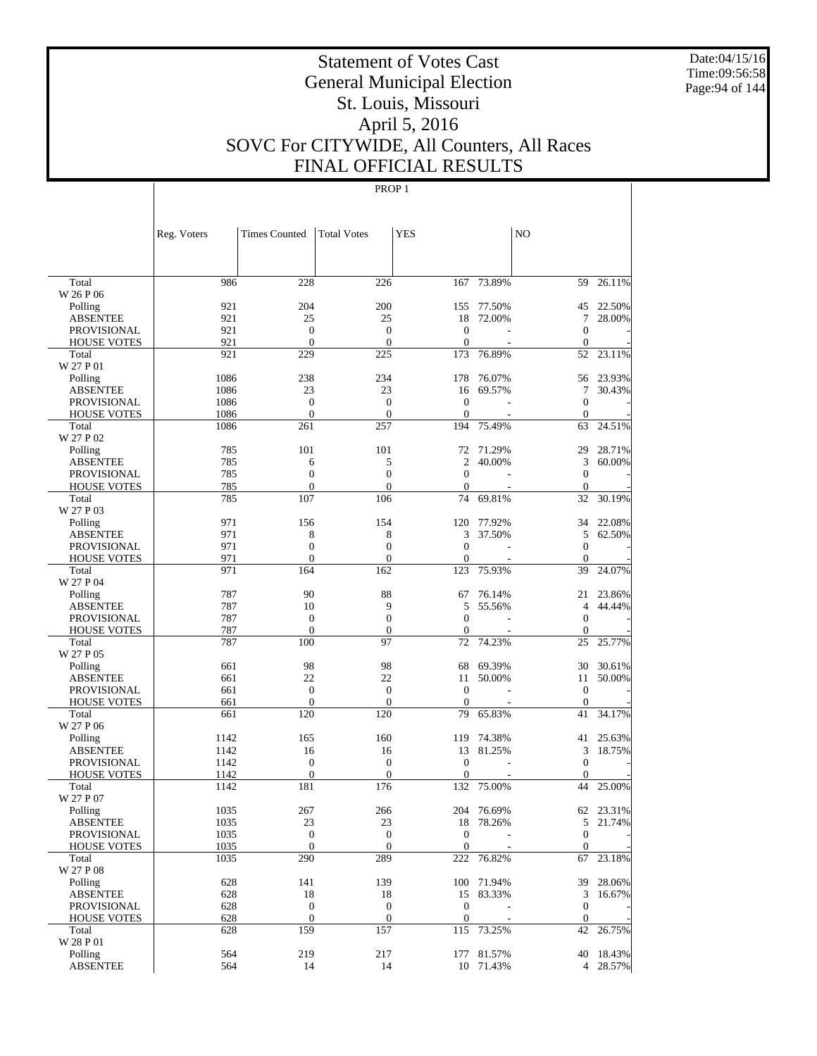Date:04/15/16 Time:09:56:58 Page:94 of 144

# Statement of Votes Cast General Municipal Election St. Louis, Missouri April 5, 2016 SOVC For CITYWIDE, All Counters, All Races FINAL OFFICIAL RESULTS

|                                          | Reg. Voters  | <b>Times Counted</b>             | <b>Total Votes</b>                   | YES                          |            | N <sub>O</sub>               |           |
|------------------------------------------|--------------|----------------------------------|--------------------------------------|------------------------------|------------|------------------------------|-----------|
|                                          |              |                                  |                                      |                              |            |                              |           |
| Total                                    | 986          | 228                              | 226                                  | 167                          | 73.89%     | 59                           | 26.11%    |
| W 26 P 06                                |              |                                  |                                      |                              |            |                              |           |
| Polling                                  | 921          | 204                              | 200                                  | 155                          | 77.50%     | 45                           | 22.50%    |
| <b>ABSENTEE</b>                          | 921          | 25                               | 25                                   | 18                           | 72.00%     | 7                            | 28.00%    |
| <b>PROVISIONAL</b><br><b>HOUSE VOTES</b> | 921<br>921   | $\boldsymbol{0}$<br>$\mathbf{0}$ | $\boldsymbol{0}$<br>$\boldsymbol{0}$ | $\theta$<br>$\mathbf{0}$     |            | $\mathbf{0}$<br>$\mathbf{0}$ |           |
| Total                                    | 921          | 229                              | 225                                  | 173                          | 76.89%     | 52                           | 23.11%    |
| W 27 P 01                                |              |                                  |                                      |                              |            |                              |           |
| Polling                                  | 1086         | 238                              | 234                                  | 178                          | 76.07%     | 56                           | 23.93%    |
| <b>ABSENTEE</b>                          | 1086         | 23                               | 23                                   | 16                           | 69.57%     | 7                            | 30.43%    |
| <b>PROVISIONAL</b>                       | 1086         | $\mathbf{0}$                     | $\boldsymbol{0}$                     | $\theta$                     |            | $\mathbf{0}$                 |           |
| <b>HOUSE VOTES</b>                       | 1086         | $\mathbf{0}$                     | $\boldsymbol{0}$                     | $\mathbf{0}$                 |            | $\mathbf{0}$                 |           |
| Total                                    | 1086         | 261                              | 257                                  | 194                          | 75.49%     | 63                           | 24.51%    |
| W 27 P 02                                |              |                                  |                                      |                              |            |                              |           |
| Polling                                  | 785          | 101                              | 101                                  | 72                           | 71.29%     | 29                           | 28.71%    |
| <b>ABSENTEE</b>                          | 785          | 6                                | 5                                    | 2                            | 40.00%     | 3                            | 60.00%    |
| <b>PROVISIONAL</b>                       | 785          | $\boldsymbol{0}$                 | $\overline{0}$                       | $\mathbf{0}$                 |            | $\mathbf{0}$                 |           |
| <b>HOUSE VOTES</b>                       | 785          | $\mathbf{0}$                     | $\boldsymbol{0}$                     | $\mathbf{0}$                 |            | $\mathbf{0}$                 |           |
| Total                                    | 785          | 107                              | 106                                  | 74                           | 69.81%     | 32                           | 30.19%    |
| W 27 P 03                                |              |                                  |                                      |                              |            |                              |           |
| Polling                                  | 971          | 156                              | 154                                  | 120                          | 77.92%     | 34                           | 22.08%    |
| <b>ABSENTEE</b><br><b>PROVISIONAL</b>    | 971<br>971   | 8<br>$\mathbf{0}$                | 8<br>$\theta$                        | 3<br>$\mathbf{0}$            | 37.50%     | 5<br>$\mathbf{0}$            | 62.50%    |
| <b>HOUSE VOTES</b>                       | 971          | $\mathbf{0}$                     | $\boldsymbol{0}$                     | $\mathbf{0}$                 |            | $\mathbf{0}$                 |           |
| Total                                    | 971          | 164                              | 162                                  | 123                          | 75.93%     | 39                           | 24.07%    |
| W 27 P 04                                |              |                                  |                                      |                              |            |                              |           |
| Polling                                  | 787          | 90                               | 88                                   | 67                           | 76.14%     | 21                           | 23.86%    |
| <b>ABSENTEE</b>                          | 787          | 10                               | 9                                    | 5                            | 55.56%     | $\overline{4}$               | 44.44%    |
| <b>PROVISIONAL</b>                       | 787          | $\boldsymbol{0}$                 | $\boldsymbol{0}$                     | $\mathbf{0}$                 |            | $\mathbf{0}$                 |           |
| <b>HOUSE VOTES</b>                       | 787          | $\mathbf{0}$                     | $\boldsymbol{0}$                     | $\mathbf{0}$                 |            | $\mathbf{0}$                 |           |
| Total                                    | 787          | 100                              | 97                                   | 72                           | 74.23%     | 25                           | 25.77%    |
| W 27 P 05                                |              |                                  |                                      |                              |            |                              |           |
| Polling                                  | 661          | 98                               | 98                                   | 68                           | 69.39%     | 30                           | 30.61%    |
| <b>ABSENTEE</b>                          | 661          | 22                               | 22                                   | 11                           | 50.00%     | 11                           | 50.00%    |
| <b>PROVISIONAL</b>                       | 661          | $\mathbf{0}$                     | $\boldsymbol{0}$                     | $\theta$                     |            | $\mathbf{0}$                 |           |
| <b>HOUSE VOTES</b>                       | 661          | $\boldsymbol{0}$                 | $\boldsymbol{0}$                     | $\theta$                     |            | $\mathbf{0}$                 |           |
| Total                                    | 661          | 120                              | 120                                  | 79                           | 65.83%     | 41                           | 34.17%    |
| W 27 P 06                                |              |                                  |                                      |                              |            |                              |           |
| Polling                                  | 1142         | 165                              | 160                                  | 119                          | 74.38%     | 41                           | 25.63%    |
| <b>ABSENTEE</b>                          | 1142         | 16                               | 16                                   | 13                           | 81.25%     | 3                            | 18.75%    |
| PROVISIONAL<br><b>HOUSE VOTES</b>        | 1142<br>1142 | $\boldsymbol{0}$<br>$\mathbf{0}$ | $\boldsymbol{0}$<br>$\theta$         | $\mathbf{0}$<br>$\mathbf{0}$ |            | $\mathbf{0}$<br>$\mathbf{0}$ |           |
| Total                                    | 1142         | 181                              | 176                                  | 132                          | 75.00%     | 44                           | 25.00%    |
| W 27 P 07                                |              |                                  |                                      |                              |            |                              |           |
| Polling                                  | 1035         | 267                              | 266                                  |                              | 204 76.69% |                              | 62 23.31% |
| ABSENTEE                                 | 1035         | 23                               | 23                                   |                              | 18 78.26%  |                              | 5 21.74%  |
| PROVISIONAL                              | 1035         | $\boldsymbol{0}$                 | $\mathbf{0}$                         | $\boldsymbol{0}$             |            | $\mathbf{0}$                 |           |
| <b>HOUSE VOTES</b>                       | 1035         | $\mathbf{0}$                     | $\mathbf{0}$                         | $\mathbf{0}$                 |            | $\mathbf{0}$                 |           |
| Total                                    | 1035         | 290                              | 289                                  |                              | 222 76.82% | 67                           | 23.18%    |
| W 27 P 08                                |              |                                  |                                      |                              |            |                              |           |
| Polling                                  | 628          | 141                              | 139                                  |                              | 100 71.94% |                              | 39 28.06% |
| <b>ABSENTEE</b>                          | 628          | 18                               | 18                                   |                              | 15 83.33%  | 3                            | 16.67%    |
| PROVISIONAL                              | 628          | $\boldsymbol{0}$                 | $\boldsymbol{0}$                     | $\boldsymbol{0}$             |            | $\boldsymbol{0}$             |           |
| <b>HOUSE VOTES</b>                       | 628          | $\mathbf{0}$                     | $\boldsymbol{0}$                     | $\mathbf{0}$                 |            | $\mathbf{0}$                 |           |
| Total                                    | 628          | 159                              | 157                                  |                              | 115 73.25% | 42                           | 26.75%    |
| W 28 P 01                                |              |                                  |                                      |                              |            |                              |           |
| Polling                                  | 564          | 219                              | 217                                  |                              | 177 81.57% |                              | 40 18.43% |
| <b>ABSENTEE</b>                          | 564          | 14                               | 14                                   |                              | 10 71.43%  |                              | 4 28.57%  |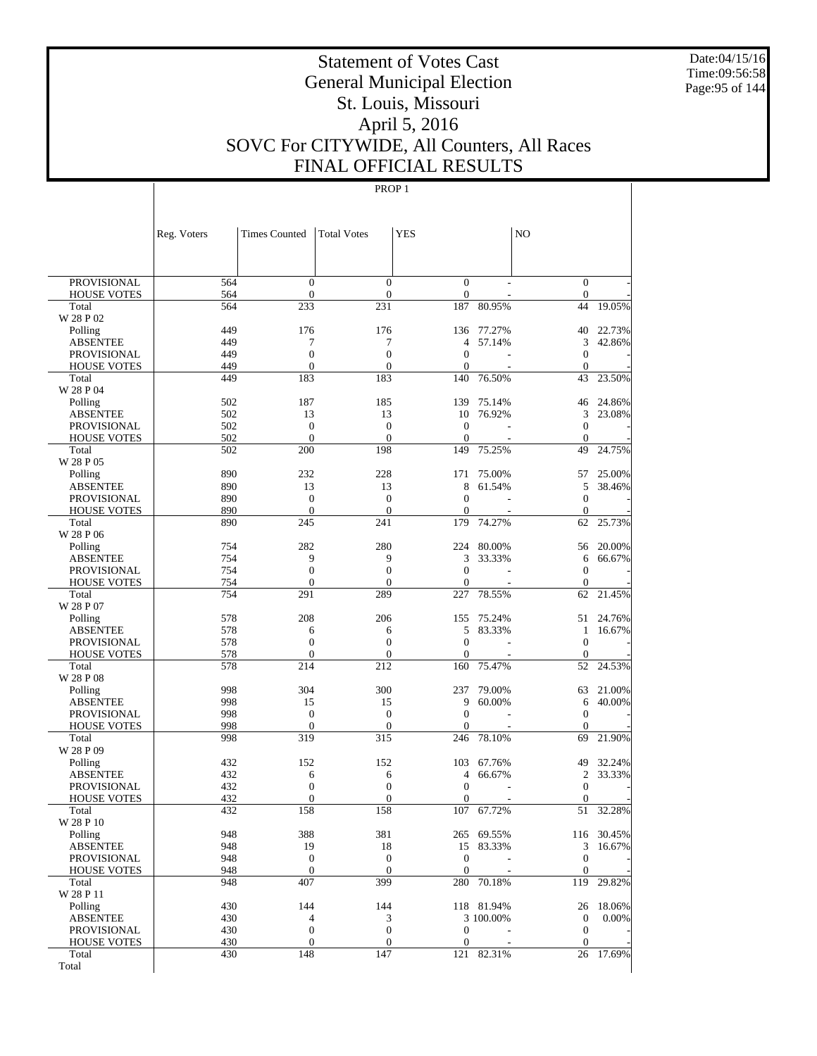Date:04/15/16 Time:09:56:58 Page:95 of 144

# Statement of Votes Cast General Municipal Election St. Louis, Missouri April 5, 2016 SOVC For CITYWIDE, All Counters, All Races FINAL OFFICIAL RESULTS

|                                          | Reg. Voters | <b>Times Counted</b>               | <b>Total Votes</b>                   | <b>YES</b>                       |            | N <sub>O</sub>                       |            |
|------------------------------------------|-------------|------------------------------------|--------------------------------------|----------------------------------|------------|--------------------------------------|------------|
|                                          |             |                                    |                                      |                                  |            |                                      |            |
| <b>PROVISIONAL</b>                       | 564         | $\boldsymbol{0}$<br>$\mathbf{0}$   | $\boldsymbol{0}$                     | $\boldsymbol{0}$                 |            | $\mathbf{0}$                         |            |
| <b>HOUSE VOTES</b><br>Total              | 564<br>564  | 233                                | $\boldsymbol{0}$<br>231              | $\boldsymbol{0}$<br>187          | 80.95%     | $\mathbf{0}$<br>44                   | 19.05%     |
| W 28 P 02                                |             |                                    |                                      |                                  |            |                                      |            |
| Polling                                  | 449         | 176                                | 176                                  | 136                              | 77.27%     | 40                                   | 22.73%     |
| <b>ABSENTEE</b>                          | 449         | 7                                  | 7                                    | 4                                | 57.14%     | 3                                    | 42.86%     |
| <b>PROVISIONAL</b>                       | 449         | $\boldsymbol{0}$                   | $\boldsymbol{0}$                     | $\mathbf{0}$                     |            | $\boldsymbol{0}$                     |            |
| <b>HOUSE VOTES</b>                       | 449         | $\mathbf{0}$                       | $\mathbf{0}$                         | $\boldsymbol{0}$                 |            | $\mathbf{0}$                         |            |
| Total<br>W 28 P 04                       | 449         | 183                                | 183                                  | 140                              | 76.50%     | 43                                   | 23.50%     |
| Polling                                  | 502         | 187                                | 185                                  | 139                              | 75.14%     | 46                                   | 24.86%     |
| <b>ABSENTEE</b>                          | 502         | 13                                 | 13                                   | 10                               | 76.92%     | 3                                    | 23.08%     |
| <b>PROVISIONAL</b>                       | 502         | $\boldsymbol{0}$                   | $\boldsymbol{0}$                     | $\mathbf{0}$                     |            | $\mathbf{0}$                         |            |
| <b>HOUSE VOTES</b>                       | 502         | $\mathbf{0}$                       | $\overline{0}$                       | $\mathbf{0}$                     |            | $\mathbf{0}$                         |            |
| Total                                    | 502         | 200                                | 198                                  | 149                              | 75.25%     | 49                                   | 24.75%     |
| W 28 P 05                                |             |                                    |                                      |                                  |            |                                      |            |
| Polling                                  | 890         | 232                                | 228                                  | 171                              | 75.00%     | 57                                   | 25.00%     |
| <b>ABSENTEE</b>                          | 890         | 13                                 | 13                                   | 8                                | 61.54%     | 5                                    | 38.46%     |
| <b>PROVISIONAL</b>                       | 890         | $\boldsymbol{0}$                   | $\boldsymbol{0}$                     | $\mathbf{0}$                     |            | $\boldsymbol{0}$                     |            |
| <b>HOUSE VOTES</b>                       | 890         | $\mathbf{0}$                       | $\mathbf{0}$                         | $\boldsymbol{0}$                 |            | $\mathbf{0}$                         |            |
| Total<br>W 28 P 06                       | 890         | 245                                | 241                                  | 179                              | 74.27%     | 62                                   | 25.73%     |
| Polling                                  | 754         | 282                                | 280                                  | 224                              | 80.00%     | 56                                   | 20.00%     |
| <b>ABSENTEE</b>                          | 754         | 9                                  | 9                                    | 3                                | 33.33%     | 6                                    | 66.67%     |
| <b>PROVISIONAL</b>                       | 754         | $\boldsymbol{0}$                   | $\boldsymbol{0}$                     | $\mathbf{0}$                     |            | $\boldsymbol{0}$                     |            |
| <b>HOUSE VOTES</b>                       | 754         | $\mathbf{0}$                       | $\overline{0}$                       | $\overline{0}$                   |            | $\mathbf{0}$                         |            |
| Total                                    | 754         | 291                                | 289                                  | 227                              | 78.55%     | 62                                   | 21.45%     |
| W 28 P 07                                |             |                                    |                                      |                                  |            |                                      |            |
| Polling                                  | 578         | 208                                | 206                                  | 155                              | 75.24%     | 51                                   | 24.76%     |
| <b>ABSENTEE</b>                          | 578         | 6                                  | 6                                    | 5                                | 83.33%     | 1                                    | 16.67%     |
| <b>PROVISIONAL</b>                       | 578         | $\boldsymbol{0}$                   | $\boldsymbol{0}$                     | $\mathbf{0}$                     |            | $\boldsymbol{0}$                     |            |
| <b>HOUSE VOTES</b><br>Total              | 578<br>578  | $\mathbf{0}$<br>214                | $\overline{0}$<br>212                | $\boldsymbol{0}$<br>160          | 75.47%     | $\mathbf{0}$<br>52                   | 24.53%     |
| W 28 P 08                                |             |                                    |                                      |                                  |            |                                      |            |
| Polling                                  | 998         | 304                                | 300                                  | 237                              | 79.00%     | 63                                   | 21.00%     |
| <b>ABSENTEE</b>                          | 998         | 15                                 | 15                                   | 9                                | 60.00%     | 6                                    | 40.00%     |
| <b>PROVISIONAL</b>                       | 998         | $\boldsymbol{0}$                   | $\boldsymbol{0}$                     | $\boldsymbol{0}$                 |            | $\boldsymbol{0}$                     |            |
| <b>HOUSE VOTES</b>                       | 998         | $\mathbf{0}$                       | $\overline{0}$                       | $\boldsymbol{0}$                 |            | $\mathbf{0}$                         |            |
| Total                                    | 998         | 319                                | 315                                  | 246                              | 78.10%     | 69                                   | 21.90%     |
| W 28 P 09                                |             |                                    |                                      |                                  |            |                                      |            |
| Polling                                  | 432         | 152                                | 152                                  | 103                              | 67.76%     | 49                                   | 32.24%     |
| <b>ABSENTEE</b>                          | 432         | 6                                  | 6                                    | 4                                | 66.67%     | $\overline{c}$                       | 33.33%     |
| <b>PROVISIONAL</b><br><b>HOUSE VOTES</b> | 432<br>432  | $\boldsymbol{0}$<br>$\overline{0}$ | $\boldsymbol{0}$<br>$\boldsymbol{0}$ | $\mathbf{0}$<br>$\boldsymbol{0}$ |            | $\boldsymbol{0}$<br>$\boldsymbol{0}$ |            |
| Total                                    | 432         | 158                                | 158                                  | 107                              | 67.72%     | 51                                   | 32.28%     |
| W 28 P 10                                |             |                                    |                                      |                                  |            |                                      |            |
| Polling                                  | 948         | 388                                | 381                                  |                                  | 265 69.55% |                                      | 116 30.45% |
| <b>ABSENTEE</b>                          | 948         | 19                                 | 18                                   | 15                               | 83.33%     | 3                                    | 16.67%     |
| <b>PROVISIONAL</b>                       | 948         | $\boldsymbol{0}$                   | $\boldsymbol{0}$                     | $\mathbf{0}$                     |            | $\boldsymbol{0}$                     |            |
| <b>HOUSE VOTES</b>                       | 948         | $\boldsymbol{0}$                   | $\mathbf{0}$                         | $\mathbf{0}$                     |            | $\mathbf{0}$                         |            |
| Total                                    | 948         | 407                                | 399                                  |                                  | 280 70.18% | 119                                  | 29.82%     |
| W 28 P 11                                |             |                                    |                                      |                                  |            |                                      |            |
| Polling                                  | 430         | 144                                | 144                                  |                                  | 118 81.94% | 26                                   | 18.06%     |
| <b>ABSENTEE</b>                          | 430<br>430  | $\overline{4}$<br>$\boldsymbol{0}$ | 3<br>$\boldsymbol{0}$                | $\boldsymbol{0}$                 | 3 100.00%  | $\boldsymbol{0}$<br>$\boldsymbol{0}$ | 0.00%      |
| PROVISIONAL<br><b>HOUSE VOTES</b>        | 430         | $\boldsymbol{0}$                   | $\boldsymbol{0}$                     | $\mathbf{0}$                     |            | $\mathbf{0}$                         |            |
| Total                                    | 430         | 148                                | 147                                  |                                  | 121 82.31% | 26                                   | 17.69%     |
| Total                                    |             |                                    |                                      |                                  |            |                                      |            |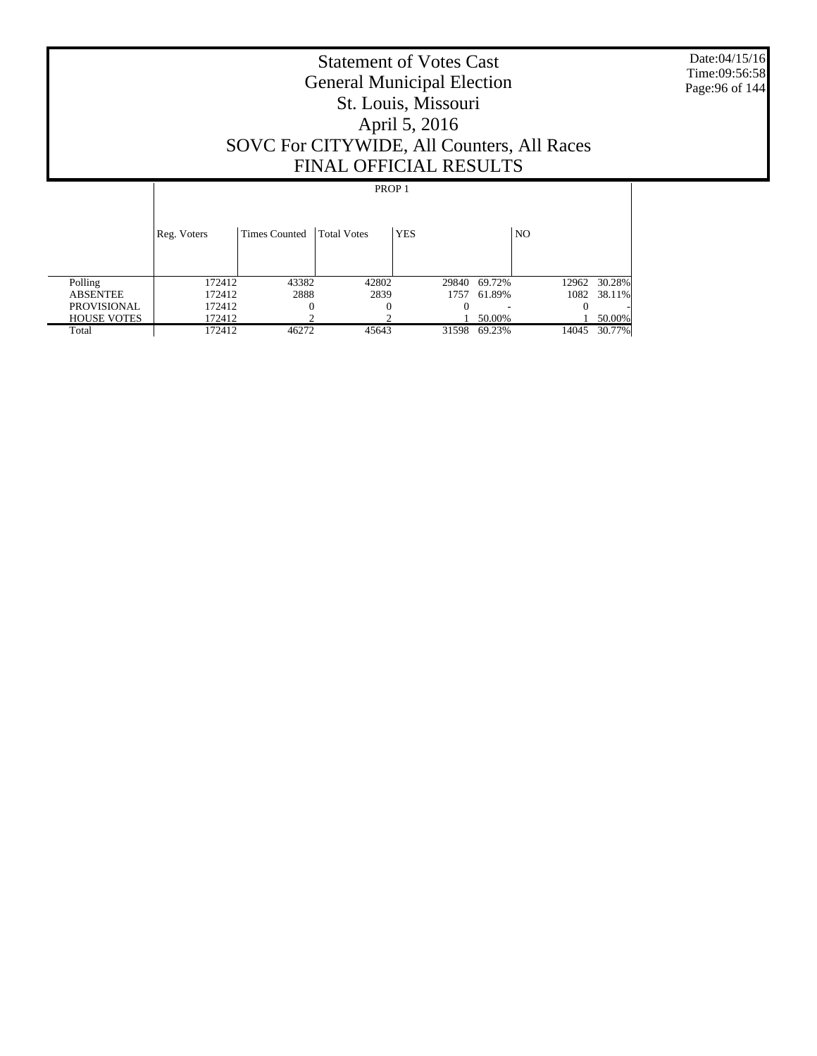Date:04/15/16 Time:09:56:58 Page:96 of 144

# Statement of Votes Cast General Municipal Election St. Louis, Missouri April 5, 2016 SOVC For CITYWIDE, All Counters, All Races FINAL OFFICIAL RESULTS

|                    | Reg. Voters | Times Counted | <b>Total Votes</b> | <b>YES</b> |        | N <sub>O</sub> |              |
|--------------------|-------------|---------------|--------------------|------------|--------|----------------|--------------|
| Polling            | 172412      | 43382         | 42802              | 29840      | 69.72% |                | 12962 30.28% |
| <b>ABSENTEE</b>    | 172412      | 2888          | 2839               | 1757       | 61.89% |                | 1082 38.11%  |
| <b>PROVISIONAL</b> | 172412      | 0             |                    |            |        |                |              |
| <b>HOUSE VOTES</b> | 172412      |               |                    |            | 50.00% |                | 50.00%       |
| Total              | 172412      | 46272         | 45643              | 31598      | 69.23% | 14045          | 30.77%       |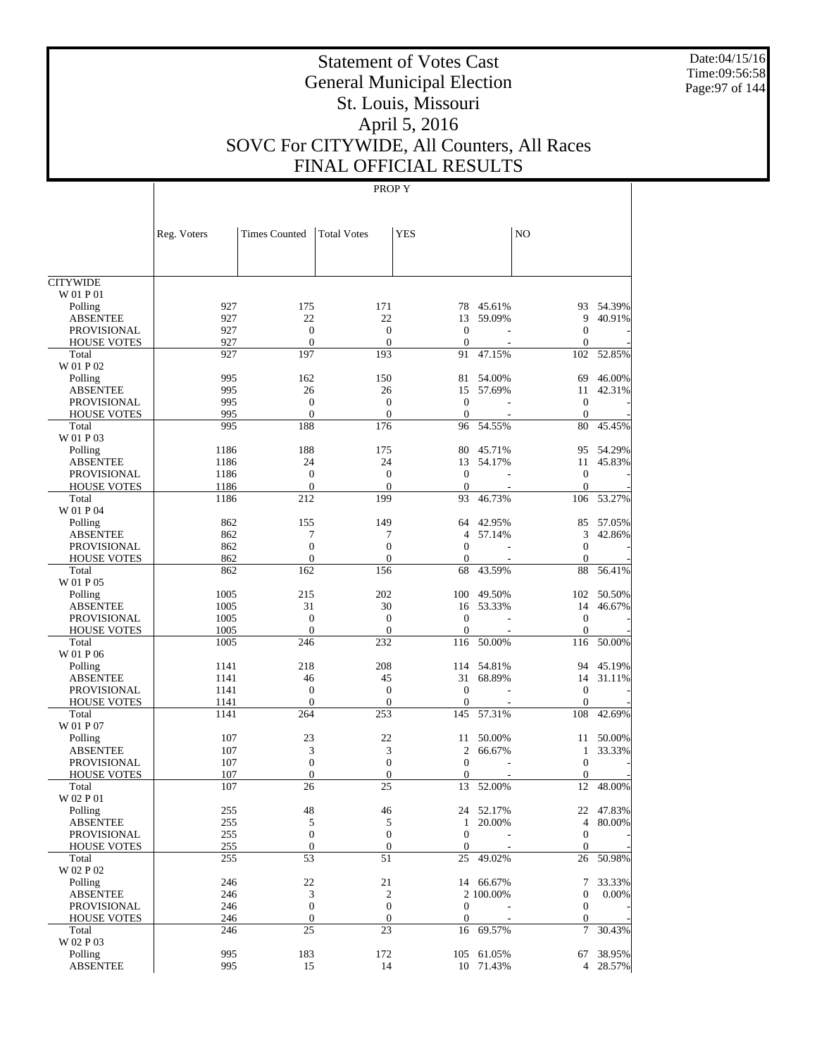Date:04/15/16 Time:09:56:58 Page:97 of 144

# Statement of Votes Cast General Municipal Election St. Louis, Missouri April 5, 2016 SOVC For CITYWIDE, All Counters, All Races FINAL OFFICIAL RESULTS

|                            | Reg. Voters | <b>Times Counted</b> | <b>Total Votes</b> | <b>YES</b>       |                  | N <sub>O</sub>   |                  |
|----------------------------|-------------|----------------------|--------------------|------------------|------------------|------------------|------------------|
|                            |             |                      |                    |                  |                  |                  |                  |
| <b>CITYWIDE</b>            |             |                      |                    |                  |                  |                  |                  |
| W 01 P 01                  |             |                      |                    |                  |                  |                  |                  |
| Polling                    | 927         | 175                  | 171                |                  | 78 45.61%        | 93               | 54.39%           |
| <b>ABSENTEE</b>            | 927         | 22                   | 22                 | 13               | 59.09%           | 9                | 40.91%           |
| <b>PROVISIONAL</b>         | 927         | $\boldsymbol{0}$     | $\mathbf{0}$       | $\mathbf{0}$     |                  | $\boldsymbol{0}$ |                  |
| <b>HOUSE VOTES</b>         | 927         | $\overline{0}$       | $\mathbf{0}$       | $\mathbf{0}$     |                  | $\mathbf{0}$     |                  |
| Total                      | 927         | 197                  | 193                | 91               | 47.15%           | 102              | 52.85%           |
| W 01 P 02                  |             |                      |                    |                  |                  |                  |                  |
| Polling<br><b>ABSENTEE</b> | 995<br>995  | 162<br>26            | 150<br>26          | 81<br>15         | 54.00%<br>57.69% | 69<br>11         | 46.00%<br>42.31% |
| <b>PROVISIONAL</b>         | 995         | $\boldsymbol{0}$     | $\boldsymbol{0}$   | $\mathbf{0}$     |                  | $\mathbf{0}$     |                  |
| <b>HOUSE VOTES</b>         | 995         | $\overline{0}$       | $\mathbf{0}$       | $\mathbf{0}$     |                  | $\mathbf{0}$     |                  |
| Total                      | 995         | 188                  | 176                | 96               | 54.55%           | 80               | 45.45%           |
| W 01 P 03                  |             |                      |                    |                  |                  |                  |                  |
| Polling                    | 1186        | 188                  | 175                | 80               | 45.71%           | 95               | 54.29%           |
| <b>ABSENTEE</b>            | 1186        | 24                   | 24                 | 13               | 54.17%           | 11               | 45.83%           |
| <b>PROVISIONAL</b>         | 1186        | $\boldsymbol{0}$     | $\boldsymbol{0}$   | $\mathbf{0}$     |                  | $\mathbf{0}$     |                  |
| <b>HOUSE VOTES</b>         | 1186        | $\mathbf{0}$         | $\mathbf{0}$       | $\mathbf{0}$     |                  | $\mathbf{0}$     |                  |
| Total                      | 1186        | 212                  | 199                | 93               | 46.73%           | 106              | 53.27%           |
| W 01 P 04                  |             |                      |                    |                  |                  |                  |                  |
| Polling                    | 862         | 155                  | 149                | 64               | 42.95%           | 85               | 57.05%           |
| <b>ABSENTEE</b>            | 862         | 7                    | 7                  | $\overline{4}$   | 57.14%           | 3                | 42.86%           |
| <b>PROVISIONAL</b>         | 862         | $\boldsymbol{0}$     | $\boldsymbol{0}$   | $\mathbf{0}$     |                  | $\mathbf{0}$     |                  |
| <b>HOUSE VOTES</b>         | 862         | $\mathbf{0}$         | $\mathbf{0}$       | $\theta$         |                  | $\boldsymbol{0}$ |                  |
| Total                      | 862         | 162                  | 156                | 68               | 43.59%           | 88               | 56.41%           |
| W 01 P 05                  |             |                      |                    |                  |                  |                  |                  |
| Polling                    | 1005        | 215                  | 202                | 100              | 49.50%           | 102              | 50.50%           |
| <b>ABSENTEE</b>            | 1005        | 31                   | 30                 | 16               | 53.33%           | 14               | 46.67%           |
| <b>PROVISIONAL</b>         | 1005        | $\boldsymbol{0}$     | $\boldsymbol{0}$   | $\mathbf{0}$     |                  | $\mathbf{0}$     |                  |
| <b>HOUSE VOTES</b>         | 1005        | $\overline{0}$       | $\mathbf{0}$       | $\mathbf{0}$     |                  | $\mathbf{0}$     |                  |
| Total                      | 1005        | 246                  | 232                | 116              | 50.00%           | 116              | 50.00%           |
| W 01 P 06                  |             |                      |                    |                  |                  |                  |                  |
| Polling                    | 1141        | 218                  | 208                | 114              | 54.81%           | 94               | 45.19%           |
| <b>ABSENTEE</b>            | 1141        | 46                   | 45                 | 31               | 68.89%           | 14               | 31.11%           |
| <b>PROVISIONAL</b>         | 1141        | $\boldsymbol{0}$     | $\boldsymbol{0}$   | $\mathbf{0}$     |                  | $\mathbf{0}$     |                  |
| <b>HOUSE VOTES</b>         | 1141        | $\mathbf{0}$         | $\boldsymbol{0}$   | $\mathbf{0}$     |                  | $\mathbf{0}$     |                  |
| Total<br>W 01 P 07         | 1141        | 264                  | 253                | 145              | 57.31%           | 108              | 42.69%           |
| Polling                    | 107         | 23                   | 22                 | 11               | 50.00%           | 11               | 50.00%           |
| <b>ABSENTEE</b>            | 107         | 3                    | 3                  | $\overline{c}$   | 66.67%           | $\mathbf{1}$     | 33.33%           |
| <b>PROVISIONAL</b>         | 107         | $\boldsymbol{0}$     | $\boldsymbol{0}$   | $\mathbf{0}$     |                  | $\mathbf{0}$     |                  |
| <b>HOUSE VOTES</b>         | 107         | $\overline{0}$       | $\boldsymbol{0}$   | $\mathbf{0}$     |                  | $\mathbf 0$      |                  |
| Total                      | 107         | 26                   | 25                 | 13               | 52.00%           | 12               | 48.00%           |
| W 02 P 01                  |             |                      |                    |                  |                  |                  |                  |
| Polling                    | 255         | 48                   | $46\,$             |                  | 24 52.17%        |                  | 22 47.83%        |
| <b>ABSENTEE</b>            | 255         | 5                    | 5                  |                  | 1 20.00%         | $\overline{4}$   | 80.00%           |
| PROVISIONAL                | 255         | $\boldsymbol{0}$     | $\boldsymbol{0}$   | $\mathbf{0}$     |                  | $\mathbf{0}$     |                  |
| <b>HOUSE VOTES</b>         | 255         | $\boldsymbol{0}$     | $\mathbf{0}$       | $\boldsymbol{0}$ |                  | $\mathbf{0}$     |                  |
| Total                      | 255         | 53                   | 51                 | 25               | 49.02%           | 26               | 50.98%           |
| W 02 P 02                  |             |                      |                    |                  |                  |                  |                  |
| Polling                    | 246         | 22                   | 21                 |                  | 14 66.67%        | 7                | 33.33%           |
| <b>ABSENTEE</b>            | 246         | 3                    | $\boldsymbol{2}$   |                  | 2 100.00%        | $\boldsymbol{0}$ | 0.00%            |
| <b>PROVISIONAL</b>         | 246         | $\boldsymbol{0}$     | $\boldsymbol{0}$   | $\boldsymbol{0}$ |                  | $\boldsymbol{0}$ |                  |
| <b>HOUSE VOTES</b>         | 246         | $\boldsymbol{0}$     | $\boldsymbol{0}$   | $\boldsymbol{0}$ |                  | $\boldsymbol{0}$ |                  |
| Total                      | 246         | 25                   | 23                 | 16               | 69.57%           | 7                | 30.43%           |
| W 02 P 03                  |             |                      |                    |                  |                  |                  |                  |
| Polling                    | 995         | 183                  | 172                |                  | 105 61.05%       | 67               | 38.95%           |
| <b>ABSENTEE</b>            | 995         | 15                   | 14                 |                  | 10 71.43%        |                  | 4 28.57%         |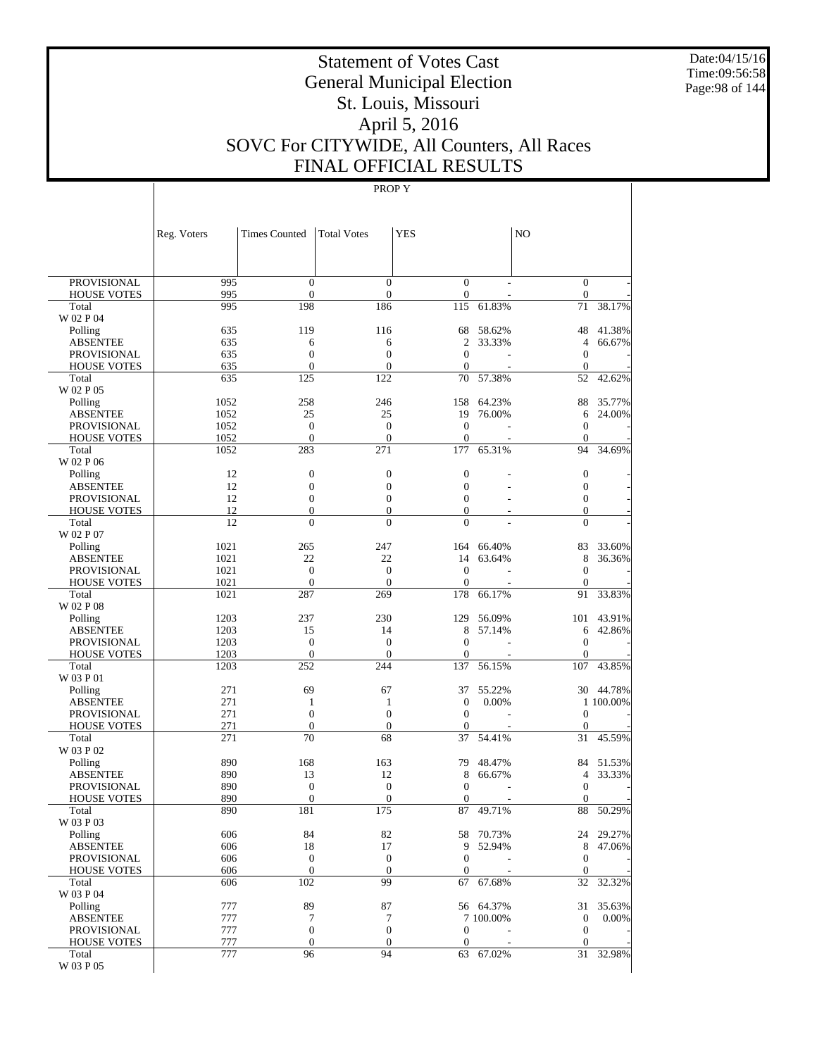Date:04/15/16 Time:09:56:58 Page:98 of 144

# Statement of Votes Cast General Municipal Election St. Louis, Missouri April 5, 2016 SOVC For CITYWIDE, All Counters, All Races FINAL OFFICIAL RESULTS

|                    | Reg. Voters  | <b>Times Counted</b>   | <b>Total Votes</b>      | YES                     |           | N <sub>O</sub>         |           |
|--------------------|--------------|------------------------|-------------------------|-------------------------|-----------|------------------------|-----------|
|                    |              |                        |                         |                         |           |                        |           |
| <b>PROVISIONAL</b> | 995          | $\mathbf{0}$           | $\overline{0}$          | $\overline{0}$          |           | $\mathbf{0}$           |           |
| <b>HOUSE VOTES</b> | 995<br>995   | $\mathbf{0}$<br>198    | $\boldsymbol{0}$<br>186 | $\boldsymbol{0}$<br>115 | 61.83%    | $\boldsymbol{0}$<br>71 | 38.17%    |
| Total<br>W 02 P 04 |              |                        |                         |                         |           |                        |           |
| Polling            | 635          | 119                    | 116                     | 68                      | 58.62%    | 48                     | 41.38%    |
| ABSENTEE           | 635          | 6                      | 6                       | $\overline{2}$          | 33.33%    | 4                      | 66.67%    |
| <b>PROVISIONAL</b> | 635          | $\mathbf{0}$           | $\overline{0}$          | $\overline{0}$          |           | $\mathbf{0}$           |           |
| <b>HOUSE VOTES</b> | 635          | $\boldsymbol{0}$       | $\boldsymbol{0}$        | $\overline{0}$          |           | $\boldsymbol{0}$       |           |
| Total              | 635          | 125                    | 122                     | 70                      | 57.38%    | 52                     | 42.62%    |
| W 02 P 05          |              |                        |                         |                         |           |                        |           |
| Polling            | 1052         | 258                    | 246                     | 158                     | 64.23%    | 88                     | 35.77%    |
| <b>ABSENTEE</b>    | 1052         | 25                     | 25                      | 19                      | 76.00%    | 6                      | 24.00%    |
| <b>PROVISIONAL</b> | 1052         | $\boldsymbol{0}$       | $\boldsymbol{0}$        | $\mathbf{0}$            | ÷         | $\mathbf{0}$           |           |
| <b>HOUSE VOTES</b> | 1052<br>1052 | $\mathbf{0}$<br>283    | $\overline{0}$<br>271   | $\mathbf{0}$<br>177     | 65.31%    | $\boldsymbol{0}$<br>94 | 34.69%    |
| Total<br>W 02 P 06 |              |                        |                         |                         |           |                        |           |
| Polling            | 12           | $\boldsymbol{0}$       | $\boldsymbol{0}$        | $\mathbf{0}$            |           | $\mathbf{0}$           |           |
| ABSENTEE           | 12           | $\boldsymbol{0}$       | $\boldsymbol{0}$        | $\boldsymbol{0}$        |           | $\boldsymbol{0}$       |           |
| <b>PROVISIONAL</b> | 12           | $\boldsymbol{0}$       | $\boldsymbol{0}$        | $\overline{0}$          |           | $\boldsymbol{0}$       |           |
| <b>HOUSE VOTES</b> | 12           | $\boldsymbol{0}$       | $\boldsymbol{0}$        | $\boldsymbol{0}$        |           | $\mathbf{0}$           |           |
| Total              | 12           | $\overline{0}$         | $\overline{0}$          | $\theta$                |           | $\overline{0}$         |           |
| W 02 P 07          |              |                        |                         |                         |           |                        |           |
| Polling            | 1021         | 265                    | 247                     | 164                     | 66.40%    | 83                     | 33.60%    |
| <b>ABSENTEE</b>    | 1021         | 22                     | 22                      | 14                      | 63.64%    | 8                      | 36.36%    |
| <b>PROVISIONAL</b> | 1021         | $\boldsymbol{0}$       | $\boldsymbol{0}$        | $\mathbf{0}$            |           | $\mathbf{0}$           |           |
| <b>HOUSE VOTES</b> | 1021         | $\boldsymbol{0}$       | $\overline{0}$          | $\mathbf{0}$            |           | $\mathbf{0}$           |           |
| Total<br>W 02 P 08 | 1021         | 287                    | 269                     | 178                     | 66.17%    | 91                     | 33.83%    |
| Polling            | 1203         | 237                    | 230                     | 129                     | 56.09%    | 101                    | 43.91%    |
| ABSENTEE           | 1203         | 15                     | 14                      | 8                       | 57.14%    | 6                      | 42.86%    |
| <b>PROVISIONAL</b> | 1203         | $\mathbf{0}$           | $\boldsymbol{0}$        | $\overline{0}$          |           | $\mathbf{0}$           |           |
| <b>HOUSE VOTES</b> | 1203         | $\boldsymbol{0}$       | $\mathbf{0}$            | $\mathbf{0}$            |           | $\boldsymbol{0}$       |           |
| Total              | 1203         | 252                    | 244                     | 137                     | 56.15%    | 107                    | 43.85%    |
| W 03 P 01          |              |                        |                         |                         |           |                        |           |
| Polling            | 271          | 69                     | 67                      | 37                      | 55.22%    |                        | 30 44.78% |
| <b>ABSENTEE</b>    | 271          | $\mathbf{1}$           | 1                       | $\boldsymbol{0}$        | 0.00%     |                        | 1 100.00% |
| <b>PROVISIONAL</b> | 271          | $\boldsymbol{0}$       | $\boldsymbol{0}$        | $\mathbf{0}$            |           | $\mathbf{0}$           |           |
| <b>HOUSE VOTES</b> | 271          | $\boldsymbol{0}$<br>70 | $\boldsymbol{0}$<br>68  | 0                       | 54.41%    | $\boldsymbol{0}$       |           |
| Total<br>W 03 P 02 | 271          |                        |                         | 37                      |           | 31                     | 45.59%    |
| Polling            | 890          | 168                    | 163                     | 79                      | 48.47%    | 84                     | 51.53%    |
| ABSENTEE           | 890          | 13                     | 12                      | 8                       | 66.67%    | 4                      | 33.33%    |
| <b>PROVISIONAL</b> | 890          | $\boldsymbol{0}$       | $\boldsymbol{0}$        | $\overline{0}$          |           | $\boldsymbol{0}$       |           |
| <b>HOUSE VOTES</b> | 890          | $\boldsymbol{0}$       | $\boldsymbol{0}$        | $\mathbf{0}$            |           | $\boldsymbol{0}$       |           |
| Total              | 890          | 181                    | $\overline{175}$        | 87                      | 49.71%    | 88                     | 50.29%    |
| W 03 P 03          |              |                        |                         |                         |           |                        |           |
| Polling            | 606          | 84                     | 82                      |                         | 58 70.73% |                        | 24 29.27% |
| <b>ABSENTEE</b>    | 606          | 18                     | 17                      |                         | 9 52.94%  | $8\,$                  | 47.06%    |
| <b>PROVISIONAL</b> | 606          | $\boldsymbol{0}$       | $\boldsymbol{0}$        | $\boldsymbol{0}$        |           | $\boldsymbol{0}$       |           |
| <b>HOUSE VOTES</b> | 606<br>606   | $\mathbf{0}$<br>102    | $\mathbf{0}$<br>99      | $\mathbf{0}$<br>67      |           | $\mathbf{0}$<br>32     | 32.32%    |
| Total<br>W 03 P 04 |              |                        |                         |                         | 67.68%    |                        |           |
| Polling            | 777          | 89                     | 87                      |                         | 56 64.37% |                        | 31 35.63% |
| <b>ABSENTEE</b>    | 777          | 7                      | 7                       |                         | 7 100.00% | $\boldsymbol{0}$       | 0.00%     |
| PROVISIONAL        | 777          | $\boldsymbol{0}$       | $\boldsymbol{0}$        | 0                       |           | $\mathbf{0}$           |           |
| <b>HOUSE VOTES</b> | 777          | $\boldsymbol{0}$       | $\mathbf{0}$            | $\boldsymbol{0}$        |           | $\boldsymbol{0}$       |           |
| Total              | 777          | 96                     | 94                      | 63                      | 67.02%    | 31                     | 32.98%    |
| W 03 P 05          |              |                        |                         |                         |           |                        |           |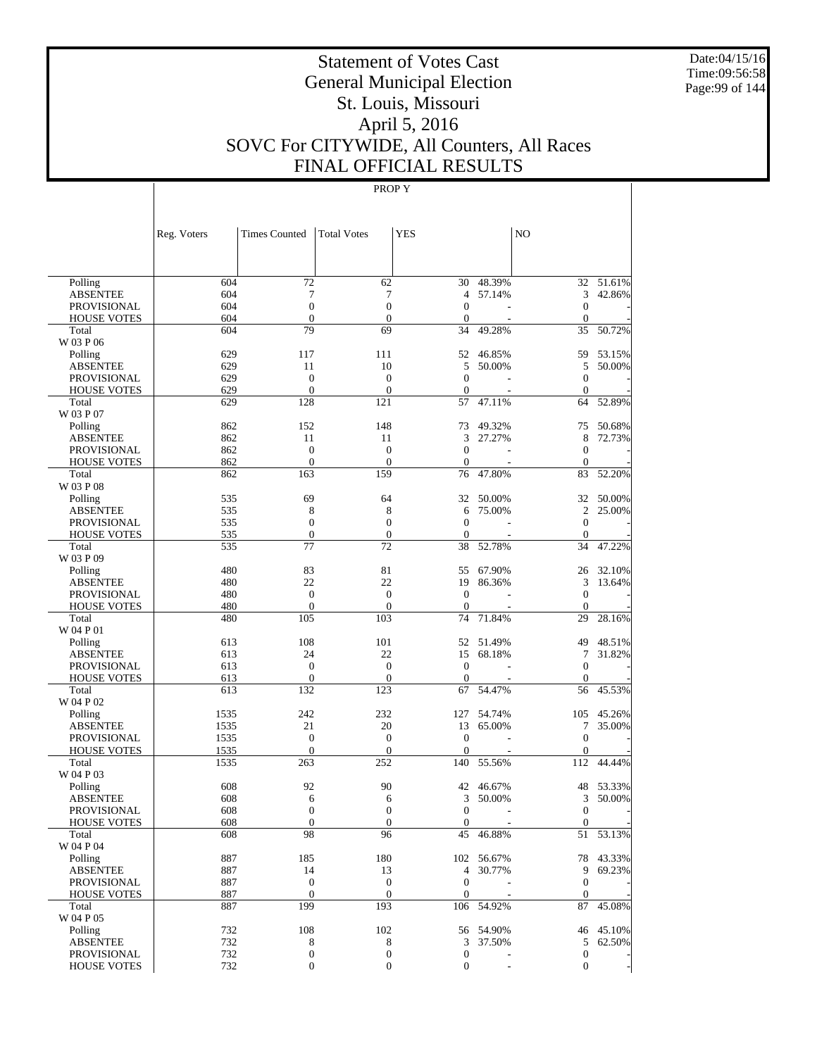Date:04/15/16 Time:09:56:58 Page:99 of 144

# Statement of Votes Cast General Municipal Election St. Louis, Missouri April 5, 2016 SOVC For CITYWIDE, All Counters, All Races FINAL OFFICIAL RESULTS

|                                          | Reg. Voters | <b>Times Counted</b>           | <b>Total Votes</b>              | <b>YES</b>                           |                          | N <sub>O</sub>                   |           |
|------------------------------------------|-------------|--------------------------------|---------------------------------|--------------------------------------|--------------------------|----------------------------------|-----------|
|                                          |             |                                |                                 |                                      |                          |                                  |           |
| Polling                                  | 604         | 72                             | 62                              | 30                                   | 48.39%                   |                                  | 32 51.61% |
| <b>ABSENTEE</b>                          | 604         | 7                              | 7                               | 4                                    | 57.14%                   | 3                                | 42.86%    |
| <b>PROVISIONAL</b>                       | 604         | $\boldsymbol{0}$               | $\mathbf{0}$                    | $\mathbf{0}$                         |                          | $\mathbf{0}$                     |           |
| <b>HOUSE VOTES</b>                       | 604         | $\overline{0}$                 | $\boldsymbol{0}$                | $\mathbf{0}$                         |                          | $\theta$                         |           |
| Total                                    | 604         | 79                             | 69                              | 34                                   | 49.28%                   | 35                               | 50.72%    |
| W 03 P 06                                |             |                                |                                 |                                      |                          |                                  |           |
| Polling                                  | 629         | 117                            | 111                             | 52                                   | 46.85%                   | 59                               | 53.15%    |
| <b>ABSENTEE</b>                          | 629         | 11                             | 10                              | 5                                    | 50.00%                   | 5                                | 50.00%    |
| <b>PROVISIONAL</b>                       | 629         | $\mathbf{0}$<br>$\overline{0}$ | $\mathbf{0}$                    | $\boldsymbol{0}$                     |                          | $\mathbf{0}$                     |           |
| <b>HOUSE VOTES</b><br>Total              | 629<br>629  | 128                            | $\overline{0}$<br>121           | $\boldsymbol{0}$<br>57               | 47.11%                   | $\theta$<br>64                   | 52.89%    |
| W 03 P 07                                |             |                                |                                 |                                      |                          |                                  |           |
| Polling                                  | 862         | 152                            | 148                             | 73                                   | 49.32%                   | 75                               | 50.68%    |
| <b>ABSENTEE</b>                          | 862         | 11                             | 11                              | 3                                    | 27.27%                   | 8                                | 72.73%    |
| <b>PROVISIONAL</b>                       | 862         | $\boldsymbol{0}$               | $\boldsymbol{0}$                | $\mathbf{0}$                         |                          | $\mathbf{0}$                     |           |
| <b>HOUSE VOTES</b>                       | 862         | $\overline{0}$                 | $\overline{0}$                  | $\mathbf{0}$                         |                          | $\theta$                         |           |
| Total                                    | 862         | 163                            | 159                             | 76                                   | 47.80%                   | 83                               | 52.20%    |
| W 03 P 08                                |             |                                |                                 |                                      |                          |                                  |           |
| Polling                                  | 535         | 69                             | 64                              | 32                                   | 50.00%                   | 32                               | 50.00%    |
| <b>ABSENTEE</b>                          | 535         | 8                              | 8                               | 6                                    | 75.00%                   | $\mathfrak{2}$                   | 25.00%    |
| PROVISIONAL                              | 535         | $\boldsymbol{0}$               | $\boldsymbol{0}$                | $\boldsymbol{0}$                     |                          | $\mathbf{0}$                     |           |
| <b>HOUSE VOTES</b>                       | 535         | $\mathbf{0}$                   | $\mathbf{0}$                    | $\boldsymbol{0}$                     |                          | $\theta$                         |           |
| Total                                    | 535         | 77                             | 72                              | 38                                   | 52.78%                   | 34                               | 47.22%    |
| W 03 P 09                                |             |                                |                                 |                                      |                          |                                  |           |
| Polling                                  | 480         | 83                             | 81                              | 55                                   | 67.90%                   | 26                               | 32.10%    |
| <b>ABSENTEE</b>                          | 480         | 22                             | 22                              | 19                                   | 86.36%                   | 3                                | 13.64%    |
| <b>PROVISIONAL</b>                       | 480         | $\boldsymbol{0}$               | $\boldsymbol{0}$                | $\boldsymbol{0}$                     |                          | $\mathbf{0}$                     |           |
| <b>HOUSE VOTES</b>                       | 480         | $\overline{0}$                 | $\overline{0}$                  | $\mathbf{0}$                         |                          | $\theta$                         |           |
| Total                                    | 480         | 105                            | 103                             | 74                                   | 71.84%                   | 29                               | 28.16%    |
| W 04 P 01                                |             |                                |                                 |                                      |                          |                                  |           |
| Polling                                  | 613         | 108                            | 101                             |                                      | 52 51.49%                | 49                               | 48.51%    |
| <b>ABSENTEE</b>                          | 613         | 24                             | 22                              | 15                                   | 68.18%                   | 7                                | 31.82%    |
| PROVISIONAL                              | 613         | $\mathbf{0}$<br>$\mathbf{0}$   | $\mathbf{0}$<br>$\overline{0}$  | $\boldsymbol{0}$                     |                          | $\mathbf{0}$                     |           |
| <b>HOUSE VOTES</b><br>Total              | 613<br>613  | 132                            | 123                             | $\mathbf{0}$<br>67                   | 54.47%                   | $\mathbf{0}$<br>56               | 45.53%    |
| W 04 P 02                                |             |                                |                                 |                                      |                          |                                  |           |
| Polling                                  | 1535        | 242                            | 232                             | 127                                  | 54.74%                   | 105                              | 45.26%    |
| <b>ABSENTEE</b>                          | 1535        | 21                             | 20                              | 13                                   | 65.00%                   | 7                                | 35.00%    |
| <b>PROVISIONAL</b>                       | 1535        | $\boldsymbol{0}$               | $\boldsymbol{0}$                | $\boldsymbol{0}$                     |                          | $\mathbf{0}$                     |           |
| <b>HOUSE VOTES</b>                       | 1535        | $\mathbf{0}$                   | $\mathbf{0}$                    | $\mathbf{0}$                         |                          | $\mathbf{0}$                     |           |
| Total                                    | 1535        | 263                            | 252                             | 140                                  | 55.56%                   | 112                              | 44.44%    |
| W 04 P 03                                |             |                                |                                 |                                      |                          |                                  |           |
| Polling                                  | 608         | 92                             | 90                              | 42                                   | 46.67%                   | 48                               | 53.33%    |
| <b>ABSENTEE</b>                          | 608         | 6                              | 6                               | 3                                    | $50.00\%$                | 3                                | 50.00%    |
| <b>PROVISIONAL</b>                       | 608         | $\theta$                       | $\theta$                        | 0                                    | $\overline{\phantom{a}}$ | $\mathbf{0}$                     |           |
| <b>HOUSE VOTES</b>                       | 608         | $\boldsymbol{0}$               | $\boldsymbol{0}$                | $\mathbf{0}$                         |                          | $\boldsymbol{0}$                 |           |
| Total                                    | 608         | 98                             | 96                              | 45                                   | 46.88%                   |                                  | 51 53.13% |
| W 04 P 04                                |             |                                |                                 |                                      |                          |                                  |           |
| Polling                                  | 887         | 185                            | 180                             |                                      | 102 56.67%               |                                  | 78 43.33% |
| <b>ABSENTEE</b>                          | 887         | 14                             | 13                              | $\overline{4}$                       | 30.77%                   | 9                                | 69.23%    |
| <b>PROVISIONAL</b>                       | 887         | $\boldsymbol{0}$               | $\boldsymbol{0}$                | $\boldsymbol{0}$                     |                          | $\mathbf{0}$                     |           |
| <b>HOUSE VOTES</b>                       | 887         | $\boldsymbol{0}$               | $\boldsymbol{0}$                | $\mathbf{0}$                         |                          | $\mathbf{0}$                     |           |
| Total                                    | 887         | 199                            | 193                             |                                      | 106 54.92%               | 87                               | 45.08%    |
| W 04 P 05                                |             |                                |                                 |                                      |                          |                                  |           |
| Polling                                  | 732         | 108                            | 102                             |                                      | 56 54.90%                |                                  | 46 45.10% |
| <b>ABSENTEE</b>                          | 732<br>732  | 8<br>$\boldsymbol{0}$          | $\,$ 8 $\,$<br>$\boldsymbol{0}$ | 3                                    | 37.50%                   | 5                                | 62.50%    |
| <b>PROVISIONAL</b><br><b>HOUSE VOTES</b> | 732         | $\boldsymbol{0}$               | $\boldsymbol{0}$                | $\boldsymbol{0}$<br>$\boldsymbol{0}$ |                          | $\boldsymbol{0}$<br>$\mathbf{0}$ |           |
|                                          |             |                                |                                 |                                      |                          |                                  |           |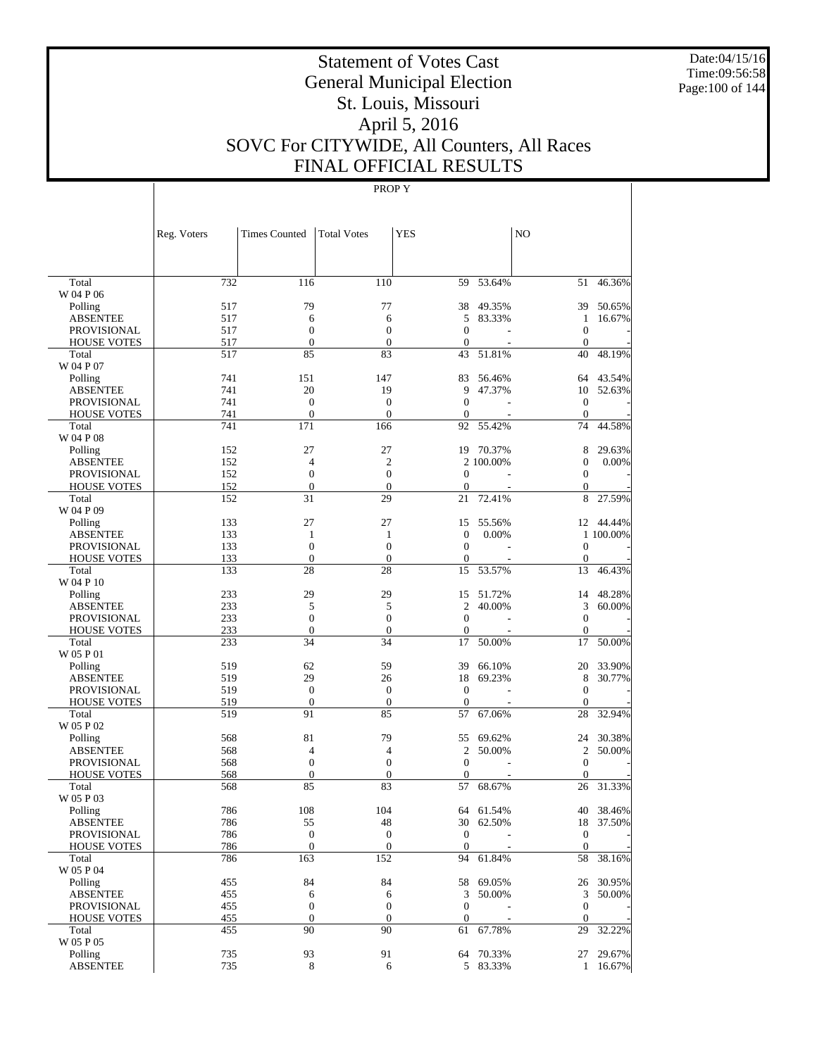Date:04/15/16 Time:09:56:58 Page:100 of 144

# Statement of Votes Cast General Municipal Election St. Louis, Missouri April 5, 2016 SOVC For CITYWIDE, All Counters, All Races FINAL OFFICIAL RESULTS

|                                   | Reg. Voters | <b>Times Counted</b>             | <b>Total Votes</b>           | <b>YES</b>       |                  | N <sub>O</sub>               |                  |
|-----------------------------------|-------------|----------------------------------|------------------------------|------------------|------------------|------------------------------|------------------|
| Total                             | 732         | 116                              | 110                          | 59               | 53.64%           | 51                           | 46.36%           |
| W 04 P 06                         |             |                                  |                              |                  |                  |                              |                  |
| Polling                           | 517         | 79                               | 77                           | 38               | 49.35%           | 39                           | 50.65%           |
| <b>ABSENTEE</b>                   | 517         | 6                                | 6                            | 5                | 83.33%           | 1                            | 16.67%           |
| <b>PROVISIONAL</b>                | 517         | $\boldsymbol{0}$                 | $\boldsymbol{0}$             | $\mathbf{0}$     |                  | $\mathbf{0}$                 |                  |
| <b>HOUSE VOTES</b>                | 517         | $\mathbf{0}$                     | $\boldsymbol{0}$             | $\theta$         |                  | $\mathbf{0}$                 | 48.19%           |
| Total<br>W 04 P 07                | 517         | 85                               | 83                           | 43               | 51.81%           | 40                           |                  |
| Polling                           | 741         | 151                              | 147                          | 83               | 56.46%           | 64                           | 43.54%           |
| <b>ABSENTEE</b>                   | 741         | 20                               | 19                           | 9                | 47.37%           | 10                           | 52.63%           |
| <b>PROVISIONAL</b>                | 741         | $\mathbf{0}$                     | $\boldsymbol{0}$             | $\mathbf{0}$     |                  | $\mathbf{0}$                 |                  |
| <b>HOUSE VOTES</b>                | 741         | $\mathbf{0}$                     | $\mathbf{0}$                 | $\boldsymbol{0}$ |                  | $\mathbf{0}$                 |                  |
| Total                             | 741         | 171                              | 166                          | 92               | 55.42%           | 74                           | 44.58%           |
| W 04 P 08                         |             |                                  |                              |                  |                  |                              |                  |
| Polling                           | 152         | 27                               | 27                           |                  | 19 70.37%        | 8                            | 29.63%           |
| ABSENTEE                          | 152         | $\overline{4}$                   | $\overline{c}$               |                  | 2 100.00%        | $\mathbf{0}$                 | 0.00%            |
| <b>PROVISIONAL</b>                | 152         | $\boldsymbol{0}$                 | $\boldsymbol{0}$             | $\theta$         |                  | $\mathbf{0}$                 |                  |
| <b>HOUSE VOTES</b>                | 152         | $\mathbf{0}$                     | $\mathbf{0}$                 | $\theta$         |                  | $\mathbf{0}$                 |                  |
| Total<br>W 04 P 09                | 152         | 31                               | 29                           | 21               | 72.41%           | 8                            | 27.59%           |
| Polling                           | 133         | 27                               | 27                           | 15               | 55.56%           | 12                           | 44.44%           |
| <b>ABSENTEE</b>                   | 133         | $\mathbf{1}$                     | 1                            | $\mathbf{0}$     | 0.00%            |                              | 1 100.00%        |
| <b>PROVISIONAL</b>                | 133         | $\boldsymbol{0}$                 | $\boldsymbol{0}$             | $\mathbf{0}$     |                  | $\mathbf{0}$                 |                  |
| <b>HOUSE VOTES</b>                | 133         | $\mathbf{0}$                     | $\boldsymbol{0}$             | $\mathbf{0}$     |                  | $\boldsymbol{0}$             |                  |
| Total                             | 133         | 28                               | 28                           | 15               | 53.57%           | 13                           | 46.43%           |
| W 04 P 10                         |             |                                  |                              |                  |                  |                              |                  |
| Polling                           | 233         | 29                               | 29                           | 15               | 51.72%           | 14                           | 48.28%           |
| <b>ABSENTEE</b>                   | 233         | 5                                | 5                            | 2                | 40.00%           | 3                            | 60.00%           |
| <b>PROVISIONAL</b>                | 233         | $\boldsymbol{0}$                 | $\boldsymbol{0}$             | $\mathbf{0}$     |                  | $\mathbf{0}$                 |                  |
| <b>HOUSE VOTES</b>                | 233         | $\mathbf{0}$                     | $\boldsymbol{0}$             | $\theta$         |                  | $\mathbf{0}$                 |                  |
| Total                             | 233         | 34                               | 34                           | 17               | 50.00%           | 17                           | 50.00%           |
| W 05 P 01                         |             |                                  |                              |                  |                  |                              |                  |
| Polling<br><b>ABSENTEE</b>        | 519<br>519  | 62<br>29                         | 59<br>26                     | 39<br>18         | 66.10%<br>69.23% | 20<br>8                      | 33.90%<br>30.77% |
| <b>PROVISIONAL</b>                | 519         | $\boldsymbol{0}$                 | $\boldsymbol{0}$             | $\theta$         |                  | $\mathbf{0}$                 |                  |
| <b>HOUSE VOTES</b>                | 519         | $\boldsymbol{0}$                 | $\boldsymbol{0}$             | $\mathbf{0}$     |                  | $\mathbf{0}$                 |                  |
| Total                             | 519         | 91                               | 85                           | 57               | 67.06%           | 28                           | 32.94%           |
| W 05 P 02                         |             |                                  |                              |                  |                  |                              |                  |
| Polling                           | 568         | 81                               | 79                           | 55               | 69.62%           | 24                           | 30.38%           |
| <b>ABSENTEE</b>                   | 568         | 4                                | 4                            | 2                | 50.00%           | $\mathfrak{2}$               | 50.00%           |
| <b>PROVISIONAL</b>                | 568         | $\boldsymbol{0}$                 | $\boldsymbol{0}$             | $\mathbf{0}$     |                  | $\mathbf{0}$                 |                  |
| <b>HOUSE VOTES</b>                | 568         | $\mathbf{0}$                     | $\boldsymbol{0}$             | $\theta$         |                  | $\mathbf{0}$                 |                  |
| Total                             | 568         | 85                               | 83                           | 57               | 68.67%           | 26                           | 31.33%           |
| W 05 P 03                         |             |                                  |                              |                  |                  |                              |                  |
| $\operatorname{Polling}$          | 786         | 108                              | 104                          |                  | 64 61.54%        |                              | 40 38.46%        |
| <b>ABSENTEE</b>                   | 786         | 55                               | 48                           | $\overline{0}$   | 30 62.50%        |                              | 18 37.50%        |
| PROVISIONAL<br><b>HOUSE VOTES</b> | 786<br>786  | $\boldsymbol{0}$<br>$\mathbf{0}$ | $\mathbf{0}$<br>$\mathbf{0}$ | $\overline{0}$   |                  | $\mathbf{0}$<br>$\mathbf{0}$ |                  |
| Total                             | 786         | 163                              | 152                          | 94               | 61.84%           |                              | 58 38.16%        |
| W 05 P 04                         |             |                                  |                              |                  |                  |                              |                  |
| Polling                           | 455         | 84                               | 84                           |                  | 58 69.05%        |                              | 26 30.95%        |
| <b>ABSENTEE</b>                   | 455         | 6                                | 6                            | 3                | 50.00%           |                              | 3 50.00%         |
| PROVISIONAL                       | 455         | $\boldsymbol{0}$                 | $\boldsymbol{0}$             | $\mathbf{0}$     |                  | $\mathbf{0}$                 |                  |
| <b>HOUSE VOTES</b>                | 455         | $\boldsymbol{0}$                 | $\mathbf{0}$                 | $\boldsymbol{0}$ |                  | $\mathbf{0}$                 |                  |
| Total                             | 455         | 90                               | 90                           | 61               | 67.78%           | 29                           | 32.22%           |
| W 05 P 05                         |             |                                  |                              |                  |                  |                              |                  |
| Polling                           | 735         | 93                               | 91                           | 64               | 70.33%           |                              | 27 29.67%        |
| <b>ABSENTEE</b>                   | 735         | 8                                | 6                            |                  | 5 83.33%         |                              | 1 16.67%         |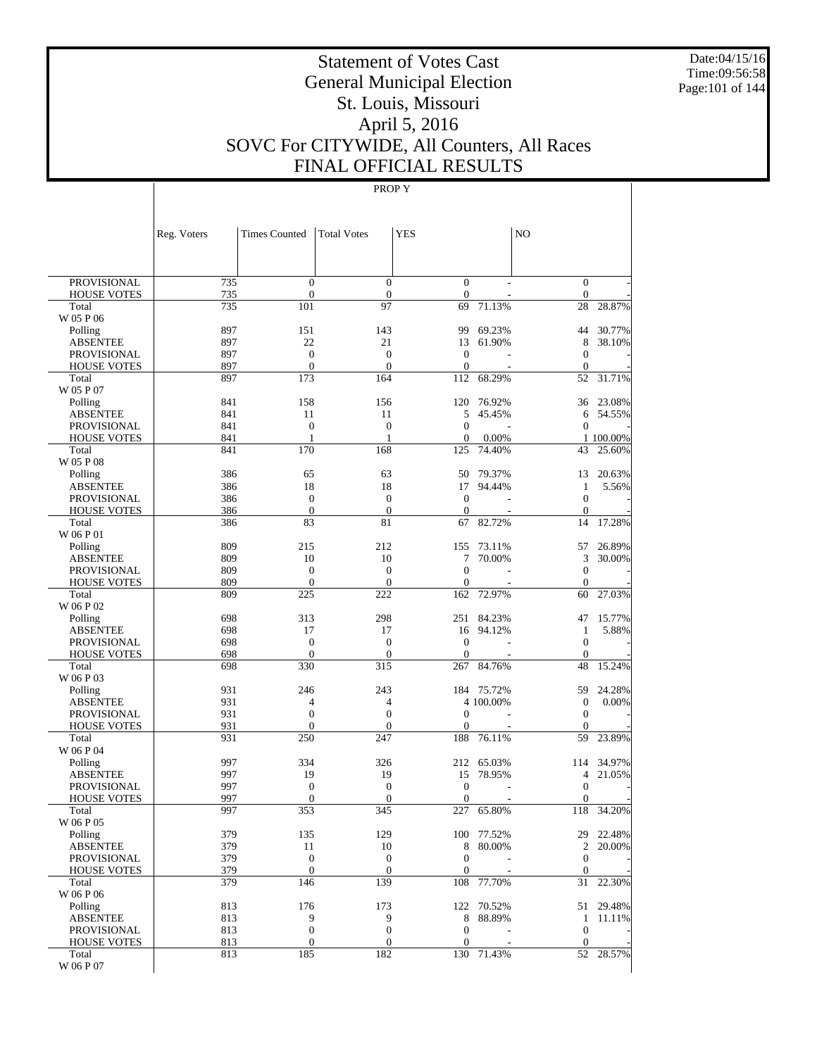Date:04/15/16 Time:09:56:58 Page:101 of 144

# Statement of Votes Cast General Municipal Election St. Louis, Missouri April 5, 2016 SOVC For CITYWIDE, All Counters, All Races FINAL OFFICIAL RESULTS

|                    | Reg. Voters | <b>Times Counted</b> | <b>Total Votes</b>  | <b>YES</b>       |            | N <sub>O</sub>      |           |
|--------------------|-------------|----------------------|---------------------|------------------|------------|---------------------|-----------|
|                    |             |                      |                     |                  |            |                     |           |
| <b>PROVISIONAL</b> | 735         | $\mathbf{0}$         | $\overline{0}$      | $\boldsymbol{0}$ |            | $\mathbf{0}$        |           |
| <b>HOUSE VOTES</b> | 735         | $\boldsymbol{0}$     | $\mathbf{0}$        | $\boldsymbol{0}$ |            | $\mathbf{0}$        |           |
| Total              | 735         | 101                  | 97                  | 69               | 71.13%     | 28                  | 28.87%    |
| W 05 P 06          |             |                      |                     |                  |            |                     |           |
| Polling            | 897         | 151                  | 143                 | 99               | 69.23%     | 44                  | 30.77%    |
| <b>ABSENTEE</b>    | 897         | 22                   | 21                  | 13               | 61.90%     | 8                   | 38.10%    |
| <b>PROVISIONAL</b> | 897         | $\mathbf{0}$         | $\mathbf{0}$        | $\boldsymbol{0}$ |            | $\mathbf{0}$        |           |
| <b>HOUSE VOTES</b> | 897<br>897  | $\mathbf{0}$         | $\theta$            | $\mathbf{0}$     |            | $\boldsymbol{0}$    |           |
| Total<br>W 05 P 07 |             | 173                  | 164                 | 112              | 68.29%     | 52                  | 31.71%    |
| Polling            | 841         | 158                  | 156                 | 120              | 76.92%     | 36                  | 23.08%    |
| <b>ABSENTEE</b>    | 841         | 11                   | 11                  | 5                | 45.45%     | 6                   | 54.55%    |
| PROVISIONAL        | 841         | $\mathbf{0}$         | $\mathbf{0}$        | $\mathbf{0}$     |            | $\boldsymbol{0}$    |           |
| <b>HOUSE VOTES</b> | 841         | 1                    | 1                   | $\mathbf{0}$     | 0.00%      |                     | 1 100.00% |
| Total              | 841         | 170                  | 168                 | 125              | 74.40%     | 43                  | 25.60%    |
| W 05 P 08          |             |                      |                     |                  |            |                     |           |
| Polling            | 386         | 65                   | 63                  | 50               | 79.37%     | 13                  | 20.63%    |
| <b>ABSENTEE</b>    | 386         | 18                   | 18                  | 17               | 94.44%     | $\mathbf{1}$        | 5.56%     |
| <b>PROVISIONAL</b> | 386         | $\mathbf{0}$         | $\mathbf{0}$        | $\boldsymbol{0}$ |            | $\mathbf{0}$        |           |
| <b>HOUSE VOTES</b> | 386         | $\mathbf{0}$         | $\mathbf{0}$        | $\mathbf{0}$     |            | $\boldsymbol{0}$    |           |
| Total              | 386         | 83                   | 81                  | 67               | 82.72%     | 14                  | 17.28%    |
| W 06 P 01          |             |                      |                     |                  |            |                     |           |
| Polling            | 809         | 215                  | 212                 | 155              | 73.11%     | 57                  | 26.89%    |
| <b>ABSENTEE</b>    | 809         | 10                   | 10                  | 7                | 70.00%     | 3                   | 30.00%    |
| PROVISIONAL        | 809         | $\mathbf{0}$         | $\mathbf{0}$        | $\overline{0}$   |            | $\boldsymbol{0}$    |           |
| <b>HOUSE VOTES</b> | 809         | $\boldsymbol{0}$     | $\mathbf{0}$        | $\overline{0}$   |            | $\mathbf{0}$        |           |
| Total<br>W 06 P 02 | 809         | 225                  | 222                 | 162              | 72.97%     | 60                  | 27.03%    |
| Polling            | 698         | 313                  | 298                 | 251              | 84.23%     | 47                  | 15.77%    |
| <b>ABSENTEE</b>    | 698         | 17                   | 17                  | 16               | 94.12%     | $\mathbf{1}$        | 5.88%     |
| <b>PROVISIONAL</b> | 698         | $\mathbf{0}$         | $\mathbf{0}$        | $\boldsymbol{0}$ |            | $\mathbf{0}$        |           |
| <b>HOUSE VOTES</b> | 698         | $\boldsymbol{0}$     | $\mathbf{0}$        | $\overline{0}$   |            | $\boldsymbol{0}$    |           |
| Total              | 698         | 330                  | 315                 | 267              | 84.76%     | 48                  | 15.24%    |
| W 06 P 03          |             |                      |                     |                  |            |                     |           |
| Polling            | 931         | 246                  | 243                 |                  | 184 75.72% | 59                  | 24.28%    |
| <b>ABSENTEE</b>    | 931         | 4                    | $\overline{4}$      |                  | 4 100.00%  | $\boldsymbol{0}$    | 0.00%     |
| PROVISIONAL        | 931         | $\boldsymbol{0}$     | $\boldsymbol{0}$    | $\mathbf{0}$     |            | $\mathbf{0}$        |           |
| <b>HOUSE VOTES</b> | 931         | $\boldsymbol{0}$     | $\boldsymbol{0}$    | $\overline{0}$   |            | $\mathbf{0}$        |           |
| Total              | 931         | 250                  | 247                 | 188              | 76.11%     | 59                  | 23.89%    |
| W 06 P 04          |             |                      |                     |                  |            |                     |           |
| Polling            | 997         | 334                  | 326                 | 212              | 65.03%     | 114                 | 34.97%    |
| <b>ABSENTEE</b>    | 997         | 19                   | 19                  | 15               | 78.95%     | 4                   | 21.05%    |
| PROVISIONAL        | 997         | $\mathbf{0}$         | $\mathbf{0}$        | $\boldsymbol{0}$ |            | $\boldsymbol{0}$    |           |
| <b>HOUSE VOTES</b> | 997<br>997  | $\boldsymbol{0}$     | $\mathbf{0}$<br>345 | $\mathbf{0}$     |            | $\mathbf{0}$<br>118 |           |
| Total<br>W 06 P 05 |             | 353                  |                     | 227              | 65.80%     |                     | 34.20%    |
| Polling            | 379         | 135                  | 129                 |                  | 100 77.52% |                     | 29 22.48% |
| <b>ABSENTEE</b>    | 379         | 11                   | 10                  | 8                | 80.00%     | $\overline{c}$      | 20.00%    |
| PROVISIONAL        | 379         | $\mathbf{0}$         | $\mathbf{0}$        | $\boldsymbol{0}$ |            | $\mathbf{0}$        |           |
| <b>HOUSE VOTES</b> | 379         | $\boldsymbol{0}$     | $\mathbf{0}$        | $\mathbf{0}$     |            | $\mathbf{0}$        |           |
| Total              | 379         | 146                  | 139                 | 108              | 77.70%     | 31                  | 22.30%    |
| W 06 P 06          |             |                      |                     |                  |            |                     |           |
| Polling            | 813         | 176                  | 173                 | 122              | 70.52%     | 51                  | 29.48%    |
| <b>ABSENTEE</b>    | 813         | 9                    | 9                   | 8                | 88.89%     | $\mathbf{1}$        | 11.11%    |
| PROVISIONAL        | 813         | $\boldsymbol{0}$     | $\mathbf{0}$        | $\boldsymbol{0}$ |            | $\mathbf{0}$        |           |
| <b>HOUSE VOTES</b> | 813         | $\boldsymbol{0}$     | $\mathbf{0}$        | $\boldsymbol{0}$ |            | $\mathbf{0}$        |           |
| Total              | 813         | 185                  | 182                 |                  | 130 71.43% | 52                  | 28.57%    |
| W 06 P 07          |             |                      |                     |                  |            |                     |           |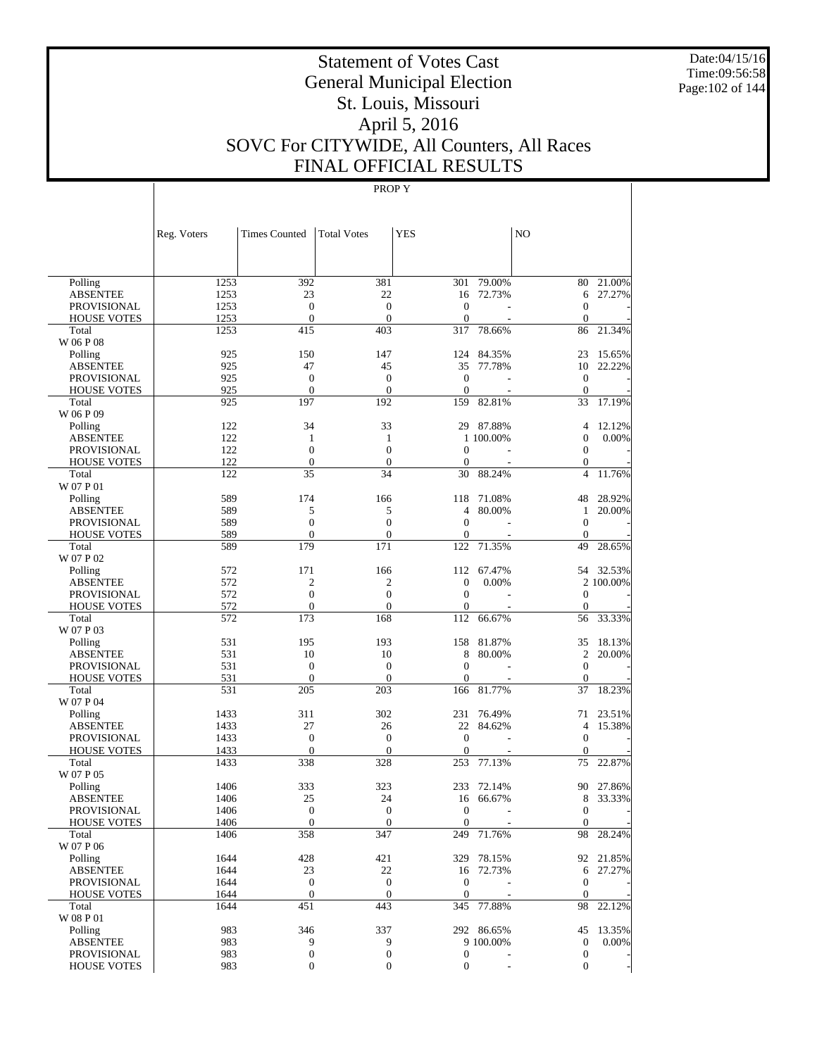Date:04/15/16 Time:09:56:58 Page:102 of 144

# Statement of Votes Cast General Municipal Election St. Louis, Missouri April 5, 2016 SOVC For CITYWIDE, All Counters, All Races FINAL OFFICIAL RESULTS

|                             | Reg. Voters  | <b>Times Counted</b> | <b>Total Votes</b>    | <b>YES</b>          |            | NO                 |           |
|-----------------------------|--------------|----------------------|-----------------------|---------------------|------------|--------------------|-----------|
|                             |              |                      |                       |                     |            |                    |           |
| Polling                     | 1253         | 392                  | 381                   | 301                 | 79.00%     | 80                 | 21.00%    |
| <b>ABSENTEE</b>             | 1253         | 23                   | 22                    | 16                  | 72.73%     | 6                  | 27.27%    |
| <b>PROVISIONAL</b>          | 1253         | $\overline{0}$       | $\overline{0}$        | $\boldsymbol{0}$    |            | $\theta$           |           |
| <b>HOUSE VOTES</b>          | 1253         | $\overline{0}$       | $\overline{0}$        | $\mathbf{0}$        |            | $\mathbf{0}$       |           |
| Total                       | 1253         | 415                  | 403                   | 317                 | 78.66%     | 86                 | 21.34%    |
| W 06 P 08                   | 925          | 150                  | 147                   | 124                 | 84.35%     | 23                 | 15.65%    |
| Polling<br><b>ABSENTEE</b>  | 925          | 47                   | 45                    | 35                  | 77.78%     | 10                 | 22.22%    |
| <b>PROVISIONAL</b>          | 925          | $\overline{0}$       | $\overline{0}$        | $\boldsymbol{0}$    |            | $\mathbf{0}$       |           |
| <b>HOUSE VOTES</b>          | 925          | $\mathbf{0}$         | $\theta$              | $\mathbf{0}$        |            | $\theta$           |           |
| Total                       | 925          | 197                  | 192                   | 159                 | 82.81%     | 33                 | 17.19%    |
| W 06 P 09                   |              |                      |                       |                     |            |                    |           |
| Polling                     | 122          | 34                   | 33                    |                     | 29 87.88%  | $\overline{4}$     | 12.12%    |
| <b>ABSENTEE</b>             | 122          | 1                    | 1                     |                     | 1 100.00%  | $\mathbf{0}$       | 0.00%     |
| <b>PROVISIONAL</b>          | 122          | $\overline{0}$       | $\overline{0}$        | $\mathbf{0}$        |            | $\mathbf{0}$       |           |
| <b>HOUSE VOTES</b>          | 122          | $\overline{0}$       | $\overline{0}$        | $\mathbf{0}$        |            | $\mathbf{0}$       |           |
| Total                       | 122          | 35                   | 34                    | 30                  | 88.24%     | $\overline{4}$     | 11.76%    |
| W 07 P 01                   |              |                      |                       |                     |            |                    |           |
| Polling                     | 589          | 174                  | 166                   | 118                 | 71.08%     | 48                 | 28.92%    |
| <b>ABSENTEE</b>             | 589          | 5                    | 5                     | 4                   | 80.00%     | $\mathbf{1}$       | 20.00%    |
| <b>PROVISIONAL</b>          | 589          | $\overline{0}$       | $\overline{0}$        | $\mathbf{0}$        |            | $\theta$           |           |
| <b>HOUSE VOTES</b>          | 589          | $\mathbf{0}$         | $\overline{0}$        | 0                   |            | $\mathbf{0}$       |           |
| Total<br>W 07 P 02          | 589          | 179                  | 171                   | 122                 | 71.35%     | 49                 | 28.65%    |
| Polling                     | 572          | 171                  | 166                   | 112                 | 67.47%     |                    | 54 32.53% |
| <b>ABSENTEE</b>             | 572          | $\mathfrak{2}$       | $\mathfrak{2}$        | $\mathbf{0}$        | 0.00%      |                    | 2 100.00% |
| <b>PROVISIONAL</b>          | 572          | $\overline{0}$       | $\overline{0}$        | $\mathbf{0}$        |            | $\theta$           |           |
| <b>HOUSE VOTES</b>          | 572          | $\overline{0}$       | $\overline{0}$        | $\mathbf{0}$        |            | $\mathbf{0}$       |           |
| Total                       | 572          | 173                  | 168                   | 112                 | 66.67%     | 56                 | 33.33%    |
| W 07 P 03                   |              |                      |                       |                     |            |                    |           |
| Polling                     | 531          | 195                  | 193                   | 158                 | 81.87%     | 35                 | 18.13%    |
| <b>ABSENTEE</b>             | 531          | 10                   | 10                    | 8                   | 80.00%     | $\overline{c}$     | 20.00%    |
| <b>PROVISIONAL</b>          | 531          | $\mathbf{0}$         | $\overline{0}$        | $\mathbf{0}$        |            | $\theta$           |           |
| <b>HOUSE VOTES</b>          | 531          | $\mathbf{0}$         | $\overline{0}$        | $\mathbf{0}$        |            | $\mathbf{0}$       |           |
| Total                       | 531          | 205                  | 203                   | 166                 | 81.77%     | 37                 | 18.23%    |
| W 07 P 04                   |              |                      |                       |                     |            |                    |           |
| Polling                     | 1433         | 311                  | 302                   | 231                 | 76.49%     | 71                 | 23.51%    |
| <b>ABSENTEE</b>             | 1433         | 27                   | 26                    | 22                  | 84.62%     | $\overline{4}$     | 15.38%    |
| <b>PROVISIONAL</b>          | 1433         | $\mathbf{0}$         | $\overline{0}$        | $\mathbf{0}$        |            | $\mathbf{0}$       |           |
| <b>HOUSE VOTES</b><br>Total | 1433<br>1433 | $\mathbf{0}$<br>338  | $\overline{0}$<br>328 | $\mathbf{0}$<br>253 | 77.13%     | $\mathbf{0}$<br>75 | 22.87%    |
| W 07 P 05                   |              |                      |                       |                     |            |                    |           |
| Polling                     | 1406         | 333                  | 323                   | 233                 | 72.14%     | 90                 | 27.86%    |
| <b>ABSENTEE</b>             | 1406         | 25                   | 24                    | 16                  | 66.67%     | 8                  | 33.33%    |
| PROVISIONAL                 | 1406         | $\overline{0}$       | $\overline{0}$        | $\theta$            |            | $\mathbf{0}$       |           |
| <b>HOUSE VOTES</b>          | 1406         | $\mathbf{0}$         | $\mathbf{0}$          | $\mathbf{0}$        |            | $\mathbf{0}$       |           |
| Total                       | 1406         | 358                  | 347                   | 249                 | 71.76%     | 98                 | 28.24%    |
| W 07 P 06                   |              |                      |                       |                     |            |                    |           |
| Polling                     | 1644         | 428                  | 421                   |                     | 329 78.15% |                    | 92 21.85% |
| <b>ABSENTEE</b>             | 1644         | 23                   | 22                    |                     | 16 72.73%  | 6                  | 27.27%    |
| <b>PROVISIONAL</b>          | 1644         | $\mathbf{0}$         | $\boldsymbol{0}$      | $\mathbf{0}$        |            | $\mathbf{0}$       |           |
| <b>HOUSE VOTES</b>          | 1644         | $\mathbf{0}$         | $\boldsymbol{0}$      | $\mathbf{0}$        |            | $\mathbf{0}$       |           |
| Total                       | 1644         | 451                  | 443                   | 345                 | 77.88%     | 98                 | 22.12%    |
| W 08 P 01                   |              |                      |                       |                     |            |                    |           |
| Polling                     | 983          | 346                  | 337                   |                     | 292 86.65% | 45                 | 13.35%    |
| <b>ABSENTEE</b>             | 983          | 9                    | 9                     |                     | 9 100.00%  | $\mathbf{0}$       | $0.00\%$  |
| <b>PROVISIONAL</b>          | 983          | $\boldsymbol{0}$     | $\boldsymbol{0}$      | $\boldsymbol{0}$    |            | $\mathbf{0}$       |           |
| <b>HOUSE VOTES</b>          | 983          | 0                    | $\boldsymbol{0}$      | $\boldsymbol{0}$    |            | $\boldsymbol{0}$   |           |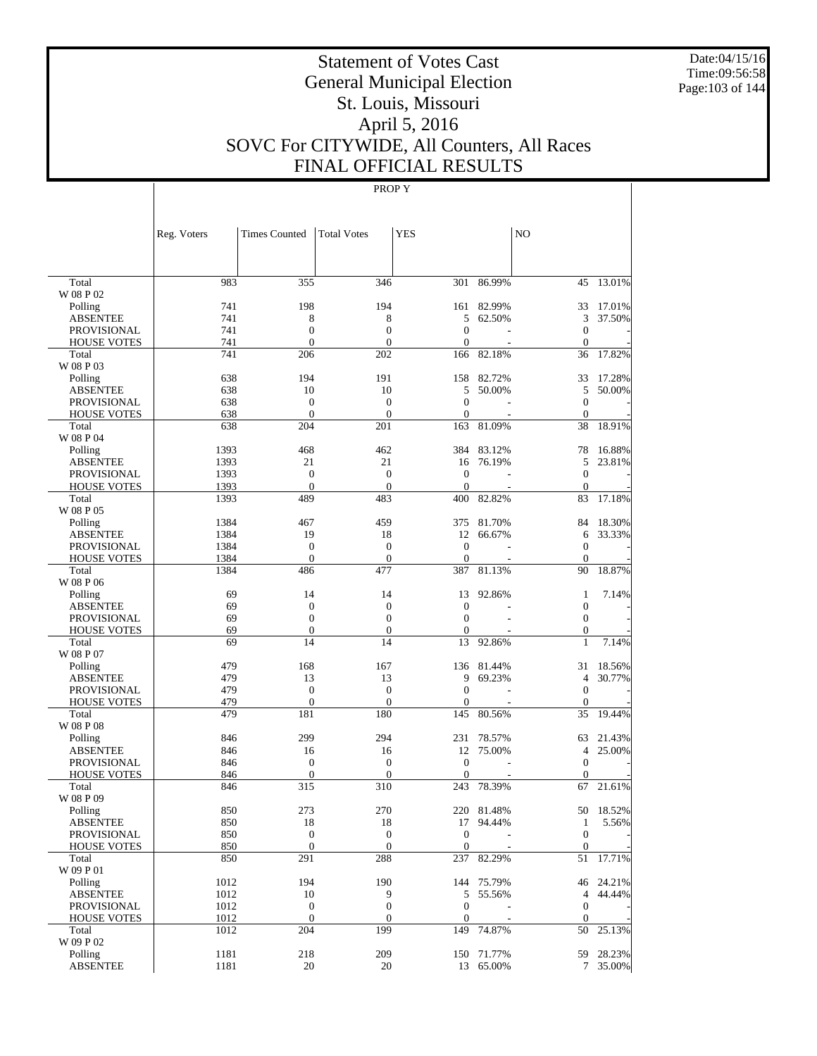Date:04/15/16 Time:09:56:58 Page:103 of 144

# Statement of Votes Cast General Municipal Election St. Louis, Missouri April 5, 2016 SOVC For CITYWIDE, All Counters, All Races FINAL OFFICIAL RESULTS

|                             | Reg. Voters  | <b>Times Counted</b>             | <b>Total Votes</b>           | <b>YES</b>                   |            | N <sub>O</sub>               |           |
|-----------------------------|--------------|----------------------------------|------------------------------|------------------------------|------------|------------------------------|-----------|
|                             |              |                                  |                              |                              |            |                              |           |
| Total                       | 983          | 355                              | 346                          | 301                          | 86.99%     | 45                           | 13.01%    |
| W 08 P 02                   |              |                                  |                              |                              |            |                              |           |
| Polling                     | 741          | 198                              | 194                          | 161                          | 82.99%     | 33                           | 17.01%    |
| <b>ABSENTEE</b>             | 741          | 8                                | 8                            | 5                            | 62.50%     | 3                            | 37.50%    |
| <b>PROVISIONAL</b>          | 741<br>741   | $\boldsymbol{0}$<br>$\mathbf{0}$ | $\boldsymbol{0}$<br>$\theta$ | $\mathbf{0}$<br>$\mathbf{0}$ |            | $\mathbf{0}$<br>$\mathbf{0}$ |           |
| <b>HOUSE VOTES</b><br>Total | 741          | 206                              | 202                          | 166                          | 82.18%     | 36                           | 17.82%    |
| W 08 P 03                   |              |                                  |                              |                              |            |                              |           |
| Polling                     | 638          | 194                              | 191                          | 158                          | 82.72%     | 33                           | 17.28%    |
| <b>ABSENTEE</b>             | 638          | 10                               | 10                           | 5                            | 50.00%     | 5                            | 50.00%    |
| <b>PROVISIONAL</b>          | 638          | $\boldsymbol{0}$                 | $\boldsymbol{0}$             | $\mathbf{0}$                 |            | $\mathbf{0}$                 |           |
| <b>HOUSE VOTES</b>          | 638          | $\mathbf{0}$                     | $\boldsymbol{0}$             | $\mathbf{0}$                 |            | $\mathbf{0}$                 |           |
| Total                       | 638          | 204                              | 201                          | 163                          | 81.09%     | 38                           | 18.91%    |
| W 08 P 04                   |              |                                  |                              |                              |            |                              |           |
| Polling                     | 1393         | 468                              | 462                          | 384                          | 83.12%     | 78                           | 16.88%    |
| <b>ABSENTEE</b>             | 1393         | 21                               | 21                           | 16                           | 76.19%     | 5                            | 23.81%    |
| <b>PROVISIONAL</b>          | 1393         | $\boldsymbol{0}$                 | $\boldsymbol{0}$             | $\mathbf{0}$                 |            | $\mathbf{0}$                 |           |
| <b>HOUSE VOTES</b>          | 1393         | $\mathbf{0}$                     | $\theta$                     | $\theta$                     |            | $\mathbf{0}$                 |           |
| Total                       | 1393         | 489                              | 483                          | 400                          | 82.82%     | 83                           | 17.18%    |
| W 08 P 05                   |              |                                  |                              |                              |            |                              |           |
| Polling                     | 1384         | 467                              | 459                          | 375                          | 81.70%     | 84                           | 18.30%    |
| <b>ABSENTEE</b>             | 1384         | 19                               | 18                           | 12                           | 66.67%     | 6                            | 33.33%    |
| <b>PROVISIONAL</b>          | 1384         | $\boldsymbol{0}$<br>$\mathbf{0}$ | $\boldsymbol{0}$             | $\theta$<br>$\mathbf{0}$     |            | $\mathbf{0}$<br>$\mathbf{0}$ |           |
| <b>HOUSE VOTES</b><br>Total | 1384<br>1384 | 486                              | $\boldsymbol{0}$<br>477      | 387                          | 81.13%     | 90                           | 18.87%    |
| W 08 P 06                   |              |                                  |                              |                              |            |                              |           |
| Polling                     | 69           | 14                               | 14                           | 13                           | 92.86%     | 1                            | 7.14%     |
| <b>ABSENTEE</b>             | 69           | $\boldsymbol{0}$                 | $\boldsymbol{0}$             | $\mathbf{0}$                 |            | $\boldsymbol{0}$             |           |
| <b>PROVISIONAL</b>          | 69           | $\boldsymbol{0}$                 | $\boldsymbol{0}$             | $\mathbf{0}$                 |            | $\mathbf{0}$                 |           |
| <b>HOUSE VOTES</b>          | 69           | $\mathbf{0}$                     | $\boldsymbol{0}$             | $\mathbf{0}$                 |            | $\mathbf{0}$                 |           |
| Total                       | 69           | 14                               | 14                           | 13                           | 92.86%     | 1                            | 7.14%     |
| W 08 P 07                   |              |                                  |                              |                              |            |                              |           |
| Polling                     | 479          | 168                              | 167                          | 136                          | 81.44%     | 31                           | 18.56%    |
| ABSENTEE                    | 479          | 13                               | 13                           | 9                            | 69.23%     | $\overline{4}$               | 30.77%    |
| <b>PROVISIONAL</b>          | 479          | $\mathbf{0}$                     | $\boldsymbol{0}$             | $\mathbf{0}$                 |            | $\mathbf{0}$                 |           |
| <b>HOUSE VOTES</b>          | 479          | $\boldsymbol{0}$                 | $\theta$                     | $\boldsymbol{0}$             |            | $\mathbf{0}$                 |           |
| Total                       | 479          | 181                              | 180                          | 145                          | 80.56%     | 35                           | 19.44%    |
| W 08 P 08                   |              |                                  |                              |                              |            |                              |           |
| Polling                     | 846          | 299                              | 294                          | 231                          | 78.57%     | 63                           | 21.43%    |
| <b>ABSENTEE</b>             | 846          | 16                               | 16                           | 12                           | 75.00%     | $\overline{4}$               | 25.00%    |
| PROVISIONAL                 | 846          | $\boldsymbol{0}$<br>$\mathbf{0}$ | $\boldsymbol{0}$<br>$\theta$ | $\mathbf{0}$                 |            | $\mathbf{0}$                 |           |
| <b>HOUSE VOTES</b><br>Total | 846<br>846   | 315                              | 310                          | $\mathbf{0}$<br>243          | 78.39%     | $\mathbf{0}$<br>67           | 21.61%    |
| W 08 P 09                   |              |                                  |                              |                              |            |                              |           |
| Polling                     | 850          | 273                              | 270                          |                              | 220 81.48% |                              | 50 18.52% |
| ABSENTEE                    | 850          | 18                               | 18                           |                              | 17 94.44%  | $\mathbf{1}$                 | 5.56%     |
| PROVISIONAL                 | 850          | $\boldsymbol{0}$                 | $\mathbf{0}$                 | $\boldsymbol{0}$             |            | $\mathbf{0}$                 |           |
| <b>HOUSE VOTES</b>          | 850          | $\mathbf{0}$                     | $\mathbf{0}$                 | $\boldsymbol{0}$             |            | $\mathbf{0}$                 |           |
| Total                       | 850          | 291                              | 288                          | 237                          | 82.29%     | 51                           | 17.71%    |
| W 09 P 01                   |              |                                  |                              |                              |            |                              |           |
| Polling                     | 1012         | 194                              | 190                          |                              | 144 75.79% |                              | 46 24.21% |
| <b>ABSENTEE</b>             | 1012         | 10                               | 9                            | 5                            | 55.56%     |                              | 4 44.44%  |
| PROVISIONAL                 | 1012         | $\boldsymbol{0}$                 | $\boldsymbol{0}$             | $\boldsymbol{0}$             |            | $\boldsymbol{0}$             |           |
| <b>HOUSE VOTES</b>          | 1012         | $\mathbf{0}$                     | $\mathbf{0}$                 | $\boldsymbol{0}$             |            | $\mathbf{0}$                 |           |
| Total                       | 1012         | 204                              | 199                          |                              | 149 74.87% | 50                           | 25.13%    |
| W 09 P 02                   |              |                                  |                              |                              |            |                              |           |
| Polling                     | 1181         | 218                              | 209                          |                              | 150 71.77% |                              | 59 28.23% |
| <b>ABSENTEE</b>             | 1181         | 20                               | 20                           |                              | 13 65.00%  |                              | 7 35.00%  |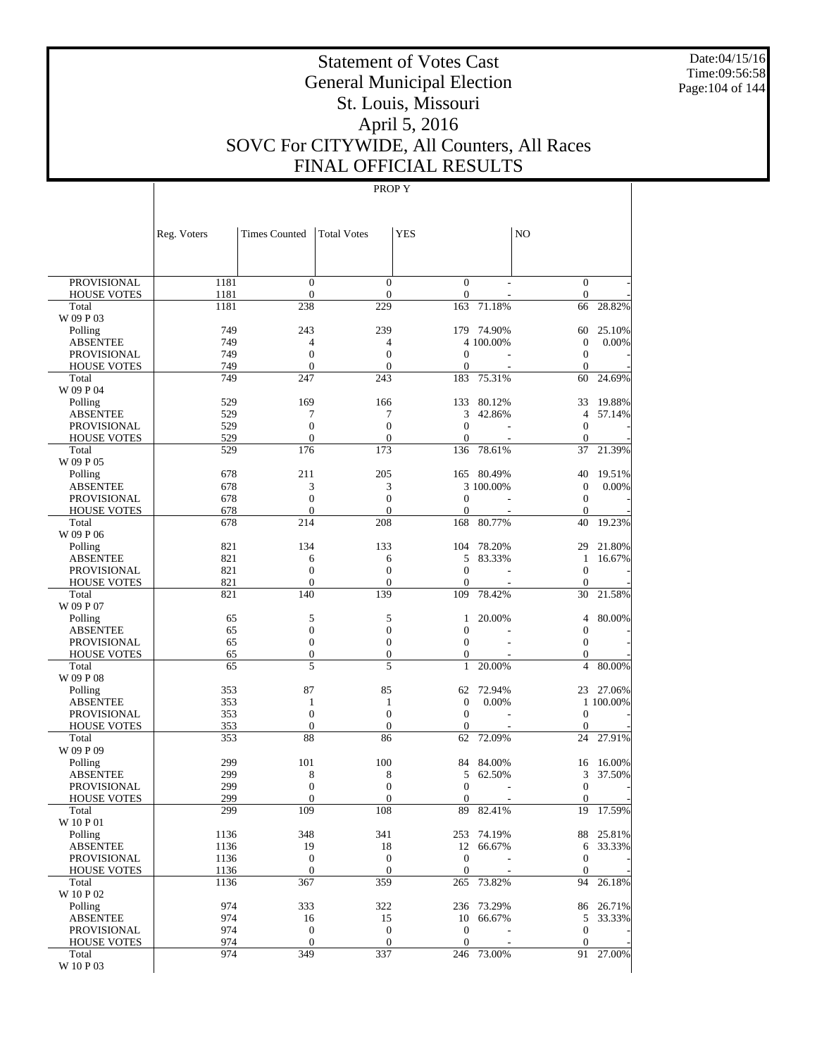Date:04/15/16 Time:09:56:58 Page:104 of 144

# Statement of Votes Cast General Municipal Election St. Louis, Missouri April 5, 2016 SOVC For CITYWIDE, All Counters, All Races FINAL OFFICIAL RESULTS

|                             | Reg. Voters  | <b>Times Counted</b>             | <b>Total Votes</b>                 | <b>YES</b>              |                      | N <sub>O</sub>       |                  |
|-----------------------------|--------------|----------------------------------|------------------------------------|-------------------------|----------------------|----------------------|------------------|
|                             |              |                                  |                                    |                         |                      |                      |                  |
| <b>PROVISIONAL</b>          | 1181         | $\boldsymbol{0}$                 | $\boldsymbol{0}$                   | $\boldsymbol{0}$        |                      | $\bar{0}$            |                  |
| <b>HOUSE VOTES</b><br>Total | 1181<br>1181 | $\mathbf{0}$<br>238              | $\overline{0}$<br>229              | $\boldsymbol{0}$<br>163 | 71.18%               | $\mathbf{0}$<br>66   | 28.82%           |
| W 09 P 03                   |              |                                  |                                    |                         |                      |                      |                  |
| Polling                     | 749          | 243                              | 239                                |                         | 179 74.90%           | 60                   | 25.10%           |
| <b>ABSENTEE</b>             | 749          | 4                                | 4                                  |                         | 4 100.00%            | $\boldsymbol{0}$     | 0.00%            |
| <b>PROVISIONAL</b>          | 749          | $\boldsymbol{0}$                 | $\boldsymbol{0}$                   | $\mathbf{0}$            |                      | $\boldsymbol{0}$     |                  |
| <b>HOUSE VOTES</b>          | 749          | $\mathbf{0}$                     | $\overline{0}$                     | 0                       |                      | $\mathbf{0}$         |                  |
| Total                       | 749          | 247                              | 243                                | 183                     | 75.31%               | 60                   | 24.69%           |
| W 09 P 04                   |              |                                  |                                    |                         | 80.12%               |                      |                  |
| Polling<br><b>ABSENTEE</b>  | 529<br>529   | 169<br>7                         | 166<br>7                           | 133<br>3                | 42.86%               | 33<br>$\overline{4}$ | 19.88%<br>57.14% |
| <b>PROVISIONAL</b>          | 529          | $\boldsymbol{0}$                 | $\boldsymbol{0}$                   | $\boldsymbol{0}$        |                      | $\boldsymbol{0}$     |                  |
| <b>HOUSE VOTES</b>          | 529          | $\mathbf{0}$                     | $\boldsymbol{0}$                   | $\overline{0}$          |                      | $\mathbf{0}$         |                  |
| Total                       | 529          | 176                              | 173                                | 136                     | 78.61%               | 37                   | 21.39%           |
| W 09 P 05                   |              |                                  |                                    |                         |                      |                      |                  |
| Polling                     | 678          | 211                              | 205                                | 165                     | 80.49%               | 40                   | 19.51%           |
| <b>ABSENTEE</b>             | 678          | 3                                | 3                                  |                         | 3 100.00%            | $\boldsymbol{0}$     | 0.00%            |
| <b>PROVISIONAL</b>          | 678          | $\boldsymbol{0}$<br>$\mathbf{0}$ | $\boldsymbol{0}$<br>$\overline{0}$ | $\mathbf{0}$            |                      | $\boldsymbol{0}$     |                  |
| <b>HOUSE VOTES</b><br>Total | 678<br>678   | 214                              | 208                                | 0<br>168                | 80.77%               | $\mathbf{0}$<br>40   | 19.23%           |
| W 09 P 06                   |              |                                  |                                    |                         |                      |                      |                  |
| Polling                     | 821          | 134                              | 133                                | 104                     | 78.20%               | 29                   | 21.80%           |
| <b>ABSENTEE</b>             | 821          | 6                                | 6                                  | 5                       | 83.33%               | 1                    | 16.67%           |
| <b>PROVISIONAL</b>          | 821          | $\boldsymbol{0}$                 | $\boldsymbol{0}$                   | $\boldsymbol{0}$        |                      | $\boldsymbol{0}$     |                  |
| <b>HOUSE VOTES</b>          | 821          | $\mathbf{0}$                     | $\overline{0}$                     | $\overline{0}$          |                      | $\mathbf{0}$         |                  |
| Total                       | 821          | 140                              | 139                                | 109                     | 78.42%               | 30                   | 21.58%           |
| W 09 P 07                   |              |                                  |                                    |                         |                      |                      |                  |
| Polling<br><b>ABSENTEE</b>  | 65<br>65     | 5<br>$\boldsymbol{0}$            | 5<br>$\boldsymbol{0}$              | 1<br>$\overline{0}$     | 20.00%               | 4<br>$\mathbf 0$     | 80.00%           |
| <b>PROVISIONAL</b>          | 65           | $\boldsymbol{0}$                 | $\boldsymbol{0}$                   | $\boldsymbol{0}$        |                      | $\boldsymbol{0}$     |                  |
| <b>HOUSE VOTES</b>          | 65           | $\boldsymbol{0}$                 | $\boldsymbol{0}$                   | $\boldsymbol{0}$        |                      | $\boldsymbol{0}$     |                  |
| Total                       | 65           | 5                                | 5                                  | $\mathbf{1}$            | 20.00%               | $\overline{4}$       | 80.00%           |
| W 09 P 08                   |              |                                  |                                    |                         |                      |                      |                  |
| Polling                     | 353          | 87                               | 85                                 | 62                      | 72.94%               |                      | 23 27.06%        |
| <b>ABSENTEE</b>             | 353          | $\mathbf{1}$                     | 1                                  | $\boldsymbol{0}$        | 0.00%                |                      | 1 100.00%        |
| <b>PROVISIONAL</b>          | 353          | $\mathbf{0}$                     | $\boldsymbol{0}$                   | $\boldsymbol{0}$        |                      | $\boldsymbol{0}$     |                  |
| <b>HOUSE VOTES</b><br>Total | 353<br>353   | $\boldsymbol{0}$<br>88           | $\boldsymbol{0}$<br>86             | $\mathbf{0}$<br>62      | 72.09%               | $\mathbf{0}$<br>24   | 27.91%           |
| W 09 P 09                   |              |                                  |                                    |                         |                      |                      |                  |
| Polling                     | 299          | 101                              | 100                                | 84                      | 84.00%               | 16                   | 16.00%           |
| <b>ABSENTEE</b>             | 299          | 8                                | 8                                  | 5                       | 62.50%               | 3                    | 37.50%           |
| PROVISIONAL                 | 299          | $\boldsymbol{0}$                 | $\boldsymbol{0}$                   | $\mathbf{0}$            |                      | $\boldsymbol{0}$     |                  |
| <b>HOUSE VOTES</b>          | 299          | $\mathbf{0}$                     | $\boldsymbol{0}$                   | $\boldsymbol{0}$        |                      | $\boldsymbol{0}$     |                  |
| Total                       | 299          | 109                              | 108                                | 89                      | 82.41%               | 19                   | 17.59%           |
| W 10 P 01                   |              |                                  |                                    |                         |                      |                      | 88 25.81%        |
| Polling<br><b>ABSENTEE</b>  | 1136<br>1136 | 348<br>19                        | 341<br>18                          | 12                      | 253 74.19%<br>66.67% | 6                    | 33.33%           |
| PROVISIONAL                 | 1136         | $\boldsymbol{0}$                 | $\boldsymbol{0}$                   | $\boldsymbol{0}$        |                      | $\mathbf{0}$         |                  |
| <b>HOUSE VOTES</b>          | 1136         | $\boldsymbol{0}$                 | $\boldsymbol{0}$                   | $\boldsymbol{0}$        |                      | $\mathbf{0}$         |                  |
| Total                       | 1136         | 367                              | 359                                | 265                     | 73.82%               | 94                   | 26.18%           |
| W 10 P 02                   |              |                                  |                                    |                         |                      |                      |                  |
| Polling                     | 974          | 333                              | 322                                |                         | 236 73.29%           |                      | 86 26.71%        |
| <b>ABSENTEE</b>             | 974          | 16                               | 15                                 | 10                      | 66.67%               | 5                    | 33.33%           |
| PROVISIONAL                 | 974          | $\boldsymbol{0}$                 | $\boldsymbol{0}$                   | $\boldsymbol{0}$        |                      | $\boldsymbol{0}$     |                  |
| <b>HOUSE VOTES</b><br>Total | 974<br>974   | $\boldsymbol{0}$<br>349          | $\boldsymbol{0}$<br>337            | $\mathbf{0}$            | 246 73.00%           | $\mathbf{0}$         | 91 27.00%        |
| W 10 P 03                   |              |                                  |                                    |                         |                      |                      |                  |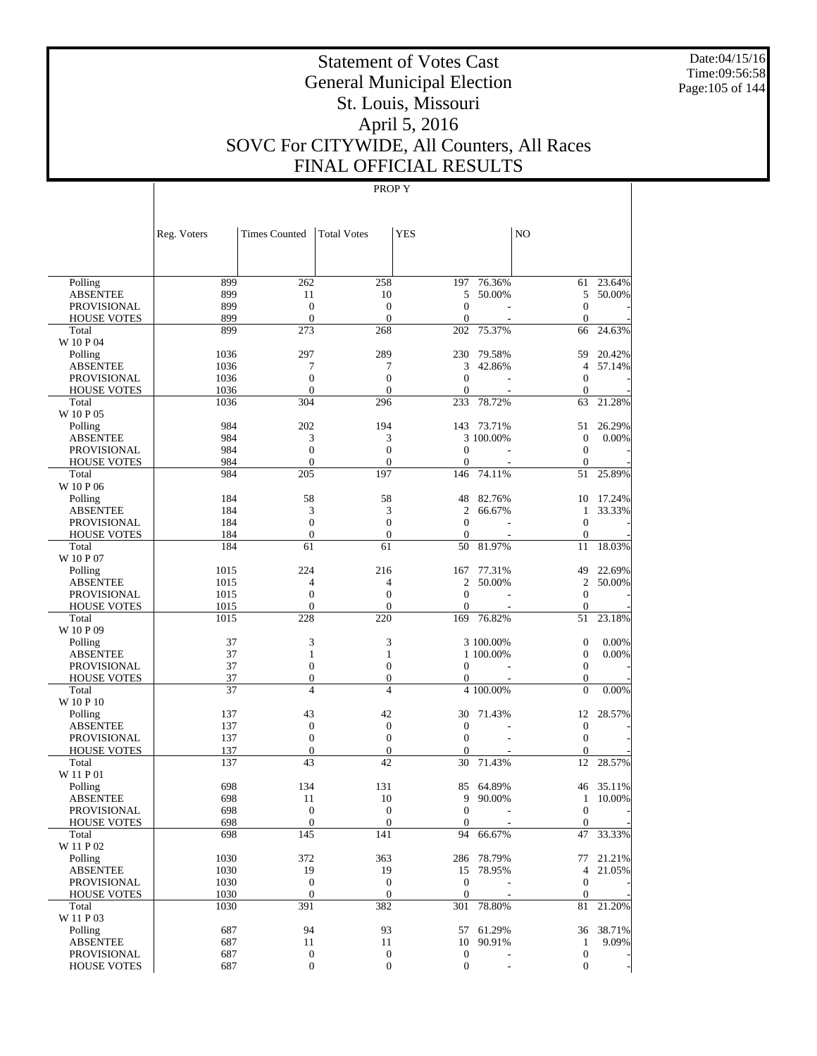Date:04/15/16 Time:09:56:58 Page:105 of 144

# Statement of Votes Cast General Municipal Election St. Louis, Missouri April 5, 2016 SOVC For CITYWIDE, All Counters, All Races FINAL OFFICIAL RESULTS

|                                       | Reg. Voters  | <b>Times Counted</b>             | <b>Total Votes</b>                 | <b>YES</b>         |            | N <sub>O</sub>                   |                  |
|---------------------------------------|--------------|----------------------------------|------------------------------------|--------------------|------------|----------------------------------|------------------|
|                                       |              |                                  |                                    |                    |            |                                  |                  |
| Polling                               | 899          | 262                              | 258                                | 197                | 76.36%     | 61                               | 23.64%           |
| <b>ABSENTEE</b>                       | 899          | 11                               | 10                                 | 5                  | 50.00%     | 5                                | 50.00%           |
| <b>PROVISIONAL</b>                    | 899          | $\mathbf{0}$                     | $\overline{0}$                     | $\mathbf{0}$       |            | $\overline{0}$                   |                  |
| <b>HOUSE VOTES</b>                    | 899          | $\mathbf{0}$                     | $\mathbf{0}$                       | $\boldsymbol{0}$   |            | $\theta$                         |                  |
| Total                                 | 899          | 273                              | 268                                | 202                | 75.37%     | 66                               | 24.63%           |
| W 10 P 04                             |              |                                  |                                    |                    |            |                                  |                  |
| Polling                               | 1036         | 297                              | 289                                | 230<br>3           | 79.58%     | 59                               | 20.42%<br>57.14% |
| <b>ABSENTEE</b><br><b>PROVISIONAL</b> | 1036<br>1036 | 7<br>$\mathbf{0}$                | 7<br>$\overline{0}$                | $\overline{0}$     | 42.86%     | $\overline{4}$<br>$\overline{0}$ |                  |
| <b>HOUSE VOTES</b>                    | 1036         | $\mathbf{0}$                     | $\mathbf{0}$                       | $\boldsymbol{0}$   |            | $\mathbf{0}$                     |                  |
| Total                                 | 1036         | 304                              | 296                                | 233                | 78.72%     | 63                               | 21.28%           |
| W 10 P 05                             |              |                                  |                                    |                    |            |                                  |                  |
| Polling                               | 984          | 202                              | 194                                |                    | 143 73.71% | 51                               | 26.29%           |
| <b>ABSENTEE</b>                       | 984          | 3                                | 3                                  |                    | 3 100.00%  | $\mathbf{0}$                     | 0.00%            |
| <b>PROVISIONAL</b>                    | 984          | $\mathbf{0}$                     | $\overline{0}$                     | $\mathbf{0}$       |            | $\theta$                         |                  |
| <b>HOUSE VOTES</b>                    | 984          | $\mathbf{0}$                     | $\overline{0}$                     | $\boldsymbol{0}$   |            | $\theta$                         |                  |
| Total                                 | 984          | 205                              | 197                                | 146                | 74.11%     | 51                               | 25.89%           |
| W 10 P 06                             |              |                                  |                                    |                    |            |                                  |                  |
| Polling                               | 184          | 58                               | 58                                 | 48                 | 82.76%     | 10                               | 17.24%           |
| <b>ABSENTEE</b>                       | 184          | 3                                | 3                                  | $\overline{c}$     | 66.67%     | 1                                | 33.33%           |
| <b>PROVISIONAL</b>                    | 184          | $\mathbf{0}$                     | $\overline{0}$                     | $\mathbf{0}$       |            | $\theta$                         |                  |
| <b>HOUSE VOTES</b>                    | 184          | $\mathbf{0}$                     | $\boldsymbol{0}$                   | $\mathbf{0}$       |            | $\mathbf{0}$                     |                  |
| Total<br>W 10 P 07                    | 184          | 61                               | 61                                 | 50                 | 81.97%     | 11                               | 18.03%           |
| Polling                               | 1015         | 224                              | 216                                | 167                | 77.31%     | 49                               | 22.69%           |
| <b>ABSENTEE</b>                       | 1015         | 4                                | 4                                  | $\overline{c}$     | 50.00%     | $\overline{c}$                   | 50.00%           |
| <b>PROVISIONAL</b>                    | 1015         | $\mathbf{0}$                     | $\overline{0}$                     | $\mathbf{0}$       |            | $\theta$                         |                  |
| <b>HOUSE VOTES</b>                    | 1015         | $\mathbf{0}$                     | $\overline{0}$                     | $\boldsymbol{0}$   |            | $\mathbf{0}$                     |                  |
| Total                                 | 1015         | 228                              | 220                                | 169                | 76.82%     | 51                               | 23.18%           |
| W 10 P 09                             |              |                                  |                                    |                    |            |                                  |                  |
| Polling                               | 37           | 3                                | 3                                  |                    | 3 100.00%  | $\mathbf{0}$                     | 0.00%            |
| <b>ABSENTEE</b>                       | 37           | $\mathbf{1}$                     | $\mathbf{1}$                       |                    | 1 100.00%  | $\mathbf{0}$                     | 0.00%            |
| <b>PROVISIONAL</b>                    | 37           | $\mathbf{0}$                     | $\overline{0}$                     | $\overline{0}$     | L,         | $\mathbf{0}$                     |                  |
| <b>HOUSE VOTES</b>                    | 37           | $\overline{0}$                   | $\overline{0}$                     | $\boldsymbol{0}$   |            | $\mathbf{0}$                     |                  |
| Total                                 | 37           | $\overline{\mathbf{4}}$          | $\overline{4}$                     |                    | 4 100.00%  | $\Omega$                         | 0.00%            |
| W 10 P 10                             |              |                                  |                                    |                    |            |                                  |                  |
| Polling                               | 137          | 43                               | 42                                 | 30<br>$\mathbf{0}$ | 71.43%     | 12                               | 28.57%           |
| <b>ABSENTEE</b><br><b>PROVISIONAL</b> | 137<br>137   | $\boldsymbol{0}$<br>$\mathbf{0}$ | $\boldsymbol{0}$<br>$\overline{0}$ | $\Omega$           |            | $\mathbf{0}$<br>$\overline{0}$   |                  |
| <b>HOUSE VOTES</b>                    | 137          | $\mathbf{0}$                     | $\boldsymbol{0}$                   | $\boldsymbol{0}$   |            | $\Omega$                         |                  |
| Total                                 | 137          | 43                               | 42                                 | 30                 | 71.43%     | 12                               | 28.57%           |
| W 11 P 01                             |              |                                  |                                    |                    |            |                                  |                  |
| Polling                               | 698          | 134                              | 131                                | 85                 | 64.89%     | 46                               | 35.11%           |
| <b>ABSENTEE</b>                       | 698          | 11                               | 10                                 | 9                  | 90.00%     | $\mathbf{1}$                     | 10.00%           |
| <b>PROVISIONAL</b>                    | 698          | $\theta$                         | $\overline{0}$                     | $\overline{0}$     |            | $\mathbf{0}$                     |                  |
| <b>HOUSE VOTES</b>                    | 698          | $\boldsymbol{0}$                 | $\boldsymbol{0}$                   | $\mathbf{0}$       |            | $\mathbf{0}$                     |                  |
| Total                                 | 698          | $\overline{145}$                 | 141                                | 94                 | 66.67%     |                                  | 47 33.33%        |
| W 11 P 02                             |              |                                  |                                    |                    |            |                                  |                  |
| Polling                               | 1030         | 372                              | 363                                |                    | 286 78.79% |                                  | 77 21.21%        |
| <b>ABSENTEE</b>                       | 1030         | 19                               | 19                                 |                    | 15 78.95%  | 4                                | 21.05%           |
| PROVISIONAL                           | 1030         | $\mathbf{0}$                     | $\boldsymbol{0}$                   | $\mathbf{0}$       |            | $\theta$                         |                  |
| <b>HOUSE VOTES</b>                    | 1030         | $\mathbf{0}$                     | $\boldsymbol{0}$                   | $\mathbf{0}$       |            | $\mathbf{0}$                     |                  |
| Total                                 | 1030         | 391                              | 382                                | 301                | 78.80%     |                                  | 81 21.20%        |
| W 11 P 03                             |              |                                  |                                    |                    |            |                                  |                  |
| Polling                               | 687          | 94                               | 93                                 |                    | 57 61.29%  |                                  | 36 38.71%        |
| <b>ABSENTEE</b>                       | 687          | 11                               | 11                                 |                    | 10 90.91%  | $\mathbf{1}$                     | 9.09%            |
| PROVISIONAL                           | 687          | $\boldsymbol{0}$                 | $\boldsymbol{0}$                   | $\boldsymbol{0}$   |            | $\mathbf{0}$                     |                  |
| <b>HOUSE VOTES</b>                    | 687          | $\boldsymbol{0}$                 | $\boldsymbol{0}$                   | $\mathbf{0}$       |            | $\overline{0}$                   |                  |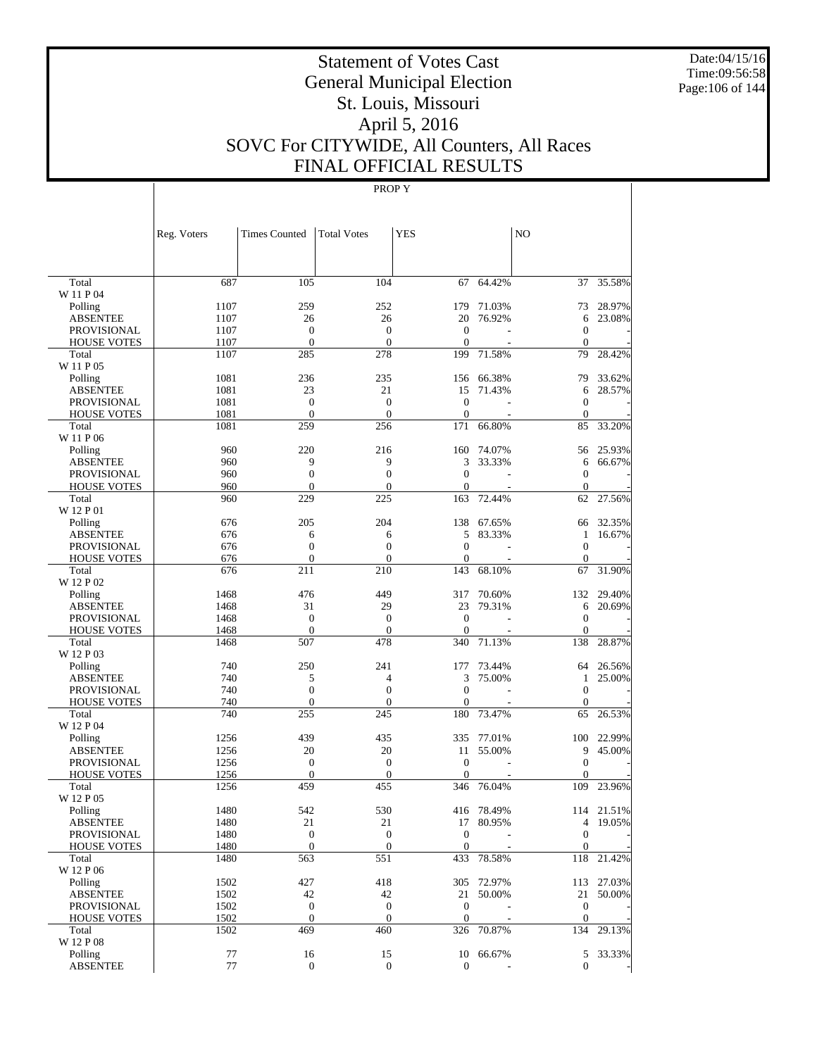Date:04/15/16 Time:09:56:58 Page:106 of 144

# Statement of Votes Cast General Municipal Election St. Louis, Missouri April 5, 2016 SOVC For CITYWIDE, All Counters, All Races FINAL OFFICIAL RESULTS

|                                       | Reg. Voters | <b>Times Counted</b> | <b>Total Votes</b>    | <b>YES</b>       |                  | N <sub>O</sub>    |            |
|---------------------------------------|-------------|----------------------|-----------------------|------------------|------------------|-------------------|------------|
|                                       |             |                      |                       |                  |                  |                   |            |
| Total                                 | 687         | 105                  | 104                   | 67               | 64.42%           |                   | 37 35.58%  |
| W 11 P 04                             | 1107        | 259                  | 252                   |                  | 179 71.03%       | 73                | 28.97%     |
| Polling<br><b>ABSENTEE</b>            | 1107        | 26                   | 26                    | 20               | 76.92%           | 6                 | 23.08%     |
| <b>PROVISIONAL</b>                    | 1107        | $\boldsymbol{0}$     | $\boldsymbol{0}$      | $\mathbf{0}$     |                  | $\boldsymbol{0}$  |            |
| <b>HOUSE VOTES</b>                    | 1107        | $\mathbf{0}$         | $\mathbf{0}$          | $\theta$         |                  | $\Omega$          |            |
| Total                                 | 1107        | 285                  | 278                   | 199              | 71.58%           | 79                | 28.42%     |
| W 11 P 05                             |             |                      |                       |                  |                  |                   |            |
| Polling                               | 1081        | 236                  | 235                   |                  | 156 66.38%       | 79                | 33.62%     |
| <b>ABSENTEE</b>                       | 1081        | 23                   | 21                    | 15               | 71.43%           | 6                 | 28.57%     |
| <b>PROVISIONAL</b>                    | 1081        | $\boldsymbol{0}$     | $\boldsymbol{0}$      | $\mathbf{0}$     |                  | $\mathbf{0}$      |            |
| <b>HOUSE VOTES</b>                    | 1081        | $\mathbf{0}$         | $\mathbf{0}$          | $\mathbf{0}$     |                  | $\mathbf{0}$      |            |
| Total                                 | 1081        | 259                  | 256                   | 171              | 66.80%           | 85                | 33.20%     |
| W 11 P 06                             |             |                      |                       |                  |                  |                   |            |
| Polling                               | 960<br>960  | 220<br>9             | 216<br>9              | 160<br>3         | 74.07%<br>33.33% | 56                | 25.93%     |
| <b>ABSENTEE</b><br><b>PROVISIONAL</b> | 960         | $\boldsymbol{0}$     | $\boldsymbol{0}$      | $\mathbf{0}$     |                  | 6<br>$\mathbf{0}$ | 66.67%     |
| <b>HOUSE VOTES</b>                    | 960         | $\mathbf{0}$         | $\overline{0}$        | $\mathbf{0}$     |                  | $\Omega$          |            |
| Total                                 | 960         | 229                  | 225                   | 163              | 72.44%           | 62                | 27.56%     |
| W 12 P 01                             |             |                      |                       |                  |                  |                   |            |
| Polling                               | 676         | 205                  | 204                   |                  | 138 67.65%       | 66                | 32.35%     |
| <b>ABSENTEE</b>                       | 676         | 6                    | 6                     | 5                | 83.33%           | $\mathbf{1}$      | 16.67%     |
| <b>PROVISIONAL</b>                    | 676         | $\boldsymbol{0}$     | $\boldsymbol{0}$      | $\mathbf{0}$     |                  | $\mathbf{0}$      |            |
| <b>HOUSE VOTES</b>                    | 676         | $\mathbf{0}$         | $\overline{0}$        | $\boldsymbol{0}$ |                  | $\mathbf{0}$      |            |
| Total                                 | 676         | 211                  | 210                   | 143              | 68.10%           | 67                | 31.90%     |
| W 12 P 02                             |             |                      |                       |                  |                  |                   |            |
| Polling                               | 1468        | 476                  | 449                   | 317              | 70.60%           | 132               | 29.40%     |
| <b>ABSENTEE</b>                       | 1468        | 31                   | 29                    | 23               | 79.31%           | 6                 | 20.69%     |
| PROVISIONAL                           | 1468        | $\mathbf{0}$         | $\boldsymbol{0}$      | $\boldsymbol{0}$ |                  | $\mathbf{0}$      |            |
| <b>HOUSE VOTES</b>                    | 1468        | $\mathbf{0}$<br>507  | $\overline{0}$<br>478 | $\Omega$<br>340  | 71.13%           | $\Omega$<br>138   | 28.87%     |
| Total<br>W 12 P 03                    | 1468        |                      |                       |                  |                  |                   |            |
| Polling                               | 740         | 250                  | 241                   | 177              | 73.44%           | 64                | 26.56%     |
| <b>ABSENTEE</b>                       | 740         | 5                    | 4                     | 3                | 75.00%           | 1                 | 25.00%     |
| <b>PROVISIONAL</b>                    | 740         | $\boldsymbol{0}$     | $\boldsymbol{0}$      | $\mathbf{0}$     |                  | $\mathbf{0}$      |            |
| <b>HOUSE VOTES</b>                    | 740         | $\mathbf{0}$         | $\overline{0}$        | $\mathbf{0}$     |                  | $\Omega$          |            |
| Total                                 | 740         | 255                  | 245                   | 180              | 73.47%           | 65                | 26.53%     |
| W 12 P 04                             |             |                      |                       |                  |                  |                   |            |
| Polling                               | 1256        | 439                  | 435                   | 335              | 77.01%           | 100               | 22.99%     |
| <b>ABSENTEE</b>                       | 1256        | 20                   | 20                    | 11               | 55.00%           | 9                 | 45.00%     |
| <b>PROVISIONAL</b>                    | 1256        | $\boldsymbol{0}$     | $\boldsymbol{0}$      | $\boldsymbol{0}$ |                  | $\mathbf{0}$      |            |
| <b>HOUSE VOTES</b>                    | 1256        | $\mathbf{0}$         | $\mathbf{0}$          | $\theta$         |                  | $\Omega$          |            |
| Total                                 | 1256        | 459                  | 455                   |                  | 346 76.04%       | 109               | 23.96%     |
| W 12 P 05<br>Polling                  | 1480        | 542                  | 530                   |                  | 416 78.49%       |                   | 114 21.51% |
| <b>ABSENTEE</b>                       | 1480        | 21                   | 21                    |                  | 17 80.95%        | 4                 | 19.05%     |
| <b>PROVISIONAL</b>                    | 1480        | $\boldsymbol{0}$     | $\boldsymbol{0}$      | $\mathbf{0}$     |                  | $\mathbf{0}$      |            |
| <b>HOUSE VOTES</b>                    | 1480        | $\boldsymbol{0}$     | $\boldsymbol{0}$      | $\mathbf{0}$     |                  | $\mathbf{0}$      |            |
| Total                                 | 1480        | 563                  | 551                   | 433              | 78.58%           | 118               | 21.42%     |
| W 12 P 06                             |             |                      |                       |                  |                  |                   |            |
| Polling                               | 1502        | 427                  | 418                   |                  | 305 72.97%       |                   | 113 27.03% |
| <b>ABSENTEE</b>                       | 1502        | 42                   | 42                    | 21               | 50.00%           | 21                | 50.00%     |
| PROVISIONAL                           | 1502        | $\boldsymbol{0}$     | $\boldsymbol{0}$      | $\mathbf{0}$     |                  | $\boldsymbol{0}$  |            |
| <b>HOUSE VOTES</b>                    | 1502        | $\boldsymbol{0}$     | $\boldsymbol{0}$      | $\mathbf{0}$     |                  | $\mathbf{0}$      |            |
| Total                                 | 1502        | 469                  | 460                   |                  | 326 70.87%       | 134               | 29.13%     |
| W 12 P 08                             |             |                      |                       |                  |                  |                   |            |
| Polling                               | 77          | 16                   | 15                    |                  | 10 66.67%        | 5                 | 33.33%     |
| <b>ABSENTEE</b>                       | 77          | $\mathbf{0}$         | $\mathbf{0}$          | $\mathbf{0}$     |                  | $\boldsymbol{0}$  |            |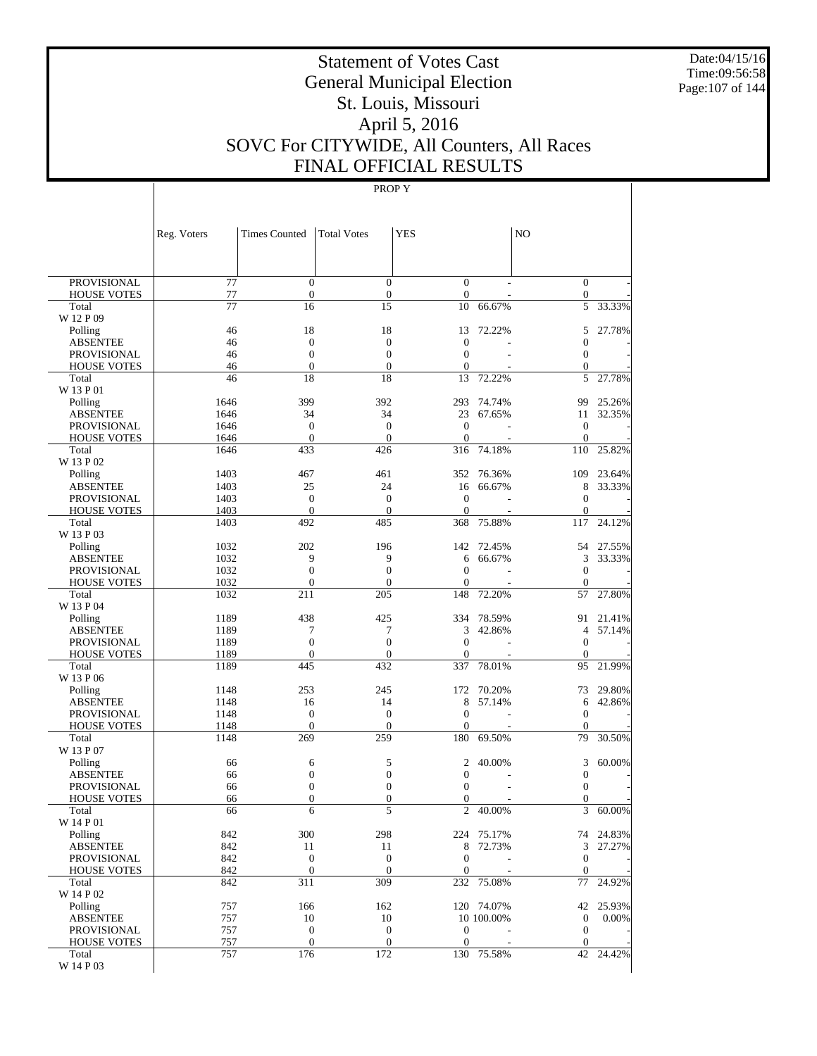Date:04/15/16 Time:09:56:58 Page:107 of 144

# Statement of Votes Cast General Municipal Election St. Louis, Missouri April 5, 2016 SOVC For CITYWIDE, All Counters, All Races FINAL OFFICIAL RESULTS

|                                          | Reg. Voters           | <b>Times Counted</b>                 | <b>Total Votes</b>                   | <b>YES</b>                           |            | N <sub>O</sub>               |           |
|------------------------------------------|-----------------------|--------------------------------------|--------------------------------------|--------------------------------------|------------|------------------------------|-----------|
|                                          |                       |                                      |                                      |                                      |            |                              |           |
| <b>PROVISIONAL</b><br><b>HOUSE VOTES</b> | $\overline{77}$<br>77 | $\boldsymbol{0}$<br>$\boldsymbol{0}$ | $\boldsymbol{0}$<br>$\boldsymbol{0}$ | $\boldsymbol{0}$<br>$\boldsymbol{0}$ |            | $\mathbf{0}$<br>$\mathbf{0}$ |           |
| Total                                    | 77                    | 16                                   | 15                                   | 10                                   | 66.67%     | 5                            | 33.33%    |
| W 12 P 09                                |                       |                                      |                                      |                                      |            |                              |           |
| Polling                                  | 46                    | 18                                   | 18                                   | 13                                   | 72.22%     | 5                            | 27.78%    |
| <b>ABSENTEE</b>                          | 46                    | $\mathbf{0}$                         | $\mathbf{0}$                         | $\overline{0}$                       |            | $\boldsymbol{0}$             |           |
| <b>PROVISIONAL</b>                       | 46                    | $\boldsymbol{0}$                     | $\boldsymbol{0}$                     | $\boldsymbol{0}$                     |            | $\boldsymbol{0}$             |           |
| <b>HOUSE VOTES</b>                       | 46                    | $\boldsymbol{0}$                     | $\mathbf{0}$                         | $\boldsymbol{0}$                     |            | $\boldsymbol{0}$             |           |
| Total<br>W 13 P 01                       | 46                    | 18                                   | 18                                   | 13                                   | 72.22%     | 5                            | 27.78%    |
| Polling                                  | 1646                  | 399                                  | 392                                  | 293                                  | 74.74%     | 99                           | 25.26%    |
| <b>ABSENTEE</b>                          | 1646                  | 34                                   | 34                                   | 23                                   | 67.65%     | 11                           | 32.35%    |
| <b>PROVISIONAL</b>                       | 1646                  | $\boldsymbol{0}$                     | $\boldsymbol{0}$                     | $\mathbf{0}$                         |            | $\mathbf{0}$                 |           |
| <b>HOUSE VOTES</b>                       | 1646                  | $\mathbf{0}$                         | $\overline{0}$                       | $\mathbf{0}$                         |            | $\mathbf{0}$                 |           |
| Total                                    | 1646                  | 433                                  | 426                                  | 316                                  | 74.18%     | 110                          | 25.82%    |
| W 13 P 02                                |                       |                                      |                                      |                                      |            |                              |           |
| Polling                                  | 1403                  | 467                                  | 461                                  | 352                                  | 76.36%     | 109                          | 23.64%    |
| <b>ABSENTEE</b><br><b>PROVISIONAL</b>    | 1403<br>1403          | 25<br>$\boldsymbol{0}$               | 24<br>$\boldsymbol{0}$               | 16<br>$\mathbf{0}$                   | 66.67%     | 8<br>$\mathbf{0}$            | 33.33%    |
| <b>HOUSE VOTES</b>                       | 1403                  | $\mathbf{0}$                         | $\mathbf{0}$                         | $\boldsymbol{0}$                     |            | $\mathbf{0}$                 |           |
| Total                                    | 1403                  | 492                                  | 485                                  | 368                                  | 75.88%     | 117                          | 24.12%    |
| W 13 P 03                                |                       |                                      |                                      |                                      |            |                              |           |
| Polling                                  | 1032                  | 202                                  | 196                                  | 142                                  | 72.45%     | 54                           | 27.55%    |
| <b>ABSENTEE</b>                          | 1032                  | 9                                    | 9                                    | 6                                    | 66.67%     | 3                            | 33.33%    |
| <b>PROVISIONAL</b>                       | 1032                  | $\boldsymbol{0}$                     | $\boldsymbol{0}$                     | $\mathbf{0}$                         |            | $\boldsymbol{0}$             |           |
| <b>HOUSE VOTES</b>                       | 1032                  | $\mathbf{0}$                         | $\overline{0}$                       | $\overline{0}$                       |            | $\mathbf{0}$                 |           |
| Total<br>W 13 P 04                       | 1032                  | 211                                  | 205                                  | 148                                  | 72.20%     | 57                           | 27.80%    |
| Polling                                  | 1189                  | 438                                  | 425                                  | 334                                  | 78.59%     | 91                           | 21.41%    |
| <b>ABSENTEE</b>                          | 1189                  | 7                                    | 7                                    | 3                                    | 42.86%     | $\overline{4}$               | 57.14%    |
| <b>PROVISIONAL</b>                       | 1189                  | $\boldsymbol{0}$                     | $\boldsymbol{0}$                     | $\boldsymbol{0}$                     |            | $\boldsymbol{0}$             |           |
| <b>HOUSE VOTES</b>                       | 1189                  | $\mathbf{0}$                         | $\boldsymbol{0}$                     | $\boldsymbol{0}$                     |            | $\mathbf{0}$                 |           |
| Total                                    | 1189                  | 445                                  | 432                                  | 337                                  | 78.01%     | 95                           | 21.99%    |
| W 13 P 06                                |                       |                                      |                                      |                                      |            |                              |           |
| Polling                                  | 1148                  | 253                                  | 245                                  | 172                                  | 70.20%     | 73                           | 29.80%    |
| <b>ABSENTEE</b>                          | 1148<br>1148          | 16<br>$\boldsymbol{0}$               | 14<br>$\boldsymbol{0}$               | 8<br>$\mathbf{0}$                    | 57.14%     | 6<br>$\boldsymbol{0}$        | 42.86%    |
| <b>PROVISIONAL</b><br><b>HOUSE VOTES</b> | 1148                  | $\mathbf{0}$                         | $\overline{0}$                       | $\overline{0}$                       |            | $\mathbf{0}$                 |           |
| Total                                    | 1148                  | 269                                  | 259                                  | 180                                  | 69.50%     | 79                           | 30.50%    |
| W 13 P 07                                |                       |                                      |                                      |                                      |            |                              |           |
| Polling                                  | 66                    | 6                                    | 5                                    | $\mathfrak{2}$                       | 40.00%     | 3                            | 60.00%    |
| <b>ABSENTEE</b>                          | 66                    | $\boldsymbol{0}$                     | $\boldsymbol{0}$                     | 0                                    |            | $\boldsymbol{0}$             |           |
| <b>PROVISIONAL</b>                       | 66                    | $\boldsymbol{0}$                     | $\boldsymbol{0}$                     | $\boldsymbol{0}$                     |            | $\boldsymbol{0}$             |           |
| <b>HOUSE VOTES</b>                       | 66                    | $\mathbf{0}$                         | $\boldsymbol{0}$                     | $\boldsymbol{0}$                     |            | $\boldsymbol{0}$             |           |
| Total<br>W 14 P 01                       | 66                    | 6                                    | 5                                    | $\overline{c}$                       | 40.00%     | 3                            | 60.00%    |
| Polling                                  | 842                   | 300                                  | 298                                  |                                      | 224 75.17% |                              | 74 24.83% |
| <b>ABSENTEE</b>                          | 842                   | 11                                   | 11                                   |                                      | 8 72.73%   | $\mathfrak{Z}$               | 27.27%    |
| <b>PROVISIONAL</b>                       | 842                   | $\boldsymbol{0}$                     | $\mathbf{0}$                         | $\boldsymbol{0}$                     |            | $\mathbf{0}$                 |           |
| <b>HOUSE VOTES</b>                       | 842                   | $\boldsymbol{0}$                     | $\mathbf{0}$                         | $\boldsymbol{0}$                     |            | $\mathbf{0}$                 |           |
| Total                                    | 842                   | 311                                  | 309                                  |                                      | 232 75.08% | 77                           | 24.92%    |
| W 14 P 02                                |                       |                                      |                                      |                                      |            |                              |           |
| Polling                                  | 757                   | 166                                  | 162                                  |                                      | 120 74.07% |                              | 42 25.93% |
| <b>ABSENTEE</b><br>PROVISIONAL           | 757<br>757            | 10<br>$\boldsymbol{0}$               | 10<br>$\boldsymbol{0}$               | $\boldsymbol{0}$                     | 10 100.00% | $\mathbf{0}$<br>$\mathbf{0}$ | 0.00%     |
| <b>HOUSE VOTES</b>                       | 757                   | $\boldsymbol{0}$                     | $\mathbf{0}$                         | $\mathbf{0}$                         |            | $\mathbf{0}$                 |           |
| Total                                    | 757                   | 176                                  | 172                                  |                                      | 130 75.58% |                              | 42 24.42% |
| W 14 P 03                                |                       |                                      |                                      |                                      |            |                              |           |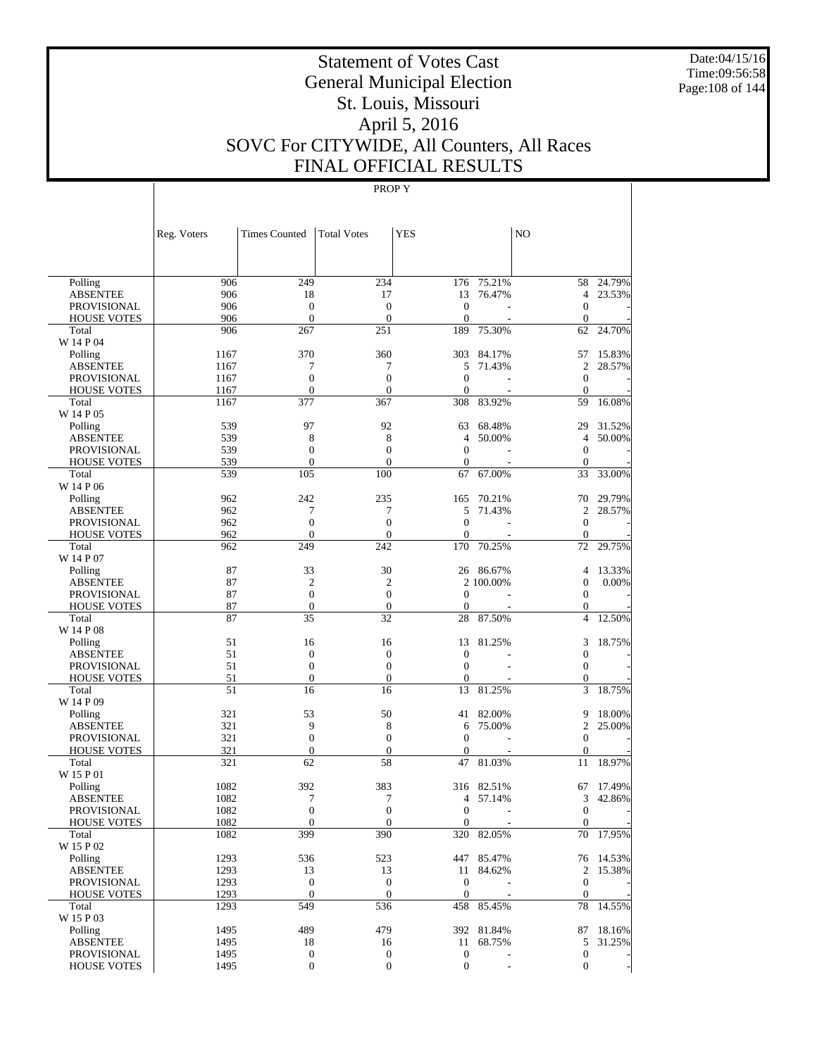Date:04/15/16 Time:09:56:58 Page:108 of 144

# Statement of Votes Cast General Municipal Election St. Louis, Missouri April 5, 2016 SOVC For CITYWIDE, All Counters, All Races FINAL OFFICIAL RESULTS

|                             | Reg. Voters  | <b>Times Counted</b>         | <b>Total Votes</b>               | <b>YES</b>                   |            | NO                           |           |
|-----------------------------|--------------|------------------------------|----------------------------------|------------------------------|------------|------------------------------|-----------|
|                             |              |                              |                                  |                              |            |                              |           |
| Polling                     | 906          | 249                          | 234                              |                              | 176 75.21% | 58                           | 24.79%    |
| <b>ABSENTEE</b>             | 906          | 18                           | 17                               | 13                           | 76.47%     | $\overline{4}$               | 23.53%    |
| <b>PROVISIONAL</b>          | 906          | $\mathbf{0}$                 | $\overline{0}$                   | $\mathbf{0}$                 |            | $\theta$                     |           |
| <b>HOUSE VOTES</b>          | 906          | $\mathbf{0}$                 | $\overline{0}$                   | $\mathbf{0}$                 |            | $\theta$                     |           |
| Total                       | 906          | 267                          | 251                              | 189                          | 75.30%     | 62                           | 24.70%    |
| W 14 P 04                   |              |                              |                                  |                              |            |                              |           |
| Polling                     | 1167         | 370                          | 360                              | 303                          | 84.17%     | 57                           | 15.83%    |
| <b>ABSENTEE</b>             | 1167         | 7                            | 7                                | 5                            | 71.43%     | 2                            | 28.57%    |
| <b>PROVISIONAL</b>          | 1167<br>1167 | $\mathbf{0}$<br>$\mathbf{0}$ | $\overline{0}$<br>$\overline{0}$ | $\mathbf{0}$<br>$\mathbf{0}$ |            | $\mathbf{0}$<br>$\mathbf{0}$ |           |
| <b>HOUSE VOTES</b><br>Total | 1167         | 377                          | 367                              | 308                          | 83.92%     | 59                           | 16.08%    |
| W 14 P 05                   |              |                              |                                  |                              |            |                              |           |
| Polling                     | 539          | 97                           | 92                               | 63                           | 68.48%     | 29                           | 31.52%    |
| <b>ABSENTEE</b>             | 539          | 8                            | 8                                | $\overline{4}$               | 50.00%     | $\overline{4}$               | 50.00%    |
| <b>PROVISIONAL</b>          | 539          | $\mathbf{0}$                 | $\overline{0}$                   | $\mathbf{0}$                 |            | $\theta$                     |           |
| <b>HOUSE VOTES</b>          | 539          | $\mathbf{0}$                 | $\overline{0}$                   | $\mathbf{0}$                 |            | $\theta$                     |           |
| Total                       | 539          | 105                          | 100                              | 67                           | 67.00%     | 33                           | 33.00%    |
| W 14 P 06                   |              |                              |                                  |                              |            |                              |           |
| Polling                     | 962          | 242                          | 235                              | 165                          | 70.21%     | 70                           | 29.79%    |
| <b>ABSENTEE</b>             | 962          | 7                            | 7                                | 5                            | 71.43%     | 2                            | 28.57%    |
| <b>PROVISIONAL</b>          | 962          | $\mathbf{0}$                 | $\overline{0}$                   | $\mathbf{0}$                 |            | $\mathbf{0}$                 |           |
| <b>HOUSE VOTES</b>          | 962          | $\mathbf{0}$                 | $\theta$                         | $\mathbf{0}$                 |            | $\mathbf{0}$                 |           |
| Total                       | 962          | 249                          | 242                              | 170                          | 70.25%     | 72                           | 29.75%    |
| W 14 P 07                   |              |                              |                                  |                              |            |                              |           |
| Polling                     | 87           | 33                           | 30                               |                              | 26 86.67%  | $\overline{4}$               | 13.33%    |
| <b>ABSENTEE</b>             | 87           | $\mathfrak{2}$               | $\mathfrak{2}$                   |                              | 2 100.00%  | $\mathbf{0}$                 | 0.00%     |
| <b>PROVISIONAL</b>          | 87           | $\mathbf{0}$                 | $\overline{0}$                   | $\theta$                     |            | $\theta$                     |           |
| <b>HOUSE VOTES</b>          | 87           | $\mathbf{0}$                 | $\mathbf{0}$                     | $\mathbf{0}$                 |            | $\mathbf{0}$                 |           |
| Total                       | 87           | 35                           | 32                               | 28                           | 87.50%     | $\overline{4}$               | 12.50%    |
| W 14 P 08                   | 51           |                              |                                  |                              |            |                              | 18.75%    |
| Polling<br><b>ABSENTEE</b>  | 51           | 16<br>$\mathbf{0}$           | 16<br>$\overline{0}$             | 13<br>$\mathbf{0}$           | 81.25%     | 3<br>$\mathbf{0}$            |           |
| <b>PROVISIONAL</b>          | 51           | $\mathbf{0}$                 | $\overline{0}$                   | $\mathbf{0}$                 |            | $\theta$                     |           |
| <b>HOUSE VOTES</b>          | 51           | $\mathbf{0}$                 | $\overline{0}$                   | $\mathbf{0}$                 |            | $\mathbf{0}$                 |           |
| Total                       | 51           | 16                           | 16                               | 13                           | 81.25%     | 3                            | 18.75%    |
| W 14 P 09                   |              |                              |                                  |                              |            |                              |           |
| Polling                     | 321          | 53                           | 50                               | 41                           | 82.00%     | 9                            | 18.00%    |
| <b>ABSENTEE</b>             | 321          | 9                            | 8                                | 6                            | 75.00%     | $\overline{c}$               | 25.00%    |
| <b>PROVISIONAL</b>          | 321          | $\mathbf{0}$                 | $\overline{0}$                   | $\mathbf{0}$                 |            | $\theta$                     |           |
| <b>HOUSE VOTES</b>          | 321          | $\mathbf{0}$                 | $\overline{0}$                   | $\mathbf{0}$                 |            | $\mathbf{0}$                 |           |
| Total                       | 321          | 62                           | 58                               | 47                           | 81.03%     | 11                           | 18.97%    |
| W 15 P 01                   |              |                              |                                  |                              |            |                              |           |
| Polling                     | 1082         | 392                          | 383                              | 316                          | 82.51%     | 67                           | 17.49%    |
| <b>ABSENTEE</b>             | 1082         | 7                            | 7                                | 4                            | 57.14%     | 3                            | 42.86%    |
| PROVISIONAL                 | 1082         | $\theta$                     | $\theta$                         | $\boldsymbol{0}$             |            | $\mathbf{0}$                 |           |
| <b>HOUSE VOTES</b>          | 1082         | $\mathbf{0}$                 | $\mathbf{0}$                     | $\mathbf{0}$                 |            | $\mathbf{0}$                 |           |
| Total                       | 1082         | 399                          | 390                              | 320                          | 82.05%     |                              | 70 17.95% |
| W 15 P 02                   |              |                              |                                  |                              |            |                              |           |
| Polling                     | 1293         | 536                          | 523                              |                              | 447 85.47% |                              | 76 14.53% |
| <b>ABSENTEE</b>             | 1293         | 13                           | 13                               | 11                           | 84.62%     | 2                            | 15.38%    |
| <b>PROVISIONAL</b>          | 1293         | $\boldsymbol{0}$             | $\boldsymbol{0}$                 | $\mathbf{0}$                 |            | $\mathbf{0}$                 |           |
| <b>HOUSE VOTES</b>          | 1293<br>1293 | $\mathbf{0}$<br>549          | $\boldsymbol{0}$<br>536          | $\mathbf{0}$                 | 458 85.45% | $\mathbf{0}$<br>78           | 14.55%    |
| Total<br>W 15 P 03          |              |                              |                                  |                              |            |                              |           |
| Polling                     | 1495         | 489                          | 479                              |                              | 392 81.84% | 87                           | 18.16%    |
| <b>ABSENTEE</b>             | 1495         | 18                           | 16                               | 11                           | 68.75%     | 5                            | 31.25%    |
| <b>PROVISIONAL</b>          | 1495         | $\boldsymbol{0}$             | $\boldsymbol{0}$                 | $\boldsymbol{0}$             |            | $\boldsymbol{0}$             |           |
| <b>HOUSE VOTES</b>          | 1495         | $\boldsymbol{0}$             | $\boldsymbol{0}$                 | $\mathbf{0}$                 |            | $\mathbf{0}$                 |           |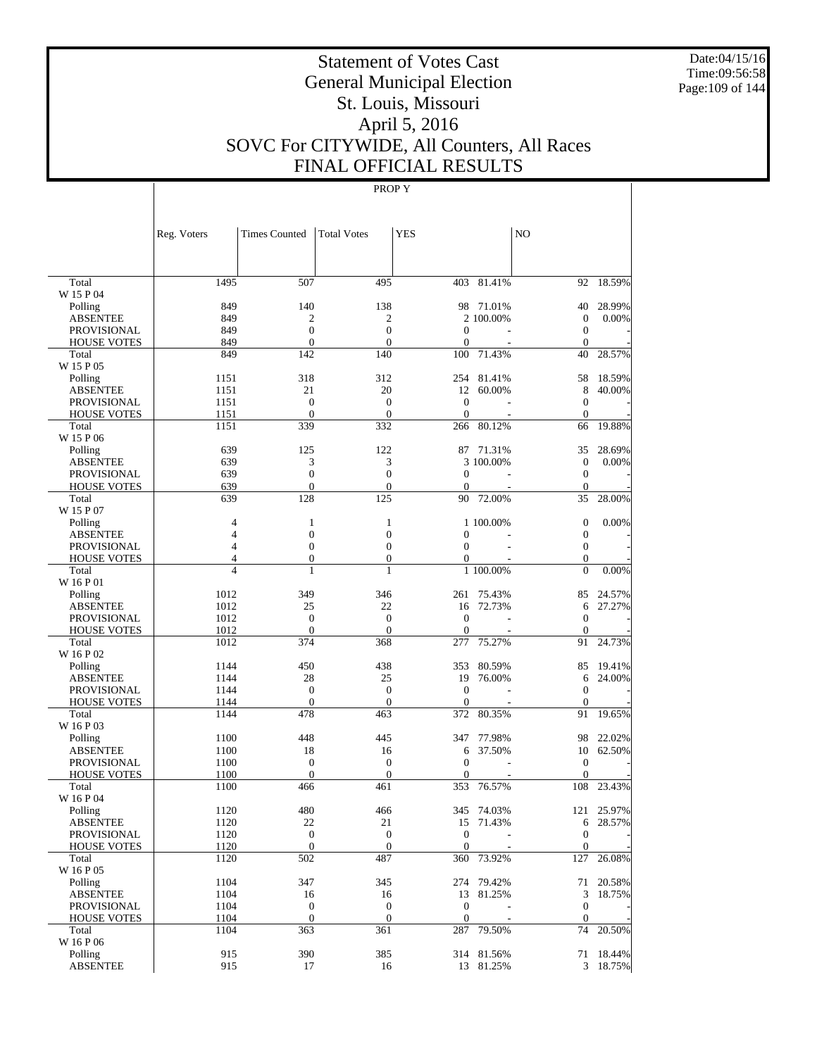Date:04/15/16 Time:09:56:58 Page:109 of 144

# Statement of Votes Cast General Municipal Election St. Louis, Missouri April 5, 2016 SOVC For CITYWIDE, All Counters, All Races FINAL OFFICIAL RESULTS

|                             | Reg. Voters                      | <b>Times Counted</b>  | <b>Total Votes</b>               | <b>YES</b>       |            | NO                             |           |
|-----------------------------|----------------------------------|-----------------------|----------------------------------|------------------|------------|--------------------------------|-----------|
|                             |                                  |                       |                                  |                  |            |                                |           |
| Total<br>W 15 P 04          | 1495                             | 507                   | 495                              | 403              | 81.41%     | 92                             | 18.59%    |
| Polling                     | 849                              | 140                   | 138                              |                  | 98 71.01%  | 40                             | 28.99%    |
| <b>ABSENTEE</b>             | 849                              | 2                     | $\mathfrak{2}$                   |                  | 2 100.00%  | $\boldsymbol{0}$               | 0.00%     |
| <b>PROVISIONAL</b>          | 849                              | $\mathbf{0}$          | $\overline{0}$                   | $\mathbf{0}$     |            | $\mathbf{0}$                   |           |
| <b>HOUSE VOTES</b>          | 849                              | $\boldsymbol{0}$      | $\overline{0}$                   | $\mathbf{0}$     |            | $\mathbf{0}$                   |           |
| Total                       | 849                              | 142                   | 140                              | 100              | 71.43%     | 40                             | 28.57%    |
| W 15 P 05                   |                                  |                       |                                  |                  |            |                                |           |
| Polling                     | 1151                             | 318                   | 312                              | 254              | 81.41%     | 58                             | 18.59%    |
| ABSENTEE                    | 1151                             | 21                    | 20                               | 12               | 60.00%     | 8                              | 40.00%    |
| <b>PROVISIONAL</b>          | 1151                             | $\mathbf{0}$          | $\boldsymbol{0}$                 | $\theta$         |            | $\mathbf{0}$                   |           |
| <b>HOUSE VOTES</b>          | 1151                             | $\mathbf{0}$          | $\boldsymbol{0}$                 | $\theta$         |            | $\mathbf{0}$                   |           |
| Total                       | 1151                             | 339                   | 332                              | 266              | 80.12%     | 66                             | 19.88%    |
| W 15 P 06                   |                                  |                       |                                  |                  |            |                                |           |
| Polling                     | 639                              | 125                   | 122                              | 87               | 71.31%     | 35                             | 28.69%    |
| <b>ABSENTEE</b>             | 639                              | 3                     | 3                                |                  | 3 100.00%  | $\boldsymbol{0}$               | 0.00%     |
| <b>PROVISIONAL</b>          | 639                              | $\boldsymbol{0}$      | $\boldsymbol{0}$                 | $\theta$         |            | $\mathbf{0}$                   |           |
| <b>HOUSE VOTES</b>          | 639                              | $\mathbf{0}$          | $\overline{0}$                   | $\mathbf{0}$     |            | $\mathbf{0}$                   |           |
| Total                       | 639                              | 128                   | 125                              | 90               | 72.00%     | 35                             | 28.00%    |
| W 15 P 07                   |                                  |                       |                                  |                  |            |                                |           |
| Polling                     | $\overline{4}$                   | 1                     | 1                                |                  | 1 100.00%  | $\mathbf{0}$                   | 0.00%     |
| ABSENTEE                    | $\overline{4}$                   | $\boldsymbol{0}$      | $\boldsymbol{0}$                 | $\mathbf{0}$     |            | $\boldsymbol{0}$               |           |
| <b>PROVISIONAL</b>          | $\overline{4}$<br>$\overline{4}$ | $\boldsymbol{0}$      | $\boldsymbol{0}$                 | $\mathbf{0}$     |            | $\mathbf{0}$                   |           |
| <b>HOUSE VOTES</b><br>Total | $\overline{4}$                   | $\boldsymbol{0}$<br>1 | $\boldsymbol{0}$<br>$\mathbf{1}$ | $\overline{0}$   | 1 100,00%  | $\mathbf{0}$<br>$\overline{0}$ | 0.00%     |
| W 16 P 01                   |                                  |                       |                                  |                  |            |                                |           |
| Polling                     | 1012                             | 349                   | 346                              | 261              | 75.43%     | 85                             | 24.57%    |
| <b>ABSENTEE</b>             | 1012                             | 25                    | 22                               | 16               | 72.73%     | 6                              | 27.27%    |
| <b>PROVISIONAL</b>          | 1012                             | $\boldsymbol{0}$      | $\boldsymbol{0}$                 | $\theta$         |            | $\mathbf{0}$                   |           |
| <b>HOUSE VOTES</b>          | 1012                             | $\mathbf{0}$          | $\theta$                         | $\mathbf{0}$     |            | $\mathbf{0}$                   |           |
| Total                       | 1012                             | 374                   | 368                              | 277              | 75.27%     | 91                             | 24.73%    |
| W 16 P 02                   |                                  |                       |                                  |                  |            |                                |           |
| Polling                     | 1144                             | 450                   | 438                              | 353              | 80.59%     | 85                             | 19.41%    |
| <b>ABSENTEE</b>             | 1144                             | 28                    | 25                               | 19               | 76.00%     | 6                              | 24.00%    |
| <b>PROVISIONAL</b>          | 1144                             | $\boldsymbol{0}$      | $\boldsymbol{0}$                 | $\theta$         |            | $\mathbf{0}$                   |           |
| <b>HOUSE VOTES</b>          | 1144                             | $\mathbf{0}$          | $\boldsymbol{0}$                 | $\mathbf{0}$     |            | $\mathbf{0}$                   |           |
| Total                       | 1144                             | 478                   | 463                              | 372              | 80.35%     | 91                             | 19.65%    |
| W 16 P 03                   |                                  |                       |                                  |                  |            |                                |           |
| Polling                     | 1100                             | 448                   | 445                              | 347              | 77.98%     | 98                             | 22.02%    |
| <b>ABSENTEE</b>             | 1100                             | 18                    | 16                               | 6                | 37.50%     | 10                             | 62.50%    |
| <b>PROVISIONAL</b>          | 1100                             | $\boldsymbol{0}$      | $\boldsymbol{0}$                 | $\mathbf{0}$     |            | $\boldsymbol{0}$               |           |
| <b>HOUSE VOTES</b>          | 1100                             | $\mathbf{0}$          | $\theta$                         | $\mathbf{0}$     |            | $\Omega$                       | 23.43%    |
| Total<br>W 16 P 04          | 1100                             | 466                   | 461                              | 353              | 76.57%     | 108                            |           |
| Polling                     | 1120                             | 480                   | 466                              |                  | 345 74.03% | 121                            | 25.97%    |
| ABSENTEE                    | 1120                             | 22                    | 21                               |                  | 15 71.43%  | 6                              | 28.57%    |
| PROVISIONAL                 | 1120                             | $\boldsymbol{0}$      | $\mathbf{0}$                     | $\boldsymbol{0}$ |            | $\mathbf{0}$                   |           |
| <b>HOUSE VOTES</b>          | 1120                             | $\mathbf{0}$          | $\mathbf{0}$                     | $\theta$         |            | $\mathbf{0}$                   |           |
| Total                       | 1120                             | 502                   | 487                              | 360              | 73.92%     | 127                            | 26.08%    |
| W 16 P 05                   |                                  |                       |                                  |                  |            |                                |           |
| Polling                     | 1104                             | 347                   | 345                              |                  | 274 79.42% |                                | 71 20.58% |
| <b>ABSENTEE</b>             | 1104                             | 16                    | 16                               |                  | 13 81.25%  | 3                              | 18.75%    |
| PROVISIONAL                 | 1104                             | $\boldsymbol{0}$      | $\boldsymbol{0}$                 | $\boldsymbol{0}$ |            | $\boldsymbol{0}$               |           |
| <b>HOUSE VOTES</b>          | 1104                             | $\mathbf{0}$          | $\boldsymbol{0}$                 | $\mathbf{0}$     |            | $\mathbf{0}$                   |           |
| Total                       | 1104                             | 363                   | 361                              | 287              | 79.50%     | 74                             | 20.50%    |
| W 16 P 06                   |                                  |                       |                                  |                  |            |                                |           |
| Polling                     | 915                              | 390                   | 385                              |                  | 314 81.56% |                                | 71 18.44% |
| <b>ABSENTEE</b>             | 915                              | 17                    | 16                               |                  | 13 81.25%  |                                | 3 18.75%  |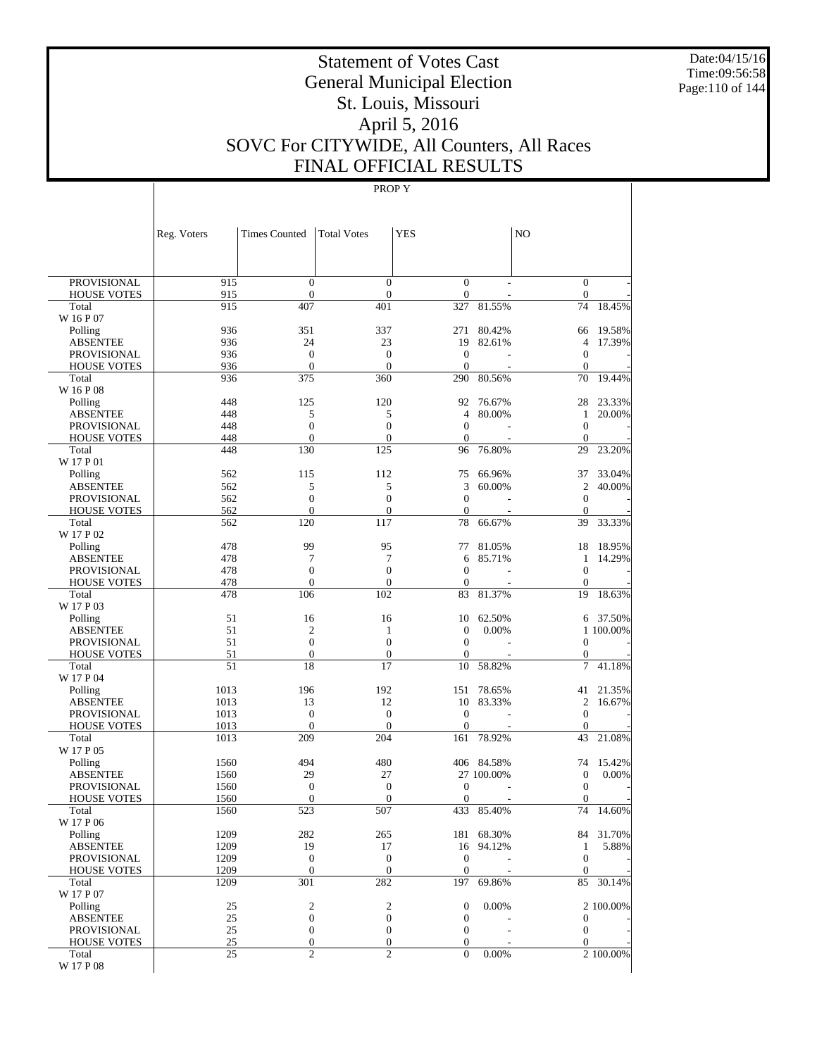Date:04/15/16 Time:09:56:58 Page:110 of 144

# Statement of Votes Cast General Municipal Election St. Louis, Missouri April 5, 2016 SOVC For CITYWIDE, All Counters, All Races FINAL OFFICIAL RESULTS

|                                          | Reg. Voters  | <b>Times Counted</b>               | <b>Total Votes</b>             | <b>YES</b>                       |            | N <sub>O</sub>               |           |
|------------------------------------------|--------------|------------------------------------|--------------------------------|----------------------------------|------------|------------------------------|-----------|
|                                          |              |                                    |                                |                                  |            |                              |           |
| <b>PROVISIONAL</b>                       | 915          | $\mathbf{0}$                       | $\overline{0}$                 | $\mathbf{0}$                     |            | $\mathbf{0}$                 |           |
| <b>HOUSE VOTES</b>                       | 915          | $\overline{0}$                     | $\boldsymbol{0}$               | $\mathbf{0}$                     |            | $\mathbf{0}$                 |           |
| Total                                    | 915          | 407                                | 401                            | 327                              | 81.55%     | 74                           | 18.45%    |
| W 16 P 07<br>Polling                     | 936          | 351                                | 337                            | 271                              | 80.42%     | 66                           | 19.58%    |
| <b>ABSENTEE</b>                          | 936          | 24                                 | 23                             | 19                               | 82.61%     | $\overline{4}$               | 17.39%    |
| <b>PROVISIONAL</b>                       | 936          | $\mathbf{0}$                       | $\overline{0}$                 | $\overline{0}$                   |            | $\mathbf{0}$                 |           |
| <b>HOUSE VOTES</b>                       | 936          | $\overline{0}$                     | $\overline{0}$                 | $\mathbf{0}$                     |            | $\mathbf{0}$                 |           |
| Total                                    | 936          | 375                                | 360                            | 290                              | 80.56%     | 70                           | 19.44%    |
| W 16 P 08                                |              |                                    |                                |                                  |            |                              |           |
| Polling                                  | 448          | 125                                | 120                            | 92                               | 76.67%     | 28                           | 23.33%    |
| <b>ABSENTEE</b><br><b>PROVISIONAL</b>    | 448<br>448   | 5<br>$\overline{0}$                | 5<br>$\overline{0}$            | $\overline{4}$<br>$\overline{0}$ | 80.00%     | 1<br>$\mathbf{0}$            | 20.00%    |
| <b>HOUSE VOTES</b>                       | 448          | $\overline{0}$                     | $\theta$                       | $\mathbf{0}$                     |            | $\mathbf{0}$                 |           |
| Total                                    | 448          | 130                                | 125                            | 96                               | 76.80%     | 29                           | 23.20%    |
| W 17 P 01                                |              |                                    |                                |                                  |            |                              |           |
| Polling                                  | 562          | 115                                | 112                            | 75                               | 66.96%     | 37                           | 33.04%    |
| <b>ABSENTEE</b>                          | 562          | 5                                  | 5                              | 3                                | 60.00%     | $\overline{c}$               | 40.00%    |
| <b>PROVISIONAL</b>                       | 562          | $\overline{0}$                     | $\overline{0}$                 | $\mathbf{0}$                     |            | $\mathbf{0}$                 |           |
| <b>HOUSE VOTES</b>                       | 562          | $\overline{0}$                     | $\theta$                       | $\mathbf{0}$                     |            | $\mathbf{0}$                 |           |
| Total<br>W 17 P 02                       | 562          | 120                                | 117                            | 78                               | 66.67%     | 39                           | 33.33%    |
| Polling                                  | 478          | 99                                 | 95                             | 77                               | 81.05%     | 18                           | 18.95%    |
| <b>ABSENTEE</b>                          | 478          | 7                                  | 7                              | 6                                | 85.71%     | 1                            | 14.29%    |
| <b>PROVISIONAL</b>                       | 478          | $\overline{0}$                     | $\overline{0}$                 | $\overline{0}$                   |            | $\boldsymbol{0}$             |           |
| <b>HOUSE VOTES</b>                       | 478          | $\mathbf{0}$                       | $\overline{0}$                 | $\mathbf{0}$                     |            | $\mathbf{0}$                 |           |
| Total                                    | 478          | 106                                | 102                            | 83                               | 81.37%     | 19                           | 18.63%    |
| W 17 P 03                                |              |                                    |                                |                                  |            |                              |           |
| Polling                                  | 51           | 16                                 | 16                             | 10                               | 62.50%     | 6                            | 37.50%    |
| <b>ABSENTEE</b>                          | 51           | $\overline{2}$                     | 1                              | $\mathbf{0}$                     | 0.00%      |                              | 1 100.00% |
| <b>PROVISIONAL</b><br><b>HOUSE VOTES</b> | 51<br>51     | $\overline{0}$<br>$\boldsymbol{0}$ | $\overline{0}$<br>$\mathbf{0}$ | $\mathbf{0}$<br>$\boldsymbol{0}$ |            | $\mathbf{0}$<br>$\mathbf{0}$ |           |
| Total                                    | 51           | 18                                 | 17                             | 10                               | 58.82%     | 7                            | 41.18%    |
| W 17 P 04                                |              |                                    |                                |                                  |            |                              |           |
| Polling                                  | 1013         | 196                                | 192                            | 151                              | 78.65%     | 41                           | 21.35%    |
| <b>ABSENTEE</b>                          | 1013         | 13                                 | 12                             | 10                               | 83.33%     | $\overline{c}$               | 16.67%    |
| <b>PROVISIONAL</b>                       | 1013         | $\mathbf{0}$                       | $\theta$                       | $\mathbf{0}$                     |            | $\mathbf{0}$                 |           |
| <b>HOUSE VOTES</b>                       | 1013         | $\overline{0}$                     | $\theta$                       | $\mathbf{0}$                     |            | $\mathbf{0}$                 |           |
| Total<br>W 17 P 05                       | 1013         | 209                                | 204                            | 161                              | 78.92%     | 43                           | 21.08%    |
| Polling                                  | 1560         | 494                                | 480                            |                                  | 406 84.58% | 74                           | 15.42%    |
| <b>ABSENTEE</b>                          | 1560         | 29                                 | 27                             |                                  | 27 100.00% | $\mathbf{0}$                 | 0.00%     |
| <b>PROVISIONAL</b>                       | 1560         | $\boldsymbol{0}$                   | $\boldsymbol{0}$               | 0                                |            | $\boldsymbol{0}$             |           |
| <b>HOUSE VOTES</b>                       | 1560         | $\mathbf{0}$                       | $\overline{0}$                 | $\boldsymbol{0}$                 |            | $\boldsymbol{0}$             |           |
| Total                                    | 1560         | 523                                | 507                            | 433                              | 85.40%     | 74                           | 14.60%    |
| W 17 P 06                                |              |                                    |                                |                                  |            |                              |           |
| Polling                                  | 1209         | 282                                | 265                            |                                  | 181 68.30% |                              | 84 31.70% |
| <b>ABSENTEE</b><br><b>PROVISIONAL</b>    | 1209<br>1209 | 19<br>$\mathbf{0}$                 | 17<br>$\mathbf{0}$             | 16<br>$\boldsymbol{0}$           | 94.12%     | $\mathbf{1}$<br>$\mathbf{0}$ | 5.88%     |
| <b>HOUSE VOTES</b>                       | 1209         | $\boldsymbol{0}$                   | $\boldsymbol{0}$               | $\boldsymbol{0}$                 |            | $\mathbf{0}$                 |           |
| Total                                    | 1209         | 301                                | 282                            | 197                              | 69.86%     | 85                           | 30.14%    |
| W 17 P 07                                |              |                                    |                                |                                  |            |                              |           |
| Polling                                  | 25           | $\overline{\mathbf{c}}$            | $\boldsymbol{2}$               | $\boldsymbol{0}$                 | 0.00%      |                              | 2 100.00% |
| <b>ABSENTEE</b>                          | 25           | $\boldsymbol{0}$                   | $\boldsymbol{0}$               | $\boldsymbol{0}$                 |            | $\mathbf{0}$                 |           |
| <b>PROVISIONAL</b>                       | 25           | $\boldsymbol{0}$                   | $\boldsymbol{0}$               | $\mathbf{0}$                     |            | $\mathbf{0}$                 |           |
| <b>HOUSE VOTES</b>                       | 25           | $\boldsymbol{0}$                   | $\boldsymbol{0}$               | $\boldsymbol{0}$                 |            | $\mathbf{0}$                 |           |
| Total<br>W 17 P 08                       | 25           | $\overline{2}$                     | $\overline{2}$                 | $\overline{0}$                   | 0.00%      |                              | 2 100.00% |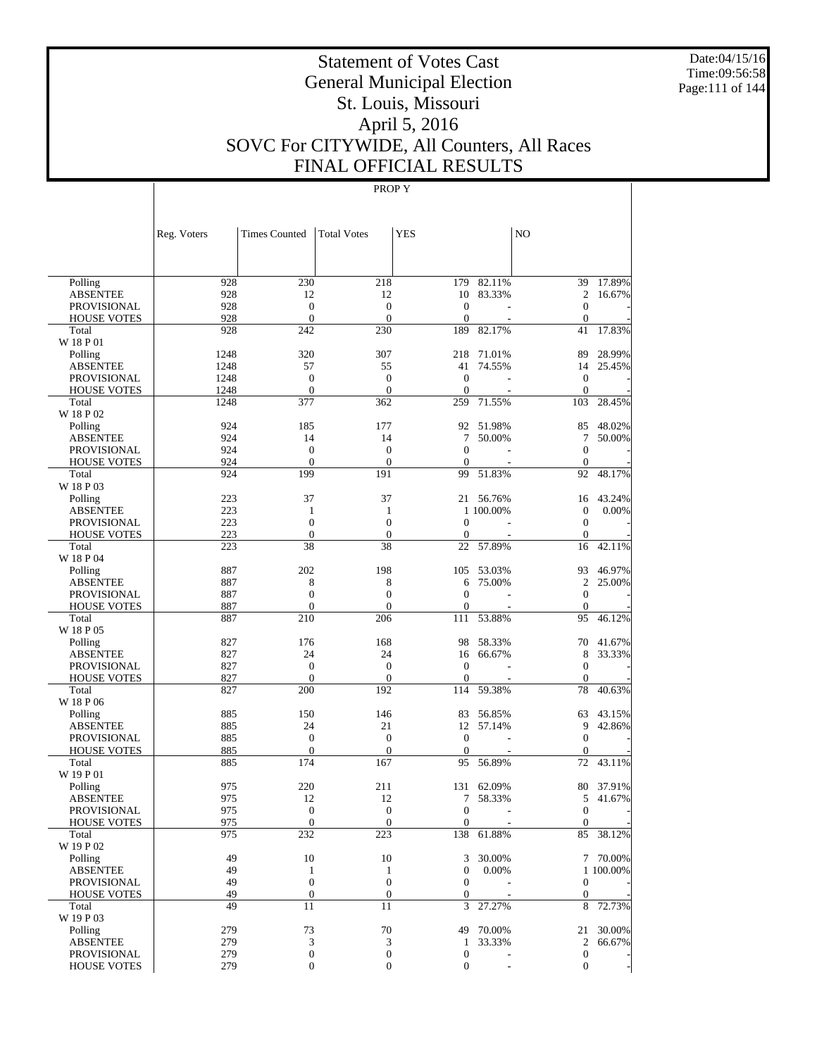Date:04/15/16 Time:09:56:58 Page:111 of 144

# Statement of Votes Cast General Municipal Election St. Louis, Missouri April 5, 2016 SOVC For CITYWIDE, All Counters, All Races FINAL OFFICIAL RESULTS

|                                       | Reg. Voters | <b>Times Counted</b>           | <b>Total Votes</b>               | <b>YES</b>               |            | NO                         |           |
|---------------------------------------|-------------|--------------------------------|----------------------------------|--------------------------|------------|----------------------------|-----------|
|                                       |             |                                |                                  |                          |            |                            |           |
| Polling                               | 928         | 230                            | 218                              | 179                      | 82.11%     | 39                         | 17.89%    |
| <b>ABSENTEE</b><br><b>PROVISIONAL</b> | 928<br>928  | 12<br>$\mathbf{0}$             | 12<br>$\overline{0}$             | 10<br>$\mathbf{0}$       | 83.33%     | $\overline{c}$<br>$\theta$ | 16.67%    |
| <b>HOUSE VOTES</b>                    | 928         | $\mathbf{0}$                   | $\overline{0}$                   | $\mathbf{0}$             |            | $\theta$                   |           |
| Total                                 | 928         | 242                            | 230                              | 189                      | 82.17%     | 41                         | 17.83%    |
| W 18 P 01                             |             |                                |                                  |                          |            |                            |           |
| Polling                               | 1248        | 320                            | 307                              | 218                      | 71.01%     | 89                         | 28.99%    |
| <b>ABSENTEE</b>                       | 1248        | 57                             | 55                               | 41                       | 74.55%     | 14                         | 25.45%    |
| <b>PROVISIONAL</b>                    | 1248        | $\overline{0}$                 | $\overline{0}$                   | $\mathbf{0}$             |            | $\mathbf{0}$               |           |
| <b>HOUSE VOTES</b>                    | 1248        | $\overline{0}$                 | $\mathbf{0}$                     | $\mathbf{0}$             |            | $\mathbf{0}$               |           |
| Total<br>W 18 P 02                    | 1248        | 377                            | 362                              | 259                      | 71.55%     | 103                        | 28.45%    |
| Polling                               | 924         | 185                            | 177                              | 92                       | 51.98%     | 85                         | 48.02%    |
| <b>ABSENTEE</b>                       | 924         | 14                             | 14                               | 7                        | 50.00%     | 7                          | 50.00%    |
| <b>PROVISIONAL</b>                    | 924         | $\mathbf{0}$                   | $\overline{0}$                   | $\mathbf{0}$             |            | $\theta$                   |           |
| <b>HOUSE VOTES</b>                    | 924         | $\overline{0}$                 | $\overline{0}$                   | $\mathbf{0}$             |            | $\mathbf{0}$               |           |
| Total                                 | 924         | 199                            | 191                              | 99                       | 51.83%     | 92                         | 48.17%    |
| W 18 P 03                             |             |                                |                                  |                          |            |                            |           |
| Polling                               | 223         | 37                             | 37                               | 21                       | 56.76%     | 16                         | 43.24%    |
| <b>ABSENTEE</b>                       | 223         | 1                              | 1                                |                          | 1 100.00%  | $\mathbf{0}$               | 0.00%     |
| <b>PROVISIONAL</b>                    | 223<br>223  | $\overline{0}$<br>$\mathbf{0}$ | $\overline{0}$<br>$\overline{0}$ | $\theta$<br>$\mathbf{0}$ |            | $\theta$<br>$\mathbf{0}$   |           |
| <b>HOUSE VOTES</b><br>Total           | 223         | 38                             | 38                               | 22                       | 57.89%     | 16                         | 42.11%    |
| W 18 P 04                             |             |                                |                                  |                          |            |                            |           |
| Polling                               | 887         | 202                            | 198                              | 105                      | 53.03%     | 93                         | 46.97%    |
| <b>ABSENTEE</b>                       | 887         | 8                              | 8                                | 6                        | 75.00%     | $\overline{c}$             | 25.00%    |
| <b>PROVISIONAL</b>                    | 887         | $\overline{0}$                 | $\overline{0}$                   | $\mathbf{0}$             |            | $\theta$                   |           |
| <b>HOUSE VOTES</b>                    | 887         | $\overline{0}$                 | $\overline{0}$                   | $\boldsymbol{0}$         |            | $\mathbf{0}$               |           |
| Total                                 | 887         | 210                            | 206                              | 111                      | 53.88%     | 95                         | 46.12%    |
| W 18 P 05                             |             |                                |                                  |                          |            |                            |           |
| Polling                               | 827         | 176<br>24                      | 168<br>24                        | 98                       | 58.33%     | 70                         | 41.67%    |
| <b>ABSENTEE</b><br><b>PROVISIONAL</b> | 827<br>827  | $\overline{0}$                 | $\overline{0}$                   | 16<br>$\theta$           | 66.67%     | 8<br>$\mathbf{0}$          | 33.33%    |
| <b>HOUSE VOTES</b>                    | 827         | $\mathbf{0}$                   | $\theta$                         | $\mathbf{0}$             |            | $\mathbf{0}$               |           |
| Total                                 | 827         | 200                            | 192                              | 114                      | 59.38%     | 78                         | 40.63%    |
| W 18 P 06                             |             |                                |                                  |                          |            |                            |           |
| Polling                               | 885         | 150                            | 146                              | 83                       | 56.85%     | 63                         | 43.15%    |
| <b>ABSENTEE</b>                       | 885         | 24                             | 21                               | 12                       | 57.14%     | 9                          | 42.86%    |
| <b>PROVISIONAL</b>                    | 885         | $\overline{0}$                 | $\overline{0}$                   | $\theta$                 |            | $\theta$                   |           |
| <b>HOUSE VOTES</b>                    | 885         | $\mathbf{0}$                   | $\overline{0}$                   | $\mathbf{0}$             |            | $\mathbf{0}$               |           |
| Total<br>W 19 P 01                    | 885         | 174                            | 167                              | 95                       | 56.89%     | 72                         | 43.11%    |
| Polling                               | 975         | 220                            | 211                              |                          | 131 62.09% | 80                         | 37.91%    |
| <b>ABSENTEE</b>                       | 975         | 12                             | 12                               | 7                        | 58.33%     | 5                          | 41.67%    |
| PROVISIONAL                           | 975         | $\mathbf{0}$                   | $\overline{0}$                   | $\overline{0}$           |            | $\mathbf{0}$               |           |
| <b>HOUSE VOTES</b>                    | 975         | $\mathbf{0}$                   | $\mathbf{0}$                     | $\mathbf{0}$             |            | $\mathbf{0}$               |           |
| Total                                 | 975         | 232                            | 223                              | 138                      | 61.88%     |                            | 85 38.12% |
| W 19 P 02                             |             |                                |                                  |                          |            |                            |           |
| Polling                               | 49          | 10                             | 10                               | 3                        | 30.00%     |                            | 7 70.00%  |
| <b>ABSENTEE</b>                       | 49          | $\mathbf{1}$                   | $\mathbf{1}$                     | $\mathbf{0}$             | 0.00%      |                            | 1 100.00% |
| <b>PROVISIONAL</b>                    | 49          | $\mathbf{0}$                   | $\boldsymbol{0}$                 | $\mathbf{0}$             |            | $\boldsymbol{0}$           |           |
| <b>HOUSE VOTES</b><br>Total           | 49<br>49    | $\mathbf{0}$<br>11             | $\boldsymbol{0}$<br>11           | $\boldsymbol{0}$<br>3    | 27.27%     | $\mathbf{0}$<br>8          | 72.73%    |
| W 19 P 03                             |             |                                |                                  |                          |            |                            |           |
| Polling                               | 279         | 73                             | 70                               | 49                       | 70.00%     |                            | 21 30.00% |
| <b>ABSENTEE</b>                       | 279         | 3                              | 3                                | $\mathbf{1}$             | 33.33%     | 2                          | 66.67%    |
| <b>PROVISIONAL</b>                    | 279         | $\boldsymbol{0}$               | $\boldsymbol{0}$                 | $\boldsymbol{0}$         |            | $\boldsymbol{0}$           |           |
| <b>HOUSE VOTES</b>                    | 279         | $\boldsymbol{0}$               | $\boldsymbol{0}$                 | $\boldsymbol{0}$         |            | $\mathbf{0}$               |           |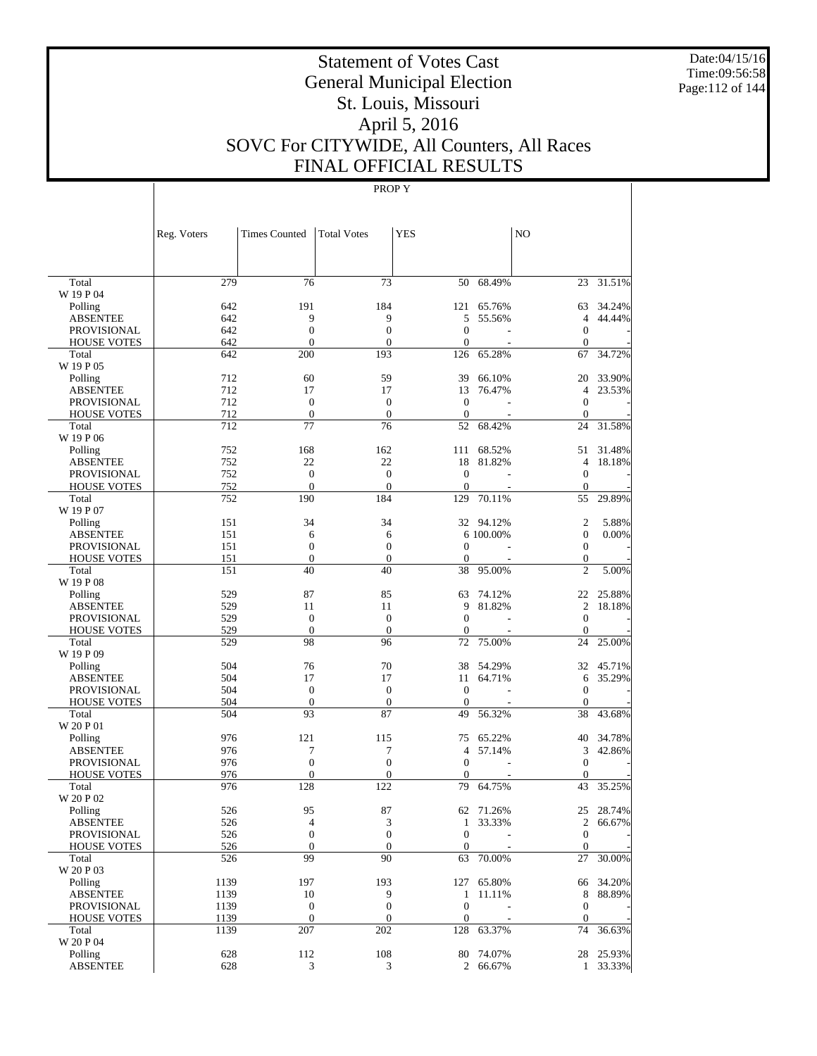Date:04/15/16 Time:09:56:58 Page:112 of 144

# Statement of Votes Cast General Municipal Election St. Louis, Missouri April 5, 2016 SOVC For CITYWIDE, All Counters, All Races FINAL OFFICIAL RESULTS

|                             | Reg. Voters | <b>Times Counted</b>   | <b>Total Votes</b>   | <b>YES</b>         |            | N <sub>O</sub>     |           |
|-----------------------------|-------------|------------------------|----------------------|--------------------|------------|--------------------|-----------|
| Total                       | 279         | 76                     | 73                   | 50                 | 68.49%     | 23                 | 31.51%    |
| W 19 P 04                   |             |                        |                      |                    |            |                    |           |
| Polling                     | 642         | 191                    | 184                  | 121                | 65.76%     | 63                 | 34.24%    |
| <b>ABSENTEE</b>             | 642         | 9                      | 9                    | 5                  | 55.56%     | $\overline{4}$     | 44.44%    |
| <b>PROVISIONAL</b>          | 642         | $\boldsymbol{0}$       | $\mathbf{0}$         | $\mathbf{0}$       | L,         | $\mathbf{0}$       |           |
| <b>HOUSE VOTES</b>          | 642         | $\mathbf{0}$           | $\overline{0}$       | $\mathbf{0}$       |            | $\mathbf{0}$       |           |
| Total                       | 642         | 200                    | 193                  | 126                | 65.28%     | 67                 | 34.72%    |
| W 19 P 05                   |             |                        |                      |                    |            |                    |           |
| Polling                     | 712         | 60                     | 59                   | 39                 | 66.10%     | 20                 | 33.90%    |
| <b>ABSENTEE</b>             | 712         | 17                     | 17                   | 13                 | 76.47%     | $\overline{4}$     | 23.53%    |
| <b>PROVISIONAL</b>          | 712         | $\mathbf{0}$           | $\theta$             | $\theta$           |            | $\mathbf{0}$       |           |
| <b>HOUSE VOTES</b><br>Total | 712<br>712  | $\boldsymbol{0}$<br>77 | $\overline{0}$<br>76 | $\mathbf{0}$<br>52 | 68.42%     | $\mathbf{0}$<br>24 | 31.58%    |
| W 19 P 06                   |             |                        |                      |                    |            |                    |           |
| Polling                     | 752         | 168                    | 162                  | 111                | 68.52%     | 51                 | 31.48%    |
| <b>ABSENTEE</b>             | 752         | 22                     | 22                   | 18                 | 81.82%     | $\overline{4}$     | 18.18%    |
| <b>PROVISIONAL</b>          | 752         | $\boldsymbol{0}$       | $\mathbf{0}$         | $\theta$           | L,         | $\mathbf{0}$       |           |
| <b>HOUSE VOTES</b>          | 752         | $\mathbf{0}$           | $\overline{0}$       | $\theta$           |            | $\mathbf{0}$       |           |
| Total<br>W 19 P 07          | 752         | 190                    | 184                  | 129                | 70.11%     | 55                 | 29.89%    |
| Polling                     | 151         | 34                     | 34                   |                    | 32 94.12%  | $\overline{2}$     | 5.88%     |
| <b>ABSENTEE</b>             | 151         | 6                      | 6                    |                    | 6 100.00%  | $\mathbf{0}$       | 0.00%     |
| <b>PROVISIONAL</b>          | 151         | $\mathbf{0}$           | $\theta$             | $\theta$           |            | $\mathbf{0}$       |           |
| <b>HOUSE VOTES</b>          | 151         | $\mathbf{0}$           | $\mathbf{0}$         | $\mathbf{0}$       |            | $\mathbf{0}$       |           |
| Total                       | 151         | 40                     | 40                   | 38                 | 95.00%     | $\overline{c}$     | 5.00%     |
| W 19 P 08                   |             |                        |                      |                    |            |                    |           |
| Polling                     | 529         | 87                     | 85                   | 63                 | 74.12%     | 22                 | 25.88%    |
| <b>ABSENTEE</b>             | 529         | 11                     | 11                   | 9                  | 81.82%     | $\overline{2}$     | 18.18%    |
| <b>PROVISIONAL</b>          | 529         | $\boldsymbol{0}$       | $\overline{0}$       | $\mathbf{0}$       |            | $\mathbf{0}$       |           |
| <b>HOUSE VOTES</b>          | 529         | $\mathbf{0}$           | $\overline{0}$       | $\mathbf{0}$       |            | $\mathbf{0}$       |           |
| Total                       | 529         | 98                     | 96                   | 72                 | 75.00%     | 24                 | 25.00%    |
| W 19 P 09                   |             |                        |                      |                    |            |                    |           |
| Polling                     | 504         | 76                     | 70                   | 38                 | 54.29%     | 32                 | 45.71%    |
| <b>ABSENTEE</b>             | 504         | 17                     | 17                   | 11                 | 64.71%     | 6                  | 35.29%    |
| <b>PROVISIONAL</b>          | 504         | $\mathbf{0}$           | $\theta$             | $\theta$           |            | $\mathbf{0}$       |           |
| <b>HOUSE VOTES</b><br>Total | 504<br>504  | $\boldsymbol{0}$<br>93 | $\mathbf{0}$<br>87   | $\theta$<br>49     | 56.32%     | $\mathbf{0}$<br>38 | 43.68%    |
| W 20 P 01                   |             |                        |                      |                    |            |                    |           |
| Polling                     | 976         | 121                    | 115                  | 75                 | 65.22%     | 40                 | 34.78%    |
| <b>ABSENTEE</b>             | 976         | 7                      | 7                    | $\overline{4}$     | 57.14%     | 3                  | 42.86%    |
| <b>PROVISIONAL</b>          | 976         | $\boldsymbol{0}$       | $\mathbf{0}$         | $\mathbf{0}$       | L,         | $\mathbf{0}$       |           |
| <b>HOUSE VOTES</b>          | 976         | $\mathbf{0}$           | 0                    | 0                  |            | $\mathbf{0}$       |           |
| Total                       | 976         | 128                    | 122                  | 79                 | 64.75%     | 43                 | 35.25%    |
| W 20 P 02                   |             |                        |                      |                    |            |                    |           |
| Polling                     | 526         | 95                     | 87                   | 62                 | 71.26%     | 25                 | 28.74%    |
| <b>ABSENTEE</b>             | 526         | $\overline{4}$         | 3                    | $\mathbf{1}$       | 33.33%     |                    | 2 66.67%  |
| PROVISIONAL                 | 526         | $\boldsymbol{0}$       | $\boldsymbol{0}$     | $\mathbf{0}$       |            | $\mathbf{0}$       |           |
| <b>HOUSE VOTES</b>          | 526         | $\boldsymbol{0}$       | $\mathbf{0}$         | $\mathbf{0}$       |            | $\mathbf{0}$       |           |
| Total<br>W 20 P 03          | 526         | 99                     | 90                   | 63                 | 70.00%     | 27                 | 30.00%    |
| Polling                     | 1139        | 197                    | 193                  |                    | 127 65.80% |                    | 66 34.20% |
| <b>ABSENTEE</b>             | 1139        | 10                     | 9                    | $\mathbf{1}$       | 11.11%     | 8                  | 88.89%    |
| PROVISIONAL                 | 1139        | $\boldsymbol{0}$       | $\boldsymbol{0}$     | $\boldsymbol{0}$   |            | $\boldsymbol{0}$   |           |
| <b>HOUSE VOTES</b>          | 1139        | $\boldsymbol{0}$       | $\boldsymbol{0}$     | $\boldsymbol{0}$   |            | $\boldsymbol{0}$   |           |
| Total                       | 1139        | 207                    | 202                  | 128                | 63.37%     | 74                 | 36.63%    |
| W 20 P 04                   |             |                        |                      |                    |            |                    |           |
| Polling                     | 628         | 112                    | 108                  |                    | 80 74.07%  |                    | 28 25.93% |
| <b>ABSENTEE</b>             | 628         | 3                      | 3                    |                    | 2 66.67%   |                    | 1 33.33%  |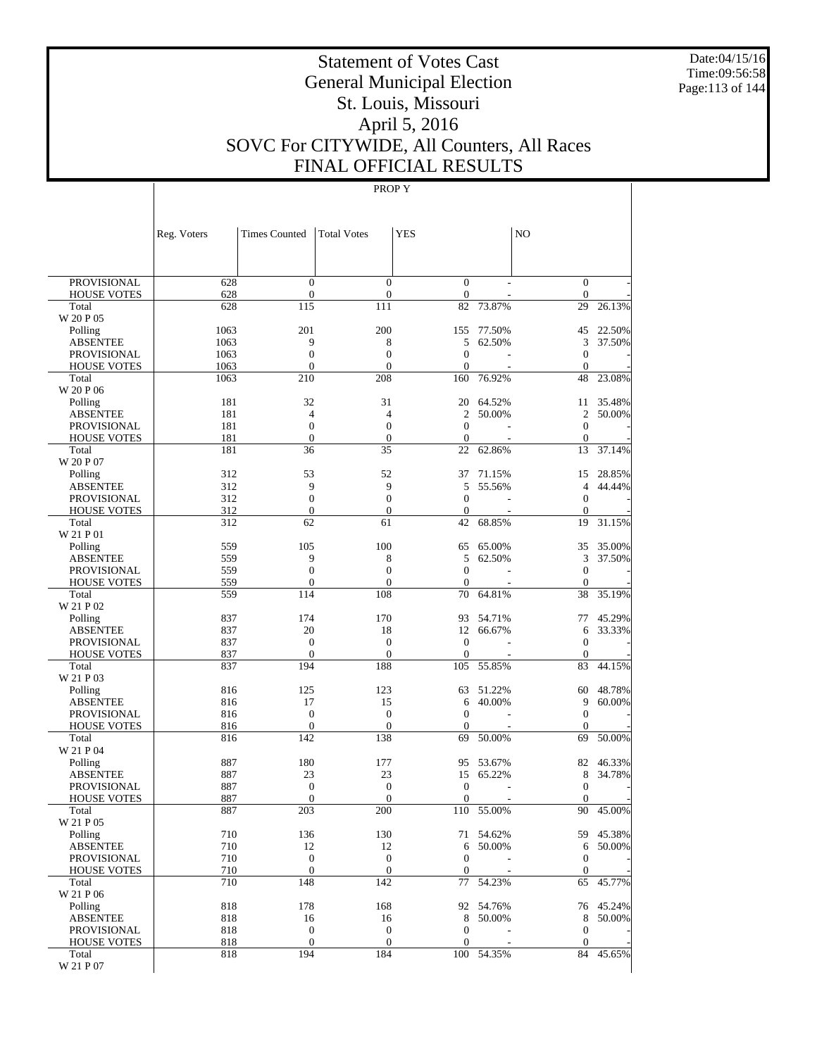Date:04/15/16 Time:09:56:58 Page:113 of 144

# Statement of Votes Cast General Municipal Election St. Louis, Missouri April 5, 2016 SOVC For CITYWIDE, All Counters, All Races FINAL OFFICIAL RESULTS

|                                          | Reg. Voters | <b>Times Counted</b>               | <b>Total Votes</b>             | <b>YES</b>                       |                  | N <sub>O</sub>                   |                  |
|------------------------------------------|-------------|------------------------------------|--------------------------------|----------------------------------|------------------|----------------------------------|------------------|
|                                          |             |                                    |                                |                                  |                  |                                  |                  |
| <b>PROVISIONAL</b>                       | 628         | $\mathbf{0}$                       | $\overline{0}$                 | $\mathbf{0}$                     |                  | $\mathbf{0}$                     |                  |
| <b>HOUSE VOTES</b>                       | 628         | $\boldsymbol{0}$                   | $\mathbf{0}$                   | $\boldsymbol{0}$                 |                  | $\mathbf{0}$                     |                  |
| Total                                    | 628         | 115                                | 111                            | 82                               | 73.87%           | 29                               | 26.13%           |
| W 20 P 05<br>Polling                     | 1063        | 201                                | 200                            | 155                              | 77.50%           | 45                               | 22.50%           |
| <b>ABSENTEE</b>                          | 1063        | 9                                  | 8                              | 5                                | 62.50%           | 3                                | 37.50%           |
| <b>PROVISIONAL</b>                       | 1063        | $\overline{0}$                     | $\overline{0}$                 | $\overline{0}$                   |                  | $\mathbf{0}$                     |                  |
| <b>HOUSE VOTES</b>                       | 1063        | $\mathbf{0}$                       | $\overline{0}$                 | $\overline{0}$                   |                  | $\mathbf{0}$                     |                  |
| Total                                    | 1063        | 210                                | 208                            | 160                              | 76.92%           | 48                               | 23.08%           |
| W 20 P 06                                |             |                                    |                                |                                  |                  |                                  |                  |
| Polling<br><b>ABSENTEE</b>               | 181<br>181  | 32<br>4                            | 31<br>$\overline{4}$           | 20<br>$\overline{2}$             | 64.52%<br>50.00% | 11<br>$\overline{c}$             | 35.48%<br>50.00% |
| <b>PROVISIONAL</b>                       | 181         | $\overline{0}$                     | $\overline{0}$                 | $\mathbf{0}$                     |                  | $\mathbf{0}$                     |                  |
| <b>HOUSE VOTES</b>                       | 181         | $\boldsymbol{0}$                   | $\theta$                       | $\mathbf{0}$                     |                  | $\mathbf{0}$                     |                  |
| Total                                    | 181         | 36                                 | 35                             | 22                               | 62.86%           | 13                               | 37.14%           |
| W 20 P 07                                |             |                                    |                                |                                  |                  |                                  |                  |
| Polling                                  | 312         | 53                                 | 52                             | 37                               | 71.15%           | 15                               | 28.85%           |
| <b>ABSENTEE</b>                          | 312         | 9                                  | 9                              | 5                                | 55.56%           | $\overline{4}$                   | 44.44%           |
| <b>PROVISIONAL</b>                       | 312<br>312  | $\overline{0}$<br>$\boldsymbol{0}$ | $\overline{0}$                 | $\overline{0}$                   |                  | $\mathbf{0}$<br>$\mathbf{0}$     |                  |
| <b>HOUSE VOTES</b><br>Total              | 312         | 62                                 | $\mathbf{0}$<br>61             | $\boldsymbol{0}$<br>42           | 68.85%           | 19                               | 31.15%           |
| W 21 P 01                                |             |                                    |                                |                                  |                  |                                  |                  |
| Polling                                  | 559         | 105                                | 100                            | 65                               | 65.00%           | 35                               | 35.00%           |
| <b>ABSENTEE</b>                          | 559         | 9                                  | 8                              | 5                                | 62.50%           | 3                                | 37.50%           |
| <b>PROVISIONAL</b>                       | 559         | $\overline{0}$                     | $\overline{0}$                 | $\overline{0}$                   |                  | $\mathbf{0}$                     |                  |
| <b>HOUSE VOTES</b>                       | 559         | $\mathbf{0}$                       | $\overline{0}$                 | $\mathbf{0}$                     |                  | $\mathbf{0}$                     |                  |
| Total<br>W 21 P 02                       | 559         | 114                                | 108                            | 70                               | 64.81%           | 38                               | 35.19%           |
| Polling                                  | 837         | 174                                | 170                            | 93                               | 54.71%           | 77                               | 45.29%           |
| <b>ABSENTEE</b>                          | 837         | 20                                 | 18                             | 12                               | 66.67%           | 6                                | 33.33%           |
| <b>PROVISIONAL</b>                       | 837         | $\mathbf{0}$                       | $\overline{0}$                 | $\overline{0}$                   |                  | $\boldsymbol{0}$                 |                  |
| <b>HOUSE VOTES</b>                       | 837         | $\overline{0}$                     | $\overline{0}$                 | $\boldsymbol{0}$                 |                  | $\mathbf{0}$                     |                  |
| Total                                    | 837         | 194                                | 188                            | 105                              | 55.85%           | 83                               | 44.15%           |
| W 21 P 03                                |             |                                    |                                |                                  |                  |                                  |                  |
| Polling<br><b>ABSENTEE</b>               | 816<br>816  | 125<br>17                          | 123<br>15                      | 63<br>6                          | 51.22%<br>40.00% | 60<br>9                          | 48.78%<br>60.00% |
| <b>PROVISIONAL</b>                       | 816         | $\mathbf{0}$                       | $\overline{0}$                 | $\overline{0}$                   |                  | $\mathbf{0}$                     |                  |
| <b>HOUSE VOTES</b>                       | 816         | $\mathbf{0}$                       | $\theta$                       | $\mathbf{0}$                     |                  | $\mathbf{0}$                     |                  |
| Total                                    | 816         | 142                                | 138                            | 69                               | 50.00%           | 69                               | 50.00%           |
| W 21 P 04                                |             |                                    |                                |                                  |                  |                                  |                  |
| Polling                                  | 887         | 180                                | 177                            | 95                               | 53.67%           | 82                               | 46.33%           |
| <b>ABSENTEE</b>                          | 887         | 23                                 | 23                             | 15                               | 65.22%           | 8                                | 34.78%           |
| <b>PROVISIONAL</b><br><b>HOUSE VOTES</b> | 887<br>887  | $\overline{0}$<br>$\overline{0}$   | $\mathbf{0}$<br>$\overline{0}$ | $\mathbf{0}$<br>$\boldsymbol{0}$ |                  | $\boldsymbol{0}$<br>$\mathbf{0}$ |                  |
| Total                                    | 887         | 203                                | 200                            | 110                              | 55.00%           | 90                               | 45.00%           |
| W 21 P 05                                |             |                                    |                                |                                  |                  |                                  |                  |
| Polling                                  | 710         | 136                                | 130                            |                                  | 71 54.62%        |                                  | 59 45.38%        |
| <b>ABSENTEE</b>                          | 710         | 12                                 | 12                             | 6                                | 50.00%           | 6                                | 50.00%           |
| <b>PROVISIONAL</b>                       | 710         | $\mathbf{0}$                       | $\mathbf{0}$                   | $\mathbf{0}$                     |                  | $\mathbf{0}$                     |                  |
| <b>HOUSE VOTES</b>                       | 710         | $\boldsymbol{0}$                   | $\mathbf{0}$                   | $\boldsymbol{0}$                 |                  | $\mathbf{0}$                     |                  |
| Total<br>W 21 P 06                       | 710         | 148                                | 142                            | 77                               | 54.23%           | 65                               | 45.77%           |
| Polling                                  | 818         | 178                                | 168                            |                                  | 92 54.76%        |                                  | 76 45.24%        |
| <b>ABSENTEE</b>                          | 818         | 16                                 | 16                             | 8                                | 50.00%           | 8                                | 50.00%           |
| PROVISIONAL                              | 818         | $\mathbf{0}$                       | $\mathbf{0}$                   | $\mathbf{0}$                     |                  | $\mathbf{0}$                     |                  |
| <b>HOUSE VOTES</b>                       | 818         | $\boldsymbol{0}$                   | $\mathbf{0}$                   | $\boldsymbol{0}$                 |                  | $\mathbf{0}$                     |                  |
| Total<br>W 21 P 07                       | 818         | 194                                | 184                            |                                  | 100 54.35%       | 84                               | 45.65%           |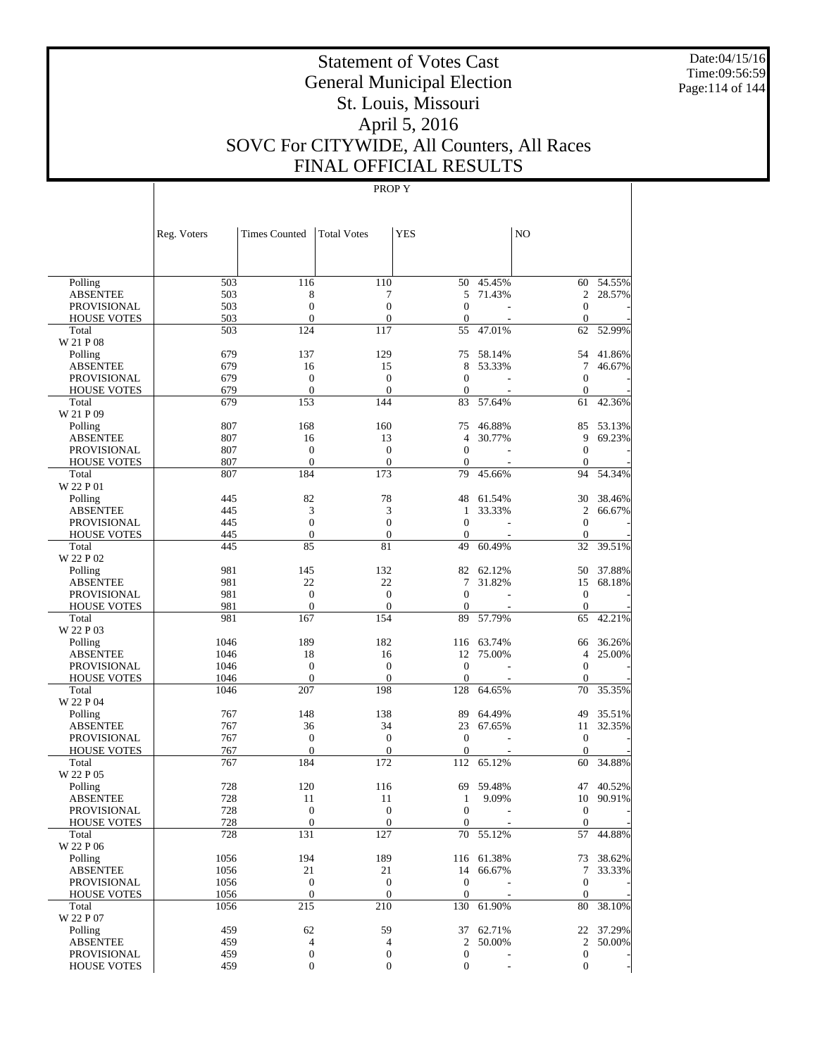Date:04/15/16 Time:09:56:59 Page:114 of 144

# Statement of Votes Cast General Municipal Election St. Louis, Missouri April 5, 2016 SOVC For CITYWIDE, All Counters, All Races FINAL OFFICIAL RESULTS

|                             | Reg. Voters  | <b>Times Counted</b>             | <b>Total Votes</b>           | <b>YES</b>                   |                      | N <sub>O</sub>           |           |
|-----------------------------|--------------|----------------------------------|------------------------------|------------------------------|----------------------|--------------------------|-----------|
|                             |              |                                  |                              |                              |                      |                          |           |
| Polling                     | 503          | 116                              | 110                          | 50                           | 45.45%               |                          | 60 54.55% |
| <b>ABSENTEE</b>             | 503          | 8                                | 7                            | 5                            | 71.43%               | $\overline{c}$           | 28.57%    |
| PROVISIONAL                 | 503          | $\overline{0}$                   | $\overline{0}$               | $\mathbf{0}$                 |                      | $\theta$                 |           |
| <b>HOUSE VOTES</b>          | 503          | $\overline{0}$                   | $\mathbf{0}$                 | $\mathbf{0}$                 |                      | $\mathbf{0}$             |           |
| Total                       | 503          | 124                              | 117                          | 55                           | 47.01%               | 62                       | 52.99%    |
| W 21 P 08                   |              |                                  |                              |                              |                      |                          |           |
| Polling                     | 679          | 137                              | 129                          | 75                           | 58.14%               | 54                       | 41.86%    |
| <b>ABSENTEE</b>             | 679          | 16                               | 15                           | 8                            | 53.33%               | 7                        | 46.67%    |
| <b>PROVISIONAL</b>          | 679          | $\overline{0}$                   | $\overline{0}$               | $\mathbf{0}$                 |                      | $\theta$                 |           |
| <b>HOUSE VOTES</b>          | 679          | $\overline{0}$                   | $\overline{0}$               | $\mathbf{0}$                 |                      | $\mathbf{0}$             |           |
| Total                       | 679          | 153                              | 144                          | 83                           | 57.64%               | 61                       | 42.36%    |
| W 21 P 09                   |              |                                  |                              |                              |                      |                          |           |
| Polling                     | 807          | 168                              | 160                          | 75                           | 46.88%               | 85                       | 53.13%    |
| <b>ABSENTEE</b>             | 807          | 16                               | 13                           | 4                            | 30.77%               | 9                        | 69.23%    |
| PROVISIONAL                 | 807<br>807   | $\overline{0}$<br>$\overline{0}$ | $\mathbf{0}$<br>$\mathbf{0}$ | $\mathbf{0}$<br>$\mathbf{0}$ |                      | $\theta$<br>$\mathbf{0}$ |           |
| <b>HOUSE VOTES</b><br>Total | 807          | 184                              | 173                          | 79                           | 45.66%               | 94                       | 54.34%    |
| W 22 P 01                   |              |                                  |                              |                              |                      |                          |           |
| Polling                     | 445          | 82                               | 78                           | 48                           | 61.54%               | 30                       | 38.46%    |
| <b>ABSENTEE</b>             | 445          | 3                                | 3                            | 1                            | 33.33%               | $\overline{c}$           | 66.67%    |
| <b>PROVISIONAL</b>          | 445          | $\overline{0}$                   | $\overline{0}$               | $\mathbf{0}$                 |                      | $\theta$                 |           |
| <b>HOUSE VOTES</b>          | 445          | $\overline{0}$                   | $\mathbf{0}$                 | $\mathbf{0}$                 |                      | $\mathbf{0}$             |           |
| Total                       | 445          | 85                               | 81                           | 49                           | 60.49%               | 32                       | 39.51%    |
| W 22 P 02                   |              |                                  |                              |                              |                      |                          |           |
| Polling                     | 981          | 145                              | 132                          | 82                           | 62.12%               | 50                       | 37.88%    |
| <b>ABSENTEE</b>             | 981          | 22                               | 22                           | 7                            | 31.82%               | 15                       | 68.18%    |
| <b>PROVISIONAL</b>          | 981          | $\overline{0}$                   | $\overline{0}$               | $\mathbf{0}$                 |                      | $\theta$                 |           |
| <b>HOUSE VOTES</b>          | 981          | $\overline{0}$                   | $\mathbf{0}$                 | $\boldsymbol{0}$             |                      | $\theta$                 |           |
| Total                       | 981          | 167                              | 154                          | 89                           | 57.79%               | 65                       | 42.21%    |
| W 22 P 03                   |              |                                  |                              |                              |                      |                          |           |
| Polling                     | 1046         | 189                              | 182                          | 116                          | 63.74%               | 66                       | 36.26%    |
| <b>ABSENTEE</b>             | 1046         | 18                               | 16                           | 12                           | 75.00%               | $\overline{4}$           | 25.00%    |
| <b>PROVISIONAL</b>          | 1046         | $\overline{0}$                   | $\overline{0}$               | $\boldsymbol{0}$             |                      | $\theta$                 |           |
| <b>HOUSE VOTES</b>          | 1046         | $\mathbf{0}$                     | $\mathbf{0}$                 | $\mathbf{0}$                 |                      | $\mathbf{0}$             |           |
| Total                       | 1046         | 207                              | 198                          | 128                          | 64.65%               | 70                       | 35.35%    |
| W 22 P 04                   |              |                                  |                              |                              |                      |                          |           |
| Polling                     | 767          | 148                              | 138                          | 89                           | 64.49%               | 49                       | 35.51%    |
| <b>ABSENTEE</b>             | 767          | 36                               | 34                           | 23                           | 67.65%               | 11                       | 32.35%    |
| <b>PROVISIONAL</b>          | 767          | $\overline{0}$                   | $\mathbf{0}$                 | $\mathbf{0}$                 |                      | $\theta$                 |           |
| <b>HOUSE VOTES</b>          | 767          | $\overline{0}$                   | $\mathbf{0}$                 | $\mathbf{0}$                 |                      | $\theta$                 |           |
| Total                       | 767          | 184                              | 172                          | 112                          | 65.12%               | 60                       | 34.88%    |
| W 22 P 05                   |              |                                  |                              |                              |                      |                          |           |
| Polling                     | 728          | 120                              | 116                          | 69                           | 59.48%               | 47                       | 40.52%    |
| <b>ABSENTEE</b>             | 728          | 11                               | 11                           | $\mathbf{1}$                 | 9.09%                | 10                       | 90.91%    |
| <b>PROVISIONAL</b>          | 728          | $\theta$                         | $\overline{0}$               | $\boldsymbol{0}$             |                      | $\boldsymbol{0}$         |           |
| <b>HOUSE VOTES</b>          | 728          | $\boldsymbol{0}$                 | $\boldsymbol{0}$             | $\mathbf{0}$                 |                      | $\mathbf{0}$             |           |
| Total                       | 728          | 131                              | 127                          |                              | 70 55.12%            |                          | 57 44.88% |
| W 22 P 06                   |              |                                  |                              |                              |                      |                          |           |
| Polling<br><b>ABSENTEE</b>  | 1056         | 194<br>21                        | 189<br>21                    | 14                           | 116 61.38%<br>66.67% |                          | 73 38.62% |
| PROVISIONAL                 | 1056<br>1056 | $\mathbf{0}$                     | $\boldsymbol{0}$             | $\mathbf{0}$                 |                      | 7<br>$\theta$            | 33.33%    |
| <b>HOUSE VOTES</b>          | 1056         | $\mathbf{0}$                     | $\boldsymbol{0}$             | $\mathbf{0}$                 |                      | $\mathbf{0}$             |           |
| Total                       | 1056         | 215                              | 210                          |                              | 130 61.90%           |                          | 80 38.10% |
| W 22 P 07                   |              |                                  |                              |                              |                      |                          |           |
| Polling                     | 459          | 62                               | 59                           |                              | 37 62.71%            |                          | 22 37.29% |
| <b>ABSENTEE</b>             | 459          | 4                                | $\overline{4}$               | $\mathbf{2}$                 | 50.00%               | $\overline{2}$           | 50.00%    |
| PROVISIONAL                 | 459          | $\boldsymbol{0}$                 | $\boldsymbol{0}$             | $\boldsymbol{0}$             |                      | $\boldsymbol{0}$         |           |
| <b>HOUSE VOTES</b>          | 459          | $\boldsymbol{0}$                 | $\boldsymbol{0}$             | $\boldsymbol{0}$             |                      | $\overline{0}$           |           |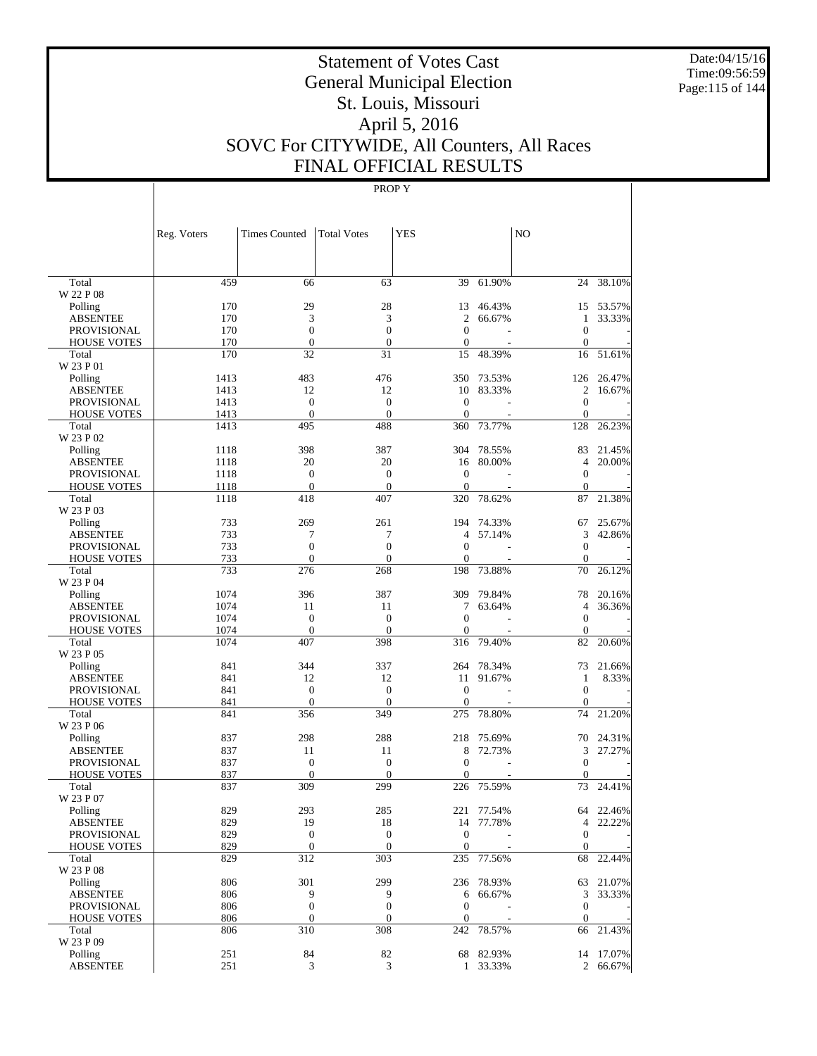Date:04/15/16 Time:09:56:59 Page:115 of 144

# Statement of Votes Cast General Municipal Election St. Louis, Missouri April 5, 2016 SOVC For CITYWIDE, All Counters, All Races FINAL OFFICIAL RESULTS

|                                          | Reg. Voters  | <b>Times Counted</b>                 | <b>Total Votes</b>           | <b>YES</b>           |            | NO                           |           |
|------------------------------------------|--------------|--------------------------------------|------------------------------|----------------------|------------|------------------------------|-----------|
|                                          |              |                                      |                              |                      |            |                              |           |
| Total                                    | 459          | 66                                   | 63                           | 39                   | 61.90%     | 24                           | 38.10%    |
| W 22 P 08                                |              |                                      |                              |                      |            |                              |           |
| Polling                                  | 170          | 29                                   | 28                           | 13                   | 46.43%     | 15                           | 53.57%    |
| <b>ABSENTEE</b>                          | 170          | 3                                    | 3                            | 2                    | 66.67%     | 1                            | 33.33%    |
| <b>PROVISIONAL</b>                       | 170<br>170   | $\boldsymbol{0}$<br>$\boldsymbol{0}$ | $\overline{0}$               | $\theta$<br>$\theta$ |            | $\mathbf{0}$<br>$\mathbf{0}$ |           |
| <b>HOUSE VOTES</b><br>Total              | 170          | 32                                   | $\mathbf{0}$<br>31           | 15                   | 48.39%     | 16                           | 51.61%    |
| W 23 P 01                                |              |                                      |                              |                      |            |                              |           |
| Polling                                  | 1413         | 483                                  | 476                          | 350                  | 73.53%     | 126                          | 26.47%    |
| ABSENTEE                                 | 1413         | 12                                   | 12                           | 10                   | 83.33%     | 2                            | 16.67%    |
| <b>PROVISIONAL</b>                       | 1413         | $\mathbf{0}$                         | $\boldsymbol{0}$             | $\theta$             |            | $\mathbf{0}$                 |           |
| <b>HOUSE VOTES</b>                       | 1413         | $\mathbf{0}$                         | $\theta$                     | $\theta$             |            | $\mathbf{0}$                 |           |
| Total                                    | 1413         | 495                                  | 488                          | 360                  | 73.77%     | 128                          | 26.23%    |
| W 23 P 02                                |              |                                      |                              |                      |            |                              |           |
| Polling                                  | 1118         | 398                                  | 387                          | 304                  | 78.55%     | 83                           | 21.45%    |
| <b>ABSENTEE</b>                          | 1118         | 20                                   | 20                           | 16                   | 80.00%     | $\overline{4}$               | 20.00%    |
| <b>PROVISIONAL</b>                       | 1118         | $\boldsymbol{0}$                     | $\boldsymbol{0}$             | $\mathbf{0}$         |            | $\mathbf{0}$                 |           |
| <b>HOUSE VOTES</b><br>Total              | 1118<br>1118 | $\mathbf{0}$<br>418                  | $\theta$<br>407              | $\theta$<br>320      | 78.62%     | $\mathbf{0}$<br>87           | 21.38%    |
| W 23 P 03                                |              |                                      |                              |                      |            |                              |           |
| Polling                                  | 733          | 269                                  | 261                          | 194                  | 74.33%     | 67                           | 25.67%    |
| ABSENTEE                                 | 733          | 7                                    | 7                            | $\overline{4}$       | 57.14%     | 3                            | 42.86%    |
| <b>PROVISIONAL</b>                       | 733          | $\overline{0}$                       | $\overline{0}$               | $\mathbf{0}$         |            | $\mathbf{0}$                 |           |
| <b>HOUSE VOTES</b>                       | 733          | $\mathbf{0}$                         | $\theta$                     | $\mathbf{0}$         |            | $\mathbf{0}$                 |           |
| Total                                    | 733          | 276                                  | 268                          | 198                  | 73.88%     | 70                           | 26.12%    |
| W 23 P 04                                |              |                                      |                              |                      |            |                              |           |
| Polling                                  | 1074         | 396                                  | 387                          | 309                  | 79.84%     | 78                           | 20.16%    |
| <b>ABSENTEE</b>                          | 1074         | 11                                   | 11                           | 7                    | 63.64%     | 4                            | 36.36%    |
| <b>PROVISIONAL</b>                       | 1074         | $\boldsymbol{0}$                     | $\boldsymbol{0}$             | $\mathbf{0}$         |            | $\mathbf{0}$                 |           |
| <b>HOUSE VOTES</b>                       | 1074         | $\mathbf{0}$                         | $\theta$                     | $\mathbf{0}$         |            | $\mathbf{0}$                 |           |
| Total                                    | 1074         | 407                                  | 398                          | 316                  | 79.40%     | 82                           | 20.60%    |
| W 23 P 05                                |              |                                      |                              |                      |            |                              |           |
| Polling                                  | 841          | 344                                  | 337                          | 264                  | 78.34%     | 73                           | 21.66%    |
| ABSENTEE                                 | 841          | 12                                   | 12                           | 11                   | 91.67%     | 1                            | 8.33%     |
| <b>PROVISIONAL</b><br><b>HOUSE VOTES</b> | 841<br>841   | $\mathbf{0}$<br>$\mathbf{0}$         | $\boldsymbol{0}$<br>$\theta$ | $\theta$<br>$\theta$ |            | $\mathbf{0}$<br>$\mathbf{0}$ |           |
| Total                                    | 841          | 356                                  | 349                          | 275                  | 78.80%     | 74                           | 21.20%    |
| W 23 P 06                                |              |                                      |                              |                      |            |                              |           |
| Polling                                  | 837          | 298                                  | 288                          | 218                  | 75.69%     | 70                           | 24.31%    |
| <b>ABSENTEE</b>                          | 837          | 11                                   | 11                           | 8                    | 72.73%     | 3                            | 27.27%    |
| <b>PROVISIONAL</b>                       | 837          | $\boldsymbol{0}$                     | $\boldsymbol{0}$             | $\mathbf{0}$         |            | $\mathbf{0}$                 |           |
| <b>HOUSE VOTES</b>                       | 837          | $\mathbf{0}$                         | $\theta$                     | $\mathbf{0}$         |            | $\Omega$                     |           |
| Total                                    | 837          | 309                                  | 299                          | 226                  | 75.59%     | 73                           | 24.41%    |
| W 23 P 07                                |              |                                      |                              |                      |            |                              |           |
| Polling                                  | 829          | 293                                  | 285                          | 221                  | 77.54%     |                              | 64 22.46% |
| ABSENTEE                                 | 829          | 19                                   | 18                           |                      | 14 77.78%  | 4                            | 22.22%    |
| <b>PROVISIONAL</b>                       | 829          | $\boldsymbol{0}$                     | $\mathbf{0}$                 | $\boldsymbol{0}$     |            | $\mathbf{0}$                 |           |
| <b>HOUSE VOTES</b>                       | 829          | $\boldsymbol{0}$                     | $\mathbf{0}$                 | $\mathbf{0}$         |            | $\mathbf{0}$                 |           |
| Total<br>W 23 P 08                       | 829          | 312                                  | 303                          | 235                  | 77.56%     | 68                           | 22.44%    |
| Polling                                  | 806          | 301                                  | 299                          |                      | 236 78.93% | 63                           | 21.07%    |
| <b>ABSENTEE</b>                          | 806          | 9                                    | 9                            | 6                    | 66.67%     | 3                            | 33.33%    |
| PROVISIONAL                              | 806          | $\boldsymbol{0}$                     | $\boldsymbol{0}$             | $\boldsymbol{0}$     |            | $\boldsymbol{0}$             |           |
| <b>HOUSE VOTES</b>                       | 806          | $\boldsymbol{0}$                     | $\mathbf{0}$                 | $\boldsymbol{0}$     |            | $\mathbf{0}$                 |           |
| Total                                    | 806          | 310                                  | 308                          | 242                  | 78.57%     | 66                           | 21.43%    |
| W 23 P 09                                |              |                                      |                              |                      |            |                              |           |
| Polling                                  | 251          | 84                                   | 82                           |                      | 68 82.93%  |                              | 14 17.07% |
| <b>ABSENTEE</b>                          | 251          | 3                                    | 3                            |                      | 1 33.33%   |                              | 2 66.67%  |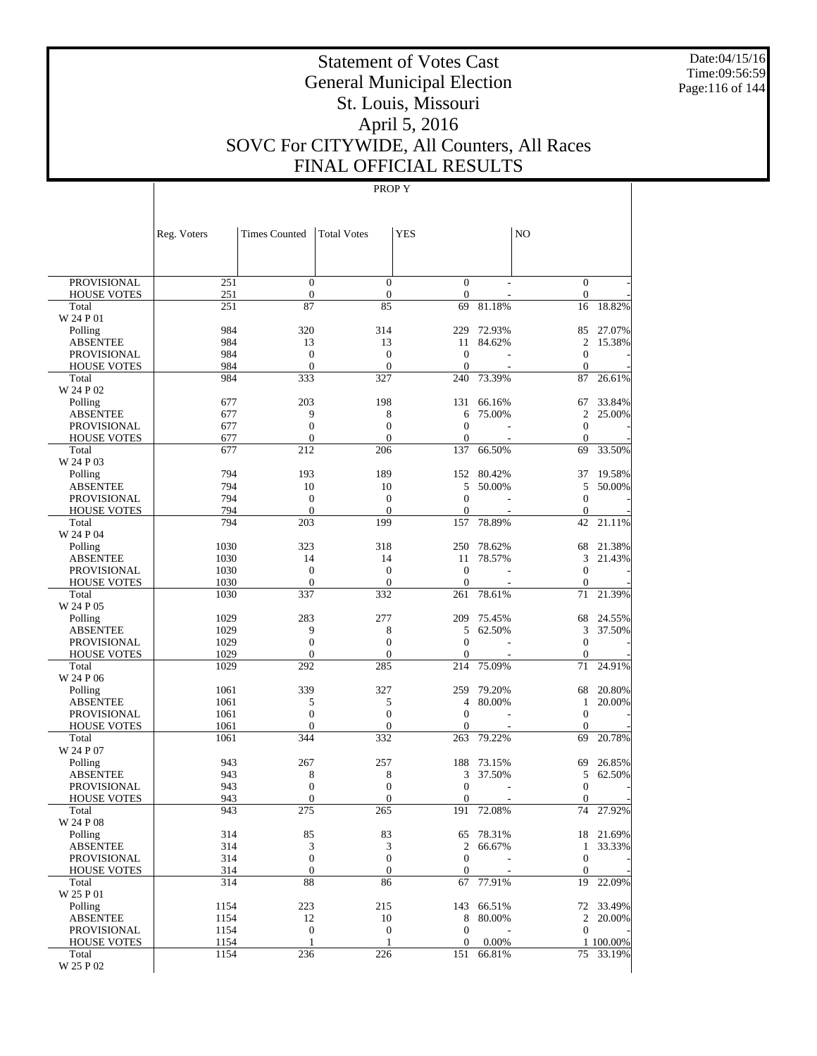Date:04/15/16 Time:09:56:59 Page:116 of 144

# Statement of Votes Cast General Municipal Election St. Louis, Missouri April 5, 2016 SOVC For CITYWIDE, All Counters, All Races FINAL OFFICIAL RESULTS

|                                          | Reg. Voters  | <b>Times Counted</b>             | <b>Total Votes</b>               | <b>YES</b>                       |                  | N <sub>O</sub>                   |                  |
|------------------------------------------|--------------|----------------------------------|----------------------------------|----------------------------------|------------------|----------------------------------|------------------|
|                                          |              |                                  |                                  |                                  |                  |                                  |                  |
| <b>PROVISIONAL</b>                       | 251          | $\mathbf{0}$                     | $\overline{0}$                   | $\mathbf{0}$                     |                  | $\mathbf{0}$                     |                  |
| <b>HOUSE VOTES</b>                       | 251          | $\boldsymbol{0}$                 | $\mathbf{0}$                     | $\boldsymbol{0}$                 |                  | $\mathbf{0}$                     |                  |
| Total<br>W 24 P 01                       | 251          | 87                               | 85                               | 69                               | 81.18%           | 16                               | 18.82%           |
| Polling                                  | 984          | 320                              | 314                              | 229                              | 72.93%           | 85                               | 27.07%           |
| <b>ABSENTEE</b>                          | 984          | 13                               | 13                               | 11                               | 84.62%           | $\overline{2}$                   | 15.38%           |
| <b>PROVISIONAL</b>                       | 984          | $\mathbf{0}$                     | $\overline{0}$                   | $\overline{0}$                   |                  | $\mathbf{0}$                     |                  |
| <b>HOUSE VOTES</b>                       | 984          | $\overline{0}$                   | $\overline{0}$                   | $\mathbf{0}$                     |                  | $\mathbf{0}$                     |                  |
| Total                                    | 984          | 333                              | 327                              | 240                              | 73.39%           | 87                               | 26.61%           |
| W 24 P 02                                |              |                                  |                                  |                                  |                  |                                  |                  |
| Polling<br><b>ABSENTEE</b>               | 677<br>677   | 203<br>9                         | 198<br>8                         | 131<br>6                         | 66.16%<br>75.00% | 67<br>$\overline{c}$             | 33.84%<br>25.00% |
| <b>PROVISIONAL</b>                       | 677          | $\overline{0}$                   | $\overline{0}$                   | $\overline{0}$                   |                  | $\mathbf{0}$                     |                  |
| <b>HOUSE VOTES</b>                       | 677          | $\mathbf{0}$                     | $\overline{0}$                   | $\mathbf{0}$                     |                  | $\mathbf{0}$                     |                  |
| Total                                    | 677          | 212                              | 206                              | 137                              | 66.50%           | 69                               | 33.50%           |
| W 24 P 03                                |              |                                  |                                  |                                  |                  |                                  |                  |
| Polling                                  | 794          | 193                              | 189                              | 152                              | 80.42%           | 37                               | 19.58%           |
| <b>ABSENTEE</b>                          | 794          | 10                               | 10                               | 5                                | 50.00%           | 5                                | 50.00%           |
| <b>PROVISIONAL</b>                       | 794<br>794   | $\mathbf{0}$<br>$\overline{0}$   | $\overline{0}$<br>$\overline{0}$ | $\overline{0}$<br>$\overline{0}$ |                  | $\mathbf{0}$<br>$\mathbf{0}$     |                  |
| <b>HOUSE VOTES</b><br>Total              | 794          | 203                              | 199                              | 157                              | 78.89%           | 42                               | 21.11%           |
| W 24 P 04                                |              |                                  |                                  |                                  |                  |                                  |                  |
| Polling                                  | 1030         | 323                              | 318                              | 250                              | 78.62%           | 68                               | 21.38%           |
| <b>ABSENTEE</b>                          | 1030         | 14                               | 14                               | 11                               | 78.57%           | 3                                | 21.43%           |
| <b>PROVISIONAL</b>                       | 1030         | $\mathbf{0}$                     | $\overline{0}$                   | $\overline{0}$                   |                  | $\mathbf{0}$                     |                  |
| <b>HOUSE VOTES</b>                       | 1030         | $\overline{0}$                   | $\theta$                         | $\mathbf{0}$                     |                  | $\mathbf{0}$                     |                  |
| Total<br>W 24 P 05                       | 1030         | 337                              | 332                              | 261                              | 78.61%           | 71                               | 21.39%           |
| Polling                                  | 1029         | 283                              | 277                              | 209                              | 75.45%           | 68                               | 24.55%           |
| <b>ABSENTEE</b>                          | 1029         | 9                                | 8                                | 5                                | 62.50%           | 3                                | 37.50%           |
| <b>PROVISIONAL</b>                       | 1029         | $\overline{0}$                   | $\overline{0}$                   | $\overline{0}$                   |                  | $\mathbf{0}$                     |                  |
| <b>HOUSE VOTES</b>                       | 1029         | $\overline{0}$                   | $\overline{0}$                   | $\mathbf{0}$                     |                  | $\mathbf{0}$                     |                  |
| Total                                    | 1029         | 292                              | 285                              | 214                              | 75.09%           | 71                               | 24.91%           |
| W 24 P 06                                |              |                                  |                                  |                                  |                  |                                  |                  |
| Polling<br><b>ABSENTEE</b>               | 1061<br>1061 | 339<br>5                         | 327<br>5                         | 259<br>4                         | 79.20%<br>80.00% | 68<br>1                          | 20.80%<br>20.00% |
| <b>PROVISIONAL</b>                       | 1061         | $\overline{0}$                   | $\overline{0}$                   | $\overline{0}$                   |                  | $\mathbf{0}$                     |                  |
| <b>HOUSE VOTES</b>                       | 1061         | $\mathbf{0}$                     | $\overline{0}$                   | $\mathbf{0}$                     |                  | $\mathbf{0}$                     |                  |
| Total                                    | 1061         | 344                              | 332                              | 263                              | 79.22%           | 69                               | 20.78%           |
| W 24 P 07                                |              |                                  |                                  |                                  |                  |                                  |                  |
| Polling                                  | 943          | 267                              | 257                              | 188                              | 73.15%           | 69                               | 26.85%           |
| <b>ABSENTEE</b>                          | 943          | 8                                | 8                                | 3                                | 37.50%           | 5                                | 62.50%           |
| <b>PROVISIONAL</b><br><b>HOUSE VOTES</b> | 943<br>943   | $\overline{0}$<br>$\overline{0}$ | $\overline{0}$<br>$\overline{0}$ | $\overline{0}$<br>$\overline{0}$ |                  | $\boldsymbol{0}$<br>$\mathbf{0}$ |                  |
| Total                                    | 943          | 275                              | 265                              | 191                              | 72.08%           | 74                               | 27.92%           |
| W 24 P 08                                |              |                                  |                                  |                                  |                  |                                  |                  |
| Polling                                  | 314          | 85                               | 83                               | 65                               | 78.31%           |                                  | 18 21.69%        |
| <b>ABSENTEE</b>                          | 314          | 3                                | 3                                | $\overline{c}$                   | 66.67%           | $\mathbf{1}$                     | 33.33%           |
| PROVISIONAL                              | 314          | $\mathbf{0}$                     | $\boldsymbol{0}$                 | $\mathbf{0}$                     |                  | $\boldsymbol{0}$                 |                  |
| <b>HOUSE VOTES</b>                       | 314          | $\boldsymbol{0}$                 | $\boldsymbol{0}$                 | $\boldsymbol{0}$                 |                  | $\mathbf{0}$                     |                  |
| Total<br>W 25 P 01                       | 314          | 88                               | 86                               | 67                               | 77.91%           | 19                               | 22.09%           |
| Polling                                  | 1154         | 223                              | 215                              | 143                              | 66.51%           |                                  | 72 33.49%        |
| <b>ABSENTEE</b>                          | 1154         | 12                               | 10                               | 8                                | 80.00%           | $\overline{c}$                   | 20.00%           |
| PROVISIONAL                              | 1154         | $\boldsymbol{0}$                 | $\mathbf{0}$                     | $\mathbf{0}$                     |                  | $\mathbf{0}$                     |                  |
| <b>HOUSE VOTES</b>                       | 1154         | $\mathbf{1}$                     | 1                                | $\mathbf{0}$                     | 0.00%            |                                  | 1 100.00%        |
| Total                                    | 1154         | 236                              | 226                              | 151                              | 66.81%           |                                  | 75 33.19%        |
| W 25 P 02                                |              |                                  |                                  |                                  |                  |                                  |                  |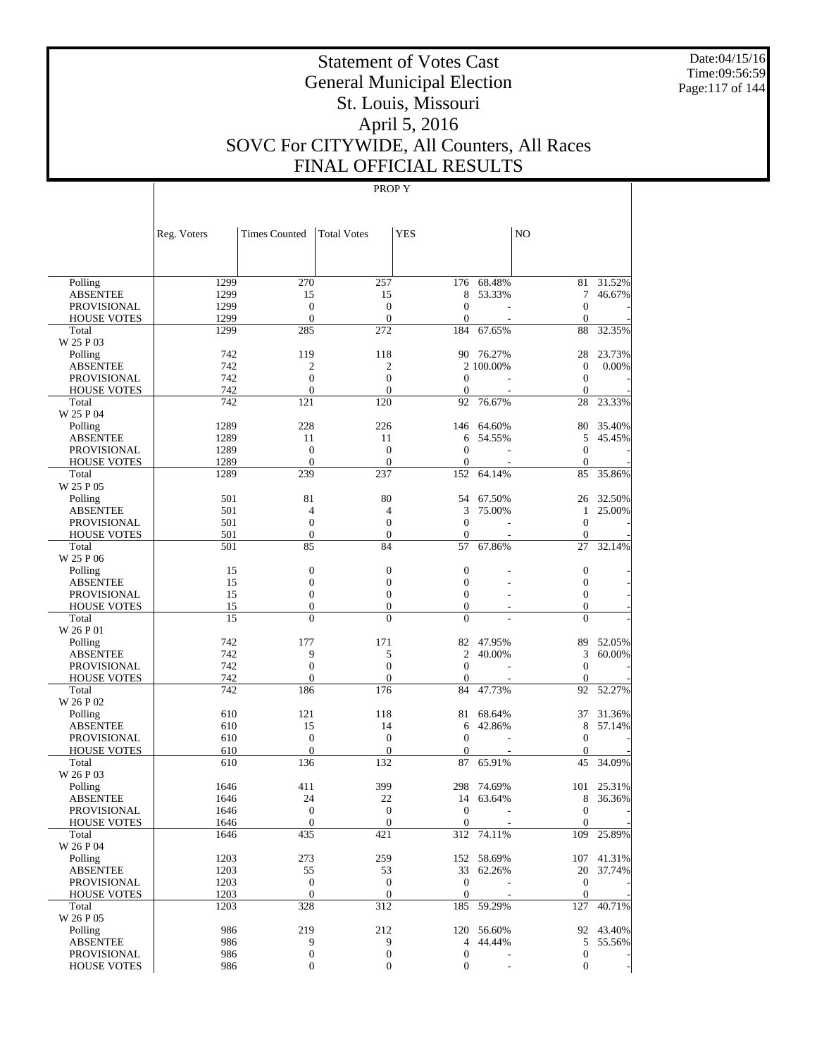Date:04/15/16 Time:09:56:59 Page:117 of 144

# Statement of Votes Cast General Municipal Election St. Louis, Missouri April 5, 2016 SOVC For CITYWIDE, All Counters, All Races FINAL OFFICIAL RESULTS

|                    | Reg. Voters | <b>Times Counted</b> | <b>Total Votes</b> | <b>YES</b>       |                          | NO               |            |
|--------------------|-------------|----------------------|--------------------|------------------|--------------------------|------------------|------------|
|                    |             |                      |                    |                  |                          |                  |            |
| Polling            | 1299        | 270                  | 257                |                  | 176 68.48%               | 81               | 31.52%     |
| <b>ABSENTEE</b>    | 1299        | 15                   | 15                 | 8                | 53.33%                   | 7                | 46.67%     |
| <b>PROVISIONAL</b> | 1299        | $\boldsymbol{0}$     | $\boldsymbol{0}$   | $\overline{0}$   |                          | $\mathbf{0}$     |            |
| <b>HOUSE VOTES</b> | 1299        | $\boldsymbol{0}$     | $\boldsymbol{0}$   | $\overline{0}$   |                          | $\mathbf{0}$     |            |
| Total              | 1299        | 285                  | 272                | 184              | 67.65%                   | 88               | 32.35%     |
| W 25 P 03          |             |                      |                    |                  |                          |                  |            |
| Polling            | 742         | 119                  | 118                |                  | 90 76.27%                | 28               | 23.73%     |
| <b>ABSENTEE</b>    | 742         | $\overline{c}$       | $\mathfrak{2}$     |                  | 2 100.00%                | $\boldsymbol{0}$ | 0.00%      |
| <b>PROVISIONAL</b> | 742         | $\mathbf{0}$         | $\overline{0}$     | $\mathbf{0}$     |                          | $\boldsymbol{0}$ |            |
| <b>HOUSE VOTES</b> | 742         | $\mathbf{0}$         | $\theta$           | $\mathbf{0}$     |                          | $\mathbf{0}$     |            |
| Total              | 742         | 121                  | 120                | 92               | 76.67%                   | 28               | 23.33%     |
| W 25 P 04          |             |                      |                    |                  |                          |                  |            |
| Polling            | 1289        | 228                  | 226                | 146              | 64.60%                   | 80               | 35.40%     |
| ABSENTEE           | 1289        | 11                   | 11                 | 6                | 54.55%                   | 5                | 45.45%     |
| <b>PROVISIONAL</b> | 1289        | $\mathbf{0}$         | $\theta$           | $\overline{0}$   |                          | $\mathbf{0}$     |            |
| <b>HOUSE VOTES</b> | 1289        | $\mathbf{0}$         | $\boldsymbol{0}$   | 0                |                          | $\mathbf{0}$     |            |
| Total<br>W 25 P 05 | 1289        | 239                  | 237                | 152              | 64.14%                   | 85               | 35.86%     |
| Polling            | 501         | 81                   | 80                 | 54               | 67.50%                   | 26               | 32.50%     |
| <b>ABSENTEE</b>    | 501         | $\overline{4}$       | $\overline{4}$     | 3                | 75.00%                   | 1                | 25.00%     |
| <b>PROVISIONAL</b> | 501         | $\boldsymbol{0}$     | $\boldsymbol{0}$   | $\mathbf{0}$     | ÷                        | $\boldsymbol{0}$ |            |
| <b>HOUSE VOTES</b> | 501         | $\boldsymbol{0}$     | $\boldsymbol{0}$   | $\mathbf{0}$     |                          | $\boldsymbol{0}$ |            |
| Total              | 501         | 85                   | 84                 | 57               | 67.86%                   | 27               | 32.14%     |
| W 25 P 06          |             |                      |                    |                  |                          |                  |            |
| Polling            | 15          | $\boldsymbol{0}$     | $\boldsymbol{0}$   | $\boldsymbol{0}$ |                          | $\boldsymbol{0}$ |            |
| ABSENTEE           | 15          | $\boldsymbol{0}$     | $\boldsymbol{0}$   | $\mathbf{0}$     |                          | $\boldsymbol{0}$ |            |
| <b>PROVISIONAL</b> | 15          | $\boldsymbol{0}$     | $\boldsymbol{0}$   | $\overline{0}$   | ÷                        | $\mathbf{0}$     |            |
| <b>HOUSE VOTES</b> | 15          | $\boldsymbol{0}$     | $\boldsymbol{0}$   | $\boldsymbol{0}$ |                          | $\mathbf{0}$     |            |
| Total              | 15          | $\overline{0}$       | $\overline{0}$     | $\theta$         |                          | $\theta$         |            |
| W 26 P 01          |             |                      |                    |                  |                          |                  |            |
| Polling            | 742         | 177                  | 171                |                  | 82 47.95%                | 89               | 52.05%     |
| <b>ABSENTEE</b>    | 742         | 9                    | 5                  | $\mathfrak{2}$   | 40.00%                   | 3                | 60.00%     |
| <b>PROVISIONAL</b> | 742         | $\boldsymbol{0}$     | $\boldsymbol{0}$   | $\mathbf{0}$     |                          | $\boldsymbol{0}$ |            |
| <b>HOUSE VOTES</b> | 742         | $\mathbf{0}$         | $\boldsymbol{0}$   | $\mathbf{0}$     |                          | $\mathbf{0}$     |            |
| Total<br>W 26 P 02 | 742         | 186                  | 176                | 84               | 47.73%                   | 92               | 52.27%     |
| Polling            | 610         | 121                  | 118                | 81               | 68.64%                   | 37               | 31.36%     |
| ABSENTEE           | 610         | 15                   | 14                 | 6                | 42.86%                   | 8                | 57.14%     |
| <b>PROVISIONAL</b> | 610         | $\mathbf{0}$         | $\boldsymbol{0}$   | $\mathbf{0}$     |                          | $\boldsymbol{0}$ |            |
| <b>HOUSE VOTES</b> | 610         | $\boldsymbol{0}$     | $\boldsymbol{0}$   | 0                |                          | $\mathbf{0}$     |            |
| Total              | 610         | 136                  | 132                | 87               | 65.91%                   | 45               | 34.09%     |
| W 26 P 03          |             |                      |                    |                  |                          |                  |            |
| Polling            | 1646        | 411                  | 399                | 298              | 74.69%                   | 101              | 25.31%     |
| <b>ABSENTEE</b>    | 1646        | 24                   | 22                 | 14               | 63.64%                   | 8                | 36.36%     |
| <b>PROVISIONAL</b> | 1646        | $\theta$             | $\theta$           | $\mathbf{0}$     | $\overline{\phantom{a}}$ | $\mathbf{0}$     |            |
| <b>HOUSE VOTES</b> | 1646        | $\overline{0}$       | $\overline{0}$     | $\boldsymbol{0}$ |                          | $\mathbf{0}$     |            |
| Total              | 1646        | 435                  | 421                |                  | 312 74.11%               |                  | 109 25.89% |
| W 26 P 04          |             |                      |                    |                  |                          |                  |            |
| Polling            | 1203        | 273                  | 259                |                  | 152 58.69%               |                  | 107 41.31% |
| <b>ABSENTEE</b>    | 1203        | 55                   | 53                 |                  | 33 62.26%                |                  | 20 37.74%  |
| <b>PROVISIONAL</b> | 1203        | $\boldsymbol{0}$     | $\boldsymbol{0}$   | $\boldsymbol{0}$ |                          | $\mathbf{0}$     |            |
| <b>HOUSE VOTES</b> | 1203        | $\mathbf{0}$         | $\mathbf{0}$       | $\boldsymbol{0}$ |                          | $\mathbf{0}$     | 40.71%     |
| Total<br>W 26 P 05 | 1203        | 328                  | 312                |                  | 185 59.29%               | 127              |            |
| Polling            | 986         | 219                  | 212                |                  | 120 56.60%               |                  | 92 43.40%  |
| ABSENTEE           | 986         | 9                    | 9                  |                  | 4 44.44%                 |                  | 5 55.56%   |
| PROVISIONAL        | 986         | $\boldsymbol{0}$     | $\boldsymbol{0}$   | $\boldsymbol{0}$ |                          | $\boldsymbol{0}$ |            |
| <b>HOUSE VOTES</b> | 986         | 0                    | $\mathbf{0}$       | $\boldsymbol{0}$ |                          | $\mathbf{0}$     |            |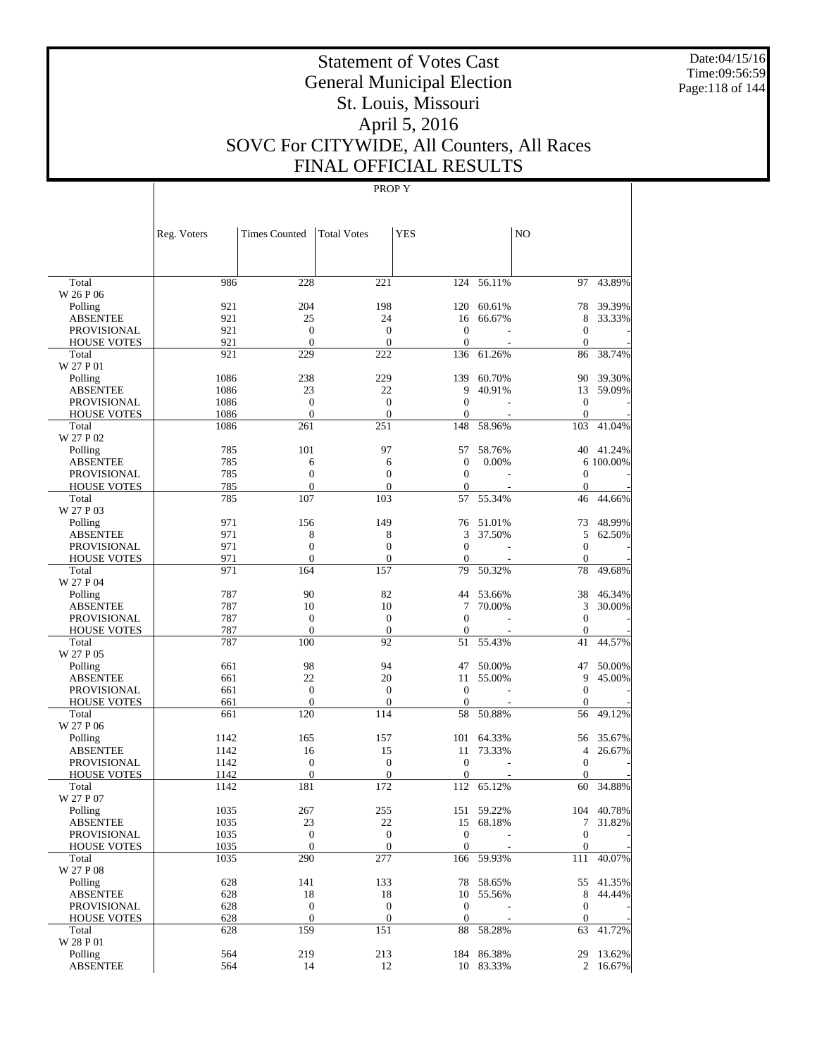Date:04/15/16 Time:09:56:59 Page:118 of 144

# Statement of Votes Cast General Municipal Election St. Louis, Missouri April 5, 2016 SOVC For CITYWIDE, All Counters, All Races FINAL OFFICIAL RESULTS

|                                       | Reg. Voters | <b>Times Counted</b>             | <b>Total Votes</b>                   | <b>YES</b>                   |                  | N <sub>O</sub>               |                  |
|---------------------------------------|-------------|----------------------------------|--------------------------------------|------------------------------|------------------|------------------------------|------------------|
| Total                                 | 986         | 228                              | 221                                  | 124                          | 56.11%           | 97                           | 43.89%           |
| W 26 P 06                             |             |                                  |                                      |                              |                  |                              |                  |
| Polling                               | 921         | 204                              | 198                                  | 120                          | 60.61%           | 78                           | 39.39%           |
| <b>ABSENTEE</b>                       | 921         | 25                               | 24                                   | 16                           | 66.67%           | 8                            | 33.33%           |
| <b>PROVISIONAL</b>                    | 921         | $\boldsymbol{0}$                 | $\boldsymbol{0}$                     | $\boldsymbol{0}$             |                  | $\mathbf{0}$                 |                  |
| <b>HOUSE VOTES</b><br>Total           | 921<br>921  | $\mathbf{0}$<br>229              | $\overline{0}$<br>222                | $\theta$<br>136              | 61.26%           | $\mathbf{0}$<br>86           | 38.74%           |
| W 27 P 01                             |             |                                  |                                      |                              |                  |                              |                  |
| Polling                               | 1086        | 238                              | 229                                  | 139                          | 60.70%           | 90                           | 39.30%           |
| <b>ABSENTEE</b>                       | 1086        | 23                               | 22                                   | 9                            | 40.91%           | 13                           | 59.09%           |
| <b>PROVISIONAL</b>                    | 1086        | $\mathbf{0}$                     | $\overline{0}$                       | $\mathbf{0}$                 |                  | $\mathbf{0}$                 |                  |
| <b>HOUSE VOTES</b>                    | 1086        | $\mathbf{0}$                     | $\boldsymbol{0}$                     | $\mathbf{0}$                 |                  | $\mathbf{0}$                 |                  |
| Total                                 | 1086        | 261                              | 251                                  | 148                          | 58.96%           | 103                          | 41.04%           |
| W 27 P 02                             |             |                                  |                                      |                              |                  |                              |                  |
| Polling                               | 785         | 101                              | 97                                   | 57                           | 58.76%           | 40                           | 41.24%           |
| <b>ABSENTEE</b><br><b>PROVISIONAL</b> | 785<br>785  | 6<br>$\boldsymbol{0}$            | 6<br>$\boldsymbol{0}$                | $\mathbf{0}$<br>$\mathbf{0}$ | 0.00%            | $\mathbf{0}$                 | 6 100.00%        |
| <b>HOUSE VOTES</b>                    | 785         | $\mathbf{0}$                     | $\overline{0}$                       | $\theta$                     |                  | $\mathbf{0}$                 |                  |
| Total                                 | 785         | 107                              | 103                                  | 57                           | 55.34%           | 46                           | 44.66%           |
| W 27 P 03                             |             |                                  |                                      |                              |                  |                              |                  |
| Polling                               | 971         | 156                              | 149                                  | 76                           | 51.01%           | 73                           | 48.99%           |
| <b>ABSENTEE</b>                       | 971         | 8                                | 8                                    | 3                            | 37.50%           | 5                            | 62.50%           |
| <b>PROVISIONAL</b>                    | 971<br>971  | $\boldsymbol{0}$<br>$\mathbf{0}$ | $\boldsymbol{0}$<br>$\boldsymbol{0}$ | $\mathbf{0}$<br>$\theta$     |                  | $\mathbf{0}$<br>$\mathbf{0}$ |                  |
| <b>HOUSE VOTES</b><br>Total           | 971         | 164                              | 157                                  | 79                           | 50.32%           | 78                           | 49.68%           |
| W 27 P 04                             |             |                                  |                                      |                              |                  |                              |                  |
| Polling                               | 787         | 90                               | 82                                   | 44                           | 53.66%           | 38                           | 46.34%           |
| <b>ABSENTEE</b>                       | 787         | 10                               | 10                                   | 7                            | 70.00%           | 3                            | 30.00%           |
| <b>PROVISIONAL</b>                    | 787         | $\boldsymbol{0}$                 | $\boldsymbol{0}$                     | $\mathbf{0}$                 |                  | $\mathbf{0}$                 |                  |
| <b>HOUSE VOTES</b>                    | 787         | $\mathbf{0}$                     | $\boldsymbol{0}$                     | $\theta$                     |                  | $\mathbf{0}$                 |                  |
| Total                                 | 787         | 100                              | 92                                   | 51                           | 55.43%           | 41                           | 44.57%           |
| W 27 P 05                             |             |                                  |                                      |                              |                  |                              |                  |
| Polling                               | 661         | 98<br>22                         | 94<br>20                             | 47                           | 50.00%<br>55.00% | 47<br>9                      | 50.00%<br>45.00% |
| <b>ABSENTEE</b><br><b>PROVISIONAL</b> | 661<br>661  | $\boldsymbol{0}$                 | $\boldsymbol{0}$                     | 11<br>$\theta$               |                  | $\mathbf{0}$                 |                  |
| <b>HOUSE VOTES</b>                    | 661         | $\mathbf{0}$                     | $\boldsymbol{0}$                     | $\mathbf{0}$                 |                  | $\mathbf{0}$                 |                  |
| Total                                 | 661         | 120                              | 114                                  | 58                           | 50.88%           | 56                           | 49.12%           |
| W 27 P 06                             |             |                                  |                                      |                              |                  |                              |                  |
| Polling                               | 1142        | 165                              | 157                                  | 101                          | 64.33%           | 56                           | 35.67%           |
| <b>ABSENTEE</b>                       | 1142        | 16                               | 15                                   | 11                           | 73.33%           | 4                            | 26.67%           |
| <b>PROVISIONAL</b>                    | 1142        | $\boldsymbol{0}$                 | $\boldsymbol{0}$                     | $\theta$                     |                  | $\mathbf{0}$                 |                  |
| <b>HOUSE VOTES</b>                    | 1142        | $\mathbf{0}$                     | $\boldsymbol{0}$                     | $\mathbf{0}$                 |                  | $\mathbf{0}$                 |                  |
| Total<br>W 27 P 07                    | 1142        | 181                              | 172                                  | 112                          | 65.12%           | 60                           | 34.88%           |
| $\operatorname{Polling}$              | 1035        | 267                              | 255                                  | 151                          | 59.22%           |                              | 104 40.78%       |
| <b>ABSENTEE</b>                       | 1035        | 23                               | 22                                   |                              | 15 68.18%        |                              | 7 31.82%         |
| PROVISIONAL                           | 1035        | $\boldsymbol{0}$                 | $\mathbf{0}$                         | $\mathbf{0}$                 |                  | $\mathbf{0}$                 |                  |
| <b>HOUSE VOTES</b>                    | 1035        | $\mathbf{0}$                     | $\mathbf{0}$                         | $\theta$                     |                  | $\mathbf{0}$                 |                  |
| Total                                 | 1035        | 290                              | 277                                  |                              | 166 59.93%       | 111                          | 40.07%           |
| W 27 P 08                             |             |                                  |                                      |                              |                  |                              |                  |
| Polling                               | 628         | 141                              | 133                                  |                              | 78 58.65%        |                              | 55 41.35%        |
| <b>ABSENTEE</b>                       | 628         | 18                               | 18                                   |                              | 10 55.56%        |                              | 8 44.44%         |
| PROVISIONAL                           | 628         | $\boldsymbol{0}$                 | $\mathbf{0}$                         | $\mathbf{0}$                 |                  | $\mathbf{0}$                 |                  |
| <b>HOUSE VOTES</b><br>Total           | 628<br>628  | $\mathbf{0}$<br>159              | $\mathbf{0}$<br>151                  | $\mathbf{0}$<br>88           | 58.28%           | $\mathbf{0}$<br>63           | 41.72%           |
| W 28 P 01                             |             |                                  |                                      |                              |                  |                              |                  |
| Polling                               | 564         | 219                              | 213                                  |                              | 184 86.38%       |                              | 29 13.62%        |
| <b>ABSENTEE</b>                       | 564         | 14                               | 12                                   |                              | 10 83.33%        |                              | 2 16.67%         |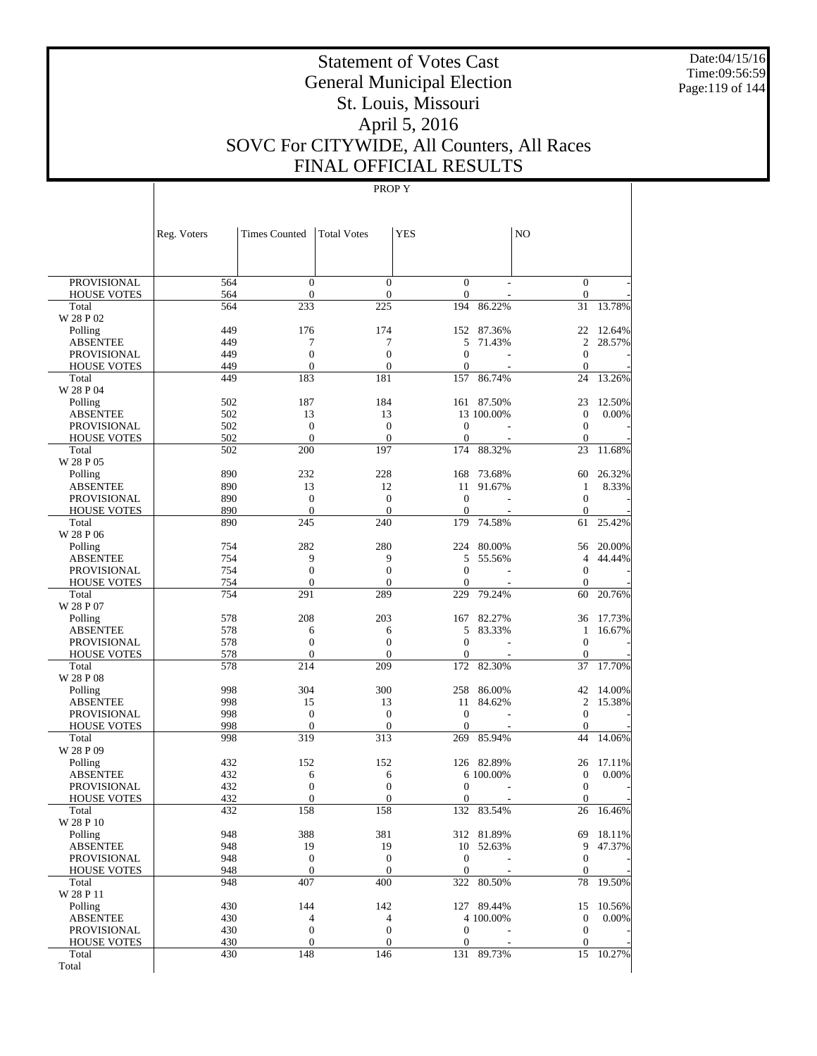Date:04/15/16 Time:09:56:59 Page:119 of 144

# Statement of Votes Cast General Municipal Election St. Louis, Missouri April 5, 2016 SOVC For CITYWIDE, All Counters, All Races FINAL OFFICIAL RESULTS

| <b>PROVISIONAL</b><br>564<br>$\mathbf{0}$<br>$\overline{0}$<br>$\mathbf{0}$<br>$\mathbf{0}$<br>$\mathbf{0}$<br><b>HOUSE VOTES</b><br>564<br>$\theta$<br>$\boldsymbol{0}$<br>$\mathbf{0}$<br>564<br>233<br>225<br>194<br>86.22%<br>31<br>13.78%<br>Total<br>W 28 P 02<br>449<br>174<br>Polling<br>176<br>152<br>87.36%<br>22<br>12.64%<br>449<br>7<br>$\overline{2}$<br>28.57%<br><b>ABSENTEE</b><br>7<br>5<br>71.43%<br>$\overline{0}$<br>449<br>$\overline{0}$<br>$\overline{0}$<br>$\mathbf{0}$<br><b>PROVISIONAL</b><br>449<br>$\overline{0}$<br>$\mathbf{0}$<br><b>HOUSE VOTES</b><br>$\overline{0}$<br>$\mathbf{0}$<br>449<br>183<br>181<br>157<br>86.74%<br>24<br>13.26%<br>Total<br>W 28 P 04<br>184<br>Polling<br>502<br>187<br>161 87.50%<br>23<br>12.50%<br>502<br><b>ABSENTEE</b><br>13<br>13<br>13 100,00%<br>$\mathbf{0}$<br>0.00%<br>502<br>$\mathbf{0}$<br>$\boldsymbol{0}$<br><b>PROVISIONAL</b><br>$\theta$<br>$\mathbf{0}$<br>502<br>$\overline{0}$<br>$\mathbf{0}$<br><b>HOUSE VOTES</b><br>$\theta$<br>$\mathbf{0}$<br>502<br>200<br>197<br>174<br>88.32%<br>23<br>11.68%<br>Total<br>W 28 P 05<br>890<br>232<br>228<br>Polling<br>168<br>73.68%<br>60<br>26.32%<br>890<br>13<br>8.33%<br><b>ABSENTEE</b><br>12<br>11<br>91.67%<br>1<br>890<br>$\mathbf{0}$<br>$\overline{0}$<br>$\overline{0}$<br>$\mathbf{0}$<br><b>PROVISIONAL</b><br>890<br>$\overline{0}$<br>$\overline{0}$<br>$\mathbf{0}$<br><b>HOUSE VOTES</b><br>$\mathbf{0}$<br>890<br>245<br>240<br>179<br>74.58%<br>25.42%<br>Total<br>61<br>W 28 P 06<br>282<br>280<br>Polling<br>754<br>224<br>80.00%<br>20.00%<br>56<br>9<br>9<br><b>ABSENTEE</b><br>754<br>5<br>55.56%<br>$\overline{4}$<br>44.44%<br>754<br>$\overline{0}$<br>$\overline{0}$<br>$\overline{0}$<br>$\mathbf{0}$<br><b>PROVISIONAL</b><br>$\overline{0}$<br><b>HOUSE VOTES</b><br>754<br>$\mathbf{0}$<br>$\overline{0}$<br>$\mathbf{0}$<br>754<br>291<br>289<br>229<br>79.24%<br>20.76%<br>Total<br>60<br>W 28 P 07<br>208<br>203<br>Polling<br>578<br>167<br>82.27%<br>36<br>17.73%<br>578<br><b>ABSENTEE</b><br>6<br>6<br>5<br>83.33%<br>1<br>16.67%<br>578<br>$\overline{0}$<br>$\overline{0}$<br>$\mathbf{0}$<br><b>PROVISIONAL</b><br>$\overline{0}$<br>578<br>$\overline{0}$<br><b>HOUSE VOTES</b><br>$\overline{0}$<br>$\mathbf{0}$<br>$\mathbf{0}$<br>578<br>214<br>209<br>172<br>82.30%<br>37<br>17.70%<br>Total<br>W 28 P 08<br>998<br>304<br>300<br>Polling<br>258<br>86.00%<br>42<br>14.00%<br>998<br>$\overline{c}$<br><b>ABSENTEE</b><br>15<br>13<br>11<br>84.62%<br>15.38%<br>998<br>$\mathbf{0}$<br>$\overline{0}$<br>$\mathbf{0}$<br><b>PROVISIONAL</b><br>$\theta$<br>998<br><b>HOUSE VOTES</b><br>$\mathbf{0}$<br>$\theta$<br>$\mathbf{0}$<br>$\mathbf{0}$<br>998<br>319<br>313<br>269<br>85.94%<br>44<br>Total<br>14.06%<br>W 28 P 09<br>152<br>Polling<br>432<br>152<br>126 82.89%<br>26<br>17.11%<br>432<br><b>ABSENTEE</b><br>6<br>6<br>6 100.00%<br>$\mathbf{0}$<br>0.00%<br>432<br>$\overline{0}$<br>$\boldsymbol{0}$<br><b>PROVISIONAL</b><br>$\overline{0}$<br>$\overline{0}$<br>432<br>$\overline{0}$<br><b>HOUSE VOTES</b><br>$\overline{0}$<br>$\boldsymbol{0}$<br>$\boldsymbol{0}$<br>432<br>158<br>158<br>132<br>83.54%<br>26<br>16.46%<br>Total<br>W 28 P 10<br>388<br>381<br>Polling<br>948<br>312 81.89%<br>69<br>18.11%<br>948<br>19<br>9<br>47.37%<br><b>ABSENTEE</b><br>19<br>10<br>52.63%<br>948<br>$\mathbf{0}$<br>$\mathbf{0}$<br>$\boldsymbol{0}$<br>$\mathbf{0}$<br><b>PROVISIONAL</b><br>948<br>$\boldsymbol{0}$<br>$\boldsymbol{0}$<br>$\mathbf{0}$<br>$\mathbf{0}$<br><b>HOUSE VOTES</b><br>948<br>407<br>400<br>322<br>80.50%<br>78<br>Total<br>19.50%<br>W 28 P 11<br>430<br>144<br>Polling<br>142<br>127 89.44%<br>15<br>10.56%<br>430<br>$\mathbf{0}$<br><b>ABSENTEE</b><br>4<br>4<br>4 100.00%<br>0.00%<br>430<br>$\boldsymbol{0}$<br>$\boldsymbol{0}$<br>$\boldsymbol{0}$<br>$\mathbf{0}$<br><b>PROVISIONAL</b><br>430<br>$\boldsymbol{0}$<br>$\mathbf{0}$<br>$\boldsymbol{0}$<br>$\mathbf{0}$<br><b>HOUSE VOTES</b><br>430<br>148<br>146<br>15<br>Total<br>131 89.73%<br>10.27%<br>Total | Reg. Voters | <b>Times Counted</b> | <b>Total Votes</b> | <b>YES</b> | N <sub>O</sub> |  |
|--------------------------------------------------------------------------------------------------------------------------------------------------------------------------------------------------------------------------------------------------------------------------------------------------------------------------------------------------------------------------------------------------------------------------------------------------------------------------------------------------------------------------------------------------------------------------------------------------------------------------------------------------------------------------------------------------------------------------------------------------------------------------------------------------------------------------------------------------------------------------------------------------------------------------------------------------------------------------------------------------------------------------------------------------------------------------------------------------------------------------------------------------------------------------------------------------------------------------------------------------------------------------------------------------------------------------------------------------------------------------------------------------------------------------------------------------------------------------------------------------------------------------------------------------------------------------------------------------------------------------------------------------------------------------------------------------------------------------------------------------------------------------------------------------------------------------------------------------------------------------------------------------------------------------------------------------------------------------------------------------------------------------------------------------------------------------------------------------------------------------------------------------------------------------------------------------------------------------------------------------------------------------------------------------------------------------------------------------------------------------------------------------------------------------------------------------------------------------------------------------------------------------------------------------------------------------------------------------------------------------------------------------------------------------------------------------------------------------------------------------------------------------------------------------------------------------------------------------------------------------------------------------------------------------------------------------------------------------------------------------------------------------------------------------------------------------------------------------------------------------------------------------------------------------------------------------------------------------------------------------------------------------------------------------------------------------------------------------------------------------------------------------------------------------------------------------------------------------------------------------------------------------------------------------------------------------------------------------------------------------------------------------------------------------------------------------------------------------------------------------------------------------------------------------------------------------------------------------------------------------------------------------------------------------------------------------------------------------------------------------------------------------------------------------------------------------------------------------|-------------|----------------------|--------------------|------------|----------------|--|
|                                                                                                                                                                                                                                                                                                                                                                                                                                                                                                                                                                                                                                                                                                                                                                                                                                                                                                                                                                                                                                                                                                                                                                                                                                                                                                                                                                                                                                                                                                                                                                                                                                                                                                                                                                                                                                                                                                                                                                                                                                                                                                                                                                                                                                                                                                                                                                                                                                                                                                                                                                                                                                                                                                                                                                                                                                                                                                                                                                                                                                                                                                                                                                                                                                                                                                                                                                                                                                                                                                                                                                                                                                                                                                                                                                                                                                                                                                                                                                                                                                                                                                  |             |                      |                    |            |                |  |
|                                                                                                                                                                                                                                                                                                                                                                                                                                                                                                                                                                                                                                                                                                                                                                                                                                                                                                                                                                                                                                                                                                                                                                                                                                                                                                                                                                                                                                                                                                                                                                                                                                                                                                                                                                                                                                                                                                                                                                                                                                                                                                                                                                                                                                                                                                                                                                                                                                                                                                                                                                                                                                                                                                                                                                                                                                                                                                                                                                                                                                                                                                                                                                                                                                                                                                                                                                                                                                                                                                                                                                                                                                                                                                                                                                                                                                                                                                                                                                                                                                                                                                  |             |                      |                    |            |                |  |
|                                                                                                                                                                                                                                                                                                                                                                                                                                                                                                                                                                                                                                                                                                                                                                                                                                                                                                                                                                                                                                                                                                                                                                                                                                                                                                                                                                                                                                                                                                                                                                                                                                                                                                                                                                                                                                                                                                                                                                                                                                                                                                                                                                                                                                                                                                                                                                                                                                                                                                                                                                                                                                                                                                                                                                                                                                                                                                                                                                                                                                                                                                                                                                                                                                                                                                                                                                                                                                                                                                                                                                                                                                                                                                                                                                                                                                                                                                                                                                                                                                                                                                  |             |                      |                    |            |                |  |
|                                                                                                                                                                                                                                                                                                                                                                                                                                                                                                                                                                                                                                                                                                                                                                                                                                                                                                                                                                                                                                                                                                                                                                                                                                                                                                                                                                                                                                                                                                                                                                                                                                                                                                                                                                                                                                                                                                                                                                                                                                                                                                                                                                                                                                                                                                                                                                                                                                                                                                                                                                                                                                                                                                                                                                                                                                                                                                                                                                                                                                                                                                                                                                                                                                                                                                                                                                                                                                                                                                                                                                                                                                                                                                                                                                                                                                                                                                                                                                                                                                                                                                  |             |                      |                    |            |                |  |
|                                                                                                                                                                                                                                                                                                                                                                                                                                                                                                                                                                                                                                                                                                                                                                                                                                                                                                                                                                                                                                                                                                                                                                                                                                                                                                                                                                                                                                                                                                                                                                                                                                                                                                                                                                                                                                                                                                                                                                                                                                                                                                                                                                                                                                                                                                                                                                                                                                                                                                                                                                                                                                                                                                                                                                                                                                                                                                                                                                                                                                                                                                                                                                                                                                                                                                                                                                                                                                                                                                                                                                                                                                                                                                                                                                                                                                                                                                                                                                                                                                                                                                  |             |                      |                    |            |                |  |
|                                                                                                                                                                                                                                                                                                                                                                                                                                                                                                                                                                                                                                                                                                                                                                                                                                                                                                                                                                                                                                                                                                                                                                                                                                                                                                                                                                                                                                                                                                                                                                                                                                                                                                                                                                                                                                                                                                                                                                                                                                                                                                                                                                                                                                                                                                                                                                                                                                                                                                                                                                                                                                                                                                                                                                                                                                                                                                                                                                                                                                                                                                                                                                                                                                                                                                                                                                                                                                                                                                                                                                                                                                                                                                                                                                                                                                                                                                                                                                                                                                                                                                  |             |                      |                    |            |                |  |
|                                                                                                                                                                                                                                                                                                                                                                                                                                                                                                                                                                                                                                                                                                                                                                                                                                                                                                                                                                                                                                                                                                                                                                                                                                                                                                                                                                                                                                                                                                                                                                                                                                                                                                                                                                                                                                                                                                                                                                                                                                                                                                                                                                                                                                                                                                                                                                                                                                                                                                                                                                                                                                                                                                                                                                                                                                                                                                                                                                                                                                                                                                                                                                                                                                                                                                                                                                                                                                                                                                                                                                                                                                                                                                                                                                                                                                                                                                                                                                                                                                                                                                  |             |                      |                    |            |                |  |
|                                                                                                                                                                                                                                                                                                                                                                                                                                                                                                                                                                                                                                                                                                                                                                                                                                                                                                                                                                                                                                                                                                                                                                                                                                                                                                                                                                                                                                                                                                                                                                                                                                                                                                                                                                                                                                                                                                                                                                                                                                                                                                                                                                                                                                                                                                                                                                                                                                                                                                                                                                                                                                                                                                                                                                                                                                                                                                                                                                                                                                                                                                                                                                                                                                                                                                                                                                                                                                                                                                                                                                                                                                                                                                                                                                                                                                                                                                                                                                                                                                                                                                  |             |                      |                    |            |                |  |
|                                                                                                                                                                                                                                                                                                                                                                                                                                                                                                                                                                                                                                                                                                                                                                                                                                                                                                                                                                                                                                                                                                                                                                                                                                                                                                                                                                                                                                                                                                                                                                                                                                                                                                                                                                                                                                                                                                                                                                                                                                                                                                                                                                                                                                                                                                                                                                                                                                                                                                                                                                                                                                                                                                                                                                                                                                                                                                                                                                                                                                                                                                                                                                                                                                                                                                                                                                                                                                                                                                                                                                                                                                                                                                                                                                                                                                                                                                                                                                                                                                                                                                  |             |                      |                    |            |                |  |
|                                                                                                                                                                                                                                                                                                                                                                                                                                                                                                                                                                                                                                                                                                                                                                                                                                                                                                                                                                                                                                                                                                                                                                                                                                                                                                                                                                                                                                                                                                                                                                                                                                                                                                                                                                                                                                                                                                                                                                                                                                                                                                                                                                                                                                                                                                                                                                                                                                                                                                                                                                                                                                                                                                                                                                                                                                                                                                                                                                                                                                                                                                                                                                                                                                                                                                                                                                                                                                                                                                                                                                                                                                                                                                                                                                                                                                                                                                                                                                                                                                                                                                  |             |                      |                    |            |                |  |
|                                                                                                                                                                                                                                                                                                                                                                                                                                                                                                                                                                                                                                                                                                                                                                                                                                                                                                                                                                                                                                                                                                                                                                                                                                                                                                                                                                                                                                                                                                                                                                                                                                                                                                                                                                                                                                                                                                                                                                                                                                                                                                                                                                                                                                                                                                                                                                                                                                                                                                                                                                                                                                                                                                                                                                                                                                                                                                                                                                                                                                                                                                                                                                                                                                                                                                                                                                                                                                                                                                                                                                                                                                                                                                                                                                                                                                                                                                                                                                                                                                                                                                  |             |                      |                    |            |                |  |
|                                                                                                                                                                                                                                                                                                                                                                                                                                                                                                                                                                                                                                                                                                                                                                                                                                                                                                                                                                                                                                                                                                                                                                                                                                                                                                                                                                                                                                                                                                                                                                                                                                                                                                                                                                                                                                                                                                                                                                                                                                                                                                                                                                                                                                                                                                                                                                                                                                                                                                                                                                                                                                                                                                                                                                                                                                                                                                                                                                                                                                                                                                                                                                                                                                                                                                                                                                                                                                                                                                                                                                                                                                                                                                                                                                                                                                                                                                                                                                                                                                                                                                  |             |                      |                    |            |                |  |
|                                                                                                                                                                                                                                                                                                                                                                                                                                                                                                                                                                                                                                                                                                                                                                                                                                                                                                                                                                                                                                                                                                                                                                                                                                                                                                                                                                                                                                                                                                                                                                                                                                                                                                                                                                                                                                                                                                                                                                                                                                                                                                                                                                                                                                                                                                                                                                                                                                                                                                                                                                                                                                                                                                                                                                                                                                                                                                                                                                                                                                                                                                                                                                                                                                                                                                                                                                                                                                                                                                                                                                                                                                                                                                                                                                                                                                                                                                                                                                                                                                                                                                  |             |                      |                    |            |                |  |
|                                                                                                                                                                                                                                                                                                                                                                                                                                                                                                                                                                                                                                                                                                                                                                                                                                                                                                                                                                                                                                                                                                                                                                                                                                                                                                                                                                                                                                                                                                                                                                                                                                                                                                                                                                                                                                                                                                                                                                                                                                                                                                                                                                                                                                                                                                                                                                                                                                                                                                                                                                                                                                                                                                                                                                                                                                                                                                                                                                                                                                                                                                                                                                                                                                                                                                                                                                                                                                                                                                                                                                                                                                                                                                                                                                                                                                                                                                                                                                                                                                                                                                  |             |                      |                    |            |                |  |
|                                                                                                                                                                                                                                                                                                                                                                                                                                                                                                                                                                                                                                                                                                                                                                                                                                                                                                                                                                                                                                                                                                                                                                                                                                                                                                                                                                                                                                                                                                                                                                                                                                                                                                                                                                                                                                                                                                                                                                                                                                                                                                                                                                                                                                                                                                                                                                                                                                                                                                                                                                                                                                                                                                                                                                                                                                                                                                                                                                                                                                                                                                                                                                                                                                                                                                                                                                                                                                                                                                                                                                                                                                                                                                                                                                                                                                                                                                                                                                                                                                                                                                  |             |                      |                    |            |                |  |
|                                                                                                                                                                                                                                                                                                                                                                                                                                                                                                                                                                                                                                                                                                                                                                                                                                                                                                                                                                                                                                                                                                                                                                                                                                                                                                                                                                                                                                                                                                                                                                                                                                                                                                                                                                                                                                                                                                                                                                                                                                                                                                                                                                                                                                                                                                                                                                                                                                                                                                                                                                                                                                                                                                                                                                                                                                                                                                                                                                                                                                                                                                                                                                                                                                                                                                                                                                                                                                                                                                                                                                                                                                                                                                                                                                                                                                                                                                                                                                                                                                                                                                  |             |                      |                    |            |                |  |
|                                                                                                                                                                                                                                                                                                                                                                                                                                                                                                                                                                                                                                                                                                                                                                                                                                                                                                                                                                                                                                                                                                                                                                                                                                                                                                                                                                                                                                                                                                                                                                                                                                                                                                                                                                                                                                                                                                                                                                                                                                                                                                                                                                                                                                                                                                                                                                                                                                                                                                                                                                                                                                                                                                                                                                                                                                                                                                                                                                                                                                                                                                                                                                                                                                                                                                                                                                                                                                                                                                                                                                                                                                                                                                                                                                                                                                                                                                                                                                                                                                                                                                  |             |                      |                    |            |                |  |
|                                                                                                                                                                                                                                                                                                                                                                                                                                                                                                                                                                                                                                                                                                                                                                                                                                                                                                                                                                                                                                                                                                                                                                                                                                                                                                                                                                                                                                                                                                                                                                                                                                                                                                                                                                                                                                                                                                                                                                                                                                                                                                                                                                                                                                                                                                                                                                                                                                                                                                                                                                                                                                                                                                                                                                                                                                                                                                                                                                                                                                                                                                                                                                                                                                                                                                                                                                                                                                                                                                                                                                                                                                                                                                                                                                                                                                                                                                                                                                                                                                                                                                  |             |                      |                    |            |                |  |
|                                                                                                                                                                                                                                                                                                                                                                                                                                                                                                                                                                                                                                                                                                                                                                                                                                                                                                                                                                                                                                                                                                                                                                                                                                                                                                                                                                                                                                                                                                                                                                                                                                                                                                                                                                                                                                                                                                                                                                                                                                                                                                                                                                                                                                                                                                                                                                                                                                                                                                                                                                                                                                                                                                                                                                                                                                                                                                                                                                                                                                                                                                                                                                                                                                                                                                                                                                                                                                                                                                                                                                                                                                                                                                                                                                                                                                                                                                                                                                                                                                                                                                  |             |                      |                    |            |                |  |
|                                                                                                                                                                                                                                                                                                                                                                                                                                                                                                                                                                                                                                                                                                                                                                                                                                                                                                                                                                                                                                                                                                                                                                                                                                                                                                                                                                                                                                                                                                                                                                                                                                                                                                                                                                                                                                                                                                                                                                                                                                                                                                                                                                                                                                                                                                                                                                                                                                                                                                                                                                                                                                                                                                                                                                                                                                                                                                                                                                                                                                                                                                                                                                                                                                                                                                                                                                                                                                                                                                                                                                                                                                                                                                                                                                                                                                                                                                                                                                                                                                                                                                  |             |                      |                    |            |                |  |
|                                                                                                                                                                                                                                                                                                                                                                                                                                                                                                                                                                                                                                                                                                                                                                                                                                                                                                                                                                                                                                                                                                                                                                                                                                                                                                                                                                                                                                                                                                                                                                                                                                                                                                                                                                                                                                                                                                                                                                                                                                                                                                                                                                                                                                                                                                                                                                                                                                                                                                                                                                                                                                                                                                                                                                                                                                                                                                                                                                                                                                                                                                                                                                                                                                                                                                                                                                                                                                                                                                                                                                                                                                                                                                                                                                                                                                                                                                                                                                                                                                                                                                  |             |                      |                    |            |                |  |
|                                                                                                                                                                                                                                                                                                                                                                                                                                                                                                                                                                                                                                                                                                                                                                                                                                                                                                                                                                                                                                                                                                                                                                                                                                                                                                                                                                                                                                                                                                                                                                                                                                                                                                                                                                                                                                                                                                                                                                                                                                                                                                                                                                                                                                                                                                                                                                                                                                                                                                                                                                                                                                                                                                                                                                                                                                                                                                                                                                                                                                                                                                                                                                                                                                                                                                                                                                                                                                                                                                                                                                                                                                                                                                                                                                                                                                                                                                                                                                                                                                                                                                  |             |                      |                    |            |                |  |
|                                                                                                                                                                                                                                                                                                                                                                                                                                                                                                                                                                                                                                                                                                                                                                                                                                                                                                                                                                                                                                                                                                                                                                                                                                                                                                                                                                                                                                                                                                                                                                                                                                                                                                                                                                                                                                                                                                                                                                                                                                                                                                                                                                                                                                                                                                                                                                                                                                                                                                                                                                                                                                                                                                                                                                                                                                                                                                                                                                                                                                                                                                                                                                                                                                                                                                                                                                                                                                                                                                                                                                                                                                                                                                                                                                                                                                                                                                                                                                                                                                                                                                  |             |                      |                    |            |                |  |
|                                                                                                                                                                                                                                                                                                                                                                                                                                                                                                                                                                                                                                                                                                                                                                                                                                                                                                                                                                                                                                                                                                                                                                                                                                                                                                                                                                                                                                                                                                                                                                                                                                                                                                                                                                                                                                                                                                                                                                                                                                                                                                                                                                                                                                                                                                                                                                                                                                                                                                                                                                                                                                                                                                                                                                                                                                                                                                                                                                                                                                                                                                                                                                                                                                                                                                                                                                                                                                                                                                                                                                                                                                                                                                                                                                                                                                                                                                                                                                                                                                                                                                  |             |                      |                    |            |                |  |
|                                                                                                                                                                                                                                                                                                                                                                                                                                                                                                                                                                                                                                                                                                                                                                                                                                                                                                                                                                                                                                                                                                                                                                                                                                                                                                                                                                                                                                                                                                                                                                                                                                                                                                                                                                                                                                                                                                                                                                                                                                                                                                                                                                                                                                                                                                                                                                                                                                                                                                                                                                                                                                                                                                                                                                                                                                                                                                                                                                                                                                                                                                                                                                                                                                                                                                                                                                                                                                                                                                                                                                                                                                                                                                                                                                                                                                                                                                                                                                                                                                                                                                  |             |                      |                    |            |                |  |
|                                                                                                                                                                                                                                                                                                                                                                                                                                                                                                                                                                                                                                                                                                                                                                                                                                                                                                                                                                                                                                                                                                                                                                                                                                                                                                                                                                                                                                                                                                                                                                                                                                                                                                                                                                                                                                                                                                                                                                                                                                                                                                                                                                                                                                                                                                                                                                                                                                                                                                                                                                                                                                                                                                                                                                                                                                                                                                                                                                                                                                                                                                                                                                                                                                                                                                                                                                                                                                                                                                                                                                                                                                                                                                                                                                                                                                                                                                                                                                                                                                                                                                  |             |                      |                    |            |                |  |
|                                                                                                                                                                                                                                                                                                                                                                                                                                                                                                                                                                                                                                                                                                                                                                                                                                                                                                                                                                                                                                                                                                                                                                                                                                                                                                                                                                                                                                                                                                                                                                                                                                                                                                                                                                                                                                                                                                                                                                                                                                                                                                                                                                                                                                                                                                                                                                                                                                                                                                                                                                                                                                                                                                                                                                                                                                                                                                                                                                                                                                                                                                                                                                                                                                                                                                                                                                                                                                                                                                                                                                                                                                                                                                                                                                                                                                                                                                                                                                                                                                                                                                  |             |                      |                    |            |                |  |
|                                                                                                                                                                                                                                                                                                                                                                                                                                                                                                                                                                                                                                                                                                                                                                                                                                                                                                                                                                                                                                                                                                                                                                                                                                                                                                                                                                                                                                                                                                                                                                                                                                                                                                                                                                                                                                                                                                                                                                                                                                                                                                                                                                                                                                                                                                                                                                                                                                                                                                                                                                                                                                                                                                                                                                                                                                                                                                                                                                                                                                                                                                                                                                                                                                                                                                                                                                                                                                                                                                                                                                                                                                                                                                                                                                                                                                                                                                                                                                                                                                                                                                  |             |                      |                    |            |                |  |
|                                                                                                                                                                                                                                                                                                                                                                                                                                                                                                                                                                                                                                                                                                                                                                                                                                                                                                                                                                                                                                                                                                                                                                                                                                                                                                                                                                                                                                                                                                                                                                                                                                                                                                                                                                                                                                                                                                                                                                                                                                                                                                                                                                                                                                                                                                                                                                                                                                                                                                                                                                                                                                                                                                                                                                                                                                                                                                                                                                                                                                                                                                                                                                                                                                                                                                                                                                                                                                                                                                                                                                                                                                                                                                                                                                                                                                                                                                                                                                                                                                                                                                  |             |                      |                    |            |                |  |
|                                                                                                                                                                                                                                                                                                                                                                                                                                                                                                                                                                                                                                                                                                                                                                                                                                                                                                                                                                                                                                                                                                                                                                                                                                                                                                                                                                                                                                                                                                                                                                                                                                                                                                                                                                                                                                                                                                                                                                                                                                                                                                                                                                                                                                                                                                                                                                                                                                                                                                                                                                                                                                                                                                                                                                                                                                                                                                                                                                                                                                                                                                                                                                                                                                                                                                                                                                                                                                                                                                                                                                                                                                                                                                                                                                                                                                                                                                                                                                                                                                                                                                  |             |                      |                    |            |                |  |
|                                                                                                                                                                                                                                                                                                                                                                                                                                                                                                                                                                                                                                                                                                                                                                                                                                                                                                                                                                                                                                                                                                                                                                                                                                                                                                                                                                                                                                                                                                                                                                                                                                                                                                                                                                                                                                                                                                                                                                                                                                                                                                                                                                                                                                                                                                                                                                                                                                                                                                                                                                                                                                                                                                                                                                                                                                                                                                                                                                                                                                                                                                                                                                                                                                                                                                                                                                                                                                                                                                                                                                                                                                                                                                                                                                                                                                                                                                                                                                                                                                                                                                  |             |                      |                    |            |                |  |
|                                                                                                                                                                                                                                                                                                                                                                                                                                                                                                                                                                                                                                                                                                                                                                                                                                                                                                                                                                                                                                                                                                                                                                                                                                                                                                                                                                                                                                                                                                                                                                                                                                                                                                                                                                                                                                                                                                                                                                                                                                                                                                                                                                                                                                                                                                                                                                                                                                                                                                                                                                                                                                                                                                                                                                                                                                                                                                                                                                                                                                                                                                                                                                                                                                                                                                                                                                                                                                                                                                                                                                                                                                                                                                                                                                                                                                                                                                                                                                                                                                                                                                  |             |                      |                    |            |                |  |
|                                                                                                                                                                                                                                                                                                                                                                                                                                                                                                                                                                                                                                                                                                                                                                                                                                                                                                                                                                                                                                                                                                                                                                                                                                                                                                                                                                                                                                                                                                                                                                                                                                                                                                                                                                                                                                                                                                                                                                                                                                                                                                                                                                                                                                                                                                                                                                                                                                                                                                                                                                                                                                                                                                                                                                                                                                                                                                                                                                                                                                                                                                                                                                                                                                                                                                                                                                                                                                                                                                                                                                                                                                                                                                                                                                                                                                                                                                                                                                                                                                                                                                  |             |                      |                    |            |                |  |
|                                                                                                                                                                                                                                                                                                                                                                                                                                                                                                                                                                                                                                                                                                                                                                                                                                                                                                                                                                                                                                                                                                                                                                                                                                                                                                                                                                                                                                                                                                                                                                                                                                                                                                                                                                                                                                                                                                                                                                                                                                                                                                                                                                                                                                                                                                                                                                                                                                                                                                                                                                                                                                                                                                                                                                                                                                                                                                                                                                                                                                                                                                                                                                                                                                                                                                                                                                                                                                                                                                                                                                                                                                                                                                                                                                                                                                                                                                                                                                                                                                                                                                  |             |                      |                    |            |                |  |
|                                                                                                                                                                                                                                                                                                                                                                                                                                                                                                                                                                                                                                                                                                                                                                                                                                                                                                                                                                                                                                                                                                                                                                                                                                                                                                                                                                                                                                                                                                                                                                                                                                                                                                                                                                                                                                                                                                                                                                                                                                                                                                                                                                                                                                                                                                                                                                                                                                                                                                                                                                                                                                                                                                                                                                                                                                                                                                                                                                                                                                                                                                                                                                                                                                                                                                                                                                                                                                                                                                                                                                                                                                                                                                                                                                                                                                                                                                                                                                                                                                                                                                  |             |                      |                    |            |                |  |
|                                                                                                                                                                                                                                                                                                                                                                                                                                                                                                                                                                                                                                                                                                                                                                                                                                                                                                                                                                                                                                                                                                                                                                                                                                                                                                                                                                                                                                                                                                                                                                                                                                                                                                                                                                                                                                                                                                                                                                                                                                                                                                                                                                                                                                                                                                                                                                                                                                                                                                                                                                                                                                                                                                                                                                                                                                                                                                                                                                                                                                                                                                                                                                                                                                                                                                                                                                                                                                                                                                                                                                                                                                                                                                                                                                                                                                                                                                                                                                                                                                                                                                  |             |                      |                    |            |                |  |
|                                                                                                                                                                                                                                                                                                                                                                                                                                                                                                                                                                                                                                                                                                                                                                                                                                                                                                                                                                                                                                                                                                                                                                                                                                                                                                                                                                                                                                                                                                                                                                                                                                                                                                                                                                                                                                                                                                                                                                                                                                                                                                                                                                                                                                                                                                                                                                                                                                                                                                                                                                                                                                                                                                                                                                                                                                                                                                                                                                                                                                                                                                                                                                                                                                                                                                                                                                                                                                                                                                                                                                                                                                                                                                                                                                                                                                                                                                                                                                                                                                                                                                  |             |                      |                    |            |                |  |
|                                                                                                                                                                                                                                                                                                                                                                                                                                                                                                                                                                                                                                                                                                                                                                                                                                                                                                                                                                                                                                                                                                                                                                                                                                                                                                                                                                                                                                                                                                                                                                                                                                                                                                                                                                                                                                                                                                                                                                                                                                                                                                                                                                                                                                                                                                                                                                                                                                                                                                                                                                                                                                                                                                                                                                                                                                                                                                                                                                                                                                                                                                                                                                                                                                                                                                                                                                                                                                                                                                                                                                                                                                                                                                                                                                                                                                                                                                                                                                                                                                                                                                  |             |                      |                    |            |                |  |
|                                                                                                                                                                                                                                                                                                                                                                                                                                                                                                                                                                                                                                                                                                                                                                                                                                                                                                                                                                                                                                                                                                                                                                                                                                                                                                                                                                                                                                                                                                                                                                                                                                                                                                                                                                                                                                                                                                                                                                                                                                                                                                                                                                                                                                                                                                                                                                                                                                                                                                                                                                                                                                                                                                                                                                                                                                                                                                                                                                                                                                                                                                                                                                                                                                                                                                                                                                                                                                                                                                                                                                                                                                                                                                                                                                                                                                                                                                                                                                                                                                                                                                  |             |                      |                    |            |                |  |
|                                                                                                                                                                                                                                                                                                                                                                                                                                                                                                                                                                                                                                                                                                                                                                                                                                                                                                                                                                                                                                                                                                                                                                                                                                                                                                                                                                                                                                                                                                                                                                                                                                                                                                                                                                                                                                                                                                                                                                                                                                                                                                                                                                                                                                                                                                                                                                                                                                                                                                                                                                                                                                                                                                                                                                                                                                                                                                                                                                                                                                                                                                                                                                                                                                                                                                                                                                                                                                                                                                                                                                                                                                                                                                                                                                                                                                                                                                                                                                                                                                                                                                  |             |                      |                    |            |                |  |
|                                                                                                                                                                                                                                                                                                                                                                                                                                                                                                                                                                                                                                                                                                                                                                                                                                                                                                                                                                                                                                                                                                                                                                                                                                                                                                                                                                                                                                                                                                                                                                                                                                                                                                                                                                                                                                                                                                                                                                                                                                                                                                                                                                                                                                                                                                                                                                                                                                                                                                                                                                                                                                                                                                                                                                                                                                                                                                                                                                                                                                                                                                                                                                                                                                                                                                                                                                                                                                                                                                                                                                                                                                                                                                                                                                                                                                                                                                                                                                                                                                                                                                  |             |                      |                    |            |                |  |
|                                                                                                                                                                                                                                                                                                                                                                                                                                                                                                                                                                                                                                                                                                                                                                                                                                                                                                                                                                                                                                                                                                                                                                                                                                                                                                                                                                                                                                                                                                                                                                                                                                                                                                                                                                                                                                                                                                                                                                                                                                                                                                                                                                                                                                                                                                                                                                                                                                                                                                                                                                                                                                                                                                                                                                                                                                                                                                                                                                                                                                                                                                                                                                                                                                                                                                                                                                                                                                                                                                                                                                                                                                                                                                                                                                                                                                                                                                                                                                                                                                                                                                  |             |                      |                    |            |                |  |
|                                                                                                                                                                                                                                                                                                                                                                                                                                                                                                                                                                                                                                                                                                                                                                                                                                                                                                                                                                                                                                                                                                                                                                                                                                                                                                                                                                                                                                                                                                                                                                                                                                                                                                                                                                                                                                                                                                                                                                                                                                                                                                                                                                                                                                                                                                                                                                                                                                                                                                                                                                                                                                                                                                                                                                                                                                                                                                                                                                                                                                                                                                                                                                                                                                                                                                                                                                                                                                                                                                                                                                                                                                                                                                                                                                                                                                                                                                                                                                                                                                                                                                  |             |                      |                    |            |                |  |
|                                                                                                                                                                                                                                                                                                                                                                                                                                                                                                                                                                                                                                                                                                                                                                                                                                                                                                                                                                                                                                                                                                                                                                                                                                                                                                                                                                                                                                                                                                                                                                                                                                                                                                                                                                                                                                                                                                                                                                                                                                                                                                                                                                                                                                                                                                                                                                                                                                                                                                                                                                                                                                                                                                                                                                                                                                                                                                                                                                                                                                                                                                                                                                                                                                                                                                                                                                                                                                                                                                                                                                                                                                                                                                                                                                                                                                                                                                                                                                                                                                                                                                  |             |                      |                    |            |                |  |
|                                                                                                                                                                                                                                                                                                                                                                                                                                                                                                                                                                                                                                                                                                                                                                                                                                                                                                                                                                                                                                                                                                                                                                                                                                                                                                                                                                                                                                                                                                                                                                                                                                                                                                                                                                                                                                                                                                                                                                                                                                                                                                                                                                                                                                                                                                                                                                                                                                                                                                                                                                                                                                                                                                                                                                                                                                                                                                                                                                                                                                                                                                                                                                                                                                                                                                                                                                                                                                                                                                                                                                                                                                                                                                                                                                                                                                                                                                                                                                                                                                                                                                  |             |                      |                    |            |                |  |
|                                                                                                                                                                                                                                                                                                                                                                                                                                                                                                                                                                                                                                                                                                                                                                                                                                                                                                                                                                                                                                                                                                                                                                                                                                                                                                                                                                                                                                                                                                                                                                                                                                                                                                                                                                                                                                                                                                                                                                                                                                                                                                                                                                                                                                                                                                                                                                                                                                                                                                                                                                                                                                                                                                                                                                                                                                                                                                                                                                                                                                                                                                                                                                                                                                                                                                                                                                                                                                                                                                                                                                                                                                                                                                                                                                                                                                                                                                                                                                                                                                                                                                  |             |                      |                    |            |                |  |
|                                                                                                                                                                                                                                                                                                                                                                                                                                                                                                                                                                                                                                                                                                                                                                                                                                                                                                                                                                                                                                                                                                                                                                                                                                                                                                                                                                                                                                                                                                                                                                                                                                                                                                                                                                                                                                                                                                                                                                                                                                                                                                                                                                                                                                                                                                                                                                                                                                                                                                                                                                                                                                                                                                                                                                                                                                                                                                                                                                                                                                                                                                                                                                                                                                                                                                                                                                                                                                                                                                                                                                                                                                                                                                                                                                                                                                                                                                                                                                                                                                                                                                  |             |                      |                    |            |                |  |
|                                                                                                                                                                                                                                                                                                                                                                                                                                                                                                                                                                                                                                                                                                                                                                                                                                                                                                                                                                                                                                                                                                                                                                                                                                                                                                                                                                                                                                                                                                                                                                                                                                                                                                                                                                                                                                                                                                                                                                                                                                                                                                                                                                                                                                                                                                                                                                                                                                                                                                                                                                                                                                                                                                                                                                                                                                                                                                                                                                                                                                                                                                                                                                                                                                                                                                                                                                                                                                                                                                                                                                                                                                                                                                                                                                                                                                                                                                                                                                                                                                                                                                  |             |                      |                    |            |                |  |
|                                                                                                                                                                                                                                                                                                                                                                                                                                                                                                                                                                                                                                                                                                                                                                                                                                                                                                                                                                                                                                                                                                                                                                                                                                                                                                                                                                                                                                                                                                                                                                                                                                                                                                                                                                                                                                                                                                                                                                                                                                                                                                                                                                                                                                                                                                                                                                                                                                                                                                                                                                                                                                                                                                                                                                                                                                                                                                                                                                                                                                                                                                                                                                                                                                                                                                                                                                                                                                                                                                                                                                                                                                                                                                                                                                                                                                                                                                                                                                                                                                                                                                  |             |                      |                    |            |                |  |
|                                                                                                                                                                                                                                                                                                                                                                                                                                                                                                                                                                                                                                                                                                                                                                                                                                                                                                                                                                                                                                                                                                                                                                                                                                                                                                                                                                                                                                                                                                                                                                                                                                                                                                                                                                                                                                                                                                                                                                                                                                                                                                                                                                                                                                                                                                                                                                                                                                                                                                                                                                                                                                                                                                                                                                                                                                                                                                                                                                                                                                                                                                                                                                                                                                                                                                                                                                                                                                                                                                                                                                                                                                                                                                                                                                                                                                                                                                                                                                                                                                                                                                  |             |                      |                    |            |                |  |
|                                                                                                                                                                                                                                                                                                                                                                                                                                                                                                                                                                                                                                                                                                                                                                                                                                                                                                                                                                                                                                                                                                                                                                                                                                                                                                                                                                                                                                                                                                                                                                                                                                                                                                                                                                                                                                                                                                                                                                                                                                                                                                                                                                                                                                                                                                                                                                                                                                                                                                                                                                                                                                                                                                                                                                                                                                                                                                                                                                                                                                                                                                                                                                                                                                                                                                                                                                                                                                                                                                                                                                                                                                                                                                                                                                                                                                                                                                                                                                                                                                                                                                  |             |                      |                    |            |                |  |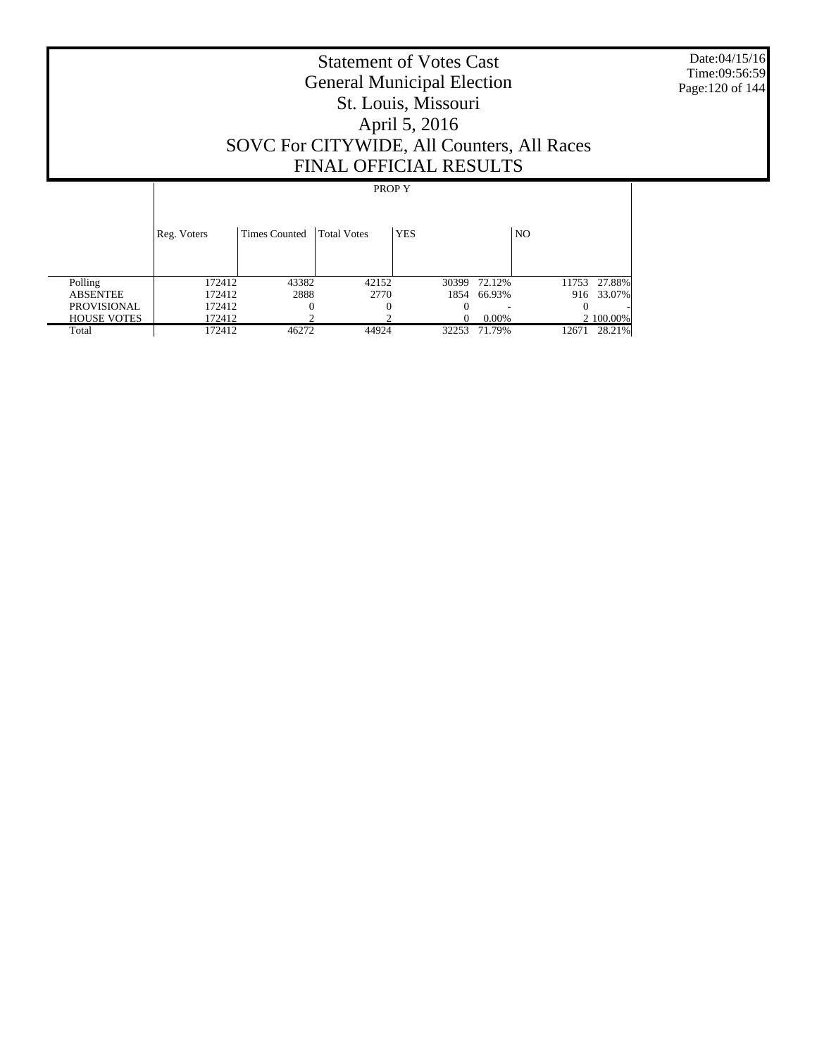Date:04/15/16 Time:09:56:59 Page:120 of 144

# Statement of Votes Cast General Municipal Election St. Louis, Missouri April 5, 2016 SOVC For CITYWIDE, All Counters, All Races FINAL OFFICIAL RESULTS

|                    | Reg. Voters | <b>Times Counted</b> | <b>Total Votes</b> | <b>YES</b> |             | N <sub>O</sub> |              |
|--------------------|-------------|----------------------|--------------------|------------|-------------|----------------|--------------|
| Polling            | 172412      | 43382                | 42152              | 30399      | 72.12%      |                | 11753 27.88% |
| <b>ABSENTEE</b>    | 172412      | 2888                 | 2770               |            | 1854 66.93% |                | 916 33.07%   |
| <b>PROVISIONAL</b> | 172412      |                      |                    |            |             |                |              |
| <b>HOUSE VOTES</b> | 172412      |                      |                    |            | $0.00\%$    |                | 2 100.00%    |
| Total              | 172412      | 46272                | 44924              | 32253      | 71.79%      | 12671          | 28.21%       |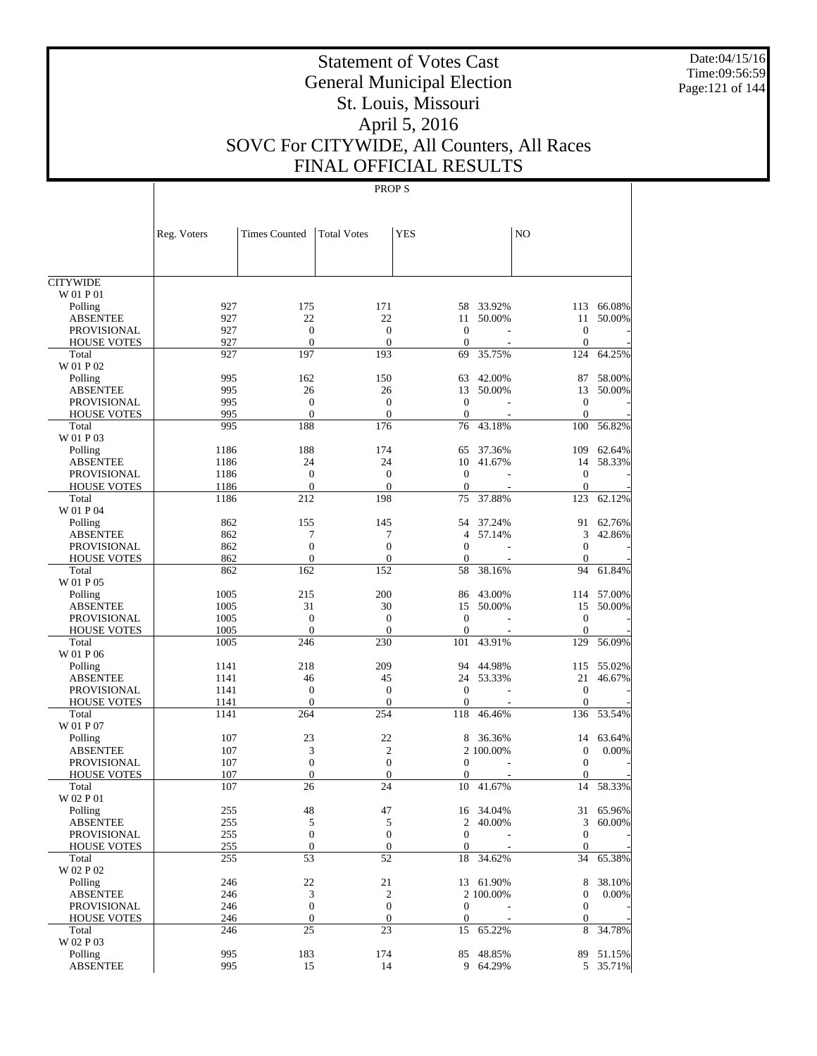Date:04/15/16 Time:09:56:59 Page:121 of 144

# Statement of Votes Cast General Municipal Election St. Louis, Missouri April 5, 2016 SOVC For CITYWIDE, All Counters, All Races FINAL OFFICIAL RESULTS

|                             | Reg. Voters | <b>Times Counted</b>               | <b>Total Votes</b>                 | <b>YES</b>             |           | N <sub>O</sub>           |           |
|-----------------------------|-------------|------------------------------------|------------------------------------|------------------------|-----------|--------------------------|-----------|
|                             |             |                                    |                                    |                        |           |                          |           |
| <b>CITYWIDE</b>             |             |                                    |                                    |                        |           |                          |           |
| W 01 P 01                   |             |                                    |                                    |                        |           |                          |           |
| Polling                     | 927         | 175                                | 171                                | 58                     | 33.92%    | 113                      | 66.08%    |
| <b>ABSENTEE</b>             | 927         | 22                                 | 22                                 | 11                     | 50.00%    | 11                       | 50.00%    |
| <b>PROVISIONAL</b>          | 927         | $\boldsymbol{0}$                   | $\mathbf{0}$                       | $\mathbf{0}$           |           | $\mathbf{0}$             |           |
| <b>HOUSE VOTES</b>          | 927         | $\overline{0}$                     | $\overline{0}$                     | $\theta$               |           | $\mathbf{0}$             |           |
| Total<br>W 01 P 02          | 927         | 197                                | 193                                | 69                     | 35.75%    | 124                      | 64.25%    |
| Polling                     | 995         | 162                                | 150                                | 63                     | 42.00%    | 87                       | 58.00%    |
| <b>ABSENTEE</b>             | 995         | 26                                 | 26                                 |                        | 13 50.00% | 13                       | 50.00%    |
| <b>PROVISIONAL</b>          | 995         | $\boldsymbol{0}$                   | $\boldsymbol{0}$                   | $\theta$               |           | $\mathbf{0}$             |           |
| <b>HOUSE VOTES</b>          | 995         | $\overline{0}$                     | $\mathbf{0}$                       | $\boldsymbol{0}$       |           | $\mathbf{0}$             |           |
| Total                       | 995         | 188                                | 176                                | 76                     | 43.18%    | 100                      | 56.82%    |
| W 01 P 03                   |             |                                    |                                    |                        |           |                          |           |
| Polling                     | 1186        | 188                                | 174                                | 65                     | 37.36%    | 109                      | 62.64%    |
| <b>ABSENTEE</b>             | 1186        | 24                                 | 24                                 | 10                     | 41.67%    | 14                       | 58.33%    |
| <b>PROVISIONAL</b>          | 1186        | $\boldsymbol{0}$                   | $\mathbf{0}$                       | $\mathbf{0}$           |           | $\mathbf{0}$             |           |
| <b>HOUSE VOTES</b>          | 1186        | $\overline{0}$                     | $\overline{0}$                     | $\theta$               |           | $\mathbf{0}$             |           |
| Total                       | 1186        | 212                                | 198                                | 75                     | 37.88%    | 123                      | 62.12%    |
| W 01 P 04                   |             |                                    |                                    |                        |           |                          |           |
| Polling                     | 862         | 155                                | 145                                | 54                     | 37.24%    | 91                       | 62.76%    |
| <b>ABSENTEE</b>             | 862         | 7                                  | 7                                  | $\overline{4}$         | 57.14%    | 3                        | 42.86%    |
| <b>PROVISIONAL</b>          | 862         | $\mathbf{0}$                       | $\mathbf{0}$                       | $\theta$               |           | $\boldsymbol{0}$         |           |
| <b>HOUSE VOTES</b>          | 862         | $\overline{0}$                     | $\theta$                           | $\mathbf{0}$           |           | $\theta$                 |           |
| Total                       | 862         | 162                                | 152                                | 58                     | 38.16%    | 94                       | 61.84%    |
| W 01 P 05                   |             |                                    |                                    |                        |           |                          |           |
| Polling                     | 1005        | 215                                | 200                                | 86                     | 43.00%    | 114                      | 57.00%    |
| <b>ABSENTEE</b>             | 1005        | 31                                 | 30                                 | 15                     | 50.00%    | 15                       | 50.00%    |
| <b>PROVISIONAL</b>          | 1005        | $\boldsymbol{0}$                   | $\boldsymbol{0}$                   | $\mathbf{0}$           |           | $\mathbf{0}$             |           |
| <b>HOUSE VOTES</b>          | 1005        | $\overline{0}$                     | $\overline{0}$                     | $\mathbf{0}$           |           | $\theta$                 |           |
| Total                       | 1005        | 246                                | 230                                | 101                    | 43.91%    | 129                      | 56.09%    |
| W 01 P 06                   |             |                                    |                                    |                        |           |                          |           |
| Polling                     | 1141        | 218                                | 209                                | 94                     | 44.98%    | 115                      | 55.02%    |
| <b>ABSENTEE</b>             | 1141        | 46                                 | 45                                 |                        | 24 53.33% | 21                       | 46.67%    |
| <b>PROVISIONAL</b>          | 1141        | $\boldsymbol{0}$                   | $\boldsymbol{0}$                   | $\theta$               |           | $\mathbf{0}$             |           |
| <b>HOUSE VOTES</b>          | 1141        | $\overline{0}$                     | $\theta$                           | $\mathbf{0}$           |           | $\mathbf{0}$             |           |
| Total                       | 1141        | 264                                | 254                                | 118                    | 46.46%    | 136                      | 53.54%    |
| W 01 P 07                   |             |                                    |                                    |                        |           |                          |           |
| Polling                     | 107         | 23                                 | 22                                 | 8                      | 36.36%    | 14                       | 63.64%    |
| <b>ABSENTEE</b>             | 107         | 3                                  | $\mathbf{2}$                       |                        | 2 100.00% | $\boldsymbol{0}$         | 0.00%     |
| PROVISIONAL                 | 107<br>107  | $\boldsymbol{0}$<br>$\overline{0}$ | $\boldsymbol{0}$<br>$\overline{0}$ | $\mathbf{0}$           |           | $\mathbf{0}$<br>$\Omega$ |           |
| <b>HOUSE VOTES</b><br>Total | 107         | 26                                 | 24                                 | $\boldsymbol{0}$<br>10 | 41.67%    | 14                       | 58.33%    |
| W 02 P 01                   |             |                                    |                                    |                        |           |                          |           |
| Polling                     | 255         | 48                                 | 47                                 |                        | 16 34.04% |                          | 31 65.96% |
| <b>ABSENTEE</b>             | 255         | 5                                  | 5                                  |                        | 2 40.00%  |                          | 3 60.00%  |
| PROVISIONAL                 | 255         | $\boldsymbol{0}$                   | $\boldsymbol{0}$                   | $\boldsymbol{0}$       |           | $\mathbf{0}$             |           |
| <b>HOUSE VOTES</b>          | 255         | $\boldsymbol{0}$                   | $\mathbf{0}$                       | $\boldsymbol{0}$       |           | $\boldsymbol{0}$         |           |
| Total                       | 255         | 53                                 | 52                                 | 18                     | 34.62%    | 34                       | 65.38%    |
| W 02 P 02                   |             |                                    |                                    |                        |           |                          |           |
| Polling                     | 246         | 22                                 | 21                                 |                        | 13 61.90% | 8                        | 38.10%    |
| <b>ABSENTEE</b>             | 246         | 3                                  | $\boldsymbol{2}$                   |                        | 2 100.00% | $\mathbf{0}$             | 0.00%     |
| PROVISIONAL                 | 246         | $\boldsymbol{0}$                   | $\boldsymbol{0}$                   | $\boldsymbol{0}$       |           | $\boldsymbol{0}$         |           |
| <b>HOUSE VOTES</b>          | 246         | $\boldsymbol{0}$                   | $\boldsymbol{0}$                   | $\mathbf{0}$           |           | $\boldsymbol{0}$         |           |
| Total                       | 246         | 25                                 | 23                                 | 15                     | 65.22%    | 8                        | 34.78%    |
| W 02 P 03                   |             |                                    |                                    |                        |           |                          |           |
| Polling                     | 995         | 183                                | 174                                |                        | 85 48.85% | 89                       | 51.15%    |
| <b>ABSENTEE</b>             | 995         | 15                                 | 14                                 |                        | 9 64.29%  |                          | 5 35.71%  |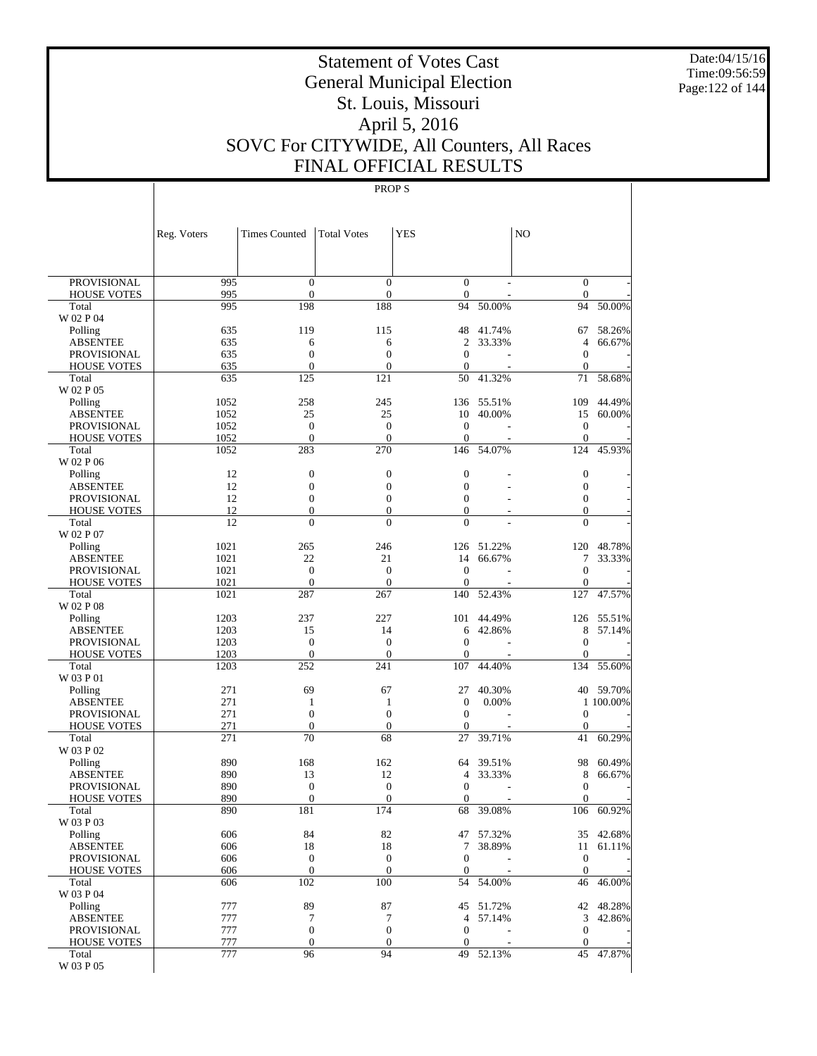Date:04/15/16 Time:09:56:59 Page:122 of 144

# Statement of Votes Cast General Municipal Election St. Louis, Missouri April 5, 2016 SOVC For CITYWIDE, All Counters, All Races FINAL OFFICIAL RESULTS

|                                          | Reg. Voters | <b>Times Counted</b>                 | <b>Total Votes</b>                   | <b>YES</b>                           |            | N <sub>O</sub>                   |           |
|------------------------------------------|-------------|--------------------------------------|--------------------------------------|--------------------------------------|------------|----------------------------------|-----------|
|                                          |             |                                      |                                      |                                      |            |                                  |           |
| <b>PROVISIONAL</b><br><b>HOUSE VOTES</b> | 995<br>995  | $\boldsymbol{0}$<br>$\mathbf{0}$     | $\boldsymbol{0}$<br>$\boldsymbol{0}$ | $\overline{0}$<br>$\boldsymbol{0}$   |            | $\mathbf{0}$<br>$\mathbf{0}$     |           |
| Total                                    | 995         | 198                                  | 188                                  | 94                                   | 50.00%     | 94                               | 50.00%    |
| W 02 P 04                                |             |                                      |                                      |                                      |            |                                  |           |
| Polling                                  | 635         | 119                                  | 115                                  | 48                                   | 41.74%     | 67                               | 58.26%    |
| <b>ABSENTEE</b>                          | 635         | 6                                    | 6                                    | $\mathfrak{2}$                       | 33.33%     | $\overline{4}$                   | 66.67%    |
| <b>PROVISIONAL</b>                       | 635         | $\boldsymbol{0}$                     | $\boldsymbol{0}$                     | $\boldsymbol{0}$                     |            | $\mathbf{0}$                     |           |
| <b>HOUSE VOTES</b>                       | 635         | $\mathbf{0}$                         | $\boldsymbol{0}$<br>121              | $\boldsymbol{0}$                     |            | $\mathbf{0}$                     |           |
| Total<br>W 02 P 05                       | 635         | 125                                  |                                      | 50                                   | 41.32%     | 71                               | 58.68%    |
| Polling                                  | 1052        | 258                                  | 245                                  | 136                                  | 55.51%     | 109                              | 44.49%    |
| <b>ABSENTEE</b>                          | 1052        | 25                                   | 25                                   | 10                                   | 40.00%     | 15                               | 60.00%    |
| <b>PROVISIONAL</b>                       | 1052        | $\boldsymbol{0}$                     | $\boldsymbol{0}$                     | $\mathbf{0}$                         |            | $\mathbf{0}$                     |           |
| <b>HOUSE VOTES</b>                       | 1052        | $\mathbf{0}$                         | $\overline{0}$                       | $\boldsymbol{0}$                     |            | $\mathbf{0}$                     |           |
| Total                                    | 1052        | 283                                  | 270                                  | 146                                  | 54.07%     | 124                              | 45.93%    |
| W 02 P 06                                |             |                                      |                                      |                                      |            |                                  |           |
| Polling                                  | 12          | $\boldsymbol{0}$                     | $\boldsymbol{0}$                     | $\boldsymbol{0}$                     |            | $\boldsymbol{0}$                 |           |
| <b>ABSENTEE</b><br><b>PROVISIONAL</b>    | 12<br>12    | $\boldsymbol{0}$<br>$\boldsymbol{0}$ | $\boldsymbol{0}$<br>$\boldsymbol{0}$ | $\overline{0}$<br>$\overline{0}$     |            | $\boldsymbol{0}$<br>$\mathbf{0}$ |           |
| <b>HOUSE VOTES</b>                       | 12          | $\boldsymbol{0}$                     | $\boldsymbol{0}$                     | $\overline{0}$                       |            | $\mathbf{0}$                     |           |
| Total                                    | 12          | $\overline{0}$                       | $\overline{0}$                       | $\overline{0}$                       |            | $\Omega$                         |           |
| W 02 P 07                                |             |                                      |                                      |                                      |            |                                  |           |
| Polling                                  | 1021        | 265                                  | 246                                  |                                      | 126 51.22% | 120                              | 48.78%    |
| <b>ABSENTEE</b>                          | 1021        | 22                                   | 21                                   | 14                                   | 66.67%     | 7                                | 33.33%    |
| <b>PROVISIONAL</b>                       | 1021        | $\boldsymbol{0}$                     | $\boldsymbol{0}$                     | $\mathbf{0}$                         |            | $\boldsymbol{0}$                 |           |
| <b>HOUSE VOTES</b>                       | 1021        | $\mathbf{0}$                         | $\overline{0}$                       | $\mathbf{0}$                         |            | $\mathbf{0}$                     |           |
| Total<br>W 02 P 08                       | 1021        | 287                                  | 267                                  | 140                                  | 52.43%     | 127                              | 47.57%    |
| Polling                                  | 1203        | 237                                  | 227                                  | 101                                  | 44.49%     | 126                              | 55.51%    |
| <b>ABSENTEE</b>                          | 1203        | 15                                   | 14                                   | 6                                    | 42.86%     | 8                                | 57.14%    |
| <b>PROVISIONAL</b>                       | 1203        | $\boldsymbol{0}$                     | $\boldsymbol{0}$                     | $\boldsymbol{0}$                     |            | $\boldsymbol{0}$                 |           |
| <b>HOUSE VOTES</b>                       | 1203        | $\mathbf{0}$                         | $\boldsymbol{0}$                     | $\boldsymbol{0}$                     |            | $\mathbf{0}$                     |           |
| Total                                    | 1203        | 252                                  | 241                                  | 107                                  | 44.40%     | 134                              | 55.60%    |
| W 03 P 01                                |             |                                      |                                      |                                      |            |                                  |           |
| Polling                                  | 271         | 69                                   | 67                                   | 27                                   | 40.30%     |                                  | 40 59.70% |
| <b>ABSENTEE</b>                          | 271<br>271  | $\mathbf{1}$<br>$\mathbf{0}$         | 1<br>$\boldsymbol{0}$                | $\boldsymbol{0}$<br>$\boldsymbol{0}$ | 0.00%      | $\boldsymbol{0}$                 | 1 100.00% |
| <b>PROVISIONAL</b><br><b>HOUSE VOTES</b> | 271         | $\mathbf{0}$                         | $\boldsymbol{0}$                     | $\boldsymbol{0}$                     |            | $\mathbf{0}$                     |           |
| Total                                    | 271         | 70                                   | 68                                   | 27                                   | 39.71%     | 41                               | 60.29%    |
| W 03 P 02                                |             |                                      |                                      |                                      |            |                                  |           |
| Polling                                  | 890         | 168                                  | 162                                  | 64                                   | 39.51%     | 98                               | 60.49%    |
| <b>ABSENTEE</b>                          | 890         | 13                                   | 12                                   | 4                                    | 33.33%     | 8                                | 66.67%    |
| PROVISIONAL                              | 890         | $\boldsymbol{0}$                     | $\boldsymbol{0}$                     | $\mathbf{0}$                         |            | $\mathbf{0}$                     |           |
| <b>HOUSE VOTES</b>                       | 890         | $\boldsymbol{0}$                     | $\boldsymbol{0}$                     | $\boldsymbol{0}$                     |            | $\boldsymbol{0}$                 |           |
| Total<br>W 03 P 03                       | 890         | 181                                  | 174                                  | 68                                   | 39.08%     | 106                              | 60.92%    |
| Polling                                  | 606         | 84                                   | 82                                   |                                      | 47 57.32%  |                                  | 35 42.68% |
| <b>ABSENTEE</b>                          | 606         | 18                                   | 18                                   | 7                                    | 38.89%     | 11                               | 61.11%    |
| <b>PROVISIONAL</b>                       | 606         | $\boldsymbol{0}$                     | $\boldsymbol{0}$                     | 0                                    |            | $\boldsymbol{0}$                 |           |
| <b>HOUSE VOTES</b>                       | 606         | $\boldsymbol{0}$                     | $\mathbf{0}$                         | $\mathbf{0}$                         |            | $\mathbf{0}$                     |           |
| Total                                    | 606         | 102                                  | 100                                  | 54                                   | 54.00%     | 46                               | 46.00%    |
| W 03 P 04                                |             |                                      |                                      |                                      |            |                                  |           |
| Polling                                  | 777         | 89                                   | 87                                   |                                      | 45 51.72%  |                                  | 42 48.28% |
| <b>ABSENTEE</b>                          | 777         | $\overline{7}$                       | 7                                    | 4                                    | 57.14%     | 3                                | 42.86%    |
| PROVISIONAL<br><b>HOUSE VOTES</b>        | 777<br>777  | $\boldsymbol{0}$<br>$\boldsymbol{0}$ | $\boldsymbol{0}$<br>$\boldsymbol{0}$ | $\boldsymbol{0}$                     |            | $\mathbf{0}$<br>$\mathbf{0}$     |           |
| Total                                    | 777         | 96                                   | 94                                   | 0                                    | 49 52.13%  | 45                               | 47.87%    |
| $\rm W$ 03 P $05$                        |             |                                      |                                      |                                      |            |                                  |           |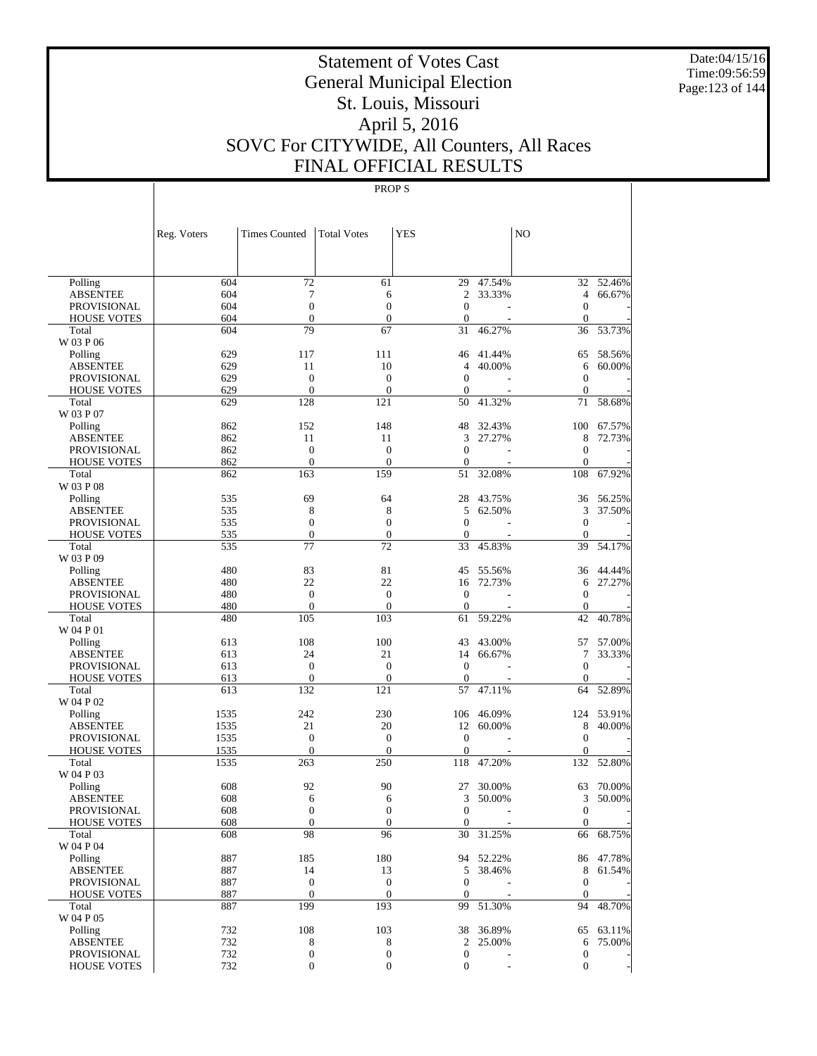Date:04/15/16 Time:09:56:59 Page:123 of 144

# Statement of Votes Cast General Municipal Election St. Louis, Missouri April 5, 2016 SOVC For CITYWIDE, All Counters, All Races FINAL OFFICIAL RESULTS

|                                          | Reg. Voters | <b>Times Counted</b>               | <b>Total Votes</b>                 | <b>YES</b>                       |                          | N <sub>O</sub>                       |           |
|------------------------------------------|-------------|------------------------------------|------------------------------------|----------------------------------|--------------------------|--------------------------------------|-----------|
|                                          |             |                                    |                                    |                                  |                          |                                      |           |
| Polling                                  | 604         | 72                                 | 61                                 | 29                               | 47.54%                   |                                      | 32 52.46% |
| <b>ABSENTEE</b>                          | 604         | 7                                  | 6                                  | 2                                | 33.33%                   | $\overline{4}$                       | 66.67%    |
| <b>PROVISIONAL</b>                       | 604         | $\boldsymbol{0}$                   | $\overline{0}$                     | $\boldsymbol{0}$                 |                          | $\mathbf{0}$                         |           |
| <b>HOUSE VOTES</b>                       | 604         | $\overline{0}$                     | $\boldsymbol{0}$                   | $\mathbf{0}$                     |                          | $\theta$                             |           |
| Total                                    | 604         | 79                                 | 67                                 | 31                               | 46.27%                   | 36                                   | 53.73%    |
| W 03 P 06                                |             |                                    |                                    |                                  |                          |                                      |           |
| Polling                                  | 629         | 117                                | 111                                | 46                               | 41.44%                   | 65                                   | 58.56%    |
| <b>ABSENTEE</b>                          | 629         | 11                                 | 10                                 | 4                                | 40.00%                   | 6                                    | 60.00%    |
| <b>PROVISIONAL</b>                       | 629         | $\mathbf{0}$                       | $\mathbf{0}$                       | $\boldsymbol{0}$                 |                          | $\mathbf{0}$                         |           |
| <b>HOUSE VOTES</b>                       | 629         | $\overline{0}$                     | $\overline{0}$                     | 0                                |                          | $\mathbf{0}$                         |           |
| Total                                    | 629         | 128                                | 121                                | 50                               | 41.32%                   | 71                                   | 58.68%    |
| W 03 P 07                                |             |                                    |                                    |                                  |                          |                                      |           |
| Polling                                  | 862         | 152                                | 148                                | 48                               | 32.43%                   | 100                                  | 67.57%    |
| <b>ABSENTEE</b>                          | 862         | 11                                 | 11                                 | 3                                | 27.27%                   | 8                                    | 72.73%    |
| <b>PROVISIONAL</b>                       | 862         | $\boldsymbol{0}$<br>$\overline{0}$ | $\boldsymbol{0}$<br>$\overline{0}$ | $\mathbf{0}$                     |                          | $\mathbf{0}$                         |           |
| <b>HOUSE VOTES</b>                       | 862<br>862  | 163                                | 159                                | $\mathbf{0}$<br>51               | 32.08%                   | $\mathbf{0}$<br>108                  | 67.92%    |
| Total<br>W 03 P 08                       |             |                                    |                                    |                                  |                          |                                      |           |
| Polling                                  | 535         | 69                                 | 64                                 | 28                               | 43.75%                   | 36                                   | 56.25%    |
| <b>ABSENTEE</b>                          | 535         | 8                                  | 8                                  | 5                                | 62.50%                   | 3                                    | 37.50%    |
| <b>PROVISIONAL</b>                       | 535         | $\boldsymbol{0}$                   | $\mathbf{0}$                       | $\boldsymbol{0}$                 |                          | $\mathbf{0}$                         |           |
| <b>HOUSE VOTES</b>                       | 535         | $\mathbf{0}$                       | $\mathbf{0}$                       | $\boldsymbol{0}$                 |                          | $\mathbf{0}$                         |           |
| Total                                    | 535         | 77                                 | 72                                 | 33                               | 45.83%                   | 39                                   | 54.17%    |
| W 03 P 09                                |             |                                    |                                    |                                  |                          |                                      |           |
| Polling                                  | 480         | 83                                 | 81                                 | 45                               | 55.56%                   | 36                                   | 44.44%    |
| <b>ABSENTEE</b>                          | 480         | 22                                 | 22                                 | 16                               | 72.73%                   | 6                                    | 27.27%    |
| <b>PROVISIONAL</b>                       | 480         | $\boldsymbol{0}$                   | $\boldsymbol{0}$                   | $\boldsymbol{0}$                 |                          | $\mathbf{0}$                         |           |
| <b>HOUSE VOTES</b>                       | 480         | $\overline{0}$                     | $\overline{0}$                     | $\boldsymbol{0}$                 |                          | $\theta$                             |           |
| Total                                    | 480         | 105                                | 103                                | 61                               | 59.22%                   | 42                                   | 40.78%    |
| W 04 P 01                                |             |                                    |                                    |                                  |                          |                                      |           |
| Polling                                  | 613         | 108                                | 100                                | 43                               | 43.00%                   | 57                                   | 57.00%    |
| <b>ABSENTEE</b>                          | 613         | 24                                 | 21                                 | 14                               | 66.67%                   | 7                                    | 33.33%    |
| PROVISIONAL                              | 613         | $\mathbf{0}$                       | $\mathbf{0}$                       | $\mathbf{0}$                     |                          | $\mathbf{0}$                         |           |
| <b>HOUSE VOTES</b>                       | 613         | $\mathbf{0}$                       | $\overline{0}$                     | $\boldsymbol{0}$                 |                          | $\theta$                             |           |
| Total                                    | 613         | 132                                | 121                                | 57                               | 47.11%                   | 64                                   | 52.89%    |
| W 04 P 02                                |             |                                    |                                    |                                  |                          |                                      |           |
| Polling                                  | 1535        | 242                                | 230                                | 106                              | 46.09%                   | 124                                  | 53.91%    |
| <b>ABSENTEE</b>                          | 1535        | 21                                 | 20                                 | 12                               | 60.00%                   | 8                                    | 40.00%    |
| <b>PROVISIONAL</b>                       | 1535        | $\boldsymbol{0}$                   | $\mathbf{0}$                       | $\boldsymbol{0}$                 |                          | $\mathbf{0}$                         |           |
| <b>HOUSE VOTES</b>                       | 1535        | $\mathbf{0}$                       | $\overline{0}$                     | $\boldsymbol{0}$                 |                          | $\mathbf{0}$                         |           |
| Total                                    | 1535        | 263                                | 250                                | 118                              | 47.20%                   | 132                                  | 52.80%    |
| W 04 P 03                                |             |                                    |                                    |                                  |                          |                                      |           |
| Polling                                  | 608         | 92                                 | 90                                 | 27                               | 30.00%                   | 63                                   | 70.00%    |
| <b>ABSENTEE</b>                          | 608         | 6<br>$\theta$                      | 6<br>$\theta$                      | 3                                | 50.00%                   | 3                                    | 50.00%    |
| <b>PROVISIONAL</b><br><b>HOUSE VOTES</b> | 608<br>608  | $\boldsymbol{0}$                   | $\mathbf{0}$                       | $\boldsymbol{0}$<br>$\mathbf{0}$ | $\overline{\phantom{a}}$ | $\boldsymbol{0}$<br>$\boldsymbol{0}$ |           |
| Total                                    | 608         | 98                                 | 96                                 | 30                               | 31.25%                   | 66                                   | 68.75%    |
| W 04 P 04                                |             |                                    |                                    |                                  |                          |                                      |           |
| Polling                                  | 887         | 185                                | 180                                |                                  | 94 52.22%                |                                      | 86 47.78% |
| <b>ABSENTEE</b>                          | 887         | 14                                 | 13                                 | 5                                | 38.46%                   | $\,8\,$                              | 61.54%    |
| <b>PROVISIONAL</b>                       | 887         | $\boldsymbol{0}$                   | $\boldsymbol{0}$                   | $\boldsymbol{0}$                 |                          | $\mathbf{0}$                         |           |
| <b>HOUSE VOTES</b>                       | 887         | $\boldsymbol{0}$                   | $\boldsymbol{0}$                   | $\mathbf{0}$                     |                          | $\mathbf{0}$                         |           |
| Total                                    | 887         | 199                                | 193                                |                                  | 99 51.30%                | 94                                   | 48.70%    |
| W 04 P 05                                |             |                                    |                                    |                                  |                          |                                      |           |
| Polling                                  | 732         | 108                                | 103                                |                                  | 38 36.89%                | 65                                   | 63.11%    |
| <b>ABSENTEE</b>                          | 732         | 8                                  | $\,$ 8 $\,$                        | 2                                | 25.00%                   | 6                                    | 75.00%    |
| <b>PROVISIONAL</b>                       | 732         | $\boldsymbol{0}$                   | $\boldsymbol{0}$                   | $\boldsymbol{0}$                 |                          | $\boldsymbol{0}$                     |           |
| HOUSE VOTES                              | 732         | $\boldsymbol{0}$                   | $\boldsymbol{0}$                   | $\boldsymbol{0}$                 |                          | $\mathbf{0}$                         |           |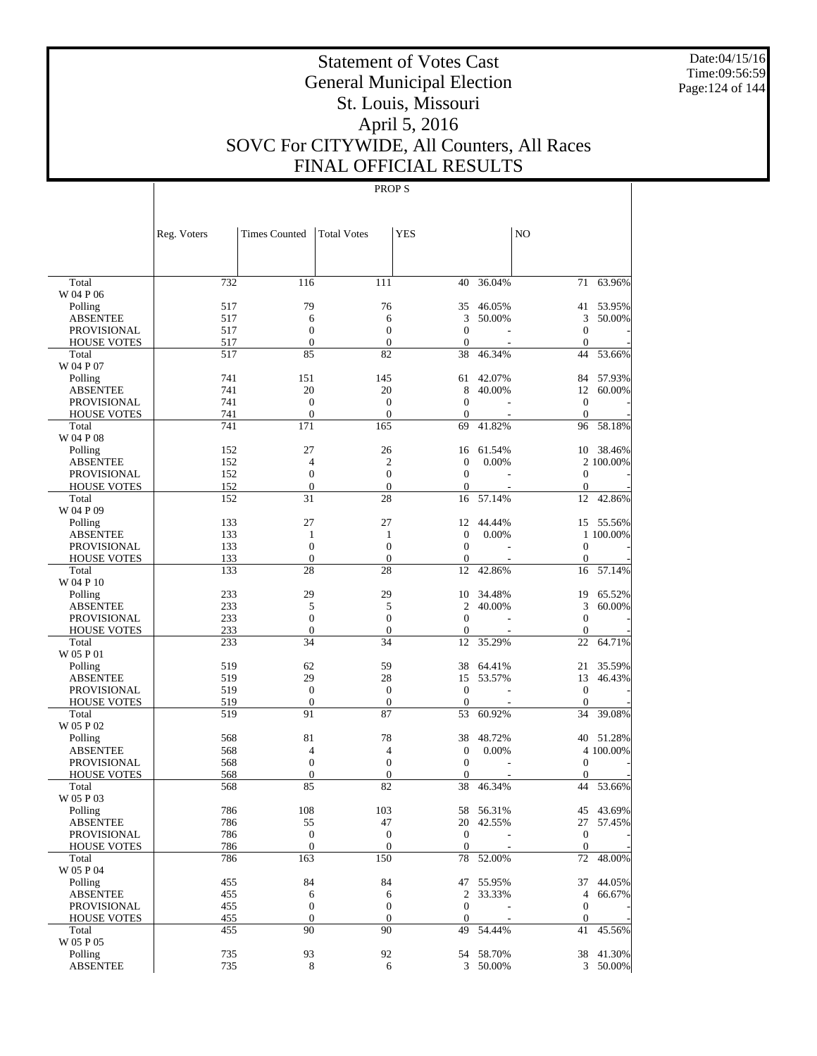Date:04/15/16 Time:09:56:59 Page:124 of 144

# Statement of Votes Cast General Municipal Election St. Louis, Missouri April 5, 2016 SOVC For CITYWIDE, All Counters, All Races FINAL OFFICIAL RESULTS

|                                | Reg. Voters | <b>Times Counted</b>   | <b>Total Votes</b>     | YES              |           | N <sub>O</sub>     |           |
|--------------------------------|-------------|------------------------|------------------------|------------------|-----------|--------------------|-----------|
|                                |             |                        |                        |                  |           |                    |           |
| Total                          | 732         | 116                    | 111                    | 40               | 36.04%    | 71                 | 63.96%    |
| W 04 P 06                      |             |                        |                        |                  |           |                    |           |
| Polling                        | 517         | 79                     | 76                     | 35               | 46.05%    |                    | 41 53.95% |
| <b>ABSENTEE</b>                | 517         | 6                      | 6                      | 3                | 50.00%    | 3                  | 50.00%    |
| <b>PROVISIONAL</b>             | 517         | $\boldsymbol{0}$       | $\boldsymbol{0}$       | $\mathbf{0}$     |           | $\mathbf{0}$       |           |
| <b>HOUSE VOTES</b><br>Total    | 517<br>517  | $\boldsymbol{0}$<br>85 | $\boldsymbol{0}$<br>82 | $\theta$<br>38   | 46.34%    | $\mathbf{0}$<br>44 | 53.66%    |
| W 04 P 07                      |             |                        |                        |                  |           |                    |           |
| Polling                        | 741         | 151                    | 145                    | 61               | 42.07%    | 84                 | 57.93%    |
| <b>ABSENTEE</b>                | 741         | 20                     | 20                     | 8                | 40.00%    | 12                 | 60.00%    |
| <b>PROVISIONAL</b>             | 741         | $\mathbf{0}$           | $\boldsymbol{0}$       | $\theta$         |           | $\mathbf{0}$       |           |
| <b>HOUSE VOTES</b>             | 741         | $\mathbf{0}$           | $\boldsymbol{0}$       | $\theta$         |           | $\mathbf{0}$       |           |
| Total                          | 741         | 171                    | 165                    | 69               | 41.82%    | 96                 | 58.18%    |
| W 04 P 08                      |             |                        |                        |                  |           |                    |           |
| Polling                        | 152         | 27                     | 26                     | 16               | 61.54%    |                    | 10 38.46% |
| <b>ABSENTEE</b>                | 152         | $\overline{4}$         | $\overline{2}$         | $\theta$         | 0.00%     |                    | 2 100.00% |
| <b>PROVISIONAL</b>             | 152         | $\boldsymbol{0}$       | $\boldsymbol{0}$       | $\mathbf{0}$     | L.        | $\mathbf{0}$       |           |
| <b>HOUSE VOTES</b>             | 152         | $\boldsymbol{0}$       | $\boldsymbol{0}$       | $\overline{0}$   |           | $\mathbf{0}$       |           |
| Total                          | 152         | 31                     | 28                     | 16               | 57.14%    | 12                 | 42.86%    |
| W 04 P 09                      |             |                        |                        |                  |           |                    |           |
| Polling                        | 133         | 27                     | 27                     | 12               | 44.44%    |                    | 15 55.56% |
| ABSENTEE                       | 133         | 1                      | $\mathbf{1}$           | $\mathbf{0}$     | 0.00%     |                    | 1 100.00% |
| <b>PROVISIONAL</b>             | 133         | $\mathbf{0}$           | $\boldsymbol{0}$       | $\mathbf{0}$     |           | $\mathbf{0}$       |           |
| <b>HOUSE VOTES</b>             | 133         | $\boldsymbol{0}$       | $\boldsymbol{0}$       | 0                |           | $\mathbf{0}$       |           |
| Total                          | 133         | 28                     | 28                     | 12               | 42.86%    | 16                 | 57.14%    |
| W 04 P 10                      |             |                        |                        |                  |           |                    |           |
| Polling                        | 233         | 29                     | 29                     | 10               | 34.48%    | 19                 | 65.52%    |
| <b>ABSENTEE</b>                | 233         | 5                      | 5                      | 2                | 40.00%    | 3                  | 60.00%    |
| <b>PROVISIONAL</b>             | 233         | $\boldsymbol{0}$       | $\boldsymbol{0}$       | $\mathbf{0}$     |           | $\mathbf{0}$       |           |
| <b>HOUSE VOTES</b>             | 233         | $\mathbf{0}$           | $\boldsymbol{0}$       | $\mathbf{0}$     |           | $\mathbf{0}$       |           |
| Total                          | 233         | 34                     | 34                     | 12               | 35.29%    | 22                 | 64.71%    |
| W 05 P 01                      |             |                        |                        |                  |           |                    |           |
| Polling                        | 519<br>519  | 62<br>29               | 59<br>28               | 38               | 64.41%    | 21                 | 35.59%    |
| ABSENTEE<br><b>PROVISIONAL</b> | 519         | $\boldsymbol{0}$       | $\boldsymbol{0}$       | 15<br>$\theta$   | 53.57%    | 13<br>$\mathbf{0}$ | 46.43%    |
| <b>HOUSE VOTES</b>             | 519         | $\mathbf{0}$           | $\boldsymbol{0}$       | $\mathbf{0}$     |           | $\mathbf{0}$       |           |
| Total                          | 519         | 91                     | 87                     | 53               | 60.92%    | 34                 | 39.08%    |
| W 05 P 02                      |             |                        |                        |                  |           |                    |           |
| Polling                        | 568         | 81                     | 78                     | 38               | 48.72%    |                    | 40 51.28% |
| <b>ABSENTEE</b>                | 568         | $\overline{4}$         | 4                      | $\boldsymbol{0}$ | 0.00%     |                    | 4 100.00% |
| PROVISIONAL                    | 568         | $\boldsymbol{0}$       | $\boldsymbol{0}$       | $\mathbf{0}$     | L.        | $\mathbf{0}$       |           |
| <b>HOUSE VOTES</b>             | 568         | $\boldsymbol{0}$       | $\boldsymbol{0}$       | $\mathbf{0}$     |           | $\mathbf{0}$       |           |
| Total                          | 568         | 85                     | 82                     | 38               | 46.34%    | 44                 | 53.66%    |
| W 05 P 03                      |             |                        |                        |                  |           |                    |           |
| Polling                        | 786         | 108                    | 103                    |                  | 58 56.31% |                    | 45 43.69% |
| ABSENTEE                       | 786         | 55                     | 47                     |                  | 20 42.55% |                    | 27 57.45% |
| PROVISIONAL                    | 786         | $\boldsymbol{0}$       | $\mathbf{0}$           | $\boldsymbol{0}$ |           | $\boldsymbol{0}$   |           |
| <b>HOUSE VOTES</b>             | 786         | $\mathbf{0}$           | $\mathbf{0}$           | $\boldsymbol{0}$ |           | $\mathbf{0}$       |           |
| Total                          | 786         | 163                    | 150                    | 78               | 52.00%    | 72                 | 48.00%    |
| W 05 P 04                      |             |                        |                        |                  |           |                    |           |
| Polling                        | 455         | 84                     | 84                     |                  | 47 55.95% | 37                 | 44.05%    |
| <b>ABSENTEE</b>                | 455         | 6                      | 6                      | $\overline{2}$   | 33.33%    | $\overline{4}$     | 66.67%    |
| PROVISIONAL                    | 455         | $\boldsymbol{0}$       | $\mathbf{0}$           | $\boldsymbol{0}$ |           | $\boldsymbol{0}$   |           |
| <b>HOUSE VOTES</b>             | 455         | $\mathbf{0}$           | $\mathbf{0}$           | $\boldsymbol{0}$ |           | $\mathbf{0}$       |           |
| Total                          | 455         | 90                     | 90                     | 49               | 54.44%    | 41                 | 45.56%    |
| W 05 P 05                      |             |                        |                        |                  |           |                    |           |
| Polling                        | 735         | 93                     | 92                     |                  | 54 58.70% |                    | 38 41.30% |
| <b>ABSENTEE</b>                | 735         | 8                      | 6                      |                  | 3 50.00%  |                    | 3 50.00%  |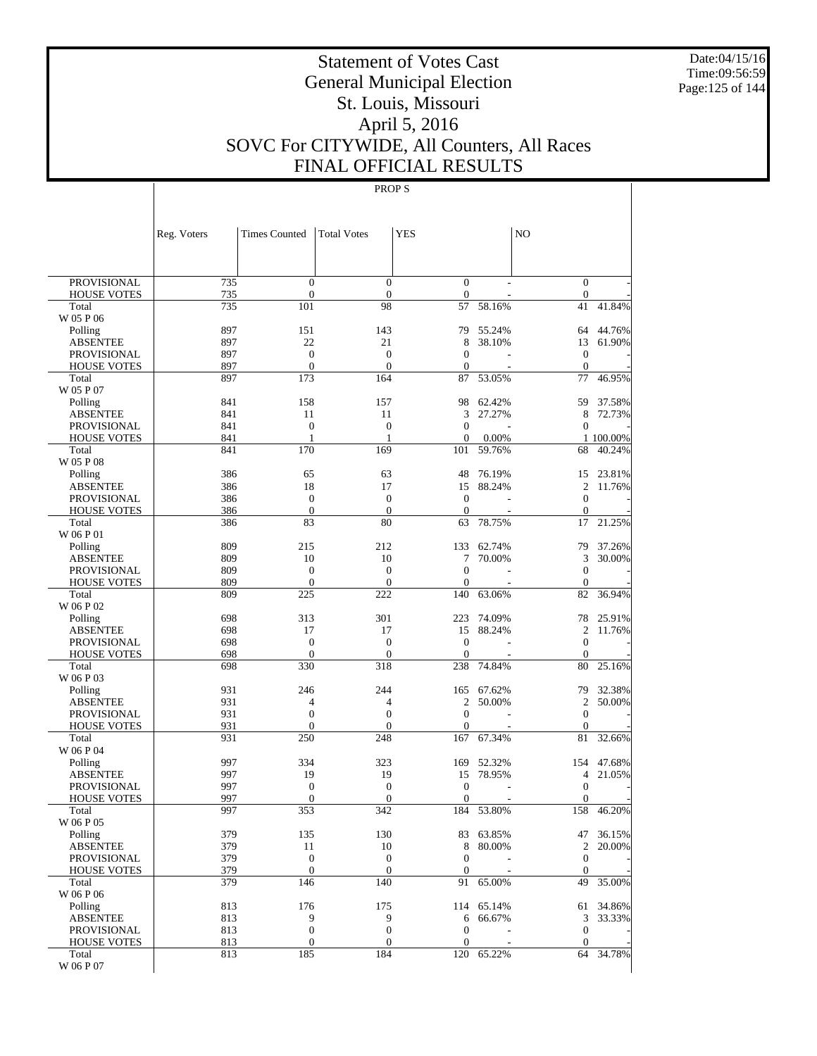Date:04/15/16 Time:09:56:59 Page:125 of 144

# Statement of Votes Cast General Municipal Election St. Louis, Missouri April 5, 2016 SOVC For CITYWIDE, All Counters, All Races FINAL OFFICIAL RESULTS

|                                          | Reg. Voters | <b>Times Counted</b>    | <b>Total Votes</b>  | <b>YES</b>                         |                  | N <sub>O</sub>        |                  |
|------------------------------------------|-------------|-------------------------|---------------------|------------------------------------|------------------|-----------------------|------------------|
|                                          |             |                         |                     |                                    |                  |                       |                  |
| <b>PROVISIONAL</b>                       | 735         | $\mathbf{0}$            | $\overline{0}$      | $\mathbf{0}$                       |                  | $\mathbf{0}$          |                  |
| <b>HOUSE VOTES</b>                       | 735         | $\boldsymbol{0}$        | $\theta$            | $\boldsymbol{0}$                   |                  | $\mathbf{0}$          |                  |
| Total                                    | 735         | 101                     | 98                  | 57                                 | 58.16%           | 41                    | 41.84%           |
| W 05 P 06                                |             |                         |                     |                                    |                  |                       |                  |
| Polling<br><b>ABSENTEE</b>               | 897<br>897  | 151<br>22               | 143<br>21           | 79<br>8                            | 55.24%<br>38.10% | 64<br>13              | 44.76%<br>61.90% |
| <b>PROVISIONAL</b>                       | 897         | $\mathbf{0}$            | $\overline{0}$      | $\overline{0}$                     |                  | $\boldsymbol{0}$      |                  |
| <b>HOUSE VOTES</b>                       | 897         | $\overline{0}$          | $\overline{0}$      | $\mathbf{0}$                       |                  | $\mathbf{0}$          |                  |
| Total                                    | 897         | 173                     | 164                 | 87                                 | 53.05%           | 77                    | 46.95%           |
| W 05 P 07                                |             |                         |                     |                                    |                  |                       |                  |
| Polling                                  | 841         | 158                     | 157                 | 98                                 | 62.42%           | 59                    | 37.58%           |
| <b>ABSENTEE</b>                          | 841         | 11                      | 11                  | 3                                  | 27.27%           | 8                     | 72.73%           |
| <b>PROVISIONAL</b><br><b>HOUSE VOTES</b> | 841<br>841  | $\mathbf{0}$<br>1       | $\overline{0}$<br>1 | $\overline{0}$<br>$\boldsymbol{0}$ | 0.00%            | $\mathbf{0}$          | 1 100.00%        |
| Total                                    | 841         | 170                     | 169                 | 101                                | 59.76%           | 68                    | 40.24%           |
| W 05 P 08                                |             |                         |                     |                                    |                  |                       |                  |
| Polling                                  | 386         | 65                      | 63                  | 48                                 | 76.19%           | 15                    | 23.81%           |
| <b>ABSENTEE</b>                          | 386         | 18                      | 17                  | 15                                 | 88.24%           | $\overline{c}$        | 11.76%           |
| <b>PROVISIONAL</b>                       | 386         | $\overline{0}$          | $\overline{0}$      | $\mathbf{0}$                       |                  | $\mathbf{0}$          |                  |
| <b>HOUSE VOTES</b>                       | 386         | $\mathbf{0}$            | $\theta$            | $\mathbf{0}$                       |                  | $\mathbf{0}$          |                  |
| Total                                    | 386         | 83                      | 80                  | 63                                 | 78.75%           | 17                    | 21.25%           |
| W 06 P 01                                | 809         | 215                     | 212                 |                                    |                  |                       |                  |
| Polling<br><b>ABSENTEE</b>               | 809         | 10                      | 10                  | 133<br>7                           | 62.74%<br>70.00% | 79<br>3               | 37.26%<br>30.00% |
| <b>PROVISIONAL</b>                       | 809         | $\mathbf{0}$            | $\overline{0}$      | $\overline{0}$                     |                  | $\boldsymbol{0}$      |                  |
| <b>HOUSE VOTES</b>                       | 809         | $\overline{0}$          | $\overline{0}$      | $\boldsymbol{0}$                   |                  | $\mathbf{0}$          |                  |
| Total                                    | 809         | 225                     | 222                 | 140                                | 63.06%           | 82                    | 36.94%           |
| W 06 P 02                                |             |                         |                     |                                    |                  |                       |                  |
| Polling                                  | 698         | 313                     | 301                 | 223                                | 74.09%           | 78                    | 25.91%           |
| <b>ABSENTEE</b>                          | 698         | 17                      | 17                  | 15                                 | 88.24%           | $\overline{c}$        | 11.76%           |
| <b>PROVISIONAL</b>                       | 698         | $\mathbf{0}$            | $\overline{0}$      | $\overline{0}$                     |                  | $\mathbf{0}$          |                  |
| <b>HOUSE VOTES</b><br>Total              | 698<br>698  | $\overline{0}$<br>330   | $\theta$<br>318     | $\mathbf{0}$<br>238                | 74.84%           | $\mathbf{0}$<br>80    | 25.16%           |
| W 06 P 03                                |             |                         |                     |                                    |                  |                       |                  |
| Polling                                  | 931         | 246                     | 244                 | 165                                | 67.62%           | 79                    | 32.38%           |
| <b>ABSENTEE</b>                          | 931         | 4                       | $\overline{4}$      | $\overline{c}$                     | 50.00%           | $\overline{c}$        | 50.00%           |
| <b>PROVISIONAL</b>                       | 931         | $\overline{0}$          | $\overline{0}$      | $\overline{0}$                     |                  | $\mathbf{0}$          |                  |
| <b>HOUSE VOTES</b>                       | 931         | $\mathbf{0}$            | $\overline{0}$      | 0                                  |                  | $\mathbf{0}$          |                  |
| Total                                    | 931         | 250                     | 248                 | 167                                | 67.34%           | 81                    | 32.66%           |
| W 06 P 04                                |             |                         |                     |                                    |                  |                       |                  |
| Polling<br><b>ABSENTEE</b>               | 997<br>997  | 334<br>19               | 323<br>19           | 169<br>15                          | 52.32%<br>78.95% | 154<br>$\overline{4}$ | 47.68%<br>21.05% |
| <b>PROVISIONAL</b>                       | 997         | $\mathbf{0}$            | $\overline{0}$      | $\mathbf{0}$                       |                  | $\boldsymbol{0}$      |                  |
| <b>HOUSE VOTES</b>                       | 997         | $\mathbf{0}$            | $\theta$            | $\boldsymbol{0}$                   |                  | $\mathbf{0}$          |                  |
| Total                                    | 997         | 353                     | 342                 | 184                                | 53.80%           | 158                   | 46.20%           |
| W 06 P 05                                |             |                         |                     |                                    |                  |                       |                  |
| Polling                                  | 379         | 135                     | 130                 | 83                                 | 63.85%           | 47                    | 36.15%           |
| <b>ABSENTEE</b>                          | 379         | 11                      | 10                  | 8                                  | 80.00%           | $\overline{c}$        | 20.00%           |
| PROVISIONAL                              | 379         | $\mathbf{0}$            | $\mathbf{0}$        | $\mathbf{0}$                       |                  | $\mathbf{0}$          |                  |
| <b>HOUSE VOTES</b><br>Total              | 379<br>379  | $\boldsymbol{0}$<br>146 | $\mathbf{0}$<br>140 | $\boldsymbol{0}$<br>91             | 65.00%           | $\mathbf{0}$<br>49    | 35.00%           |
| W 06 P 06                                |             |                         |                     |                                    |                  |                       |                  |
| Polling                                  | 813         | 176                     | 175                 | 114                                | 65.14%           | 61                    | 34.86%           |
| <b>ABSENTEE</b>                          | 813         | 9                       | 9                   | 6                                  | 66.67%           | 3                     | 33.33%           |
| PROVISIONAL                              | 813         | $\mathbf{0}$            | $\boldsymbol{0}$    | $\mathbf{0}$                       |                  | $\mathbf{0}$          |                  |
| <b>HOUSE VOTES</b>                       | 813         | $\boldsymbol{0}$        | $\mathbf{0}$        | $\boldsymbol{0}$                   |                  | $\mathbf{0}$          |                  |
| Total                                    | 813         | 185                     | 184                 | 120                                | 65.22%           | 64                    | 34.78%           |
| W 06 P 07                                |             |                         |                     |                                    |                  |                       |                  |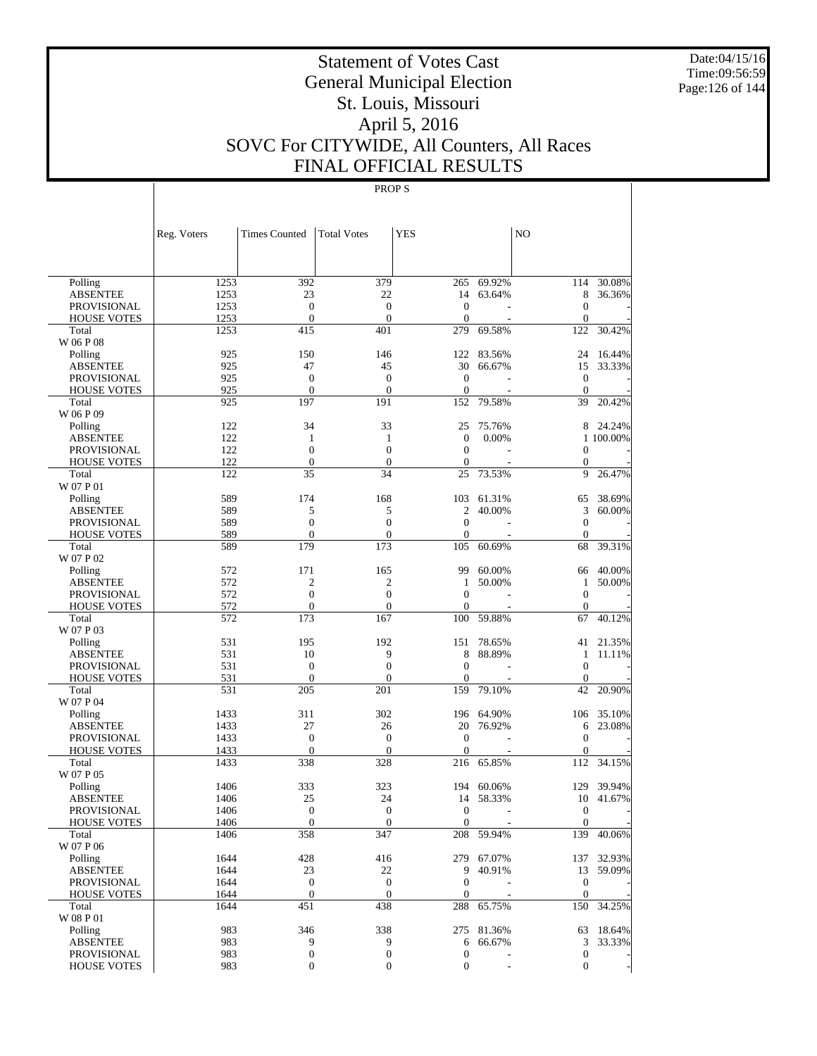Date:04/15/16 Time:09:56:59 Page:126 of 144

# Statement of Votes Cast General Municipal Election St. Louis, Missouri April 5, 2016 SOVC For CITYWIDE, All Counters, All Races FINAL OFFICIAL RESULTS

|                                   | Reg. Voters  | <b>Times Counted</b>     | <b>Total Votes</b>    | <b>YES</b>                   |            | NO                           |            |
|-----------------------------------|--------------|--------------------------|-----------------------|------------------------------|------------|------------------------------|------------|
|                                   |              |                          |                       |                              |            |                              |            |
| Polling                           | 1253         | 392                      | 379                   | 265                          | 69.92%     | 114                          | 30.08%     |
| <b>ABSENTEE</b>                   | 1253         | 23                       | 22                    | 14                           | 63.64%     | 8                            | 36.36%     |
| <b>PROVISIONAL</b>                | 1253         | $\overline{0}$           | $\overline{0}$        | $\mathbf{0}$                 |            | $\theta$                     |            |
| <b>HOUSE VOTES</b><br>Total       | 1253<br>1253 | $\overline{0}$<br>415    | $\overline{0}$<br>401 | $\mathbf{0}$<br>279          | 69.58%     | $\mathbf{0}$<br>122          | 30.42%     |
| W 06 P 08                         |              |                          |                       |                              |            |                              |            |
| Polling                           | 925          | 150                      | 146                   | 122                          | 83.56%     | 24                           | 16.44%     |
| <b>ABSENTEE</b>                   | 925          | 47                       | 45                    | 30                           | 66.67%     | 15                           | 33.33%     |
| <b>PROVISIONAL</b>                | 925          | $\overline{0}$           | $\overline{0}$        | $\mathbf{0}$                 |            | $\mathbf{0}$                 |            |
| <b>HOUSE VOTES</b>                | 925          | $\mathbf{0}$             | $\overline{0}$        | $\mathbf{0}$                 |            | $\theta$                     |            |
| Total                             | 925          | 197                      | 191                   | 152                          | 79.58%     | 39                           | 20.42%     |
| W 06 P 09                         |              |                          |                       |                              |            |                              |            |
| Polling                           | 122          | 34                       | 33                    | 25                           | 75.76%     | 8                            | 24.24%     |
| <b>ABSENTEE</b>                   | 122          | 1                        | 1                     | $\mathbf{0}$                 | 0.00%      |                              | 1 100.00%  |
| <b>PROVISIONAL</b>                | 122          | $\overline{0}$           | $\overline{0}$        | $\mathbf{0}$                 |            | $\theta$                     |            |
| <b>HOUSE VOTES</b>                | 122          | $\overline{0}$           | $\overline{0}$        | $\mathbf{0}$                 |            | $\mathbf{0}$                 |            |
| Total                             | 122          | 35                       | 34                    | 25                           | 73.53%     | 9                            | 26.47%     |
| W 07 P 01                         |              |                          |                       |                              |            |                              |            |
| Polling                           | 589          | 174                      | 168                   | 103                          | 61.31%     | 65                           | 38.69%     |
| <b>ABSENTEE</b>                   | 589          | 5                        | 5                     | 2                            | 40.00%     | 3                            | 60.00%     |
| <b>PROVISIONAL</b>                | 589          | $\overline{0}$           | $\overline{0}$        | $\mathbf{0}$                 |            | $\theta$                     |            |
| <b>HOUSE VOTES</b>                | 589          | $\mathbf{0}$             | $\theta$              | $\mathbf{0}$                 |            | $\mathbf{0}$                 |            |
| Total<br>W 07 P 02                | 589          | 179                      | 173                   | 105                          | 60.69%     | 68                           | 39.31%     |
|                                   | 572          | 171                      | 165                   | 99                           | 60.00%     |                              | 40.00%     |
| Polling<br><b>ABSENTEE</b>        | 572          | $\mathbf{2}$             | $\overline{2}$        | 1                            | 50.00%     | 66<br>$\mathbf{1}$           | 50.00%     |
| <b>PROVISIONAL</b>                | 572          | $\overline{0}$           | $\overline{0}$        | $\mathbf{0}$                 |            | $\theta$                     |            |
| <b>HOUSE VOTES</b>                | 572          | $\overline{0}$           | $\overline{0}$        | $\mathbf{0}$                 |            | $\mathbf{0}$                 |            |
| Total                             | 572          | 173                      | 167                   | 100                          | 59.88%     | 67                           | 40.12%     |
| W 07 P 03                         |              |                          |                       |                              |            |                              |            |
| Polling                           | 531          | 195                      | 192                   | 151                          | 78.65%     | 41                           | 21.35%     |
| <b>ABSENTEE</b>                   | 531          | 10                       | 9                     | 8                            | 88.89%     | $\mathbf{1}$                 | 11.11%     |
| <b>PROVISIONAL</b>                | 531          | $\overline{0}$           | $\overline{0}$        | $\mathbf{0}$                 |            | $\theta$                     |            |
| <b>HOUSE VOTES</b>                | 531          | $\overline{0}$           | $\theta$              | 0                            |            | $\mathbf{0}$                 |            |
| Total                             | 531          | 205                      | 201                   | 159                          | 79.10%     | 42                           | 20.90%     |
| W 07 P 04                         |              |                          |                       |                              |            |                              |            |
| Polling                           | 1433         | 311                      | 302                   | 196                          | 64.90%     | 106                          | 35.10%     |
| <b>ABSENTEE</b>                   | 1433         | 27                       | 26                    | 20                           | 76.92%     | 6                            | 23.08%     |
| <b>PROVISIONAL</b>                | 1433         | $\overline{0}$           | $\overline{0}$        | $\mathbf{0}$                 |            | $\theta$                     |            |
| <b>HOUSE VOTES</b>                | 1433         | $\overline{0}$           | $\overline{0}$        | $\mathbf{0}$                 |            | $\mathbf{0}$                 |            |
| Total                             | 1433         | 338                      | 328                   | 216                          | 65.85%     | 112                          | 34.15%     |
| W 07 P 05                         |              |                          |                       |                              |            |                              |            |
| Polling                           | 1406         | 333                      | 323                   | 194                          | 60.06%     | 129                          | 39.94%     |
| <b>ABSENTEE</b>                   | 1406         | 25                       | 24<br>$\overline{0}$  | 14                           | 58.33%     | 10                           | 41.67%     |
| PROVISIONAL<br><b>HOUSE VOTES</b> | 1406<br>1406 | $\theta$<br>$\mathbf{0}$ | $\mathbf{0}$          | $\mathbf{0}$<br>$\mathbf{0}$ |            | $\mathbf{0}$<br>$\mathbf{0}$ |            |
| Total                             | 1406         | 358                      | 347                   | 208                          | 59.94%     | 139                          | 40.06%     |
| W 07 P 06                         |              |                          |                       |                              |            |                              |            |
| Polling                           | 1644         | 428                      | 416                   |                              | 279 67.07% |                              | 137 32.93% |
| <b>ABSENTEE</b>                   | 1644         | 23                       | 22                    | 9                            | 40.91%     | 13                           | 59.09%     |
| <b>PROVISIONAL</b>                | 1644         | $\mathbf{0}$             | $\boldsymbol{0}$      | $\boldsymbol{0}$             |            | $\mathbf{0}$                 |            |
| <b>HOUSE VOTES</b>                | 1644         | $\mathbf{0}$             | $\boldsymbol{0}$      | $\boldsymbol{0}$             |            | $\mathbf{0}$                 |            |
| Total                             | 1644         | 451                      | 438                   | 288                          | 65.75%     | 150                          | 34.25%     |
| W 08 P 01                         |              |                          |                       |                              |            |                              |            |
| Polling                           | 983          | 346                      | 338                   |                              | 275 81.36% | 63                           | 18.64%     |
| <b>ABSENTEE</b>                   | 983          | 9                        | 9                     | 6                            | 66.67%     | 3                            | 33.33%     |
| <b>PROVISIONAL</b>                | 983          | $\boldsymbol{0}$         | $\boldsymbol{0}$      | $\boldsymbol{0}$             |            | $\boldsymbol{0}$             |            |
| <b>HOUSE VOTES</b>                | 983          | 0                        | $\boldsymbol{0}$      | $\boldsymbol{0}$             |            | $\mathbf{0}$                 |            |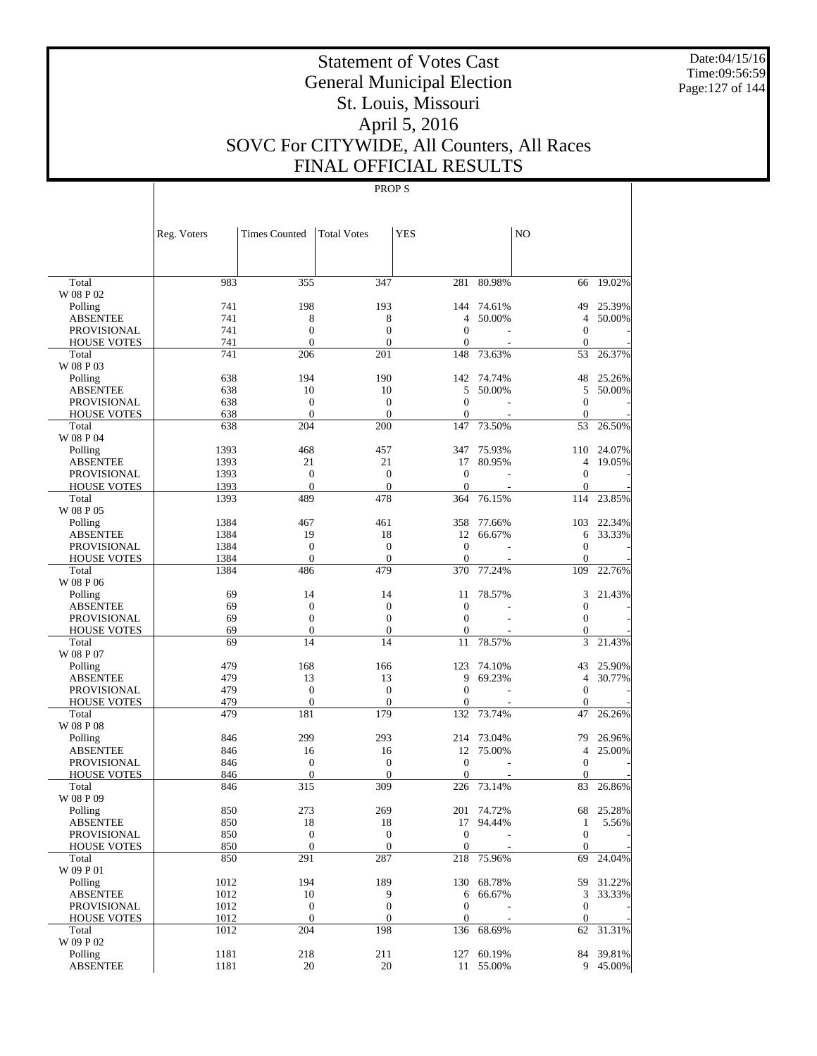Date:04/15/16 Time:09:56:59 Page:127 of 144

# Statement of Votes Cast General Municipal Election St. Louis, Missouri April 5, 2016 SOVC For CITYWIDE, All Counters, All Races FINAL OFFICIAL RESULTS

|                                   | Reg. Voters  | Times Counted                    | <b>Total Votes</b>               | <b>YES</b>                       |            | N <sub>O</sub>               |                    |
|-----------------------------------|--------------|----------------------------------|----------------------------------|----------------------------------|------------|------------------------------|--------------------|
|                                   |              |                                  |                                  |                                  |            |                              |                    |
| Total<br>W 08 P 02                | 983          | 355                              | 347                              |                                  | 281 80.98% | 66                           | 19.02%             |
| Polling                           | 741          | 198                              | 193                              | 144                              | 74.61%     | 49                           | 25.39%             |
| <b>ABSENTEE</b>                   | 741          | 8                                | 8                                | 4                                | 50.00%     | $\overline{4}$               | 50.00%             |
| <b>PROVISIONAL</b>                | 741          | $\boldsymbol{0}$                 | $\boldsymbol{0}$                 | $\boldsymbol{0}$                 |            | $\mathbf{0}$                 |                    |
| <b>HOUSE VOTES</b>                | 741          | $\mathbf{0}$                     | $\mathbf{0}$                     | $\mathbf{0}$                     |            | $\Omega$                     |                    |
| Total                             | 741          | 206                              | 201                              | 148                              | 73.63%     | 53                           | 26.37%             |
| W 08 P 03                         |              |                                  |                                  |                                  |            |                              |                    |
| Polling                           | 638          | 194                              | 190                              |                                  | 142 74.74% | 48                           | 25.26%             |
| <b>ABSENTEE</b>                   | 638          | 10                               | 10                               | 5                                | 50.00%     | 5                            | 50.00%             |
| <b>PROVISIONAL</b>                | 638          | $\mathbf{0}$                     | $\mathbf{0}$                     | $\mathbf{0}$                     |            | $\mathbf{0}$                 |                    |
| <b>HOUSE VOTES</b>                | 638          | $\mathbf{0}$                     | $\mathbf{0}$                     | $\mathbf{0}$                     |            | $\mathbf{0}$                 |                    |
| Total                             | 638          | 204                              | 200                              | 147                              | 73.50%     | 53                           | 26.50%             |
| W 08 P 04                         |              |                                  |                                  |                                  |            |                              |                    |
| Polling                           | 1393         | 468                              | 457                              | 347                              | 75.93%     | 110                          | 24.07%             |
| <b>ABSENTEE</b>                   | 1393         | 21                               | 21                               | 17                               | 80.95%     | $\overline{4}$               | 19.05%             |
| <b>PROVISIONAL</b>                | 1393         | $\mathbf{0}$                     | $\boldsymbol{0}$                 | $\mathbf{0}$                     |            | $\mathbf{0}$                 |                    |
| <b>HOUSE VOTES</b>                | 1393         | $\mathbf{0}$                     | $\mathbf{0}$                     | $\mathbf{0}$                     |            | $\mathbf{0}$                 |                    |
| Total                             | 1393         | 489                              | 478                              | 364                              | 76.15%     | 114                          | 23.85%             |
| W 08 P 05                         |              |                                  |                                  |                                  |            |                              |                    |
| Polling                           | 1384         | 467                              | 461                              | 358                              | 77.66%     | 103                          | 22.34%             |
| <b>ABSENTEE</b>                   | 1384         | 19                               | 18                               | 12                               | 66.67%     | 6                            | 33.33%             |
| <b>PROVISIONAL</b>                | 1384<br>1384 | $\boldsymbol{0}$<br>$\mathbf{0}$ | $\boldsymbol{0}$<br>$\mathbf{0}$ | $\boldsymbol{0}$<br>$\mathbf{0}$ |            | $\mathbf{0}$<br>$\mathbf{0}$ |                    |
| <b>HOUSE VOTES</b><br>Total       | 1384         | 486                              | 479                              | 370                              | 77.24%     | 109                          | 22.76%             |
| W 08 P 06                         |              |                                  |                                  |                                  |            |                              |                    |
| Polling                           | 69           | 14                               | 14                               | 11                               | 78.57%     | 3                            | 21.43%             |
| <b>ABSENTEE</b>                   | 69           | $\boldsymbol{0}$                 | $\boldsymbol{0}$                 | $\mathbf{0}$                     |            | $\mathbf{0}$                 |                    |
| <b>PROVISIONAL</b>                | 69           | $\mathbf{0}$                     | $\overline{0}$                   | $\mathbf{0}$                     |            | $\mathbf{0}$                 |                    |
| <b>HOUSE VOTES</b>                | 69           | $\mathbf{0}$                     | $\mathbf{0}$                     | $\mathbf{0}$                     |            | $\mathbf{0}$                 |                    |
| Total                             | 69           | 14                               | 14                               | 11                               | 78.57%     | 3                            | 21.43%             |
| W 08 P 07                         |              |                                  |                                  |                                  |            |                              |                    |
| Polling                           | 479          | 168                              | 166                              | 123                              | 74.10%     | 43                           | 25.90%             |
| <b>ABSENTEE</b>                   | 479          | 13                               | 13                               | 9                                | 69.23%     | $\overline{4}$               | 30.77%             |
| <b>PROVISIONAL</b>                | 479          | $\mathbf{0}$                     | $\boldsymbol{0}$                 | $\mathbf{0}$                     |            | $\boldsymbol{0}$             |                    |
| <b>HOUSE VOTES</b>                | 479          | $\mathbf{0}$                     | $\mathbf{0}$                     | 0                                |            | $\mathbf{0}$                 |                    |
| Total                             | 479          | 181                              | 179                              | 132                              | 73.74%     | 47                           | 26.26%             |
| W 08 P 08                         |              |                                  |                                  |                                  |            |                              |                    |
| Polling                           | 846          | 299                              | 293                              |                                  | 214 73.04% | 79                           | 26.96%             |
| <b>ABSENTEE</b>                   | 846          | 16                               | 16                               | 12                               | 75.00%     | $\overline{4}$               | 25.00%             |
| PROVISIONAL                       | 846          | $\boldsymbol{0}$                 | $\boldsymbol{0}$                 | $\boldsymbol{0}$                 |            | $\mathbf{0}$                 |                    |
| <b>HOUSE VOTES</b>                | 846          | $\mathbf{0}$                     | $\theta$                         | $\Omega$                         |            | $\Omega$                     |                    |
| Total                             | 846          | 315                              | 309                              | 226                              | 73.14%     | 83                           | 26.86%             |
| W 08 P 09                         |              |                                  |                                  |                                  | 201 74.72% |                              |                    |
| Polling                           | 850          | 273                              | 269                              |                                  |            |                              | 68 25.28%<br>5.56% |
| ABSENTEE                          | 850<br>850   | 18                               | 18<br>$\mathbf{0}$               | $\boldsymbol{0}$                 | 17 94.44%  | $\mathbf{1}$<br>$\mathbf{0}$ |                    |
| PROVISIONAL<br><b>HOUSE VOTES</b> | 850          | $\boldsymbol{0}$<br>$\mathbf{0}$ | $\mathbf{0}$                     | $\mathbf{0}$                     |            | $\mathbf{0}$                 |                    |
| Total                             | 850          | 291                              | 287                              |                                  | 218 75.96% | 69                           | 24.04%             |
| W 09 P 01                         |              |                                  |                                  |                                  |            |                              |                    |
| Polling                           | 1012         | 194                              | 189                              |                                  | 130 68.78% |                              | 59 31.22%          |
| <b>ABSENTEE</b>                   | 1012         | 10                               | 9                                | 6                                | 66.67%     | 3                            | 33.33%             |
| <b>PROVISIONAL</b>                | 1012         | $\boldsymbol{0}$                 | $\boldsymbol{0}$                 | $\boldsymbol{0}$                 |            | $\boldsymbol{0}$             |                    |
| <b>HOUSE VOTES</b>                | 1012         | $\mathbf{0}$                     | $\mathbf{0}$                     | $\boldsymbol{0}$                 |            | $\mathbf{0}$                 |                    |
| Total                             | 1012         | 204                              | 198                              |                                  | 136 68.69% | 62                           | 31.31%             |
| W 09 P 02                         |              |                                  |                                  |                                  |            |                              |                    |
| Polling                           | 1181         | 218                              | 211                              |                                  | 127 60.19% |                              | 84 39.81%          |
| <b>ABSENTEE</b>                   | 1181         | 20                               | $20\,$                           |                                  | 11 55.00%  |                              | 9 45.00%           |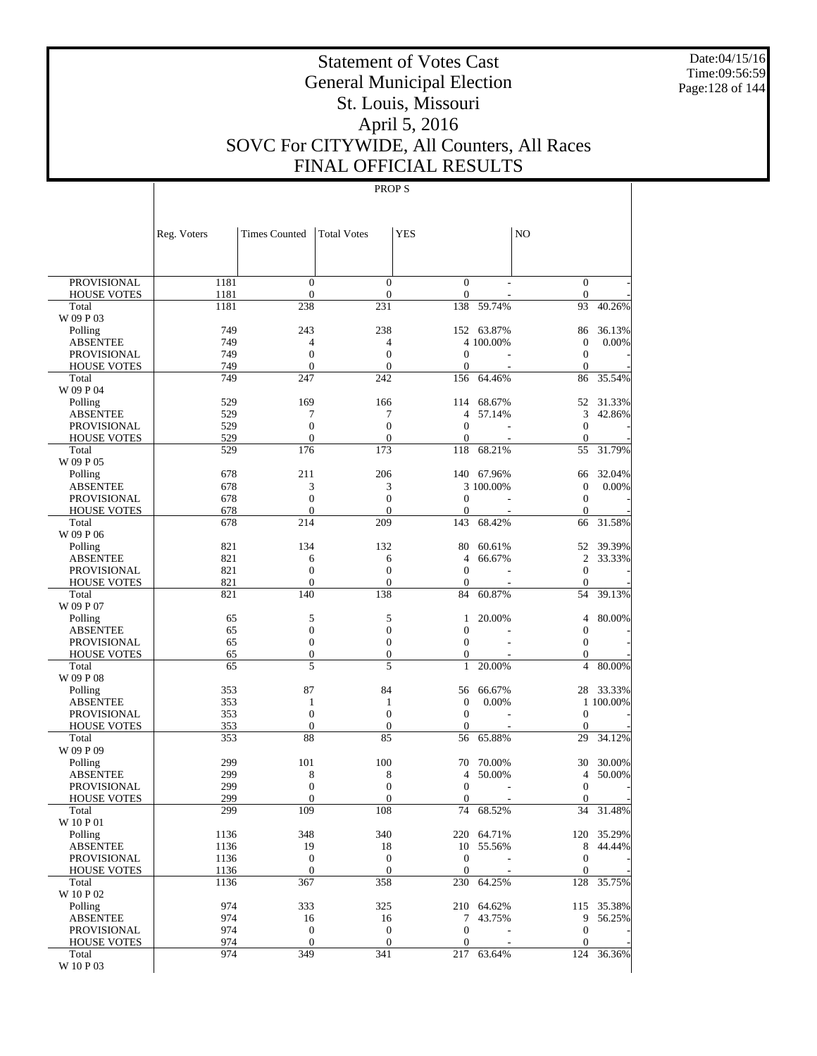Date:04/15/16 Time:09:56:59 Page:128 of 144

# Statement of Votes Cast General Municipal Election St. Louis, Missouri April 5, 2016 SOVC For CITYWIDE, All Counters, All Races FINAL OFFICIAL RESULTS

|                             | Reg. Voters | <b>Times Counted</b>             | <b>Total Votes</b>                 | <b>YES</b>                       |            | N <sub>O</sub>               |            |
|-----------------------------|-------------|----------------------------------|------------------------------------|----------------------------------|------------|------------------------------|------------|
|                             |             |                                  |                                    |                                  |            |                              |            |
| <b>PROVISIONAL</b>          | 1181        | $\boldsymbol{0}$                 | $\boldsymbol{0}$                   | $\overline{0}$                   |            | $\bar{0}$                    |            |
| <b>HOUSE VOTES</b>          | 1181        | $\mathbf{0}$                     | $\boldsymbol{0}$                   | $\boldsymbol{0}$                 |            | $\mathbf{0}$                 | 40.26%     |
| Total<br>W 09 P 03          | 1181        | 238                              | 231                                | 138                              | 59.74%     | 93                           |            |
| Polling                     | 749         | 243                              | 238                                |                                  | 152 63.87% | 86                           | 36.13%     |
| <b>ABSENTEE</b>             | 749         | 4                                | 4                                  |                                  | 4 100.00%  | $\boldsymbol{0}$             | 0.00%      |
| <b>PROVISIONAL</b>          | 749         | $\boldsymbol{0}$                 | $\boldsymbol{0}$                   | $\mathbf{0}$                     |            | $\boldsymbol{0}$             |            |
| <b>HOUSE VOTES</b>          | 749         | $\overline{0}$                   | $\overline{0}$                     | 0                                |            | $\mathbf{0}$                 |            |
| Total                       | 749         | 247                              | 242                                | 156                              | 64.46%     | 86                           | 35.54%     |
| W 09 P 04                   |             |                                  |                                    |                                  |            |                              |            |
| Polling                     | 529         | 169                              | 166                                | 114                              | 68.67%     | 52                           | 31.33%     |
| <b>ABSENTEE</b>             | 529         | 7                                | 7                                  | $\overline{4}$                   | 57.14%     | 3                            | 42.86%     |
| <b>PROVISIONAL</b>          | 529<br>529  | $\boldsymbol{0}$<br>$\mathbf{0}$ | $\boldsymbol{0}$<br>$\overline{0}$ | $\mathbf{0}$<br>$\boldsymbol{0}$ |            | $\mathbf{0}$<br>$\mathbf{0}$ |            |
| <b>HOUSE VOTES</b><br>Total | 529         | 176                              | 173                                | 118                              | 68.21%     | 55                           | 31.79%     |
| W 09 P 05                   |             |                                  |                                    |                                  |            |                              |            |
| Polling                     | 678         | 211                              | 206                                |                                  | 140 67.96% | 66                           | 32.04%     |
| <b>ABSENTEE</b>             | 678         | 3                                | 3                                  |                                  | 3 100.00%  | $\boldsymbol{0}$             | 0.00%      |
| <b>PROVISIONAL</b>          | 678         | $\boldsymbol{0}$                 | $\boldsymbol{0}$                   | $\mathbf{0}$                     |            | $\boldsymbol{0}$             |            |
| <b>HOUSE VOTES</b>          | 678         | $\overline{0}$                   | $\overline{0}$                     | 0                                |            | $\mathbf{0}$                 |            |
| Total                       | 678         | 214                              | 209                                | 143                              | 68.42%     | 66                           | 31.58%     |
| W 09 P 06                   |             |                                  |                                    |                                  |            |                              |            |
| Polling                     | 821         | 134                              | 132                                | 80                               | 60.61%     | 52                           | 39.39%     |
| <b>ABSENTEE</b>             | 821         | 6                                | 6                                  | $\overline{4}$                   | 66.67%     | $\mathfrak{2}$               | 33.33%     |
| <b>PROVISIONAL</b>          | 821         | $\boldsymbol{0}$                 | $\boldsymbol{0}$                   | $\boldsymbol{0}$                 |            | $\boldsymbol{0}$             |            |
| <b>HOUSE VOTES</b>          | 821         | $\mathbf{0}$                     | $\overline{0}$<br>138              | $\boldsymbol{0}$<br>84           |            | $\mathbf{0}$                 | 39.13%     |
| Total<br>W 09 P 07          | 821         | 140                              |                                    |                                  | 60.87%     | 54                           |            |
| Polling                     | 65          | 5                                | 5                                  | 1                                | 20.00%     | 4                            | 80.00%     |
| <b>ABSENTEE</b>             | 65          | $\boldsymbol{0}$                 | $\boldsymbol{0}$                   | $\overline{0}$                   |            | $\mathbf{0}$                 |            |
| <b>PROVISIONAL</b>          | 65          | $\boldsymbol{0}$                 | $\boldsymbol{0}$                   | $\boldsymbol{0}$                 |            | $\boldsymbol{0}$             |            |
| <b>HOUSE VOTES</b>          | 65          | $\boldsymbol{0}$                 | $\boldsymbol{0}$                   | $\boldsymbol{0}$                 |            | $\boldsymbol{0}$             |            |
| Total                       | 65          | 5                                | 5                                  | $\mathbf{1}$                     | 20.00%     | $\overline{4}$               | 80.00%     |
| W 09 P 08                   |             |                                  |                                    |                                  |            |                              |            |
| Polling                     | 353         | 87                               | 84                                 | 56                               | 66.67%     | 28                           | 33.33%     |
| <b>ABSENTEE</b>             | 353         | $\mathbf{1}$                     | 1                                  | $\boldsymbol{0}$                 | 0.00%      |                              | 1 100.00%  |
| <b>PROVISIONAL</b>          | 353         | $\mathbf{0}$                     | $\boldsymbol{0}$                   | $\boldsymbol{0}$                 |            | $\boldsymbol{0}$             |            |
| <b>HOUSE VOTES</b>          | 353         | $\boldsymbol{0}$                 | $\boldsymbol{0}$                   | $\boldsymbol{0}$                 |            | $\mathbf{0}$                 |            |
| Total<br>W 09 P 09          | 353         | 88                               | 85                                 | 56                               | 65.88%     | 29                           | 34.12%     |
| Polling                     | 299         | 101                              | 100                                | 70                               | 70.00%     | 30                           | 30.00%     |
| <b>ABSENTEE</b>             | 299         | 8                                | 8                                  | 4                                | 50.00%     | 4                            | 50.00%     |
| <b>PROVISIONAL</b>          | 299         | $\boldsymbol{0}$                 | $\boldsymbol{0}$                   | $\mathbf{0}$                     |            | $\boldsymbol{0}$             |            |
| <b>HOUSE VOTES</b>          | 299         | $\overline{0}$                   | $\boldsymbol{0}$                   | $\boldsymbol{0}$                 |            | $\boldsymbol{0}$             |            |
| Total                       | 299         | 109                              | 108                                | 74                               | 68.52%     | 34                           | 31.48%     |
| W 10 P 01                   |             |                                  |                                    |                                  |            |                              |            |
| Polling                     | 1136        | 348                              | 340                                |                                  | 220 64.71% |                              | 120 35.29% |
| <b>ABSENTEE</b>             | 1136        | 19                               | 18                                 |                                  | 10 55.56%  | 8                            | 44.44%     |
| <b>PROVISIONAL</b>          | 1136        | $\mathbf{0}$                     | $\boldsymbol{0}$                   | $\boldsymbol{0}$                 |            | $\boldsymbol{0}$             |            |
| <b>HOUSE VOTES</b>          | 1136        | $\boldsymbol{0}$                 | $\boldsymbol{0}$                   | $\mathbf{0}$                     |            | $\mathbf{0}$                 |            |
| Total<br>W 10 P 02          | 1136        | 367                              | 358                                | 230                              | 64.25%     | 128                          | 35.75%     |
| Polling                     | 974         | 333                              | 325                                |                                  | 210 64.62% |                              | 115 35.38% |
| <b>ABSENTEE</b>             | 974         | 16                               | 16                                 | 7                                | 43.75%     | 9                            | 56.25%     |
| PROVISIONAL                 | 974         | $\boldsymbol{0}$                 | $\boldsymbol{0}$                   | $\boldsymbol{0}$                 |            | $\boldsymbol{0}$             |            |
| <b>HOUSE VOTES</b>          | 974         | $\boldsymbol{0}$                 | $\boldsymbol{0}$                   | $\boldsymbol{0}$                 |            | $\boldsymbol{0}$             |            |
| Total                       | 974         | 349                              | 341                                | 217                              | 63.64%     |                              | 124 36.36% |
| $\rm W$ 10 P 03             |             |                                  |                                    |                                  |            |                              |            |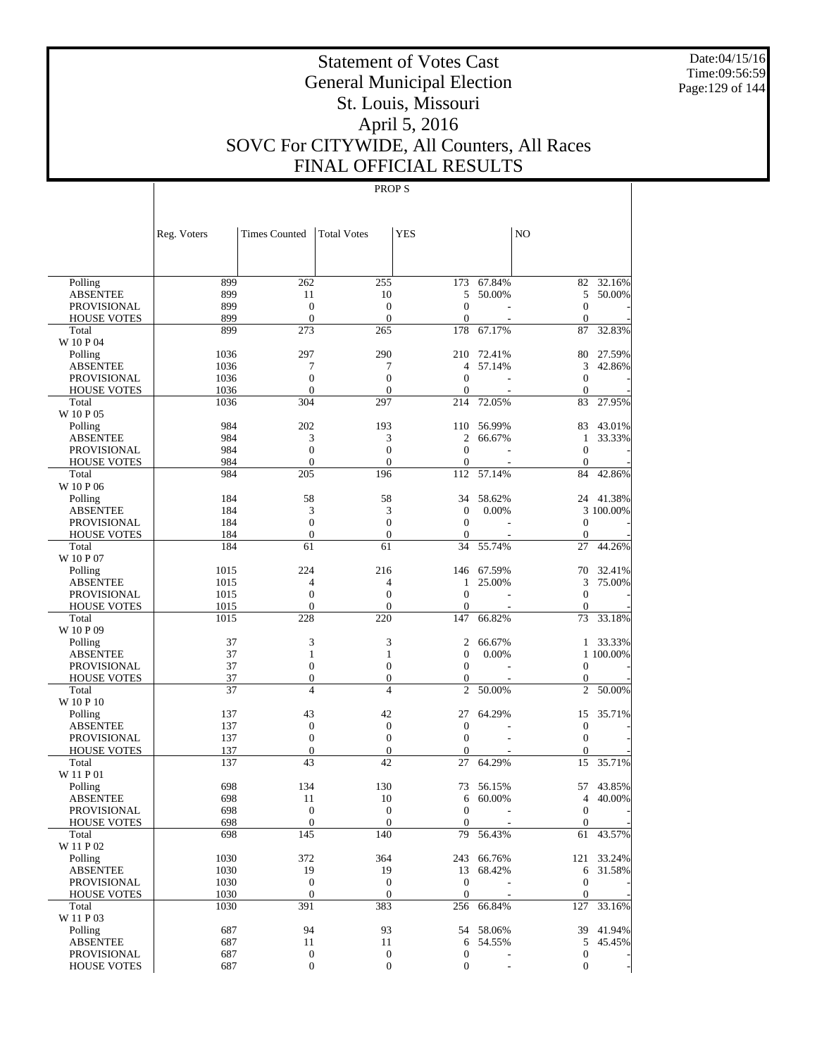Date:04/15/16 Time:09:56:59 Page:129 of 144

# Statement of Votes Cast General Municipal Election St. Louis, Missouri April 5, 2016 SOVC For CITYWIDE, All Counters, All Races FINAL OFFICIAL RESULTS

|                                   | Reg. Voters | <b>Times Counted</b>         | <b>Total Votes</b> | <b>YES</b>                       |            | N <sub>O</sub>           |            |
|-----------------------------------|-------------|------------------------------|--------------------|----------------------------------|------------|--------------------------|------------|
|                                   |             |                              |                    |                                  |            |                          |            |
| Polling                           | 899         | 262                          | 255                | 173                              | 67.84%     | 82                       | 32.16%     |
| <b>ABSENTEE</b>                   | 899         | 11                           | 10                 | 5                                | 50.00%     | 5                        | 50.00%     |
| PROVISIONAL                       | 899         | $\mathbf{0}$                 | $\mathbf{0}$       | $\overline{0}$                   |            | $\overline{0}$           |            |
| <b>HOUSE VOTES</b>                | 899         | $\mathbf{0}$                 | $\theta$           | $\overline{0}$                   |            | $\Omega$                 |            |
| Total                             | 899         | 273                          | 265                | 178                              | 67.17%     | 87                       | 32.83%     |
| W 10 P 04                         |             |                              |                    |                                  |            |                          |            |
| Polling                           | 1036        | 297                          | 290                | 210                              | 72.41%     | 80                       | 27.59%     |
| <b>ABSENTEE</b>                   | 1036        | 7                            | 7                  | 4                                | 57.14%     | 3                        | 42.86%     |
| PROVISIONAL                       | 1036        | $\mathbf{0}$                 | $\theta$           | $\overline{0}$                   |            | $\theta$                 |            |
| <b>HOUSE VOTES</b>                | 1036        | $\mathbf{0}$                 | $\mathbf{0}$       | $\overline{0}$                   |            | $\mathbf{0}$             |            |
| Total                             | 1036        | 304                          | 297                | 214                              | 72.05%     | 83                       | 27.95%     |
| W 10 P 05                         |             |                              |                    |                                  |            |                          |            |
| Polling                           | 984         | 202                          | 193                | 110                              | 56.99%     | 83                       | 43.01%     |
| <b>ABSENTEE</b>                   | 984<br>984  | 3<br>$\overline{0}$          | 3<br>$\Omega$      | $\overline{c}$<br>$\overline{0}$ | 66.67%     | $\mathbf{1}$<br>$\theta$ | 33.33%     |
| PROVISIONAL<br><b>HOUSE VOTES</b> | 984         | $\mathbf{0}$                 | $\mathbf{0}$       | $\overline{0}$                   |            | $\theta$                 |            |
| Total                             | 984         | 205                          | 196                | 112                              | 57.14%     | 84                       | 42.86%     |
| W 10 P 06                         |             |                              |                    |                                  |            |                          |            |
| Polling                           | 184         | 58                           | 58                 | 34                               | 58.62%     |                          | 24 41.38%  |
| <b>ABSENTEE</b>                   | 184         | 3                            | 3                  | $\overline{0}$                   | 0.00%      |                          | 3 100.00%  |
| PROVISIONAL                       | 184         | $\mathbf{0}$                 | $\overline{0}$     | $\overline{0}$                   | L,         | $\theta$                 |            |
| <b>HOUSE VOTES</b>                | 184         | $\mathbf{0}$                 | $\mathbf{0}$       | $\boldsymbol{0}$                 |            | $\Omega$                 |            |
| Total                             | 184         | 61                           | 61                 | 34                               | 55.74%     | 27                       | 44.26%     |
| W 10 P 07                         |             |                              |                    |                                  |            |                          |            |
| Polling                           | 1015        | 224                          | 216                | 146                              | 67.59%     | 70                       | 32.41%     |
| <b>ABSENTEE</b>                   | 1015        | 4                            | $\overline{4}$     | 1                                | 25.00%     | 3                        | 75.00%     |
| PROVISIONAL                       | 1015        | $\overline{0}$               | $\Omega$           | $\overline{0}$                   |            | $\theta$                 |            |
| <b>HOUSE VOTES</b>                | 1015        | $\mathbf{0}$                 | $\mathbf{0}$       | $\overline{0}$                   |            | $\mathbf{0}$             |            |
| Total                             | 1015        | 228                          | 220                | 147                              | 66.82%     | 73                       | 33.18%     |
| W 10 P 09                         |             |                              |                    |                                  |            |                          |            |
| Polling                           | 37          | 3                            | 3                  | 2                                | 66.67%     |                          | 1 33.33%   |
| <b>ABSENTEE</b>                   | 37          | $\mathbf{1}$                 | $\mathbf{1}$       | $\overline{0}$                   | 0.00%      |                          | 1 100.00%  |
| PROVISIONAL                       | 37          | $\mathbf{0}$                 | $\overline{0}$     | $\overline{0}$                   | L,         | $\theta$                 |            |
| <b>HOUSE VOTES</b>                | 37          | $\mathbf{0}$                 | $\mathbf{0}$       | $\boldsymbol{0}$                 |            | $\mathbf{0}$             |            |
| Total                             | 37          | $\overline{4}$               | $\overline{4}$     | $\overline{c}$                   | 50.00%     | $\overline{c}$           | 50.00%     |
| W 10 P 10                         |             |                              |                    |                                  |            |                          |            |
| Polling                           | 137         | 43                           | 42<br>$\theta$     | 27<br>$\overline{0}$             | 64.29%     | 15                       | 35.71%     |
| <b>ABSENTEE</b><br>PROVISIONAL    | 137<br>137  | $\mathbf{0}$<br>$\mathbf{0}$ | $\Omega$           | $\theta$                         | ÷,         | $\mathbf{0}$<br>$\theta$ |            |
| <b>HOUSE VOTES</b>                | 137         | $\boldsymbol{0}$             | $\theta$           | $\overline{0}$                   |            | $\mathbf{0}$             |            |
| Total                             | 137         | 43                           | 42                 | 27                               | 64.29%     | 15                       | 35.71%     |
| W 11 P 01                         |             |                              |                    |                                  |            |                          |            |
| Polling                           | 698         | 134                          | 130                | 73                               | 56.15%     | 57                       | 43.85%     |
| <b>ABSENTEE</b>                   | 698         | 11                           | 10                 | 6                                | 60.00%     | $\overline{4}$           | 40.00%     |
| PROVISIONAL                       | 698         | $\theta$                     | $\Omega$           | $\boldsymbol{0}$                 |            | $\mathbf{0}$             |            |
| <b>HOUSE VOTES</b>                | 698         | $\boldsymbol{0}$             | $\mathbf{0}$       | $\mathbf{0}$                     |            | $\overline{0}$           |            |
| Total                             | 698         | $\overline{145}$             | 140                | 79                               | 56.43%     |                          | 61 43.57%  |
| W 11 P 02                         |             |                              |                    |                                  |            |                          |            |
| Polling                           | 1030        | 372                          | 364                |                                  | 243 66.76% |                          | 121 33.24% |
| <b>ABSENTEE</b>                   | 1030        | 19                           | 19                 | 13                               | 68.42%     | 6                        | 31.58%     |
| PROVISIONAL                       | 1030        | $\mathbf{0}$                 | $\mathbf{0}$       | $\mathbf{0}$                     |            | $\theta$                 |            |
| <b>HOUSE VOTES</b>                | 1030        | $\mathbf{0}$                 | $\mathbf{0}$       | $\mathbf{0}$                     |            | $\mathbf{0}$             |            |
| Total                             | 1030        | 391                          | 383                |                                  | 256 66.84% | 127                      | 33.16%     |
| W 11 P 03                         |             |                              |                    |                                  |            |                          |            |
| Polling                           | 687         | 94                           | 93                 |                                  | 54 58.06%  |                          | 39 41.94%  |
| <b>ABSENTEE</b>                   | 687         | 11                           | 11                 | 6                                | 54.55%     | 5                        | 45.45%     |
| PROVISIONAL                       | 687         | $\boldsymbol{0}$             | $\boldsymbol{0}$   | $\boldsymbol{0}$                 |            | $\mathbf{0}$             |            |
| HOUSE VOTES                       | 687         | $\boldsymbol{0}$             | $\mathbf{0}$       | $\boldsymbol{0}$                 |            | $\mathbf{0}$             |            |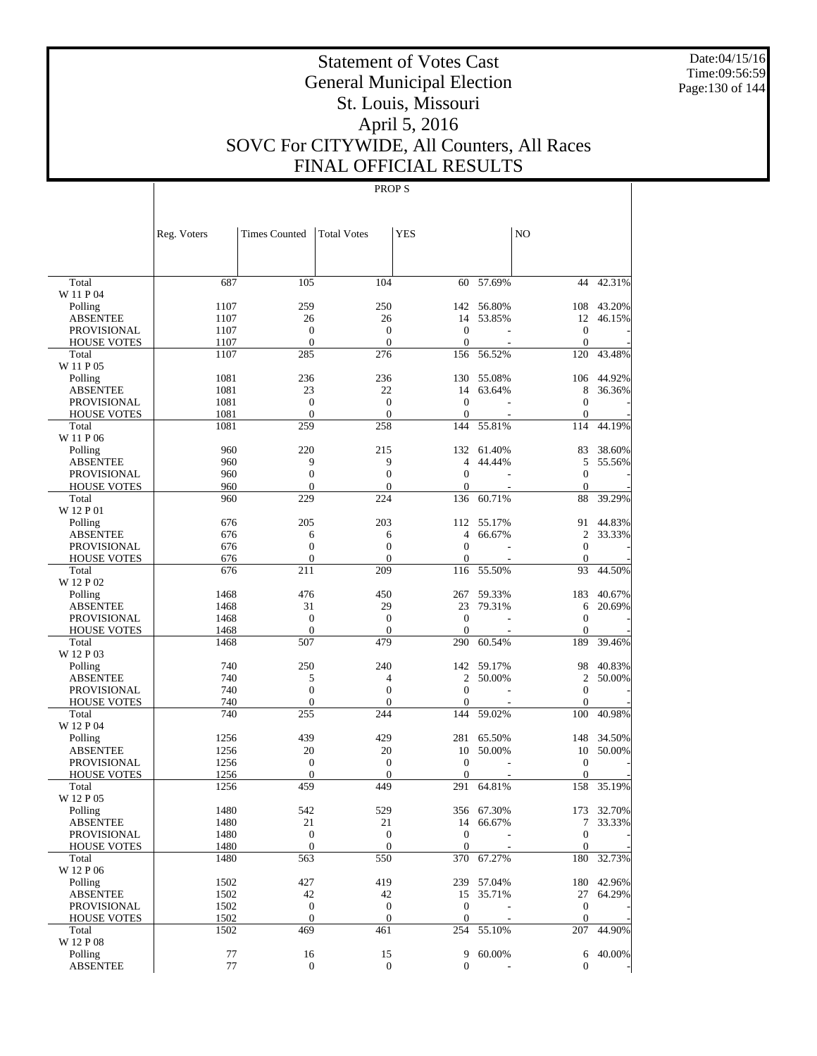Date:04/15/16 Time:09:56:59 Page:130 of 144

# Statement of Votes Cast General Municipal Election St. Louis, Missouri April 5, 2016 SOVC For CITYWIDE, All Counters, All Races FINAL OFFICIAL RESULTS

|                             | Reg. Voters | <b>Times Counted</b> | <b>Total Votes</b> | <b>YES</b>          |            | NO                  |            |
|-----------------------------|-------------|----------------------|--------------------|---------------------|------------|---------------------|------------|
|                             |             |                      |                    |                     |            |                     |            |
| Total                       | 687         | 105                  | 104                | 60                  | 57.69%     | 44                  | 42.31%     |
| W 11 P 04                   |             |                      |                    |                     |            |                     |            |
| Polling                     | 1107        | 259                  | 250                |                     | 142 56.80% | 108                 | 43.20%     |
| <b>ABSENTEE</b>             | 1107        | 26                   | 26                 | 14                  | 53.85%     | 12                  | 46.15%     |
| <b>PROVISIONAL</b>          | 1107        | $\boldsymbol{0}$     | $\boldsymbol{0}$   | $\mathbf{0}$        |            | $\mathbf{0}$        |            |
| <b>HOUSE VOTES</b>          | 1107        | $\boldsymbol{0}$     | $\mathbf{0}$       | $\mathbf{0}$        |            | $\mathbf{0}$        |            |
| Total                       | 1107        | 285                  | 276                | 156                 | 56.52%     | 120                 | 43.48%     |
| W 11 P 05<br>Polling        | 1081        | 236                  | 236                | 130                 | 55.08%     | 106                 | 44.92%     |
| <b>ABSENTEE</b>             | 1081        | 23                   | 22                 | 14                  | 63.64%     | 8                   | 36.36%     |
| <b>PROVISIONAL</b>          | 1081        | $\boldsymbol{0}$     | $\boldsymbol{0}$   | $\mathbf{0}$        |            | $\mathbf{0}$        |            |
| <b>HOUSE VOTES</b>          | 1081        | $\mathbf{0}$         | $\mathbf{0}$       | $\mathbf{0}$        |            | $\mathbf{0}$        |            |
| Total                       | 1081        | 259                  | 258                | 144                 | 55.81%     | 114                 | 44.19%     |
| W 11 P 06                   |             |                      |                    |                     |            |                     |            |
| Polling                     | 960         | 220                  | 215                |                     | 132 61.40% | 83                  | 38.60%     |
| <b>ABSENTEE</b>             | 960         | 9                    | 9                  | $\overline{4}$      | 44.44%     | 5                   | 55.56%     |
| <b>PROVISIONAL</b>          | 960         | $\boldsymbol{0}$     | $\boldsymbol{0}$   | $\overline{0}$      |            | $\mathbf{0}$        |            |
| <b>HOUSE VOTES</b>          | 960         | $\mathbf{0}$         | $\theta$           | $\mathbf{0}$        |            | $\theta$            |            |
| Total                       | 960         | 229                  | 224                | 136                 | 60.71%     | 88                  | 39.29%     |
| W 12 P 01                   |             |                      |                    |                     |            |                     |            |
| Polling                     | 676         | 205                  | 203                |                     | 112 55.17% | 91                  | 44.83%     |
| <b>ABSENTEE</b>             | 676         | 6                    | 6                  | 4                   | 66.67%     | $\overline{2}$      | 33.33%     |
| <b>PROVISIONAL</b>          | 676         | $\overline{0}$       | $\overline{0}$     | $\overline{0}$      |            | $\mathbf{0}$        |            |
| <b>HOUSE VOTES</b>          | 676         | $\mathbf{0}$         | $\mathbf{0}$       | $\boldsymbol{0}$    |            | $\theta$            |            |
| Total                       | 676         | 211                  | 209                | 116                 | 55.50%     | 93                  | 44.50%     |
| W 12 P 02                   | 1468        | 476                  | 450                | 267                 | 59.33%     | 183                 | 40.67%     |
| Polling<br><b>ABSENTEE</b>  | 1468        | 31                   | 29                 | 23                  | 79.31%     | 6                   | 20.69%     |
| <b>PROVISIONAL</b>          | 1468        | $\boldsymbol{0}$     | $\boldsymbol{0}$   | $\mathbf{0}$        | ÷          | $\mathbf{0}$        |            |
| <b>HOUSE VOTES</b>          | 1468        | $\mathbf{0}$         | $\theta$           | $\mathbf{0}$        |            | $\mathbf{0}$        |            |
| Total                       | 1468        | 507                  | 479                | 290                 | 60.54%     | 189                 | 39.46%     |
| W 12 P 03                   |             |                      |                    |                     |            |                     |            |
| Polling                     | 740         | 250                  | 240                |                     | 142 59.17% | 98                  | 40.83%     |
| <b>ABSENTEE</b>             | 740         | 5                    | 4                  | 2                   | 50.00%     | 2                   | 50.00%     |
| <b>PROVISIONAL</b>          | 740         | 0                    | $\overline{0}$     | $\mathbf{0}$        |            | $\mathbf{0}$        |            |
| <b>HOUSE VOTES</b>          | 740         | $\boldsymbol{0}$     | $\theta$           | $\overline{0}$      |            | $\mathbf{0}$        |            |
| Total                       | 740         | 255                  | 244                | 144                 | 59.02%     | 100                 | 40.98%     |
| W 12 P 04                   |             |                      |                    |                     |            |                     |            |
| Polling                     | 1256        | 439                  | 429                | 281                 | 65.50%     | 148                 | 34.50%     |
| <b>ABSENTEE</b>             | 1256        | 20                   | 20                 | 10                  | 50.00%     | 10                  | 50.00%     |
| <b>PROVISIONAL</b>          | 1256        | $\boldsymbol{0}$     | $\boldsymbol{0}$   | $\theta$            |            | $\boldsymbol{0}$    |            |
| <b>HOUSE VOTES</b><br>Total | 1256        | $\mathbf{0}$<br>459  | $\theta$<br>449    | $\mathbf{0}$<br>291 |            | $\mathbf{0}$<br>158 | 35.19%     |
| W 12 P 05                   | 1256        |                      |                    |                     | 64.81%     |                     |            |
| Polling                     | 1480        | 542                  | 529                |                     | 356 67.30% |                     | 173 32.70% |
| ABSENTEE                    | 1480        | 21                   | 21                 |                     | 14 66.67%  |                     | 7 33.33%   |
| PROVISIONAL                 | 1480        | $\boldsymbol{0}$     | $\boldsymbol{0}$   | $\mathbf{0}$        |            | $\mathbf{0}$        |            |
| <b>HOUSE VOTES</b>          | 1480        | $\boldsymbol{0}$     | $\mathbf{0}$       | $\mathbf{0}$        |            | $\mathbf{0}$        |            |
| Total                       | 1480        | 563                  | 550                | 370                 | 67.27%     | 180                 | 32.73%     |
| W 12 P 06                   |             |                      |                    |                     |            |                     |            |
| Polling                     | 1502        | 427                  | 419                |                     | 239 57.04% | 180                 | 42.96%     |
| <b>ABSENTEE</b>             | 1502        | 42                   | 42                 |                     | 15 35.71%  | 27                  | 64.29%     |
| PROVISIONAL                 | 1502        | $\boldsymbol{0}$     | $\mathbf{0}$       | $\boldsymbol{0}$    |            | $\mathbf{0}$        |            |
| <b>HOUSE VOTES</b>          | 1502        | $\mathbf{0}$         | $\boldsymbol{0}$   | $\mathbf{0}$        |            | $\mathbf{0}$        |            |
| Total                       | 1502        | 469                  | 461                | 254                 | 55.10%     | 207                 | 44.90%     |
| W 12 P 08                   |             |                      |                    |                     |            |                     |            |
| Polling                     | 77          | 16                   | 15                 | 9                   | 60.00%     |                     | 6 40.00%   |
| ABSENTEE                    | $77\,$      | $\overline{0}$       | $\mathbf{0}$       | 0                   |            | $\boldsymbol{0}$    |            |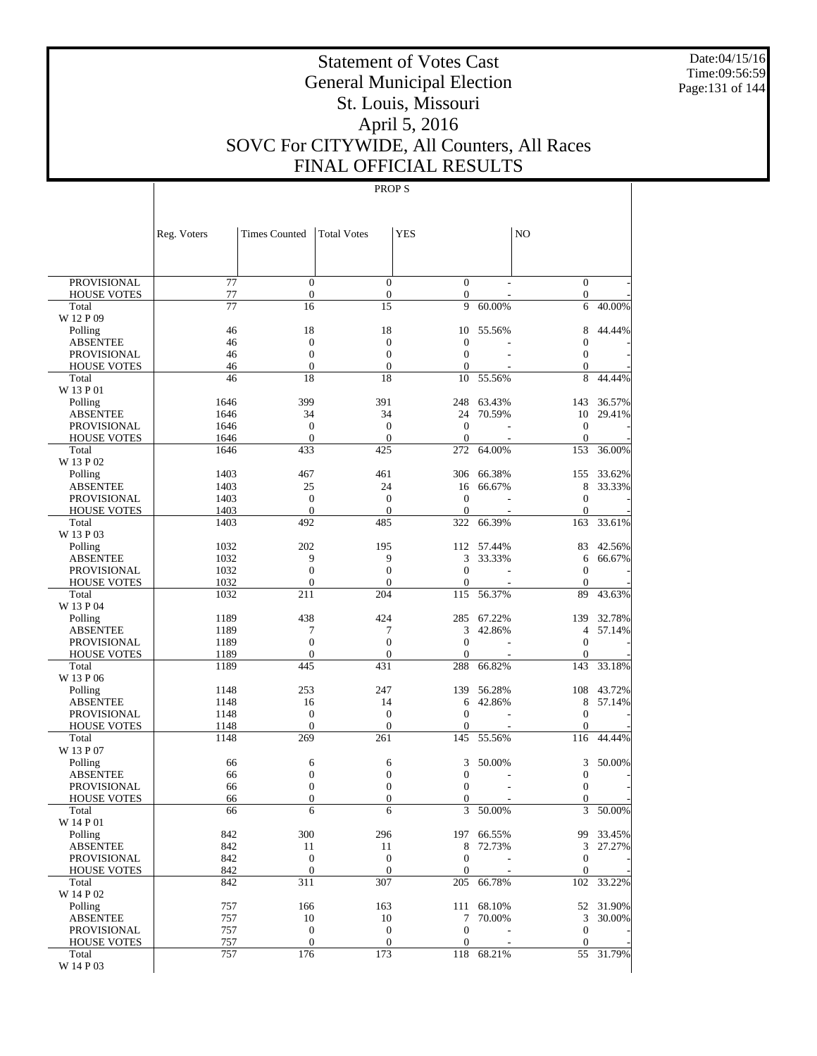Date:04/15/16 Time:09:56:59 Page:131 of 144

# Statement of Votes Cast General Municipal Election St. Louis, Missouri April 5, 2016 SOVC For CITYWIDE, All Counters, All Races FINAL OFFICIAL RESULTS

|                                          | Reg. Voters           | <b>Times Counted</b>                 | <b>Total Votes</b>                   | <b>YES</b>                         |                      | N <sub>O</sub>                   |                     |
|------------------------------------------|-----------------------|--------------------------------------|--------------------------------------|------------------------------------|----------------------|----------------------------------|---------------------|
|                                          |                       |                                      |                                      |                                    |                      |                                  |                     |
| <b>PROVISIONAL</b><br><b>HOUSE VOTES</b> | $\overline{77}$<br>77 | $\boldsymbol{0}$<br>$\boldsymbol{0}$ | $\boldsymbol{0}$<br>$\boldsymbol{0}$ | $\overline{0}$<br>$\boldsymbol{0}$ |                      | $\bar{0}$<br>$\mathbf{0}$        |                     |
| Total                                    | 77                    | 16                                   | 15                                   | 9                                  | 60.00%               | 6                                | 40.00%              |
| W 12 P 09                                |                       |                                      |                                      |                                    |                      |                                  |                     |
| Polling                                  | 46                    | 18                                   | 18                                   | 10                                 | 55.56%               | 8                                | 44.44%              |
| <b>ABSENTEE</b>                          | 46                    | $\mathbf{0}$                         | $\mathbf{0}$                         | $\mathbf{0}$                       |                      | $\boldsymbol{0}$                 |                     |
| <b>PROVISIONAL</b>                       | 46                    | $\boldsymbol{0}$                     | $\boldsymbol{0}$                     | $\mathbf{0}$                       |                      | $\boldsymbol{0}$                 |                     |
| <b>HOUSE VOTES</b>                       | 46                    | $\boldsymbol{0}$<br>18               | $\mathbf{0}$<br>18                   | $\boldsymbol{0}$                   |                      | $\boldsymbol{0}$<br>8            | 44.44%              |
| Total<br>W 13 P 01                       | 46                    |                                      |                                      | 10                                 | 55.56%               |                                  |                     |
| Polling                                  | 1646                  | 399                                  | 391                                  | 248                                | 63.43%               | 143                              | 36.57%              |
| <b>ABSENTEE</b>                          | 1646                  | 34                                   | 34                                   | 24                                 | 70.59%               | 10                               | 29.41%              |
| <b>PROVISIONAL</b>                       | 1646                  | $\boldsymbol{0}$                     | $\boldsymbol{0}$                     | $\mathbf{0}$                       |                      | $\mathbf{0}$                     |                     |
| <b>HOUSE VOTES</b>                       | 1646                  | $\mathbf{0}$                         | $\overline{0}$                       | $\boldsymbol{0}$                   |                      | $\mathbf{0}$                     |                     |
| Total                                    | 1646                  | 433                                  | 425                                  | 272                                | 64.00%               | 153                              | 36.00%              |
| W 13 P 02                                |                       |                                      |                                      |                                    |                      |                                  |                     |
| Polling                                  | 1403                  | 467                                  | 461                                  | 306                                | 66.38%               | 155                              | 33.62%              |
| <b>ABSENTEE</b><br><b>PROVISIONAL</b>    | 1403<br>1403          | 25<br>$\boldsymbol{0}$               | 24<br>$\boldsymbol{0}$               | 16<br>$\mathbf{0}$                 | 66.67%               | 8<br>$\boldsymbol{0}$            | 33.33%              |
| <b>HOUSE VOTES</b>                       | 1403                  | $\mathbf{0}$                         | $\mathbf{0}$                         | $\boldsymbol{0}$                   |                      | $\mathbf{0}$                     |                     |
| Total                                    | 1403                  | 492                                  | 485                                  | 322                                | 66.39%               | 163                              | 33.61%              |
| W 13 P 03                                |                       |                                      |                                      |                                    |                      |                                  |                     |
| Polling                                  | 1032                  | 202                                  | 195                                  |                                    | 112 57.44%           | 83                               | 42.56%              |
| <b>ABSENTEE</b>                          | 1032                  | 9                                    | 9                                    | 3                                  | 33.33%               | 6                                | 66.67%              |
| <b>PROVISIONAL</b>                       | 1032                  | $\boldsymbol{0}$                     | $\boldsymbol{0}$                     | $\mathbf{0}$                       |                      | $\boldsymbol{0}$                 |                     |
| <b>HOUSE VOTES</b>                       | 1032                  | $\mathbf{0}$                         | $\overline{0}$                       | $\overline{0}$                     |                      | $\mathbf{0}$                     |                     |
| Total                                    | 1032                  | 211                                  | 204                                  | 115                                | 56.37%               | 89                               | 43.63%              |
| W 13 P 04<br>Polling                     | 1189                  | 438                                  | 424                                  | 285                                | 67.22%               | 139                              | 32.78%              |
| <b>ABSENTEE</b>                          | 1189                  | 7                                    | 7                                    | 3                                  | 42.86%               | 4                                | 57.14%              |
| <b>PROVISIONAL</b>                       | 1189                  | $\boldsymbol{0}$                     | $\boldsymbol{0}$                     | $\boldsymbol{0}$                   |                      | $\boldsymbol{0}$                 |                     |
| <b>HOUSE VOTES</b>                       | 1189                  | $\mathbf{0}$                         | $\mathbf{0}$                         | $\boldsymbol{0}$                   |                      | $\mathbf{0}$                     |                     |
| Total                                    | 1189                  | 445                                  | 431                                  | 288                                | 66.82%               | 143                              | 33.18%              |
| W 13 P 06                                |                       |                                      |                                      |                                    |                      |                                  |                     |
| Polling                                  | 1148                  | 253                                  | 247                                  | 139                                | 56.28%               | 108                              | 43.72%              |
| <b>ABSENTEE</b>                          | 1148                  | 16                                   | 14                                   | 6                                  | 42.86%               | 8                                | 57.14%              |
| <b>PROVISIONAL</b><br><b>HOUSE VOTES</b> | 1148<br>1148          | $\boldsymbol{0}$<br>$\mathbf{0}$     | $\boldsymbol{0}$<br>$\overline{0}$   | $\mathbf{0}$<br>0                  |                      | $\boldsymbol{0}$<br>$\mathbf{0}$ |                     |
| Total                                    | 1148                  | 269                                  | 261                                  | 145                                | 55.56%               | 116                              | 44.44%              |
| W 13 P 07                                |                       |                                      |                                      |                                    |                      |                                  |                     |
| Polling                                  | 66                    | 6                                    | 6                                    | 3                                  | 50.00%               | 3                                | 50.00%              |
| <b>ABSENTEE</b>                          | 66                    | $\boldsymbol{0}$                     | $\boldsymbol{0}$                     | 0                                  |                      | $\boldsymbol{0}$                 |                     |
| PROVISIONAL                              | 66                    | $\boldsymbol{0}$                     | $\boldsymbol{0}$                     | $\boldsymbol{0}$                   |                      | $\boldsymbol{0}$                 |                     |
| <b>HOUSE VOTES</b>                       | 66                    | $\overline{0}$                       | $\overline{0}$                       | $\boldsymbol{0}$                   |                      | $\boldsymbol{0}$                 |                     |
| Total                                    | 66                    | 6                                    | 6                                    | 3                                  | 50.00%               | 3                                | 50.00%              |
| W 14 P 01                                |                       | 300                                  |                                      |                                    |                      |                                  |                     |
| Polling<br><b>ABSENTEE</b>               | 842<br>842            | 11                                   | 296<br>11                            | 8                                  | 197 66.55%<br>72.73% | 3                                | 99 33.45%<br>27.27% |
| PROVISIONAL                              | 842                   | $\boldsymbol{0}$                     | $\boldsymbol{0}$                     | $\boldsymbol{0}$                   |                      | $\boldsymbol{0}$                 |                     |
| <b>HOUSE VOTES</b>                       | 842                   | $\boldsymbol{0}$                     | $\boldsymbol{0}$                     | $\boldsymbol{0}$                   |                      | $\mathbf{0}$                     |                     |
| Total                                    | 842                   | 311                                  | 307                                  | 205                                | 66.78%               | 102                              | 33.22%              |
| W 14 P 02                                |                       |                                      |                                      |                                    |                      |                                  |                     |
| Polling                                  | 757                   | 166                                  | 163                                  | 111                                | 68.10%               |                                  | 52 31.90%           |
| <b>ABSENTEE</b>                          | 757                   | 10                                   | 10                                   | $\tau$                             | 70.00%               | 3                                | 30.00%              |
| <b>PROVISIONAL</b>                       | 757                   | $\boldsymbol{0}$<br>$\boldsymbol{0}$ | $\boldsymbol{0}$<br>$\boldsymbol{0}$ | $\boldsymbol{0}$                   |                      | $\boldsymbol{0}$<br>$\mathbf{0}$ |                     |
| <b>HOUSE VOTES</b><br>Total              | 757<br>757            | 176                                  | 173                                  | $\mathbf{0}$<br>118                | 68.21%               | 55                               | 31.79%              |
| W 14 P 03                                |                       |                                      |                                      |                                    |                      |                                  |                     |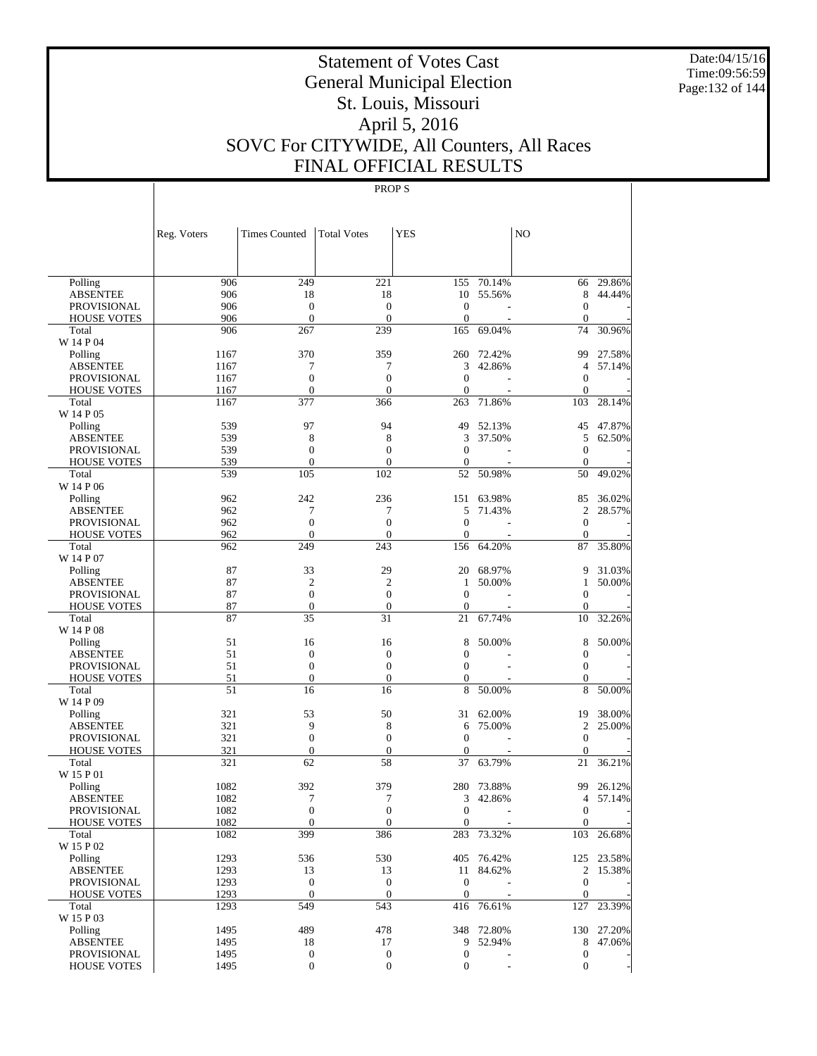Date:04/15/16 Time:09:56:59 Page:132 of 144

# Statement of Votes Cast General Municipal Election St. Louis, Missouri April 5, 2016 SOVC For CITYWIDE, All Counters, All Races FINAL OFFICIAL RESULTS

|                                   | Reg. Voters | <b>Times Counted</b>  | <b>Total Votes</b> | <b>YES</b>        |            | NO                |            |
|-----------------------------------|-------------|-----------------------|--------------------|-------------------|------------|-------------------|------------|
|                                   |             |                       |                    |                   |            |                   |            |
| Polling                           | 906         | 249                   | 221                | 155               | 70.14%     | 66                | 29.86%     |
| <b>ABSENTEE</b>                   | 906         | 18                    | 18                 | 10                | 55.56%     | 8                 | 44.44%     |
| <b>PROVISIONAL</b>                | 906         | $\boldsymbol{0}$      | $\theta$           | $\boldsymbol{0}$  |            | $\theta$          |            |
| <b>HOUSE VOTES</b>                | 906         | $\mathbf{0}$          | $\theta$           | $\overline{0}$    |            | $\theta$          |            |
| Total                             | 906         | 267                   | 239                | 165               | 69.04%     | 74                | 30.96%     |
| W 14 P 04                         |             |                       |                    |                   |            |                   |            |
| Polling                           | 1167        | 370                   | 359                | 260               | 72.42%     | 99                | 27.58%     |
| <b>ABSENTEE</b>                   | 1167        | 7                     | 7                  | 3                 | 42.86%     | $\overline{4}$    | 57.14%     |
| <b>PROVISIONAL</b>                | 1167        | $\boldsymbol{0}$      | $\overline{0}$     | $\overline{0}$    |            | $\theta$          |            |
| <b>HOUSE VOTES</b>                | 1167        | $\mathbf{0}$          | $\theta$           | 0                 |            | $\mathbf{0}$      |            |
| Total                             | 1167        | 377                   | 366                | 263               | 71.86%     | 103               | 28.14%     |
| W 14 P 05                         |             |                       |                    |                   |            |                   |            |
| Polling                           | 539         | 97                    | 94                 | 49                | 52.13%     | 45                | 47.87%     |
| ABSENTEE                          | 539         | 8                     | 8                  | 3                 | 37.50%     | 5                 | 62.50%     |
| PROVISIONAL                       | 539         | $\mathbf{0}$          | $\theta$           | $\mathbf{0}$      |            | $\mathbf{0}$      |            |
| <b>HOUSE VOTES</b>                | 539         | $\mathbf{0}$          | $\theta$           | $\mathbf{0}$      |            | $\theta$          |            |
| Total                             | 539         | 105                   | 102                | 52                | 50.98%     | 50                | 49.02%     |
| W 14 P 06                         | 962         | 242                   | 236                | 151               | 63.98%     | 85                | 36.02%     |
| Polling<br><b>ABSENTEE</b>        | 962         | 7                     | 7                  | 5                 | 71.43%     | 2                 | 28.57%     |
| PROVISIONAL                       | 962         | $\boldsymbol{0}$      | $\theta$           | $\overline{0}$    |            | $\mathbf{0}$      |            |
| <b>HOUSE VOTES</b>                | 962         | $\boldsymbol{0}$      | $\theta$           | $\overline{0}$    |            | $\theta$          |            |
| Total                             | 962         | 249                   | 243                | 156               | 64.20%     | 87                | 35.80%     |
| W 14 P 07                         |             |                       |                    |                   |            |                   |            |
| Polling                           | 87          | 33                    | 29                 | 20                | 68.97%     | 9                 | 31.03%     |
| <b>ABSENTEE</b>                   | 87          | $\overline{2}$        | 2                  | $\mathbf{1}$      | 50.00%     | 1                 | 50.00%     |
| <b>PROVISIONAL</b>                | 87          | $\mathbf{0}$          | $\theta$           | $\overline{0}$    |            | $\theta$          |            |
| <b>HOUSE VOTES</b>                | 87          | $\boldsymbol{0}$      | $\theta$           | $\mathbf{0}$      |            | $\mathbf{0}$      |            |
| Total                             | 87          | 35                    | 31                 | 21                | 67.74%     | 10                | 32.26%     |
| W 14 P 08                         |             |                       |                    |                   |            |                   |            |
| Polling                           | 51          | 16                    | 16                 | 8                 | 50.00%     | 8                 | 50.00%     |
| ABSENTEE                          | 51          | $\boldsymbol{0}$      | $\boldsymbol{0}$   | $\overline{0}$    |            | $\mathbf{0}$      |            |
| PROVISIONAL                       | 51          | $\mathbf{0}$          | $\overline{0}$     | $\mathbf{0}$      |            | $\mathbf{0}$      |            |
| <b>HOUSE VOTES</b>                | 51          | $\boldsymbol{0}$      | $\theta$           | 0                 |            | $\mathbf{0}$      |            |
| Total                             | 51          | 16                    | 16                 | 8                 | 50.00%     | 8                 | 50.00%     |
| W 14 P 09                         |             |                       |                    |                   |            |                   |            |
| Polling                           | 321         | 53                    | 50                 | 31                | 62.00%     | 19                | 38.00%     |
| ABSENTEE                          | 321<br>321  | 9<br>$\boldsymbol{0}$ | 8<br>$\theta$      | 6<br>$\mathbf{0}$ | 75.00%     | 2<br>$\mathbf{0}$ | 25.00%     |
| PROVISIONAL<br><b>HOUSE VOTES</b> | 321         | $\boldsymbol{0}$      | $\overline{0}$     | $\mathbf{0}$      |            | $\theta$          |            |
| Total                             | 321         | 62                    | 58                 | 37                | 63.79%     | 21                | 36.21%     |
| W 15 P 01                         |             |                       |                    |                   |            |                   |            |
| Polling                           | 1082        | 392                   | 379                | 280               | 73.88%     | 99                | 26.12%     |
| <b>ABSENTEE</b>                   | 1082        | 7                     | 7                  | 3                 | 42.86%     | $\overline{4}$    | 57.14%     |
| PROVISIONAL                       | 1082        | $\overline{0}$        | $\overline{0}$     | 0                 | ÷          | $\mathbf{0}$      |            |
| <b>HOUSE VOTES</b>                | 1082        | $\mathbf{0}$          | $\mathbf{0}$       | $\mathbf{0}$      |            | $\mathbf{0}$      |            |
| Total                             | 1082        | 399                   | 386                |                   | 283 73.32% | 103               | 26.68%     |
| W 15 P 02                         |             |                       |                    |                   |            |                   |            |
| Polling                           | 1293        | 536                   | 530                |                   | 405 76.42% |                   | 125 23.58% |
| <b>ABSENTEE</b>                   | 1293        | 13                    | 13                 |                   | 11 84.62%  | $\overline{2}$    | 15.38%     |
| PROVISIONAL                       | 1293        | $\boldsymbol{0}$      | $\mathbf{0}$       | $\mathbf{0}$      |            | $\boldsymbol{0}$  |            |
| <b>HOUSE VOTES</b>                | 1293        | $\mathbf{0}$          | $\mathbf{0}$       | $\boldsymbol{0}$  |            | $\mathbf{0}$      |            |
| Total                             | 1293        | 549                   | 543                |                   | 416 76.61% | 127               | 23.39%     |
| W 15 P 03                         |             |                       |                    |                   |            |                   |            |
| Polling                           | 1495        | 489                   | 478                |                   | 348 72.80% | 130               | 27.20%     |
| <b>ABSENTEE</b>                   | 1495        | 18                    | 17                 | 9                 | 52.94%     | 8                 | 47.06%     |
| PROVISIONAL                       | 1495        | $\boldsymbol{0}$      | $\boldsymbol{0}$   | $\boldsymbol{0}$  |            | $\boldsymbol{0}$  |            |
| <b>HOUSE VOTES</b>                | 1495        | $\boldsymbol{0}$      | $\boldsymbol{0}$   | $\boldsymbol{0}$  |            | $\mathbf{0}$      |            |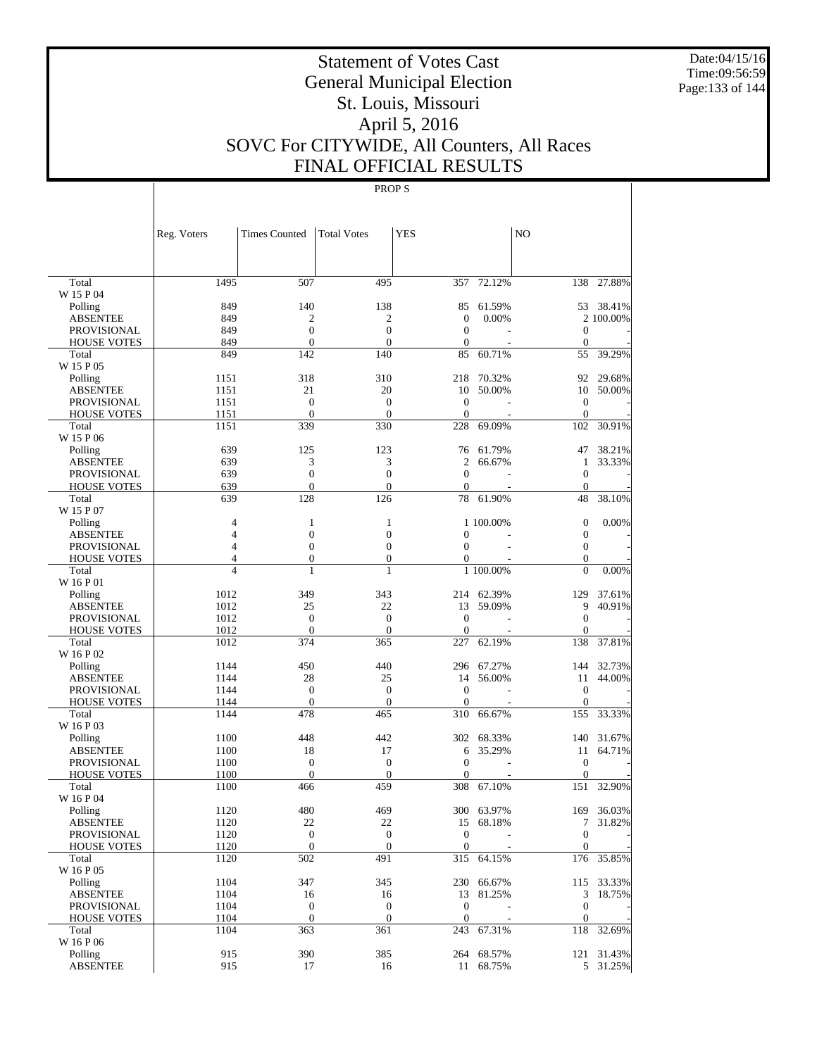Date:04/15/16 Time:09:56:59 Page:133 of 144

# Statement of Votes Cast General Municipal Election St. Louis, Missouri April 5, 2016 SOVC For CITYWIDE, All Counters, All Races FINAL OFFICIAL RESULTS

|                             | Reg. Voters    | <b>Times Counted</b> | <b>Total Votes</b>           | YES                |            | N <sub>O</sub>     |            |
|-----------------------------|----------------|----------------------|------------------------------|--------------------|------------|--------------------|------------|
|                             |                |                      |                              |                    |            |                    |            |
| Total                       | 1495           | 507                  | 495                          | 357                | 72.12%     | 138                | 27.88%     |
| W 15 P 04                   |                |                      |                              |                    |            |                    |            |
| Polling                     | 849            | 140                  | 138                          | 85                 | 61.59%     |                    | 53 38.41%  |
| <b>ABSENTEE</b>             | 849            | 2                    | 2                            | $\mathbf{0}$       | 0.00%      |                    | 2 100.00%  |
| <b>PROVISIONAL</b>          | 849            | $\mathbf{0}$         | $\overline{0}$               | $\mathbf{0}$       |            | $\mathbf{0}$       |            |
| <b>HOUSE VOTES</b>          | 849            | $\boldsymbol{0}$     | $\theta$                     | $\mathbf{0}$       |            | $\mathbf{0}$       |            |
| Total<br>W 15 P 05          | 849            | 142                  | 140                          | 85                 | 60.71%     | 55                 | 39.29%     |
| Polling                     | 1151           | 318                  | 310                          | 218                | 70.32%     | 92                 | 29.68%     |
| <b>ABSENTEE</b>             | 1151           | 21                   | 20                           | 10                 | 50.00%     | 10                 | 50.00%     |
| <b>PROVISIONAL</b>          | 1151           | $\mathbf{0}$         | $\theta$                     | $\theta$           |            | $\mathbf{0}$       |            |
| <b>HOUSE VOTES</b>          | 1151           | $\mathbf{0}$         | $\theta$                     | $\mathbf{0}$       |            | $\mathbf{0}$       |            |
| Total                       | 1151           | 339                  | 330                          | 228                | 69.09%     | 102                | 30.91%     |
| W 15 P 06                   |                |                      |                              |                    |            |                    |            |
| Polling                     | 639            | 125                  | 123                          | 76                 | 61.79%     | 47                 | 38.21%     |
| <b>ABSENTEE</b>             | 639            | 3                    | 3                            | 2                  | 66.67%     | 1                  | 33.33%     |
| <b>PROVISIONAL</b>          | 639            | $\boldsymbol{0}$     | $\overline{0}$               | $\mathbf{0}$       |            | $\mathbf{0}$       |            |
| <b>HOUSE VOTES</b>          | 639            | $\mathbf{0}$         | $\mathbf{0}$                 | $\mathbf{0}$       |            | $\mathbf{0}$       |            |
| Total                       | 639            | 128                  | 126                          | 78                 | 61.90%     | 48                 | 38.10%     |
| W 15 P 07                   |                |                      |                              |                    |            |                    |            |
| Polling                     | $\overline{4}$ | 1                    | 1                            |                    | 1 100.00%  | $\mathbf{0}$       | 0.00%      |
| <b>ABSENTEE</b>             | $\overline{4}$ | $\boldsymbol{0}$     | $\boldsymbol{0}$             | $\mathbf{0}$       |            | $\boldsymbol{0}$   |            |
| <b>PROVISIONAL</b>          | $\overline{4}$ | $\boldsymbol{0}$     | $\overline{0}$               | $\mathbf{0}$       |            | $\mathbf{0}$       |            |
| <b>HOUSE VOTES</b>          | $\overline{4}$ | $\boldsymbol{0}$     | $\boldsymbol{0}$             | $\boldsymbol{0}$   |            | $\mathbf{0}$       |            |
| Total                       | $\overline{4}$ | $\mathbf{1}$         | 1                            |                    | 1 100.00%  | $\overline{0}$     | 0.00%      |
| W 16 P 01                   |                |                      |                              |                    |            |                    |            |
| Polling                     | 1012           | 349                  | 343                          |                    | 214 62.39% | 129                | 37.61%     |
| <b>ABSENTEE</b>             | 1012           | 25                   | 22                           | 13                 | 59.09%     | 9                  | 40.91%     |
| <b>PROVISIONAL</b>          | 1012           | $\boldsymbol{0}$     | $\boldsymbol{0}$             | $\mathbf{0}$       |            | $\mathbf{0}$       |            |
| <b>HOUSE VOTES</b>          | 1012           | $\mathbf{0}$         | $\overline{0}$               | $\mathbf{0}$       |            | $\Omega$           |            |
| Total                       | 1012           | 374                  | 365                          | 227                | 62.19%     | 138                | 37.81%     |
| W 16 P 02                   |                |                      |                              |                    |            |                    |            |
| Polling                     | 1144           | 450                  | 440                          |                    | 296 67.27% |                    | 144 32.73% |
| <b>ABSENTEE</b>             | 1144           | 28<br>$\mathbf{0}$   | 25                           | 14<br>$\mathbf{0}$ | 56.00%     | 11<br>$\mathbf{0}$ | 44.00%     |
| <b>PROVISIONAL</b>          | 1144           | $\mathbf{0}$         | $\mathbf{0}$<br>$\mathbf{0}$ | $\mathbf{0}$       |            | $\mathbf{0}$       |            |
| <b>HOUSE VOTES</b><br>Total | 1144<br>1144   | 478                  | 465                          | 310                | 66.67%     | 155                | 33.33%     |
| W 16 P 03                   |                |                      |                              |                    |            |                    |            |
| Polling                     | 1100           | 448                  | 442                          |                    | 302 68.33% | 140                | 31.67%     |
| <b>ABSENTEE</b>             | 1100           | 18                   | 17                           | 6                  | 35.29%     | 11                 | 64.71%     |
| PROVISIONAL                 | 1100           | $\boldsymbol{0}$     | $\boldsymbol{0}$             | $\mathbf{0}$       | L.         | $\mathbf{0}$       |            |
| <b>HOUSE VOTES</b>          | 1100           | $\mathbf{0}$         | $\theta$                     | $\mathbf{0}$       |            | $\mathbf{0}$       |            |
| Total                       | 1100           | 466                  | 459                          | 308                | 67.10%     | 151                | 32.90%     |
| W 16 P 04                   |                |                      |                              |                    |            |                    |            |
| Polling                     | 1120           | 480                  | 469                          |                    | 300 63.97% |                    | 169 36.03% |
| ABSENTEE                    | 1120           | 22                   | 22                           |                    | 15 68.18%  |                    | 7 31.82%   |
| PROVISIONAL                 | 1120           | $\boldsymbol{0}$     | $\mathbf{0}$                 | $\boldsymbol{0}$   |            | $\mathbf{0}$       |            |
| <b>HOUSE VOTES</b>          | 1120           | $\mathbf{0}$         | $\mathbf{0}$                 | $\mathbf{0}$       |            | $\mathbf{0}$       |            |
| Total                       | 1120           | 502                  | 491                          |                    | 315 64.15% |                    | 176 35.85% |
| W 16 P 05                   |                |                      |                              |                    |            |                    |            |
| Polling                     | 1104           | 347                  | 345                          |                    | 230 66.67% |                    | 115 33.33% |
| <b>ABSENTEE</b>             | 1104           | 16                   | 16                           |                    | 13 81.25%  | 3                  | 18.75%     |
| PROVISIONAL                 | 1104           | $\boldsymbol{0}$     | $\boldsymbol{0}$             | $\boldsymbol{0}$   |            | $\boldsymbol{0}$   |            |
| <b>HOUSE VOTES</b>          | 1104           | $\mathbf{0}$         | $\boldsymbol{0}$             | $\mathbf{0}$       |            | $\mathbf{0}$       |            |
| Total                       | 1104           | 363                  | 361                          |                    | 243 67.31% | 118                | 32.69%     |
| W 16 P 06                   |                |                      |                              |                    |            |                    |            |
| Polling                     | 915            | 390                  | 385                          |                    | 264 68.57% |                    | 121 31.43% |
| <b>ABSENTEE</b>             | 915            | 17                   | 16                           |                    | 11 68.75%  |                    | 5 31.25%   |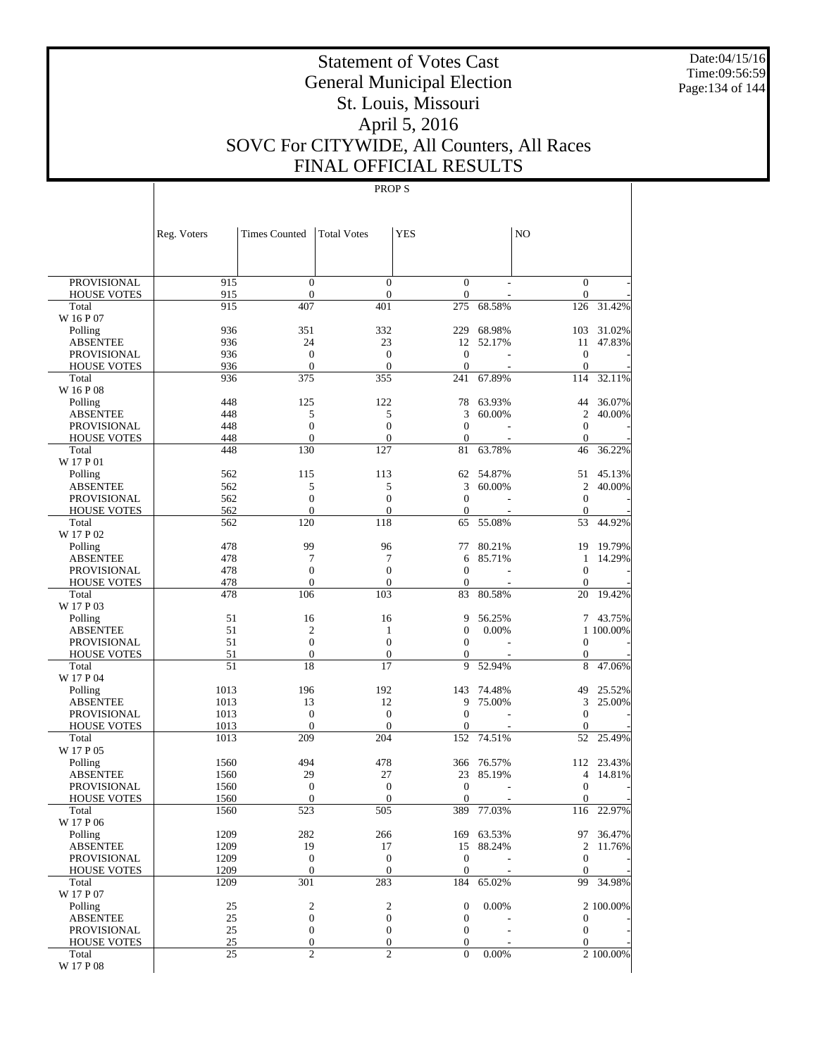Date:04/15/16 Time:09:56:59 Page:134 of 144

# Statement of Votes Cast General Municipal Election St. Louis, Missouri April 5, 2016 SOVC For CITYWIDE, All Counters, All Races FINAL OFFICIAL RESULTS

|                                          | Reg. Voters  | <b>Times Counted</b>             | <b>Total Votes</b>                 | <b>YES</b>                     |                  | N <sub>O</sub>                       |                  |
|------------------------------------------|--------------|----------------------------------|------------------------------------|--------------------------------|------------------|--------------------------------------|------------------|
|                                          |              |                                  |                                    |                                |                  |                                      |                  |
| <b>PROVISIONAL</b>                       | 915          | $\mathbf{0}$                     | $\overline{0}$                     | $\mathbf{0}$                   |                  | $\mathbf{0}$                         |                  |
| <b>HOUSE VOTES</b>                       | 915          | $\overline{0}$                   | $\boldsymbol{0}$                   | $\mathbf{0}$                   |                  | $\mathbf{0}$                         |                  |
| Total<br>W 16 P 07                       | 915          | 407                              | 401                                | 275                            | 68.58%           | 126                                  | 31.42%           |
| Polling                                  | 936          | 351                              | 332                                | 229                            | 68.98%           | 103                                  | 31.02%           |
| <b>ABSENTEE</b>                          | 936          | 24                               | 23                                 | 12                             | 52.17%           | 11                                   | 47.83%           |
| <b>PROVISIONAL</b>                       | 936          | $\mathbf{0}$                     | $\overline{0}$                     | $\overline{0}$                 |                  | $\mathbf{0}$                         |                  |
| <b>HOUSE VOTES</b>                       | 936          | $\overline{0}$                   | $\overline{0}$                     | $\boldsymbol{0}$               |                  | $\mathbf{0}$                         |                  |
| Total                                    | 936          | 375                              | 355                                | 241                            | 67.89%           | 114                                  | 32.11%           |
| W 16 P 08                                |              |                                  |                                    |                                |                  |                                      |                  |
| Polling<br><b>ABSENTEE</b>               | 448<br>448   | 125<br>5                         | 122<br>5                           | 78<br>3                        | 63.93%<br>60.00% | 44<br>$\overline{2}$                 | 36.07%<br>40.00% |
| <b>PROVISIONAL</b>                       | 448          | $\overline{0}$                   | $\overline{0}$                     | $\overline{0}$                 |                  | $\mathbf{0}$                         |                  |
| <b>HOUSE VOTES</b>                       | 448          | $\overline{0}$                   | $\overline{0}$                     | $\boldsymbol{0}$               |                  | $\mathbf{0}$                         |                  |
| Total                                    | 448          | 130                              | 127                                | 81                             | 63.78%           | 46                                   | 36.22%           |
| W 17 P 01                                |              |                                  |                                    |                                |                  |                                      |                  |
| Polling                                  | 562          | 115                              | 113                                | 62                             | 54.87%           | 51                                   | 45.13%           |
| <b>ABSENTEE</b>                          | 562          | 5                                | 5                                  | 3                              | 60.00%           | $\overline{2}$                       | 40.00%           |
| <b>PROVISIONAL</b>                       | 562<br>562   | $\overline{0}$<br>$\overline{0}$ | $\overline{0}$<br>$\overline{0}$   | $\mathbf{0}$<br>$\mathbf{0}$   |                  | $\mathbf{0}$<br>$\mathbf{0}$         |                  |
| <b>HOUSE VOTES</b><br>Total              | 562          | 120                              | 118                                | 65                             | 55.08%           | 53                                   | 44.92%           |
| W 17 P 02                                |              |                                  |                                    |                                |                  |                                      |                  |
| Polling                                  | 478          | 99                               | 96                                 | 77                             | 80.21%           | 19                                   | 19.79%           |
| <b>ABSENTEE</b>                          | 478          | 7                                | 7                                  | 6                              | 85.71%           | 1                                    | 14.29%           |
| <b>PROVISIONAL</b>                       | 478          | $\overline{0}$                   | $\overline{0}$                     | $\overline{0}$                 |                  | $\boldsymbol{0}$                     |                  |
| <b>HOUSE VOTES</b>                       | 478          | $\mathbf{0}$                     | $\overline{0}$                     | $\mathbf{0}$                   |                  | $\mathbf{0}$                         |                  |
| Total<br>W 17 P 03                       | 478          | 106                              | 103                                | 83                             | 80.58%           | 20                                   | 19.42%           |
| Polling                                  | 51           | 16                               | 16                                 | 9                              | 56.25%           |                                      | 7 43.75%         |
| <b>ABSENTEE</b>                          | 51           | $\overline{2}$                   | 1                                  | $\boldsymbol{0}$               | 0.00%            |                                      | 1 100.00%        |
| <b>PROVISIONAL</b>                       | 51           | $\overline{0}$                   | $\overline{0}$                     | $\overline{0}$                 |                  | $\mathbf{0}$                         |                  |
| <b>HOUSE VOTES</b>                       | 51           | $\boldsymbol{0}$                 | $\mathbf{0}$                       | 0                              |                  | $\mathbf{0}$                         |                  |
| Total                                    | 51           | 18                               | 17                                 | 9                              | 52.94%           | 8                                    | 47.06%           |
| W 17 P 04                                |              |                                  |                                    |                                |                  |                                      |                  |
| Polling<br><b>ABSENTEE</b>               | 1013<br>1013 | 196<br>13                        | 192<br>12                          | 143<br>9                       | 74.48%<br>75.00% | 49<br>3                              | 25.52%<br>25.00% |
| <b>PROVISIONAL</b>                       | 1013         | $\mathbf{0}$                     | $\theta$                           | $\overline{0}$                 |                  | $\boldsymbol{0}$                     |                  |
| <b>HOUSE VOTES</b>                       | 1013         | $\overline{0}$                   | $\theta$                           | $\mathbf{0}$                   |                  | $\mathbf{0}$                         |                  |
| Total                                    | 1013         | 209                              | 204                                | 152                            | 74.51%           | 52                                   | 25.49%           |
| W 17 P 05                                |              |                                  |                                    |                                |                  |                                      |                  |
| Polling                                  | 1560         | 494                              | 478                                | 366                            | 76.57%           | 112                                  | 23.43%           |
| <b>ABSENTEE</b>                          | 1560         | 29                               | 27                                 | 23                             | 85.19%           | $\overline{4}$                       | 14.81%           |
| <b>PROVISIONAL</b><br><b>HOUSE VOTES</b> | 1560<br>1560 | $\boldsymbol{0}$<br>$\mathbf{0}$ | $\boldsymbol{0}$<br>$\overline{0}$ | $\overline{0}$<br>$\mathbf{0}$ |                  | $\boldsymbol{0}$<br>$\boldsymbol{0}$ |                  |
| Total                                    | 1560         | 523                              | 505                                | 389                            | 77.03%           | 116                                  | 22.97%           |
| W 17 P 06                                |              |                                  |                                    |                                |                  |                                      |                  |
| Polling                                  | 1209         | 282                              | 266                                |                                | 169 63.53%       |                                      | 97 36.47%        |
| <b>ABSENTEE</b>                          | 1209         | 19                               | 17                                 | 15                             | 88.24%           | 2                                    | 11.76%           |
| <b>PROVISIONAL</b>                       | 1209         | $\mathbf{0}$                     | $\mathbf{0}$                       | $\boldsymbol{0}$               |                  | $\mathbf{0}$                         |                  |
| <b>HOUSE VOTES</b>                       | 1209         | $\boldsymbol{0}$                 | $\boldsymbol{0}$                   | $\boldsymbol{0}$               |                  | $\mathbf{0}$                         |                  |
| Total<br>W 17 P 07                       | 1209         | 301                              | 283                                | 184                            | 65.02%           | 99                                   | 34.98%           |
| Polling                                  | 25           | $\overline{\mathbf{c}}$          | $\boldsymbol{2}$                   | $\boldsymbol{0}$               | 0.00%            |                                      | 2 100.00%        |
| <b>ABSENTEE</b>                          | 25           | $\boldsymbol{0}$                 | $\boldsymbol{0}$                   | $\boldsymbol{0}$               |                  | $\mathbf{0}$                         |                  |
| <b>PROVISIONAL</b>                       | 25           | $\boldsymbol{0}$                 | $\boldsymbol{0}$                   | $\mathbf{0}$                   |                  | $\mathbf{0}$                         |                  |
| <b>HOUSE VOTES</b>                       | 25           | $\boldsymbol{0}$                 | $\boldsymbol{0}$                   | $\boldsymbol{0}$               |                  | $\mathbf{0}$                         |                  |
| Total                                    | 25           | $\overline{c}$                   | $\overline{2}$                     | $\overline{0}$                 | 0.00%            |                                      | 2 100.00%        |
| W 17 P 08                                |              |                                  |                                    |                                |                  |                                      |                  |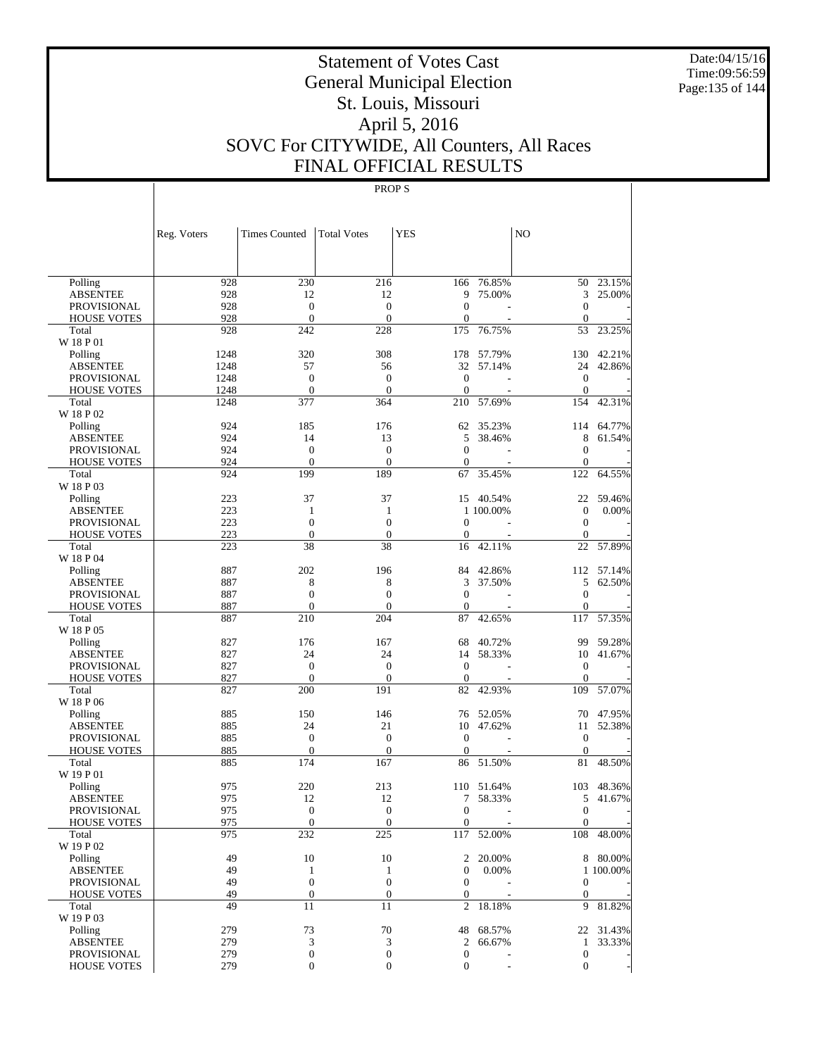Date:04/15/16 Time:09:56:59 Page:135 of 144

# Statement of Votes Cast General Municipal Election St. Louis, Missouri April 5, 2016 SOVC For CITYWIDE, All Counters, All Races FINAL OFFICIAL RESULTS

|                                       | Reg. Voters  | <b>Times Counted</b> | <b>Total Votes</b> | <b>YES</b>            |                 | NO                 |                       |
|---------------------------------------|--------------|----------------------|--------------------|-----------------------|-----------------|--------------------|-----------------------|
|                                       |              |                      |                    |                       |                 |                    |                       |
| Polling                               | 928          | 230                  | 216                | 166                   | 76.85%          | 50                 | 23.15%                |
| <b>ABSENTEE</b>                       | 928          | 12                   | 12                 | 9                     | 75.00%          | 3                  | 25.00%                |
| <b>PROVISIONAL</b>                    | 928          | $\mathbf{0}$         | $\theta$           | $\overline{0}$        |                 | $\theta$           |                       |
| <b>HOUSE VOTES</b>                    | 928          | $\mathbf{0}$         | $\theta$           | $\overline{0}$        |                 | $\theta$           |                       |
| Total                                 | 928          | 242                  | 228                | 175                   | 76.75%          | 53                 | 23.25%                |
| W 18 P 01                             |              |                      |                    |                       |                 |                    |                       |
| Polling                               | 1248         | 320<br>57            | 308                | 178<br>32             | 57.79%          | 130                | 42.21%                |
| <b>ABSENTEE</b><br><b>PROVISIONAL</b> | 1248<br>1248 | $\mathbf{0}$         | 56<br>$\theta$     | $\theta$              | 57.14%          | 24<br>$\mathbf{0}$ | 42.86%                |
| <b>HOUSE VOTES</b>                    | 1248         | $\mathbf{0}$         | $\theta$           | $\mathbf{0}$          |                 | $\mathbf{0}$       |                       |
| Total                                 | 1248         | 377                  | 364                | 210                   | 57.69%          | 154                | 42.31%                |
| W 18 P 02                             |              |                      |                    |                       |                 |                    |                       |
| Polling                               | 924          | 185                  | 176                | 62                    | 35.23%          | 114                | 64.77%                |
| <b>ABSENTEE</b>                       | 924          | 14                   | 13                 | 5                     | 38.46%          | 8                  | 61.54%                |
| <b>PROVISIONAL</b>                    | 924          | $\mathbf{0}$         | $\theta$           | $\overline{0}$        |                 | $\theta$           |                       |
| <b>HOUSE VOTES</b>                    | 924          | $\mathbf{0}$         | $\theta$           | $\mathbf{0}$          |                 | $\mathbf{0}$       |                       |
| Total                                 | 924          | 199                  | 189                | 67                    | 35.45%          | 122                | 64.55%                |
| W 18 P 03                             |              |                      |                    |                       |                 |                    |                       |
| Polling                               | 223          | 37                   | 37                 |                       | 15 40.54%       | 22                 | 59.46%                |
| <b>ABSENTEE</b>                       | 223          | 1                    | 1                  |                       | 1 100.00%       | $\mathbf{0}$       | 0.00%                 |
| <b>PROVISIONAL</b>                    | 223          | $\mathbf{0}$         | $\overline{0}$     | $\mathbf{0}$          |                 | $\theta$           |                       |
| <b>HOUSE VOTES</b>                    | 223          | $\mathbf{0}$         | $\theta$           | $\mathbf{0}$          |                 | $\Omega$           |                       |
| Total                                 | 223          | 38                   | 38                 | 16                    | 42.11%          | 22                 | 57.89%                |
| W 18 P 04                             |              |                      |                    |                       |                 |                    |                       |
| Polling                               | 887          | 202                  | 196                | 84                    | 42.86%          | 112                | 57.14%                |
| <b>ABSENTEE</b>                       | 887          | 8                    | 8                  | 3                     | 37.50%          | 5                  | 62.50%                |
| <b>PROVISIONAL</b>                    | 887          | $\mathbf{0}$         | $\theta$           | $\overline{0}$        |                 | $\theta$           |                       |
| <b>HOUSE VOTES</b>                    | 887          | $\mathbf{0}$         | $\theta$           | $\mathbf{0}$          |                 | $\mathbf{0}$       |                       |
| Total<br>W 18 P 05                    | 887          | 210                  | 204                | 87                    | 42.65%          | 117                | 57.35%                |
| Polling                               | 827          | 176                  | 167                | 68                    | 40.72%          | 99                 | 59.28%                |
| <b>ABSENTEE</b>                       | 827          | 24                   | 24                 | 14                    | 58.33%          | 10                 | 41.67%                |
| <b>PROVISIONAL</b>                    | 827          | $\mathbf{0}$         | $\theta$           | $\mathbf{0}$          |                 | $\mathbf{0}$       |                       |
| <b>HOUSE VOTES</b>                    | 827          | $\mathbf{0}$         | $\theta$           | $\mathbf{0}$          |                 | $\Omega$           |                       |
| Total                                 | 827          | 200                  | 191                | 82                    | 42.93%          | 109                | 57.07%                |
| W 18 P 06                             |              |                      |                    |                       |                 |                    |                       |
| Polling                               | 885          | 150                  | 146                | 76                    | 52.05%          | 70                 | 47.95%                |
| <b>ABSENTEE</b>                       | 885          | 24                   | 21                 | 10                    | 47.62%          | 11                 | 52.38%                |
| <b>PROVISIONAL</b>                    | 885          | $\mathbf{0}$         | $\theta$           | $\mathbf{0}$          |                 | $\mathbf{0}$       |                       |
| <b>HOUSE VOTES</b>                    | 885          | $\mathbf{0}$         | $\theta$           | $\mathbf{0}$          |                 | $\theta$           |                       |
| Total                                 | 885          | 174                  | 167                | 86                    | 51.50%          | 81                 | 48.50%                |
| W 19 P 01                             |              |                      |                    |                       |                 |                    |                       |
| Polling                               | 975          | 220                  | 213                |                       | 110 51.64%      | 103                | 48.36%                |
| <b>ABSENTEE</b>                       | 975          | 12                   | 12                 | 7                     | 58.33%          | 5                  | 41.67%                |
| PROVISIONAL                           | 975          | $\mathbf{0}$         | $\theta$           | $\overline{0}$        |                 | $\mathbf{0}$       |                       |
| <b>HOUSE VOTES</b>                    | 975          | $\boldsymbol{0}$     | $\mathbf{0}$       | $\boldsymbol{0}$      |                 | $\mathbf{0}$       |                       |
| Total                                 | 975          | 232                  | 225                | 117                   | 52.00%          | 108                | 48.00%                |
| W 19 P 02                             |              |                      |                    |                       |                 |                    |                       |
| Polling<br><b>ABSENTEE</b>            | 49<br>49     | 10<br>$\mathbf{1}$   | 10<br>$\mathbf{1}$ | 2<br>$\boldsymbol{0}$ | 20.00%<br>0.00% |                    | 8 80.00%<br>1 100.00% |
| <b>PROVISIONAL</b>                    | 49           | $\boldsymbol{0}$     | $\boldsymbol{0}$   | $\mathbf{0}$          |                 | $\boldsymbol{0}$   |                       |
| <b>HOUSE VOTES</b>                    | 49           | $\boldsymbol{0}$     | $\boldsymbol{0}$   | $\boldsymbol{0}$      |                 | $\mathbf{0}$       |                       |
| Total                                 | 49           | 11                   | 11                 | $\overline{2}$        | 18.18%          | 9                  | 81.82%                |
| W 19 P 03                             |              |                      |                    |                       |                 |                    |                       |
| Polling                               | 279          | 73                   | 70                 | 48                    | 68.57%          |                    | 22 31.43%             |
| <b>ABSENTEE</b>                       | 279          | 3                    | 3                  | 2                     | 66.67%          | $\mathbf{1}$       | 33.33%                |
| <b>PROVISIONAL</b>                    | 279          | $\boldsymbol{0}$     | $\boldsymbol{0}$   | $\boldsymbol{0}$      |                 | $\boldsymbol{0}$   |                       |
| <b>HOUSE VOTES</b>                    | 279          | 0                    | $\boldsymbol{0}$   | $\boldsymbol{0}$      |                 | $\mathbf{0}$       |                       |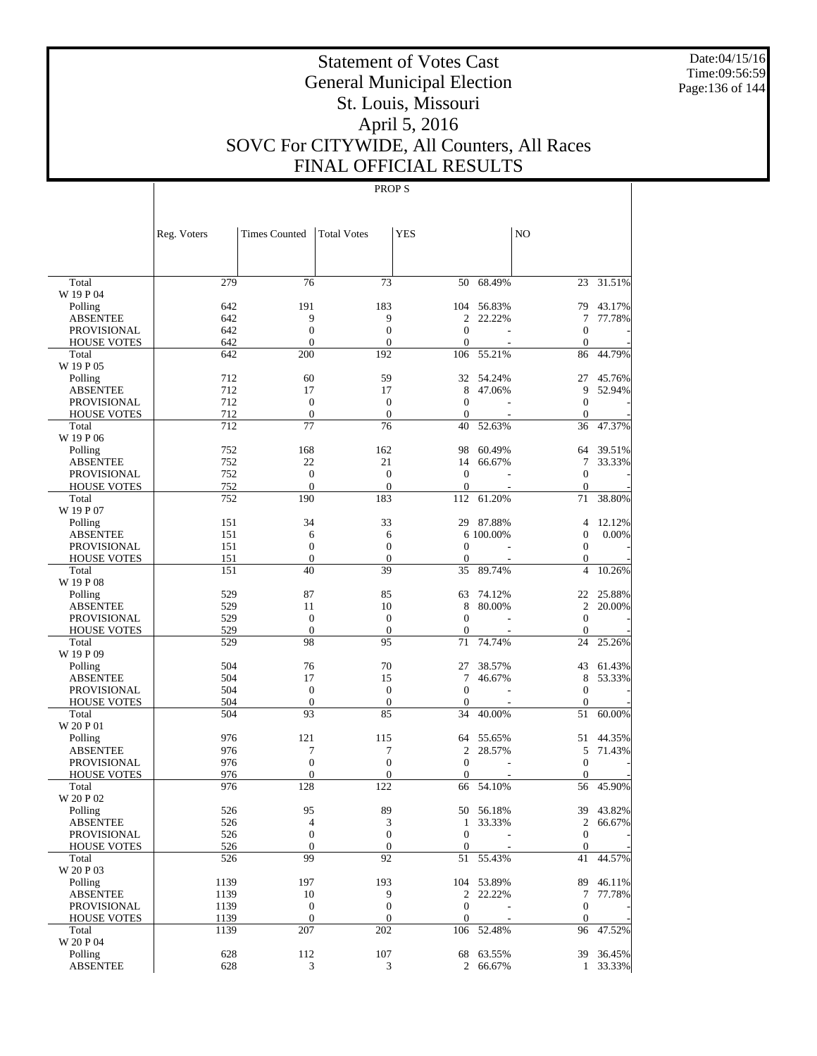Date:04/15/16 Time:09:56:59 Page:136 of 144

# Statement of Votes Cast General Municipal Election St. Louis, Missouri April 5, 2016 SOVC For CITYWIDE, All Counters, All Races FINAL OFFICIAL RESULTS

|                                       | Reg. Voters | <b>Times Counted</b>   | <b>Total Votes</b>                   | YES               |            | N <sub>O</sub>    |           |
|---------------------------------------|-------------|------------------------|--------------------------------------|-------------------|------------|-------------------|-----------|
|                                       |             |                        |                                      |                   |            |                   |           |
| Total                                 | 279         | 76                     | 73                                   | 50                | 68.49%     | 23                | 31.51%    |
| W 19 P 04                             |             |                        |                                      |                   |            |                   |           |
| Polling                               | 642         | 191                    | 183                                  |                   | 104 56.83% | 79                | 43.17%    |
| <b>ABSENTEE</b>                       | 642         | 9                      | 9                                    | 2                 | 22.22%     | 7                 | 77.78%    |
| <b>PROVISIONAL</b>                    | 642         | $\boldsymbol{0}$       | $\boldsymbol{0}$                     | $\mathbf{0}$      | L.         | $\mathbf{0}$      |           |
| <b>HOUSE VOTES</b>                    | 642         | $\mathbf{0}$           | $\mathbf{0}$                         | $\mathbf{0}$      |            | $\mathbf{0}$      |           |
| Total<br>W 19 P 05                    | 642         | 200                    | 192                                  | 106               | 55.21%     | 86                | 44.79%    |
|                                       |             |                        |                                      |                   |            |                   |           |
| Polling                               | 712         | 60                     | 59                                   |                   | 32 54.24%  | 27                | 45.76%    |
| <b>ABSENTEE</b><br><b>PROVISIONAL</b> | 712<br>712  | 17<br>$\boldsymbol{0}$ | 17                                   | 8<br>$\mathbf{0}$ | 47.06%     | 9<br>$\mathbf{0}$ | 52.94%    |
| <b>HOUSE VOTES</b>                    | 712         | $\boldsymbol{0}$       | $\boldsymbol{0}$<br>$\boldsymbol{0}$ | $\theta$          |            | $\mathbf{0}$      |           |
| Total                                 | 712         | 77                     | 76                                   | 40                | 52.63%     | 36                | 47.37%    |
| W 19 P 06                             |             |                        |                                      |                   |            |                   |           |
| Polling                               | 752         | 168                    | 162                                  | 98                | 60.49%     | 64                | 39.51%    |
| <b>ABSENTEE</b>                       | 752         | 22                     | 21                                   | 14                | 66.67%     | 7                 | 33.33%    |
| <b>PROVISIONAL</b>                    | 752         | $\boldsymbol{0}$       | $\boldsymbol{0}$                     | $\mathbf{0}$      |            | $\mathbf{0}$      |           |
| <b>HOUSE VOTES</b>                    | 752         | $\mathbf{0}$           | $\mathbf{0}$                         | $\theta$          |            | $\mathbf{0}$      |           |
| Total                                 | 752         | 190                    | 183                                  | 112               | 61.20%     | 71                | 38.80%    |
| W 19 P 07                             |             |                        |                                      |                   |            |                   |           |
| Polling                               | 151         | 34                     | 33                                   |                   | 29 87.88%  | $\overline{4}$    | 12.12%    |
| ABSENTEE                              | 151         | 6                      | 6                                    |                   | 6 100.00%  | $\boldsymbol{0}$  | 0.00%     |
| <b>PROVISIONAL</b>                    | 151         | $\boldsymbol{0}$       | $\mathbf{0}$                         | $\mathbf{0}$      |            | $\mathbf{0}$      |           |
| <b>HOUSE VOTES</b>                    | 151         | $\boldsymbol{0}$       | $\boldsymbol{0}$                     | $\boldsymbol{0}$  |            | $\mathbf{0}$      |           |
| Total                                 | 151         | 40                     | 39                                   | 35                | 89.74%     | $\overline{4}$    | 10.26%    |
| W 19 P 08                             |             |                        |                                      |                   |            |                   |           |
| Polling                               | 529         | 87                     | 85                                   | 63                | 74.12%     | 22                | 25.88%    |
| <b>ABSENTEE</b>                       | 529         | 11                     | 10                                   | 8                 | 80.00%     | $\mathfrak{2}$    | 20.00%    |
| <b>PROVISIONAL</b>                    | 529         | $\boldsymbol{0}$       | $\boldsymbol{0}$                     | $\theta$          |            | $\mathbf{0}$      |           |
| <b>HOUSE VOTES</b>                    | 529         | $\theta$               | $\mathbf{0}$                         | $\mathbf{0}$      |            | $\mathbf{0}$      |           |
| Total                                 | 529         | 98                     | 95                                   | 71                | 74.74%     | 24                | 25.26%    |
| W 19 P 09                             |             |                        |                                      |                   |            |                   |           |
| Polling                               | 504         | 76                     | 70                                   | 27                | 38.57%     | 43                | 61.43%    |
| <b>ABSENTEE</b>                       | 504         | 17                     | 15                                   | 7                 | 46.67%     | 8                 | 53.33%    |
| <b>PROVISIONAL</b>                    | 504         | $\boldsymbol{0}$       | $\boldsymbol{0}$                     | $\theta$          |            | $\mathbf{0}$      |           |
| <b>HOUSE VOTES</b>                    | 504         | $\mathbf{0}$           | $\boldsymbol{0}$                     | $\mathbf{0}$      |            | $\mathbf{0}$      |           |
| Total                                 | 504         | 93                     | 85                                   | 34                | 40.00%     | 51                | 60.00%    |
| W 20 P 01                             |             |                        |                                      |                   |            |                   |           |
| Polling                               | 976         | 121                    | 115                                  | 64                | 55.65%     | 51                | 44.35%    |
| <b>ABSENTEE</b>                       | 976         | 7                      | 7                                    | 2                 | 28.57%     | 5                 | 71.43%    |
| <b>PROVISIONAL</b>                    | 976         | $\boldsymbol{0}$       | $\boldsymbol{0}$                     | $\mathbf{0}$      |            | $\mathbf{0}$      |           |
| <b>HOUSE VOTES</b>                    | 976         | $\mathbf{0}$           | $\mathbf{0}$                         | $\mathbf{0}$      |            | $\mathbf{0}$      |           |
| Total                                 | 976         | 128                    | 122                                  | 66                | 54.10%     | 56                | 45.90%    |
| W 20 P 02                             |             |                        |                                      |                   |            |                   |           |
| Polling                               | 526         | 95                     | 89                                   |                   | 50 56.18%  | 39                | 43.82%    |
| ABSENTEE                              | 526         | $\overline{4}$         | $\ensuremath{\mathfrak{Z}}$          | 1                 | 33.33%     |                   | 2 66.67%  |
| <b>PROVISIONAL</b>                    | 526         | $\boldsymbol{0}$       | $\boldsymbol{0}$                     | $\boldsymbol{0}$  |            | $\mathbf{0}$      |           |
| <b>HOUSE VOTES</b>                    | 526         | $\boldsymbol{0}$       | $\mathbf{0}$                         | $\boldsymbol{0}$  |            | $\mathbf{0}$      |           |
| Total                                 | 526         | 99                     | 92                                   | 51                | 55.43%     | 41                | 44.57%    |
| W 20 P 03                             |             |                        |                                      |                   |            |                   |           |
| Polling                               | 1139        | 197                    | 193                                  |                   | 104 53.89% | 89                | 46.11%    |
| <b>ABSENTEE</b>                       | 1139        | 10                     | 9                                    |                   | 2 22.22%   | 7                 | 77.78%    |
| <b>PROVISIONAL</b>                    | 1139        | $\boldsymbol{0}$       | $\mathbf{0}$                         | $\boldsymbol{0}$  |            | $\boldsymbol{0}$  |           |
| <b>HOUSE VOTES</b>                    | 1139        | $\mathbf{0}$           | $\boldsymbol{0}$                     | $\boldsymbol{0}$  |            | $\mathbf{0}$      |           |
| Total                                 | 1139        | 207                    | 202                                  |                   | 106 52.48% | 96                | 47.52%    |
| W 20 P 04                             |             |                        |                                      |                   |            |                   |           |
| Polling                               | 628         | 112                    | 107                                  |                   | 68 63.55%  |                   | 39 36.45% |
| <b>ABSENTEE</b>                       | 628         | 3                      | 3                                    |                   | 2 66.67%   |                   | 1 33.33%  |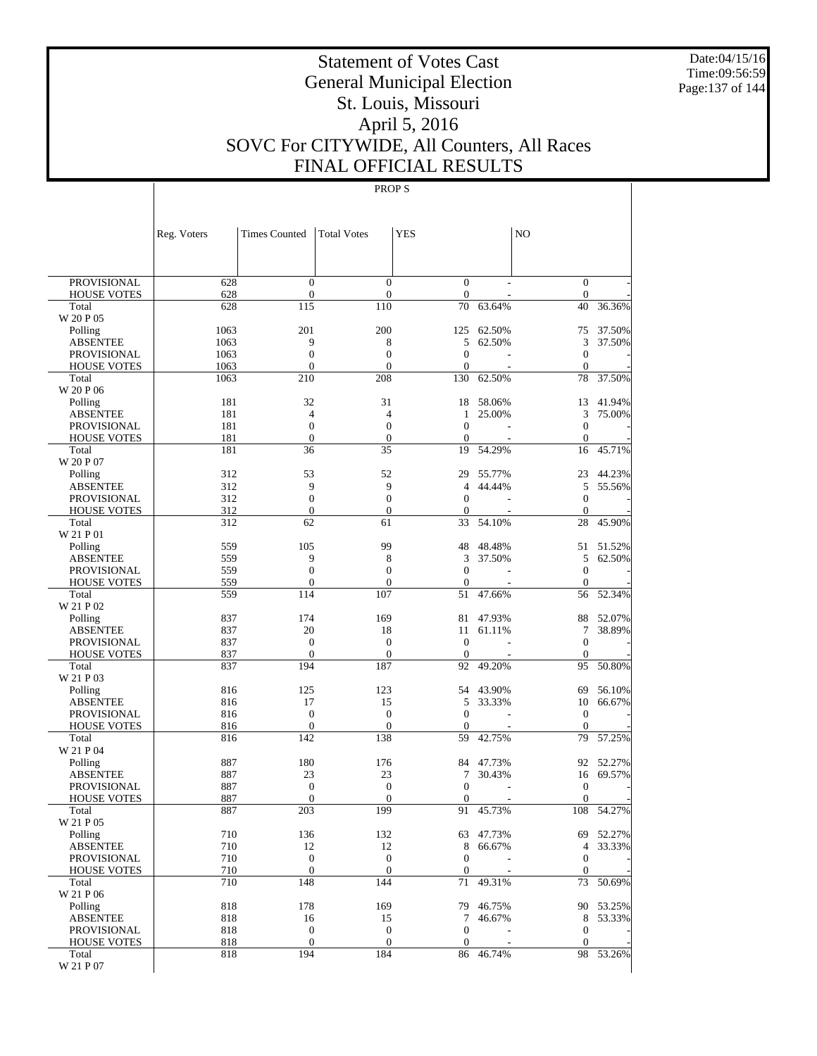Date:04/15/16 Time:09:56:59 Page:137 of 144

# Statement of Votes Cast General Municipal Election St. Louis, Missouri April 5, 2016 SOVC For CITYWIDE, All Counters, All Races FINAL OFFICIAL RESULTS

|                             | Reg. Voters | <b>Times Counted</b>               | <b>Total Votes</b>             | <b>YES</b>                     |           | N <sub>O</sub>               |           |
|-----------------------------|-------------|------------------------------------|--------------------------------|--------------------------------|-----------|------------------------------|-----------|
|                             |             |                                    |                                |                                |           |                              |           |
| <b>PROVISIONAL</b>          | 628         | $\mathbf{0}$                       | $\overline{0}$                 | $\mathbf{0}$<br>$\mathbf{0}$   |           | $\mathbf{0}$                 |           |
| <b>HOUSE VOTES</b><br>Total | 628<br>628  | $\boldsymbol{0}$<br>115            | $\boldsymbol{0}$<br>110        | 70                             | 63.64%    | $\mathbf{0}$<br>40           | 36.36%    |
| W 20 P 05                   |             |                                    |                                |                                |           |                              |           |
| Polling                     | 1063        | 201                                | 200                            | 125                            | 62.50%    | 75                           | 37.50%    |
| <b>ABSENTEE</b>             | 1063        | 9                                  | 8                              | 5                              | 62.50%    | 3                            | 37.50%    |
| <b>PROVISIONAL</b>          | 1063        | $\overline{0}$                     | $\overline{0}$                 | $\overline{0}$                 |           | $\mathbf{0}$                 |           |
| <b>HOUSE VOTES</b>          | 1063        | $\overline{0}$                     | $\overline{0}$                 | $\overline{0}$                 |           | $\mathbf{0}$                 |           |
| Total                       | 1063        | 210                                | 208                            | 130                            | 62.50%    | 78                           | 37.50%    |
| W 20 P 06                   |             |                                    |                                |                                |           |                              |           |
| Polling                     | 181         | 32                                 | 31                             | 18                             | 58.06%    | 13                           | 41.94%    |
| <b>ABSENTEE</b>             | 181         | $\overline{4}$                     | $\overline{4}$                 | 1                              | 25.00%    | 3                            | 75.00%    |
| <b>PROVISIONAL</b>          | 181<br>181  | $\overline{0}$<br>$\boldsymbol{0}$ | $\overline{0}$<br>$\mathbf{0}$ | $\overline{0}$<br>$\mathbf{0}$ |           | $\mathbf{0}$<br>$\mathbf{0}$ |           |
| <b>HOUSE VOTES</b><br>Total | 181         | 36                                 | 35                             | 19                             | 54.29%    | 16                           | 45.71%    |
| W 20 P 07                   |             |                                    |                                |                                |           |                              |           |
| Polling                     | 312         | 53                                 | 52                             | 29                             | 55.77%    | 23                           | 44.23%    |
| <b>ABSENTEE</b>             | 312         | 9                                  | 9                              | 4                              | 44.44%    | 5                            | 55.56%    |
| <b>PROVISIONAL</b>          | 312         | $\mathbf{0}$                       | $\overline{0}$                 | $\overline{0}$                 |           | $\mathbf{0}$                 |           |
| <b>HOUSE VOTES</b>          | 312         | $\boldsymbol{0}$                   | $\boldsymbol{0}$               | $\mathbf{0}$                   |           | $\mathbf{0}$                 |           |
| Total                       | 312         | 62                                 | 61                             | 33                             | 54.10%    | 28                           | 45.90%    |
| W 21 P 01                   |             |                                    |                                |                                |           |                              |           |
| Polling                     | 559         | 105                                | 99                             | 48                             | 48.48%    | 51                           | 51.52%    |
| <b>ABSENTEE</b>             | 559         | 9                                  | 8                              | 3                              | 37.50%    | 5                            | 62.50%    |
| <b>PROVISIONAL</b>          | 559         | $\boldsymbol{0}$                   | $\overline{0}$                 | $\overline{0}$                 |           | $\mathbf{0}$                 |           |
| <b>HOUSE VOTES</b><br>Total | 559<br>559  | $\overline{0}$<br>114              | $\boldsymbol{0}$<br>107        | $\boldsymbol{0}$<br>51         | 47.66%    | $\mathbf{0}$<br>56           | 52.34%    |
| W 21 P 02                   |             |                                    |                                |                                |           |                              |           |
| Polling                     | 837         | 174                                | 169                            | 81                             | 47.93%    | 88                           | 52.07%    |
| <b>ABSENTEE</b>             | 837         | 20                                 | 18                             | 11                             | 61.11%    | 7                            | 38.89%    |
| <b>PROVISIONAL</b>          | 837         | $\overline{0}$                     | $\overline{0}$                 | $\overline{0}$                 |           | $\boldsymbol{0}$             |           |
| <b>HOUSE VOTES</b>          | 837         | $\mathbf{0}$                       | $\mathbf{0}$                   | $\mathbf{0}$                   |           | $\mathbf{0}$                 |           |
| Total                       | 837         | 194                                | 187                            | 92                             | 49.20%    | 95                           | 50.80%    |
| W 21 P 03                   |             |                                    |                                |                                |           |                              |           |
| Polling                     | 816         | 125                                | 123                            | 54                             | 43.90%    | 69                           | 56.10%    |
| <b>ABSENTEE</b>             | 816         | 17                                 | 15                             | 5                              | 33.33%    | 10                           | 66.67%    |
| <b>PROVISIONAL</b>          | 816         | $\mathbf{0}$                       | $\boldsymbol{0}$               | $\overline{0}$                 |           | $\boldsymbol{0}$             |           |
| <b>HOUSE VOTES</b><br>Total | 816         | $\boldsymbol{0}$<br>142            | $\mathbf{0}$<br>138            | $\mathbf{0}$<br>59             |           | $\mathbf{0}$<br>79           | 57.25%    |
| W 21 P 04                   | 816         |                                    |                                |                                | 42.75%    |                              |           |
| Polling                     | 887         | 180                                | 176                            | 84                             | 47.73%    | 92                           | 52.27%    |
| <b>ABSENTEE</b>             | 887         | 23                                 | 23                             | 7                              | 30.43%    | 16                           | 69.57%    |
| <b>PROVISIONAL</b>          | 887         | $\boldsymbol{0}$                   | $\overline{0}$                 | $\overline{0}$                 |           | $\mathbf{0}$                 |           |
| <b>HOUSE VOTES</b>          | 887         | $\overline{0}$                     | $\overline{0}$                 | $\overline{0}$                 |           | $\boldsymbol{0}$             |           |
| Total                       | 887         | 203                                | 199                            | 91                             | 45.73%    | 108                          | 54.27%    |
| W 21 P 05                   |             |                                    |                                |                                |           |                              |           |
| Polling                     | 710         | 136                                | 132                            |                                | 63 47.73% |                              | 69 52.27% |
| <b>ABSENTEE</b>             | 710         | 12                                 | 12                             | 8                              | 66.67%    | 4                            | 33.33%    |
| <b>PROVISIONAL</b>          | 710         | $\boldsymbol{0}$                   | $\boldsymbol{0}$               | $\mathbf{0}$                   |           | $\mathbf{0}$                 |           |
| <b>HOUSE VOTES</b><br>Total | 710<br>710  | $\boldsymbol{0}$<br>148            | $\boldsymbol{0}$<br>144        | 0<br>71                        | 49.31%    | $\mathbf{0}$<br>73           | 50.69%    |
| W 21 P 06                   |             |                                    |                                |                                |           |                              |           |
| Polling                     | 818         | 178                                | 169                            | 79                             | 46.75%    |                              | 90 53.25% |
| <b>ABSENTEE</b>             | 818         | 16                                 | 15                             | $\tau$                         | 46.67%    | 8                            | 53.33%    |
| <b>PROVISIONAL</b>          | 818         | $\boldsymbol{0}$                   | $\mathbf{0}$                   | $\mathbf{0}$                   |           | $\mathbf{0}$                 |           |
| <b>HOUSE VOTES</b>          | 818         | $\boldsymbol{0}$                   | $\boldsymbol{0}$               | 0                              |           | $\mathbf{0}$                 |           |
| Total                       | 818         | 194                                | 184                            | 86                             | 46.74%    |                              | 98 53.26% |
| W 21 P 07                   |             |                                    |                                |                                |           |                              |           |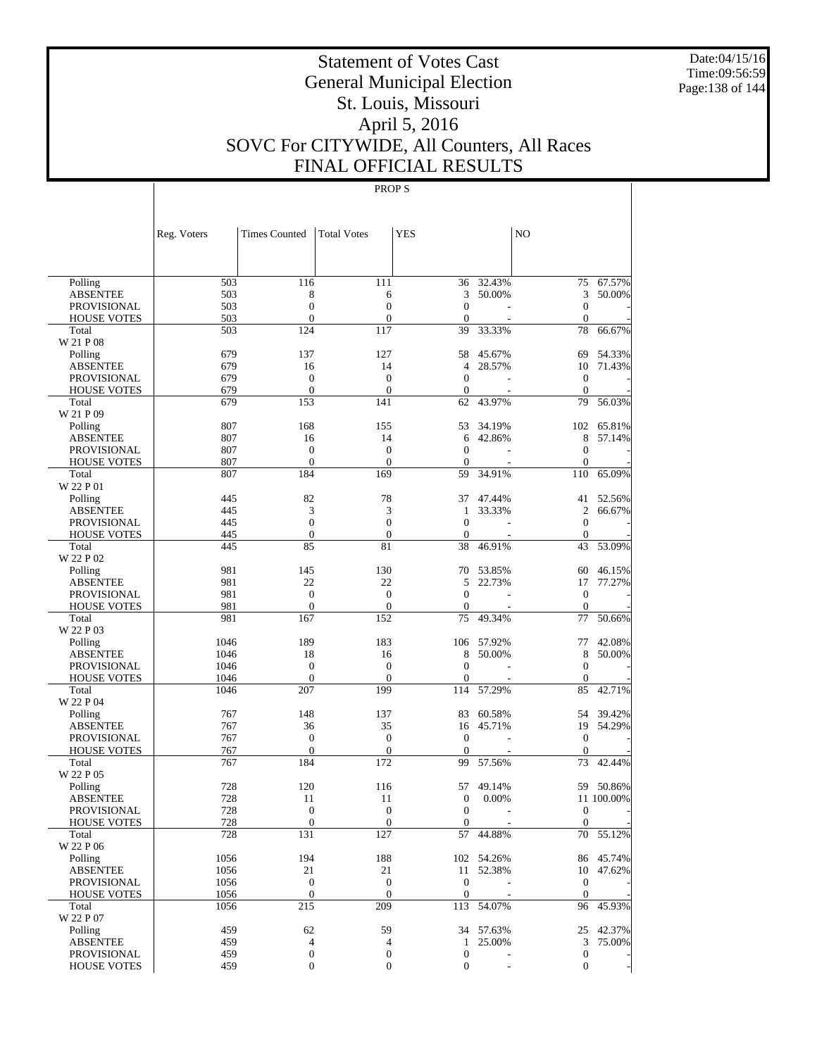Date:04/15/16 Time:09:56:59 Page:138 of 144

# Statement of Votes Cast General Municipal Election St. Louis, Missouri April 5, 2016 SOVC For CITYWIDE, All Counters, All Races FINAL OFFICIAL RESULTS

|                                   | Reg. Voters  | <b>Times Counted</b>       | <b>Total Votes</b>     | <b>YES</b>            |                          | N <sub>O</sub>     |            |
|-----------------------------------|--------------|----------------------------|------------------------|-----------------------|--------------------------|--------------------|------------|
|                                   |              |                            |                        |                       |                          |                    |            |
| Polling                           | 503          | 116                        | 111                    | 36                    | $\frac{1}{32.43\%}$      |                    | 75 67.57%  |
| <b>ABSENTEE</b>                   | 503          | 8                          | 6                      | 3                     | 50.00%                   | 3                  | 50.00%     |
| PROVISIONAL                       | 503          | $\boldsymbol{0}$           | $\overline{0}$         | $\mathbf{0}$          |                          | $\mathbf{0}$       |            |
| <b>HOUSE VOTES</b>                | 503          | $\overline{0}$             | $\mathbf{0}$           | $\mathbf{0}$          |                          | $\mathbf{0}$       |            |
| Total                             | 503          | 124                        | 117                    | 39                    | 33.33%                   | 78                 | 66.67%     |
| W 21 P 08                         |              |                            |                        |                       |                          |                    |            |
| Polling                           | 679          | 137                        | 127                    | 58                    | 45.67%                   | 69                 | 54.33%     |
| <b>ABSENTEE</b>                   | 679<br>679   | 16<br>$\boldsymbol{0}$     | 14<br>$\mathbf{0}$     | 4<br>$\boldsymbol{0}$ | 28.57%                   | 10<br>$\mathbf{0}$ | 71.43%     |
| PROVISIONAL<br><b>HOUSE VOTES</b> | 679          | $\mathbf{0}$               | $\boldsymbol{0}$       | $\boldsymbol{0}$      |                          | $\theta$           |            |
| Total                             | 679          | 153                        | 141                    | 62                    | 43.97%                   | 79                 | 56.03%     |
| W 21 P 09                         |              |                            |                        |                       |                          |                    |            |
| Polling                           | 807          | 168                        | 155                    | 53                    | 34.19%                   |                    | 102 65.81% |
| <b>ABSENTEE</b>                   | 807          | 16                         | 14                     | 6                     | 42.86%                   | 8                  | 57.14%     |
| PROVISIONAL                       | 807          | $\boldsymbol{0}$           | $\boldsymbol{0}$       | $\mathbf{0}$          |                          | $\mathbf{0}$       |            |
| <b>HOUSE VOTES</b>                | 807          | $\mathbf{0}$               | $\theta$               | 0                     |                          | $\mathbf{0}$       |            |
| Total                             | 807          | 184                        | 169                    | 59                    | 34.91%                   | 110                | 65.09%     |
| W 22 P 01                         |              |                            |                        |                       |                          |                    |            |
| Polling                           | 445          | 82                         | 78                     | 37                    | 47.44%                   | 41                 | 52.56%     |
| <b>ABSENTEE</b>                   | 445          | 3                          | 3                      | 1                     | 33.33%                   | 2                  | 66.67%     |
| PROVISIONAL                       | 445          | $\mathbf{0}$               | $\mathbf{0}$           | $\boldsymbol{0}$      |                          | $\mathbf{0}$       |            |
| <b>HOUSE VOTES</b>                | 445          | $\mathbf{0}$               | $\theta$               | $\boldsymbol{0}$      |                          | $\mathbf{0}$       |            |
| Total<br>W 22 P 02                | 445          | 85                         | 81                     | 38                    | 46.91%                   | 43                 | 53.09%     |
| Polling                           | 981          | 145                        | 130                    | 70                    | 53.85%                   | 60                 | 46.15%     |
| ABSENTEE                          | 981          | 22                         | 22                     | 5                     | 22.73%                   | 17                 | 77.27%     |
| <b>PROVISIONAL</b>                | 981          | $\boldsymbol{0}$           | $\mathbf{0}$           | $\mathbf{0}$          |                          | $\mathbf{0}$       |            |
| <b>HOUSE VOTES</b>                | 981          | $\mathbf{0}$               | $\boldsymbol{0}$       | 0                     |                          | $\mathbf{0}$       |            |
| Total                             | 981          | 167                        | 152                    | 75                    | 49.34%                   | 77                 | 50.66%     |
| W 22 P 03                         |              |                            |                        |                       |                          |                    |            |
| Polling                           | 1046         | 189                        | 183                    |                       | 106 57.92%               | 77                 | 42.08%     |
| <b>ABSENTEE</b>                   | 1046         | 18                         | 16                     | 8                     | 50.00%                   | 8                  | 50.00%     |
| PROVISIONAL                       | 1046         | $\boldsymbol{0}$           | $\boldsymbol{0}$       | $\mathbf{0}$          |                          | $\mathbf{0}$       |            |
| <b>HOUSE VOTES</b>                | 1046         | $\mathbf{0}$               | $\theta$               | 0                     |                          | $\theta$           |            |
| Total                             | 1046         | 207                        | 199                    | 114                   | 57.29%                   | 85                 | 42.71%     |
| W 22 P 04<br>Polling              | 767          | 148                        | 137                    | 83                    | 60.58%                   |                    | 54 39.42%  |
| ABSENTEE                          | 767          | 36                         | 35                     | 16                    | 45.71%                   | 19                 | 54.29%     |
| PROVISIONAL                       | 767          | $\boldsymbol{0}$           | $\boldsymbol{0}$       | $\mathbf{0}$          |                          | $\mathbf{0}$       |            |
| <b>HOUSE VOTES</b>                | 767          | $\mathbf{0}$               | $\boldsymbol{0}$       | $\mathbf{0}$          |                          | $\theta$           |            |
| Total                             | 767          | 184                        | 172                    | 99                    | 57.56%                   | 73                 | 42.44%     |
| W 22 P 05                         |              |                            |                        |                       |                          |                    |            |
| Polling                           | 728          | 120                        | 116                    | 57                    | 49.14%                   |                    | 59 50.86%  |
| <b>ABSENTEE</b>                   | 728          | 11                         | 11                     | 0                     | 0.00%                    |                    | 11 100.00% |
| <b>PROVISIONAL</b>                | 728          | $\mathbf{0}$               | $\boldsymbol{0}$       | 0                     | $\overline{\phantom{a}}$ | $\boldsymbol{0}$   |            |
| <b>HOUSE VOTES</b>                | 728          | $\boldsymbol{0}$           | $\boldsymbol{0}$       | $\mathbf{0}$          |                          | $\boldsymbol{0}$   |            |
| Total                             | 728          | 131                        | 127                    | 57                    | 44.88%                   |                    | 70 55.12%  |
| W 22 P 06                         |              |                            |                        |                       |                          |                    |            |
| Polling                           | 1056         | 194                        | 188                    |                       | 102 54.26%               |                    | 86 45.74%  |
| <b>ABSENTEE</b>                   | 1056<br>1056 | $21\,$<br>$\boldsymbol{0}$ | 21<br>$\boldsymbol{0}$ | $\boldsymbol{0}$      | 11 52.38%                | $\mathbf{0}$       | 10 47.62%  |
| PROVISIONAL<br><b>HOUSE VOTES</b> | 1056         | $\mathbf{0}$               | $\mathbf{0}$           | $\mathbf{0}$          |                          | $\mathbf{0}$       |            |
| Total                             | 1056         | 215                        | 209                    |                       | 113 54.07%               |                    | 96 45.93%  |
| W 22 P 07                         |              |                            |                        |                       |                          |                    |            |
| Polling                           | 459          | 62                         | 59                     |                       | 34 57.63%                |                    | 25 42.37%  |
| <b>ABSENTEE</b>                   | 459          | 4                          | $\overline{4}$         | $\mathbf{1}$          | 25.00%                   | 3                  | 75.00%     |
| PROVISIONAL                       | 459          | $\boldsymbol{0}$           | $\boldsymbol{0}$       | $\boldsymbol{0}$      |                          | $\boldsymbol{0}$   |            |
| <b>HOUSE VOTES</b>                | 459          | $\mathbf{0}$               | $\mathbf{0}$           | $\boldsymbol{0}$      |                          | $\mathbf{0}$       |            |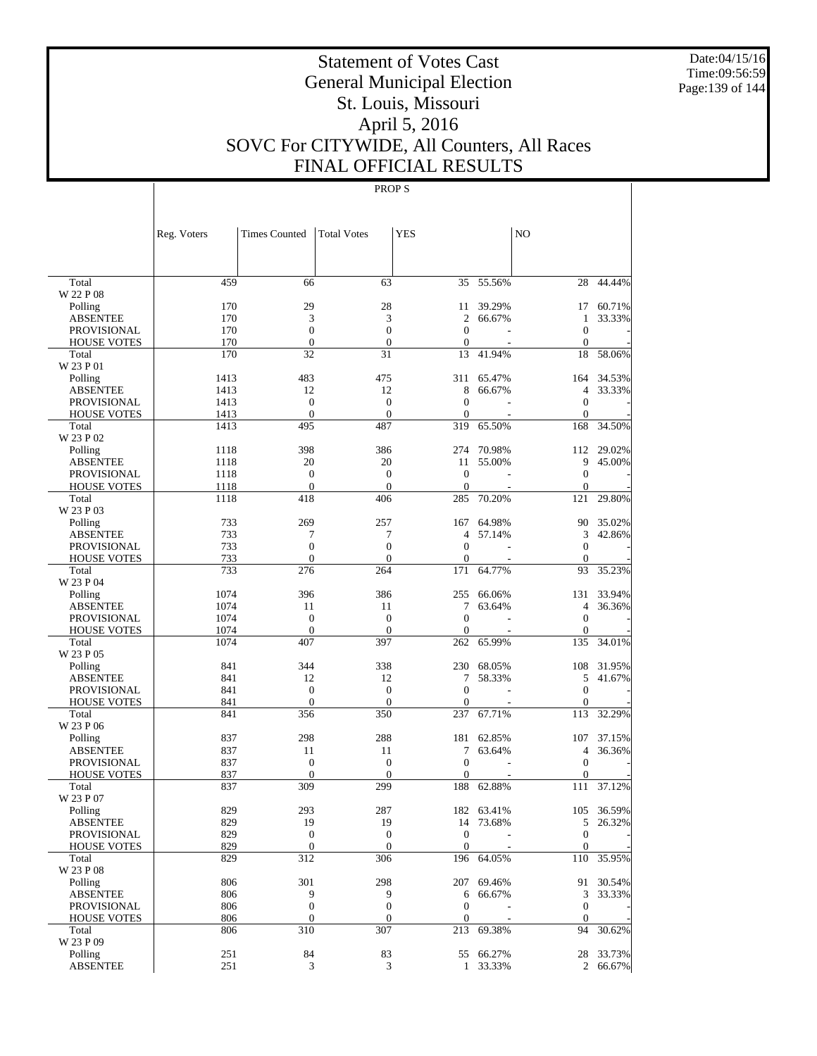Date:04/15/16 Time:09:56:59 Page:139 of 144

# Statement of Votes Cast General Municipal Election St. Louis, Missouri April 5, 2016 SOVC For CITYWIDE, All Counters, All Races FINAL OFFICIAL RESULTS

|                             | Reg. Voters | <b>Times Counted</b>         | <b>Total Votes</b>    | YES                     |            | N <sub>O</sub>     |            |
|-----------------------------|-------------|------------------------------|-----------------------|-------------------------|------------|--------------------|------------|
|                             |             |                              |                       |                         |            |                    |            |
| Total                       | 459         | 66                           | 63                    | 35                      | 55.56%     | 28                 | 44.44%     |
| W 22 P 08<br>Polling        | 170         | 29                           | 28                    | 11                      | 39.29%     | 17                 | 60.71%     |
| <b>ABSENTEE</b>             | 170         | 3                            | 3                     | 2                       | 66.67%     | 1                  | 33.33%     |
| <b>PROVISIONAL</b>          | 170         | $\boldsymbol{0}$             | $\overline{0}$        | $\mathbf{0}$            |            | $\mathbf{0}$       |            |
| <b>HOUSE VOTES</b>          | 170         | $\boldsymbol{0}$             | $\mathbf{0}$          | $\mathbf{0}$            |            | $\mathbf{0}$       |            |
| Total                       | 170         | 32                           | 31                    | 13                      | 41.94%     | 18                 | 58.06%     |
| W 23 P 01                   |             |                              |                       |                         |            |                    |            |
| Polling                     | 1413        | 483                          | 475                   | 311                     | 65.47%     | 164                | 34.53%     |
| <b>ABSENTEE</b>             | 1413        | 12                           | 12                    | 8                       | 66.67%     | $\overline{4}$     | 33.33%     |
| <b>PROVISIONAL</b>          | 1413        | $\mathbf{0}$                 | $\mathbf{0}$          | $\mathbf{0}$            |            | $\mathbf{0}$       |            |
| <b>HOUSE VOTES</b>          | 1413        | $\theta$                     | $\boldsymbol{0}$      | $\mathbf{0}$            |            | $\mathbf{0}$       |            |
| Total                       | 1413        | 495                          | 487                   | 319                     | 65.50%     | 168                | 34.50%     |
| W 23 P 02                   |             |                              |                       |                         |            |                    |            |
| Polling                     | 1118        | 398                          | 386                   | 274                     | 70.98%     | 112                | 29.02%     |
| <b>ABSENTEE</b>             | 1118        | 20                           | 20                    | 11                      | 55.00%     | 9                  | 45.00%     |
| <b>PROVISIONAL</b>          | 1118        | $\boldsymbol{0}$             | $\boldsymbol{0}$      | $\theta$                | L.         | $\mathbf{0}$       |            |
| <b>HOUSE VOTES</b>          | 1118        | $\mathbf{0}$                 | $\theta$              | $\theta$                |            | $\mathbf{0}$       |            |
| Total                       | 1118        | 418                          | 406                   | 285                     | 70.20%     | 121                | 29.80%     |
| W 23 P 03                   |             |                              |                       |                         |            |                    |            |
| Polling                     | 733         | 269                          | 257                   | 167                     | 64.98%     | 90                 | 35.02%     |
| <b>ABSENTEE</b>             | 733         | 7                            | 7                     | 4                       | 57.14%     | 3                  | 42.86%     |
| <b>PROVISIONAL</b>          | 733         | $\mathbf{0}$<br>$\mathbf{0}$ | $\mathbf{0}$          | $\mathbf{0}$            |            | $\mathbf{0}$       |            |
| <b>HOUSE VOTES</b><br>Total | 733<br>733  | 276                          | $\overline{0}$<br>264 | $\boldsymbol{0}$<br>171 | 64.77%     | $\mathbf{0}$<br>93 | 35.23%     |
| W 23 P 04                   |             |                              |                       |                         |            |                    |            |
| Polling                     | 1074        | 396                          | 386                   | 255                     | 66.06%     | 131                | 33.94%     |
| <b>ABSENTEE</b>             | 1074        | 11                           | 11                    | 7                       | 63.64%     | $\overline{4}$     | 36.36%     |
| <b>PROVISIONAL</b>          | 1074        | $\boldsymbol{0}$             | $\boldsymbol{0}$      | $\mathbf{0}$            |            | $\mathbf{0}$       |            |
| <b>HOUSE VOTES</b>          | 1074        | $\theta$                     | $\theta$              | $\mathbf{0}$            |            | $\mathbf{0}$       |            |
| Total                       | 1074        | 407                          | 397                   | 262                     | 65.99%     | 135                | 34.01%     |
| W 23 P 05                   |             |                              |                       |                         |            |                    |            |
| Polling                     | 841         | 344                          | 338                   | 230                     | 68.05%     | 108                | 31.95%     |
| <b>ABSENTEE</b>             | 841         | 12                           | 12                    | 7                       | 58.33%     | 5                  | 41.67%     |
| <b>PROVISIONAL</b>          | 841         | $\mathbf{0}$                 | $\boldsymbol{0}$      | $\mathbf{0}$            |            | $\mathbf{0}$       |            |
| <b>HOUSE VOTES</b>          | 841         | $\mathbf{0}$                 | $\theta$              | $\mathbf{0}$            |            | $\mathbf{0}$       |            |
| Total                       | 841         | 356                          | 350                   | 237                     | 67.71%     | 113                | 32.29%     |
| W 23 P 06                   |             |                              |                       |                         |            |                    |            |
| Polling                     | 837         | 298                          | 288                   | 181                     | 62.85%     | 107                | 37.15%     |
| <b>ABSENTEE</b>             | 837         | 11                           | 11                    | 7                       | 63.64%     | $\overline{4}$     | 36.36%     |
| <b>PROVISIONAL</b>          | 837         | $\boldsymbol{0}$             | $\boldsymbol{0}$      | $\mathbf{0}$            | L.         | $\mathbf{0}$       |            |
| <b>HOUSE VOTES</b>          | 837         | $\mathbf{0}$                 | $\theta$              | $\mathbf{0}$            |            | $\mathbf{0}$       |            |
| Total                       | 837         | 309                          | 299                   | 188                     | 62.88%     | 111                | 37.12%     |
| W 23 P 07                   |             |                              |                       |                         |            |                    |            |
| Polling                     | 829         | 293                          | 287                   |                         | 182 63.41% |                    | 105 36.59% |
| ABSENTEE                    | 829         | 19                           | 19                    |                         | 14 73.68%  |                    | 5 26.32%   |
| PROVISIONAL                 | 829         | $\boldsymbol{0}$             | $\mathbf{0}$          | $\boldsymbol{0}$        |            | $\Omega$           |            |
| <b>HOUSE VOTES</b>          | 829         | $\mathbf{0}$                 | $\mathbf{0}$          | $\mathbf{0}$            |            | $\mathbf{0}$       |            |
| Total<br>W 23 P 08          | 829         | 312                          | 306                   |                         | 196 64.05% | 110                | 35.95%     |
| Polling                     | 806         | 301                          | 298                   |                         | 207 69.46% |                    | 91 30.54%  |
| <b>ABSENTEE</b>             | 806         | 9                            | 9                     | 6                       | 66.67%     | 3                  | 33.33%     |
| PROVISIONAL                 | 806         | $\boldsymbol{0}$             | $\boldsymbol{0}$      | $\mathbf{0}$            |            | $\boldsymbol{0}$   |            |
| <b>HOUSE VOTES</b>          | 806         | $\mathbf{0}$                 | $\mathbf{0}$          | $\boldsymbol{0}$        |            | $\mathbf{0}$       |            |
| Total                       | 806         | 310                          | 307                   | 213                     | 69.38%     | 94                 | 30.62%     |
| W 23 P 09                   |             |                              |                       |                         |            |                    |            |
| Polling                     | 251         | 84                           | 83                    |                         | 55 66.27%  |                    | 28 33.73%  |
| <b>ABSENTEE</b>             | 251         | 3                            | 3                     |                         | 1 33.33%   |                    | 2 66.67%   |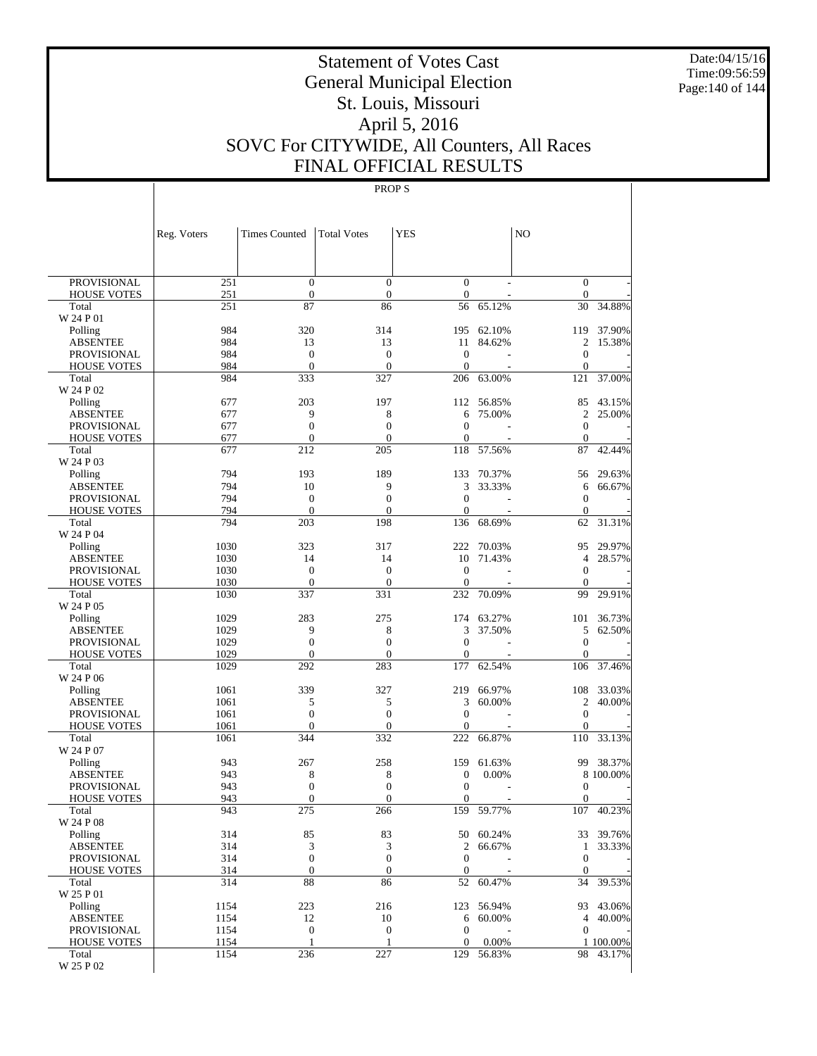Date:04/15/16 Time:09:56:59 Page:140 of 144

# Statement of Votes Cast General Municipal Election St. Louis, Missouri April 5, 2016 SOVC For CITYWIDE, All Counters, All Races FINAL OFFICIAL RESULTS

|                                          | Reg. Voters  | <b>Times Counted</b>                 | <b>Total Votes</b>                   | <b>YES</b>                           |                  | N <sub>O</sub>                   |                  |
|------------------------------------------|--------------|--------------------------------------|--------------------------------------|--------------------------------------|------------------|----------------------------------|------------------|
|                                          |              |                                      |                                      |                                      |                  |                                  |                  |
| <b>PROVISIONAL</b>                       | 251          | $\boldsymbol{0}$                     | $\boldsymbol{0}$                     | $\boldsymbol{0}$                     |                  | $\mathbf{0}$                     |                  |
| <b>HOUSE VOTES</b><br>Total              | 251<br>251   | $\boldsymbol{0}$<br>87               | $\boldsymbol{0}$<br>86               | $\boldsymbol{0}$<br>56               | 65.12%           | $\mathbf{0}$<br>30               | 34.88%           |
| W 24 P 01                                |              |                                      |                                      |                                      |                  |                                  |                  |
| Polling                                  | 984          | 320                                  | 314                                  | 195                                  | 62.10%           | 119                              | 37.90%           |
| <b>ABSENTEE</b>                          | 984          | 13                                   | 13                                   | 11                                   | 84.62%           | 2                                | 15.38%           |
| <b>PROVISIONAL</b>                       | 984          | $\boldsymbol{0}$                     | $\boldsymbol{0}$                     | $\mathbf{0}$                         |                  | $\boldsymbol{0}$                 |                  |
| <b>HOUSE VOTES</b>                       | 984          | $\mathbf{0}$                         | $\overline{0}$                       | $\boldsymbol{0}$                     |                  | $\mathbf{0}$                     |                  |
| Total<br>W 24 P 02                       | 984          | 333                                  | 327                                  | 206                                  | 63.00%           | 121                              | 37.00%           |
| Polling                                  | 677          | 203                                  | 197                                  | 112                                  | 56.85%           | 85                               | 43.15%           |
| <b>ABSENTEE</b>                          | 677          | 9                                    | 8                                    | 6                                    | 75.00%           | 2                                | 25.00%           |
| <b>PROVISIONAL</b>                       | 677          | $\boldsymbol{0}$                     | $\boldsymbol{0}$                     | $\mathbf{0}$                         |                  | $\boldsymbol{0}$                 |                  |
| <b>HOUSE VOTES</b>                       | 677          | $\mathbf{0}$                         | $\overline{0}$                       | $\overline{0}$                       |                  | $\mathbf{0}$                     |                  |
| Total                                    | 677          | 212                                  | 205                                  | 118                                  | 57.56%           | 87                               | 42.44%           |
| W 24 P 03                                |              |                                      |                                      |                                      |                  |                                  |                  |
| Polling<br><b>ABSENTEE</b>               | 794<br>794   | 193<br>10                            | 189<br>9                             | 133<br>3                             | 70.37%<br>33.33% | 56<br>6                          | 29.63%<br>66.67% |
| <b>PROVISIONAL</b>                       | 794          | $\mathbf{0}$                         | $\boldsymbol{0}$                     | $\boldsymbol{0}$                     |                  | $\boldsymbol{0}$                 |                  |
| <b>HOUSE VOTES</b>                       | 794          | $\mathbf{0}$                         | $\boldsymbol{0}$                     | $\boldsymbol{0}$                     |                  | $\mathbf{0}$                     |                  |
| Total                                    | 794          | 203                                  | 198                                  | 136                                  | 68.69%           | 62                               | 31.31%           |
| W 24 P 04                                |              |                                      |                                      |                                      |                  |                                  |                  |
| Polling                                  | 1030         | 323                                  | 317                                  | 222                                  | 70.03%           | 95                               | 29.97%           |
| <b>ABSENTEE</b>                          | 1030         | 14                                   | 14                                   | 10                                   | 71.43%           | 4                                | 28.57%           |
| <b>PROVISIONAL</b>                       | 1030         | $\boldsymbol{0}$                     | $\boldsymbol{0}$                     | $\mathbf{0}$                         |                  | $\boldsymbol{0}$                 |                  |
| <b>HOUSE VOTES</b><br>Total              | 1030<br>1030 | $\mathbf{0}$<br>337                  | $\overline{0}$<br>331                | $\mathbf{0}$<br>232                  | 70.09%           | $\mathbf{0}$<br>99               | 29.91%           |
| W 24 P 05                                |              |                                      |                                      |                                      |                  |                                  |                  |
| Polling                                  | 1029         | 283                                  | 275                                  | 174                                  | 63.27%           | 101                              | 36.73%           |
| <b>ABSENTEE</b>                          | 1029         | 9                                    | 8                                    | 3                                    | 37.50%           | 5                                | 62.50%           |
| <b>PROVISIONAL</b>                       | 1029         | $\boldsymbol{0}$                     | $\boldsymbol{0}$                     | $\mathbf{0}$                         |                  | $\mathbf{0}$                     |                  |
| <b>HOUSE VOTES</b>                       | 1029         | $\mathbf{0}$                         | $\overline{0}$                       | $\boldsymbol{0}$                     |                  | $\mathbf{0}$                     |                  |
| Total                                    | 1029         | 292                                  | 283                                  | 177                                  | 62.54%           | 106                              | 37.46%           |
| W 24 P 06<br>Polling                     | 1061         | 339                                  | 327                                  | 219                                  | 66.97%           | 108                              | 33.03%           |
| <b>ABSENTEE</b>                          | 1061         | 5                                    | 5                                    | 3                                    | 60.00%           | 2                                | 40.00%           |
| <b>PROVISIONAL</b>                       | 1061         | $\boldsymbol{0}$                     | $\boldsymbol{0}$                     | $\boldsymbol{0}$                     |                  | $\boldsymbol{0}$                 |                  |
| <b>HOUSE VOTES</b>                       | 1061         | $\mathbf{0}$                         | $\overline{0}$                       | $\boldsymbol{0}$                     |                  | $\mathbf{0}$                     |                  |
| Total                                    | 1061         | 344                                  | 332                                  | 222                                  | 66.87%           | 110                              | 33.13%           |
| W 24 P 07                                |              |                                      |                                      |                                      |                  |                                  |                  |
| Polling                                  | 943<br>943   | 267                                  | 258                                  | 159                                  | 61.63%           | 99                               | 38.37%           |
| <b>ABSENTEE</b><br><b>PROVISIONAL</b>    | 943          | 8<br>$\boldsymbol{0}$                | 8<br>$\boldsymbol{0}$                | $\boldsymbol{0}$<br>$\mathbf{0}$     | 0.00%            | $\boldsymbol{0}$                 | 8 100.00%        |
| <b>HOUSE VOTES</b>                       | 943          | $\overline{0}$                       | $\boldsymbol{0}$                     | $\boldsymbol{0}$                     |                  | $\boldsymbol{0}$                 |                  |
| Total                                    | 943          | 275                                  | 266                                  | 159                                  | 59.77%           | 107                              | 40.23%           |
| W 24 P 08                                |              |                                      |                                      |                                      |                  |                                  |                  |
| Polling                                  | 314          | 85                                   | 83                                   |                                      | 50 60.24%        |                                  | 33 39.76%        |
| <b>ABSENTEE</b>                          | 314          | 3                                    | 3                                    | $\overline{c}$                       | 66.67%           | $\mathbf{1}$                     | 33.33%           |
| <b>PROVISIONAL</b><br><b>HOUSE VOTES</b> | 314<br>314   | $\boldsymbol{0}$<br>$\boldsymbol{0}$ | $\boldsymbol{0}$<br>$\boldsymbol{0}$ | $\boldsymbol{0}$<br>$\boldsymbol{0}$ |                  | $\boldsymbol{0}$<br>$\mathbf{0}$ |                  |
| Total                                    | 314          | 88                                   | 86                                   | 52                                   | 60.47%           | 34                               | 39.53%           |
| W 25 P 01                                |              |                                      |                                      |                                      |                  |                                  |                  |
| Polling                                  | 1154         | 223                                  | 216                                  | 123                                  | 56.94%           |                                  | 93 43.06%        |
| <b>ABSENTEE</b>                          | 1154         | 12                                   | 10                                   | 6                                    | 60.00%           |                                  | 4 40.00%         |
| PROVISIONAL                              | 1154         | $\boldsymbol{0}$                     | $\boldsymbol{0}$                     | $\boldsymbol{0}$                     |                  | $\mathbf{0}$                     |                  |
| <b>HOUSE VOTES</b>                       | 1154         | $\mathbf{1}$                         | $\mathbf{1}$                         | $\boldsymbol{0}$                     | 0.00%            |                                  | 1 100.00%        |
| Total<br>W 25 P 02                       | 1154         | 236                                  | 227                                  | 129                                  | 56.83%           |                                  | 98 43.17%        |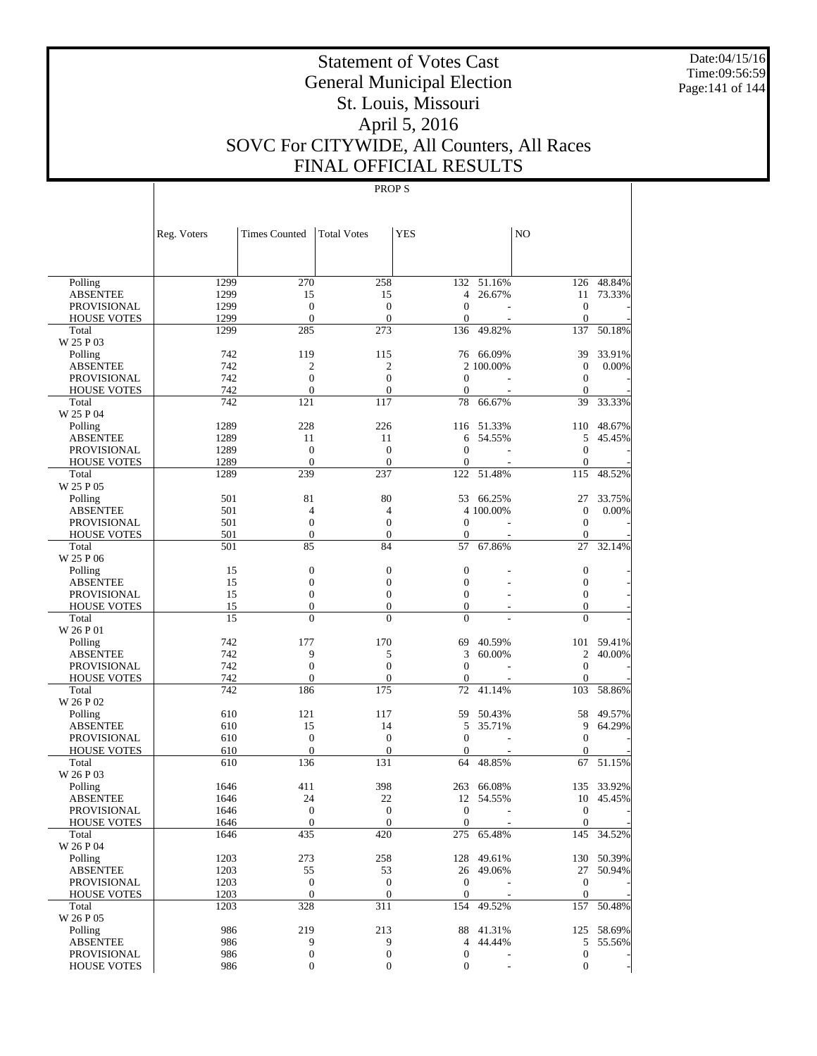Date:04/15/16 Time:09:56:59 Page:141 of 144

# Statement of Votes Cast General Municipal Election St. Louis, Missouri April 5, 2016 SOVC For CITYWIDE, All Counters, All Races FINAL OFFICIAL RESULTS

|                             | Reg. Voters | <b>Times Counted</b> | <b>Total Votes</b> | <b>YES</b>         |                | NO                  |            |
|-----------------------------|-------------|----------------------|--------------------|--------------------|----------------|---------------------|------------|
|                             |             |                      |                    |                    |                |                     |            |
| Polling                     | 1299        | 270                  | 258                | 132                | 51.16%         | 126                 | 48.84%     |
| <b>ABSENTEE</b>             | 1299        | 15                   | 15                 | 4                  | 26.67%         | 11                  | 73.33%     |
| <b>PROVISIONAL</b>          | 1299        | $\overline{0}$       | $\mathbf{0}$       | $\mathbf{0}$       |                | $\theta$            |            |
| <b>HOUSE VOTES</b>          | 1299        | $\mathbf{0}$         | $\boldsymbol{0}$   | $\boldsymbol{0}$   |                | $\boldsymbol{0}$    |            |
| Total                       | 1299        | 285                  | 273                | 136                | 49.82%         | 137                 | 50.18%     |
| W 25 P 03                   |             |                      |                    |                    |                |                     |            |
| Polling                     | 742         | 119                  | 115                |                    | 76 66.09%      | 39                  | 33.91%     |
| <b>ABSENTEE</b>             | 742         | $\mathfrak{2}$       | $\mathfrak{2}$     |                    | 2 100.00%      | $\mathbf{0}$        | 0.00%      |
| <b>PROVISIONAL</b>          | 742         | $\overline{0}$       | $\overline{0}$     | $\mathbf{0}$       | L,             | $\theta$            |            |
| <b>HOUSE VOTES</b>          | 742         | $\mathbf{0}$         | $\theta$           | $\mathbf{0}$       |                | $\theta$            |            |
| Total<br>W 25 P 04          | 742         | 121                  | 117                | 78                 | 66.67%         | 39                  | 33.33%     |
| Polling                     | 1289        | 228                  | 226                | 116                | 51.33%         | 110                 | 48.67%     |
| <b>ABSENTEE</b>             | 1289        | 11                   | 11                 | 6                  | 54.55%         | 5                   | 45.45%     |
| <b>PROVISIONAL</b>          | 1289        | $\overline{0}$       | $\mathbf{0}$       | $\mathbf{0}$       |                | $\mathbf{0}$        |            |
| <b>HOUSE VOTES</b>          | 1289        | $\mathbf{0}$         | $\mathbf{0}$       | 0                  |                | $\boldsymbol{0}$    |            |
| Total                       | 1289        | 239                  | 237                | 122                | 51.48%         | 115                 | 48.52%     |
| W 25 P 05                   |             |                      |                    |                    |                |                     |            |
| Polling                     | 501         | 81                   | 80                 | 53                 | 66.25%         | 27                  | 33.75%     |
| <b>ABSENTEE</b>             | 501         | 4                    | $\overline{4}$     |                    | 4 100.00%      | $\boldsymbol{0}$    | 0.00%      |
| <b>PROVISIONAL</b>          | 501         | $\overline{0}$       | $\overline{0}$     | $\mathbf{0}$       | L,             | $\theta$            |            |
| <b>HOUSE VOTES</b>          | 501         | $\mathbf{0}$         | $\theta$           | $\mathbf{0}$       |                | $\mathbf{0}$        |            |
| Total                       | 501         | 85                   | 84                 | 57                 | 67.86%         | 27                  | 32.14%     |
| W 25 P 06                   |             |                      |                    |                    |                |                     |            |
| Polling                     | 15          | $\boldsymbol{0}$     | $\boldsymbol{0}$   | $\mathbf{0}$       |                | $\mathbf{0}$        |            |
| <b>ABSENTEE</b>             | 15          | $\overline{0}$       | $\overline{0}$     | $\mathbf{0}$       |                | $\mathbf{0}$        |            |
| <b>PROVISIONAL</b>          | 15          | $\boldsymbol{0}$     | $\overline{0}$     | $\mathbf{0}$       | $\overline{a}$ | $\mathbf{0}$        |            |
| <b>HOUSE VOTES</b>          | 15          | $\boldsymbol{0}$     | $\boldsymbol{0}$   | $\boldsymbol{0}$   |                | $\mathbf{0}$        |            |
| Total                       | 15          | $\overline{0}$       | $\Omega$           | $\mathbf{0}$       |                | $\Omega$            |            |
| W 26 P 01                   |             |                      |                    |                    |                |                     |            |
| Polling                     | 742         | 177                  | 170                | 69                 | 40.59%         | 101                 | 59.41%     |
| <b>ABSENTEE</b>             | 742         | 9                    | 5                  | 3                  | 60.00%         | $\mathfrak{2}$      | 40.00%     |
| <b>PROVISIONAL</b>          | 742         | $\boldsymbol{0}$     | $\overline{0}$     | $\mathbf{0}$       | L,             | $\theta$            |            |
| <b>HOUSE VOTES</b><br>Total | 742<br>742  | $\mathbf{0}$<br>186  | $\theta$<br>175    | $\mathbf{0}$<br>72 | 41.14%         | $\mathbf{0}$<br>103 | 58.86%     |
| W 26 P 02                   |             |                      |                    |                    |                |                     |            |
| Polling                     | 610         | 121                  | 117                | 59                 | 50.43%         | 58                  | 49.57%     |
| <b>ABSENTEE</b>             | 610         | 15                   | 14                 | 5                  | 35.71%         | 9                   | 64.29%     |
| <b>PROVISIONAL</b>          | 610         | $\overline{0}$       | $\mathbf{0}$       | $\mathbf{0}$       |                | $\theta$            |            |
| <b>HOUSE VOTES</b>          | 610         | $\mathbf{0}$         | $\boldsymbol{0}$   | $\mathbf{0}$       |                | $\mathbf{0}$        |            |
| Total                       | 610         | 136                  | 131                | 64                 | 48.85%         | 67                  | 51.15%     |
| W 26 P 03                   |             |                      |                    |                    |                |                     |            |
| Polling                     | 1646        | 411                  | 398                | 263                | 66.08%         | 135                 | 33.92%     |
| <b>ABSENTEE</b>             | 1646        | 24                   | 22                 | 12                 | 54.55%         | 10                  | 45.45%     |
| PROVISIONAL                 | 1646        | $\Omega$             | $\mathbf{0}$       | $\Omega$           |                | $\Omega$            |            |
| <b>HOUSE VOTES</b>          | 1646        | $\boldsymbol{0}$     | $\overline{0}$     | $\boldsymbol{0}$   |                | $\mathbf{0}$        |            |
| Total                       | 1646        | 435                  | 420                |                    | 275 65.48%     |                     | 145 34.52% |
| W 26 P 04                   |             |                      |                    |                    |                |                     |            |
| Polling                     | 1203        | 273                  | 258                |                    | 128 49.61%     |                     | 130 50.39% |
| <b>ABSENTEE</b>             | 1203        | 55                   | 53                 |                    | 26 49.06%      |                     | 27 50.94%  |
| <b>PROVISIONAL</b>          | 1203        | $\boldsymbol{0}$     | $\boldsymbol{0}$   | $\mathbf{0}$       |                | $\mathbf{0}$        |            |
| <b>HOUSE VOTES</b>          | 1203        | $\mathbf{0}$         | $\mathbf{0}$       | $\overline{0}$     |                | $\mathbf{0}$        |            |
| Total<br>W 26 P 05          | 1203        | 328                  | 311                | 154                | 49.52%         | 157                 | 50.48%     |
| Polling                     | 986         | 219                  | 213                |                    | 88 41.31%      |                     | 125 58.69% |
| <b>ABSENTEE</b>             | 986         | 9                    | 9                  | 4                  | 44.44%         |                     | 5 55.56%   |
| <b>PROVISIONAL</b>          | 986         | 0                    | $\boldsymbol{0}$   | $\boldsymbol{0}$   |                | $\boldsymbol{0}$    |            |
| <b>HOUSE VOTES</b>          | 986         | 0                    | $\boldsymbol{0}$   | $\boldsymbol{0}$   |                | $\overline{0}$      |            |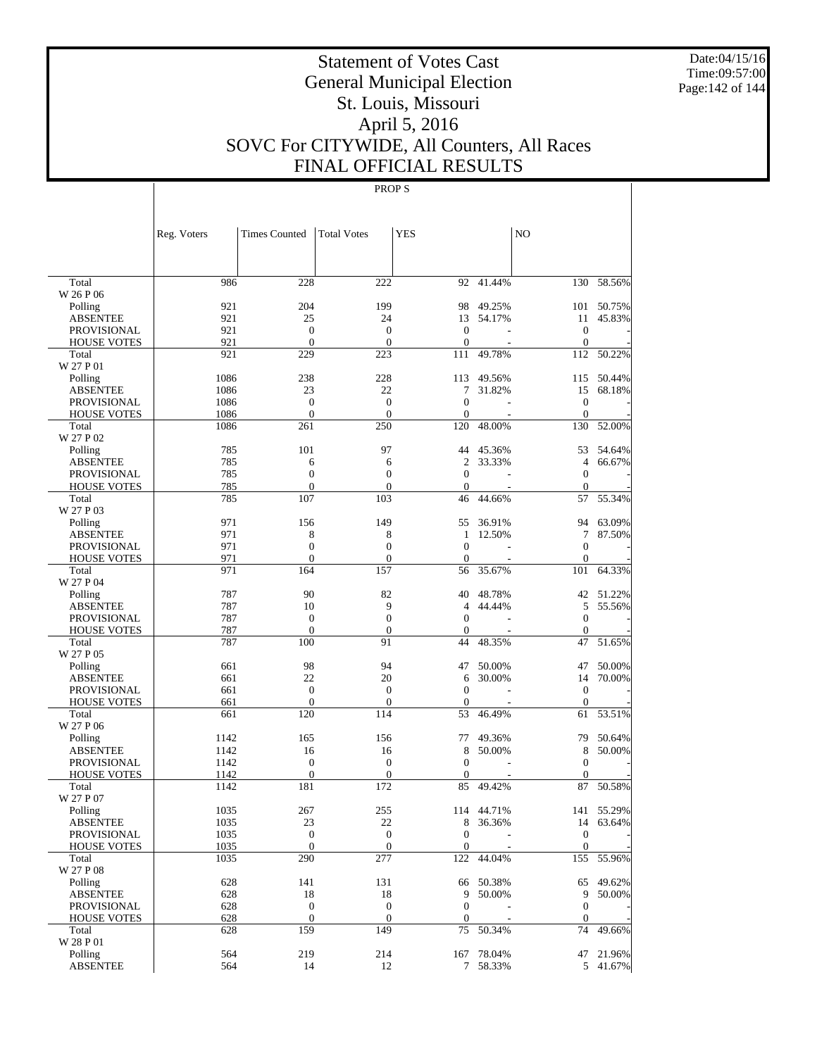Date:04/15/16 Time:09:57:00 Page:142 of 144

# Statement of Votes Cast General Municipal Election St. Louis, Missouri April 5, 2016 SOVC For CITYWIDE, All Counters, All Races FINAL OFFICIAL RESULTS

|                             | Reg. Voters | <b>Times Counted</b> | <b>Total Votes</b>  | <b>YES</b>              |            | N <sub>O</sub>   |                      |
|-----------------------------|-------------|----------------------|---------------------|-------------------------|------------|------------------|----------------------|
|                             |             |                      |                     |                         |            |                  |                      |
| Total                       | 986         | 228                  | 222                 |                         | 92 41.44%  |                  | 130 58.56%           |
| W 26 P 06                   |             |                      |                     |                         |            |                  |                      |
| Polling                     | 921         | 204                  | 199                 | 98                      | 49.25%     |                  | 101 50.75%           |
| <b>ABSENTEE</b>             | 921         | 25                   | 24                  | 13                      | 54.17%     | 11               | 45.83%               |
| <b>PROVISIONAL</b>          | 921         | $\mathbf{0}$         | $\mathbf{0}$        | $\boldsymbol{0}$        | L,         | $\mathbf{0}$     |                      |
| <b>HOUSE VOTES</b><br>Total | 921<br>921  | $\mathbf{0}$<br>229  | $\mathbf{0}$<br>223 | $\boldsymbol{0}$<br>111 | 49.78%     | $\mathbf{0}$     | 112 50.22%           |
| W 27 P 01                   |             |                      |                     |                         |            |                  |                      |
| Polling                     | 1086        | 238                  | 228                 | 113                     | 49.56%     | 115              | 50.44%               |
| <b>ABSENTEE</b>             | 1086        | 23                   | 22                  | 7                       | 31.82%     | 15               | 68.18%               |
| <b>PROVISIONAL</b>          | 1086        | $\mathbf{0}$         | $\boldsymbol{0}$    | $\mathbf{0}$            |            | $\mathbf{0}$     |                      |
| <b>HOUSE VOTES</b>          | 1086        | $\mathbf{0}$         | $\overline{0}$      | $\mathbf{0}$            |            | $\mathbf{0}$     |                      |
| Total                       | 1086        | 261                  | 250                 | 120                     | 48.00%     | 130              | 52.00%               |
| W 27 P 02                   |             |                      |                     |                         |            |                  |                      |
| Polling                     | 785         | 101                  | 97                  | 44                      | 45.36%     | 53               | 54.64%               |
| <b>ABSENTEE</b>             | 785         | 6                    | 6                   | 2                       | 33.33%     | $\overline{4}$   | 66.67%               |
| <b>PROVISIONAL</b>          | 785         | $\boldsymbol{0}$     | $\boldsymbol{0}$    | $\mathbf{0}$            |            | $\boldsymbol{0}$ |                      |
| <b>HOUSE VOTES</b>          | 785         | $\mathbf{0}$         | $\mathbf{0}$        | $\boldsymbol{0}$        |            | $\Omega$         |                      |
| Total<br>W 27 P 03          | 785         | 107                  | 103                 | 46                      | 44.66%     | 57               | 55.34%               |
| Polling                     | 971         | 156                  | 149                 | 55                      | 36.91%     |                  | 94 63.09%            |
| <b>ABSENTEE</b>             | 971         | 8                    | 8                   | 1                       | 12.50%     | 7                | 87.50%               |
| <b>PROVISIONAL</b>          | 971         | $\boldsymbol{0}$     | $\overline{0}$      | $\mathbf{0}$            |            | $\mathbf{0}$     |                      |
| <b>HOUSE VOTES</b>          | 971         | $\overline{0}$       | $\mathbf{0}$        | $\boldsymbol{0}$        |            | $\mathbf{0}$     |                      |
| Total                       | 971         | 164                  | 157                 | 56                      | 35.67%     | 101              | 64.33%               |
| W 27 P 04                   |             |                      |                     |                         |            |                  |                      |
| Polling                     | 787         | 90                   | 82                  | 40                      | 48.78%     |                  | 42 51.22%            |
| <b>ABSENTEE</b>             | 787         | 10                   | 9                   | $\overline{4}$          | 44.44%     | 5                | 55.56%               |
| <b>PROVISIONAL</b>          | 787         | $\mathbf{0}$         | $\overline{0}$      | $\mathbf{0}$            |            | $\boldsymbol{0}$ |                      |
| <b>HOUSE VOTES</b>          | 787         | $\mathbf{0}$         | $\mathbf{0}$        | 0                       |            | $\mathbf{0}$     |                      |
| Total<br>W 27 P 05          | 787         | 100                  | 91                  | 44                      | 48.35%     | 47               | $\overline{51.65}$ % |
| Polling                     | 661         | 98                   | 94                  | 47                      | 50.00%     | 47               | 50.00%               |
| <b>ABSENTEE</b>             | 661         | 22                   | 20                  | 6                       | 30.00%     | 14               | 70.00%               |
| <b>PROVISIONAL</b>          | 661         | $\boldsymbol{0}$     | $\boldsymbol{0}$    | $\theta$                |            | $\boldsymbol{0}$ |                      |
| <b>HOUSE VOTES</b>          | 661         | $\mathbf{0}$         | $\mathbf{0}$        | $\boldsymbol{0}$        |            | $\mathbf{0}$     |                      |
| Total                       | 661         | 120                  | 114                 | 53                      | 46.49%     | 61               | 53.51%               |
| W 27 P 06                   |             |                      |                     |                         |            |                  |                      |
| Polling                     | 1142        | 165                  | 156                 | 77                      | 49.36%     | 79               | 50.64%               |
| <b>ABSENTEE</b>             | 1142        | 16                   | 16                  | 8                       | 50.00%     | 8                | 50.00%               |
| PROVISIONAL                 | 1142        | $\boldsymbol{0}$     | $\boldsymbol{0}$    | $\mathbf{0}$            |            | $\boldsymbol{0}$ |                      |
| <b>HOUSE VOTES</b>          | 1142        | $\mathbf{0}$         | $\overline{0}$      | 0                       |            | $\Omega$         |                      |
| Total                       | 1142        | 181                  | 172                 | 85                      | 49.42%     | 87               | 50.58%               |
| W 27 P 07                   |             |                      |                     |                         |            |                  |                      |
| Polling                     | 1035        | 267                  | 255                 |                         | 114 44.71% |                  | 141 55.29%           |
| ABSENTEE                    | 1035        | 23                   | 22                  | 8                       | 36.36%     |                  | 14 63.64%            |
| PROVISIONAL                 | 1035        | $\boldsymbol{0}$     | $\mathbf{0}$        | $\mathbf{0}$            |            | $\boldsymbol{0}$ |                      |
| <b>HOUSE VOTES</b>          | 1035        | $\mathbf{0}$         | $\mathbf{0}$        | $\mathbf{0}$            |            | $\mathbf{0}$     |                      |
| Total<br>W 27 P 08          | 1035        | 290                  | 277                 | 122                     | 44.04%     | 155              | 55.96%               |
| Polling                     | 628         | 141                  | 131                 |                         | 66 50.38%  | 65               | 49.62%               |
| <b>ABSENTEE</b>             | 628         | 18                   | 18                  | 9                       | 50.00%     | 9                | 50.00%               |
| <b>PROVISIONAL</b>          | 628         | $\boldsymbol{0}$     | $\boldsymbol{0}$    | $\mathbf{0}$            |            | $\boldsymbol{0}$ |                      |
| <b>HOUSE VOTES</b>          | 628         | $\mathbf{0}$         | $\mathbf{0}$        | $\boldsymbol{0}$        |            | $\mathbf{0}$     |                      |
| Total                       | 628         | 159                  | 149                 | 75                      | 50.34%     | 74               | 49.66%               |
| W 28 P 01                   |             |                      |                     |                         |            |                  |                      |
| Polling                     | 564         | 219                  | 214                 |                         | 167 78.04% |                  | 47 21.96%            |
| <b>ABSENTEE</b>             | 564         | 14                   | 12                  |                         | 7 58.33%   |                  | 5 41.67%             |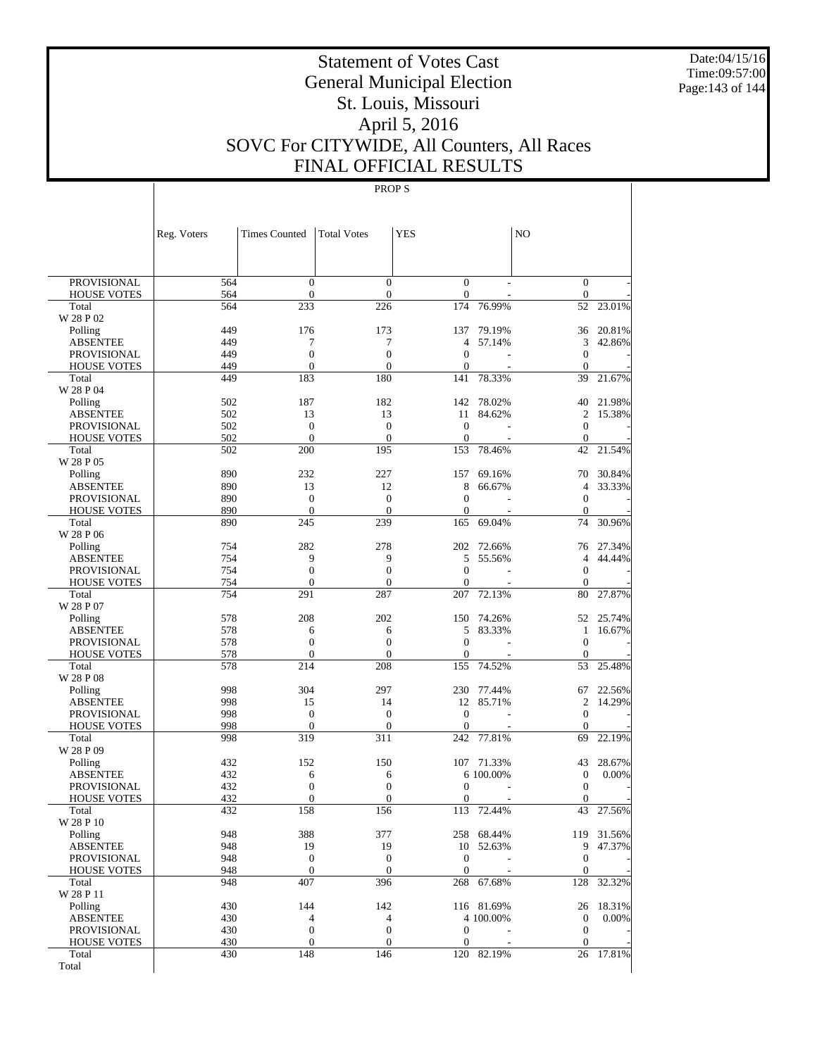Date:04/15/16 Time:09:57:00 Page:143 of 144

# Statement of Votes Cast General Municipal Election St. Louis, Missouri April 5, 2016 SOVC For CITYWIDE, All Counters, All Races FINAL OFFICIAL RESULTS

|                                          | Reg. Voters | <b>Times Counted</b> | <b>Total Votes</b>    | <b>YES</b>            |                         | N <sub>O</sub>               |                  |
|------------------------------------------|-------------|----------------------|-----------------------|-----------------------|-------------------------|------------------------------|------------------|
|                                          |             |                      |                       |                       |                         |                              |                  |
| <b>PROVISIONAL</b>                       | 564         | $\mathbf{0}$         | $\overline{0}$        | $\mathbf{0}$          |                         | $\mathbf{0}$                 |                  |
| <b>HOUSE VOTES</b>                       | 564         | $\mathbf{0}$         | $\overline{0}$        | $\boldsymbol{0}$      |                         | $\mathbf{0}$                 |                  |
| Total<br>W 28 P 02                       | 564         | 233                  | 226                   | 174                   | 76.99%                  | 52                           | 23.01%           |
| Polling                                  | 449         | 176                  | 173                   | 137                   | 79.19%                  | 36                           | 20.81%           |
| <b>ABSENTEE</b>                          | 449         | 7                    | 7                     | 4                     | 57.14%                  | 3                            | 42.86%           |
| <b>PROVISIONAL</b>                       | 449         | $\overline{0}$       | $\overline{0}$        | $\overline{0}$        |                         | $\mathbf{0}$                 |                  |
| <b>HOUSE VOTES</b>                       | 449         | $\overline{0}$       | $\overline{0}$        | $\overline{0}$        |                         | $\mathbf{0}$                 |                  |
| Total                                    | 449         | 183                  | 180                   | 141                   | 78.33%                  | 39                           | 21.67%           |
| W 28 P 04                                |             |                      |                       |                       |                         |                              |                  |
| Polling<br><b>ABSENTEE</b>               | 502<br>502  | 187<br>13            | 182<br>13             | 142<br>11             | 78.02%<br>84.62%        | 40<br>$\overline{2}$         | 21.98%<br>15.38% |
| <b>PROVISIONAL</b>                       | 502         | $\mathbf{0}$         | $\overline{0}$        | $\overline{0}$        |                         | $\mathbf{0}$                 |                  |
| <b>HOUSE VOTES</b>                       | 502         | $\overline{0}$       | $\overline{0}$        | $\mathbf{0}$          |                         | $\mathbf{0}$                 |                  |
| Total                                    | 502         | 200                  | 195                   | 153                   | 78.46%                  | 42                           | 21.54%           |
| W 28 P 05                                |             |                      |                       |                       |                         |                              |                  |
| Polling                                  | 890         | 232                  | 227                   | 157                   | 69.16%                  | 70                           | 30.84%           |
| <b>ABSENTEE</b>                          | 890         | 13                   | 12                    | 8                     | 66.67%                  | $\overline{4}$               | 33.33%           |
| <b>PROVISIONAL</b>                       | 890         | $\mathbf{0}$         | $\overline{0}$        | $\overline{0}$        |                         | $\boldsymbol{0}$             |                  |
| <b>HOUSE VOTES</b><br>Total              | 890<br>890  | $\mathbf{0}$<br>245  | $\overline{0}$<br>239 | $\overline{0}$<br>165 | 69.04%                  | $\mathbf{0}$<br>74           | 30.96%           |
| W 28 P 06                                |             |                      |                       |                       |                         |                              |                  |
| Polling                                  | 754         | 282                  | 278                   | 202                   | 72.66%                  | 76                           | 27.34%           |
| <b>ABSENTEE</b>                          | 754         | 9                    | 9                     | 5                     | 55.56%                  | $\overline{4}$               | 44.44%           |
| <b>PROVISIONAL</b>                       | 754         | $\overline{0}$       | $\overline{0}$        | $\overline{0}$        |                         | $\mathbf{0}$                 |                  |
| <b>HOUSE VOTES</b>                       | 754         | $\mathbf{0}$         | $\overline{0}$        | $\mathbf{0}$          |                         | $\mathbf{0}$                 |                  |
| Total                                    | 754         | 291                  | 287                   | 207                   | 72.13%                  | 80                           | 27.87%           |
| W 28 P 07                                | 578         | 208                  | 202                   | 150                   | 74.26%                  | 52                           | 25.74%           |
| Polling<br><b>ABSENTEE</b>               | 578         | 6                    | 6                     | 5                     | 83.33%                  | $\mathbf{1}$                 | 16.67%           |
| <b>PROVISIONAL</b>                       | 578         | $\overline{0}$       | $\overline{0}$        | $\overline{0}$        |                         | $\mathbf{0}$                 |                  |
| <b>HOUSE VOTES</b>                       | 578         | $\mathbf{0}$         | $\overline{0}$        | $\overline{0}$        |                         | $\mathbf{0}$                 |                  |
| Total                                    | 578         | 214                  | 208                   | 155                   | 74.52%                  | 53                           | 25.48%           |
| W 28 P 08                                |             |                      |                       |                       |                         |                              |                  |
| Polling                                  | 998         | 304                  | 297                   | 230                   | 77.44%                  | 67                           | 22.56%           |
| <b>ABSENTEE</b>                          | 998         | 15<br>$\mathbf{0}$   | 14<br>$\overline{0}$  | 12<br>$\overline{0}$  | 85.71%                  | $\overline{2}$               | 14.29%           |
| <b>PROVISIONAL</b><br><b>HOUSE VOTES</b> | 998<br>998  | $\mathbf{0}$         | $\theta$              | $\mathbf{0}$          |                         | $\mathbf{0}$<br>$\mathbf{0}$ |                  |
| Total                                    | 998         | 319                  | 311                   | 242                   | 77.81%                  | 69                           | 22.19%           |
| W 28 P 09                                |             |                      |                       |                       |                         |                              |                  |
| Polling                                  | 432         | 152                  | 150                   |                       | 107 71.33%              | 43                           | 28.67%           |
| <b>ABSENTEE</b>                          | 432         | 6                    | 6                     |                       | 6 100.00%               | $\mathbf{0}$                 | 0.00%            |
| <b>PROVISIONAL</b>                       | 432         | $\overline{0}$       | $\overline{0}$        | $\overline{0}$        |                         | $\boldsymbol{0}$             |                  |
| <b>HOUSE VOTES</b>                       | 432         | $\overline{0}$       | $\overline{0}$        | $\boldsymbol{0}$      |                         | $\mathbf{0}$                 |                  |
| Total<br>W 28 P 10                       | 432         | 158                  | 156                   | 113                   | 72.44%                  | 43                           | 27.56%           |
| Polling                                  | 948         | 388                  | 377                   |                       | 258 68.44%              |                              | 119 31.56%       |
| <b>ABSENTEE</b>                          | 948         | 19                   | 19                    | 10                    | 52.63%                  | 9                            | 47.37%           |
| PROVISIONAL                              | 948         | $\mathbf{0}$         | $\mathbf{0}$          | $\boldsymbol{0}$      |                         | $\boldsymbol{0}$             |                  |
| <b>HOUSE VOTES</b>                       | 948         | $\boldsymbol{0}$     | $\boldsymbol{0}$      | $\boldsymbol{0}$      |                         | $\mathbf{0}$                 |                  |
| Total                                    | 948         | 407                  | 396                   | 268                   | 67.68%                  | 128                          | 32.32%           |
| W 28 P 11                                |             |                      |                       |                       |                         |                              |                  |
| Polling<br><b>ABSENTEE</b>               | 430<br>430  | 144<br>4             | 142<br>4              |                       | 116 81.69%<br>4 100.00% | 26<br>$\boldsymbol{0}$       | 18.31%<br>0.00%  |
| <b>PROVISIONAL</b>                       | 430         | $\boldsymbol{0}$     | $\boldsymbol{0}$      | $\boldsymbol{0}$      |                         | $\mathbf{0}$                 |                  |
| <b>HOUSE VOTES</b>                       | 430         | $\boldsymbol{0}$     | $\mathbf{0}$          | $\boldsymbol{0}$      |                         | $\mathbf{0}$                 |                  |
| Total                                    | 430         | 148                  | 146                   |                       | 120 82.19%              | 26                           | 17.81%           |
| Total                                    |             |                      |                       |                       |                         |                              |                  |